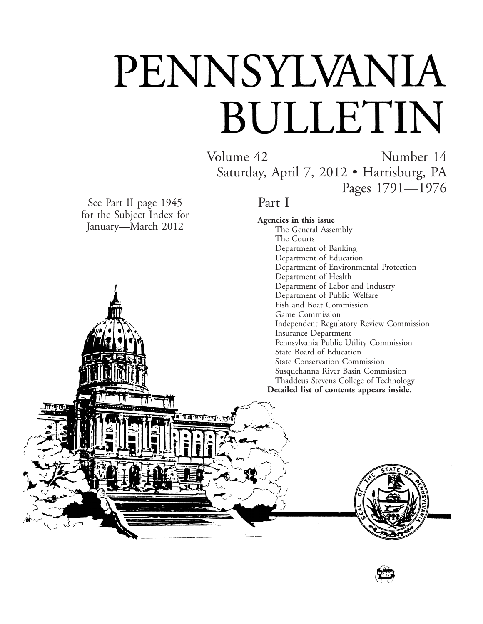# PENNSYLVANIA BULLETIN

Volume 42 Number 14 Saturday, April 7, 2012 • Harrisburg, PA Pages 1791—1976

See Part II page 1945 for the Subject Index for January—March 2012

Part I

**Agencies in this issue** The General Assembly The Courts Department of Banking Department of Education Department of Environmental Protection Department of Health Department of Labor and Industry Department of Public Welfare Fish and Boat Commission Game Commission Independent Regulatory Review Commission Insurance Department Pennsylvania Public Utility Commission State Board of Education State Conservation Commission Susquehanna River Basin Commission Thaddeus Stevens College of Technology **Detailed list of contents appears inside.**



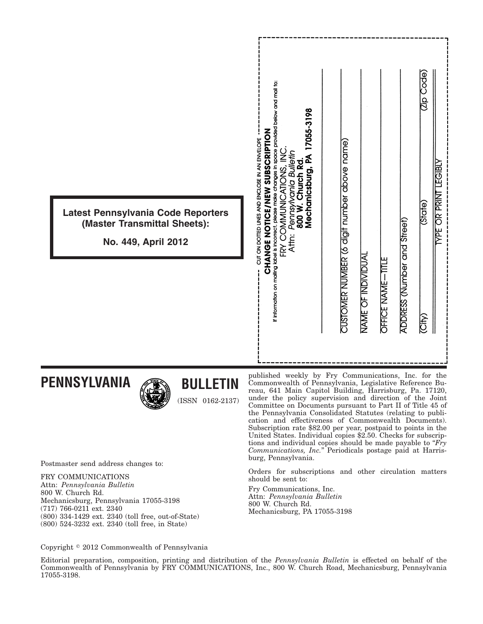| Latest Pennsylvania Code Reporters<br>(Master Transmittal Sheets):<br>No. 449, April 2012 | If information on mailing label is incorrect, please make changes in space provided below and mail to:<br>17055-3198<br><b>ZOILAI2 US AN SUOTO ZU AUGURUS SUOR AUGURUS AUGURUS SUOR AUGURUS SUOR AUGURU</b><br>CUT ON DOTTED UNES AND ENCLOSE IN AN ENVELOPE<br>Pennsylvania Bulletin<br>Mechanicsburg, PA<br>Z<br>Church Rd.<br>FRY COMMUNICATIONS<br>800 W.<br>Attn: | CUSTOMER NUMBER (6 digit number above name) | NAME OF INDIVIDUAI | OFFICE NAME-TITLE | ADDRESS (Number and Street) | <b>Code</b><br>(State)<br>(City) | <b>ABISE</b><br><b>YPE OR PRINT</b> |
|-------------------------------------------------------------------------------------------|------------------------------------------------------------------------------------------------------------------------------------------------------------------------------------------------------------------------------------------------------------------------------------------------------------------------------------------------------------------------|---------------------------------------------|--------------------|-------------------|-----------------------------|----------------------------------|-------------------------------------|
| <b>PENNSYLVANIA</b><br><b>BULLETIN</b><br><b>ALL</b>                                      | published weekly by Fry Communications, Inc. for the Commonwealth of Pennsylvania, Legislative Reference Bu-<br>reau 641 Main Capital Building Harrisburg Pa 17120                                                                                                                                                                                                     |                                             |                    |                   |                             |                                  |                                     |

Postmaster send address changes to:

FRY COMMUNICATIONS Attn: *Pennsylvania Bulletin* 800 W. Church Rd. Mechanicsburg, Pennsylvania 17055-3198 (717) 766-0211 ext. 2340 (800) 334-1429 ext. 2340 (toll free, out-of-State) (800) 524-3232 ext. 2340 (toll free, in State)

reau, 641 Main Capitol Building, Harrisburg, Pa. 17120, under the policy supervision and direction of the Joint Committee on Documents pursuant to Part II of Title 45 of the Pennsylvania Consolidated Statutes (relating to publication and effectiveness of Commonwealth Documents). Subscription rate \$82.00 per year, postpaid to points in the United States. Individual copies \$2.50. Checks for subscriptions and individual copies should be made payable to "*Fry Communications, Inc.*'' Periodicals postage paid at Harrisburg, Pennsylvania.

Orders for subscriptions and other circulation matters should be sent to:

Fry Communications, Inc. Attn: *Pennsylvania Bulletin* 800 W. Church Rd. Mechanicsburg, PA 17055-3198

Copyright © 2012 Commonwealth of Pennsylvania

Editorial preparation, composition, printing and distribution of the *Pennsylvania Bulletin* is effected on behalf of the Commonwealth of Pennsylvania by FRY COMMUNICATIONS, Inc., 800 W. Church Road, Mechanicsburg, Pennsylvania 17055-3198.

(ISSN 0162-2137)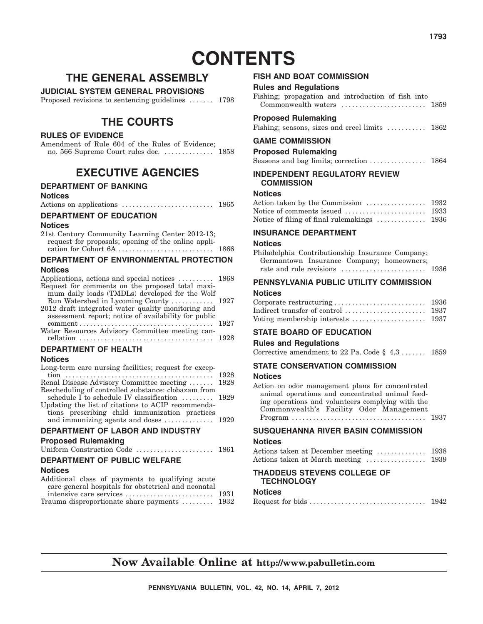# **CONTENTS**

# **THE GENERAL ASSEMBLY**

**JUDICIAL SYSTEM GENERAL PROVISIONS**

Proposed revisions to sentencing guidelines ....... 1798

# **THE COURTS**

#### **RULES OF EVIDENCE**

Amendment of Rule 604 of the Rules of Evidence; no. 566 Supreme Court rules doc. .............. 1858

## **EXECUTIVE AGENCIES**

#### **DEPARTMENT OF BANKING**

#### **Notices**

Actions on applications .......................... 1865

#### **DEPARTMENT OF EDUCATION**

#### **Notices**

| 21st Century Community Learning Center 2012-13;     |      |
|-----------------------------------------------------|------|
| request for proposals; opening of the online appli- |      |
|                                                     | 1866 |

#### **DEPARTMENT OF ENVIRONMENTAL PROTECTION Notices**

| Applications, actions and special notices  1868<br>Request for comments on the proposed total maxi-<br>mum daily loads (TMDLs) developed for the Wolf |      |
|-------------------------------------------------------------------------------------------------------------------------------------------------------|------|
| 2012 draft integrated water quality monitoring and<br>assessment report; notice of availability for public                                            |      |
| Water Resources Advisory Committee meeting can-                                                                                                       |      |
|                                                                                                                                                       |      |
| <b>DEPARTMENT OF HEALTH</b>                                                                                                                           |      |
| <b>Notices</b>                                                                                                                                        |      |
| Long-term care nursing facilities; request for excep-                                                                                                 | 1928 |

| Renal Disease Advisory Committee meeting  1928                       |  |  |  |
|----------------------------------------------------------------------|--|--|--|
| Rescheduling of controlled substance: clobazam from                  |  |  |  |
| schedule I to schedule IV classification  1929                       |  |  |  |
| Updating the list of citations to ACIP recommenda-                   |  |  |  |
| tions prescribing child immunization practices                       |  |  |  |
| and immunizing agents and doses $\dots \dots \dots \dots \dots$ 1929 |  |  |  |
|                                                                      |  |  |  |

#### **DEPARTMENT OF LABOR AND INDUSTRY**

#### **Proposed Rulemaking**

|  | Uniform Construction Code | 1861 |
|--|---------------------------|------|
|  |                           |      |

#### **DEPARTMENT OF PUBLIC WELFARE**

#### **Notices**

| Additional class of payments to qualifying acute    |  |
|-----------------------------------------------------|--|
| care general hospitals for obstetrical and neonatal |  |
|                                                     |  |
| Trauma disproportionate share payments  1932        |  |

#### **FISH AND BOAT COMMISSION**

| <b>Rules and Regulations</b>                              |      |
|-----------------------------------------------------------|------|
| Fishing; propagation and introduction of fish into        |      |
| Commonwealth waters $\dots\dots\dots\dots\dots\dots\dots$ | 1859 |

#### **Proposed Rulemaking**

Fishing; seasons, sizes and creel limits ........... 1862

#### **GAME COMMISSION**

**Proposed Rulemaking**

Seasons and bag limits; correction ........................... 1864

#### **INDEPENDENT REGULATORY REVIEW COMMISSION**

#### **Notices**

| Notice of filing of final rulemakings $\dots\dots\dots\dots$ 1936 |  |
|-------------------------------------------------------------------|--|

#### **INSURANCE DEPARTMENT**

#### **Notices**

| Philadelphia Contributionship Insurance Company; |  |
|--------------------------------------------------|--|
| Germantown Insurance Company; homeowners;        |  |
|                                                  |  |

#### **PENNSYLVANIA PUBLIC UTILITY COMMISSION**

#### **Notices**

| Indirect transfer of control $\dots\dots\dots\dots\dots\dots$ 1937 |  |
|--------------------------------------------------------------------|--|
|                                                                    |  |

#### **STATE BOARD OF EDUCATION**

#### **Rules and Regulations**

Corrective amendment to 22 Pa. Code § 4.3 ....... 1859

#### **STATE CONSERVATION COMMISSION**

#### **Notices**

| Action on odor management plans for concentrated |  |
|--------------------------------------------------|--|
| animal operations and concentrated animal feed-  |  |
| ing operations and volunteers complying with the |  |
| Commonwealth's Facility Odor Management          |  |
|                                                  |  |

## **SUSQUEHANNA RIVER BASIN COMMISSION**

#### **Notices**

|  | Actions taken at March meeting |  |  |  | 1939 |
|--|--------------------------------|--|--|--|------|

#### **THADDEUS STEVENS COLLEGE OF TECHNOLOGY Notices**

| <b>NOUGES</b>    |      |
|------------------|------|
| Request for bids | 1942 |

## **Now Available Online at http://www.pabulletin.com**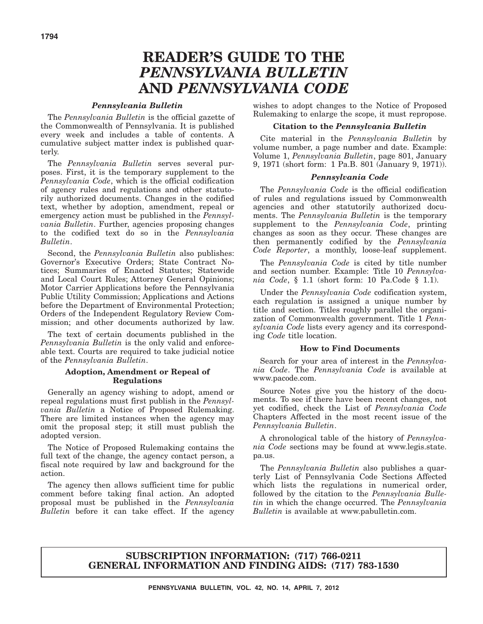# **READER'S GUIDE TO THE** *PENNSYLVANIA BULLETIN* **AND** *PENNSYLVANIA CODE*

#### *Pennsylvania Bulletin*

The *Pennsylvania Bulletin* is the official gazette of the Commonwealth of Pennsylvania. It is published every week and includes a table of contents. A cumulative subject matter index is published quarterly.

The *Pennsylvania Bulletin* serves several purposes. First, it is the temporary supplement to the *Pennsylvania Code*, which is the official codification of agency rules and regulations and other statutorily authorized documents. Changes in the codified text, whether by adoption, amendment, repeal or emergency action must be published in the *Pennsylvania Bulletin*. Further, agencies proposing changes to the codified text do so in the *Pennsylvania Bulletin*.

Second, the *Pennsylvania Bulletin* also publishes: Governor's Executive Orders; State Contract Notices; Summaries of Enacted Statutes; Statewide and Local Court Rules; Attorney General Opinions; Motor Carrier Applications before the Pennsylvania Public Utility Commission; Applications and Actions before the Department of Environmental Protection; Orders of the Independent Regulatory Review Commission; and other documents authorized by law.

The text of certain documents published in the *Pennsylvania Bulletin* is the only valid and enforceable text. Courts are required to take judicial notice of the *Pennsylvania Bulletin*.

#### **Adoption, Amendment or Repeal of Regulations**

Generally an agency wishing to adopt, amend or repeal regulations must first publish in the *Pennsylvania Bulletin* a Notice of Proposed Rulemaking. There are limited instances when the agency may omit the proposal step; it still must publish the adopted version.

The Notice of Proposed Rulemaking contains the full text of the change, the agency contact person, a fiscal note required by law and background for the action.

The agency then allows sufficient time for public comment before taking final action. An adopted proposal must be published in the *Pennsylvania Bulletin* before it can take effect. If the agency

wishes to adopt changes to the Notice of Proposed Rulemaking to enlarge the scope, it must repropose.

#### **Citation to the** *Pennsylvania Bulletin*

Cite material in the *Pennsylvania Bulletin* by volume number, a page number and date. Example: Volume 1, *Pennsylvania Bulletin*, page 801, January 9, 1971 (short form: 1 Pa.B. 801 (January 9, 1971)).

#### *Pennsylvania Code*

The *Pennsylvania Code* is the official codification of rules and regulations issued by Commonwealth agencies and other statutorily authorized documents. The *Pennsylvania Bulletin* is the temporary supplement to the *Pennsylvania Code*, printing changes as soon as they occur. These changes are then permanently codified by the *Pennsylvania Code Reporter*, a monthly, loose-leaf supplement.

The *Pennsylvania Code* is cited by title number and section number. Example: Title 10 *Pennsylvania Code*, § 1.1 (short form: 10 Pa.Code § 1.1).

Under the *Pennsylvania Code* codification system, each regulation is assigned a unique number by title and section. Titles roughly parallel the organization of Commonwealth government. Title 1 *Pennsylvania Code* lists every agency and its corresponding *Code* title location.

#### **How to Find Documents**

Search for your area of interest in the *Pennsylvania Code*. The *Pennsylvania Code* is available at www.pacode.com.

Source Notes give you the history of the documents. To see if there have been recent changes, not yet codified, check the List of *Pennsylvania Code* Chapters Affected in the most recent issue of the *Pennsylvania Bulletin*.

A chronological table of the history of *Pennsylvania Code* sections may be found at www.legis.state. pa.us.

The *Pennsylvania Bulletin* also publishes a quarterly List of Pennsylvania Code Sections Affected which lists the regulations in numerical order, followed by the citation to the *Pennsylvania Bulletin* in which the change occurred. The *Pennsylvania Bulletin* is available at www.pabulletin.com.

#### **SUBSCRIPTION INFORMATION: (717) 766-0211 GENERAL INFORMATION AND FINDING AIDS: (717) 783-1530**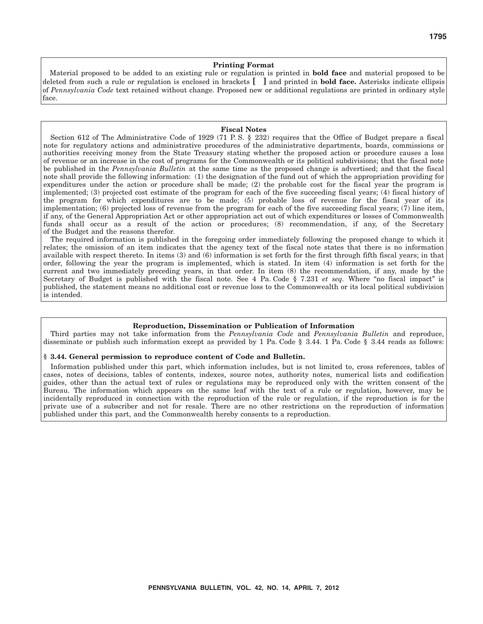#### **Printing Format**

Material proposed to be added to an existing rule or regulation is printed in **bold face** and material proposed to be deleted from such a rule or regulation is enclosed in brackets **[ ]** and printed in **bold face.** Asterisks indicate ellipsis of *Pennsylvania Code* text retained without change. Proposed new or additional regulations are printed in ordinary style face.

#### **Fiscal Notes**

Section 612 of The Administrative Code of 1929 (71 P. S. § 232) requires that the Office of Budget prepare a fiscal note for regulatory actions and administrative procedures of the administrative departments, boards, commissions or authorities receiving money from the State Treasury stating whether the proposed action or procedure causes a loss of revenue or an increase in the cost of programs for the Commonwealth or its political subdivisions; that the fiscal note be published in the *Pennsylvania Bulletin* at the same time as the proposed change is advertised; and that the fiscal note shall provide the following information: (1) the designation of the fund out of which the appropriation providing for expenditures under the action or procedure shall be made; (2) the probable cost for the fiscal year the program is implemented; (3) projected cost estimate of the program for each of the five succeeding fiscal years; (4) fiscal history of the program for which expenditures are to be made; (5) probable loss of revenue for the fiscal year of its implementation; (6) projected loss of revenue from the program for each of the five succeeding fiscal years; (7) line item, if any, of the General Appropriation Act or other appropriation act out of which expenditures or losses of Commonwealth funds shall occur as a result of the action or procedures; (8) recommendation, if any, of the Secretary of the Budget and the reasons therefor.

The required information is published in the foregoing order immediately following the proposed change to which it relates; the omission of an item indicates that the agency text of the fiscal note states that there is no information available with respect thereto. In items (3) and (6) information is set forth for the first through fifth fiscal years; in that order, following the year the program is implemented, which is stated. In item (4) information is set forth for the current and two immediately preceding years, in that order. In item (8) the recommendation, if any, made by the Secretary of Budget is published with the fiscal note. See 4 Pa. Code § 7.231 *et seq.* Where "no fiscal impact" is published, the statement means no additional cost or revenue loss to the Commonwealth or its local political subdivision is intended.

#### **Reproduction, Dissemination or Publication of Information**

Third parties may not take information from the *Pennsylvania Code* and *Pennsylvania Bulletin* and reproduce, disseminate or publish such information except as provided by 1 Pa. Code § 3.44. 1 Pa. Code § 3.44 reads as follows:

#### **§ 3.44. General permission to reproduce content of Code and Bulletin.**

Information published under this part, which information includes, but is not limited to, cross references, tables of cases, notes of decisions, tables of contents, indexes, source notes, authority notes, numerical lists and codification guides, other than the actual text of rules or regulations may be reproduced only with the written consent of the Bureau. The information which appears on the same leaf with the text of a rule or regulation, however, may be incidentally reproduced in connection with the reproduction of the rule or regulation, if the reproduction is for the private use of a subscriber and not for resale. There are no other restrictions on the reproduction of information published under this part, and the Commonwealth hereby consents to a reproduction.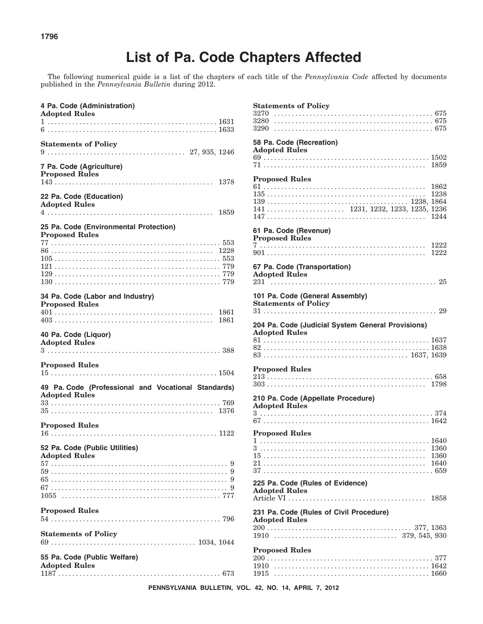The following numerical guide is a list of the chapters of each title of the *Pennsylvania Code* affected by documents published in the *Pennsylvania Bulletin* during 2012.

| 4 Pa. Code (Administration)<br><b>Adopted Rules</b>                         |
|-----------------------------------------------------------------------------|
|                                                                             |
|                                                                             |
| <b>Statements of Policy</b>                                                 |
| 7 Pa. Code (Agriculture)<br><b>Proposed Rules</b>                           |
| 22 Pa. Code (Education)<br><b>Adopted Rules</b>                             |
| 25 Pa. Code (Environmental Protection)<br><b>Proposed Rules</b>             |
|                                                                             |
|                                                                             |
|                                                                             |
|                                                                             |
|                                                                             |
|                                                                             |
| 34 Pa. Code (Labor and Industry)<br><b>Proposed Rules</b>                   |
|                                                                             |
|                                                                             |
| 40 Pa. Code (Liquor)<br><b>Adopted Rules</b>                                |
| <b>Proposed Rules</b>                                                       |
| 49 Pa. Code (Professional and Vocational Standards)<br><b>Adopted Rules</b> |
| <b>Proposed Rules</b>                                                       |
|                                                                             |
| 52 Pa. Code (Public Utilities)<br><b>Adopted Rules</b>                      |
|                                                                             |
|                                                                             |
|                                                                             |
|                                                                             |
|                                                                             |
| <b>Proposed Rules</b>                                                       |
|                                                                             |
|                                                                             |
| <b>Statements of Policy</b>                                                 |
| 55 Pa. Code (Public Welfare)<br><b>Adopted Rules</b>                        |

#### **Statements of Policy** 3270 . . . . . . . . . . . . . . . . . . . . . . . . . . . . . . . . . . . . . . . . . . . . . 675 3280 . . . . . . . . . . . . . . . . . . . . . . . . . . . . . . . . . . . . . . . . . . . . . 675 3290 . . . . . . . . . . . . . . . . . . . . . . . . . . . . . . . . . . . . . . . . . . . . . 675 **58 Pa. Code (Recreation) Adopted Rules** 69 . . . . . . . . . . . . . . . . . . . . . . . . . . . . . . . . . . . . . . . . . . . . . . . 1502 71 . . . . . . . . . . . . . . . . . . . . . . . . . . . . . . . . . . . . . . . . . . . . . . 1859 **Proposed Rules** 61 . . . . . . . . . . . . . . . . . . . . . . . . . . . . . . . . . . . . . . . . . . . . . . 1862 135 . . . . . . . . . . . . . . . . . . . . . . . . . . . . . . . . . . . . . . . . . . . . . 1238 139 . . . . . . . . . . . . . . . . . . . . . . . . . . . . . . . . . . . . . . . . 1238, 1864 141 . . . . . . . . . . . . . . . . . . . . . . 1231, 1232, 1233, 1235, 1236 147 . . . . . . . . . . . . . . . . . . . . . . . . . . . . . . . . . . . . . . . . . . . . . 1244 **61 Pa. Code (Revenue) Proposed Rules** 7 ............................................... 1222 901 . . . . . . . . . . . . . . . . . . . . . . . . . . . . . . . . . . . . . . . . . . . . . 1222 **67 Pa. Code (Transportation) Adopted Rules** 231 . . . . . . . . . . . . . . . . . . . . . . . . . . . . . . . . . . . . . . . . . . . . . . . 25 **101 Pa. Code (General Assembly) Statements of Policy** 31 . . . . . . . . . . . . . . . . . . . . . . . . . . . . . . . . . . . . . . . . . . . . . . . . . 29 **204 Pa. Code (Judicial System General Provisions) Adopted Rules** 81 . . . . . . . . . . . . . . . . . . . . . . . . . . . . . . . . . . . . . . . . . . . . . . . 1637 82 . . . . . . . . . . . . . . . . . . . . . . . . . . . . . . . . . . . . . . . . . . . . . . . 1638 83 . . . . . . . . . . . . . . . . . . . . . . . . . . . . . . . . . . . . . . . . . 1637, 1639 **Proposed Rules** 213 . . . . . . . . . . . . . . . . . . . . . . . . . . . . . . . . . . . . . . . . . . . . . . . 658 303 . . . . . . . . . . . . . . . . . . . . . . . . . . . . . . . . . . . . . . . . . . . . . 1798 **210 Pa. Code (Appellate Procedure) Adopted Rules** 3 . . . . . . . . . . . . . . . . . . . . . . . . . . . . . . . . . . . . . . . . . . . . . . . . . 374 67 . . . . . . . . . . . . . . . . . . . . . . . . . . . . . . . . . . . . . . . . . . . . . . . 1642 **Proposed Rules** 1 ................................................ 1640 3 ............................................... 1360 15 . . . . . . . . . . . . . . . . . . . . . . . . . . . . . . . . . . . . . . . . . . . . . . 1360 21 . . . . . . . . . . . . . . . . . . . . . . . . . . . . . . . . . . . . . . . . . . . . . . 1640 37 . . . . . . . . . . . . . . . . . . . . . . . . . . . . . . . . . . . . . . . . . . . . . . . . 659 **225 Pa. Code (Rules of Evidence) Adopted Rules** Article VI ....................................... 1858 **231 Pa. Code (Rules of Civil Procedure) Adopted Rules** 200 . . . . . . . . . . . . . . . . . . . . . . . . . . . . . . . . . . . . . . . . . 377, 1363 1910 ................................... 379, 545, 930 **Proposed Rules** 200 . . . . . . . . . . . . . . . . . . . . . . . . . . . . . . . . . . . . . . . . . . . . . . . 377 1910 ............................................ 1642 1915 ............................................ 1660

**PENNSYLVANIA BULLETIN, VOL. 42, NO. 14, APRIL 7, 2012**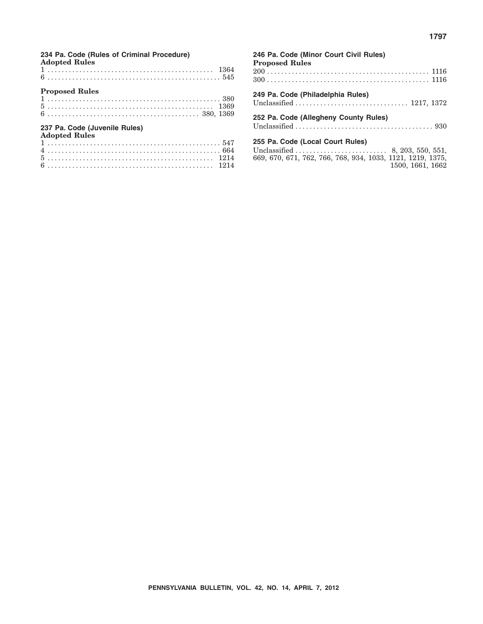**234 Pa. Code (Rules of Criminal Procedure) Adopted Rules**

| <b>Proposed Rules</b>                                 |  |  |  |  |  |  |  |  |  |  |  |  |  |  |  |  |  |  |  |  |  |  |  |  |  |  |     |  |
|-------------------------------------------------------|--|--|--|--|--|--|--|--|--|--|--|--|--|--|--|--|--|--|--|--|--|--|--|--|--|--|-----|--|
|                                                       |  |  |  |  |  |  |  |  |  |  |  |  |  |  |  |  |  |  |  |  |  |  |  |  |  |  |     |  |
|                                                       |  |  |  |  |  |  |  |  |  |  |  |  |  |  |  |  |  |  |  |  |  |  |  |  |  |  |     |  |
|                                                       |  |  |  |  |  |  |  |  |  |  |  |  |  |  |  |  |  |  |  |  |  |  |  |  |  |  |     |  |
| 237 Pa. Code (Juvenile Rules)<br><b>Adopted Rules</b> |  |  |  |  |  |  |  |  |  |  |  |  |  |  |  |  |  |  |  |  |  |  |  |  |  |  |     |  |
|                                                       |  |  |  |  |  |  |  |  |  |  |  |  |  |  |  |  |  |  |  |  |  |  |  |  |  |  | EAT |  |

| 246 Pa. Code (Minor Court Civil Rules)<br><b>Proposed Rules</b>                                                    |
|--------------------------------------------------------------------------------------------------------------------|
|                                                                                                                    |
| 249 Pa. Code (Philadelphia Rules)                                                                                  |
| 252 Pa. Code (Allegheny County Rules)                                                                              |
| 255 Pa. Code (Local Court Rules)<br>669, 670, 671, 762, 766, 768, 934, 1033, 1121, 1219, 1375,<br>1500, 1661, 1662 |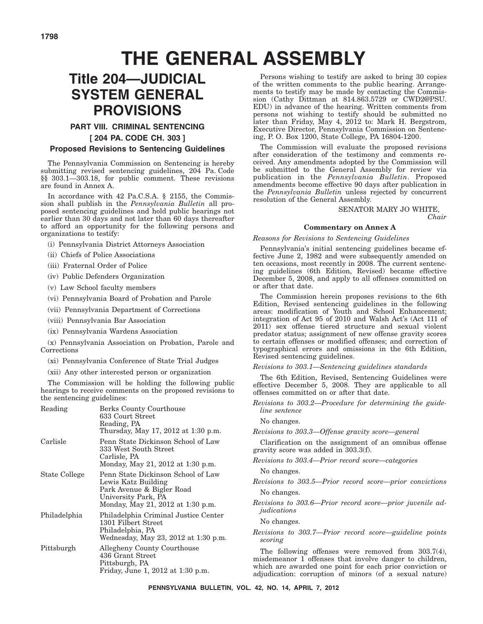# **THE GENERAL ASSEMBLY**

# **Title 204—JUDICIAL SYSTEM GENERAL PROVISIONS**

#### **PART VIII. CRIMINAL SENTENCING**

#### **[ 204 PA. CODE CH. 303 ]**

#### **Proposed Revisions to Sentencing Guidelines**

The Pennsylvania Commission on Sentencing is hereby submitting revised sentencing guidelines, 204 Pa. Code §§ 303.1—303.18, for public comment. These revisions are found in Annex A.

In accordance with 42 Pa.C.S.A. § 2155, the Commission shall publish in the *Pennsylvania Bulletin* all proposed sentencing guidelines and hold public hearings not earlier than 30 days and not later than 60 days thereafter to afford an opportunity for the following persons and organizations to testify:

- (i) Pennsylvania District Attorneys Association
- (ii) Chiefs of Police Associations
- (iii) Fraternal Order of Police
- (iv) Public Defenders Organization
- (v) Law School faculty members
- (vi) Pennsylvania Board of Probation and Parole
- (vii) Pennsylvania Department of Corrections
- (viii) Pennsylvania Bar Association
- (ix) Pennsylvania Wardens Association

(x) Pennsylvania Association on Probation, Parole and Corrections

(xi) Pennsylvania Conference of State Trial Judges

(xii) Any other interested person or organization

The Commission will be holding the following public hearings to receive comments on the proposed revisions to the sentencing guidelines:

| Reading       | Berks County Courthouse<br>633 Court Street<br>Reading, PA<br>Thursday, May 17, 2012 at 1:30 p.m.                                                  |
|---------------|----------------------------------------------------------------------------------------------------------------------------------------------------|
| Carlisle      | Penn State Dickinson School of Law<br>333 West South Street<br>Carlisle, PA<br>Monday, May 21, 2012 at 1:30 p.m.                                   |
| State College | Penn State Dickinson School of Law<br>Lewis Katz Building<br>Park Avenue & Bigler Road<br>University Park, PA<br>Monday, May 21, 2012 at 1:30 p.m. |
| Philadelphia  | Philadelphia Criminal Justice Center<br>1301 Filbert Street<br>Philadelphia, PA<br>Wednesday, May 23, 2012 at 1:30 p.m.                            |
| Pittsburgh    | Allegheny County Courthouse<br>436 Grant Street<br>Pittsburgh, PA<br>Friday, June 1, 2012 at 1:30 p.m.                                             |

Persons wishing to testify are asked to bring 30 copies of the written comments to the public hearing. Arrangements to testify may be made by contacting the Commission (Cathy Dittman at 814.863.5729 or CWD2@PSU. EDU) in advance of the hearing. Written comments from persons not wishing to testify should be submitted no later than Friday, May 4, 2012 to: Mark H. Bergstrom, Executive Director, Pennsylvania Commission on Sentencing, P. O. Box 1200, State College, PA 16804-1200.

The Commission will evaluate the proposed revisions after consideration of the testimony and comments received. Any amendments adopted by the Commission will be submitted to the General Assembly for review via publication in the *Pennsylvania Bulletin*. Proposed amendments become effective 90 days after publication in the *Pennsylvania Bulletin* unless rejected by concurrent resolution of the General Assembly.

SENATOR MARY JO WHITE,

*Chair*

#### **Commentary on Annex A**

#### *Reasons for Revisions to Sentencing Guidelines*

Pennsylvania's initial sentencing guidelines became effective June 2, 1982 and were subsequently amended on ten occasions, most recently in 2008. The current sentencing guidelines (6th Edition, Revised) became effective December 5, 2008, and apply to all offenses committed on or after that date.

The Commission herein proposes revisions to the 6th Edition, Revised sentencing guidelines in the following areas: modification of Youth and School Enhancement; integration of Act 95 of 2010 and Walsh Act's (Act 111 of 2011) sex offense tiered structure and sexual violent predator status; assignment of new offense gravity scores to certain offenses or modified offenses; and correction of typographical errors and omissions in the 6th Edition, Revised sentencing guidelines.

*Revisions to 303.1—Sentencing guidelines standards*

The 6th Edition, Revised, Sentencing Guidelines were effective December 5, 2008. They are applicable to all offenses committed on or after that date.

*Revisions to 303.2—Procedure for determining the guideline sentence*

#### No changes.

*Revisions to 303.3—Offense gravity score—general*

Clarification on the assignment of an omnibus offense gravity score was added in 303.3(f).

*Revisions to 303.4—Prior record score—categories*

No changes.

*Revisions to 303.5—Prior record score—prior convictions* No changes.

*Revisions to 303.6—Prior record score—prior juvenile adjudications*

No changes.

*Revisions to 303.7—Prior record score—guideline points scoring*

The following offenses were removed from 303.7(4), misdemeanor 1 offenses that involve danger to children, which are awarded one point for each prior conviction or adjudication: corruption of minors (of a sexual nature)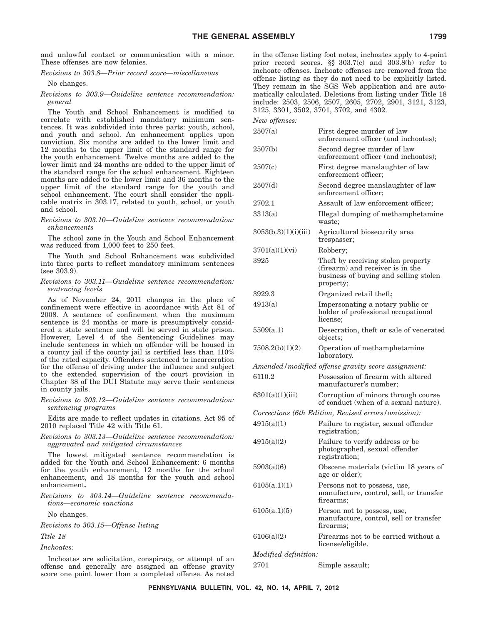and unlawful contact or communication with a minor. These offenses are now felonies.

*Revisions to 303.8—Prior record score—miscellaneous*

No changes.

*Revisions to 303.9—Guideline sentence recommendation: general*

The Youth and School Enhancement is modified to correlate with established mandatory minimum sentences. It was subdivided into three parts: youth, school, and youth and school. An enhancement applies upon conviction. Six months are added to the lower limit and 12 months to the upper limit of the standard range for the youth enhancement. Twelve months are added to the lower limit and 24 months are added to the upper limit of the standard range for the school enhancement. Eighteen months are added to the lower limit and 36 months to the upper limit of the standard range for the youth and school enhancement. The court shall consider the applicable matrix in 303.17, related to youth, school, or youth and school.

#### *Revisions to 303.10—Guideline sentence recommendation: enhancements*

The school zone in the Youth and School Enhancement was reduced from 1,000 feet to 250 feet.

The Youth and School Enhancement was subdivided into three parts to reflect mandatory minimum sentences (see 303.9).

#### *Revisions to 303.11—Guideline sentence recommendation: sentencing levels*

As of November 24, 2011 changes in the place of confinement were effective in accordance with Act 81 of 2008. A sentence of confinement when the maximum sentence is 24 months or more is presumptively considered a state sentence and will be served in state prison. However, Level 4 of the Sentencing Guidelines may include sentences in which an offender will be housed in a county jail if the county jail is certified less than 110% of the rated capacity. Offenders sentenced to incarceration for the offense of driving under the influence and subject to the extended supervision of the court provision in Chapter 38 of the DUI Statute may serve their sentences in county jails.

#### *Revisions to 303.12—Guideline sentence recommendation: sentencing programs*

Edits are made to reflect updates in citations. Act 95 of 2010 replaced Title 42 with Title 61.

#### *Revisions to 303.13—Guideline sentence recommendation: aggravated and mitigated circumstances*

The lowest mitigated sentence recommendation is added for the Youth and School Enhancement: 6 months for the youth enhancement, 12 months for the school enhancement, and 18 months for the youth and school enhancement.

*Revisions to 303.14—Guideline sentence recommendations—economic sanctions*

No changes.

*Revisions to 303.15—Offense listing*

*Title 18*

*Inchoates:*

Inchoates are solicitation, conspiracy, or attempt of an offense and generally are assigned an offense gravity score one point lower than a completed offense. As noted in the offense listing foot notes, inchoates apply to 4-point prior record scores. §§ 303.7(c) and 303.8(b) refer to inchoate offenses. Inchoate offenses are removed from the offense listing as they do not need to be explicitly listed. They remain in the SGS Web application and are automatically calculated. Deletions from listing under Title 18 include: 2503, 2506, 2507, 2605, 2702, 2901, 3121, 3123, 3125, 3301, 3502, 3701, 3702, and 4302.

|  | New offenses: |
|--|---------------|
|--|---------------|

| $110w$ <i>u</i>             |                                                                                                                              |
|-----------------------------|------------------------------------------------------------------------------------------------------------------------------|
| 2507(a)                     | First degree murder of law<br>enforcement officer (and inchoates);                                                           |
| 2507(b)                     | Second degree murder of law<br>enforcement officer (and inchoates);                                                          |
| 2507(c)                     | First degree manslaughter of law<br>enforcement officer;                                                                     |
| 2507(d)                     | Second degree manslaughter of law<br>enforcement officer;                                                                    |
| 2702.1                      | Assault of law enforcement officer;                                                                                          |
| 3313(a)                     | Illegal dumping of methamphetamine<br>waste:                                                                                 |
| 3053(b.3)(1)(i)(iii)        | Agricultural biosecurity area<br>trespasser;                                                                                 |
| 3701(a)(1)(vi)              | Robbery;                                                                                                                     |
| 3925                        | Theft by receiving stolen property<br>(firearm) and receiver is in the<br>business of buying and selling stolen<br>property; |
| 3929.3                      | Organized retail theft;                                                                                                      |
| 4913(a)                     | Impersonating a notary public or<br>holder of professional occupational<br>license;                                          |
| 5509(a.1)                   | Desecration, theft or sale of venerated<br>objects;                                                                          |
| 7508.2(b)(1)(2)             | Operation of methamphetamine<br>laboratory.                                                                                  |
|                             | Amended / modified offense gravity score assignment:                                                                         |
| 6110.2                      | Possession of firearm with altered<br>manufacturer's number;                                                                 |
| 6301(a)(1)(iii)             | Corruption of minors through course<br>of conduct (when of a sexual nature).                                                 |
|                             | Corrections (6th Edition, Revised errors/omission):                                                                          |
| 4915(a)(1)                  | Failure to register, sexual offender<br>registration;                                                                        |
| 4915(a)(2)                  | Failure to verify address or be<br>photographed, sexual offender<br>registration;                                            |
| 5903(a)(6)                  | Obscene materials (victim 18 years of<br>age or older);                                                                      |
| 6105(a.1)(1)                | Persons not to possess, use,<br>manufacture, control, sell, or transfer<br>firearms;                                         |
| 6105(a.1)(5)                | Person not to possess, use,<br>manufacture, control, sell or transfer<br>firearms;                                           |
| 6106(a)(2)                  | Firearms not to be carried without a<br>license/eligible.                                                                    |
| <i>Modified definition:</i> |                                                                                                                              |

2701 Simple assault;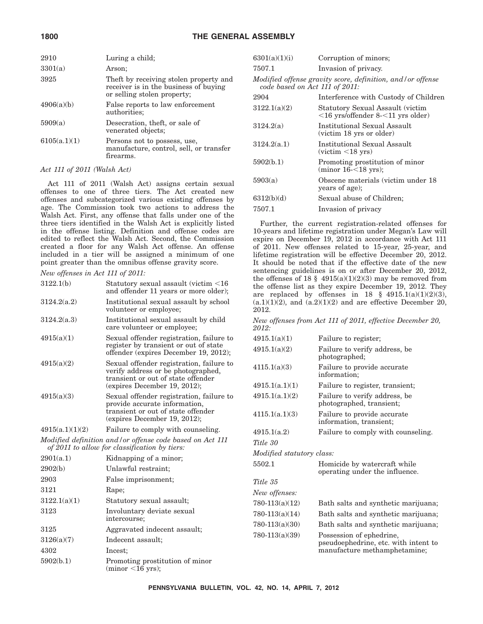|  |  |  | 1800 |  |  |  |
|--|--|--|------|--|--|--|
|--|--|--|------|--|--|--|

| 3301(a)<br>Arson:<br>3925<br>Theft by receiving stolen property and<br>receiver is in the business of buying<br>or selling stolen property;<br>4906(a)(b)<br>False reports to law enforcement<br>authorities;<br>5909(a)<br>Desecration, theft, or sale of<br>venerated objects;<br>6105(a.1)(1)<br>Persons not to possess, use,<br>manufacture, control, sell, or transfer<br>firearms. | 2910 | Luring a child; |
|------------------------------------------------------------------------------------------------------------------------------------------------------------------------------------------------------------------------------------------------------------------------------------------------------------------------------------------------------------------------------------------|------|-----------------|
|                                                                                                                                                                                                                                                                                                                                                                                          |      |                 |
|                                                                                                                                                                                                                                                                                                                                                                                          |      |                 |
|                                                                                                                                                                                                                                                                                                                                                                                          |      |                 |
|                                                                                                                                                                                                                                                                                                                                                                                          |      |                 |
|                                                                                                                                                                                                                                                                                                                                                                                          |      |                 |

#### *Act 111 of 2011 (Walsh Act)*

Act 111 of 2011 (Walsh Act) assigns certain sexual offenses to one of three tiers. The Act created new offenses and subcategorized various existing offenses by age. The Commission took two actions to address the Walsh Act. First, any offense that falls under one of the three tiers identified in the Walsh Act is explicitly listed in the offense listing. Definition and offense codes are edited to reflect the Walsh Act. Second, the Commission created a floor for any Walsh Act offense. An offense included in a tier will be assigned a minimum of one point greater than the omnibus offense gravity score.

*New offenses in Act 111 of 2011:*

| 3122.1(b)       | Statutory sexual assault (victim <16<br>and offender 11 years or more older);                                                                        |
|-----------------|------------------------------------------------------------------------------------------------------------------------------------------------------|
| 3124.2(a.2)     | Institutional sexual assault by school<br>volunteer or employee;                                                                                     |
| 3124.2(a.3)     | Institutional sexual assault by child<br>care volunteer or employee;                                                                                 |
| 4915(a)(1)      | Sexual offender registration, failure to<br>register by transient or out of state<br>offender (expires December 19, 2012);                           |
| 4915(a)(2)      | Sexual offender registration, failure to<br>verify address or be photographed,<br>transient or out of state offender<br>(expires December 19, 2012); |
| 4915(a)(3)      | Sexual offender registration, failure to<br>provide accurate information,<br>transient or out of state offender<br>(expires December 19, 2012);      |
| 4915(a.1)(1)(2) | Failure to comply with counseling.                                                                                                                   |
|                 | Modified definition and/or offense code based on Act 111<br>of 2011 to allow for classification by tiers:                                            |
| 2901(a.1)       | Kidnapping of a minor;                                                                                                                               |
| 2902(b)         | Unlawful restraint:                                                                                                                                  |
| 2903            | False imprisonment;                                                                                                                                  |
| 3121            | Rape;                                                                                                                                                |
| 3122.1(a)(1)    | Statutory sexual assault;                                                                                                                            |
| 3123            | Involuntary deviate sexual                                                                                                                           |

intercourse; 3125 Aggravated indecent assault;

5902(b.1) Promoting prostitution of minor  $(minor < 16$  yrs);

3126(a)(7) Indecent assault;

4302 Incest;

| 6301(a)(1)(i)                  | Corruption of minors;                                                              |
|--------------------------------|------------------------------------------------------------------------------------|
| 7507.1                         | Invasion of privacy.                                                               |
| code based on Act 111 of 2011: | Modified offense gravity score, definition, and/or offense                         |
| 2904                           | Interference with Custody of Children                                              |
| 3122.1(a)(2)                   | Statutory Sexual Assault (victim<br>$\leq$ 16 yrs/offender 8- $\leq$ 11 yrs older) |
| 3124.2(a)                      | Institutional Sexual Assault<br>(victim 18 yrs or older)                           |
| 3124.2(a.1)                    | Institutional Sexual Assault<br>$(victim < 18$ yrs)                                |
| 5902(b.1)                      | Promoting prostitution of minor<br>$(minor 16<18$ yrs);                            |
| 5903(a)                        | Obscene materials (victim under 18<br>years of age);                               |
| 6312(b)(d)                     | Sexual abuse of Children;                                                          |
| 7507.1                         | Invasion of privacy                                                                |

Further, the current registration-related offenses for 10-years and lifetime registration under Megan's Law will expire on December 19, 2012 in accordance with Act 111 of 2011. New offenses related to 15-year, 25-year, and lifetime registration will be effective December 20, 2012. It should be noted that if the effective date of the new sentencing guidelines is on or after December 20, 2012, the offenses of 18  $\S$  4915(a)(1)(2)(3) may be removed from the offense list as they expire December 19, 2012. They are replaced by offenses in 18  $§$  4915.1(a)(1)(2)(3),  $(a.1)(1)(2)$ , and  $(a.2)(1)(2)$  and are effective December 20, 2012.

*New offenses from Act 111 of 2011, effective December 20, 2012:*

| 4915.1(a)(1)              | Failure to register;                                                                             |
|---------------------------|--------------------------------------------------------------------------------------------------|
| 4915.1(a)(2)              | Failure to verify address, be.<br>photographed;                                                  |
| 4115.1(a)(3)              | Failure to provide accurate<br>information:                                                      |
| 4915.1(a.1)(1)            | Failure to register, transient;                                                                  |
| 4915.1(a.1)(2)            | Failure to verify address, be<br>photographed, transient;                                        |
| 4115.1(a.1)(3)            | Failure to provide accurate<br>information, transient;                                           |
| 4915.1(a.2)               | Failure to comply with counseling.                                                               |
| Title 30                  |                                                                                                  |
| Modified statutory class: |                                                                                                  |
| 5502.1                    | Homicide by watercraft while<br>operating under the influence.                                   |
| Title 35                  |                                                                                                  |
| New offenses:             |                                                                                                  |
| $780-113(a)(12)$          | Bath salts and synthetic marijuana;                                                              |
| $780-113(a)(14)$          | Bath salts and synthetic marijuana;                                                              |
| $780-113(a)(30)$          | Bath salts and synthetic marijuana;                                                              |
| 780-113(a)(39)            | Possession of ephedrine,<br>pseudoephedrine, etc. with intent to<br>manufacture methamphetamine; |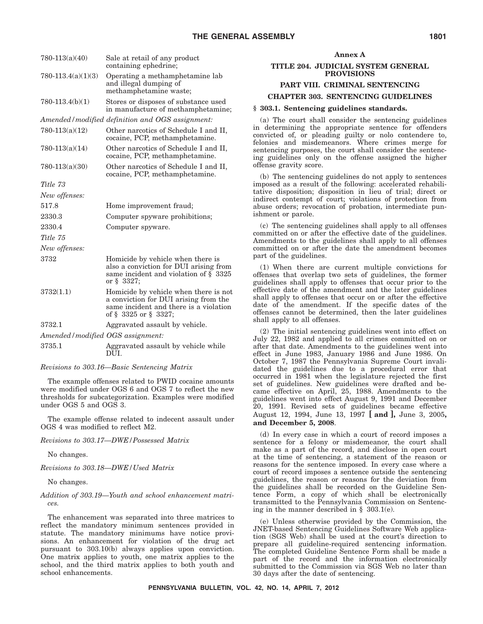| $780-113(a)(40)$                 | Sale at retail of any product<br>containing ephedrine;                                                                                           |
|----------------------------------|--------------------------------------------------------------------------------------------------------------------------------------------------|
| $780-113.4(a)(1)(3)$             | Operating a methamphetamine lab<br>and illegal dumping of<br>methamphetamine waste;                                                              |
| $780-113.4(b)(1)$                | Stores or disposes of substance used<br>in manufacture of methamphetamine;                                                                       |
|                                  | Amended/modified definition and OGS assignment:                                                                                                  |
| $780-113(a)(12)$                 | Other narcotics of Schedule I and II,<br>cocaine, PCP, methamphetamine.                                                                          |
| $780-113(a)(14)$                 | Other narcotics of Schedule I and II,<br>cocaine, PCP, methamphetamine.                                                                          |
| $780-113(a)(30)$                 | Other narcotics of Schedule I and II,<br>cocaine, PCP, methamphetamine.                                                                          |
| Title 73                         |                                                                                                                                                  |
| New offenses:                    |                                                                                                                                                  |
| 517.8                            | Home improvement fraud;                                                                                                                          |
| 2330.3                           | Computer spyware prohibitions;                                                                                                                   |
| 2330.4                           | Computer spyware.                                                                                                                                |
| Title 75                         |                                                                                                                                                  |
| New offenses:                    |                                                                                                                                                  |
| 3732                             | Homicide by vehicle when there is<br>also a conviction for DUI arising from<br>same incident and violation of $\S$ 3325<br>or § 3327;            |
| 3732(1.1)                        | Homicide by vehicle when there is not<br>a conviction for DUI arising from the<br>same incident and there is a violation<br>of § 3325 or § 3327; |
| 3732.1                           | Aggravated assault by vehicle.                                                                                                                   |
| Amended/modified OGS assignment: |                                                                                                                                                  |
| 27251                            | Aggregated aggailt by vehicle while                                                                                                              |

- 3735.1 Aggravated assault by vehicle while
- DUI. *Revisions to 303.16—Basic Sentencing Matrix*

The example offenses related to PWID cocaine amounts were modified under OGS 6 and OGS 7 to reflect the new thresholds for subcategorization. Examples were modified under OGS 5 and OGS 3.

The example offense related to indecent assault under OGS 4 was modified to reflect M2.

*Revisions to 303.17—DWE/Possessed Matrix*

No changes.

*Revisions to 303.18—DWE/Used Matrix*

No changes.

#### *Addition of 303.19—Youth and school enhancement matrices.*

The enhancement was separated into three matrices to reflect the mandatory minimum sentences provided in statute. The mandatory minimums have notice provisions. An enhancement for violation of the drug act pursuant to 303.10(b) always applies upon conviction. One matrix applies to youth, one matrix applies to the school, and the third matrix applies to both youth and school enhancements.

| ۱r |  |
|----|--|
|----|--|

#### **TITLE 204. JUDICIAL SYSTEM GENERAL PROVISIONS**

#### **PART VIII. CRIMINAL SENTENCING**

#### **CHAPTER 303. SENTENCING GUIDELINES**

#### **§ 303.1. Sentencing guidelines standards.**

(a) The court shall consider the sentencing guidelines in determining the appropriate sentence for offenders convicted of, or pleading guilty or nolo contendere to, felonies and misdemeanors. Where crimes merge for sentencing purposes, the court shall consider the sentencing guidelines only on the offense assigned the higher offense gravity score.

(b) The sentencing guidelines do not apply to sentences imposed as a result of the following: accelerated rehabilitative disposition; disposition in lieu of trial; direct or indirect contempt of court; violations of protection from abuse orders; revocation of probation, intermediate punishment or parole.

(c) The sentencing guidelines shall apply to all offenses committed on or after the effective date of the guidelines. Amendments to the guidelines shall apply to all offenses committed on or after the date the amendment becomes part of the guidelines.

(1) When there are current multiple convictions for offenses that overlap two sets of guidelines, the former guidelines shall apply to offenses that occur prior to the effective date of the amendment and the later guidelines shall apply to offenses that occur on or after the effective date of the amendment. If the specific dates of the offenses cannot be determined, then the later guidelines shall apply to all offenses.

(2) The initial sentencing guidelines went into effect on July 22, 1982 and applied to all crimes committed on or after that date. Amendments to the guidelines went into effect in June 1983, January 1986 and June 1986. On October 7, 1987 the Pennsylvania Supreme Court invalidated the guidelines due to a procedural error that occurred in 1981 when the legislature rejected the first set of guidelines. New guidelines were drafted and became effective on April, 25, 1988. Amendments to the guidelines went into effect August 9, 1991 and December 20, 1991. Revised sets of guidelines became effective August 12, 1994, June 13, 1997 **[ and ],** June 3, 2005**, and December 5, 2008**.

(d) In every case in which a court of record imposes a sentence for a felony or misdemeanor, the court shall make as a part of the record, and disclose in open court at the time of sentencing, a statement of the reason or reasons for the sentence imposed. In every case where a court of record imposes a sentence outside the sentencing guidelines, the reason or reasons for the deviation from the guidelines shall be recorded on the Guideline Sentence Form, a copy of which shall be electronically transmitted to the Pennsylvania Commission on Sentencing in the manner described in  $\S$  303.1(e).

(e) Unless otherwise provided by the Commission, the JNET-based Sentencing Guidelines Software Web application (SGS Web) shall be used at the court's direction to prepare all guideline-required sentencing information. The completed Guideline Sentence Form shall be made a part of the record and the information electronically submitted to the Commission via SGS Web no later than 30 days after the date of sentencing.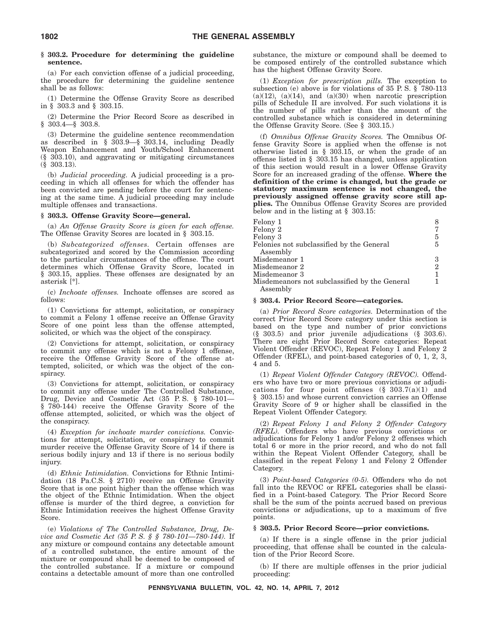#### **§ 303.2. Procedure for determining the guideline sentence.**

(a) For each conviction offense of a judicial proceeding, the procedure for determining the guideline sentence shall be as follows:

(1) Determine the Offense Gravity Score as described in § 303.3 and § 303.15.

(2) Determine the Prior Record Score as described in § 303.4—§ 303.8.

(3) Determine the guideline sentence recommendation as described in § 303.9—§ 303.14, including Deadly Weapon Enhancement and Youth/School Enhancement (§ 303.10), and aggravating or mitigating circumstances (§ 303.13).

(b) *Judicial proceeding.* A judicial proceeding is a proceeding in which all offenses for which the offender has been convicted are pending before the court for sentencing at the same time. A judicial proceeding may include multiple offenses and transactions.

#### **§ 303.3. Offense Gravity Score—general.**

(a) *An Offense Gravity Score is given for each offense.* The Offense Gravity Scores are located in § 303.15.

(b) *Subcategorized offenses.* Certain offenses are subcategorized and scored by the Commission according to the particular circumstances of the offense. The court determines which Offense Gravity Score, located in § 303.15, applies. These offenses are designated by an asterisk [\*].

(c) *Inchoate offenses.* Inchoate offenses are scored as follows:

(1) Convictions for attempt, solicitation, or conspiracy to commit a Felony 1 offense receive an Offense Gravity Score of one point less than the offense attempted, solicited, or which was the object of the conspiracy.

(2) Convictions for attempt, solicitation, or conspiracy to commit any offense which is not a Felony 1 offense, receive the Offense Gravity Score of the offense attempted, solicited, or which was the object of the conspiracy.

(3) Convictions for attempt, solicitation, or conspiracy to commit any offense under The Controlled Substance, Drug, Device and Cosmetic Act (35 P. S. § 780-101— § 780-144) receive the Offense Gravity Score of the offense attempted, solicited, or which was the object of the conspiracy.

(4) *Exception for inchoate murder convictions.* Convictions for attempt, solicitation, or conspiracy to commit murder receive the Offense Gravity Score of 14 if there is serious bodily injury and 13 if there is no serious bodily injury.

(d) *Ethnic Intimidation.* Convictions for Ethnic Intimidation (18 Pa.C.S. § 2710) receive an Offense Gravity Score that is one point higher than the offense which was the object of the Ethnic Intimidation. When the object offense is murder of the third degree, a conviction for Ethnic Intimidation receives the highest Offense Gravity Score.

(e) *Violations of The Controlled Substance, Drug, Device and Cosmetic Act (35 P. S. § § 780-101—780-144).* If any mixture or compound contains any detectable amount of a controlled substance, the entire amount of the mixture or compound shall be deemed to be composed of the controlled substance. If a mixture or compound contains a detectable amount of more than one controlled

substance, the mixture or compound shall be deemed to be composed entirely of the controlled substance which has the highest Offense Gravity Score.

(1) *Exception for prescription pills.* The exception to subsection (e) above is for violations of 35 P. S. § 780-113  $(a)(12)$ ,  $(a)(14)$ , and  $(a)(30)$  when narcotic prescription pills of Schedule II are involved. For such violations it is the number of pills rather than the amount of the controlled substance which is considered in determining the Offense Gravity Score. (See § 303.15.)

(f) *Omnibus Offense Gravity Scores.* The Omnibus Offense Gravity Score is applied when the offense is not otherwise listed in § 303.15, or when the grade of an offense listed in § 303.15 has changed, unless application of this section would result in a lower Offense Gravity Score for an increased grading of the offense. **Where the definition of the crime is changed, but the grade or statutory maximum sentence is not changed, the previously assigned offense gravity score still applies.** The Omnibus Offense Gravity Scores are provided below and in the listing at § 303.15:

| Felony 1<br>Felony 2                          |                |
|-----------------------------------------------|----------------|
| Felony 3                                      | 5              |
| Felonies not subclassified by the General     | 5              |
| Assembly                                      |                |
| Misdemeanor 1                                 | З              |
| Misdemeanor 2                                 | $\overline{2}$ |
| Misdemeanor 3                                 |                |
| Misdemeanors not subclassified by the General |                |
| Assembly                                      |                |

#### **§ 303.4. Prior Record Score—categories.**

(a) *Prior Record Score categories.* Determination of the correct Prior Record Score category under this section is based on the type and number of prior convictions (§ 303.5) and prior juvenile adjudications (§ 303.6). There are eight Prior Record Score categories: Repeat Violent Offender (REVOC), Repeat Felony 1 and Felony 2 Offender (RFEL), and point-based categories of 0, 1, 2, 3, 4 and 5.

(1) *Repeat Violent Offender Category (REVOC).* Offenders who have two or more previous convictions or adjudications for four point offenses  $(\S 303.7(a)(1)$  and § 303.15) and whose current conviction carries an Offense Gravity Score of 9 or higher shall be classified in the Repeat Violent Offender Category.

(2) *Repeat Felony 1 and Felony 2 Offender Category (RFEL).* Offenders who have previous convictions or adjudications for Felony 1 and/or Felony 2 offenses which total 6 or more in the prior record, and who do not fall within the Repeat Violent Offender Category, shall be classified in the repeat Felony 1 and Felony 2 Offender Category.

(3) *Point-based Categories (0-5).* Offenders who do not fall into the REVOC or RFEL categories shall be classified in a Point-based Category. The Prior Record Score shall be the sum of the points accrued based on previous convictions or adjudications, up to a maximum of five points.

#### **§ 303.5. Prior Record Score—prior convictions.**

(a) If there is a single offense in the prior judicial proceeding, that offense shall be counted in the calculation of the Prior Record Score.

(b) If there are multiple offenses in the prior judicial proceeding: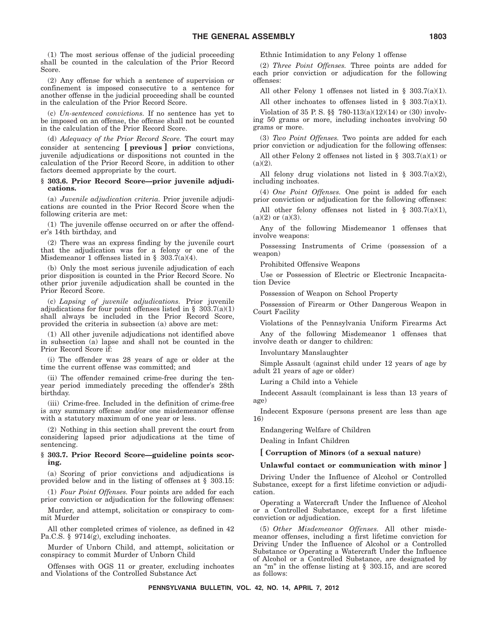(1) The most serious offense of the judicial proceeding shall be counted in the calculation of the Prior Record Score.

(2) Any offense for which a sentence of supervision or confinement is imposed consecutive to a sentence for another offense in the judicial proceeding shall be counted in the calculation of the Prior Record Score.

(c) *Un-sentenced convictions.* If no sentence has yet to be imposed on an offense, the offense shall not be counted in the calculation of the Prior Record Score.

(d) *Adequacy of the Prior Record Score.* The court may consider at sentencing **[ previous ] prior** convictions, juvenile adjudications or dispositions not counted in the calculation of the Prior Record Score, in addition to other factors deemed appropriate by the court.

#### **§ 303.6. Prior Record Score—prior juvenile adjudications.**

(a) *Juvenile adjudication criteria.* Prior juvenile adjudications are counted in the Prior Record Score when the following criteria are met:

(1) The juvenile offense occurred on or after the offender's 14th birthday, and

(2) There was an express finding by the juvenile court that the adjudication was for a felony or one of the Misdemeanor 1 offenses listed in § 303.7(a)(4).

(b) Only the most serious juvenile adjudication of each prior disposition is counted in the Prior Record Score. No other prior juvenile adjudication shall be counted in the Prior Record Score.

(c) *Lapsing of juvenile adjudications.* Prior juvenile adjudications for four point offenses listed in §  $303.7(a)(1)$ shall always be included in the Prior Record Score, provided the criteria in subsection (a) above are met:

(1) All other juvenile adjudications not identified above in subsection (a) lapse and shall not be counted in the Prior Record Score if:

(i) The offender was 28 years of age or older at the time the current offense was committed; and

(ii) The offender remained crime-free during the tenyear period immediately preceding the offender's 28th birthday.

(iii) Crime-free. Included in the definition of crime-free is any summary offense and/or one misdemeanor offense with a statutory maximum of one year or less.

(2) Nothing in this section shall prevent the court from considering lapsed prior adjudications at the time of sentencing.

#### **§ 303.7. Prior Record Score—guideline points scoring.**

(a) Scoring of prior convictions and adjudications is provided below and in the listing of offenses at § 303.15:

(1) *Four Point Offenses.* Four points are added for each prior conviction or adjudication for the following offenses:

Murder, and attempt, solicitation or conspiracy to commit Murder

All other completed crimes of violence, as defined in 42 Pa.C.S. § 9714(g), excluding inchoates.

Murder of Unborn Child, and attempt, solicitation or conspiracy to commit Murder of Unborn Child

Offenses with OGS 11 or greater, excluding inchoates and Violations of the Controlled Substance Act

Ethnic Intimidation to any Felony 1 offense

(2) *Three Point Offenses.* Three points are added for each prior conviction or adjudication for the following offenses:

All other Felony 1 offenses not listed in  $\S$  303.7(a)(1).

All other inchoates to offenses listed in § 303.7(a)(1).

Violation of 35 P. S. §§ 780-113(a)(12)(14) or (30) involving 50 grams or more, including inchoates involving 50 grams or more.

(3) *Two Point Offenses.* Two points are added for each prior conviction or adjudication for the following offenses:

All other Felony 2 offenses not listed in § 303.7(a)(1) or  $(a)(2)$ .

All felony drug violations not listed in § 303.7(a)(2), including inchoates.

(4) *One Point Offenses.* One point is added for each prior conviction or adjudication for the following offenses:

All other felony offenses not listed in § 303.7(a)(1),  $(a)(2)$  or  $(a)(3)$ .

Any of the following Misdemeanor 1 offenses that involve weapons:

Possessing Instruments of Crime (possession of a weapon)

Prohibited Offensive Weapons

Use or Possession of Electric or Electronic Incapacitation Device

Possession of Weapon on School Property

Possession of Firearm or Other Dangerous Weapon in Court Facility

Violations of the Pennsylvania Uniform Firearms Act Any of the following Misdemeanor 1 offenses that involve death or danger to children:

Involuntary Manslaughter

Simple Assault (against child under 12 years of age by adult 21 years of age or older)

Luring a Child into a Vehicle

Indecent Assault (complainant is less than 13 years of age)

Indecent Exposure (persons present are less than age 16)

Endangering Welfare of Children

Dealing in Infant Children

**[ Corruption of Minors (of a sexual nature)**

**Unlawful contact or communication with minor ]**

Driving Under the Influence of Alcohol or Controlled Substance, except for a first lifetime conviction or adjudication.

Operating a Watercraft Under the Influence of Alcohol or a Controlled Substance, except for a first lifetime conviction or adjudication.

(5) *Other Misdemeanor Offenses.* All other misdemeanor offenses, including a first lifetime conviction for Driving Under the Influence of Alcohol or a Controlled Substance or Operating a Watercraft Under the Influence of Alcohol or a Controlled Substance, are designated by an "m" in the offense listing at  $\S$  303.15, and are scored as follows: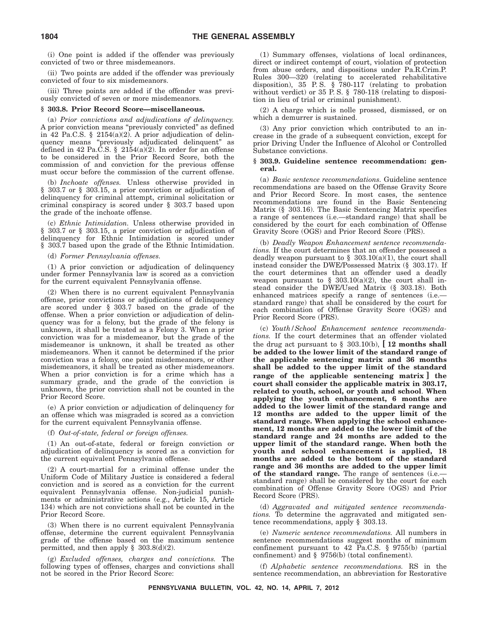(i) One point is added if the offender was previously convicted of two or three misdemeanors.

(ii) Two points are added if the offender was previously convicted of four to six misdemeanors.

(iii) Three points are added if the offender was previously convicted of seven or more misdemeanors.

#### **§ 303.8. Prior Record Score—miscellaneous.**

(a) *Prior convictions and adjudications of delinquency.* A prior conviction means ''previously convicted'' as defined in 42 Pa.C.S. § 2154(a)(2). A prior adjudication of delinquency means ''previously adjudicated delinquent'' as defined in 42 Pa.C.S. § 2154(a)(2). In order for an offense to be considered in the Prior Record Score, both the commission of and conviction for the previous offense must occur before the commission of the current offense.

(b) *Inchoate offenses.* Unless otherwise provided in § 303.7 or § 303.15, a prior conviction or adjudication of delinquency for criminal attempt, criminal solicitation or criminal conspiracy is scored under § 303.7 based upon the grade of the inchoate offense.

(c) *Ethnic Intimidation.* Unless otherwise provided in § 303.7 or § 303.15, a prior conviction or adjudication of delinquency for Ethnic Intimidation is scored under § 303.7 based upon the grade of the Ethnic Intimidation.

(d) *Former Pennsylvania offenses.*

(1) A prior conviction or adjudication of delinquency under former Pennsylvania law is scored as a conviction for the current equivalent Pennsylvania offense.

(2) When there is no current equivalent Pennsylvania offense, prior convictions or adjudications of delinquency are scored under § 303.7 based on the grade of the offense. When a prior conviction or adjudication of delinquency was for a felony, but the grade of the felony is unknown, it shall be treated as a Felony 3. When a prior conviction was for a misdemeanor, but the grade of the misdemeanor is unknown, it shall be treated as other misdemeanors. When it cannot be determined if the prior conviction was a felony, one point misdemeanors, or other misdemeanors, it shall be treated as other misdemeanors. When a prior conviction is for a crime which has a summary grade, and the grade of the conviction is unknown, the prior conviction shall not be counted in the Prior Record Score.

(e) A prior conviction or adjudication of delinquency for an offense which was misgraded is scored as a conviction for the current equivalent Pennsylvania offense.

(f) *Out-of-state, federal or foreign offenses.*

(1) An out-of-state, federal or foreign conviction or adjudication of delinquency is scored as a conviction for the current equivalent Pennsylvania offense.

(2) A court-martial for a criminal offense under the Uniform Code of Military Justice is considered a federal conviction and is scored as a conviction for the current equivalent Pennsylvania offense. Non-judicial punishments or administrative actions (e.g., Article 15, Article 134) which are not convictions shall not be counted in the Prior Record Score.

(3) When there is no current equivalent Pennsylvania offense, determine the current equivalent Pennsylvania grade of the offense based on the maximum sentence permitted, and then apply  $\S$  303.8(d)(2).

(g) *Excluded offenses, charges and convictions.* The following types of offenses, charges and convictions shall not be scored in the Prior Record Score:

(1) Summary offenses, violations of local ordinances, direct or indirect contempt of court, violation of protection from abuse orders, and dispositions under Pa.R.Crim.P. Rules 300—320 (relating to accelerated rehabilitative disposition), 35 P. S. § 780-117 (relating to probation without verdict) or 35 P. S. § 780-118 (relating to disposition in lieu of trial or criminal punishment).

(2) A charge which is nolle prossed, dismissed, or on which a demurrer is sustained.

(3) Any prior conviction which contributed to an increase in the grade of a subsequent conviction, except for prior Driving Under the Influence of Alcohol or Controlled Substance convictions.

#### **§ 303.9. Guideline sentence recommendation: general.**

(a) *Basic sentence recommendations.* Guideline sentence recommendations are based on the Offense Gravity Score and Prior Record Score. In most cases, the sentence recommendations are found in the Basic Sentencing Matrix (§ 303.16). The Basic Sentencing Matrix specifies a range of sentences (i.e.—standard range) that shall be considered by the court for each combination of Offense Gravity Score (OGS) and Prior Record Score (PRS).

(b) *Deadly Weapon Enhancement sentence recommendations.* If the court determines that an offender possessed a deadly weapon pursuant to  $\S$  303.10(a)(1), the court shall instead consider the DWE/Possessed Matrix (§ 303.17). If the court determines that an offender used a deadly weapon pursuant to  $\S$  303.10(a)(2), the court shall instead consider the DWE/Used Matrix (§ 303.18). Both enhanced matrices specify a range of sentences (i.e. standard range) that shall be considered by the court for each combination of Offense Gravity Score (OGS) and Prior Record Score (PRS).

(c) *Youth/School Enhancement sentence recommendations.* If the court determines that an offender violated the drug act pursuant to § 303.10(b), **[ 12 months shall be added to the lower limit of the standard range of the applicable sentencing matrix and 36 months shall be added to the upper limit of the standard range of the applicable sentencing matrix ] the court shall consider the applicable matrix in 303.17, related to youth, school, or youth and school**. **When applying the youth enhancement, 6 months are added to the lower limit of the standard range and 12 months are added to the upper limit of the standard range. When applying the school enhancement, 12 months are added to the lower limit of the standard range and 24 months are added to the upper limit of the standard range. When both the youth and school enhancement is applied, 18 months are added to the bottom of the standard range and 36 months are added to the upper limit** of the standard range. The range of sentences (i.e. standard range) shall be considered by the court for each combination of Offense Gravity Score (OGS) and Prior Record Score (PRS).

(d) *Aggravated and mitigated sentence recommendations.* To determine the aggravated and mitigated sentence recommendations, apply § 303.13.

(e) *Numeric sentence recommendations.* All numbers in sentence recommendations suggest months of minimum confinement pursuant to 42 Pa.C.S. § 9755(b) (partial confinement) and § 9756(b) (total confinement).

(f) *Alphabetic sentence recommendations.* RS in the sentence recommendation, an abbreviation for Restorative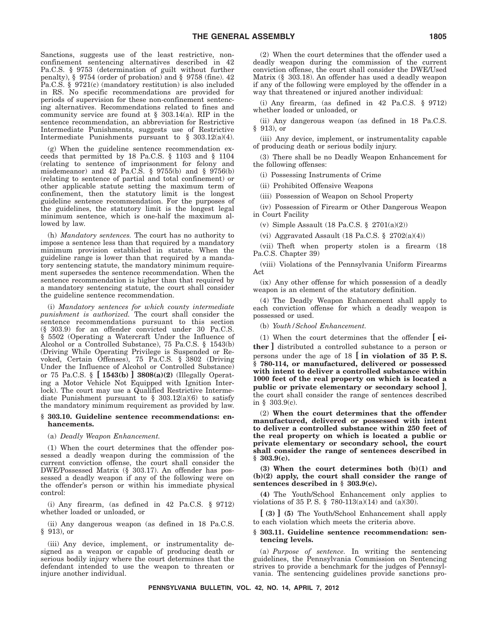Sanctions, suggests use of the least restrictive, nonconfinement sentencing alternatives described in 42 Pa.C.S. § 9753 (determination of guilt without further penalty), § 9754 (order of probation) and § 9758 (fine). 42 Pa.C.S. § 9721(c) (mandatory restitution) is also included in RS. No specific recommendations are provided for periods of supervision for these non-confinement sentencing alternatives. Recommendations related to fines and community service are found at  $\S$  303.14(a). RIP in the sentence recommendation, an abbreviation for Restrictive Intermediate Punishments, suggests use of Restrictive Intermediate Punishments pursuant to § 303.12(a)(4).

(g) When the guideline sentence recommendation exceeds that permitted by 18 Pa.C.S. § 1103 and § 1104 (relating to sentence of imprisonment for felony and misdemeanor) and 42 Pa.C.S. § 9755(b) and § 9756(b) (relating to sentence of partial and total confinement) or other applicable statute setting the maximum term of confinement, then the statutory limit is the longest guideline sentence recommendation. For the purposes of the guidelines, the statutory limit is the longest legal minimum sentence, which is one-half the maximum allowed by law.

(h) *Mandatory sentences.* The court has no authority to impose a sentence less than that required by a mandatory minimum provision established in statute. When the guideline range is lower than that required by a mandatory sentencing statute, the mandatory minimum requirement supersedes the sentence recommendation. When the sentence recommendation is higher than that required by a mandatory sentencing statute, the court shall consider the guideline sentence recommendation.

(i) *Mandatory sentences for which county intermediate punishment is authorized.* The court shall consider the sentence recommendations pursuant to this section (§ 303.9) for an offender convicted under 30 Pa.C.S. § 5502 (Operating a Watercraft Under the Influence of Alcohol or a Controlled Substance), 75 Pa.C.S. § 1543(b) (Driving While Operating Privilege is Suspended or Revoked, Certain Offenses), 75 Pa.C.S. § 3802 (Driving Under the Influence of Alcohol or Controlled Substance) or 75 Pa.C.S. § **[ 1543(b) ] 3808(a)(2)** (Illegally Operating a Motor Vehicle Not Equipped with Ignition Interlock). The court may use a Qualified Restrictive Intermediate Punishment pursuant to  $\S$  303.12(a)(6) to satisfy the mandatory minimum requirement as provided by law.

#### **§ 303.10. Guideline sentence recommendations: enhancements.**

(a) *Deadly Weapon Enhancement.*

(1) When the court determines that the offender possessed a deadly weapon during the commission of the current conviction offense, the court shall consider the DWE/Possessed Matrix (§ 303.17). An offender has possessed a deadly weapon if any of the following were on the offender's person or within his immediate physical control:

(i) Any firearm, (as defined in 42 Pa.C.S. § 9712) whether loaded or unloaded, or

(ii) Any dangerous weapon (as defined in 18 Pa.C.S. § 913), or

(iii) Any device, implement, or instrumentality designed as a weapon or capable of producing death or serious bodily injury where the court determines that the defendant intended to use the weapon to threaten or injure another individual.

(2) When the court determines that the offender used a deadly weapon during the commission of the current conviction offense, the court shall consider the DWE/Used Matrix (§ 303.18). An offender has used a deadly weapon if any of the following were employed by the offender in a way that threatened or injured another individual:

(i) Any firearm, (as defined in 42 Pa.C.S. § 9712) whether loaded or unloaded, or

(ii) Any dangerous weapon (as defined in 18 Pa.C.S. § 913), or

(iii) Any device, implement, or instrumentality capable of producing death or serious bodily injury.

(3) There shall be no Deadly Weapon Enhancement for the following offenses:

(i) Possessing Instruments of Crime

(ii) Prohibited Offensive Weapons

(iii) Possession of Weapon on School Property

(iv) Possession of Firearm or Other Dangerous Weapon in Court Facility

(v) Simple Assault (18 Pa.C.S. § 2701(a)(2))

(vi) Aggravated Assault (18 Pa.C.S.  $\$  2702(a)(4))

(vii) Theft when property stolen is a firearm (18 Pa.C.S. Chapter 39)

(viii) Violations of the Pennsylvania Uniform Firearms Act

(ix) Any other offense for which possession of a deadly weapon is an element of the statutory definition.

(4) The Deadly Weapon Enhancement shall apply to each conviction offense for which a deadly weapon is possessed or used.

(b) *Youth/School Enhancement.*

(1) When the court determines that the offender **[ either ]** distributed a controlled substance to a person or persons under the age of 18 **[ in violation of 35 P. S. § 780-114, or manufactured, delivered or possessed with intent to deliver a controlled substance within 1000 feet of the real property on which is located a public or private elementary or secondary school ]**, the court shall consider the range of sentences described in § 303.9(c).

(2) **When the court determines that the offender manufactured, delivered or possessed with intent to deliver a controlled substance within 250 feet of the real property on which is located a public or private elementary or secondary school, the court shall consider the range of sentences described in § 303.9(c).**

**(3) When the court determines both (b)(1) and (b)(2) apply, the court shall consider the range of sentences described in § 303.9(c).**

**(4)** The Youth/School Enhancement only applies to violations of 35 P. S. § 780-113(a)(14) and (a)(30).

**[ (3) ] (5)** The Youth/School Enhancement shall apply to each violation which meets the criteria above.

#### **§ 303.11. Guideline sentence recommendation: sentencing levels.**

(a) *Purpose of sentence.* In writing the sentencing guidelines, the Pennsylvania Commission on Sentencing strives to provide a benchmark for the judges of Pennsylvania. The sentencing guidelines provide sanctions pro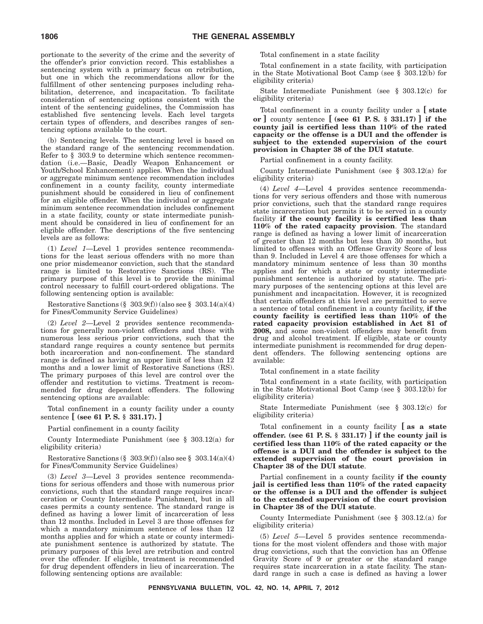portionate to the severity of the crime and the severity of the offender's prior conviction record. This establishes a sentencing system with a primary focus on retribution, but one in which the recommendations allow for the fulfillment of other sentencing purposes including rehabilitation, deterrence, and incapacitation. To facilitate consideration of sentencing options consistent with the intent of the sentencing guidelines, the Commission has established five sentencing levels. Each level targets certain types of offenders, and describes ranges of sentencing options available to the court.

(b) Sentencing levels. The sentencing level is based on the standard range of the sentencing recommendation. Refer to § 303.9 to determine which sentence recommendation (i.e.—Basic, Deadly Weapon Enhancement or Youth/School Enhancement) applies. When the individual or aggregate minimum sentence recommendation includes confinement in a county facility, county intermediate punishment should be considered in lieu of confinement for an eligible offender. When the individual or aggregate minimum sentence recommendation includes confinement in a state facility, county or state intermediate punishment should be considered in lieu of confinement for an eligible offender. The descriptions of the five sentencing levels are as follows:

(1) *Level 1*—Level 1 provides sentence recommendations for the least serious offenders with no more than one prior misdemeanor conviction, such that the standard range is limited to Restorative Sanctions (RS). The primary purpose of this level is to provide the minimal control necessary to fulfill court-ordered obligations. The following sentencing option is available:

Restorative Sanctions  $(\S 303.9(f))$  (also see  $\S 303.14(a)(4)$ ) for Fines/Community Service Guidelines)

(2) *Level 2*—Level 2 provides sentence recommendations for generally non-violent offenders and those with numerous less serious prior convictions, such that the standard range requires a county sentence but permits both incarceration and non-confinement. The standard range is defined as having an upper limit of less than 12 months and a lower limit of Restorative Sanctions (RS). The primary purposes of this level are control over the offender and restitution to victims. Treatment is recommended for drug dependent offenders. The following sentencing options are available:

Total confinement in a county facility under a county sentence **[ (see 61 P. S. § 331.17). ]**

Partial confinement in a county facility

County Intermediate Punishment (see § 303.12(a) for eligibility criteria)

Restorative Sanctions  $(\S 303.9(f))$  (also see  $\S 303.14(a)(4)$ ) for Fines/Community Service Guidelines)

(3) *Level 3*—Level 3 provides sentence recommendations for serious offenders and those with numerous prior convictions, such that the standard range requires incarceration or County Intermediate Punishment, but in all cases permits a county sentence. The standard range is defined as having a lower limit of incarceration of less than 12 months. Included in Level 3 are those offenses for which a mandatory minimum sentence of less than 12 months applies and for which a state or county intermediate punishment sentence is authorized by statute. The primary purposes of this level are retribution and control over the offender. If eligible, treatment is recommended for drug dependent offenders in lieu of incarceration. The following sentencing options are available:

Total confinement in a state facility

Total confinement in a state facility, with participation in the State Motivational Boot Camp (see  $\S$  303.12(b) for eligibility criteria)

State Intermediate Punishment (see § 303.12(c) for eligibility criteria)

Total confinement in a county facility under a **[ state or ]** county sentence **[ (see 61 P. S. § 331.17) ] if the county jail is certified less than 110% of the rated capacity or the offense is a DUI and the offender is subject to the extended supervision of the court provision in Chapter 38 of the DUI statute**.

Partial confinement in a county facility.

County Intermediate Punishment (see  $\S$  303.12(a) for eligibility criteria)

(4) *Level 4*—Level 4 provides sentence recommendations for very serious offenders and those with numerous prior convictions, such that the standard range requires state incarceration but permits it to be served in a county facility **if the county facility is certified less than 110% of the rated capacity provision**. The standard range is defined as having a lower limit of incarceration of greater than 12 months but less than 30 months, but limited to offenses with an Offense Gravity Score of less than 9. Included in Level 4 are those offenses for which a mandatory minimum sentence of less than 30 months applies and for which a state or county intermediate punishment sentence is authorized by statute. The primary purposes of the sentencing options at this level are punishment and incapacitation. However, it is recognized that certain offenders at this level are permitted to serve a sentence of total confinement in a county facility, **if the county facility is certified less than 110% of the rated capacity provision established in Act 81 of 2008,** and some non-violent offenders may benefit from drug and alcohol treatment. If eligible, state or county intermediate punishment is recommended for drug dependent offenders. The following sentencing options are available:

Total confinement in a state facility

Total confinement in a state facility, with participation in the State Motivational Boot Camp (see  $\S$  303.12(b) for eligibility criteria)

State Intermediate Punishment (see § 303.12(c) for eligibility criteria)

Total confinement in a county facility **[ as a state offender. (see 61 P. S. § 331.17) ] if the county jail is certified less than 110% of the rated capacity or the offense is a DUI and the offender is subject to the extended supervision of the court provision in Chapter 38 of the DUI statute**.

Partial confinement in a county facility **if the county jail is certified less than 110% of the rated capacity or the offense is a DUI and the offender is subject to the extended supervision of the court provision in Chapter 38 of the DUI statute**.

County Intermediate Punishment (see § 303.12.(a) for eligibility criteria)

(5) *Level 5*—Level 5 provides sentence recommendations for the most violent offenders and those with major drug convictions, such that the conviction has an Offense Gravity Score of 9 or greater or the standard range requires state incarceration in a state facility. The standard range in such a case is defined as having a lower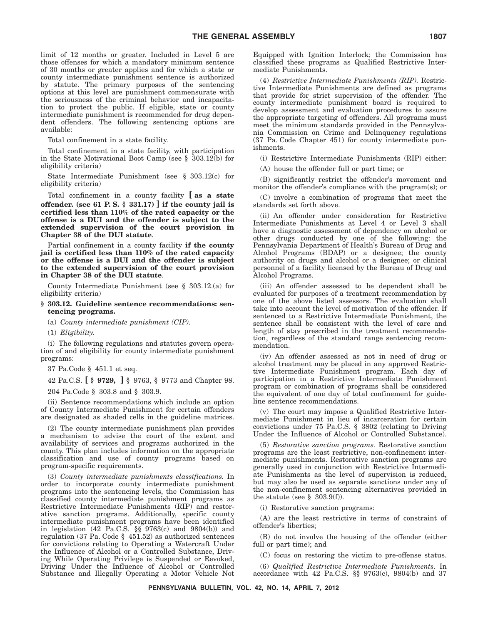limit of 12 months or greater. Included in Level 5 are those offenses for which a mandatory minimum sentence of 30 months or greater applies and for which a state or county intermediate punishment sentence is authorized by statute. The primary purposes of the sentencing options at this level are punishment commensurate with the seriousness of the criminal behavior and incapacitation to protect the public. If eligible, state or county intermediate punishment is recommended for drug dependent offenders. The following sentencing options are available:

Total confinement in a state facility.

Total confinement in a state facility, with participation in the State Motivational Boot Camp (see  $\S$  303.12(b) for eligibility criteria)

State Intermediate Punishment (see § 303.12(c) for eligibility criteria)

Total confinement in a county facility **[ as a state offender. (see 61 P. S. § 331.17) ] if the county jail is certified less than 110% of the rated capacity or the offense is a DUI and the offender is subject to the extended supervision of the court provision in Chapter 38 of the DUI statute**.

Partial confinement in a county facility **if the county jail is certified less than 110% of the rated capacity or the offense is a DUI and the offender is subject to the extended supervision of the court provision in Chapter 38 of the DUI statute**.

County Intermediate Punishment (see § 303.12.(a) for eligibility criteria)

#### **§ 303.12. Guideline sentence recommendations: sentencing programs.**

(a) *County intermediate punishment (CIP).*

(1) *Eligibility.*

(i) The following regulations and statutes govern operation of and eligibility for county intermediate punishment programs:

37 Pa.Code § 451.1 et seq.

42 Pa.C.S. **[ § 9729, ]** § 9763, § 9773 and Chapter 98.

204 Pa.Code § 303.8 and § 303.9.

(ii) Sentence recommendations which include an option of County Intermediate Punishment for certain offenders are designated as shaded cells in the guideline matrices.

(2) The county intermediate punishment plan provides a mechanism to advise the court of the extent and availability of services and programs authorized in the county. This plan includes information on the appropriate classification and use of county programs based on program-specific requirements.

(3) *County intermediate punishments classifications.* In order to incorporate county intermediate punishment programs into the sentencing levels, the Commission has classified county intermediate punishment programs as Restrictive Intermediate Punishments (RIP) and restorative sanction programs. Additionally, specific county intermediate punishment programs have been identified in legislation (42 Pa.C.S. §§ 9763(c) and 9804(b)) and regulation (37 Pa. Code § 451.52) as authorized sentences for convictions relating to Operating a Watercraft Under the Influence of Alcohol or a Controlled Substance, Driving While Operating Privilege is Suspended or Revoked, Driving Under the Influence of Alcohol or Controlled Substance and Illegally Operating a Motor Vehicle Not Equipped with Ignition Interlock; the Commission has classified these programs as Qualified Restrictive Intermediate Punishments.

(4) *Restrictive Intermediate Punishments (RIP).* Restrictive Intermediate Punishments are defined as programs that provide for strict supervision of the offender. The county intermediate punishment board is required to develop assessment and evaluation procedures to assure the appropriate targeting of offenders. All programs must meet the minimum standards provided in the Pennsylvania Commission on Crime and Delinquency regulations (37 Pa. Code Chapter 451) for county intermediate punishments.

(i) Restrictive Intermediate Punishments (RIP) either:

(A) house the offender full or part time; or

(B) significantly restrict the offender's movement and monitor the offender's compliance with the program(s); or

(C) involve a combination of programs that meet the standards set forth above.

(ii) An offender under consideration for Restrictive Intermediate Punishments at Level 4 or Level 3 shall have a diagnostic assessment of dependency on alcohol or other drugs conducted by one of the following: the Pennsylvania Department of Health's Bureau of Drug and Alcohol Programs (BDAP) or a designee; the county authority on drugs and alcohol or a designee; or clinical personnel of a facility licensed by the Bureau of Drug and Alcohol Programs.

(iii) An offender assessed to be dependent shall be evaluated for purposes of a treatment recommendation by one of the above listed assessors. The evaluation shall take into account the level of motivation of the offender. If sentenced to a Restrictive Intermediate Punishment, the sentence shall be consistent with the level of care and length of stay prescribed in the treatment recommendation, regardless of the standard range sentencing recommendation.

(iv) An offender assessed as not in need of drug or alcohol treatment may be placed in any approved Restrictive Intermediate Punishment program. Each day of participation in a Restrictive Intermediate Punishment program or combination of programs shall be considered the equivalent of one day of total confinement for guideline sentence recommendations.

(v) The court may impose a Qualified Restrictive Intermediate Punishment in lieu of incarceration for certain convictions under 75 Pa.C.S. § 3802 (relating to Driving Under the Influence of Alcohol or Controlled Substance).

(5) *Restorative sanction programs.* Restorative sanction programs are the least restrictive, non-confinement intermediate punishments. Restorative sanction programs are generally used in conjunction with Restrictive Intermediate Punishments as the level of supervision is reduced, but may also be used as separate sanctions under any of the non-confinement sentencing alternatives provided in the statute (see § 303.9(f)).

(i) Restorative sanction programs:

(A) are the least restrictive in terms of constraint of offender's liberties;

(B) do not involve the housing of the offender (either full or part time); and

(C) focus on restoring the victim to pre-offense status.

(6) *Qualified Restrictive Intermediate Punishments.* In accordance with 42 Pa.C.S. §§ 9763(c), 9804(b) and 37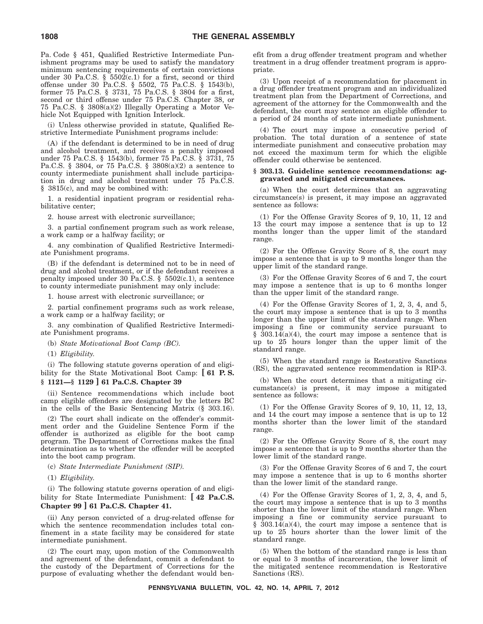Pa. Code § 451, Qualified Restrictive Intermediate Punishment programs may be used to satisfy the mandatory minimum sentencing requirements of certain convictions under 30 Pa.C.S.  $\S$  5502(c.1) for a first, second or third offense under 30 Pa.C.S. § 5502, 75 Pa.C.S. § 1543(b), former 75 Pa.C.S. § 3731, 75 Pa.C.S. § 3804 for a first, second or third offense under 75 Pa.C.S. Chapter 38, or 75 Pa.C.S. § 3808(a)(2) Illegally Operating a Motor Vehicle Not Equipped with Ignition Interlock.

(i) Unless otherwise provided in statute, Qualified Restrictive Intermediate Punishment programs include:

(A) if the defendant is determined to be in need of drug and alcohol treatment, and receives a penalty imposed under 75 Pa.C.S. § 1543(b), former 75 Pa.C.S. § 3731, 75 Pa.C.S. § 3804, or 75 Pa.C.S. § 3808(a)(2) a sentence to county intermediate punishment shall include participation in drug and alcohol treatment under 75 Pa.C.S. § 3815(c), and may be combined with:

1. a residential inpatient program or residential rehabilitative center;

2. house arrest with electronic surveillance;

3. a partial confinement program such as work release, a work camp or a halfway facility; or

4. any combination of Qualified Restrictive Intermediate Punishment programs.

(B) if the defendant is determined not to be in need of drug and alcohol treatment, or if the defendant receives a penalty imposed under 30 Pa.C.S. § 5502(c.1), a sentence to county intermediate punishment may only include:

1. house arrest with electronic surveillance; or

2. partial confinement programs such as work release, a work camp or a halfway facility; or

3. any combination of Qualified Restrictive Intermediate Punishment programs.

(b) *State Motivational Boot Camp (BC).*

(1) *Eligibility.*

(i) The following statute governs operation of and eligibility for the State Motivational Boot Camp: **[ 61 P. S. § 1121—§ 1129 ] 61 Pa.C.S. Chapter 39**

(ii) Sentence recommendations which include boot camp eligible offenders are designated by the letters BC in the cells of the Basic Sentencing Matrix (§ 303.16).

(2) The court shall indicate on the offender's commitment order and the Guideline Sentence Form if the offender is authorized as eligible for the boot camp program. The Department of Corrections makes the final determination as to whether the offender will be accepted into the boot camp program.

(c) *State Intermediate Punishment (SIP).*

(1) *Eligibility.*

(i) The following statute governs operation of and eligibility for State Intermediate Punishment: **[ 42 Pa.C.S. Chapter 99 ] 61 Pa.C.S. Chapter 41.**

(ii) Any person convicted of a drug-related offense for which the sentence recommendation includes total confinement in a state facility may be considered for state intermediate punishment.

(2) The court may, upon motion of the Commonwealth and agreement of the defendant, commit a defendant to the custody of the Department of Corrections for the purpose of evaluating whether the defendant would benefit from a drug offender treatment program and whether treatment in a drug offender treatment program is appropriate.

(3) Upon receipt of a recommendation for placement in a drug offender treatment program and an individualized treatment plan from the Department of Corrections, and agreement of the attorney for the Commonwealth and the defendant, the court may sentence an eligible offender to a period of 24 months of state intermediate punishment.

(4) The court may impose a consecutive period of probation. The total duration of a sentence of state intermediate punishment and consecutive probation may not exceed the maximum term for which the eligible offender could otherwise be sentenced.

#### **§ 303.13. Guideline sentence recommendations: aggravated and mitigated circumstances.**

(a) When the court determines that an aggravating circumstance(s) is present, it may impose an aggravated sentence as follows:

(1) For the Offense Gravity Scores of 9, 10, 11, 12 and 13 the court may impose a sentence that is up to 12 months longer than the upper limit of the standard range.

(2) For the Offense Gravity Score of 8, the court may impose a sentence that is up to 9 months longer than the upper limit of the standard range.

(3) For the Offense Gravity Scores of 6 and 7, the court may impose a sentence that is up to 6 months longer than the upper limit of the standard range.

(4) For the Offense Gravity Scores of 1, 2, 3, 4, and 5, the court may impose a sentence that is up to 3 months longer than the upper limit of the standard range. When imposing a fine or community service pursuant to § 303.14(a)(4), the court may impose a sentence that is up to 25 hours longer than the upper limit of the standard range.

(5) When the standard range is Restorative Sanctions (RS), the aggravated sentence recommendation is RIP-3.

(b) When the court determines that a mitigating circumstance(s) is present, it may impose a mitigated sentence as follows:

(1) For the Offense Gravity Scores of 9, 10, 11, 12, 13, and 14 the court may impose a sentence that is up to 12 months shorter than the lower limit of the standard range.

(2) For the Offense Gravity Score of 8, the court may impose a sentence that is up to 9 months shorter than the lower limit of the standard range.

(3) For the Offense Gravity Scores of 6 and 7, the court may impose a sentence that is up to 6 months shorter than the lower limit of the standard range.

(4) For the Offense Gravity Scores of 1, 2, 3, 4, and 5, the court may impose a sentence that is up to 3 months shorter than the lower limit of the standard range. When imposing a fine or community service pursuant to  $§$  303.14(a)(4), the court may impose a sentence that is up to 25 hours shorter than the lower limit of the standard range.

(5) When the bottom of the standard range is less than or equal to 3 months of incarceration, the lower limit of the mitigated sentence recommendation is Restorative Sanctions (RS).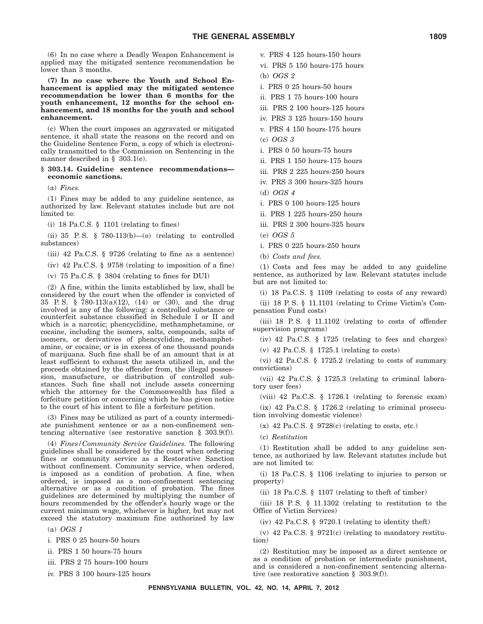(6) In no case where a Deadly Weapon Enhancement is applied may the mitigated sentence recommendation be lower than 3 months.

**(7) In no case where the Youth and School Enhancement is applied may the mitigated sentence recommendation be lower than 6 months for the youth enhancement, 12 months for the school enhancement, and 18 months for the youth and school enhancement.**

(c) When the court imposes an aggravated or mitigated sentence, it shall state the reasons on the record and on the Guideline Sentence Form, a copy of which is electronically transmitted to the Commission on Sentencing in the manner described in § 303.1(e).

#### **§ 303.14. Guideline sentence recommendations economic sanctions.**

(a) *Fines.*

(1) Fines may be added to any guideline sentence, as authorized by law. Relevant statutes include but are not limited to:

(i) 18 Pa.C.S.  $\S$  1101 (relating to fines)

(ii) 35 P.S. § 780-113(b)- $(0)$  (relating to controlled substances)

(iii) 42 Pa.C.S. § 9726 (relating to fine as a sentence)

(iv) 42 Pa.C.S. § 9758 (relating to imposition of a fine)

(v) 75 Pa.C.S. § 3804 (relating to fines for DUI)

(2) A fine, within the limits established by law, shall be considered by the court when the offender is convicted of 35 P. S. § 780-113(a)(12), (14) or (30), and the drug involved is any of the following: a controlled substance or counterfeit substance classified in Schedule I or II and which is a narcotic; phencyclidine, methamphetamine, or cocaine, including the isomers, salts, compounds, salts of isomers, or derivatives of phencyclidine, methamphetamine, or cocaine; or is in excess of one thousand pounds of marijuana. Such fine shall be of an amount that is at least sufficient to exhaust the assets utilized in, and the proceeds obtained by the offender from, the illegal possession, manufacture, or distribution of controlled substances. Such fine shall not include assets concerning which the attorney for the Commonwealth has filed a forfeiture petition or concerning which he has given notice to the court of his intent to file a forfeiture petition.

(3) Fines may be utilized as part of a county intermediate punishment sentence or as a non-confinement sentencing alternative (see restorative sanction § 303.9(f)).

(4) *Fines/Community Service Guidelines.* The following guidelines shall be considered by the court when ordering fines or community service as a Restorative Sanction without confinement. Community service, when ordered, is imposed as a condition of probation. A fine, when ordered, is imposed as a non-confinement sentencing alternative or as a condition of probation. The fines guidelines are determined by multiplying the number of hours recommended by the offender's hourly wage or the current minimum wage, whichever is higher, but may not exceed the statutory maximum fine authorized by law

(a) *OGS 1*

i. PRS 0 25 hours-50 hours

ii. PRS 1 50 hours-75 hours

iii. PRS 2 75 hours-100 hours

iv. PRS 3 100 hours-125 hours

- v. PRS 4 125 hours-150 hours
- vi. PRS 5 150 hours-175 hours
- (b) *OGS 2*
- i. PRS 0 25 hours-50 hours
- ii. PRS 1 75 hours-100 hours
- iii. PRS 2 100 hours-125 hours
- iv. PRS 3 125 hours-150 hours
- v. PRS 4 150 hours-175 hours
- (c) *OGS 3*
- i. PRS 0 50 hours-75 hours
- ii. PRS 1 150 hours-175 hours

iii. PRS 2 225 hours-250 hours

iv. PRS 3 300 hours-325 hours

- (d) *OGS 4*
- i. PRS 0 100 hours-125 hours
- ii. PRS 1 225 hours-250 hours
- iii. PRS 2 300 hours-325 hours
- (e) *OGS 5*

i. PRS 0 225 hours-250 hours

(b) *Costs and fees.*

(1) Costs and fees may be added to any guideline sentence, as authorized by law. Relevant statutes include but are not limited to:

(i) 18 Pa.C.S. § 1109 (relating to costs of any reward)

(ii) 18 P. S. § 11.1101 (relating to Crime Victim's Compensation Fund costs)

(iii) 18 P.S.  $\S$  11.1102 (relating to costs of offender supervision programs)

(iv) 42 Pa.C.S. § 1725 (relating to fees and charges)

(v) 42 Pa.C.S. § 1725.1 (relating to costs)

(vi) 42 Pa.C.S. § 1725.2 (relating to costs of summary convictions)

(vii) 42 Pa.C.S. § 1725.3 (relating to criminal laboratory user fees)

(viii) 42 Pa.C.S. § 1726.1 (relating to forensic exam)

(ix) 42 Pa.C.S.  $\S$  1726.2 (relating to criminal prosecution involving domestic violence)

 $(x)$  42 Pa.C.S. § 9728 $(c)$  (relating to costs, etc.)

(c) *Restitution*

(1) Restitution shall be added to any guideline sentence, as authorized by law. Relevant statutes include but are not limited to:

(i) 18 Pa.C.S. § 1106 (relating to injuries to person or property)

(ii) 18 Pa.C.S. § 1107 (relating to theft of timber)

(iii) 18 P. S. § 11.1302 (relating to restitution to the Office of Victim Services)

 $(iv)$  42 Pa.C.S. § 9720.1 (relating to identity theft)

(v) 42 Pa.C.S.  $\S$  9721(c) (relating to mandatory restitution)

(2) Restitution may be imposed as a direct sentence or as a condition of probation or intermediate punishment, and is considered a non-confinement sentencing alternative (see restorative sanction § 303.9(f)).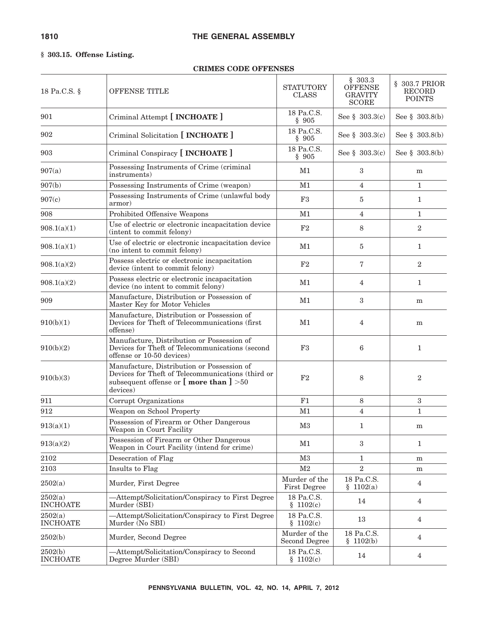#### **§ 303.15. Offense Listing.**

#### **CRIMES CODE OFFENSES**

| 18 Pa.C.S. §               | OFFENSE TITLE                                                                                                                                                        | <b>STATUTORY</b><br><b>CLASS</b>     | \$303.3<br>OFFENSE<br><b>GRAVITY</b><br><b>SCORE</b> | § 303.7 PRIOR<br>RECORD<br><b>POINTS</b> |
|----------------------------|----------------------------------------------------------------------------------------------------------------------------------------------------------------------|--------------------------------------|------------------------------------------------------|------------------------------------------|
| 901                        | Criminal Attempt [ INCHOATE ]                                                                                                                                        | 18 Pa.C.S.<br>\$905                  | See § $303.3(c)$                                     | See $\S$ 303.8(b)                        |
| 902                        | Criminal Solicitation [ <b>INCHOATE</b> ]                                                                                                                            | 18 Pa.C.S.<br>\$905                  | See $\S$ 303.3(c)                                    | See $\S$ 303.8(b)                        |
| 903                        | Criminal Conspiracy [ <b>INCHOATE</b> ]                                                                                                                              | 18 Pa.C.S.<br>\$905                  | See $\S$ 303.3(c)                                    | See $\S$ 303.8(b)                        |
| 907(a)                     | Possessing Instruments of Crime (criminal<br>instruments)                                                                                                            | M1                                   | 3                                                    | m                                        |
| 907(b)                     | Possessing Instruments of Crime (weapon)                                                                                                                             | M1                                   | 4                                                    | $\mathbf{1}$                             |
| 907(c)                     | Possessing Instruments of Crime (unlawful body<br>armor)                                                                                                             | F3                                   | 5                                                    | $\mathbf{1}$                             |
| 908                        | Prohibited Offensive Weapons                                                                                                                                         | M1                                   | 4                                                    | $\mathbf{1}$                             |
| 908.1(a)(1)                | Use of electric or electronic incapacitation device<br>(intent to commit felony)                                                                                     | F2                                   | 8                                                    | $\overline{2}$                           |
| 908.1(a)(1)                | Use of electric or electronic incapacitation device<br>(no intent to commit felony)                                                                                  | M1                                   | 5                                                    | $\mathbf{1}$                             |
| 908.1(a)(2)                | Possess electric or electronic incapacitation<br>device (intent to commit felony)                                                                                    | F2                                   | 7                                                    | $\overline{2}$                           |
| 908.1(a)(2)                | Possess electric or electronic incapacitation<br>device (no intent to commit felony)                                                                                 | M1                                   | $\overline{4}$                                       | $\mathbf{1}$                             |
| 909                        | Manufacture, Distribution or Possession of<br>Master Key for Motor Vehicles                                                                                          | M1                                   | $\boldsymbol{3}$                                     | m                                        |
| 910(b)(1)                  | Manufacture, Distribution or Possession of<br>Devices for Theft of Telecommunications (first)<br>offense)                                                            | M1                                   | 4                                                    | m                                        |
| 910(b)(2)                  | Manufacture, Distribution or Possession of<br>Devices for Theft of Telecommunications (second<br>offense or 10-50 devices)                                           | F <sub>3</sub>                       | 6                                                    | $\mathbf{1}$                             |
| 910(b)(3)                  | Manufacture, Distribution or Possession of<br>Devices for Theft of Telecommunications (third or<br>subsequent offense or $\lceil$ more than $\rceil$ >50<br>devices) | F2                                   | 8                                                    | $\overline{2}$                           |
| 911                        | Corrupt Organizations                                                                                                                                                | F1                                   | 8                                                    | 3                                        |
| 912                        | Weapon on School Property                                                                                                                                            | M1                                   | 4                                                    | $\mathbf{1}$                             |
| 913(a)(1)                  | Possession of Firearm or Other Dangerous<br>Weapon in Court Facility                                                                                                 | M3                                   | 1                                                    | m                                        |
| 913(a)(2)                  | Possession of Firearm or Other Dangerous<br>Weapon in Court Facility (intend for crime)                                                                              | M1                                   | 3                                                    | 1                                        |
| 2102                       | Desecration of Flag                                                                                                                                                  | M3                                   | 1                                                    | m                                        |
| 2103                       | Insults to Flag                                                                                                                                                      | M <sub>2</sub>                       | $\overline{2}$                                       | m                                        |
| 2502(a)                    | Murder, First Degree                                                                                                                                                 | Murder of the<br><b>First Degree</b> | 18 Pa.C.S.<br>\$1102(a)                              | 4                                        |
| 2502(a)<br><b>INCHOATE</b> | -Attempt/Solicitation/Conspiracy to First Degree<br>Murder (SBI)                                                                                                     | 18 Pa.C.S.<br>\$1102(c)              | 14                                                   | $\overline{4}$                           |
| 2502(a)<br><b>INCHOATE</b> | -Attempt/Solicitation/Conspiracy to First Degree<br>Murder (No SBI)                                                                                                  | 18 Pa.C.S.<br>\$1102(c)              | 13                                                   | 4                                        |
| 2502(b)                    | Murder, Second Degree                                                                                                                                                | Murder of the<br>Second Degree       | 18 Pa.C.S.<br>\$1102(b)                              | 4                                        |
| 2502(b)<br><b>INCHOATE</b> | -Attempt/Solicitation/Conspiracy to Second<br>Degree Murder (SBI)                                                                                                    | 18 Pa.C.S.<br>\$1102(c)              | 14                                                   | $\overline{4}$                           |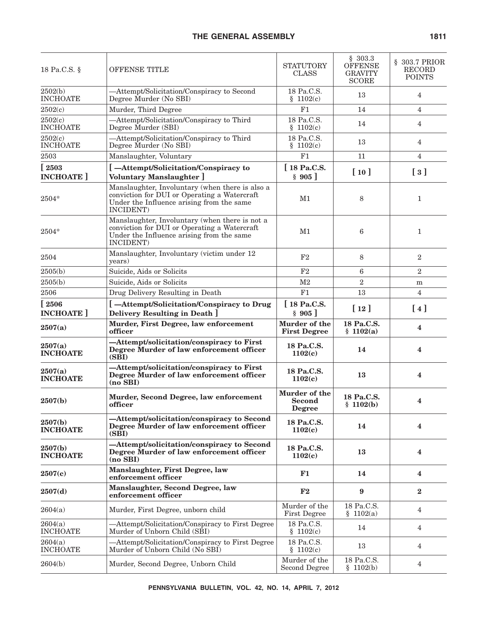| 18 Pa.C.S. §               | OFFENSE TITLE                                                                                                                                             | <b>STATUTORY</b><br><b>CLASS</b>                | \$303.3<br><b>OFFENSE</b><br><b>GRAVITY</b><br><b>SCORE</b> | § 303.7 PRIOR<br>RECORD<br><b>POINTS</b>    |
|----------------------------|-----------------------------------------------------------------------------------------------------------------------------------------------------------|-------------------------------------------------|-------------------------------------------------------------|---------------------------------------------|
| 2502(b)<br><b>INCHOATE</b> | -Attempt/Solicitation/Conspiracy to Second<br>Degree Murder (No SBI)                                                                                      | 18 Pa.C.S.<br>\$1102(c)                         | 13                                                          | 4                                           |
| 2502(c)                    | Murder, Third Degree                                                                                                                                      | F1                                              | 14                                                          | $\overline{4}$                              |
| 2502(c)<br><b>INCHOATE</b> | -Attempt/Solicitation/Conspiracy to Third<br>Degree Murder (SBI)                                                                                          | 18 Pa.C.S.<br>\$1102(c)                         | 14                                                          | $\overline{4}$                              |
| 2502(c)<br><b>INCHOATE</b> | -Attempt/Solicitation/Conspiracy to Third<br>Degree Murder (No SBI)                                                                                       | 18 Pa.C.S.<br>\$1102(c)                         | 13                                                          | $\overline{4}$                              |
| 2503                       | Manslaughter, Voluntary                                                                                                                                   | F1                                              | 11                                                          | $\overline{4}$                              |
| [2503]<br><b>INCHOATE</b>  | [-Attempt/Solicitation/Conspiracy to<br>Voluntary Manslaughter ]                                                                                          | [18 Pa.C.S.<br>§ 905]                           | [10]                                                        | $\left[\begin{array}{c}3\end{array}\right]$ |
| 2504*                      | Manslaughter, Involuntary (when there is also a<br>conviction for DUI or Operating a Watercraft<br>Under the Influence arising from the same<br>INCIDENT) | M1                                              | 8                                                           | $\mathbf{1}$                                |
| 2504*                      | Manslaughter, Involuntary (when there is not a<br>conviction for DUI or Operating a Watercraft<br>Under the Influence arising from the same<br>INCIDENT)  | M1                                              | 6                                                           | $\mathbf{1}$                                |
| 2504                       | Manslaughter, Involuntary (victim under 12<br>years)                                                                                                      | F <sub>2</sub>                                  | 8                                                           | $\overline{2}$                              |
| 2505(b)                    | Suicide, Aids or Solicits                                                                                                                                 | F <sub>2</sub>                                  | 6                                                           | $\boldsymbol{2}$                            |
| 2505(b)                    | Suicide, Aids or Solicits                                                                                                                                 | M <sub>2</sub>                                  | $\overline{2}$                                              | m                                           |
| 2506                       | Drug Delivery Resulting in Death                                                                                                                          | F1                                              | 13                                                          | $\overline{4}$                              |
| [2506]<br><b>INCHOATE</b>  | [-Attempt/Solicitation/Conspiracy to Drug<br>Delivery Resulting in Death ]                                                                                | [18 Pa.C.S.<br>§ 905]                           | [12]                                                        | [4]                                         |
| 2507(a)                    | Murder, First Degree, law enforcement<br>officer                                                                                                          | Murder of the<br><b>First Degree</b>            | 18 Pa.C.S.<br>\$1102(a)                                     | 4                                           |
| 2507(a)<br><b>INCHOATE</b> | -Attempt/solicitation/conspiracy to First<br>Degree Murder of law enforcement officer<br>(SBI)                                                            | 18 Pa.C.S.<br>1102(c)                           | 14                                                          | 4                                           |
| 2507(a)<br><b>INCHOATE</b> | -Attempt/solicitation/conspiracy to First<br>Degree Murder of law enforcement officer<br>$(no$ SBI $)$                                                    | 18 Pa.C.S.<br>1102(c)                           | 13                                                          | $\overline{\mathbf{4}}$                     |
| 2507(b)                    | Murder, Second Degree, law enforcement<br>officer                                                                                                         | Murder of the<br><b>Second</b><br><b>Degree</b> | 18 Pa.C.S.<br>\$1102(b)                                     | $\overline{\mathbf{4}}$                     |
| 2507(b)<br><b>INCHOATE</b> | -Attempt/solicitation/conspiracy to Second<br>Degree Murder of law enforcement officer<br>(SBI)                                                           | 18 Pa.C.S.<br>1102(c)                           | 14                                                          | 4                                           |
| 2507(b)<br><b>INCHOATE</b> | -Attempt/solicitation/conspiracy to Second<br>Degree Murder of law enforcement officer<br>$(no$ SBI $)$                                                   | 18 Pa.C.S.<br>1102(c)                           | 13                                                          | 4                                           |
| 2507(c)                    | Manslaughter, First Degree, law<br>enforcement officer                                                                                                    | F1                                              | 14                                                          | 4                                           |
| 2507(d)                    | Manslaughter, Second Degree, law<br>enforcement officer                                                                                                   | F2                                              | 9                                                           | $\bf{2}$                                    |
| 2604(a)                    | Murder, First Degree, unborn child                                                                                                                        | Murder of the<br>First Degree                   | 18 Pa.C.S.<br>\$1102(a)                                     | $\overline{4}$                              |
| 2604(a)<br><b>INCHOATE</b> | -Attempt/Solicitation/Conspiracy to First Degree<br>Murder of Unborn Child (SBI)                                                                          | 18 Pa.C.S.<br>1102(c)<br>ş                      | 14                                                          | 4                                           |
| 2604(a)<br><b>INCHOATE</b> | -Attempt/Solicitation/Conspiracy to First Degree<br>Murder of Unborn Child (No SBI)                                                                       | 18 Pa.C.S.<br>\$1102(c)                         | 13                                                          | $\overline{4}$                              |
| 2604(b)                    | Murder, Second Degree, Unborn Child                                                                                                                       | Murder of the<br><b>Second Degree</b>           | 18 Pa.C.S.<br>\$1102(b)                                     | $\overline{4}$                              |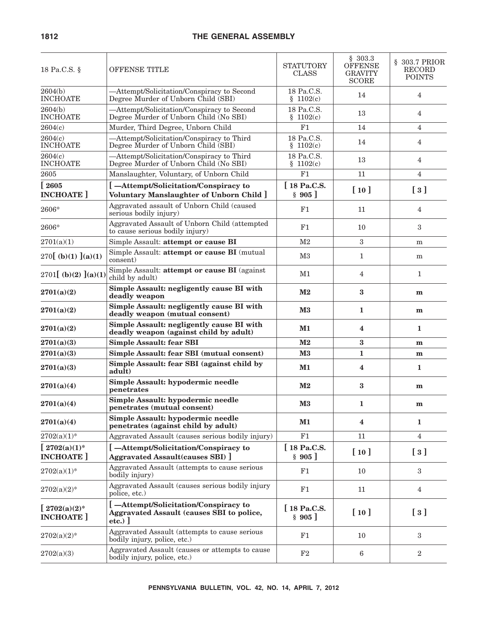| 18 Pa.C.S. §                               | OFFENSE TITLE                                                                                 | STATUTORY<br><b>CLASS</b>   | \$303.3<br><b>OFFENSE</b><br><b>GRAVITY</b><br><b>SCORE</b> | § 303.7 PRIOR<br><b>RECORD</b><br><b>POINTS</b> |
|--------------------------------------------|-----------------------------------------------------------------------------------------------|-----------------------------|-------------------------------------------------------------|-------------------------------------------------|
| 2604(b)<br><b>INCHOATE</b>                 | -Attempt/Solicitation/Conspiracy to Second<br>Degree Murder of Unborn Child (SBI)             | 18 Pa.C.S.<br>\$1102(c)     | 14                                                          | $\overline{4}$                                  |
| 2604(b)<br><b>INCHOATE</b>                 | -Attempt/Solicitation/Conspiracy to Second<br>Degree Murder of Unborn Child (No SBI)          | 18 Pa.C.S.<br>\$1102(c)     | 13                                                          | $\overline{4}$                                  |
| 2604(c)                                    | Murder, Third Degree, Unborn Child                                                            | F1                          | 14                                                          | $\overline{4}$                                  |
| 2604(c)<br><b>INCHOATE</b>                 | -Attempt/Solicitation/Conspiracy to Third<br>Degree Murder of Unborn Child (SBI)              | 18 Pa.C.S.<br>\$1102(c)     | 14                                                          | $\overline{4}$                                  |
| 2604(c)<br><b>INCHOATE</b>                 | -Attempt/Solicitation/Conspiracy to Third<br>Degree Murder of Unborn Child (No SBI)           | 18 Pa.C.S.<br>\$1102(c)     | 13                                                          | 4                                               |
| 2605                                       | Manslaughter, Voluntary, of Unborn Child                                                      | F1                          | 11                                                          | 4                                               |
| [2605]<br><b>INCHOATE</b>                  | [-Attempt/Solicitation/Conspiracy to<br>Voluntary Manslaughter of Unborn Child ]              | $\int$ 18 Pa.C.S.<br>\$905] | [10]                                                        | $\left[\begin{array}{c}3\end{array}\right]$     |
| 2606*                                      | Aggravated assault of Unborn Child (caused<br>serious bodily injury)                          | F1                          | 11                                                          | $\overline{4}$                                  |
| 2606*                                      | Aggravated Assault of Unborn Child (attempted<br>to cause serious bodily injury)              | F1                          | 10                                                          | 3                                               |
| 2701(a)(1)                                 | Simple Assault: attempt or cause BI                                                           | M <sub>2</sub>              | $\boldsymbol{3}$                                            | m                                               |
| $270$ [ (b)(1) ](a)(1)                     | Simple Assault: attempt or cause BI (mutual<br>consent)                                       | MЗ                          | $\mathbf{1}$                                                | m                                               |
| 2701 [(b)(2) ](a)(1)                       | Simple Assault: attempt or cause BI (against<br>child by adult)                               | M1                          | 4                                                           | $\mathbf{1}$                                    |
| 2701(a)(2)                                 | Simple Assault: negligently cause BI with<br>deadly weapon                                    | $\mathbf{M}2$               | $\bf{3}$                                                    | m                                               |
| 2701(a)(2)                                 | Simple Assault: negligently cause BI with<br>deadly weapon (mutual consent)                   | $\mathbf{M}3$               | 1                                                           | m                                               |
| 2701(a)(2)                                 | Simple Assault: negligently cause BI with<br>deadly weapon (against child by adult)           | M1                          | 4                                                           | 1                                               |
| 2701(a)(3)                                 | <b>Simple Assault: fear SBI</b>                                                               | M <sub>2</sub>              | 3                                                           | m                                               |
| 2701(a)(3)                                 | Simple Assault: fear SBI (mutual consent)                                                     | M3                          | 1                                                           | m                                               |
| 2701(a)(3)                                 | Simple Assault: fear SBI (against child by<br>adult)                                          | M1                          | 4                                                           | 1                                               |
| 2701(a)(4)                                 | Simple Assault: hypodermic needle<br>penetrates                                               | M <sub>2</sub>              | 3                                                           | m                                               |
| 2701(a)(4)                                 | Simple Assault: hypodermic needle<br>penetrates (mutual consent)                              | $\mathbf{M}3$               | 1                                                           | $\mathbf{m}$                                    |
| 2701(a)(4)                                 | Simple Assault: hypodermic needle<br>penetrates (against child by adult)                      | M1                          | $\overline{\mathbf{4}}$                                     | 1                                               |
| $2702(a)(1)^*$                             | Aggravated Assault (causes serious bodily injury)                                             | F1                          | 11                                                          | 4                                               |
| [ $2702(a)(1)^*$<br><b>INCHOATE</b> ]      | [-Attempt/Solicitation/Conspiracy to<br><b>Aggravated Assault (causes SBI)</b>                | [18 Pa.C.S.<br>§ 905]       | [10]                                                        | $\left[\begin{array}{c}3\end{array}\right]$     |
| $2702(a)(1)$ *                             | Aggravated Assault (attempts to cause serious<br>bodily injury)                               | F1                          | 10                                                          | 3                                               |
| $2702(a)(2)*$                              | Aggravated Assault (causes serious bodily injury<br>police, etc.)                             | F1                          | 11                                                          | $\overline{4}$                                  |
| $\int 2702(a)(2)^{*}$<br><b>INCHOATE</b> ] | [-Attempt/Solicitation/Conspiracy to<br>Aggravated Assault (causes SBI to police,<br>$etc.$ ) | [18 Pa.C.S.<br>§ 905]       | [10]                                                        | $\left[\begin{array}{c}3\end{array}\right]$     |
| $2702(a)(2)*$                              | Aggravated Assault (attempts to cause serious<br>bodily injury, police, etc.)                 | F1                          | 10                                                          | 3                                               |
| 2702(a)(3)                                 | Aggravated Assault (causes or attempts to cause<br>bodily injury, police, etc.)               | F2                          | $6\phantom{.}6$                                             | $\boldsymbol{2}$                                |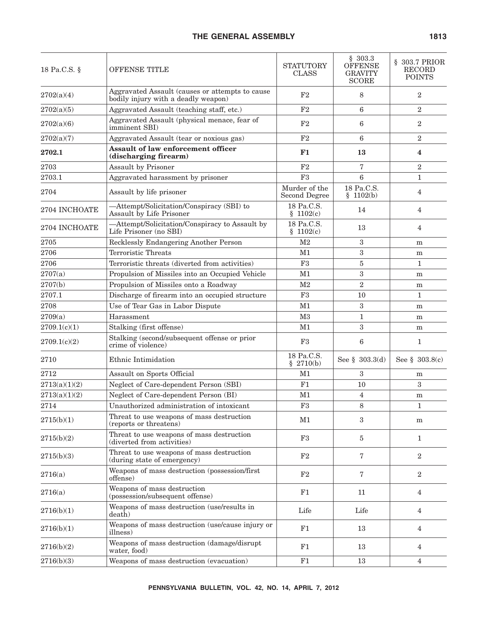#### THE GENERAL ASSEMBLY **1813**

| 18 Pa.C.S. §  | OFFENSE TITLE                                                                          | <b>STATUTORY</b><br><b>CLASS</b> | \$303.3<br>OFFENSE<br><b>GRAVITY</b><br><b>SCORE</b> | § 303.7 PRIOR<br><b>RECORD</b><br><b>POINTS</b> |
|---------------|----------------------------------------------------------------------------------------|----------------------------------|------------------------------------------------------|-------------------------------------------------|
| 2702(a)(4)    | Aggravated Assault (causes or attempts to cause<br>bodily injury with a deadly weapon) | F2                               | 8                                                    | $\boldsymbol{2}$                                |
| 2702(a)(5)    | Aggravated Assault (teaching staff, etc.)                                              | $\rm F2$                         | 6                                                    | $\boldsymbol{2}$                                |
| 2702(a)(6)    | Aggravated Assault (physical menace, fear of<br>imminent SBI)                          | F2                               | 6                                                    | $\overline{2}$                                  |
| 2702(a)(7)    | Aggravated Assault (tear or noxious gas)                                               | F2                               | 6                                                    | $\sqrt{2}$                                      |
| 2702.1        | <b>Assault of law enforcement officer</b><br>(discharging firearm)                     | F1                               | 13                                                   | $\overline{\mathbf{4}}$                         |
| 2703          | Assault by Prisoner                                                                    | F2                               | 7                                                    | $\sqrt{2}$                                      |
| 2703.1        | Aggravated harassment by prisoner                                                      | F3                               | 6                                                    | $\mathbf{1}$                                    |
| 2704          | Assault by life prisoner                                                               | Murder of the<br>Second Degree   | 18 Pa.C.S.<br>\$1102(b)                              | $\overline{4}$                                  |
| 2704 INCHOATE | -Attempt/Solicitation/Conspiracy (SBI) to<br>Assault by Life Prisoner                  | 18 Pa.C.S.<br>\$1102(c)          | 14                                                   | 4                                               |
| 2704 INCHOATE | -Attempt/Solicitation/Conspiracy to Assault by<br>Life Prisoner (no SBI)               | 18 Pa.C.S.<br>\$1102(c)          | 13                                                   | $\overline{4}$                                  |
| 2705          | Recklessly Endangering Another Person                                                  | M <sub>2</sub>                   | 3                                                    | m                                               |
| 2706          | Terroristic Threats                                                                    | M1                               | 3                                                    | m                                               |
| 2706          | Terroristic threats (diverted from activities)                                         | F3                               | $\overline{5}$                                       | $\mathbf{1}$                                    |
| 2707(a)       | Propulsion of Missiles into an Occupied Vehicle                                        | M1                               | 3                                                    | m                                               |
| 2707(b)       | Propulsion of Missiles onto a Roadway                                                  | M <sub>2</sub>                   | $\overline{2}$                                       | m                                               |
| 2707.1        | Discharge of firearm into an occupied structure                                        | F3                               | 10                                                   | $\mathbf{1}$                                    |
| 2708          | Use of Tear Gas in Labor Dispute                                                       | M1                               | 3                                                    | m                                               |
| 2709(a)       | Harassment                                                                             | M <sub>3</sub>                   | $\mathbf{1}$                                         | m                                               |
| 2709.1(c)(1)  | Stalking (first offense)                                                               | M1                               | 3                                                    | m                                               |
| 2709.1(c)(2)  | Stalking (second/subsequent offense or prior<br>crime of violence)                     | F3                               | 6                                                    | 1                                               |
| 2710          | Ethnic Intimidation                                                                    | 18 Pa.C.S.<br>\$2710(b)          | See $\S$ 303.3(d)                                    | See $$303.8(c)$                                 |
| 2712          | Assault on Sports Official                                                             | M1                               | 3                                                    | m                                               |
| 2713(a)(1)(2) | Neglect of Care-dependent Person (SBI)                                                 | F1                               | 10                                                   | 3                                               |
| 2713(a)(1)(2) | Neglect of Care-dependent Person (BI)                                                  | M1                               | 4                                                    | m                                               |
| $2714\,$      | Unauthorized administration of intoxicant                                              | F3                               | 8                                                    | $\mathbf{1}$                                    |
| 2715(b)(1)    | Threat to use weapons of mass destruction<br>(reports or threatens)                    | M1                               | 3                                                    | m                                               |
| 2715(b)(2)    | Threat to use weapons of mass destruction<br>(diverted from activities)                | F3                               | 5                                                    | $\mathbf{1}$                                    |
| 2715(b)(3)    | Threat to use weapons of mass destruction<br>(during state of emergency)               | F2                               | 7                                                    | 2                                               |
| 2716(a)       | Weapons of mass destruction (possession/first<br>offense)                              | F2                               | 7                                                    | 2                                               |
| 2716(a)       | Weapons of mass destruction<br>(possession/subsequent offense)                         | F1                               | 11                                                   | $\overline{4}$                                  |
| 2716(b)(1)    | Weapons of mass destruction (use/results in<br>death)                                  | Life                             | Life                                                 | $\overline{4}$                                  |
| 2716(b)(1)    | Weapons of mass destruction (use/cause injury or<br>illness)                           | F1                               | 13                                                   | 4                                               |
| 2716(b)(2)    | Weapons of mass destruction (damage/disrupt<br>water, food)                            | F1                               | 13                                                   | 4                                               |
| 2716(b)(3)    | Weapons of mass destruction (evacuation)                                               | F1                               | 13                                                   | $\overline{4}$                                  |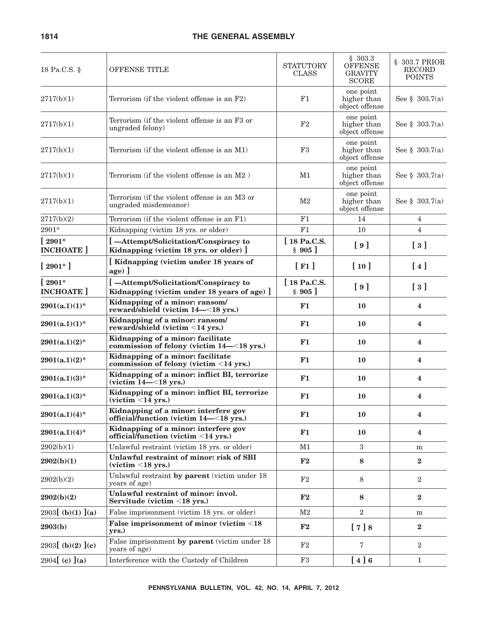| 18 Pa.C.S. §                      | <b>OFFENSE TITLE</b>                                                                | <b>STATUTORY</b><br><b>CLASS</b> | \$303.3<br><b>OFFENSE</b><br><b>GRAVITY</b><br><b>SCORE</b> | § 303.7 PRIOR<br>RECORD<br><b>POINTS</b>    |
|-----------------------------------|-------------------------------------------------------------------------------------|----------------------------------|-------------------------------------------------------------|---------------------------------------------|
| 2717(b)(1)                        | Terrorism (if the violent offense is an F2)                                         | F1                               | one point<br>higher than<br>object offense                  | See § 303.7(a)                              |
| 2717(b)(1)                        | Terrorism (if the violent offense is an F3 or<br>ungraded felony)                   | F <sub>2</sub>                   | one point<br>higher than<br>object offense                  | See $\S$ 303.7(a)                           |
| 2717(b)(1)                        | Terrorism (if the violent offense is an M1)                                         | F <sub>3</sub>                   | one point<br>higher than<br>object offense                  | See § $303.7(a)$                            |
| 2717(b)(1)                        | Terrorism (if the violent offense is an M2)                                         | M1                               | one point<br>higher than<br>object offense                  | See $\S$ 303.7(a)                           |
| 2717(b)(1)                        | Terrorism (if the violent offense is an M3 or<br>ungraded misdemeanor)              | M <sub>2</sub>                   | one point<br>higher than<br>object offense                  | See § $303.7(a)$                            |
| 2717(b)(2)                        | Terrorism (if the violent offense is an F1)                                         | F1                               | 14                                                          | $\overline{4}$                              |
| 2901*                             | Kidnapping (victim 18 yrs. or older)                                                | F1                               | 10                                                          | $\overline{4}$                              |
| $\lceil 2901*$<br><b>INCHOATE</b> | [-Attempt/Solicitation/Conspiracy to<br>Kidnapping (victim 18 yrs. or older) ]      | [ 18 Pa.C.S.<br>§ 905]           | [9]                                                         | $\lceil 3 \rceil$                           |
| $[2901*]$                         | [Kidnapping (victim under 18 years of<br>${age}$ ]                                  | $\lceil$ F1 $\rceil$             | [10]                                                        | $\lceil 4 \rceil$                           |
| $\lceil 2901*$<br><b>INCHOATE</b> | [-Attempt/Solicitation/Conspiracy to<br>Kidnapping (victim under 18 years of age) ] | [18 Pa.C.S.<br>§ 905]            | [9]                                                         | $\left[\begin{array}{c}3\end{array}\right]$ |
| $2901(a.1)(1)^*$                  | Kidnapping of a minor: ransom/<br>reward/shield (victim 14-<18 yrs.)                | F1                               | 10                                                          | 4                                           |
| $2901(a.1)(1)$ *                  | Kidnapping of a minor: ransom/<br>reward/shield (victim <14 yrs.)                   | F1                               | 10                                                          | 4                                           |
| $2901(a.1)(2)^*$                  | Kidnapping of a minor: facilitate<br>commission of felony (victim 14-<18 yrs.)      | F1                               | 10                                                          | $\overline{\mathbf{4}}$                     |
| $2901(a.1)(2)^*$                  | Kidnapping of a minor: facilitate<br>commission of felony (victim <14 yrs.)         | F1                               | 10                                                          | 4                                           |
| $2901(a.1)(3)*$                   | Kidnapping of a minor: inflict BI, terrorize<br>(victim $14-<18$ yrs.)              | F1                               | 10                                                          | 4                                           |
| $2901(a.1)(3)^*$                  | Kidnapping of a minor: inflict BI, terrorize<br>$(victim < 14 \text{ yrs.})$        | F1                               | 10                                                          | $\overline{\mathbf{4}}$                     |
| $2901(a.1)(4)$ *                  | Kidnapping of a minor: interfere gov<br>official/function (victim 14-<18 yrs.)      | F1                               | 10                                                          | 4                                           |
| $2901(a.1)(4)^*$                  | Kidnapping of a minor: interfere gov<br>official/function (victim $\leq$ 14 yrs.)   | F1                               | 10                                                          | 4                                           |
| 2902(b)(1)                        | Unlawful restraint (victim 18 yrs. or older)                                        | M1                               | $\overline{3}$                                              | m                                           |
| 2902(b)(1)                        | Unlawful restraint of minor: risk of SBI<br>$(victim < 18$ yrs.)                    | F2                               | 8                                                           | $\bf{2}$                                    |
| 2902(b)(2)                        | Unlawful restraint by parent (victim under 18<br>years of age)                      | F2                               | 8                                                           | $\overline{2}$                              |
| 2902(b)(2)                        | Unlawful restraint of minor: invol.<br>Servitude (victim <18 yrs.)                  | F2                               | 8                                                           | $\bf{2}$                                    |
| 2903 $[$ (b)(1) $]$ (a)           | False imprisonment (victim 18 yrs. or older)                                        | M <sub>2</sub>                   | $\overline{2}$                                              | m                                           |
| 2903(b)                           | False imprisonment of minor (victim <18<br>yrs.)                                    | ${\bf F2}$                       | [7]8                                                        | $\bf{2}$                                    |
| 2903 $[$ (b)(2) $]$ (c)           | False imprisonment by parent (victim under 18<br>years of age)                      | F2                               | 7                                                           | $\overline{2}$                              |
| 2904 $[ (c) ] (a)$                | Interference with the Custody of Children                                           | F3                               | [4]6                                                        | $\mathbf{1}$                                |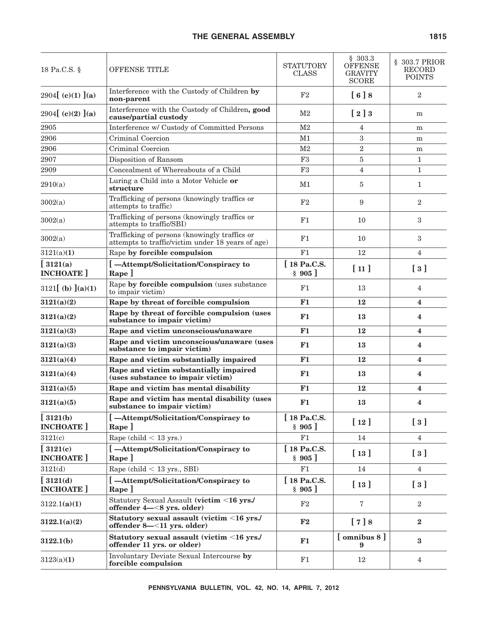| 18 Pa.C.S. §                      | OFFENSE TITLE                                                                                      | <b>STATUTORY</b><br><b>CLASS</b> | \$303.3<br><b>OFFENSE</b><br><b>GRAVITY</b><br><b>SCORE</b> | § 303.7 PRIOR<br><b>RECORD</b><br><b>POINTS</b> |
|-----------------------------------|----------------------------------------------------------------------------------------------------|----------------------------------|-------------------------------------------------------------|-------------------------------------------------|
| 2904 $[ (c)(1) ] (a)$             | Interference with the Custody of Children by<br>non-parent                                         | $\rm F2$                         | [6]8                                                        | $\overline{2}$                                  |
| 2904 (c)(2) $(a)$                 | Interference with the Custody of Children, good<br>cause/partial custody                           | M <sub>2</sub>                   | $\left[\begin{array}{c} 2 \end{array}\right]$               | m                                               |
| 2905                              | Interference w/ Custody of Committed Persons                                                       | M <sub>2</sub>                   | 4                                                           | m                                               |
| 2906                              | Criminal Coercion                                                                                  | M1                               | 3                                                           | m                                               |
| 2906                              | Criminal Coercion                                                                                  | M <sub>2</sub>                   | $\sqrt{2}$                                                  | m                                               |
| 2907                              | Disposition of Ransom                                                                              | F3                               | $\bf 5$                                                     | $\mathbf{1}$                                    |
| 2909                              | Concealment of Whereabouts of a Child                                                              | F <sub>3</sub>                   | 4                                                           | $\mathbf{1}$                                    |
| 2910(a)                           | Luring a Child into a Motor Vehicle or<br>structure                                                | M1                               | 5                                                           | 1                                               |
| 3002(a)                           | Trafficking of persons (knowingly traffics or<br>attempts to traffic)                              | F <sub>2</sub>                   | 9                                                           | $\overline{2}$                                  |
| 3002(a)                           | Trafficking of persons (knowingly traffics or<br>attempts to traffic/SBI)                          | F1                               | 10                                                          | 3                                               |
| 3002(a)                           | Trafficking of persons (knowingly traffics or<br>attempts to traffic/victim under 18 years of age) | F1                               | 10                                                          | 3                                               |
| 3121(a)(1)                        | Rape by forcible compulsion                                                                        | F1                               | 12                                                          | $\overline{4}$                                  |
| $\int$ 3121(a)<br><b>INCHOATE</b> | [-Attempt/Solicitation/Conspiracy to<br>$\mathbf{Rape}$                                            | [18 Pa.C.S.<br>§ 905]            | [11]                                                        | $\left[\begin{array}{c}3\end{array}\right]$     |
| $3121$ [ (b) ](a)(1)              | Rape by forcible compulsion (uses substance<br>to impair victim)                                   | F1                               | 13                                                          | 4                                               |
| 3121(a)(2)                        | Rape by threat of forcible compulsion                                                              | F1                               | 12                                                          | 4                                               |
| 3121(a)(2)                        | Rape by threat of forcible compulsion (uses<br>substance to impair victim)                         | F1                               | 13                                                          | 4                                               |
| 3121(a)(3)                        | Rape and victim unconscious/unaware                                                                | F1                               | 12                                                          | 4                                               |
| 3121(a)(3)                        | Rape and victim unconscious/unaware (uses<br>substance to impair victim)                           | F1                               | 13                                                          | 4                                               |
| 3121(a)(4)                        | Rape and victim substantially impaired                                                             | F1                               | 12                                                          | 4                                               |
| 3121(a)(4)                        | Rape and victim substantially impaired<br>(uses substance to impair victim)                        | F1                               | 13                                                          | 4                                               |
| 3121(a)(5)                        | Rape and victim has mental disability                                                              | F1                               | 12                                                          | 4                                               |
| 3121(a)(5)                        | Rape and victim has mental disability (uses<br>substance to impair victim)                         | F1                               | 13                                                          | 4                                               |
| $[3121(b)$<br><b>INCHOATE</b>     | [-Attempt/Solicitation/Conspiracy to<br>Rape ]                                                     | [ 18 Pa.C.S.<br>§ 905]           | [12]                                                        | $\left[\begin{array}{c}3\end{array}\right]$     |
| 3121(c)                           | Rape (child $<$ 13 yrs.)                                                                           | F1                               | 14                                                          | $\overline{4}$                                  |
| $[3121(c)$<br><b>INCHOATE</b>     | [-Attempt/Solicitation/Conspiracy to<br>Rape ]                                                     | [18 Pa.C.S.<br>\$905]            | [13]                                                        | $\left[\begin{array}{c}3\end{array}\right]$     |
| 3121(d)                           | Rape (child $<$ 13 yrs., SBI)                                                                      | F1                               | 14                                                          | $\overline{4}$                                  |
| $[3121(d)$                        | [-Attempt/Solicitation/Conspiracy to                                                               | [18 Pa.C.S.                      |                                                             |                                                 |
| <b>INCHOATE</b>                   | Rape ]                                                                                             | \$905]                           | [13]                                                        | $\left[\begin{array}{c}3\end{array}\right]$     |
| 3122.1(a)(1)                      | Statutory Sexual Assault (victim <16 yrs./<br>offender 4-<8 yrs. older)                            | F2                               | 7                                                           | $\overline{2}$                                  |
| 3122.1(a)(2)                      | Statutory sexual assault (victim <16 yrs./<br>offender 8-<11 yrs. older)                           | F <sub>2</sub>                   | [7]8                                                        | $\bf{2}$                                        |
| 3122.1(b)                         | Statutory sexual assault (victim <16 yrs./<br>offender 11 yrs. or older)                           | F1                               | [omnibus 8]<br>9                                            | $\bf{3}$                                        |
| 3123(a)(1)                        | Involuntary Deviate Sexual Intercourse by<br>forcible compulsion                                   | F1                               | 12                                                          | $\overline{4}$                                  |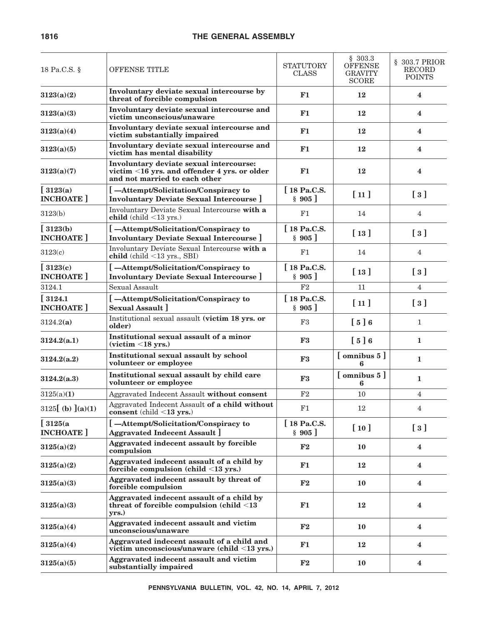| 18 Pa.C.S. §                      | OFFENSE TITLE                                                                                                            | <b>STATUTORY</b><br><b>CLASS</b> | \$303.3<br><b>OFFENSE</b><br><b>GRAVITY</b><br><b>SCORE</b> | § 303.7 PRIOR<br><b>RECORD</b><br><b>POINTS</b> |
|-----------------------------------|--------------------------------------------------------------------------------------------------------------------------|----------------------------------|-------------------------------------------------------------|-------------------------------------------------|
| 3123(a)(2)                        | Involuntary deviate sexual intercourse by<br>threat of forcible compulsion                                               | F1                               | 12                                                          | $\overline{\mathbf{4}}$                         |
| 3123(a)(3)                        | Involuntary deviate sexual intercourse and<br>victim unconscious/unaware                                                 | F1                               | 12                                                          | $\overline{\mathbf{4}}$                         |
| 3123(a)(4)                        | Involuntary deviate sexual intercourse and<br>victim substantially impaired                                              | F1                               | 12                                                          | $\overline{\mathbf{4}}$                         |
| 3123(a)(5)                        | Involuntary deviate sexual intercourse and<br>victim has mental disability                                               | F1                               | 12                                                          | $\overline{\mathbf{4}}$                         |
| 3123(a)(7)                        | Involuntary deviate sexual intercourse:<br>victim <16 yrs. and offender 4 yrs. or older<br>and not married to each other | F1                               | 12                                                          | $\overline{\mathbf{4}}$                         |
| $\int$ 3123(a)                    | -Attempt/Solicitation/Conspiracy to                                                                                      | [18 Pa.C.S.                      | [11]                                                        | $\left[\begin{array}{c}3\end{array}\right]$     |
| <b>INCHOATE</b>                   | <b>Involuntary Deviate Sexual Intercourse</b> ]                                                                          | $\S$ 905                         |                                                             |                                                 |
| 3123(b)                           | Involuntary Deviate Sexual Intercourse with a<br>child (child $\leq$ 13 yrs.)                                            | F1                               | 14                                                          | $\overline{4}$                                  |
| $\int$ 3123(b)<br><b>INCHOATE</b> | [-Attempt/Solicitation/Conspiracy to<br><b>Involuntary Deviate Sexual Intercourse</b> ]                                  | [18 Pa.C.S.<br>$\S$ 905          | $\lceil 13 \rceil$                                          | $\left[\begin{array}{c}3\end{array}\right]$     |
| 3123(c)                           | Involuntary Deviate Sexual Intercourse with a<br>child (child <13 yrs., SBI)                                             | F1                               | 14                                                          | $\overline{4}$                                  |
| $\int$ 3123(c)<br><b>INCHOATE</b> | [-Attempt/Solicitation/Conspiracy to<br><b>Involuntary Deviate Sexual Intercourse</b>                                    | [18 Pa.C.S.<br>§ 905]            | $\lceil 13 \rceil$                                          | $\left[\begin{array}{c}3\end{array}\right]$     |
| 3124.1                            | Sexual Assault                                                                                                           | F2                               | 11                                                          | $\overline{4}$                                  |
| [3124.1]                          | [-Attempt/Solicitation/Conspiracy to                                                                                     | [18 Pa.C.S.                      |                                                             |                                                 |
| <b>INCHOATE</b>                   | <b>Sexual Assault 1</b>                                                                                                  | § 905]                           | [11]                                                        | $\lceil 3 \rceil$                               |
| 3124.2(a)                         | Institutional sexual assault (victim 18 yrs. or<br>older)                                                                | F3                               | $\begin{bmatrix} 5 \end{bmatrix}$ 6                         | $\mathbf{1}$                                    |
| 3124.2(a.1)                       | Institutional sexual assault of a minor<br>$(victim < 18$ yrs.)                                                          | F3                               | $\begin{bmatrix} 5 \end{bmatrix}$ 6                         | $\mathbf{1}$                                    |
| 3124.2(a.2)                       | Institutional sexual assault by school<br>volunteer or employee                                                          | F3                               | [omnibus 5]<br>6                                            | $\mathbf{1}$                                    |
| 3124.2(a.3)                       | Institutional sexual assault by child care<br>volunteer or employee                                                      | F3                               | $[$ omnibus $5]$<br>6                                       | 1                                               |
| 3125(a)(1)                        | Aggravated Indecent Assault without consent                                                                              | F2                               | 10                                                          | $\overline{4}$                                  |
| 3125 $[$ (b) $]$ (a)(1)           | Aggravated Indecent Assault of a child without<br>consent (child $\langle 13 \rangle$ yrs.)                              | F1                               | 12                                                          | 4                                               |
| [3125(a<br><b>INCHOATE</b>        | [-Attempt/Solicitation/Conspiracy to<br><b>Aggravated Indecent Assault</b> ]                                             | [18 Pa.C.S.<br>§ 905]            | [10]                                                        | $\left[\begin{array}{c}3\end{array}\right]$     |
| 3125(a)(2)                        | Aggravated indecent assault by forcible<br>compulsion                                                                    | ${\bf F2}$                       | 10                                                          | 4                                               |
| 3125(a)(2)                        | Aggravated indecent assault of a child by<br>forcible compulsion (child $\leq$ 13 yrs.)                                  | F1                               | 12                                                          | $\overline{\mathbf{4}}$                         |
| 3125(a)(3)                        | Aggravated indecent assault by threat of<br>forcible compulsion                                                          | $\mathbf{F2}$                    | 10                                                          | $\overline{\mathbf{4}}$                         |
| 3125(a)(3)                        | Aggravated indecent assault of a child by<br>threat of forcible compulsion (child $\leq$ 13<br>yrs.)                     | F1                               | 12                                                          | $\overline{\mathbf{4}}$                         |
| 3125(a)(4)                        | Aggravated indecent assault and victim<br>unconscious/unaware                                                            | F2                               | 10                                                          | $\overline{\mathbf{4}}$                         |
| 3125(a)(4)                        | Aggravated indecent assault of a child and<br>victim unconscious/unaware (child <13 yrs.)                                | F1                               | 12                                                          | $\overline{\mathbf{4}}$                         |
| 3125(a)(5)                        | Aggravated indecent assault and victim<br>substantially impaired                                                         | ${\bf F2}$                       | 10                                                          | $\overline{\mathbf{4}}$                         |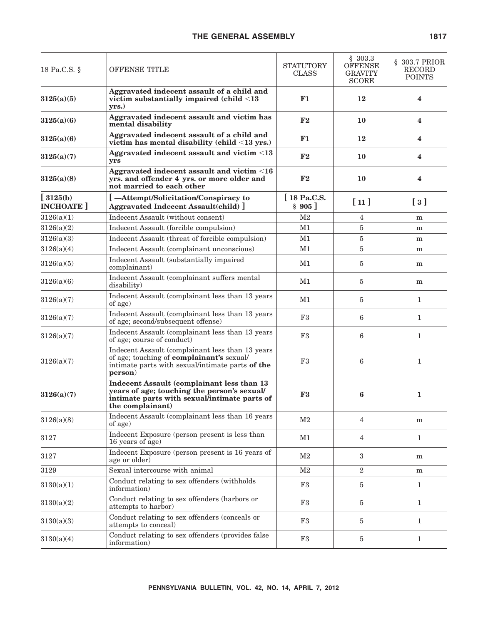| 18 Pa.C.S. §                  | OFFENSE TITLE                                                                                                                                                 | <b>STATUTORY</b><br><b>CLASS</b> | \$303.3<br><b>OFFENSE</b><br><b>GRAVITY</b><br><b>SCORE</b> | § 303.7 PRIOR<br><b>RECORD</b><br><b>POINTS</b> |
|-------------------------------|---------------------------------------------------------------------------------------------------------------------------------------------------------------|----------------------------------|-------------------------------------------------------------|-------------------------------------------------|
| 3125(a)(5)                    | Aggravated indecent assault of a child and<br>victim substantially impaired (child $\leq$ 13<br>yrs.)                                                         | F1                               | 12                                                          | 4                                               |
| 3125(a)(6)                    | Aggravated indecent assault and victim has<br>mental disability                                                                                               | F2                               | 10                                                          | $\overline{\mathbf{4}}$                         |
| 3125(a)(6)                    | Aggravated indecent assault of a child and<br>victim has mental disability (child $\leq$ 13 yrs.)                                                             | F1                               | 12                                                          | $\overline{\mathbf{4}}$                         |
| 3125(a)(7)                    | Aggravated indecent assault and victim <13<br>yrs                                                                                                             | F2                               | 10                                                          | $\overline{\mathbf{4}}$                         |
| 3125(a)(8)                    | Aggravated indecent assault and victim <16<br>yrs. and offender 4 yrs. or more older and<br>not married to each other                                         | F2                               | 10                                                          | $\overline{\mathbf{4}}$                         |
| $[3125(b)$<br><b>INCHOATE</b> | [-Attempt/Solicitation/Conspiracy to<br><b>Aggravated Indecent Assault(child)</b> ]                                                                           | [18 Pa.C.S.<br>§ 905]            | [11]                                                        | $\left[\begin{array}{c}3\end{array}\right]$     |
| 3126(a)(1)                    | Indecent Assault (without consent)                                                                                                                            | M <sub>2</sub>                   | 4                                                           | m                                               |
| 3126(a)(2)                    | Indecent Assault (forcible compulsion)                                                                                                                        | M1                               | 5                                                           | m                                               |
| 3126(a)(3)                    | Indecent Assault (threat of forcible compulsion)                                                                                                              | M1                               | 5                                                           | m                                               |
| 3126(a)(4)                    | Indecent Assault (complainant unconscious)                                                                                                                    | M1                               | 5                                                           | m                                               |
| 3126(a)(5)                    | Indecent Assault (substantially impaired<br>complainant)                                                                                                      | M1                               | 5                                                           | m                                               |
| 3126(a)(6)                    | Indecent Assault (complainant suffers mental<br>disability)                                                                                                   | M1                               | 5                                                           | m                                               |
| 3126(a)(7)                    | Indecent Assault (complainant less than 13 years<br>of age)                                                                                                   | M1                               | 5                                                           | $\mathbf{1}$                                    |
| 3126(a)(7)                    | Indecent Assault (complainant less than 13 years<br>of age; second/subsequent offense)                                                                        | F <sub>3</sub>                   | 6                                                           | $\mathbf{1}$                                    |
| 3126(a)(7)                    | Indecent Assault (complainant less than 13 years<br>of age; course of conduct)                                                                                | F3                               | 6                                                           | $\mathbf{1}$                                    |
| 3126(a)(7)                    | Indecent Assault (complainant less than 13 years<br>of age; touching of complainant's sexual/<br>intimate parts with sexual/intimate parts of the<br>person)  | F3                               | 6                                                           | $\mathbf{1}$                                    |
| 3126(a)(7)                    | Indecent Assault (complainant less than 13<br>years of age; touching the person's sexual/<br>intimate parts with sexual/intimate parts of<br>the complainant) | F3                               | 6                                                           | $\mathbf{1}$                                    |
| 3126(a)(8)                    | Indecent Assault (complainant less than 16 years<br>of age)                                                                                                   | M2                               | 4                                                           | m                                               |
| 3127                          | Indecent Exposure (person present is less than<br>16 years of age)                                                                                            | M1                               | 4                                                           | $\mathbf{1}$                                    |
| 3127                          | Indecent Exposure (person present is 16 years of<br>age or older)                                                                                             | M <sub>2</sub>                   | 3                                                           | m                                               |
| 3129                          | Sexual intercourse with animal                                                                                                                                | M <sub>2</sub>                   | 2                                                           | m                                               |
| 3130(a)(1)                    | Conduct relating to sex offenders (withholds<br>information)                                                                                                  | F3                               | 5                                                           | $\mathbf{1}$                                    |
| 3130(a)(2)                    | Conduct relating to sex offenders (harbors or<br>attempts to harbor)                                                                                          | F3                               | $\overline{5}$                                              | $\mathbf{1}$                                    |
| 3130(a)(3)                    | Conduct relating to sex offenders (conceals or<br>attempts to conceal)                                                                                        | F3                               | $\overline{5}$                                              | $\mathbf{1}$                                    |
| 3130(a)(4)                    | Conduct relating to sex offenders (provides false<br>information)                                                                                             | F3                               | $\overline{5}$                                              | $\mathbf{1}$                                    |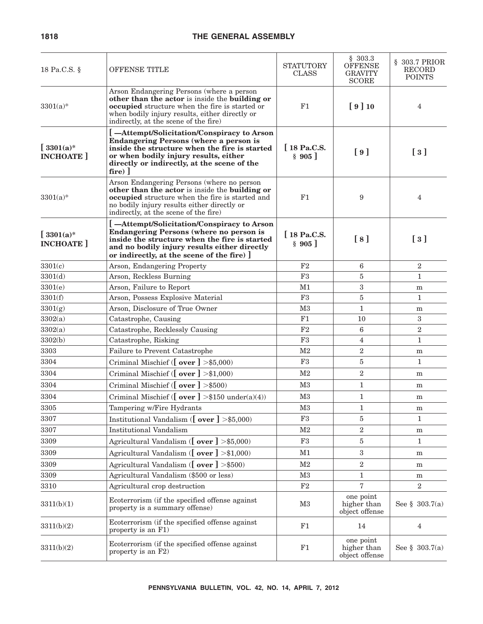| 18 Pa.C.S. §                    | OFFENSE TITLE                                                                                                                                                                                                                                     | STATUTORY<br><b>CLASS</b> | \$303.3<br><b>OFFENSE</b><br><b>GRAVITY</b><br><b>SCORE</b> | § 303.7 PRIOR<br><b>RECORD</b><br><b>POINTS</b> |
|---------------------------------|---------------------------------------------------------------------------------------------------------------------------------------------------------------------------------------------------------------------------------------------------|---------------------------|-------------------------------------------------------------|-------------------------------------------------|
| $3301(a)*$                      | Arson Endangering Persons (where a person<br>other than the actor is inside the building or<br>occupied structure when the fire is started or<br>when bodily injury results, either directly or<br>indirectly, at the scene of the fire)          | F1                        | [9]10                                                       | $\overline{4}$                                  |
| $[3301(a)*]$<br><b>INCHOATE</b> | [-Attempt/Solicitation/Conspiracy to Arson<br><b>Endangering Persons (where a person is</b><br>inside the structure when the fire is started<br>or when bodily injury results, either<br>directly or indirectly, at the scene of the<br>$fire)$ ] | [18 Pa.C.S.<br>§ 905]     | [9]                                                         | $\left[\begin{array}{c}3\end{array}\right]$     |
| $3301(a)*$                      | Arson Endangering Persons (where no person<br>other than the actor is inside the building or<br>occupied structure when the fire is started and<br>no bodily injury results either directly or<br>indirectly, at the scene of the fire)           | F1                        | 9                                                           | 4                                               |
| $[3301(a)*]$<br><b>INCHOATE</b> | [-Attempt/Solicitation/Conspiracy to Arson<br><b>Endangering Persons (where no person is</b><br>inside the structure when the fire is started<br>and no bodily injury results either directly<br>or indirectly, at the scene of the fire) ]       | [18 Pa.C.S.<br>§ 905]     | [8]                                                         | $\left[\begin{array}{c}3\end{array}\right]$     |
| 3301(c)                         | Arson, Endangering Property                                                                                                                                                                                                                       | F2                        | 6                                                           | $\overline{2}$                                  |
| 3301(d)                         | Arson, Reckless Burning                                                                                                                                                                                                                           | F <sub>3</sub>            | 5                                                           | $\mathbf{1}$                                    |
| 3301(e)                         | Arson, Failure to Report                                                                                                                                                                                                                          | M1                        | 3                                                           | m                                               |
| 3301(f)                         | Arson, Possess Explosive Material                                                                                                                                                                                                                 | F <sub>3</sub>            | 5                                                           | $\mathbf{1}$                                    |
| 3301(g)                         | Arson, Disclosure of True Owner                                                                                                                                                                                                                   | M <sub>3</sub>            | $\mathbf{1}$                                                | m                                               |
| 3302(a)                         | Catastrophe, Causing                                                                                                                                                                                                                              | F1                        | 10                                                          | $\sqrt{3}$                                      |
| 3302(a)                         | Catastrophe, Recklessly Causing                                                                                                                                                                                                                   | F <sub>2</sub>            | 6                                                           | $\boldsymbol{2}$                                |
| 3302(b)                         | Catastrophe, Risking                                                                                                                                                                                                                              | F3                        | $\overline{4}$                                              | $\mathbf{1}$                                    |
| 3303                            | Failure to Prevent Catastrophe                                                                                                                                                                                                                    | M <sub>2</sub>            | $\overline{2}$                                              | m                                               |
| 3304                            | Criminal Mischief ( $\lfloor$ over $\rfloor$ >\$5,000)                                                                                                                                                                                            | F3                        | 5                                                           | 1                                               |
| 3304                            | Criminal Mischief ( $\lceil$ over $\rceil$ >\$1,000)                                                                                                                                                                                              | M <sub>2</sub>            | $\boldsymbol{2}$                                            | m                                               |
| 3304                            | Criminal Mischief ( $\lfloor$ over $\rfloor$ >\$500)                                                                                                                                                                                              | M <sub>3</sub>            | $\mathbf{1}$                                                | m                                               |
| 3304                            | Criminal Mischief ( $\lceil$ over $\rceil$ >\$150 under(a)(4))                                                                                                                                                                                    | M <sub>3</sub>            | 1                                                           | m                                               |
| 3305                            | Tampering w/Fire Hydrants                                                                                                                                                                                                                         | $\rm M3$                  | $\mathbf 1$                                                 | m                                               |
| 3307                            | Institutional Vandalism ( $\lfloor$ over $\rfloor$ >\$5,000)                                                                                                                                                                                      | F3                        | 5                                                           | 1                                               |
| 3307                            | <b>Institutional Vandalism</b>                                                                                                                                                                                                                    | $\rm M2$                  | $\overline{2}$                                              | m                                               |
| 3309                            | Agricultural Vandalism ( $\sigma$ ver $] > $5,000$ )                                                                                                                                                                                              | F3                        | 5                                                           | $\mathbf{1}$                                    |
| 3309                            | Agricultural Vandalism ([ over ] >\$1,000)                                                                                                                                                                                                        | M1                        | 3                                                           | m                                               |
| 3309                            | Agricultural Vandalism ( $\lfloor$ over $\rfloor$ >\$500)                                                                                                                                                                                         | M <sub>2</sub>            | $\overline{2}$                                              | m                                               |
| 3309                            | Agricultural Vandalism (\$500 or less)                                                                                                                                                                                                            | M3                        | 1                                                           | m                                               |
| 3310                            | Agricultural crop destruction                                                                                                                                                                                                                     | $\rm F2$                  | $\overline{7}$                                              | $\boldsymbol{2}$                                |
| 3311(b)(1)                      | Ecoterrorism (if the specified offense against<br>property is a summary offense)                                                                                                                                                                  | M3                        | one point<br>higher than<br>object offense                  | See $\S$ 303.7(a)                               |
| 3311(b)(2)                      | Ecoterrorism (if the specified offense against<br>property is an F1)                                                                                                                                                                              | F1                        | 14                                                          | $\overline{4}$                                  |
| 3311(b)(2)                      | Ecoterrorism (if the specified offense against<br>property is an F2)                                                                                                                                                                              | F1                        | one point<br>higher than<br>object offense                  | See $\S$ 303.7(a)                               |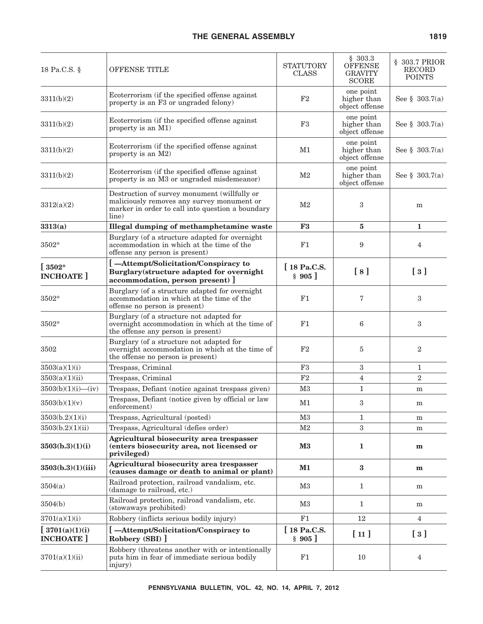| 18 Pa.C.S. §                                         | OFFENSE TITLE                                                                                                                                           | <b>STATUTORY</b><br><b>CLASS</b> | \$303.3<br><b>OFFENSE</b><br><b>GRAVITY</b><br><b>SCORE</b> | § 303.7 PRIOR<br><b>RECORD</b><br><b>POINTS</b> |
|------------------------------------------------------|---------------------------------------------------------------------------------------------------------------------------------------------------------|----------------------------------|-------------------------------------------------------------|-------------------------------------------------|
| 3311(b)(2)                                           | Ecoterrorism (if the specified offense against<br>property is an F3 or ungraded felony)                                                                 | F <sub>2</sub>                   | one point<br>higher than<br>object offense                  | See § $303.7(a)$                                |
| 3311(b)(2)                                           | Ecoterrorism (if the specified offense against<br>property is an M1)                                                                                    | F3                               | one point<br>higher than<br>object offense                  | See $\S$ 303.7(a)                               |
| 3311(b)(2)                                           | Ecoterrorism (if the specified offense against<br>property is an M2)                                                                                    | M1                               | one point<br>higher than<br>object offense                  | See § 303.7(a)                                  |
| 3311(b)(2)                                           | Ecoterrorism (if the specified offense against<br>property is an M3 or ungraded misdemeanor)                                                            | M <sub>2</sub>                   | one point<br>higher than<br>object offense                  | See § $303.7(a)$                                |
| 3312(a)(2)                                           | Destruction of survey monument (willfully or<br>maliciously removes any survey monument or<br>marker in order to call into question a boundary<br>line) | M <sub>2</sub>                   | 3                                                           | m                                               |
| 3313(a)                                              | Illegal dumping of methamphetamine waste                                                                                                                | F <sub>3</sub>                   | 5                                                           | 1                                               |
| 3502*                                                | Burglary (of a structure adapted for overnight<br>accommodation in which at the time of the<br>offense any person is present)                           | F1                               | 9                                                           | 4                                               |
| $\left[\right.3502^{\ast}\right.$<br><b>INCHOATE</b> | -Attempt/Solicitation/Conspiracy to<br>Burglary(structure adapted for overnight<br>accommodation, person present)                                       | [18 Pa.C.S.<br>§ 905]            | [8]                                                         | $\left[\begin{array}{c}3\end{array}\right]$     |
| $3502*$                                              | Burglary (of a structure adapted for overnight<br>accommodation in which at the time of the<br>offense no person is present)                            | F1                               | 7                                                           | 3                                               |
| 3502*                                                | Burglary (of a structure not adapted for<br>overnight accommodation in which at the time of<br>the offense any person is present)                       | F1                               | 6                                                           | 3                                               |
| 3502                                                 | Burglary (of a structure not adapted for<br>overnight accommodation in which at the time of<br>the offense no person is present)                        | F <sub>2</sub>                   | 5                                                           | $\overline{2}$                                  |
| 3503(a)(1)(i)                                        | Trespass, Criminal                                                                                                                                      | F3                               | 3                                                           | 1                                               |
| 3503(a)(1)(ii)                                       | Trespass, Criminal                                                                                                                                      | F <sub>2</sub>                   | $\overline{4}$                                              | $\overline{2}$                                  |
| $3503(b)(1)(i)$ —(iv)                                | Trespass, Defiant (notice against trespass given)                                                                                                       | M <sub>3</sub>                   | 1                                                           | m                                               |
| 3503(b)(1)(v)                                        | Trespass, Defiant (notice given by official or law<br>enforcement)                                                                                      | M1                               | 3                                                           | m                                               |
| 3503(b.2)(1)(i)                                      | Trespass, Agricultural (posted)                                                                                                                         | M3                               | $\mathbf{1}$                                                | m                                               |
| 3503(b.2)(1)(ii)                                     | Trespass, Agricultural (defies order)                                                                                                                   | M <sub>2</sub>                   | $\boldsymbol{3}$                                            | m                                               |
| 3503(b.3)(1)(i)                                      | Agricultural biosecurity area trespasser<br>(enters biosecurity area, not licensed or<br>privileged)                                                    | $\mathbf{M}3$                    | 1                                                           | m                                               |
| 3503(b.3)(1)(iii)                                    | Agricultural biosecurity area trespasser<br>(causes damage or death to animal or plant)                                                                 | M1                               | $\bf{3}$                                                    | $\mathbf{m}$                                    |
| 3504(a)                                              | Railroad protection, railroad vandalism, etc.<br>(damage to railroad, etc.)                                                                             | M3                               | $\mathbf{1}$                                                | m                                               |
| 3504(b)                                              | Railroad protection, railroad vandalism, etc.<br>(stowaways prohibited)                                                                                 | $^{\rm M3}$                      | 1                                                           | m                                               |
| 3701(a)(1)(i)                                        | Robbery (inflicts serious bodily injury)                                                                                                                | F1                               | 12                                                          | 4                                               |
| [3701(a)(1)(i)]<br><b>INCHOATE</b>                   | [-Attempt/Solicitation/Conspiracy to<br>Robbery (SBI) ]                                                                                                 | [18 Pa.C.S.<br>§ 905]            | [11]                                                        | $\left[\begin{array}{c}3\end{array}\right]$     |
| 3701(a)(1)(ii)                                       | Robbery (threatens another with or intentionally<br>puts him in fear of immediate serious bodily<br>injury)                                             | F1                               | 10                                                          | 4                                               |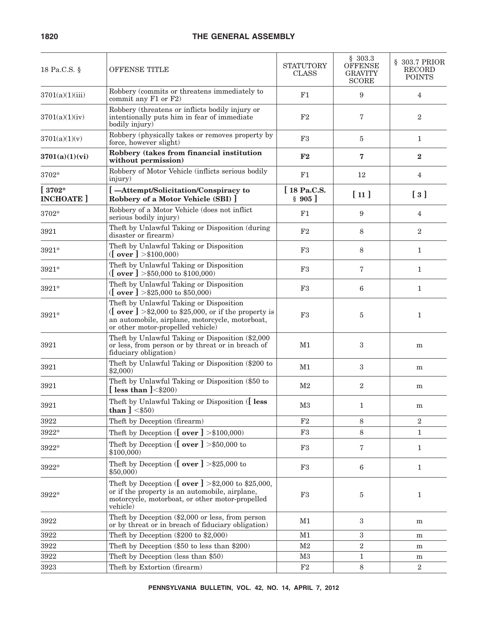| 18 Pa.C.S. §                | OFFENSE TITLE                                                                                                                                                                                                                          | <b>STATUTORY</b><br><b>CLASS</b> | \$303.3<br><b>OFFENSE</b><br><b>GRAVITY</b><br><b>SCORE</b> | § 303.7 PRIOR<br>RECORD<br><b>POINTS</b>    |
|-----------------------------|----------------------------------------------------------------------------------------------------------------------------------------------------------------------------------------------------------------------------------------|----------------------------------|-------------------------------------------------------------|---------------------------------------------|
| 3701(a)(1)(iii)             | Robbery (commits or threatens immediately to<br>commit any F1 or F2)                                                                                                                                                                   | F1                               | 9                                                           | $\overline{4}$                              |
| 3701(a)(1)(iv)              | Robbery (threatens or inflicts bodily injury or<br>intentionally puts him in fear of immediate<br>bodily injury)                                                                                                                       | F <sub>2</sub>                   | 7                                                           | $\overline{2}$                              |
| 3701(a)(1)(v)               | Robbery (physically takes or removes property by<br>force, however slight)                                                                                                                                                             | F3                               | 5                                                           | $\mathbf{1}$                                |
| 3701(a)(1)(vi)              | Robbery (takes from financial institution<br>without permission)                                                                                                                                                                       | F2                               | 7                                                           | $\bf{2}$                                    |
| 3702*                       | Robbery of Motor Vehicle (inflicts serious bodily<br>injury)                                                                                                                                                                           | F1                               | 12                                                          | $\overline{4}$                              |
| $[3702*$<br><b>INCHOATE</b> | [-Attempt/Solicitation/Conspiracy to<br>Robbery of a Motor Vehicle (SBI) ]                                                                                                                                                             | [18 Pa.C.S.<br>§ 905]            | [11]                                                        | $\left[\begin{array}{c}3\end{array}\right]$ |
| 3702*                       | Robbery of a Motor Vehicle (does not inflict<br>serious bodily injury)                                                                                                                                                                 | F1                               | 9                                                           | $\overline{4}$                              |
| 3921                        | Theft by Unlawful Taking or Disposition (during<br>disaster or firearm)                                                                                                                                                                | F <sub>2</sub>                   | 8                                                           | $\overline{2}$                              |
| 3921*                       | Theft by Unlawful Taking or Disposition<br>([over] > \$100,000)                                                                                                                                                                        | F3                               | 8                                                           | $\mathbf{1}$                                |
| 3921*                       | Theft by Unlawful Taking or Disposition<br>([over] > $\$50,000$ to $\$100,000$ )                                                                                                                                                       | F3                               | 7                                                           | $\mathbf{1}$                                |
| 3921*                       | Theft by Unlawful Taking or Disposition<br>([over ] > $\$25,000$ to $\$50,000$ )                                                                                                                                                       | F <sub>3</sub>                   | 6                                                           | $\mathbf{1}$                                |
| $3921*$                     | Theft by Unlawful Taking or Disposition<br>$\left(\begin{array}{c}\mathbf{over}\end{array}\right) > $2,000$ to \$25,000, or if the property is<br>an automobile, airplane, motorcycle, motorboat,<br>or other motor-propelled vehicle) | F3                               | 5                                                           | $\mathbf{1}$                                |
| 3921                        | Theft by Unlawful Taking or Disposition (\$2,000<br>or less, from person or by threat or in breach of<br>fiduciary obligation)                                                                                                         | M1                               | 3                                                           | m                                           |
| 3921                        | Theft by Unlawful Taking or Disposition (\$200 to<br>\$2,000                                                                                                                                                                           | M1                               | 3                                                           | m                                           |
| 3921                        | Theft by Unlawful Taking or Disposition (\$50 to<br>[ less than $\vert$ < \$200)                                                                                                                                                       | $\rm M2$                         | $\overline{2}$                                              | m                                           |
| 3921                        | Theft by Unlawful Taking or Disposition ([ less<br>than $\vert$ <\$50)                                                                                                                                                                 | M3                               | $\mathbf{1}$                                                | m                                           |
| 3922                        | Theft by Deception (firearm)                                                                                                                                                                                                           | F2                               | 8                                                           | $\overline{2}$                              |
| 3922*                       | Theft by Deception ( $\left[\right. \text{over } \right] > $100,000$ )                                                                                                                                                                 | F3                               | 8                                                           | $\mathbf{1}$                                |
| 3922*                       | Theft by Deception ( $\lceil$ over $\rceil$ >\$50,000 to<br>\$100,000                                                                                                                                                                  | F <sub>3</sub>                   | 7                                                           | $\mathbf{1}$                                |
| 3922*                       | Theft by Deception ( $\lfloor$ over $\rfloor$ >\$25,000 to<br>\$50,000                                                                                                                                                                 | F3                               | 6                                                           | $\mathbf{1}$                                |
| 3922*                       | Theft by Deception ([ over ] > \$2,000 to \$25,000,<br>or if the property is an automobile, airplane,<br>motorcycle, motorboat, or other motor-propelled<br>vehicle)                                                                   | F3                               | 5                                                           | $\mathbf{1}$                                |
| 3922                        | Theft by Deception (\$2,000 or less, from person<br>or by threat or in breach of fiduciary obligation)                                                                                                                                 | M1                               | 3                                                           | m                                           |
| 3922                        | Theft by Deception $(\$200$ to $\$2,000)$                                                                                                                                                                                              | M1                               | 3                                                           | m                                           |
| 3922                        | Theft by Deception (\$50 to less than \$200)                                                                                                                                                                                           | M <sub>2</sub>                   | $\overline{2}$                                              | m                                           |
| 3922                        | Theft by Deception (less than \$50)                                                                                                                                                                                                    | M3                               | $\mathbf{1}$                                                | m                                           |
| 3923                        | Theft by Extortion (firearm)                                                                                                                                                                                                           | $\rm F2$                         | 8                                                           | $\boldsymbol{2}$                            |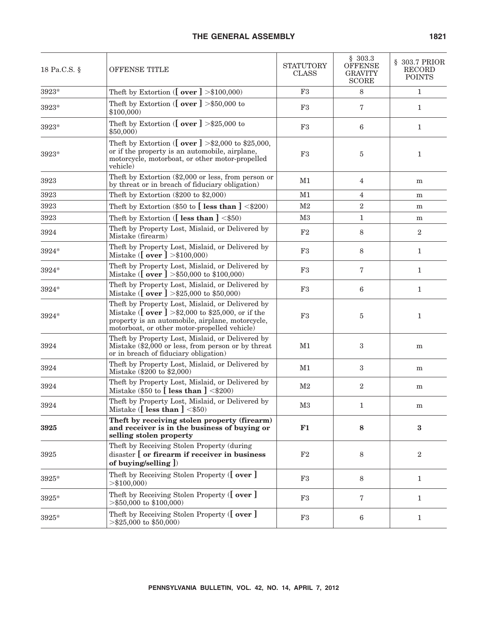| 18 Pa.C.S. §  | OFFENSE TITLE                                                                                                                                                                                                                  | <b>STATUTORY</b><br><b>CLASS</b> | \$303.3<br><b>OFFENSE</b><br><b>GRAVITY</b><br><b>SCORE</b> | § 303.7 PRIOR<br><b>RECORD</b><br><b>POINTS</b> |
|---------------|--------------------------------------------------------------------------------------------------------------------------------------------------------------------------------------------------------------------------------|----------------------------------|-------------------------------------------------------------|-------------------------------------------------|
| $3923^{\ast}$ | Theft by Extortion ( $\left[\right. \text{over } \right] > $100,000$ )                                                                                                                                                         | F3                               | $\,8\,$                                                     | 1                                               |
| 3923*         | Theft by Extortion ( $\lceil$ over $\rceil$ >\$50,000 to<br>\$100,000                                                                                                                                                          | F3                               | 7                                                           | 1                                               |
| 3923*         | Theft by Extortion ( $\lfloor$ over $\rfloor$ >\$25,000 to<br>\$50,000                                                                                                                                                         | F3                               | 6                                                           | 1                                               |
| 3923*         | Theft by Extortion ([ <b>over</b> ] >\$2,000 to \$25,000,<br>or if the property is an automobile, airplane,<br>motorcycle, motorboat, or other motor-propelled<br>vehicle)                                                     | F3                               | 5                                                           | $\mathbf{1}$                                    |
| 3923          | Theft by Extortion (\$2,000 or less, from person or<br>by threat or in breach of fiduciary obligation)                                                                                                                         | M1                               | $\overline{4}$                                              | m                                               |
| 3923          | Theft by Extortion $(\$200$ to $\$2,000)$                                                                                                                                                                                      | M1                               | $\overline{4}$                                              | m                                               |
| 3923          | Theft by Extortion (\$50 to $\left[\right]$ less than $\left]\right  < 200$ )                                                                                                                                                  | M <sub>2</sub>                   | $\sqrt{2}$                                                  | m                                               |
| 3923          | Theft by Extortion ( $\lceil$ less than $\rceil$ <\$50)                                                                                                                                                                        | M <sub>3</sub>                   | $\mathbf{1}$                                                | m                                               |
| 3924          | Theft by Property Lost, Mislaid, or Delivered by<br>Mistake (firearm)                                                                                                                                                          | $\rm F2$                         | 8                                                           | $\boldsymbol{2}$                                |
| 3924*         | Theft by Property Lost, Mislaid, or Delivered by<br>Mistake ( $\lceil$ over $\rceil$ > \$100,000)                                                                                                                              | F3                               | 8                                                           | 1                                               |
| 3924*         | Theft by Property Lost, Mislaid, or Delivered by<br>Mistake ([ over ] > \$50,000 to \$100,000)                                                                                                                                 | F3                               | 7                                                           | $\mathbf{1}$                                    |
| 3924*         | Theft by Property Lost, Mislaid, or Delivered by<br>Mistake ([ over ] > $\$25,000$ to $\$50,000$ )                                                                                                                             | $\rm F3$                         | $6\phantom{1}6$                                             | $\mathbf{1}$                                    |
| 3924*         | Theft by Property Lost, Mislaid, or Delivered by<br>Mistake ( $\lceil \text{over } \rceil$ >\$2,000 to \$25,000, or if the<br>property is an automobile, airplane, motorcycle,<br>motorboat, or other motor-propelled vehicle) | F3                               | 5                                                           | $\mathbf{1}$                                    |
| 3924          | Theft by Property Lost, Mislaid, or Delivered by<br>Mistake (\$2,000 or less, from person or by threat<br>or in breach of fiduciary obligation)                                                                                | M1                               | 3                                                           | m                                               |
| 3924          | Theft by Property Lost, Mislaid, or Delivered by<br>Mistake (\$200 to \$2,000)                                                                                                                                                 | M1                               | 3                                                           | m                                               |
| 3924          | Theft by Property Lost, Mislaid, or Delivered by<br>Mistake (\$50 to $\lceil$ less than $\rceil$ <\$200)                                                                                                                       | M <sub>2</sub>                   | $\overline{2}$                                              | ${\bf m}$                                       |
| 3924          | Theft by Property Lost, Mislaid, or Delivered by<br>Mistake ([less than ] $\leq$ \$50)                                                                                                                                         | M3                               | 1                                                           | m                                               |
| 3925          | Theft by receiving stolen property (firearm)<br>and receiver is in the business of buying or<br>selling stolen property                                                                                                        | F1                               | 8                                                           | $\bf{3}$                                        |
| 3925          | Theft by Receiving Stolen Property (during<br>disaster [ or firearm if receiver in business<br>of buying/selling $\vert$ )                                                                                                     | $\rm F2$                         | 8                                                           | $\boldsymbol{2}$                                |
| 3925*         | Theft by Receiving Stolen Property ([ over ]<br>$>\$100,000$                                                                                                                                                                   | F3                               | 8                                                           | $\mathbf{1}$                                    |
| 3925*         | Theft by Receiving Stolen Property ([ over ]<br>$>\$50,000$ to $$100,000$                                                                                                                                                      | F3                               | 7                                                           | $\mathbf{1}$                                    |
| 3925*         | Theft by Receiving Stolen Property ([over]<br>$>\$25,000$ to \$50,000)                                                                                                                                                         | F3                               | $6\phantom{1}6$                                             | 1                                               |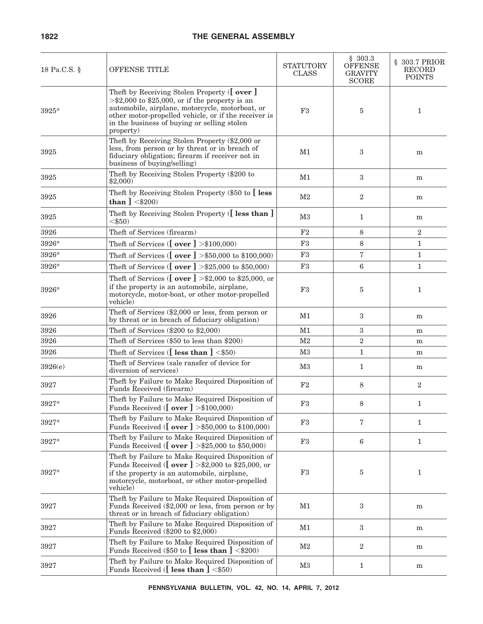#### **1822 THE GENERAL ASSEMBLY**

| 18 Pa.C.S. § | <b>OFFENSE TITLE</b>                                                                                                                                                                                                                                                    | <b>STATUTORY</b><br><b>CLASS</b> | \$303.3<br><b>OFFENSE</b><br><b>GRAVITY</b><br><b>SCORE</b> | § 303.7 PRIOR<br><b>RECORD</b><br><b>POINTS</b> |
|--------------|-------------------------------------------------------------------------------------------------------------------------------------------------------------------------------------------------------------------------------------------------------------------------|----------------------------------|-------------------------------------------------------------|-------------------------------------------------|
| 3925*        | Theft by Receiving Stolen Property ([ over ]<br>$>\$2,000$ to \$25,000, or if the property is an<br>automobile, airplane, motorcycle, motorboat, or<br>other motor-propelled vehicle, or if the receiver is<br>in the business of buying or selling stolen<br>property) | F3                               | 5                                                           | 1                                               |
| 3925         | Theft by Receiving Stolen Property (\$2,000 or<br>less, from person or by threat or in breach of<br>fiduciary obligation; firearm if receiver not in<br>business of buying/selling)                                                                                     | M1                               | 3                                                           | m                                               |
| 3925         | Theft by Receiving Stolen Property (\$200 to<br>\$2,000                                                                                                                                                                                                                 | M1                               | $\sqrt{3}$                                                  | m                                               |
| 3925         | Theft by Receiving Stolen Property (\$50 to [less]<br>than $] < $200$                                                                                                                                                                                                   | M2                               | $\boldsymbol{2}$                                            | m                                               |
| 3925         | Theft by Receiving Stolen Property ([less than ]<br>$<$ \$50)                                                                                                                                                                                                           | M3                               | $\mathbf{1}$                                                | m                                               |
| 3926         | Theft of Services (firearm)                                                                                                                                                                                                                                             | F2                               | 8                                                           | 2                                               |
| 3926*        | Theft of Services ( $\left[\right. \text{over } \right] > $100,000$ )                                                                                                                                                                                                   | F3                               | 8                                                           | $\mathbf{1}$                                    |
| 3926*        | Theft of Services ([ $over$ ] > \$50,000 to \$100,000)                                                                                                                                                                                                                  | F3                               | 7                                                           | 1                                               |
| 3926*        | Theft of Services ([ $over$ ] > \$25,000 to \$50,000)                                                                                                                                                                                                                   | F3                               | 6                                                           | $\mathbf{1}$                                    |
| 3926*        | Theft of Services ( $\sigma$ ver $\}$ >\$2,000 to \$25,000, or<br>if the property is an automobile, airplane,<br>motorcycle, motor-boat, or other motor-propelled<br>vehicle)                                                                                           | F3                               | 5                                                           | 1                                               |
| 3926         | Theft of Services (\$2,000 or less, from person or<br>by threat or in breach of fiduciary obligation)                                                                                                                                                                   | M1                               | $\boldsymbol{3}$                                            | m                                               |
| 3926         | Theft of Services $(\$200$ to $\$2,000)$                                                                                                                                                                                                                                | M1                               | $\sqrt{3}$                                                  | m                                               |
| 3926         | Theft of Services (\$50 to less than \$200)                                                                                                                                                                                                                             | M2                               | $\sqrt{2}$                                                  | m                                               |
| 3926         | Theft of Services ([less than ] $\leq$ \$50)                                                                                                                                                                                                                            | M3                               | $\mathbf{1}$                                                | m                                               |
| 3926(e)      | Theft of Services (sale ransfer of device for<br>diversion of services)                                                                                                                                                                                                 | M3                               | $\mathbf{1}$                                                | m                                               |
| 3927         | Theft by Failure to Make Required Disposition of<br>Funds Received (firearm)                                                                                                                                                                                            | F2                               | 8                                                           | $\overline{2}$                                  |
| 3927*        | Theft by Failure to Make Required Disposition of<br>Funds Received ( $\lceil$ over $\rceil$ >\$100,000)                                                                                                                                                                 | F3                               | 8                                                           | 1                                               |
| 3927*        | Theft by Failure to Make Required Disposition of<br>Funds Received ( $\lceil \text{over } \rceil$ >\$50,000 to \$100,000)                                                                                                                                               | F3                               | $\overline{7}$                                              | $\mathbf{1}$                                    |
| 3927*        | Theft by Failure to Make Required Disposition of<br>Funds Received ( $\sigma$ ver $] > $25,000$ to \$50,000)                                                                                                                                                            | F3                               | $6\phantom{.}6$                                             | $\mathbf{1}$                                    |
| 3927*        | Theft by Failure to Make Required Disposition of<br>Funds Received ([ over ] > \$2,000 to \$25,000, or<br>if the property is an automobile, airplane,<br>motorcycle, motorboat, or other motor-propelled<br>vehicle)                                                    | F3                               | 5                                                           | 1                                               |
| 3927         | Theft by Failure to Make Required Disposition of<br>Funds Received (\$2,000 or less, from person or by<br>threat or in breach of fiduciary obligation)                                                                                                                  | M1                               | 3                                                           | m                                               |
| 3927         | Theft by Failure to Make Required Disposition of<br>Funds Received (\$200 to \$2,000)                                                                                                                                                                                   | M1                               | $\sqrt{3}$                                                  | m                                               |
| 3927         | Theft by Failure to Make Required Disposition of<br>Funds Received (\$50 to $\left[\right]$ less than $\right] < $200$ )                                                                                                                                                | M2                               | $\sqrt{2}$                                                  | m                                               |
| 3927         | Theft by Failure to Make Required Disposition of<br>Funds Received ([less than ] $\leq$ \$50)                                                                                                                                                                           | M3                               | $\mathbf{1}$                                                | m                                               |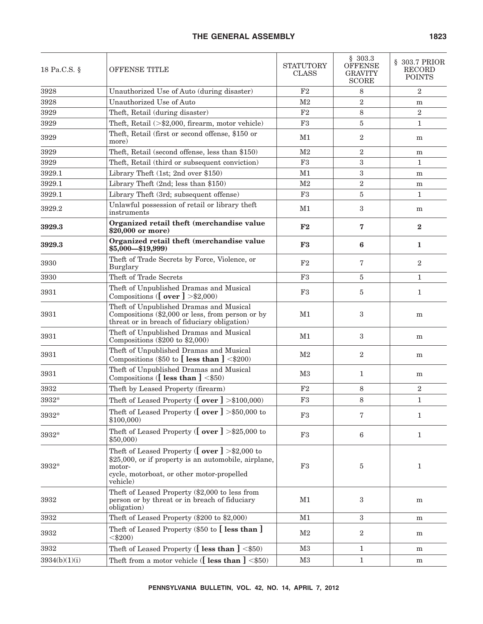| 18 Pa.C.S. §  | OFFENSE TITLE                                                                                                                                                                             | <b>STATUTORY</b><br><b>CLASS</b> | \$303.3<br><b>OFFENSE</b><br><b>GRAVITY</b><br><b>SCORE</b> | § 303.7 PRIOR<br>RECORD<br><b>POINTS</b> |
|---------------|-------------------------------------------------------------------------------------------------------------------------------------------------------------------------------------------|----------------------------------|-------------------------------------------------------------|------------------------------------------|
| 3928          | Unauthorized Use of Auto (during disaster)                                                                                                                                                | F2                               | 8                                                           | $\overline{2}$                           |
| 3928          | Unauthorized Use of Auto                                                                                                                                                                  | M <sub>2</sub>                   | $\sqrt{2}$                                                  | m                                        |
| 3929          | Theft, Retail (during disaster)                                                                                                                                                           | F2                               | 8                                                           | $\overline{2}$                           |
| 3929          | Theft, Retail $(>\$2,000,$ firearm, motor vehicle)                                                                                                                                        | F3                               | 5                                                           | 1                                        |
| 3929          | Theft, Retail (first or second offense, \$150 or<br>more)                                                                                                                                 | M1                               | $\overline{2}$                                              | m                                        |
| 3929          | Theft, Retail (second offense, less than \$150)                                                                                                                                           | M <sub>2</sub>                   | $\sqrt{2}$                                                  | m                                        |
| 3929          | Theft, Retail (third or subsequent conviction)                                                                                                                                            | F3                               | 3                                                           | $\mathbf 1$                              |
| 3929.1        | Library Theft (1st; 2nd over \$150)                                                                                                                                                       | M1                               | 3                                                           | m                                        |
| 3929.1        | Library Theft (2nd; less than \$150)                                                                                                                                                      | M <sub>2</sub>                   | $\sqrt{2}$                                                  | m                                        |
| 3929.1        | Library Theft (3rd; subsequent offense)                                                                                                                                                   | F3                               | 5                                                           | $\mathbf{1}$                             |
| 3929.2        | Unlawful possession of retail or library theft<br>instruments                                                                                                                             | M1                               | 3                                                           | m                                        |
| 3929.3        | Organized retail theft (merchandise value<br>$$20,000$ or more)                                                                                                                           | F2                               | 7                                                           | $\mathbf{2}$                             |
| 3929.3        | Organized retail theft (merchandise value<br>$$5,000 - $19,999$                                                                                                                           | F3                               | 6                                                           | 1                                        |
| 3930          | Theft of Trade Secrets by Force, Violence, or<br>Burglary                                                                                                                                 | F2                               | 7                                                           | $\boldsymbol{2}$                         |
| 3930          | Theft of Trade Secrets                                                                                                                                                                    | F3                               | 5                                                           | 1                                        |
| 3931          | Theft of Unpublished Dramas and Musical<br>Compositions ([ $over$ ] >\$2,000)                                                                                                             | F <sub>3</sub>                   | 5                                                           | $\mathbf{1}$                             |
| 3931          | Theft of Unpublished Dramas and Musical<br>Compositions $(\$2,000$ or less, from person or by<br>threat or in breach of fiduciary obligation)                                             | M1                               | 3                                                           | m                                        |
| 3931          | Theft of Unpublished Dramas and Musical<br>Compositions $(\$200$ to $\$2,000)$                                                                                                            | M1                               | $\boldsymbol{3}$                                            | m                                        |
| 3931          | Theft of Unpublished Dramas and Musical<br>Compositions (\$50 to $[$ less than $]$ <\$200)                                                                                                | M <sub>2</sub>                   | $\overline{2}$                                              | m                                        |
| 3931          | Theft of Unpublished Dramas and Musical<br>Compositions ([less than ] $\leq$ \$50)                                                                                                        | M3                               | $\mathbf{1}$                                                | m                                        |
| 3932          | Theft by Leased Property (firearm)                                                                                                                                                        | F2                               | $8\,$                                                       | $\overline{2}$                           |
| 3932*         | Theft of Leased Property ( $\lceil$ over $\rceil$ >\$100,000)                                                                                                                             | F3                               | 8                                                           | $\mathbf{1}$                             |
| 3932*         | Theft of Leased Property ( $\lfloor$ over $\rfloor$ >\$50,000 to<br>\$100,000                                                                                                             | F3                               | 7                                                           | $\mathbf{1}$                             |
| 3932*         | Theft of Leased Property ( $\lfloor$ over $\rfloor$ >\$25,000 to<br>\$50,000                                                                                                              | $\rm F3$                         | 6                                                           | $\mathbf{1}$                             |
| 3932*         | Theft of Leased Property ( $\lceil$ over $\rceil$ >\$2,000 to<br>\$25,000, or if property is an automobile, airplane,<br>motor-<br>cycle, motorboat, or other motor-propelled<br>vehicle) | F3                               | 5                                                           | $\mathbf{1}$                             |
| 3932          | Theft of Leased Property (\$2,000 to less from<br>person or by threat or in breach of fiduciary<br>obligation)                                                                            | M1                               | $\boldsymbol{3}$                                            | m                                        |
| 3932          | Theft of Leased Property (\$200 to \$2,000)                                                                                                                                               | M1                               | 3                                                           | m                                        |
| 3932          | Theft of Leased Property (\$50 to [less than ]<br>$<$ \$200)                                                                                                                              | M2                               | $\boldsymbol{2}$                                            | m                                        |
| 3932          | Theft of Leased Property ([less than ] <\$50)                                                                                                                                             | M3                               | $\mathbf{1}$                                                | m                                        |
| 3934(b)(1)(i) | Theft from a motor vehicle ( $[$ less than $]$ <\$50)                                                                                                                                     | $\rm M3$                         | $\mathbf{1}$                                                | m                                        |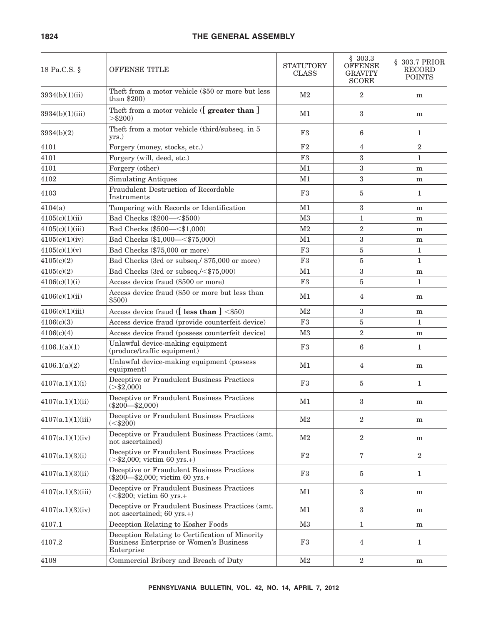| 18 Pa.C.S. §      | <b>OFFENSE TITLE</b>                                                                                     | <b>STATUTORY</b><br><b>CLASS</b> | \$303.3<br><b>OFFENSE</b><br><b>GRAVITY</b><br><b>SCORE</b> | § 303.7 PRIOR<br>RECORD<br><b>POINTS</b> |
|-------------------|----------------------------------------------------------------------------------------------------------|----------------------------------|-------------------------------------------------------------|------------------------------------------|
| 3934(b)(1)(ii)    | Theft from a motor vehicle (\$50 or more but less<br>than $$200)$                                        | M <sub>2</sub>                   | $\boldsymbol{2}$                                            | m                                        |
| 3934(b)(1)(iii)   | Theft from a motor vehicle ( <i>greater than</i> ]<br>$>$ \$200)                                         | M1                               | 3                                                           | m                                        |
| 3934(b)(2)        | Theft from a motor vehicle (third/subseq. in 5<br>yrs.)                                                  | F3                               | 6                                                           | $\mathbf{1}$                             |
| 4101              | Forgery (money, stocks, etc.)                                                                            | F <sub>2</sub>                   | 4                                                           | $\overline{2}$                           |
| 4101              | Forgery (will, deed, etc.)                                                                               | F <sub>3</sub>                   | 3                                                           | $\mathbf{1}$                             |
| 4101              | Forgery (other)                                                                                          | M1                               | 3                                                           | ${\bf m}$                                |
| 4102              | <b>Simulating Antiques</b>                                                                               | M1                               | 3                                                           | m                                        |
| 4103              | Fraudulent Destruction of Recordable<br>Instruments                                                      | F <sub>3</sub>                   | 5                                                           | $\mathbf{1}$                             |
| 4104(a)           | Tampering with Records or Identification                                                                 | M1                               | 3                                                           | m                                        |
| 4105(c)(1)(ii)    | Bad Checks (\$200-<\$500)                                                                                | M <sub>3</sub>                   | $\mathbf{1}$                                                | m                                        |
| 4105(c)(1)(iii)   | Bad Checks (\$500-<\$1,000)                                                                              | M <sub>2</sub>                   | $\overline{2}$                                              | m                                        |
| 4105(c)(1)(iv)    | Bad Checks (\$1,000-<\$75,000)                                                                           | M1                               | 3                                                           | m                                        |
| 4105(c)(1)(v)     | Bad Checks (\$75,000 or more)                                                                            | F3                               | 5                                                           | $\mathbf{1}$                             |
| 4105(c)(2)        | Bad Checks (3rd or subseq./ \$75,000 or more)                                                            | F3                               | 5                                                           | $\mathbf{1}$                             |
| 4105(c)(2)        | Bad Checks (3rd or subseq./<\$75,000)                                                                    | M1                               | 3                                                           | m                                        |
| 4106(c)(1)(i)     | Access device fraud (\$500 or more)                                                                      | F <sub>3</sub>                   | 5                                                           | $\mathbf{1}$                             |
| 4106(c)(1)(ii)    | Access device fraud (\$50 or more but less than<br>\$500)                                                | M1                               | 4                                                           | m                                        |
| 4106(c)(1)(iii)   | Access device fraud ([less than ] <\$50)                                                                 | M <sub>2</sub>                   | 3                                                           | m                                        |
| 4106(c)(3)        | Access device fraud (provide counterfeit device)                                                         | F3                               | 5                                                           | $\mathbf{1}$                             |
| 4106(c)(4)        | Access device fraud (possess counterfeit device)                                                         | M <sub>3</sub>                   | $\overline{2}$                                              | m                                        |
| 4106.1(a)(1)      | Unlawful device-making equipment<br>(produce/traffic equipment)                                          | F3                               | 6                                                           | $\mathbf{1}$                             |
| 4106.1(a)(2)      | Unlawful device-making equipment (possess<br>equipment)                                                  | M1                               | 4                                                           | m                                        |
| 4107(a.1)(1)(i)   | Deceptive or Fraudulent Business Practices<br>$(>\frac{2}{32,000})$                                      | F3                               | 5                                                           | $\mathbf{1}$                             |
| 4107(a.1)(1)(ii)  | Deceptive or Fraudulent Business Practices<br>$(\$200-\$2,000)$                                          | M1                               | 3                                                           | m                                        |
| 4107(a.1)(1)(iii) | Deceptive or Fraudulent Business Practices<br>( <b>8200</b> )                                            | M <sub>2</sub>                   | $\overline{2}$                                              | m                                        |
| 4107(a.1)(1)(iv)  | Deceptive or Fraudulent Business Practices (amt.<br>not ascertained)                                     | M <sub>2</sub>                   | $\overline{2}$                                              | m                                        |
| 4107(a,1)(3)(i)   | Deceptive or Fraudulent Business Practices<br>$(>\frac{1}{2},000;$ victim 60 yrs.+)                      | F2                               | 7                                                           | $\overline{2}$                           |
| 4107(a.1)(3)(ii)  | Deceptive or Fraudulent Business Practices<br>$(\$200-\$2,000$ ; victim 60 yrs.+                         | F3                               | 5                                                           | $\mathbf{1}$                             |
| 4107(a.1)(3)(iii) | Deceptive or Fraudulent Business Practices<br>$(<\frac{$200}{}$ ; victim 60 yrs.+                        | M1                               | 3                                                           | m                                        |
| 4107(a.1)(3)(iv)  | Deceptive or Fraudulent Business Practices (amt.<br>not ascertained; 60 yrs.+)                           | M1                               | 3                                                           | m                                        |
| 4107.1            | Deception Relating to Kosher Foods                                                                       | M3                               | $\mathbf{1}$                                                | ${\bf m}$                                |
| 4107.2            | Deception Relating to Certification of Minority<br>Business Enterprise or Women's Business<br>Enterprise | F3                               | 4                                                           | $\mathbf{1}$                             |
| 4108              | Commercial Bribery and Breach of Duty                                                                    | M <sub>2</sub>                   | $\overline{2}$                                              | m                                        |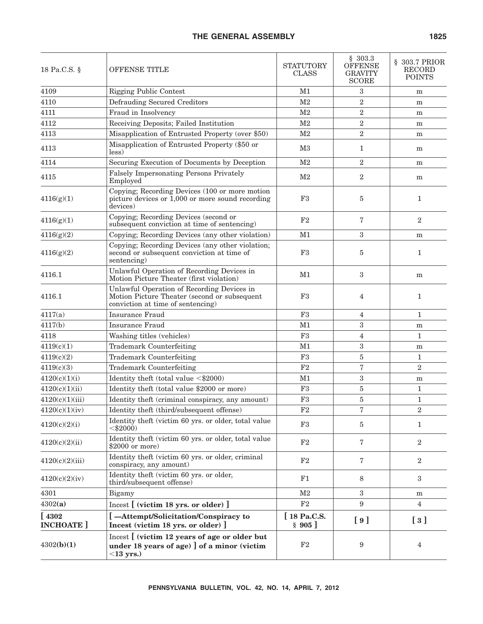| 18 Pa.C.S. §                | <b>OFFENSE TITLE</b>                                                                                                            | <b>STATUTORY</b><br><b>CLASS</b> | \$303.3<br><b>OFFENSE</b><br><b>GRAVITY</b><br><b>SCORE</b> | § 303.7 PRIOR<br>RECORD<br><b>POINTS</b>      |
|-----------------------------|---------------------------------------------------------------------------------------------------------------------------------|----------------------------------|-------------------------------------------------------------|-----------------------------------------------|
| 4109                        | <b>Rigging Public Contest</b>                                                                                                   | M <sub>1</sub>                   | 3                                                           | m                                             |
| 4110                        | Defrauding Secured Creditors                                                                                                    | M <sub>2</sub>                   | $\overline{2}$                                              | ${\bf m}$                                     |
| 4111                        | Fraud in Insolvency                                                                                                             | M <sub>2</sub>                   | $\overline{2}$                                              | ${\bf m}$                                     |
| 4112                        | Receiving Deposits; Failed Institution                                                                                          | M <sub>2</sub>                   | $\boldsymbol{2}$                                            | ${\bf m}$                                     |
| 4113                        | Misapplication of Entrusted Property (over \$50)                                                                                | M <sub>2</sub>                   | $\overline{2}$                                              | ${\bf m}$                                     |
| 4113                        | Misapplication of Entrusted Property (\$50 or<br>less)                                                                          | M <sub>3</sub>                   | $\mathbf{1}$                                                | m                                             |
| 4114                        | Securing Execution of Documents by Deception                                                                                    | M <sub>2</sub>                   | $\overline{2}$                                              | m                                             |
| 4115                        | Falsely Impersonating Persons Privately<br>Employed                                                                             | M <sub>2</sub>                   | $\overline{2}$                                              | m                                             |
| 4116(g)(1)                  | Copying; Recording Devices (100 or more motion<br>picture devices or $1,000$ or more sound recording<br>devices)                | F3                               | 5                                                           | $\mathbf{1}$                                  |
| 4116(g)(1)                  | Copying; Recording Devices (second or<br>subsequent conviction at time of sentencing)                                           | F <sub>2</sub>                   | 7                                                           | $\overline{2}$                                |
| 4116(g)(2)                  | Copying; Recording Devices (any other violation)                                                                                | M1                               | $\boldsymbol{3}$                                            | m                                             |
| 4116(g)(2)                  | Copying; Recording Devices (any other violation;<br>second or subsequent conviction at time of<br>sentencing)                   | F3                               | 5                                                           | $\mathbf{1}$                                  |
| 4116.1                      | Unlawful Operation of Recording Devices in<br>Motion Picture Theater (first violation)                                          | M1                               | $\boldsymbol{3}$                                            | m                                             |
| 4116.1                      | Unlawful Operation of Recording Devices in<br>Motion Picture Theater (second or subsequent<br>conviction at time of sentencing) | F3                               | 4                                                           | 1                                             |
| 4117(a)                     | Insurance Fraud                                                                                                                 | F <sub>3</sub>                   | 4                                                           | 1                                             |
| 4117(b)                     | <b>Insurance Fraud</b>                                                                                                          | M1                               | 3                                                           | ${\bf m}$                                     |
| 4118                        | Washing titles (vehicles)                                                                                                       | F <sub>3</sub>                   | $\overline{4}$                                              | $\mathbf{1}$                                  |
| 4119(c)(1)                  | Trademark Counterfeiting                                                                                                        | M1                               | $\sqrt{3}$                                                  | ${\bf m}$                                     |
| 4119(c)(2)                  | Trademark Counterfeiting                                                                                                        | F <sub>3</sub>                   | $\bf 5$                                                     | 1                                             |
| 4119(c)(3)                  | <b>Trademark Counterfeiting</b>                                                                                                 | F2                               | $\overline{7}$                                              | $\overline{2}$                                |
| 4120(c)(1)(i)               | Identity theft (total value $\langle $2000 \rangle$                                                                             | M1                               | 3                                                           | m                                             |
| 4120(c)(1)(ii)              | Identity theft (total value \$2000 or more)                                                                                     | F3                               | $\bf 5$                                                     | $\mathbf{1}$                                  |
| 4120(c)(1)(iii)             | Identity theft (criminal conspiracy, any amount)                                                                                | F <sub>3</sub>                   | 5                                                           | $\mathbf{1}$                                  |
| 4120(c)(1)(iv)              | Identity theft (third/subsequent offense)                                                                                       | F2                               | 7                                                           | 2                                             |
| 4120(c)(2)(i)               | Identity theft (victim 60 yrs. or older, total value<br>$<$ \$2000)                                                             | F3                               | 5                                                           | 1                                             |
| 4120(c)(2)(ii)              | Identity theft (victim 60 yrs. or older, total value<br>$$2000$ or more)                                                        | F2                               | $\overline{7}$                                              | $\overline{2}$                                |
| 4120(c)(2)(iii)             | Identity theft (victim 60 yrs. or older, criminal<br>conspiracy, any amount)                                                    | F2                               | $\bf 7$                                                     | $\overline{2}$                                |
| 4120(c)(2)(iv)              | Identity theft (victim 60 yrs. or older,<br>third/subsequent offense)                                                           | F1                               | 8                                                           | 3                                             |
| 4301                        | Bigamy                                                                                                                          | M <sub>2</sub>                   | 3                                                           | m                                             |
| 4302(a)                     | $Incest$ [ (victim 18 yrs. or older) ]                                                                                          | $\rm F2$                         | 9                                                           | 4                                             |
| [4302]<br><b>INCHOATE</b> ] | [-Attempt/Solicitation/Conspiracy to<br>Incest (victim 18 yrs. or older) ]                                                      | [18 Pa.C.S.<br>§ 905]            | [9]                                                         | $\left[\begin{array}{c} 3 \end{array}\right]$ |
| 4302(b)(1)                  | Incest [ (victim 12 years of age or older but<br>under 18 years of age) ] of a minor (victim<br>$<$ 13 yrs.)                    | F2                               | $\boldsymbol{9}$                                            | $\overline{4}$                                |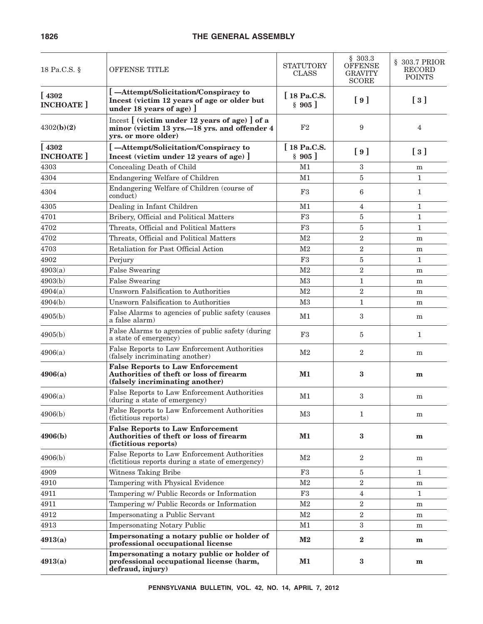| 18 Pa.C.S. §                 | <b>OFFENSE TITLE</b>                                                                                                   | <b>STATUTORY</b><br><b>CLASS</b> | \$303.3<br><b>OFFENSE</b><br><b>GRAVITY</b><br><b>SCORE</b> | § 303.7 PRIOR<br>RECORD<br><b>POINTS</b>    |
|------------------------------|------------------------------------------------------------------------------------------------------------------------|----------------------------------|-------------------------------------------------------------|---------------------------------------------|
| [4302]<br><b>INCHOATE</b>    | [-Attempt/Solicitation/Conspiracy to<br>Incest (victim 12 years of age or older but<br>under 18 years of age)          | [18 Pa.C.S.<br>$\;8\;905\;$      | [9]                                                         | $\lceil 3 \rceil$                           |
| 4302(b)(2)                   | Incest [ (victim under 12 years of age) ] of a<br>minor (victim 13 yrs. -18 yrs. and offender 4<br>yrs. or more older) | F2                               | 9                                                           | 4                                           |
| $[4302$<br><b>INCHOATE</b> ] | [-Attempt/Solicitation/Conspiracy to<br>Incest (victim under 12 years of age) ]                                        | $\int$ 18 Pa.C.S.<br>§ 905]      | [9]                                                         | $\left[\begin{array}{c}3\end{array}\right]$ |
| 4303                         | Concealing Death of Child                                                                                              | M1                               | 3                                                           | m                                           |
| 4304                         | Endangering Welfare of Children                                                                                        | M1                               | 5                                                           | $\mathbf{1}$                                |
| 4304                         | Endangering Welfare of Children (course of<br>conduct)                                                                 | F3                               | 6                                                           | 1                                           |
| 4305                         | Dealing in Infant Children                                                                                             | M1                               | 4                                                           | 1                                           |
| 4701                         | Bribery, Official and Political Matters                                                                                | F <sub>3</sub>                   | 5                                                           | 1                                           |
| 4702                         | Threats, Official and Political Matters                                                                                | F3                               | 5                                                           | 1                                           |
| 4702                         | Threats, Official and Political Matters                                                                                | M <sub>2</sub>                   | $\overline{2}$                                              | m                                           |
| 4703                         | Retaliation for Past Official Action                                                                                   | M <sub>2</sub>                   | $\overline{2}$                                              | m                                           |
| 4902                         | Perjury                                                                                                                | F <sub>3</sub>                   | 5                                                           | 1                                           |
| 4903(a)                      | <b>False Swearing</b>                                                                                                  | M <sub>2</sub>                   | $\overline{2}$                                              | m                                           |
| 4903(b)                      | <b>False Swearing</b>                                                                                                  | M <sub>3</sub>                   | $\mathbf{1}$                                                | m                                           |
| 4904(a)                      | <b>Unsworn Falsification to Authorities</b>                                                                            | M <sub>2</sub>                   | $\overline{2}$                                              | m                                           |
| 4904(b)                      | Unsworn Falsification to Authorities                                                                                   | M <sub>3</sub>                   | $\mathbf{1}$                                                | m                                           |
| 4905(b)                      | False Alarms to agencies of public safety (causes<br>a false alarm)                                                    | M1                               | 3                                                           | m                                           |
| 4905(b)                      | False Alarms to agencies of public safety (during<br>a state of emergency)                                             | F3                               | 5                                                           | 1                                           |
| 4906(a)                      | False Reports to Law Enforcement Authorities<br>(falsely incriminating another)                                        | M <sub>2</sub>                   | $\overline{2}$                                              | ${\bf m}$                                   |
| 4906(a)                      | <b>False Reports to Law Enforcement</b><br>Authorities of theft or loss of firearm<br>(falsely incriminating another)  | $M1$                             | 3                                                           | $\mathbf{m}$                                |
| 4906(a)                      | False Reports to Law Enforcement Authorities<br>(during a state of emergency)                                          | M1                               | 3                                                           | m                                           |
| 4906(b)                      | False Reports to Law Enforcement Authorities<br>(fictitious reports)                                                   | M3                               | 1                                                           | m                                           |
| 4906(b)                      | <b>False Reports to Law Enforcement</b><br>Authorities of theft or loss of firearm<br>(fictitious reports)             | $M1$                             | 3                                                           | m                                           |
| 4906(b)                      | False Reports to Law Enforcement Authorities<br>(fictitious reports during a state of emergency)                       | $\rm M2$                         | $\boldsymbol{2}$                                            | m                                           |
| 4909                         | Witness Taking Bribe                                                                                                   | F3                               | 5                                                           | 1                                           |
| 4910                         | Tampering with Physical Evidence                                                                                       | $\rm M2$                         | $\overline{2}$                                              | m                                           |
| 4911                         | Tampering w/ Public Records or Information                                                                             | F3                               | $\overline{4}$                                              | $\mathbf{1}$                                |
| 4911                         | Tampering w/ Public Records or Information                                                                             | M <sub>2</sub>                   | $\overline{2}$                                              | m                                           |
| 4912                         | Impersonating a Public Servant                                                                                         | M <sub>2</sub>                   | $\overline{2}$                                              | m                                           |
| 4913                         | <b>Impersonating Notary Public</b>                                                                                     | M1                               | 3                                                           | m                                           |
| 4913(a)                      | Impersonating a notary public or holder of<br>professional occupational license                                        | $\mathbf{M2}$                    | $\mathbf{2}$                                                | m                                           |
| 4913(a)                      | Impersonating a notary public or holder of<br>professional occupational license (harm,<br>defraud, injury)             | $M1$                             | $\bf{3}$                                                    | m                                           |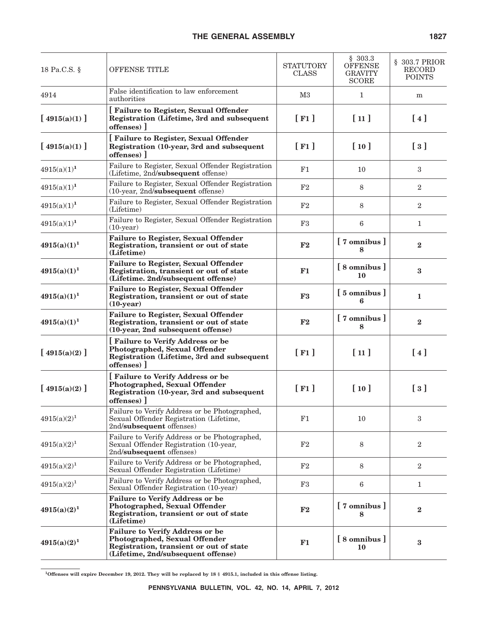| 18 Pa.C.S. §     | OFFENSE TITLE                                                                                                                                            | <b>STATUTORY</b><br><b>CLASS</b> | \$303.3<br><b>OFFENSE</b><br><b>GRAVITY</b><br><b>SCORE</b> | § 303.7 PRIOR<br>RECORD<br><b>POINTS</b>    |
|------------------|----------------------------------------------------------------------------------------------------------------------------------------------------------|----------------------------------|-------------------------------------------------------------|---------------------------------------------|
| 4914             | False identification to law enforcement<br>authorities                                                                                                   | M <sub>3</sub>                   | $\mathbf{1}$                                                | m                                           |
| [ $4915(a)(1)$ ] | [Failure to Register, Sexual Offender<br>Registration (Lifetime, 3rd and subsequent<br>offenses)                                                         | $[$ F1 $]$                       | [11]                                                        | [4]                                         |
| [ $4915(a)(1)$ ] | [Failure to Register, Sexual Offender<br>Registration (10-year, 3rd and subsequent<br>offenses)                                                          | $[$ F1 $]$                       | [10]                                                        | $\left[\begin{array}{c}3\end{array}\right]$ |
| $4915(a)(1)^1$   | Failure to Register, Sexual Offender Registration<br>(Lifetime, 2nd/subsequent offense)                                                                  | F1                               | 10                                                          | 3                                           |
| $4915(a)(1)^1$   | Failure to Register, Sexual Offender Registration<br>(10-year, 2nd/subsequent offense)                                                                   | F2                               | 8                                                           | $\overline{2}$                              |
| $4915(a)(1)^1$   | Failure to Register, Sexual Offender Registration<br>(Lifetime)                                                                                          | F2                               | 8                                                           | $\overline{2}$                              |
| $4915(a)(1)^1$   | Failure to Register, Sexual Offender Registration<br>$(10-year)$                                                                                         | F3                               | 6                                                           | $\mathbf{1}$                                |
| $4915(a)(1)^1$   | <b>Failure to Register, Sexual Offender</b><br>Registration, transient or out of state<br>(Lifetime)                                                     | F2                               | [7 omnibus]<br>8                                            | $\bf{2}$                                    |
| $4915(a)(1)^1$   | <b>Failure to Register, Sexual Offender</b><br>Registration, transient or out of state<br>(Lifetime. 2nd/subsequent offense)                             | F1                               | [8 omnibus]<br>10                                           | 3                                           |
| $4915(a)(1)^1$   | <b>Failure to Register, Sexual Offender</b><br>Registration, transient or out of state<br>$(10-year)$                                                    | F <sub>3</sub>                   | $\left[5 \text{ omnibus}\right]$<br>6                       | 1                                           |
| $4915(a)(1)^1$   | <b>Failure to Register, Sexual Offender</b><br>Registration, transient or out of state<br>(10-year, 2nd subsequent offense)                              | $\mathbf{F2}$                    | [7 omnibus]<br>8                                            | $\overline{2}$                              |
| [ $4915(a)(2)$ ] | <b>Failure to Verify Address or be</b><br>Photographed, Sexual Offender<br>Registration (Lifetime, 3rd and subsequent<br>offenses)                       | [F1]                             | [11]                                                        | [4]                                         |
| [ $4915(a)(2)$ ] | <b>Failure to Verify Address or be</b><br>Photographed, Sexual Offender<br>Registration (10-year, 3rd and subsequent<br>offenses)                        | $[$ F1 $]$                       | [10]                                                        | $\left[\begin{array}{c}3\end{array}\right]$ |
| $4915(a)(2)^1$   | Failure to Verify Address or be Photographed,<br>Sexual Offender Registration (Lifetime,<br>2nd/subsequent offenses)                                     | F1                               | 10                                                          | 3                                           |
| $4915(a)(2)^1$   | Failure to Verify Address or be Photographed,<br>Sexual Offender Registration (10-year,<br>2nd/subsequent offenses)                                      | F2                               | 8                                                           | $\overline{2}$                              |
| $4915(a)(2)^1$   | Failure to Verify Address or be Photographed,<br>Sexual Offender Registration (Lifetime)                                                                 | F2                               | 8                                                           | $\overline{2}$                              |
| $4915(a)(2)^1$   | Failure to Verify Address or be Photographed,<br>Sexual Offender Registration (10-year)                                                                  | F3                               | 6                                                           | 1                                           |
| $4915(a)(2)^1$   | <b>Failure to Verify Address or be</b><br>Photographed, Sexual Offender<br>Registration, transient or out of state<br>(Lifetime)                         | F2                               | [7 omnibus]<br>8                                            | $\bf{2}$                                    |
| $4915(a)(2)^1$   | <b>Failure to Verify Address or be</b><br>Photographed, Sexual Offender<br>Registration, transient or out of state<br>(Lifetime, 2nd/subsequent offense) | F1                               | [8 omnibus]<br>10                                           | $\bf{3}$                                    |

**1Offenses will expire December 19, 2012. They will be replaced by 18 § 4915.1, included in this offense listing.**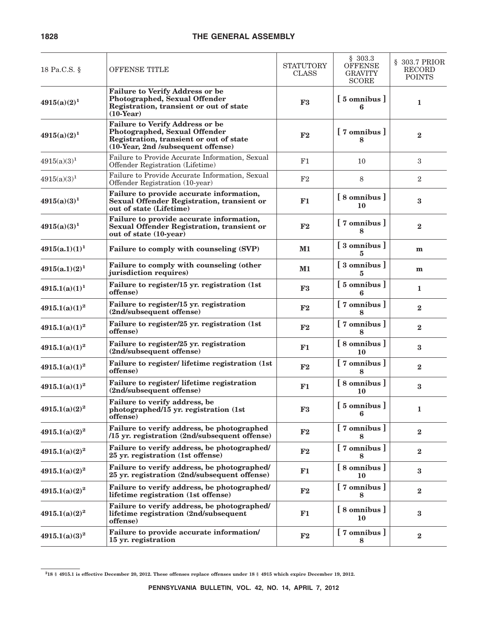| 18 Pa.C.S. §     | OFFENSE TITLE                                                                                                                                            | <b>STATUTORY</b><br><b>CLASS</b> | \$303.3<br><b>OFFENSE</b><br><b>GRAVITY</b><br><b>SCORE</b> | § 303.7 PRIOR<br>RECORD<br><b>POINTS</b> |
|------------------|----------------------------------------------------------------------------------------------------------------------------------------------------------|----------------------------------|-------------------------------------------------------------|------------------------------------------|
| $4915(a)(2)^1$   | <b>Failure to Verify Address or be</b><br>Photographed, Sexual Offender<br>Registration, transient or out of state<br>$(10$ -Year)                       | F <sub>3</sub>                   | $\left[5 \text{ omnibus}\right]$<br>6                       | 1                                        |
| $4915(a)(2)^1$   | <b>Failure to Verify Address or be</b><br>Photographed, Sexual Offender<br>Registration, transient or out of state<br>(10-Year, 2nd /subsequent offense) | F2                               | [7 omnibus]                                                 | $\bf{2}$                                 |
| $4915(a)(3)^1$   | Failure to Provide Accurate Information, Sexual<br>Offender Registration (Lifetime)                                                                      | F1                               | 10                                                          | 3                                        |
| $4915(a)(3)^1$   | Failure to Provide Accurate Information, Sexual<br>Offender Registration (10-year)                                                                       | F <sub>2</sub>                   | 8                                                           | $\overline{2}$                           |
| $4915(a)(3)^1$   | Failure to provide accurate information,<br>Sexual Offender Registration, transient or<br>out of state (Lifetime)                                        | F1                               | [8 omnibus]<br>10                                           | 3                                        |
| $4915(a)(3)^1$   | Failure to provide accurate information,<br><b>Sexual Offender Registration, transient or</b><br>out of state (10-year)                                  | F2                               | [7 omnibus]<br>8                                            | $\bf{2}$                                 |
| $4915(a.1)(1)^1$ | Failure to comply with counseling (SVP)                                                                                                                  | M1                               | [ 3 omnibus ]<br>5                                          | m                                        |
| $4915(a.1)(2)^1$ | Failure to comply with counseling (other<br>jurisdiction requires)                                                                                       | M1                               | [ 3 omnibus ]<br>5                                          | m                                        |
| $4915.1(a)(1)^1$ | Failure to register/15 yr. registration (1st<br>offense)                                                                                                 | F3                               | $\left[5 \text{ omnibus}\right]$<br>6                       | 1                                        |
| $4915.1(a)(1)^2$ | Failure to register/15 yr. registration<br>(2nd/subsequent offense)                                                                                      | F2                               | $[7 \text{ omnibus}]$                                       | $\bf{2}$                                 |
| $4915.1(a)(1)^2$ | Failure to register/25 yr. registration (1st<br>offense)                                                                                                 | $\mathbf{F2}$                    | [7 omnibus]                                                 | $\bf{2}$                                 |
| $4915.1(a)(1)^2$ | Failure to register/25 yr. registration<br>(2nd/subsequent offense)                                                                                      | F1                               | $\left[ 8 \text{ omnibus } \right]$<br>10                   | 3                                        |
| $4915.1(a)(1)^2$ | Failure to register/ lifetime registration (1st<br>offense)                                                                                              | F2                               | [7 omnibus]<br>Ջ                                            | $\bf{2}$                                 |
| $4915.1(a)(1)^2$ | Failure to register/ lifetime registration<br>(2nd/subsequent offense)                                                                                   | F1                               | [8 omnibus]<br>10                                           | $\bf{3}$                                 |
| $4915.1(a)(2)^2$ | Failure to verify address, be<br>photographed/15 yr. registration (1st<br>offense)                                                                       | ${\bf F3}$                       | [5 omnibus]                                                 | 1                                        |
| $4915.1(a)(2)^2$ | Failure to verify address, be photographed<br>/15 yr. registration (2nd/subsequent offense)                                                              | ${\bf F2}$                       | [7 omnibus]                                                 | $\bf{2}$                                 |
| $4915.1(a)(2)^2$ | Failure to verify address, be photographed/<br>25 yr. registration (1st offense)                                                                         | F2                               | [7 omnibus]                                                 | $\bf{2}$                                 |
| $4915.1(a)(2)^2$ | Failure to verify address, be photographed/<br>25 yr. registration (2nd/subsequent offense)                                                              | F1                               | [8 omnibus]<br>10                                           | $\bf{3}$                                 |
| $4915.1(a)(2)^2$ | Failure to verify address, be photographed/<br>lifetime registration (1st offense)                                                                       | ${\bf F2}$                       | [7 omnibus]<br>8                                            | $\bf{2}$                                 |
| $4915.1(a)(2)^2$ | Failure to verify address, be photographed/<br>lifetime registration (2nd/subsequent<br>offense)                                                         | F1                               | [8 omnibus]<br>10                                           | $\bf{3}$                                 |
| $4915.1(a)(3)^2$ | Failure to provide accurate information/<br>15 yr. registration                                                                                          | ${\bf F2}$                       | [7 omnibus]<br>8                                            | $\bf{2}$                                 |

**<sup>218 § 4915.1</sup> is effective December 20, 2012. These offenses replace offenses under 18 § 4915 which expire December 19, 2012.**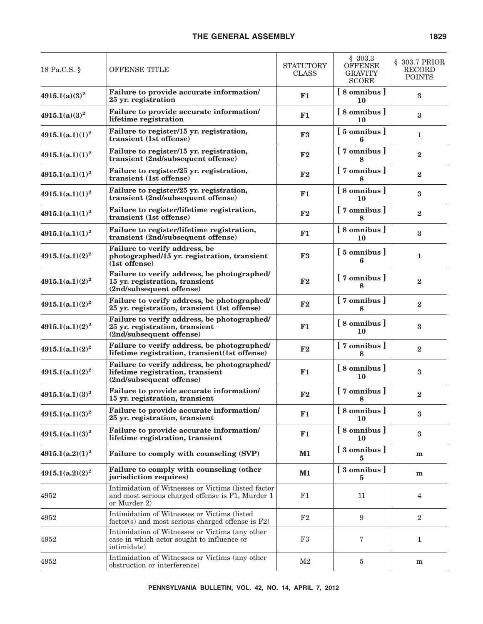| 18 Pa.C.S. §       | <b>OFFENSE TITLE</b>                                                                                                    | <b>STATUTORY</b><br><b>CLASS</b> | \$303.3<br><b>OFFENSE</b><br><b>GRAVITY</b><br><b>SCORE</b> | § 303.7 PRIOR<br>RECORD<br><b>POINTS</b> |
|--------------------|-------------------------------------------------------------------------------------------------------------------------|----------------------------------|-------------------------------------------------------------|------------------------------------------|
| $4915.1(a)(3)^2$   | Failure to provide accurate information/<br>25 yr. registration                                                         | F1                               | [8 omnibus]<br>10                                           | 3                                        |
| $4915.1(a)(3)^2$   | Failure to provide accurate information/<br>lifetime registration                                                       | F1                               | $\sqrt{8}$ omnibus $\sqrt{8}$<br>10                         | $\bf{3}$                                 |
| $4915.1(a.1)(1)^2$ | Failure to register/15 yr. registration,<br>transient (1st offense)                                                     | F3                               | $\left[5 \text{ omnibus}\right]$<br>6                       | $\mathbf{1}$                             |
| $4915.1(a.1)(1)^2$ | Failure to register/15 yr. registration,<br>transient (2nd/subsequent offense)                                          | F <sub>2</sub>                   | $[7 \text{ omnibus}]$<br>Զ                                  | $\bf{2}$                                 |
| $4915.1(a.1)(1)^2$ | Failure to register/25 yr. registration,<br>transient (1st offense)                                                     | F <sub>2</sub>                   | [7 omnibus]<br>8                                            | $\bf{2}$                                 |
| $4915.1(a.1)(1)^2$ | Failure to register/25 yr. registration,<br>transient (2nd/subsequent offense)                                          | F1                               | [8 omnibus]<br>10                                           | $\bf{3}$                                 |
| $4915.1(a.1)(1)^2$ | Failure to register/lifetime registration,<br>transient (1st offense)                                                   | F <sub>2</sub>                   | [7 omnibus]<br>8                                            | $\mathbf{2}$                             |
| $4915.1(a.1)(1)^2$ | Failure to register/lifetime registration,<br>transient (2nd/subsequent offense)                                        | F1                               | [8 omnibus]<br>10                                           | $\bf{3}$                                 |
| $4915.1(a.1)(2)^2$ | Failure to verify address, be<br>photographed/15 yr. registration, transient<br>$(1st$ offense)                         | F3                               | [5 omnibus]<br>6                                            | 1                                        |
| $4915.1(a.1)(2)^2$ | Failure to verify address, be photographed/<br>15 yr. registration, transient<br>(2nd/subsequent offense)               | F2                               | [7 omnibus]<br>Զ                                            | $\overline{2}$                           |
| $4915.1(a.1)(2)^2$ | Failure to verify address, be photographed/<br>25 yr. registration, transient (1st offense)                             | $\mathbf{F2}$                    | [7 omnibus]<br>8                                            | $\mathbf{2}$                             |
| $4915.1(a.1)(2)^2$ | Failure to verify address, be photographed/<br>25 yr. registration, transient<br>(2nd/subsequent offense)               | F1                               | 8 omnibus<br>10                                             | 3                                        |
| $4915.1(a.1)(2)^2$ | Failure to verify address, be photographed/<br>lifetime registration, transient(1st offense)                            | F2                               | [7 omnibus]<br>8                                            | $\overline{2}$                           |
| $4915.1(a.1)(2)^2$ | Failure to verify address, be photographed/<br>lifetime registration, transient<br>(2nd/subsequent offense)             | F1                               | [8 omnibus]<br>10                                           | 3                                        |
| $4915.1(a.1)(3)^2$ | Failure to provide accurate information/<br>15 yr. registration, transient                                              | F2                               | [7 omnibus]<br>8                                            | $\overline{2}$                           |
| $4915.1(a.1)(3)^2$ | Failure to provide accurate information/<br>25 yr. registration, transient                                              | F1                               | [8 omnibus]<br>10                                           | $\bf{3}$                                 |
| $4915.1(a.1)(3)^2$ | Failure to provide accurate information/<br>lifetime registration, transient                                            | F1                               | [8 omnibus]<br>10                                           | $\bf{3}$                                 |
| $4915.1(a.2)(1)^2$ | Failure to comply with counseling (SVP)                                                                                 | $M1$                             | [3 omnibus]<br>5                                            | m                                        |
| $4915.1(a.2)(2)^2$ | Failure to comply with counseling (other<br>jurisdiction requires)                                                      | $M1$                             | [3 omnibus]<br>5                                            | m                                        |
| 4952               | Intimidation of Witnesses or Victims (listed factor<br>and most serious charged offense is F1, Murder 1<br>or Murder 2) | F1                               | 11                                                          | $\overline{4}$                           |
| 4952               | Intimidation of Witnesses or Victims (listed<br>$factor(s)$ and most serious charged offense is $F2$ )                  | F2                               | $\boldsymbol{9}$                                            | $\overline{2}$                           |
| 4952               | Intimidation of Witnesses or Victims (any other<br>case in which actor sought to influence or<br>intimidate)            | F3                               | 7                                                           | $\mathbf{1}$                             |
| 4952               | Intimidation of Witnesses or Victims (any other<br>obstruction or interference)                                         | M2                               | 5                                                           | m                                        |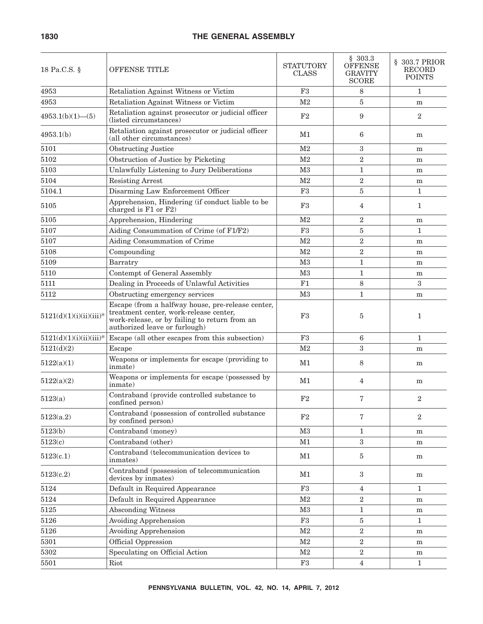| 18 Pa.C.S. §              | <b>OFFENSE TITLE</b>                                                                                                                                                          | <b>STATUTORY</b><br><b>CLASS</b> | \$303.3<br><b>OFFENSE</b><br><b>GRAVITY</b><br><b>SCORE</b> | § 303.7 PRIOR<br>RECORD<br><b>POINTS</b> |
|---------------------------|-------------------------------------------------------------------------------------------------------------------------------------------------------------------------------|----------------------------------|-------------------------------------------------------------|------------------------------------------|
| 4953                      | Retaliation Against Witness or Victim                                                                                                                                         | F3                               | 8                                                           | $\mathbf{1}$                             |
| 4953                      | Retaliation Against Witness or Victim                                                                                                                                         | M <sub>2</sub>                   | 5                                                           | m                                        |
| $4953.1(b)(1)$ - (5)      | Retaliation against prosecutor or judicial officer<br>(listed circumstances)                                                                                                  | F <sub>2</sub>                   | 9                                                           | $\boldsymbol{2}$                         |
| 4953.1(b)                 | Retaliation against prosecutor or judicial officer<br>(all other circumstances)                                                                                               | M1                               | 6                                                           | m                                        |
| 5101                      | <b>Obstructing Justice</b>                                                                                                                                                    | M <sub>2</sub>                   | 3                                                           | m                                        |
| 5102                      | Obstruction of Justice by Picketing                                                                                                                                           | M <sub>2</sub>                   | $\overline{2}$                                              | m                                        |
| 5103                      | Unlawfully Listening to Jury Deliberations                                                                                                                                    | M3                               | $\mathbf{1}$                                                | m                                        |
| 5104                      | <b>Resisting Arrest</b>                                                                                                                                                       | M <sub>2</sub>                   | $\overline{2}$                                              | m                                        |
| 5104.1                    | Disarming Law Enforcement Officer                                                                                                                                             | F3                               | 5                                                           | $\mathbf{1}$                             |
| 5105                      | Apprehension, Hindering (if conduct liable to be<br>charged is F1 or F2)                                                                                                      | F3                               | 4                                                           | $\mathbf{1}$                             |
| 5105                      | Apprehension, Hindering                                                                                                                                                       | M <sub>2</sub>                   | $\overline{2}$                                              | m                                        |
| 5107                      | Aiding Consummation of Crime (of F1/F2)                                                                                                                                       | F <sub>3</sub>                   | 5                                                           | $\mathbf{1}$                             |
| 5107                      | Aiding Consummation of Crime                                                                                                                                                  | M <sub>2</sub>                   | $\overline{2}$                                              | m                                        |
| 5108                      | Compounding                                                                                                                                                                   | M <sub>2</sub>                   | $\overline{2}$                                              | m                                        |
| 5109                      | Barratry                                                                                                                                                                      | M <sub>3</sub>                   | $\mathbf{1}$                                                | m                                        |
| 5110                      | Contempt of General Assembly                                                                                                                                                  | M <sub>3</sub>                   | $\mathbf{1}$                                                | m                                        |
| 5111                      | Dealing in Proceeds of Unlawful Activities                                                                                                                                    | F1                               | 8                                                           | 3                                        |
| 5112                      | Obstructing emergency services                                                                                                                                                | M <sub>3</sub>                   | $\mathbf{1}$                                                | m                                        |
| $5121(d)(1)(i)(ii)(iii)*$ | Escape (from a halfway house, pre-release center,<br>treatment center, work-release center,<br>work-release, or by failing to return from an<br>authorized leave or furlough) | F3                               | 5                                                           | $\mathbf{1}$                             |
| $5121(d)(1)(i)(ii)(iii)*$ | Escape (all other escapes from this subsection)                                                                                                                               | $\rm F3$                         | 6                                                           | $\mathbf{1}$                             |
| 5121(d)(2)                | Escape                                                                                                                                                                        | M <sub>2</sub>                   | 3                                                           | m                                        |
| 5122(a)(1)                | Weapons or implements for escape (providing to<br>inmate)                                                                                                                     | M1                               | 8                                                           | ${\bf m}$                                |
| 5122(a)(2)                | Weapons or implements for escape (possessed by<br>inmate)                                                                                                                     | M1                               | 4                                                           | m                                        |
| 5123(a)                   | Contraband (provide controlled substance to<br>confined person)                                                                                                               | F <sub>2</sub>                   | 7                                                           | $\overline{2}$                           |
| 5123(a.2)                 | Contraband (possession of controlled substance<br>by confined person)                                                                                                         | $\rm F2$                         | 7                                                           | $\overline{2}$                           |
| 5123(b)                   | Contraband (money)                                                                                                                                                            | $\rm M3$                         | $\mathbf{1}$                                                | m                                        |
| 5123(c)                   | Contraband (other)                                                                                                                                                            | M1                               | $\overline{3}$                                              | m                                        |
| 5123(c.1)                 | Contraband (telecommunication devices to<br>inmates)                                                                                                                          | M1                               | 5                                                           | m                                        |
| 5123(c.2)                 | Contraband (possession of telecommunication<br>devices by inmates)                                                                                                            | M1                               | $\boldsymbol{3}$                                            | m                                        |
| 5124                      | Default in Required Appearance                                                                                                                                                | F3                               | 4                                                           | $\mathbf{1}$                             |
| 5124                      | Default in Required Appearance                                                                                                                                                | M <sub>2</sub>                   | $\overline{2}$                                              | m                                        |
| $5125\,$                  | <b>Absconding Witness</b>                                                                                                                                                     | $\rm M3$                         | $\mathbf{1}$                                                | ${\bf m}$                                |
| 5126                      | <b>Avoiding Apprehension</b>                                                                                                                                                  | F3                               | 5                                                           | $\mathbf{1}$                             |
| 5126                      | <b>Avoiding Apprehension</b>                                                                                                                                                  | M <sub>2</sub>                   | $\overline{2}$                                              | m                                        |
| 5301                      | Official Oppression                                                                                                                                                           | M2                               | $\overline{2}$                                              | m                                        |
| 5302                      | Speculating on Official Action                                                                                                                                                | M2                               | $\overline{2}$                                              | m                                        |
| 5501                      | Riot                                                                                                                                                                          | $\rm F3$                         | 4                                                           | $\mathbf{1}$                             |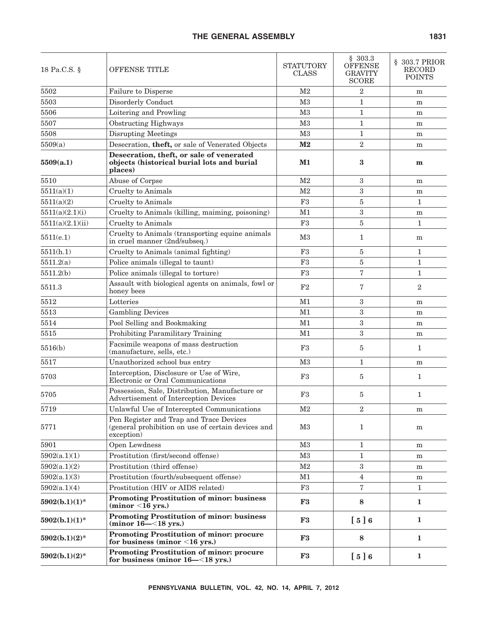| 18 Pa.C.S. §     | <b>OFFENSE TITLE</b>                                                                                        | <b>STATUTORY</b><br><b>CLASS</b> | \$303.3<br><b>OFFENSE</b><br>GRAVITY<br><b>SCORE</b> | § 303.7 PRIOR<br><b>RECORD</b><br><b>POINTS</b> |
|------------------|-------------------------------------------------------------------------------------------------------------|----------------------------------|------------------------------------------------------|-------------------------------------------------|
| 5502             | Failure to Disperse                                                                                         | M <sub>2</sub>                   | $\mathbf{2}$                                         | m                                               |
| 5503             | Disorderly Conduct                                                                                          | M3                               | $\mathbf{1}$                                         | m                                               |
| 5506             | Loitering and Prowling                                                                                      | M3                               | $\mathbf{1}$                                         | m                                               |
| 5507             | Obstructing Highways                                                                                        | M3                               | $\mathbf{1}$                                         | m                                               |
| 5508             | <b>Disrupting Meetings</b>                                                                                  | M3                               | $\mathbf{1}$                                         | m                                               |
| 5509(a)          | Desecration, theft, or sale of Venerated Objects                                                            | $\mathbf{M2}$                    | $\overline{2}$                                       | m                                               |
| 5509(a.1)        | Desecration, theft, or sale of venerated<br>objects (historical burial lots and burial<br>places)           | M1                               | 3                                                    | m                                               |
| 5510             | Abuse of Corpse                                                                                             | M <sub>2</sub>                   | 3                                                    | ${\bf m}$                                       |
| 5511(a)(1)       | <b>Cruelty</b> to Animals                                                                                   | M <sub>2</sub>                   | $\boldsymbol{3}$                                     | m                                               |
| 5511(a)(2)       | Cruelty to Animals                                                                                          | F3                               | 5                                                    | $\mathbf{1}$                                    |
| 5511(a)(2.1)(i)  | Cruelty to Animals (killing, maiming, poisoning)                                                            | M <sub>1</sub>                   | $\boldsymbol{3}$                                     | m                                               |
| 5511(a)(2.1)(ii) | Cruelty to Animals                                                                                          | F <sub>3</sub>                   | 5                                                    | $\mathbf{1}$                                    |
| 5511(e.1)        | Cruelty to Animals (transporting equine animals<br>in cruel manner (2nd/subseq.)                            | M3                               | $\mathbf{1}$                                         | m                                               |
| 5511(h.1)        | Cruelty to Animals (animal fighting)                                                                        | F3                               | 5                                                    | $\mathbf{1}$                                    |
| 5511.2(a)        | Police animals (illegal to taunt)                                                                           | F <sub>3</sub>                   | $\bf 5$                                              | $\mathbf{1}$                                    |
| 5511.2(b)        | Police animals (illegal to torture)                                                                         | F <sub>3</sub>                   | $\overline{7}$                                       | $\mathbf{1}$                                    |
| 5511.3           | Assault with biological agents on animals, fowl or<br>honey bees                                            | F2                               | 7                                                    | $\overline{2}$                                  |
| 5512             | Lotteries                                                                                                   | M1                               | $\boldsymbol{3}$                                     | m                                               |
| 5513             | <b>Gambling Devices</b>                                                                                     | M1                               | $\boldsymbol{3}$                                     | m                                               |
| 5514             | Pool Selling and Bookmaking                                                                                 | M1                               | $\boldsymbol{3}$                                     | m                                               |
| 5515             | Prohibiting Paramilitary Training                                                                           | M1                               | 3                                                    | m                                               |
| 5516(b)          | Facsimile weapons of mass destruction<br>(manufacture, sells, etc.)                                         | F <sub>3</sub>                   | 5                                                    | 1                                               |
| 5517             | Unauthorized school bus entry                                                                               | M <sub>3</sub>                   | $\mathbf{1}$                                         | m                                               |
| 5703             | Interception, Disclosure or Use of Wire,<br>Electronic or Oral Communications                               | F <sub>3</sub>                   | 5                                                    | $\mathbf{1}$                                    |
| 5705             | Possession, Sale, Distribution, Manufacture or<br>Advertisement of Interception Devices                     | F3                               | 5                                                    | $\mathbf{1}$                                    |
| 5719             | Unlawful Use of Intercepted Communications                                                                  | M2                               | 2                                                    | m                                               |
| 5771             | Pen Register and Trap and Trace Devices<br>(general prohibition on use of certain devices and<br>exception) | M3                               | 1                                                    | m                                               |
| 5901             | Open Lewdness                                                                                               | M3                               | $\mathbf{1}$                                         | m                                               |
| 5902(a.1)(1)     | Prostitution (first/second offense)                                                                         | M3                               | $\mathbf{1}$                                         | m                                               |
| 5902(a.1)(2)     | Prostitution (third offense)                                                                                | M2                               | $\sqrt{3}$                                           | m                                               |
| 5902(a.1)(3)     | Prostitution (fourth/subsequent offense)                                                                    | M1                               | $\overline{4}$                                       | m                                               |
| 5902(a.1)(4)     | Prostitution (HIV or AIDS related)                                                                          | F3                               | $\overline{7}$                                       | $\mathbf{1}$                                    |
| $5902(b.1)(1)$ * | <b>Promoting Prostitution of minor: business</b><br>$(minor 16 yrs.)$                                       | F3                               | 8                                                    | $\mathbf{1}$                                    |
| $5902(b.1)(1)$ * | <b>Promoting Prostitution of minor: business</b><br>$(\text{minor } 16 - \leq 18 \text{ yrs.})$             | F <sub>3</sub>                   | [5]6                                                 | $\mathbf{1}$                                    |
| $5902(b.1)(2)^*$ | Promoting Prostitution of minor: procure<br>for business (minor $<$ 16 yrs.)                                | F3                               | 8                                                    | 1                                               |
| $5902(b.1)(2)^*$ | Promoting Prostitution of minor: procure<br>for business (minor 16-<18 yrs.)                                | F3                               | [5]6                                                 | $\mathbf{1}$                                    |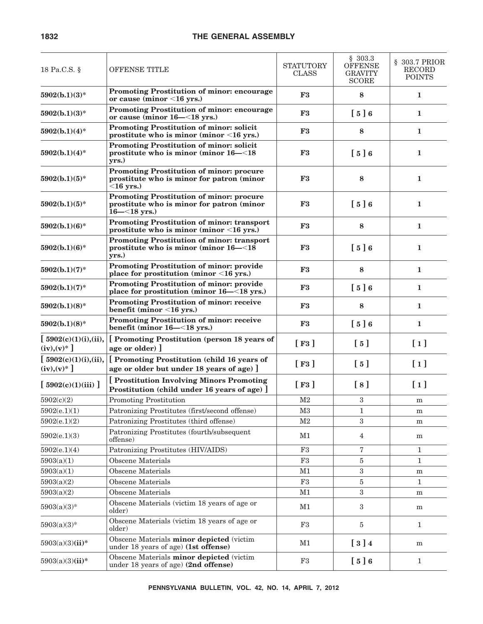| 18 Pa.C.S. §                             | <b>OFFENSE TITLE</b>                                                                                                | <b>STATUTORY</b><br><b>CLASS</b> | \$303.3<br><b>OFFENSE</b><br><b>GRAVITY</b><br><b>SCORE</b> | § 303.7 PRIOR<br>RECORD<br><b>POINTS</b> |
|------------------------------------------|---------------------------------------------------------------------------------------------------------------------|----------------------------------|-------------------------------------------------------------|------------------------------------------|
| $5902(b.1)(3)*$                          | <b>Promoting Prostitution of minor: encourage</b><br>or cause (minor $\leq$ 16 yrs.)                                | F3                               | 8                                                           | 1                                        |
| $5902(b.1)(3)*$                          | <b>Promoting Prostitution of minor: encourage</b><br>or cause (minor 16–<18 yrs.)                                   | F <sub>3</sub>                   | [5]6                                                        | 1                                        |
| $5902(b.1)(4)^*$                         | Promoting Prostitution of minor: solicit<br>prostitute who is minor (minor $\leq 16$ yrs.)                          | F3                               | 8                                                           | 1                                        |
| $5902(b.1)(4)^*$                         | Promoting Prostitution of minor: solicit<br>prostitute who is minor (minor 16–<18<br>yrs.)                          | ${\bf F3}$                       | $\left[ 5 \right] 6$                                        | 1                                        |
| $5902(b.1)(5)*$                          | <b>Promoting Prostitution of minor: procure</b><br>prostitute who is minor for patron (minor<br>$<$ 16 yrs.)        | F3                               | 8                                                           | 1                                        |
| $5902(b.1)(5)*$                          | <b>Promoting Prostitution of minor: procure</b><br>prostitute who is minor for patron (minor<br>$16 - \le 18$ yrs.) | F3                               | [5]6                                                        | 1                                        |
| $5902(b.1)(6)*$                          | <b>Promoting Prostitution of minor: transport</b><br>prostitute who is minor (minor $\leq 16$ yrs.)                 | F3                               | 8                                                           | 1                                        |
| $5902(b.1)(6)*$                          | Promoting Prostitution of minor: transport<br>prostitute who is minor (minor $16 - < 18$ )<br>yrs.)                 | ${\bf F3}$                       | $\left[ 5 \right] 6$                                        | 1                                        |
| $5902(b.1)(7)^*$                         | Promoting Prostitution of minor: provide<br>place for prostitution (minor <16 yrs.)                                 | F3                               | 8                                                           | 1                                        |
| $5902(b.1)(7)$ *                         | <b>Promoting Prostitution of minor: provide</b><br>place for prostitution (minor 16–<18 yrs.)                       | ${\bf F3}$                       | [5]6                                                        | 1                                        |
| $5902(b.1)(8)$ *                         | Promoting Prostitution of minor: receive<br>benefit (minor $<$ 16 yrs.)                                             | F3                               | 8                                                           | 1                                        |
| $5902(b.1)(8)$ *                         | <b>Promoting Prostitution of minor: receive</b><br>benefit (minor $16 - \le 18$ yrs.)                               | F3                               | [5]6                                                        | 1                                        |
| [5902(c)(1)(i), (ii),<br>$(iv), (v)^*$ ] | Promoting Prostitution (person 18 years of<br>age or older) ]                                                       | $[\;F3\;]$                       | $\left[ 5 \right]$                                          | $[1]$                                    |
| [5902(c)(1)(i), (ii),<br>$(iv), (v)^*$ ] | [ Promoting Prostitution (child 16 years of<br>age or older but under 18 years of age) ]                            | $[\ \mathbf{F3} \ ]$             | $\left[ 5 \right]$                                          | $\lceil 1 \rceil$                        |
| [5902(c)(1)(iii)]                        | <b>Prostitution Involving Minors Promoting</b><br>Prostitution (child under 16 years of age) ]                      | $[\ \mathbf{F3} \ ]$             | [8]                                                         | $\lceil 1 \rceil$                        |
| 5902(c)(2)                               | Promoting Prostitution                                                                                              | M <sub>2</sub>                   | 3                                                           | m                                        |
| 5902(e.1)(1)                             | Patronizing Prostitutes (first/second offense)                                                                      | M3                               | 1                                                           | ${\bf m}$                                |
| 5902(e.1)(2)                             | Patronizing Prostitutes (third offense)                                                                             | M <sub>2</sub>                   | 3                                                           | ${\bf m}$                                |
| 5902(e.1)(3)                             | Patronizing Prostitutes (fourth/subsequent<br>offense)                                                              | M1                               | 4                                                           | m                                        |
| 5902(e.1)(4)                             | Patronizing Prostitutes (HIV/AIDS)                                                                                  | F3                               | 7                                                           | $\mathbf{1}$                             |
| 5903(a)(1)                               | Obscene Materials                                                                                                   | F3                               | 5                                                           | $\mathbf{1}$                             |
| 5903(a)(1)                               | Obscene Materials                                                                                                   | M1                               | 3                                                           | m                                        |
| 5903(a)(2)                               | Obscene Materials                                                                                                   | F3                               | 5                                                           | $\mathbf{1}$                             |
| 5903(a)(2)                               | <b>Obscene Materials</b>                                                                                            | M1                               | 3                                                           | m                                        |
| $5903(a)(3)*$                            | Obscene Materials (victim 18 years of age or<br>older)                                                              | M1                               | 3                                                           | m                                        |
| $5903(a)(3)*$                            | Obscene Materials (victim 18 years of age or<br>older)                                                              | F3                               | 5                                                           | $\mathbf{1}$                             |
| $5903(a)(3)(ii)*$                        | Obscene Materials minor depicted (victim<br>under 18 years of age) (1st offense)                                    | M1                               | $\left[\begin{array}{c} 3 \end{array}\right]$ 4             | m                                        |
| $5903(a)(3)(ii)*$                        | Obscene Materials minor depicted (victim<br>under 18 years of age) (2nd offense)                                    | F3                               | [5]6                                                        | $\mathbf{1}$                             |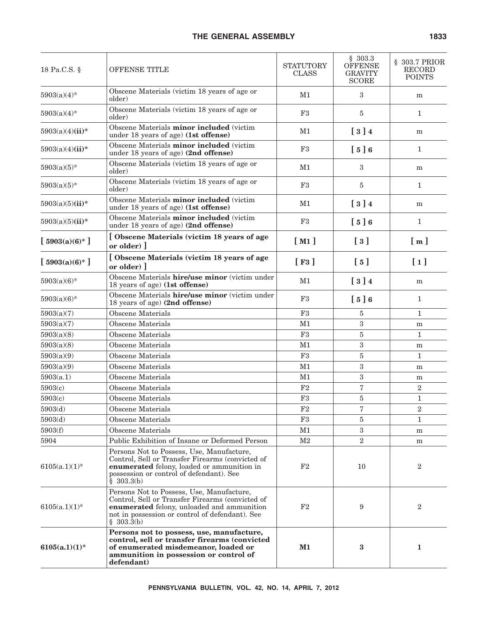| 18 Pa.C.S. §      | OFFENSE TITLE                                                                                                                                                                                                | <b>STATUTORY</b><br><b>CLASS</b> | \$303.3<br>OFFENSE<br><b>GRAVITY</b><br><b>SCORE</b> | § 303.7 PRIOR<br>RECORD<br><b>POINTS</b> |
|-------------------|--------------------------------------------------------------------------------------------------------------------------------------------------------------------------------------------------------------|----------------------------------|------------------------------------------------------|------------------------------------------|
| $5903(a)(4)^*$    | Obscene Materials (victim 18 years of age or<br>older)                                                                                                                                                       | M1                               | $\boldsymbol{3}$                                     | m                                        |
| $5903(a)(4)$ *    | Obscene Materials (victim 18 years of age or<br>older)                                                                                                                                                       | F3                               | 5                                                    | $\mathbf{1}$                             |
| $5903(a)(4)(ii)*$ | Obscene Materials minor included (victim<br>under 18 years of age) (1st offense)                                                                                                                             | M1                               | $\begin{bmatrix} 3 \end{bmatrix}$                    | m                                        |
| $5903(a)(4)(ii)*$ | Obscene Materials minor included (victim<br>under 18 years of age) (2nd offense)                                                                                                                             | F3                               | [5]6                                                 | $\mathbf{1}$                             |
| $5903(a)(5)$ *    | Obscene Materials (victim 18 years of age or<br>older)                                                                                                                                                       | M1                               | $\boldsymbol{3}$                                     | m                                        |
| $5903(a)(5)^*$    | Obscene Materials (victim 18 years of age or<br>older)                                                                                                                                                       | F3                               | 5                                                    | $\mathbf{1}$                             |
| $5903(a)(5)(ii)*$ | Obscene Materials minor included (victim<br>under 18 years of age) (1st offense)                                                                                                                             | M1                               | $\left[\begin{array}{c} 3 \end{array}\right]$ 4      | m                                        |
| $5903(a)(5)(ii)*$ | Obscene Materials minor included (victim<br>under 18 years of age) (2nd offense)                                                                                                                             | F3                               | [5]6                                                 | $\mathbf{1}$                             |
| $[5903(a)(6)^*]$  | <b>Obscene Materials (victim 18 years of age</b><br>or older) $\vert$                                                                                                                                        | [M1]                             | $\left[\begin{array}{c}3\end{array}\right]$          | $\lceil m \rceil$                        |
| $[5903(a)(6)^*]$  | [Obscene Materials (victim 18 years of age<br>or older) $\vert$                                                                                                                                              | [F3]                             | $\lceil 5 \rceil$                                    | $[1]$                                    |
| $5903(a)(6)$ *    | Obscene Materials hire/use minor (victim under<br>18 years of age) (1st offense)                                                                                                                             | M1                               | $\begin{bmatrix} 3 \end{bmatrix}$                    | m                                        |
| $5903(a)(6)$ *    | Obscene Materials hire/use minor (victim under<br>18 years of age) (2nd offense)                                                                                                                             | F3                               | [5]6                                                 | $\mathbf{1}$                             |
| 5903(a)(7)        | Obscene Materials                                                                                                                                                                                            | F3                               | 5                                                    | 1                                        |
| 5903(a)(7)        | Obscene Materials                                                                                                                                                                                            | M1                               | 3                                                    | m                                        |
| 5903(a)(8)        | Obscene Materials                                                                                                                                                                                            | F3                               | 5                                                    | $\mathbf{1}$                             |
| 5903(a)(8)        | Obscene Materials                                                                                                                                                                                            | M1                               | $\boldsymbol{3}$                                     | m                                        |
| 5903(a)(9)        | Obscene Materials                                                                                                                                                                                            | F3                               | 5                                                    | $\mathbf{1}$                             |
| 5903(a)(9)        | Obscene Materials                                                                                                                                                                                            | M1                               | $\boldsymbol{3}$                                     | m                                        |
| 5903(a.1)         | Obscene Materials                                                                                                                                                                                            | M1                               | $\boldsymbol{3}$                                     | m                                        |
| 5903(c)           | Obscene Materials                                                                                                                                                                                            | F2                               | 7                                                    | $\boldsymbol{2}$                         |
| 5903(c)           | Obscene Materials                                                                                                                                                                                            | F3                               | 5                                                    | $\mathbf{1}$                             |
| 5903(d)           | Obscene Materials                                                                                                                                                                                            | $\rm F2$                         | 7                                                    | $\,2$                                    |
| 5903(d)           | <b>Obscene Materials</b>                                                                                                                                                                                     | F3                               | 5                                                    | $\mathbf{1}$                             |
| 5903(f)           | Obscene Materials                                                                                                                                                                                            | M1                               | $\sqrt{3}$                                           | m                                        |
| 5904              | Public Exhibition of Insane or Deformed Person                                                                                                                                                               | M2                               | $\sqrt{2}$                                           | m                                        |
| $6105(a.1)(1)$ *  | Persons Not to Possess, Use, Manufacture,<br>Control, Sell or Transfer Firearms (convicted of<br>enumerated felony, loaded or ammunition in<br>possession or control of defendant). See<br>\$303.3(b)        | F2                               | 10                                                   | $\overline{2}$                           |
| $6105(a.1)(1)$ *  | Persons Not to Possess, Use, Manufacture,<br>Control, Sell or Transfer Firearms (convicted of<br>enumerated felony, unloaded and ammunition<br>not in possession or control of defendant). See<br>\$303.3(b) | F <sub>2</sub>                   | 9                                                    | $\overline{2}$                           |
| $6105(a.1)(1)^*$  | Persons not to possess, use, manufacture,<br>control, sell or transfer firearms (convicted<br>of enumerated misdemeanor, loaded or<br>ammunition in possession or control of<br>defendant)                   | $M1$                             | $\bf{3}$                                             | $\mathbf{1}$                             |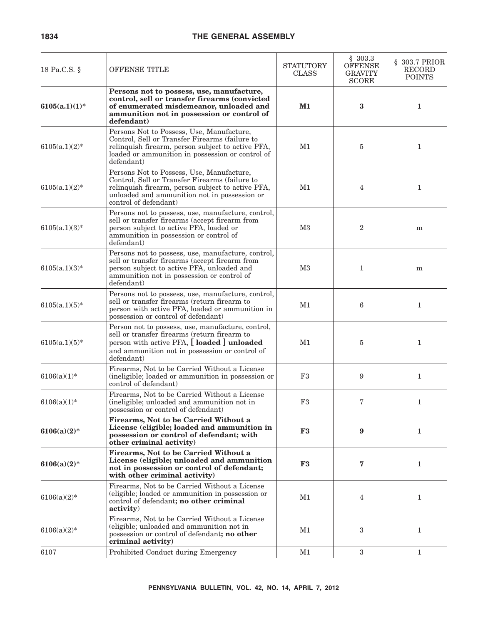| 18 Pa.C.S. §     | OFFENSE TITLE                                                                                                                                                                                                             | STATUTORY<br><b>CLASS</b> | \$303.3<br><b>OFFENSE</b><br><b>GRAVITY</b><br><b>SCORE</b> | § 303.7 PRIOR<br><b>RECORD</b><br><b>POINTS</b> |
|------------------|---------------------------------------------------------------------------------------------------------------------------------------------------------------------------------------------------------------------------|---------------------------|-------------------------------------------------------------|-------------------------------------------------|
| $6105(a.1)(1)$ * | Persons not to possess, use, manufacture,<br>control, sell or transfer firearms (convicted<br>of enumerated misdemeanor, unloaded and<br>ammunition not in possession or control of<br>defendant)                         | $M1$                      | 3                                                           | 1                                               |
| $6105(a.1)(2)$ * | Persons Not to Possess, Use, Manufacture,<br>Control, Sell or Transfer Firearms (failure to<br>relinquish firearm, person subject to active PFA,<br>loaded or ammunition in possession or control of<br>defendant)        | M1                        | 5                                                           | $\mathbf{1}$                                    |
| $6105(a.1)(2)$ * | Persons Not to Possess, Use, Manufacture,<br>Control, Sell or Transfer Firearms (failure to<br>relinquish firearm, person subject to active PFA,<br>unloaded and ammunition not in possession or<br>control of defendant) | M1                        | 4                                                           | $\mathbf{1}$                                    |
| $6105(a.1)(3)$ * | Persons not to possess, use, manufacture, control,<br>sell or transfer firearms (accept firearm from<br>person subject to active PFA, loaded or<br>ammunition in possession or control of<br>defendant)                   | M <sub>3</sub>            | $\overline{2}$                                              | m                                               |
| $6105(a.1)(3)$ * | Persons not to possess, use, manufacture, control,<br>sell or transfer firearms (accept firearm from<br>person subject to active PFA, unloaded and<br>ammunition not in possession or control of<br>defendant)            | M <sub>3</sub>            | $\mathbf 1$                                                 | ${\bf m}$                                       |
| $6105(a.1)(5)$ * | Persons not to possess, use, manufacture, control,<br>sell or transfer firearms (return firearm to<br>person with active PFA, loaded or ammunition in<br>possession or control of defendant)                              | M1                        | 6                                                           | $\mathbf{1}$                                    |
| $6105(a.1)(5)$ * | Person not to possess, use, manufacture, control,<br>sell or transfer firearms (return firearm to<br>person with active PFA, [ loaded ] unloaded<br>and ammunition not in possession or control of<br>defendant)          | M1                        | 5                                                           | $\mathbf{1}$                                    |
| $6106(a)(1)$ *   | Firearms, Not to be Carried Without a License<br>(ineligible; loaded or ammunition in possession or<br>control of defendant)                                                                                              | F3                        | 9                                                           | $\mathbf{1}$                                    |
| $6106(a)(1)$ *   | Firearms, Not to be Carried Without a License<br>(ineligible; unloaded and ammunition not in<br>possession or control of defendant)                                                                                       | F3                        | 7                                                           | $\mathbf 1$                                     |
| $6106(a)(2)$ *   | Firearms, Not to be Carried Without a<br>License (eligible; loaded and ammunition in<br>possession or control of defendant; with<br>other criminal activity)                                                              | F3                        | 9                                                           | $\mathbf{1}$                                    |
| $6106(a)(2)$ *   | Firearms, Not to be Carried Without a<br>License (eligible; unloaded and ammunition<br>not in possession or control of defendant;<br>with other criminal activity)                                                        | ${\bf F3}$                | 7                                                           | $\mathbf{1}$                                    |
| $6106(a)(2)$ *   | Firearms, Not to be Carried Without a License<br>(eligible; loaded or ammunition in possession or<br>control of defendant; no other criminal<br>activity)                                                                 | M1                        | 4                                                           | $\mathbf{1}$                                    |
| $6106(a)(2)$ *   | Firearms, Not to be Carried Without a License<br>(eligible; unloaded and ammunition not in<br>possession or control of defendant; no other<br>criminal activity)                                                          | M1                        | 3                                                           | $\mathbf{1}$                                    |
| 6107             | Prohibited Conduct during Emergency                                                                                                                                                                                       | M1                        | 3                                                           | $\mathbf{1}$                                    |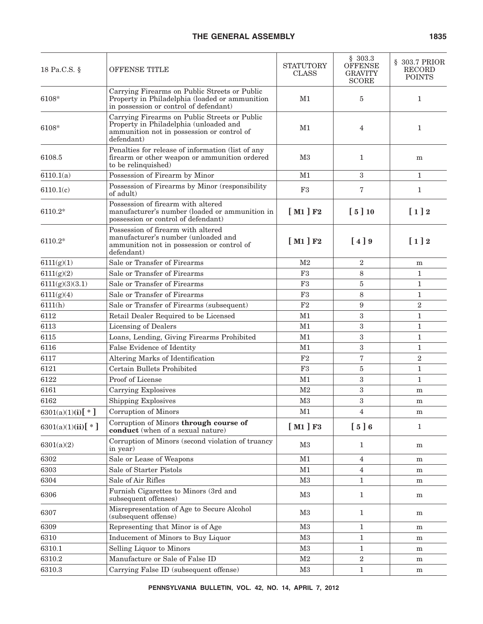| 18 Pa.C.S. §          | OFFENSE TITLE                                                                                                                                       | <b>STATUTORY</b><br><b>CLASS</b> | \$303.3<br><b>OFFENSE</b><br><b>GRAVITY</b><br><b>SCORE</b> | § 303.7 PRIOR<br>RECORD<br><b>POINTS</b> |
|-----------------------|-----------------------------------------------------------------------------------------------------------------------------------------------------|----------------------------------|-------------------------------------------------------------|------------------------------------------|
| 6108*                 | Carrying Firearms on Public Streets or Public<br>Property in Philadelphia (loaded or ammunition<br>in possession or control of defendant)           | M1                               | 5                                                           | $\mathbf{1}$                             |
| 6108*                 | Carrying Firearms on Public Streets or Public<br>Property in Philadelphia (unloaded and<br>ammunition not in possession or control of<br>defendant) | M1                               | 4                                                           | $\mathbf{1}$                             |
| 6108.5                | Penalties for release of information (list of any<br>firearm or other weapon or ammunition ordered<br>to be relinquished)                           | M <sub>3</sub>                   | 1                                                           | ${\bf m}$                                |
| 6110.1(a)             | Possession of Firearm by Minor                                                                                                                      | M1                               | 3                                                           | $\mathbf{1}$                             |
| 6110.1(c)             | Possession of Firearms by Minor (responsibility<br>of adult)                                                                                        | F3                               | 7                                                           | $\mathbf{1}$                             |
| 6110.2*               | Possession of firearm with altered<br>manufacturer's number (loaded or ammunition in<br>possession or control of defendant)                         | [M1]F2                           | [5]10                                                       | $[1]2$                                   |
| $6110.2*$             | Possession of firearm with altered<br>manufacturer's number (unloaded and<br>ammunition not in possession or control of<br>defendant)               | [M1]F2                           | $\lceil 4 \rceil 9$                                         | $[1]2$                                   |
| 6111(g)(1)            | Sale or Transfer of Firearms                                                                                                                        | M <sub>2</sub>                   | $\overline{2}$                                              | ${\bf m}$                                |
| 6111(g)(2)            | Sale or Transfer of Firearms                                                                                                                        | F3                               | 8                                                           | $\mathbf{1}$                             |
| 6111(g)(3)(3.1)       | Sale or Transfer of Firearms                                                                                                                        | F3                               | 5                                                           | $\mathbf{1}$                             |
| 6111(g)(4)            | Sale or Transfer of Firearms                                                                                                                        | F <sub>3</sub>                   | 8                                                           | $\mathbf{1}$                             |
| 6111(h)               | Sale or Transfer of Firearms (subsequent)                                                                                                           | F <sub>2</sub>                   | 9                                                           | $\overline{2}$                           |
| 6112                  | Retail Dealer Required to be Licensed                                                                                                               | M1                               | 3                                                           | $\mathbf{1}$                             |
| 6113                  | Licensing of Dealers                                                                                                                                | M1                               | 3                                                           | $\mathbf{1}$                             |
| 6115                  | Loans, Lending, Giving Firearms Prohibited                                                                                                          | M1                               | 3                                                           | $\mathbf{1}$                             |
| 6116                  | False Evidence of Identity                                                                                                                          | M1                               | 3                                                           | $\mathbf{1}$                             |
| 6117                  | Altering Marks of Identification                                                                                                                    | F2                               | 7                                                           | $\overline{2}$                           |
| 6121                  | Certain Bullets Prohibited                                                                                                                          | F3                               | 5                                                           | $\mathbf{1}$                             |
| 6122                  | Proof of License                                                                                                                                    | M1                               | 3                                                           | $\mathbf{1}$                             |
| 6161                  | Carrying Explosives                                                                                                                                 | M <sub>2</sub>                   | 3                                                           | m                                        |
| 6162                  | <b>Shipping Explosives</b>                                                                                                                          | M <sub>3</sub>                   | 3                                                           | m                                        |
| $6301(a)(1)(i)[*]$    | Corruption of Minors                                                                                                                                | M1                               | 4                                                           | m                                        |
| 6301(a)(1)(ii)[ $*$ ] | Corruption of Minors through course of<br>conduct (when of a sexual nature)                                                                         | [M1]F3                           | [5]6                                                        | $\mathbf{1}$                             |
| 6301(a)(2)            | Corruption of Minors (second violation of truancy<br>in year)                                                                                       | M3                               | $\mathbf{1}$                                                | m                                        |
| 6302                  | Sale or Lease of Weapons                                                                                                                            | M1                               | $\overline{4}$                                              | ${\bf m}$                                |
| 6303                  | Sale of Starter Pistols                                                                                                                             | M1                               | $\overline{4}$                                              | m                                        |
| 6304                  | Sale of Air Rifles                                                                                                                                  | M3                               | $\mathbf{1}$                                                | m                                        |
| 6306                  | Furnish Cigarettes to Minors (3rd and<br>subsequent offenses)                                                                                       | M3                               | $\mathbf{1}$                                                | m                                        |
| 6307                  | Misrepresentation of Age to Secure Alcohol<br>(subsequent offense)                                                                                  | M3                               | $\mathbf{1}$                                                | m                                        |
| 6309                  | Representing that Minor is of Age                                                                                                                   | M3                               | 1                                                           | m                                        |
| 6310                  | Inducement of Minors to Buy Liquor                                                                                                                  | M3                               | $\mathbf{1}$                                                | m                                        |
| 6310.1                | Selling Liquor to Minors                                                                                                                            | M3                               | $\mathbf{1}$                                                | m                                        |
| 6310.2                | Manufacture or Sale of False ID                                                                                                                     | M <sub>2</sub>                   | $\overline{2}$                                              | m                                        |
| 6310.3                | Carrying False ID (subsequent offense)                                                                                                              | M3                               | $\mathbf{1}$                                                | m                                        |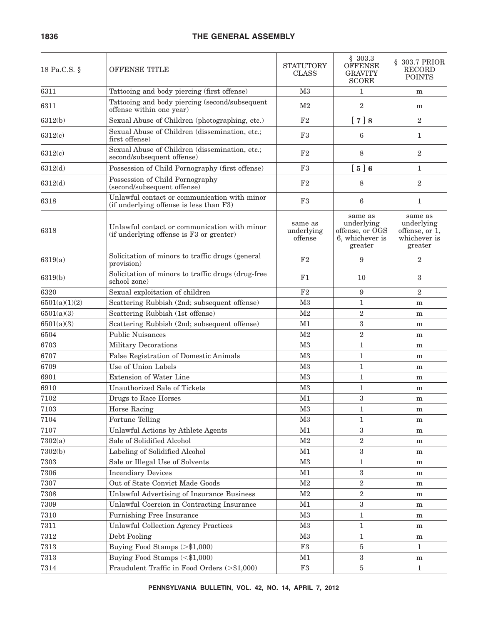| 18 Pa.C.S. §  | OFFENSE TITLE                                                                            | <b>STATUTORY</b><br><b>CLASS</b> | \$303.3<br><b>OFFENSE</b><br><b>GRAVITY</b><br><b>SCORE</b>            | § 303.7 PRIOR<br>RECORD<br><b>POINTS</b>                           |
|---------------|------------------------------------------------------------------------------------------|----------------------------------|------------------------------------------------------------------------|--------------------------------------------------------------------|
| 6311          | Tattooing and body piercing (first offense)                                              | M <sub>3</sub>                   | $\mathbf{1}$                                                           | m                                                                  |
| 6311          | Tattooing and body piercing (second/subsequent<br>offense within one year)               | M <sub>2</sub>                   | $\overline{2}$                                                         | m                                                                  |
| 6312(b)       | Sexual Abuse of Children (photographing, etc.)                                           | F <sub>2</sub>                   | [7]8                                                                   | $\overline{2}$                                                     |
| 6312(c)       | Sexual Abuse of Children (dissemination, etc.;<br>first offense)                         | F <sub>3</sub>                   | 6                                                                      | $\mathbf{1}$                                                       |
| 6312(c)       | Sexual Abuse of Children (dissemination, etc.;<br>second/subsequent offense)             | F <sub>2</sub>                   | 8                                                                      | $\overline{2}$                                                     |
| 6312(d)       | Possession of Child Pornography (first offense)                                          | F3                               | [5]6                                                                   | $\mathbf{1}$                                                       |
| 6312(d)       | Possession of Child Pornography<br>(second/subsequent offense)                           | F <sub>2</sub>                   | 8                                                                      | $\overline{2}$                                                     |
| 6318          | Unlawful contact or communication with minor<br>(if underlying offense is less than F3)  | F3                               | 6                                                                      | 1                                                                  |
| 6318          | Unlawful contact or communication with minor<br>(if underlying offense is F3 or greater) | same as<br>underlying<br>offense | same as<br>underlying<br>offense, or OGS<br>6, whichever is<br>greater | same as<br>underlying<br>offense, or 1,<br>whichever is<br>greater |
| 6319(a)       | Solicitation of minors to traffic drugs (general<br>provision)                           | F <sub>2</sub>                   | 9                                                                      | $\overline{2}$                                                     |
| 6319(b)       | Solicitation of minors to traffic drugs (drug-free<br>school zone)                       | F1                               | 10                                                                     | 3                                                                  |
| 6320          | Sexual exploitation of children                                                          | F2                               | 9                                                                      | $\overline{2}$                                                     |
| 6501(a)(1)(2) | Scattering Rubbish (2nd; subsequent offense)                                             | M3                               | $\mathbf{1}$                                                           | m                                                                  |
| 6501(a)(3)    | Scattering Rubbish (1st offense)                                                         | M <sub>2</sub>                   | $\overline{2}$                                                         | m                                                                  |
| 6501(a)(3)    | Scattering Rubbish (2nd; subsequent offense)                                             | M1                               | 3                                                                      | m                                                                  |
| 6504          | <b>Public Nuisances</b>                                                                  | M <sub>2</sub>                   | $\boldsymbol{2}$                                                       | m                                                                  |
| 6703          | <b>Military Decorations</b>                                                              | M <sub>3</sub>                   | $\mathbf{1}$                                                           | m                                                                  |
| 6707          | False Registration of Domestic Animals                                                   | M <sub>3</sub>                   | $\mathbf{1}$                                                           | m                                                                  |
| 6709          | Use of Union Labels                                                                      | M <sub>3</sub>                   | $\mathbf{1}$                                                           | m                                                                  |
| 6901          | <b>Extension of Water Line</b>                                                           | M <sub>3</sub>                   | $\mathbf{1}$                                                           | m                                                                  |
| 6910          | Unauthorized Sale of Tickets                                                             | M <sub>3</sub>                   | $\mathbf{1}$                                                           | m                                                                  |
| 7102          | Drugs to Race Horses                                                                     | M1                               | $\boldsymbol{3}$                                                       | m                                                                  |
| 7103          | Horse Racing                                                                             | M <sub>3</sub>                   | 1                                                                      | ${\bf m}$                                                          |
| 7104          | Fortune Telling                                                                          | M3                               | 1                                                                      | m                                                                  |
| 7107          | Unlawful Actions by Athlete Agents                                                       | M1                               | $\overline{3}$                                                         | m                                                                  |
| 7302(a)       | Sale of Solidified Alcohol                                                               | $\rm M2$                         | $\overline{2}$                                                         | ${\bf m}$                                                          |
| 7302(b)       | Labeling of Solidified Alcohol                                                           | M1                               | $\sqrt{3}$                                                             | ${\bf m}$                                                          |
| 7303          | Sale or Illegal Use of Solvents                                                          | M3                               | $\mathbf{1}$                                                           | ${\bf m}$                                                          |
| 7306          | <b>Incendiary Devices</b>                                                                | M1                               | $\boldsymbol{3}$                                                       | m                                                                  |
| 7307          | Out of State Convict Made Goods                                                          | M <sub>2</sub>                   | $\overline{2}$                                                         | ${\bf m}$                                                          |
| 7308          | Unlawful Advertising of Insurance Business                                               | $\rm M2$                         | $\sqrt{2}$                                                             | ${\bf m}$                                                          |
| 7309          | Unlawful Coercion in Contracting Insurance                                               | M1                               | $\boldsymbol{3}$                                                       | m                                                                  |
| 7310          | Furnishing Free Insurance                                                                | $\rm M3$                         | $\mathbf{1}$                                                           | m                                                                  |
| 7311          | <b>Unlawful Collection Agency Practices</b>                                              | M3                               | $\mathbf{1}$                                                           | ${\bf m}$                                                          |
| 7312          | Debt Pooling                                                                             | M3                               | $\mathbf{1}$                                                           | m                                                                  |
| 7313          | Buying Food Stamps (>\$1,000)                                                            | $\rm F3$                         | 5                                                                      | $\mathbf{1}$                                                       |
| 7313          | Buying Food Stamps (<\$1,000)                                                            | M1                               | $\sqrt{3}$                                                             | m                                                                  |
| 7314          | Fraudulent Traffic in Food Orders (>\$1,000)                                             | F3                               | $\bf 5$                                                                | $\mathbf{1}$                                                       |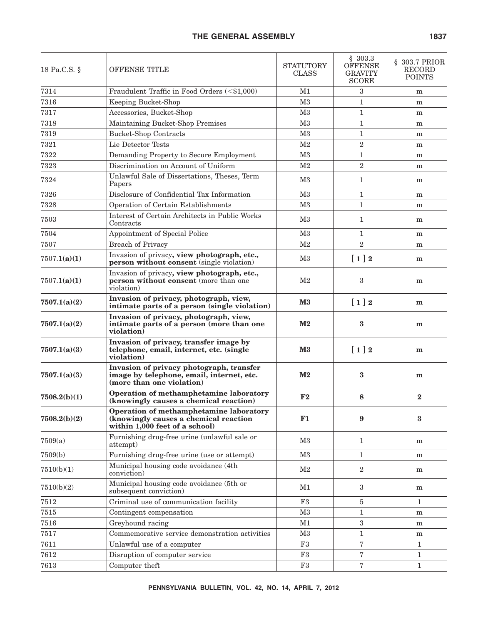| 18 Pa.C.S. § | OFFENSE TITLE                                                                                                      | <b>STATUTORY</b><br><b>CLASS</b> | \$303.3<br><b>OFFENSE</b><br><b>GRAVITY</b><br><b>SCORE</b> | § 303.7 PRIOR<br>RECORD<br><b>POINTS</b> |
|--------------|--------------------------------------------------------------------------------------------------------------------|----------------------------------|-------------------------------------------------------------|------------------------------------------|
| 7314         | Fraudulent Traffic in Food Orders (<\$1,000)                                                                       | M1                               | 3                                                           | m                                        |
| 7316         | Keeping Bucket-Shop                                                                                                | M <sub>3</sub>                   | $\mathbf{1}$                                                | m                                        |
| 7317         | Accessories, Bucket-Shop                                                                                           | M <sub>3</sub>                   | $\mathbf{1}$                                                | m                                        |
| 7318         | Maintaining Bucket-Shop Premises                                                                                   | M <sub>3</sub>                   | $\mathbf{1}$                                                | m                                        |
| 7319         | <b>Bucket-Shop Contracts</b>                                                                                       | M <sub>3</sub>                   | $\mathbf{1}$                                                | m                                        |
| 7321         | Lie Detector Tests                                                                                                 | M <sub>2</sub>                   | $\boldsymbol{2}$                                            | m                                        |
| 7322         | Demanding Property to Secure Employment                                                                            | M <sub>3</sub>                   | $\mathbf{1}$                                                | m                                        |
| 7323         | Discrimination on Account of Uniform                                                                               | M <sub>2</sub>                   | 2                                                           | m                                        |
| 7324         | Unlawful Sale of Dissertations, Theses, Term<br>Papers                                                             | $_{\rm M3}$                      | 1                                                           | m                                        |
| 7326         | Disclosure of Confidential Tax Information                                                                         | M <sub>3</sub>                   | $\mathbf{1}$                                                | m                                        |
| 7328         | Operation of Certain Establishments                                                                                | M <sub>3</sub>                   | $\mathbf{1}$                                                | m                                        |
| 7503         | Interest of Certain Architects in Public Works<br>Contracts                                                        | $_{\rm M3}$                      | 1                                                           | m                                        |
| 7504         | Appointment of Special Police                                                                                      | M <sub>3</sub>                   | 1                                                           | m                                        |
| 7507         | <b>Breach of Privacy</b>                                                                                           | M <sub>2</sub>                   | 2                                                           | m                                        |
| 7507.1(a)(1) | Invasion of privacy, view photograph, etc.,<br><b>person without consent</b> (single violation)                    | M3                               | $[1]2$                                                      | m                                        |
| 7507.1(a)(1) | Invasion of privacy, view photograph, etc.,<br>person without consent (more than one<br>violation)                 | M <sub>2</sub>                   | 3                                                           | m                                        |
| 7507.1(a)(2) | Invasion of privacy, photograph, view,<br>intimate parts of a person (single violation)                            | $\mathbf{M}3$                    | $[1]2$                                                      | m                                        |
| 7507.1(a)(2) | Invasion of privacy, photograph, view,<br>intimate parts of a person (more than one<br>violation)                  | $\mathbf{M2}$                    | 3                                                           | m                                        |
| 7507.1(a)(3) | Invasion of privacy, transfer image by<br>telephone, email, internet, etc. (single<br>violation)                   | $\mathbf{M}3$                    | $\left[1\right]2$                                           | m                                        |
| 7507.1(a)(3) | Invasion of privacy photograph, transfer<br>image by telephone, email, internet, etc.<br>(more than one violation) | $\mathbf{M2}$                    | 3                                                           | m                                        |
| 7508.2(b)(1) | Operation of methamphetamine laboratory<br>(knowingly causes a chemical reaction)                                  | F2                               | 8                                                           | $\bf{2}$                                 |
| 7508.2(b)(2) | Operation of methamphetamine laboratory<br>(knowingly causes a chemical reaction<br>within 1,000 feet of a school) | F1                               | 9                                                           | 3                                        |
| 7509(a)      | Furnishing drug-free urine (unlawful sale or<br>attempt)                                                           | M3                               | $\mathbf{1}$                                                | m                                        |
| 7509(b)      | Furnishing drug-free urine (use or attempt)                                                                        | M3                               | $\mathbf{1}$                                                | m                                        |
| 7510(b)(1)   | Municipal housing code avoidance (4th<br>conviction)                                                               | M <sub>2</sub>                   | $\mathbf{2}$                                                | m                                        |
| 7510(b)(2)   | Municipal housing code avoidance (5th or<br>subsequent conviction)                                                 | M1                               | 3                                                           | m                                        |
| $7512\,$     | Criminal use of communication facility                                                                             | $\rm F3$                         | 5                                                           | $\mathbf{1}$                             |
| 7515         | Contingent compensation                                                                                            | M3                               | $\mathbf{1}$                                                | m                                        |
| 7516         | Greyhound racing                                                                                                   | M1                               | $\sqrt{3}$                                                  | m                                        |
| 7517         | Commemorative service demonstration activities                                                                     | M3                               | $\mathbf{1}$                                                | m                                        |
| 7611         | Unlawful use of a computer                                                                                         | F3                               | $\overline{7}$                                              | $\mathbf{1}$                             |
| 7612         | Disruption of computer service                                                                                     | F3                               | $\overline{7}$                                              | $\mathbf{1}$                             |
| 7613         | Computer theft                                                                                                     | F3                               | $\,7$                                                       | $\mathbf{1}$                             |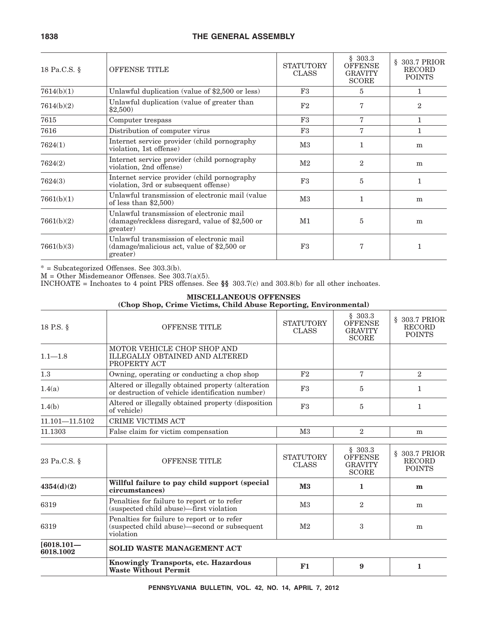| 18 Pa.C.S. § | OFFENSE TITLE                                                                                           | <b>STATUTORY</b><br><b>CLASS</b> | \$303.3<br><b>OFFENSE</b><br><b>GRAVITY</b><br><b>SCORE</b> | 303.7 PRIOR<br>§.<br><b>RECORD</b><br><b>POINTS</b> |
|--------------|---------------------------------------------------------------------------------------------------------|----------------------------------|-------------------------------------------------------------|-----------------------------------------------------|
| 7614(b)(1)   | Unlawful duplication (value of \$2,500 or less)                                                         | F3                               | 5                                                           | 1                                                   |
| 7614(b)(2)   | Unlawful duplication (value of greater than<br>\$2,500                                                  | F2                               |                                                             | $\mathbf{2}$                                        |
| 7615         | Computer trespass                                                                                       | F3                               | 7                                                           | $\mathbf{1}$                                        |
| 7616         | Distribution of computer virus                                                                          | F3                               | 7                                                           | 1                                                   |
| 7624(1)      | Internet service provider (child pornography<br>violation, 1st offense)                                 | $\rm M3$                         |                                                             | m                                                   |
| 7624(2)      | Internet service provider (child pornography<br>violation, 2nd offense)                                 | $\rm M2$                         | $\overline{2}$                                              | m                                                   |
| 7624(3)      | Internet service provider (child pornography<br>violation, 3rd or subsequent offense)                   | F3                               | 5                                                           | 1                                                   |
| 7661(b)(1)   | Unlawful transmission of electronic mail (value)<br>of less than $$2,500$                               | $\rm M3$                         |                                                             | m                                                   |
| 7661(b)(2)   | Unlawful transmission of electronic mail<br>(damage/reckless disregard, value of \$2,500 or<br>greater) | M1                               | 5                                                           | m                                                   |
| 7661(b)(3)   | Unlawful transmission of electronic mail<br>(damage/malicious act, value of \$2,500 or<br>greater)      | F3                               |                                                             | $\mathbf{1}$                                        |

\* = Subcategorized Offenses. See 303.3(b).

M = Other Misdemeanor Offenses. See 303.7(a)(5).

INCHOATE = Inchoates to 4 point PRS offenses. See  $\S$  303.7(c) and 303.8(b) for all other inchoates.

## **MISCELLANEOUS OFFENSES**

|  | (Chop Shop, Crime Victims, Child Abuse Reporting, Environmental) |  |  |  |  |
|--|------------------------------------------------------------------|--|--|--|--|
|  |                                                                  |  |  |  |  |

| <b>OFFENSE TITLE</b>                                                                                     | <b>STATUTORY</b><br><b>CLASS</b> | \$303.3<br><b>OFFENSE</b><br><b>GRAVITY</b><br><b>SCORE</b> | § 303.7 PRIOR<br><b>RECORD</b><br><b>POINTS</b> |
|----------------------------------------------------------------------------------------------------------|----------------------------------|-------------------------------------------------------------|-------------------------------------------------|
| MOTOR VEHICLE CHOP SHOP AND<br><b>ILLEGALLY OBTAINED AND ALTERED</b><br>PROPERTY ACT                     |                                  |                                                             |                                                 |
| Owning, operating or conducting a chop shop                                                              | F <sub>2</sub>                   | 7                                                           | $\overline{2}$                                  |
| Altered or illegally obtained property (alteration<br>or destruction of vehicle identification number)   | F3                               | 5                                                           | 1                                               |
| Altered or illegally obtained property (disposition<br>of vehicle)                                       | F3                               | 5                                                           | $\mathbf{1}$                                    |
| CRIME VICTIMS ACT                                                                                        |                                  |                                                             |                                                 |
| False claim for victim compensation                                                                      | M3                               | $\overline{2}$                                              | m                                               |
|                                                                                                          |                                  |                                                             |                                                 |
| <b>OFFENSE TITLE</b>                                                                                     | <b>STATUTORY</b><br><b>CLASS</b> | <b>OFFENSE</b><br><b>GRAVITY</b><br><b>SCORE</b>            | § 303.7 PRIOR<br><b>RECORD</b><br><b>POINTS</b> |
| Willful failure to pay child support (special<br>circumstances)                                          | $\mathbf{M}3$                    | 1                                                           | $\mathbf{m}$                                    |
| Penalties for failure to report or to refer<br>(suspected child abuse)—first violation                   | M <sub>3</sub>                   | $\overline{2}$                                              | m                                               |
| Penalties for failure to report or to refer<br>(suspected child abuse)—second or subsequent<br>violation | M <sub>2</sub>                   | 3                                                           | m                                               |
| <b>SOLID WASTE MANAGEMENT ACT</b>                                                                        |                                  |                                                             |                                                 |
| <b>Knowingly Transports, etc. Hazardous</b><br><b>Waste Without Permit</b>                               | F1                               | 9                                                           | 1                                               |
|                                                                                                          |                                  |                                                             | \$303.3                                         |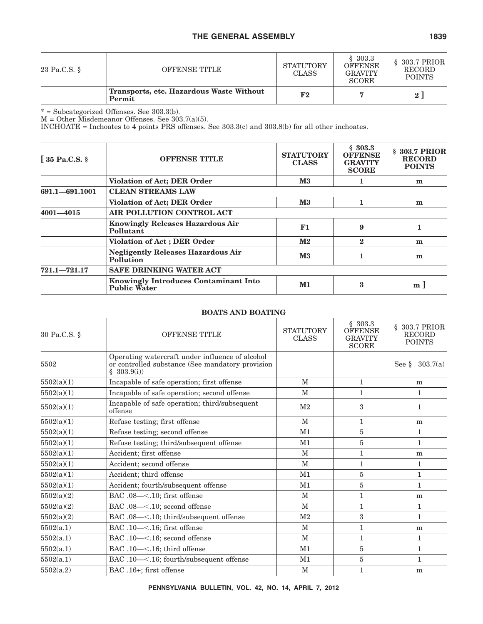| 23 Pa.C.S. § | OFFENSE TITLE                                      | STATUTORY<br><b>CLASS</b> | \$303.3<br><b>OFFENSE</b><br><b>GRAVITY</b><br><b>SCORE</b> | $$303.7$ PRIOR<br><b>RECORD</b><br><b>POINTS</b> |
|--------------|----------------------------------------------------|---------------------------|-------------------------------------------------------------|--------------------------------------------------|
|              | Transports, etc. Hazardous Waste Without<br>Permit | F2                        |                                                             | 2 <sup>1</sup>                                   |

\* = Subcategorized Offenses. See 303.3(b).

M = Other Misdemeanor Offenses. See 303.7(a)(5).

INCHOATE = Inchoates to 4 points PRS offenses. See 303.3(c) and 303.8(b) for all other inchoates.

| $\int$ 35 Pa.C.S. § | <b>OFFENSE TITLE</b>                                                | <b>STATUTORY</b><br><b>CLASS</b> | \$303.3<br><b>OFFENSE</b><br><b>GRAVITY</b><br><b>SCORE</b> | § 303.7 PRIOR<br><b>RECORD</b><br><b>POINTS</b> |  |  |
|---------------------|---------------------------------------------------------------------|----------------------------------|-------------------------------------------------------------|-------------------------------------------------|--|--|
|                     | <b>Violation of Act; DER Order</b>                                  | $\mathbf{M}3$                    |                                                             | m                                               |  |  |
| 691.1-691.1001      | <b>CLEAN STREAMS LAW</b>                                            |                                  |                                                             |                                                 |  |  |
|                     | <b>Violation of Act; DER Order</b>                                  | $\mathbf{M}3$                    |                                                             | m                                               |  |  |
| $4001 - 4015$       | AIR POLLUTION CONTROL ACT                                           |                                  |                                                             |                                                 |  |  |
|                     | <b>Knowingly Releases Hazardous Air</b><br>Pollutant                | F1                               | 9                                                           |                                                 |  |  |
|                     | <b>Violation of Act ; DER Order</b>                                 | $\mathbf{M}2$                    | $\bf{2}$                                                    | m                                               |  |  |
|                     | <b>Negligently Releases Hazardous Air</b><br>Pollution              | $\mathbf{M}3$                    |                                                             | m                                               |  |  |
| $721.1 - 721.17$    | <b>SAFE DRINKING WATER ACT</b>                                      |                                  |                                                             |                                                 |  |  |
|                     | <b>Knowingly Introduces Contaminant Into</b><br><b>Public Water</b> | M1                               | 3                                                           | m <sub>1</sub>                                  |  |  |

## **BOATS AND BOATING**

| 30 Pa.C.S. § | <b>OFFENSE TITLE</b>                                                                                              | <b>STATUTORY</b><br><b>CLASS</b> | \$303.3<br><b>OFFENSE</b><br><b>GRAVITY</b><br><b>SCORE</b> | § 303.7 PRIOR<br><b>RECORD</b><br><b>POINTS</b> |
|--------------|-------------------------------------------------------------------------------------------------------------------|----------------------------------|-------------------------------------------------------------|-------------------------------------------------|
| 5502         | Operating watercraft under influence of alcohol<br>or controlled substance (See mandatory provision<br>\$303.9(i) |                                  |                                                             | 303.7(a)<br>See §                               |
| 5502(a)(1)   | Incapable of safe operation; first offense                                                                        | M                                | $\mathbf{1}$                                                | m                                               |
| 5502(a)(1)   | Incapable of safe operation; second offense                                                                       | М                                | 1                                                           | 1                                               |
| 5502(a)(1)   | Incapable of safe operation; third/subsequent<br>offense                                                          | $\rm M2$                         | 3                                                           | $\mathbf{1}$                                    |
| 5502(a)(1)   | Refuse testing; first offense                                                                                     | M                                | $\mathbf{1}$                                                | m                                               |
| 5502(a)(1)   | Refuse testing; second offense                                                                                    | M <sub>1</sub>                   | 5                                                           | $\mathbf{1}$                                    |
| 5502(a)(1)   | Refuse testing; third/subsequent offense                                                                          | M1                               | 5                                                           | $\mathbf{1}$                                    |
| 5502(a)(1)   | Accident; first offense                                                                                           | M                                | $\mathbf{1}$                                                | m                                               |
| 5502(a)(1)   | Accident; second offense                                                                                          | M                                | $\mathbf{1}$                                                | $\mathbf{1}$                                    |
| 5502(a)(1)   | Accident; third offense                                                                                           | M1                               | $\overline{5}$                                              | $\mathbf{1}$                                    |
| 5502(a)(1)   | Accident; fourth/subsequent offense                                                                               | M <sub>1</sub>                   | 5                                                           | $\mathbf{1}$                                    |
| 5502(a)(2)   | BAC .08-<.10; first offense                                                                                       | М                                | $\mathbf{1}$                                                | m                                               |
| 5502(a)(2)   | BAC .08-<.10; second offense                                                                                      | M                                | $\mathbf{1}$                                                | $\mathbf{1}$                                    |
| 5502(a)(2)   | BAC .08-<.10; third/subsequent offense                                                                            | M <sub>2</sub>                   | 3                                                           | $\mathbf{1}$                                    |
| 5502(a.1)    | BAC .10-<.16; first offense                                                                                       | M                                | $\mathbf{1}$                                                | m                                               |
| 5502(a.1)    | BAC .10-<.16; second offense                                                                                      | M                                | $\mathbf{1}$                                                | $\mathbf{1}$                                    |
| 5502(a.1)    | BAC .10-<.16; third offense                                                                                       | M1                               | 5                                                           | $\mathbf{1}$                                    |
| 5502(a.1)    | BAC .10-<.16; fourth/subsequent offense                                                                           | M1                               | 5                                                           | $\mathbf{1}$                                    |
| 5502(a.2)    | BAC .16+; first offense                                                                                           | $\mathbf M$                      | 1                                                           | m                                               |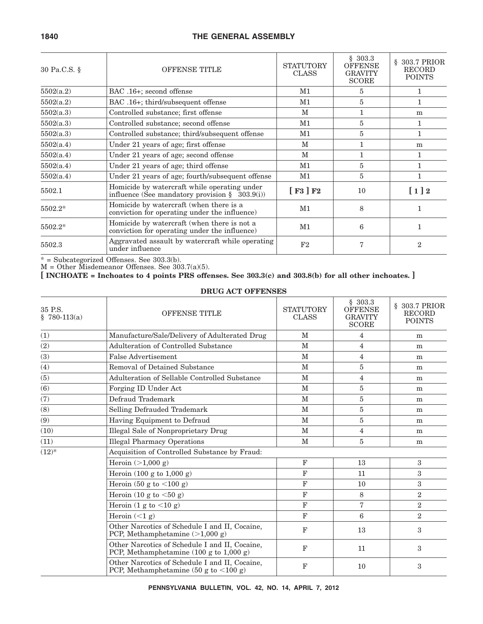| 30 Pa.C.S. § | OFFENSE TITLE                                                                                     | <b>STATUTORY</b><br><b>CLASS</b> | \$303.3<br><b>OFFENSE</b><br><b>GRAVITY</b><br><b>SCORE</b> | 303.7 PRIOR<br>§.<br><b>RECORD</b><br><b>POINTS</b> |
|--------------|---------------------------------------------------------------------------------------------------|----------------------------------|-------------------------------------------------------------|-----------------------------------------------------|
| 5502(a.2)    | BAC .16+; second offense                                                                          | M1                               | 5                                                           |                                                     |
| 5502(a.2)    | BAC .16+; third/subsequent offense                                                                | M1                               | 5                                                           | 1                                                   |
| 5502(a.3)    | Controlled substance; first offense                                                               | M                                |                                                             | m                                                   |
| 5502(a.3)    | Controlled substance; second offense                                                              | M1                               | 5                                                           | 1                                                   |
| 5502(a.3)    | Controlled substance; third/subsequent offense                                                    | M1                               | 5                                                           | $\mathbf{1}$                                        |
| 5502(a.4)    | Under 21 years of age; first offense                                                              | M                                |                                                             | m                                                   |
| 5502(a.4)    | Under 21 years of age; second offense                                                             | M                                |                                                             | 1                                                   |
| 5502(a.4)    | Under 21 years of age; third offense                                                              | M1                               | 5                                                           | 1                                                   |
| 5502(a.4)    | Under 21 years of age; fourth/subsequent offense                                                  | M1                               | $\overline{5}$                                              | $\mathbf{1}$                                        |
| 5502.1       | Homicide by watercraft while operating under<br>influence (See mandatory provision $\S$ 303.9(i)) | $[$ F3 $]$ F2                    | 10                                                          | $[1]2$                                              |
| 5502.2*      | Homicide by watercraft (when there is a<br>conviction for operating under the influence)          | M1                               | 8                                                           | 1                                                   |
| 5502.2*      | Homicide by watercraft (when there is not a<br>conviction for operating under the influence)      | M1                               | 6                                                           |                                                     |
| 5502.3       | Aggravated assault by watercraft while operating<br>under influence                               | F2                               | 7                                                           | $\overline{2}$                                      |

\* = Subcategorized Offenses. See 303.3(b).

M = Other Misdemeanor Offenses. See 303.7(a)(5).

**[ INCHOATE = Inchoates to 4 points PRS offenses. See 303.3(c) and 303.8(b) for all other inchoates. ]**

#### **DRUG ACT OFFENSES**

| 35 P.S.<br>$$780-113(a)$ | <b>OFFENSE TITLE</b>                                                                                         | <b>STATUTORY</b><br><b>CLASS</b> | \$303.3<br><b>OFFENSE</b><br><b>GRAVITY</b><br><b>SCORE</b> | § 303.7 PRIOR<br><b>RECORD</b><br><b>POINTS</b> |  |  |
|--------------------------|--------------------------------------------------------------------------------------------------------------|----------------------------------|-------------------------------------------------------------|-------------------------------------------------|--|--|
| (1)                      | Manufacture/Sale/Delivery of Adulterated Drug                                                                | $\mathbf{M}$                     | 4                                                           | m                                               |  |  |
| (2)                      | Adulteration of Controlled Substance                                                                         | M                                | $\overline{4}$                                              | m                                               |  |  |
| (3)                      | <b>False Advertisement</b>                                                                                   | $\mathbf{M}$                     | 4                                                           | m                                               |  |  |
| (4)                      | Removal of Detained Substance                                                                                | M                                | 5                                                           | m                                               |  |  |
| (5)                      | Adulteration of Sellable Controlled Substance                                                                | $\mathbf{M}$                     | 4                                                           | m                                               |  |  |
| (6)                      | Forging ID Under Act                                                                                         | $\mathbf{M}$                     | 5                                                           | m                                               |  |  |
| (7)                      | Defraud Trademark                                                                                            | $\mathbf{M}$                     | 5                                                           | m                                               |  |  |
| (8)                      | Selling Defrauded Trademark                                                                                  | M                                | 5                                                           | m                                               |  |  |
| (9)                      | Having Equipment to Defraud                                                                                  | M                                | 5                                                           | m                                               |  |  |
| (10)                     | Illegal Sale of Nonproprietary Drug                                                                          | $\mathbf{M}$                     | $\overline{4}$                                              | m                                               |  |  |
| (11)                     | <b>Illegal Pharmacy Operations</b>                                                                           | $\mathbf{M}$                     | 5                                                           | m                                               |  |  |
| $(12)^{*}$               | Acquisition of Controlled Substance by Fraud:                                                                |                                  |                                                             |                                                 |  |  |
|                          | Heroin $(>1,000 g)$                                                                                          | $\mathbf F$                      | 13                                                          | 3                                               |  |  |
|                          | Heroin $(100 \text{ g to } 1,000 \text{ g})$                                                                 | F                                | 11                                                          | $\boldsymbol{3}$                                |  |  |
|                          | Heroin $(50 \text{ g to } < 100 \text{ g})$                                                                  | $\mathbf F$                      | 10                                                          | 3                                               |  |  |
|                          | Heroin (10 g to $<$ 50 g)                                                                                    | $\mathbf F$                      | 8                                                           | $\boldsymbol{2}$                                |  |  |
|                          | Heroin $(1 g to < 10 g)$                                                                                     | $\mathbf F$                      | $\overline{7}$                                              | $\boldsymbol{2}$                                |  |  |
|                          | Heroin $(<1 g)$                                                                                              | F                                | 6                                                           | $\overline{2}$                                  |  |  |
|                          | Other Narcotics of Schedule I and II, Cocaine,<br>PCP, Methamphetamine $(>1,000 g)$                          | F                                | 13                                                          | 3                                               |  |  |
|                          | Other Narcotics of Schedule I and II, Cocaine,<br>PCP, Methamphetamine $(100 \text{ g to } 1,000 \text{ g})$ | $\mathbf{F}$                     | 11                                                          | 3                                               |  |  |
|                          | Other Narcotics of Schedule I and II, Cocaine,<br>PCP, Methamphetamine (50 g to $\lt 100$ g)                 | F                                | 10                                                          | 3                                               |  |  |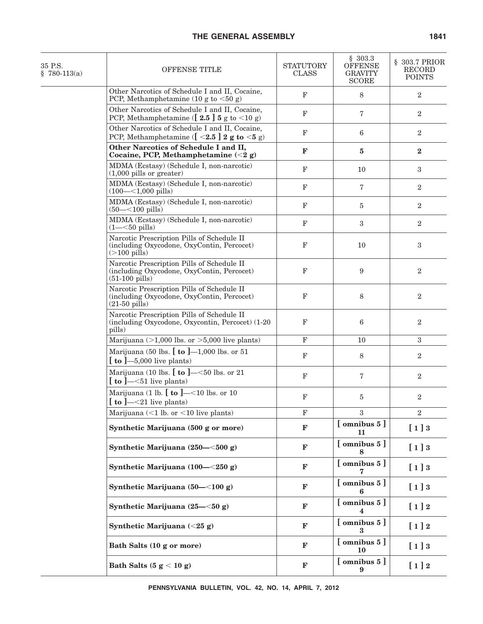| OFFENSE TITLE                                                                                                                        | <b>STATUTORY</b><br>CLASS                                                              | \$303.3<br><b>OFFENSE</b><br><b>GRAVITY</b><br><b>SCORE</b> | § 303.7 PRIOR<br><b>RECORD</b><br><b>POINTS</b> |
|--------------------------------------------------------------------------------------------------------------------------------------|----------------------------------------------------------------------------------------|-------------------------------------------------------------|-------------------------------------------------|
| Other Narcotics of Schedule I and II, Cocaine,<br>PCP, Methamphetamine (10 g to $\lt 50$ g)                                          | $\mathbf F$                                                                            | 8                                                           | $\overline{2}$                                  |
| Other Narcotics of Schedule I and II, Cocaine,<br>PCP, Methamphetamine ( $[2.5]$ 5 g to <10 g)                                       | $_{\rm F}$                                                                             | $\overline{7}$                                              | 2                                               |
| Other Narcotics of Schedule I and II, Cocaine,<br>PCP, Methamphetamine ( $\left[ \right. <2.5 \right]$ 2 g to $\left. <5 \right]$ g) | $\mathbf F$                                                                            | 6                                                           | $\overline{2}$                                  |
| Other Narcotics of Schedule I and II,<br>Cocaine, PCP, Methamphetamine $(<2 g)$                                                      | F                                                                                      | $\bf{5}$                                                    | $\mathbf{2}$                                    |
| $(1,000 \text{ pills or greater})$                                                                                                   | $_{\rm F}$                                                                             | 10                                                          | 3                                               |
| $(100 - <1,000 \text{ pills})$                                                                                                       | $\mathbf F$                                                                            | $\overline{7}$                                              | $\boldsymbol{2}$                                |
| MDMA (Ecstasy) (Schedule I, non-narcotic)<br>$(50 - < 100 \text{ pills})$                                                            | $\mathbf F$                                                                            | $\overline{5}$                                              | $\overline{2}$                                  |
| MDMA (Ecstasy) (Schedule I, non-narcotic)<br>$(1 - 50 \text{ pills})$                                                                | $\mathbf F$                                                                            | $\sqrt{3}$                                                  | $\sqrt{2}$                                      |
| Narcotic Prescription Pills of Schedule II<br>(including Oxycodone, OxyContin, Percocet)<br>$($ >100 pills $)$                       | $\mathbf F$                                                                            | 10                                                          | 3                                               |
| Narcotic Prescription Pills of Schedule II<br>(including Oxycodone, OxyContin, Percocet)<br>$(51-100 \text{ pills})$                 | $\mathbf F$                                                                            | 9                                                           | $\overline{2}$                                  |
| Narcotic Prescription Pills of Schedule II<br>(including Oxycodone, OxyContin, Percocet)<br>$(21-50 \text{ pills})$                  | $\mathbf F$                                                                            | 8                                                           | $\overline{2}$                                  |
| Narcotic Prescription Pills of Schedule II<br>(including Oxycodone, Oxycontin, Percocet) (1-20<br>pills)                             | $\mathbf F$                                                                            | $\,6$                                                       | $\boldsymbol{2}$                                |
| Marijuana ( $>1,000$ lbs. or $>5,000$ live plants)                                                                                   | F                                                                                      | 10                                                          | 3                                               |
| Marijuana (50 lbs. $[$ to $]$ —1,000 lbs. or 51<br>$\lceil$ to $\lceil -5,000 \rceil$ live plants)                                   | $\mathbf F$                                                                            | 8                                                           | $\boldsymbol{2}$                                |
| Marijuana (10 lbs. $[$ to $]$ —<50 lbs. or 21<br>$\lceil$ to $\lceil -51 \rceil$ live plants)                                        | $\mathbf F$                                                                            | 7                                                           | $\overline{2}$                                  |
| Marijuana (1 lb. $[$ to $]$ —<10 lbs. or 10<br>$\left[\right.$ to ]—<21 live plants)                                                 | $_{\rm F}$                                                                             | 5                                                           | $\overline{2}$                                  |
| Marijuana $(<1$ lb. or $<10$ live plants)                                                                                            | $\mathbf F$                                                                            | 3                                                           | $\overline{2}$                                  |
| Synthetic Marijuana (500 g or more)                                                                                                  | F                                                                                      | $[$ omnibus $5]$<br>11                                      | [1]3                                            |
| Synthetic Marijuana (250-<500 g)                                                                                                     | $\mathbf F$                                                                            | [omnibus 5]                                                 | [1]3                                            |
| Synthetic Marijuana $(100 - 250 g)$                                                                                                  | F                                                                                      | $[$ omnibus $5]$                                            | [1]3                                            |
| Synthetic Marijuana $(50 - <100 g)$                                                                                                  | F                                                                                      | $[$ omnibus $5]$<br>6                                       | [1]3                                            |
| Synthetic Marijuana $(25 - 50 g)$                                                                                                    | $\mathbf{F}$                                                                           | [omnibus 5]                                                 | $[1]2$                                          |
| Synthetic Marijuana (<25 g)                                                                                                          | $\mathbf{F}$                                                                           | $[$ omnibus $5]$<br>3                                       | $[1]2$                                          |
| Bath Salts (10 g or more)                                                                                                            | $\mathbf{F}$                                                                           | $[$ omnibus $5]$<br>10                                      | [1]3                                            |
| Bath Salts $(5 g < 10 g)$                                                                                                            | $\mathbf F$                                                                            | $[$ omnibus $5]$<br>9                                       | $[1]2$                                          |
|                                                                                                                                      | MDMA (Ecstasy) (Schedule I, non-narcotic)<br>MDMA (Ecstasy) (Schedule I, non-narcotic) |                                                             |                                                 |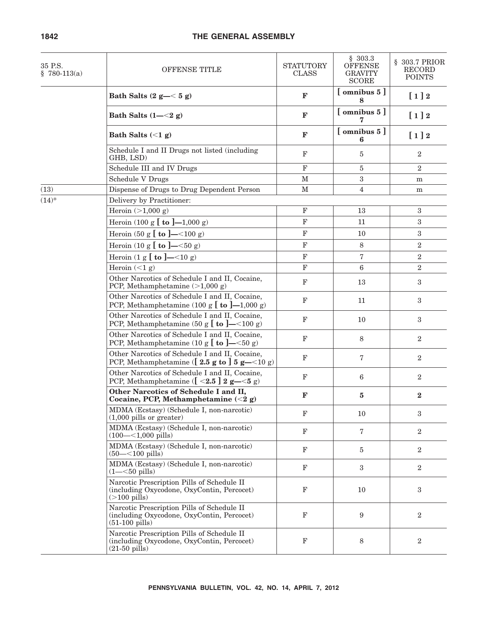| 35 P.S.<br>$$780-113(a)$ | <b>OFFENSE TITLE</b>                                                                                                                     | <b>STATUTORY</b><br><b>CLASS</b> | \$303.3<br><b>OFFENSE</b><br><b>GRAVITY</b><br><b>SCORE</b> | § 303.7 PRIOR<br>RECORD<br><b>POINTS</b> |
|--------------------------|------------------------------------------------------------------------------------------------------------------------------------------|----------------------------------|-------------------------------------------------------------|------------------------------------------|
|                          | Bath Salts $(2 g - < 5 g)$                                                                                                               | $\mathbf{F}$                     | $[$ omnibus $5]$<br>8                                       | $[1]2$                                   |
|                          | Bath Salts $(1 - < 2 g)$                                                                                                                 | $\mathbf{F}$                     | $[$ omnibus $5]$                                            | $[1]2$                                   |
|                          | Bath Salts $(<1 g)$                                                                                                                      | $\mathbf{F}$                     | $[$ omnibus $5]$<br>6                                       | $[1]2$                                   |
|                          | Schedule I and II Drugs not listed (including<br>GHB, LSD)                                                                               | $\mathbf{F}$                     | 5                                                           | $\overline{2}$                           |
|                          | Schedule III and IV Drugs                                                                                                                | $\mathbf F$                      | $\bf 5$                                                     | $\sqrt{2}$                               |
|                          | <b>Schedule V Drugs</b>                                                                                                                  | M                                | 3                                                           | ${\bf m}$                                |
| (13)                     | Dispense of Drugs to Drug Dependent Person                                                                                               | М                                | $\overline{4}$                                              | ${\bf m}$                                |
| $(14)^*$                 | Delivery by Practitioner:                                                                                                                |                                  |                                                             |                                          |
|                          | Heroin $(>1,000 g)$                                                                                                                      | $\mathbf F$                      | 13                                                          | $\sqrt{3}$                               |
|                          | Heroin (100 g $[$ to $]$ —1,000 g)                                                                                                       | $\mathbf F$                      | 11                                                          | 3                                        |
|                          | Heroin (50 g $[$ to ]—<100 g)                                                                                                            | $\mathbf F$                      | 10                                                          | 3                                        |
|                          | Heroin (10 g $[$ to ]—<50 g)                                                                                                             | $\mathbf F$                      | 8                                                           | $\overline{2}$                           |
|                          | Heroin $(1 g [to ]-<10 g)$                                                                                                               | $\mathbf F$                      | $\overline{7}$                                              | $\boldsymbol{2}$                         |
|                          | Heroin $(<1 g)$                                                                                                                          | $\mathbf F$                      | 6                                                           | $\overline{2}$                           |
|                          | Other Narcotics of Schedule I and II, Cocaine,<br>PCP, Methamphetamine $(>1,000 g)$                                                      | $\mathbf F$                      | 13                                                          | 3                                        |
|                          | Other Narcotics of Schedule I and II, Cocaine,<br>PCP, Methamphetamine (100 g $[$ to $]$ —1,000 g)                                       | $\mathbf F$                      | 11                                                          | 3                                        |
|                          | Other Narcotics of Schedule I and II, Cocaine,<br>PCP, Methamphetamine (50 g $\left[\right]$ to $\left]-$ < 100 g)                       | $\mathbf F$                      | 10                                                          | 3                                        |
|                          | Other Narcotics of Schedule I and II, Cocaine,<br>PCP, Methamphetamine (10 g $\left[\right]$ to $\left]-\leq 50$ g)                      | $_{\rm F}$                       | 8                                                           | $\overline{2}$                           |
|                          | Other Narcotics of Schedule I and II, Cocaine,<br>PCP, Methamphetamine ( $[2.5 \text{ g to }] 5 \text{ g}$ $-$ <10 g)                    | $_{\rm F}$                       | 7                                                           | $\overline{2}$                           |
|                          | Other Narcotics of Schedule I and II, Cocaine,<br>PCP, Methamphetamine ( $\left[ \begin{array}{c} 2.5 \end{array} \right]$ 2 g- $<$ 5 g) | $\mathbf F$                      | 6                                                           | $\overline{2}$                           |
|                          | Other Narcotics of Schedule I and II,<br>Cocaine, PCP, Methamphetamine $(<2 g)$                                                          | F                                | 5                                                           | $\bf{2}$                                 |
|                          | MDMA (Ecstasy) (Schedule I, non-narcotic)<br>$(1,000 \text{ pills or greater})$                                                          | $\mathbf{F}$                     | 10                                                          | 3                                        |
|                          | MDMA (Ecstasy) (Schedule I, non-narcotic)<br>$(100 - 1,000)$ pills)                                                                      | $\mathbf F$                      | 7                                                           | $\boldsymbol{2}$                         |
|                          | MDMA (Ecstasy) (Schedule I, non-narcotic)<br>$(50 - < 100 \text{ pills})$                                                                | $\mathbf F$                      | 5                                                           | $\boldsymbol{2}$                         |
|                          | MDMA (Ecstasy) (Schedule I, non-narcotic)<br>$(1 - 50 \text{ pills})$                                                                    | $_{\rm F}$                       | 3                                                           | $\boldsymbol{2}$                         |
|                          | Narcotic Prescription Pills of Schedule II<br>(including Oxycodone, OxyContin, Percocet)<br>$(>100 \text{ pills})$                       | F                                | 10                                                          | 3                                        |
|                          | Narcotic Prescription Pills of Schedule II<br>(including Oxycodone, OxyContin, Percocet)<br>$(51-100 \text{ pills})$                     | $_{\rm F}$                       | 9                                                           | $\boldsymbol{2}$                         |
|                          | Narcotic Prescription Pills of Schedule II<br>(including Oxycodone, OxyContin, Percocet)<br>$(21-50 \text{ pills})$                      | $\mathbf F$                      | 8                                                           | $\boldsymbol{2}$                         |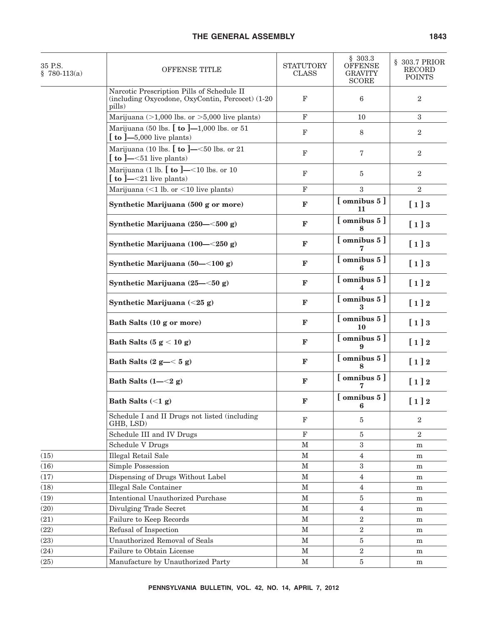| 35 P.S.<br>$$780-113(a)$ | OFFENSE TITLE                                                                                            | <b>STATUTORY</b><br><b>CLASS</b> | \$303.3<br><b>OFFENSE</b><br><b>GRAVITY</b><br><b>SCORE</b> | § 303.7 PRIOR<br>RECORD<br><b>POINTS</b> |
|--------------------------|----------------------------------------------------------------------------------------------------------|----------------------------------|-------------------------------------------------------------|------------------------------------------|
|                          | Narcotic Prescription Pills of Schedule II<br>(including Oxycodone, OxyContin, Percocet) (1-20<br>pills) | $\mathbf F$                      | 6                                                           | 2                                        |
|                          | Marijuana $(>1,000$ lbs. or $>5,000$ live plants)                                                        | $\mathbf F$                      | 10                                                          | 3                                        |
|                          | Marijuana (50 lbs. $[$ to $]$ —1,000 lbs. or 51<br>$\left[\right.$ to $\left.\right]-5,000$ live plants) | $\mathbf F$                      | 8                                                           | 2                                        |
|                          | Marijuana (10 lbs. $[$ to $]$ —<50 lbs. or 21<br>$\left[\right]$ to ]—<51 live plants)                   | $\mathbf F$                      | $\mathbf 7$                                                 | 2                                        |
|                          | Marijuana (1 lb. $[$ to $]$ —<10 lbs. or 10<br>$\left[\right]$ to $\left]-\leq21\right]$ live plants)    | $\mathbf F$                      | 5                                                           | $\overline{2}$                           |
|                          | Marijuana $(<1$ lb. or $<10$ live plants)                                                                | $\mathbf F$                      | 3                                                           | $\mathbf{2}$                             |
|                          | Synthetic Marijuana (500 g or more)                                                                      | $\mathbf F$                      | [omnibus 5]<br>11                                           | [1]3                                     |
|                          | Synthetic Marijuana (250-<500 g)                                                                         | $\mathbf F$                      | $\lceil$ omnibus 5 $\rceil$                                 | [1]3                                     |
|                          | Synthetic Marijuana $(100 - 250 g)$                                                                      | $\mathbf F$                      | $[$ omnibus $5]$                                            | [1]3                                     |
|                          | Synthetic Marijuana (50-<100 g)                                                                          | $\mathbf F$                      | $[$ omnibus $5]$<br>6                                       | [1]3                                     |
|                          | Synthetic Marijuana (25–<50 g)                                                                           | $\mathbf F$                      | $[$ omnibus $5]$<br>4                                       | $[1]2$                                   |
|                          | Synthetic Marijuana (<25 g)                                                                              | $\mathbf F$                      | $[$ omnibus $5]$<br>3                                       | $[1]2$                                   |
|                          | Bath Salts (10 g or more)                                                                                | $\mathbf{F}$                     | $[$ omnibus $5]$<br>10                                      | [1]3                                     |
|                          | Bath Salts $(5 g < 10 g)$                                                                                | $\mathbf{F}$                     | $[$ omnibus $5]$                                            | $[1]2$                                   |
|                          | Bath Salts $(2 g - < 5 g)$                                                                               | $\mathbf{F}$                     | [omnibus 5]                                                 | $[1]2$                                   |
|                          | Bath Salts $(1 - \leq 2 g)$                                                                              | $\mathbf F$                      | $[$ omnibus $5]$                                            | $[1]2$                                   |
|                          | Bath Salts $(<1 g)$                                                                                      | ${\bf F}$                        | $[$ omnibus $5]$<br>6                                       | $[1]2$                                   |
|                          | Schedule I and II Drugs not listed (including<br>GHB, LSD)                                               | $\mathbf{F}$                     | 5                                                           | $\overline{2}$                           |
|                          | Schedule III and IV Drugs                                                                                | $\mathbf F$                      | 5                                                           | $\boldsymbol{2}$                         |
|                          | <b>Schedule V Drugs</b>                                                                                  | $\mathbf M$                      | 3                                                           | m                                        |
| (15)                     | Illegal Retail Sale                                                                                      | $\mathbf M$                      | $\overline{4}$                                              | m                                        |
| (16)                     | <b>Simple Possession</b>                                                                                 | $\mathbf M$                      | $\boldsymbol{3}$                                            | m                                        |
| (17)                     | Dispensing of Drugs Without Label                                                                        | $\mathbf M$                      | $\overline{4}$                                              | m                                        |
| (18)                     | <b>Illegal Sale Container</b>                                                                            | $\mathbf M$                      | 4                                                           | m                                        |
| (19)                     | <b>Intentional Unauthorized Purchase</b>                                                                 | $\mathbf M$                      | 5                                                           | m                                        |
| (20)                     | Divulging Trade Secret                                                                                   | $\mathbf M$                      | $\overline{4}$                                              | m                                        |
| (21)                     | Failure to Keep Records                                                                                  | $\mathbf M$                      | $\overline{2}$                                              | m                                        |
| (22)                     | Refusal of Inspection                                                                                    | $\mathbf M$                      | $\overline{2}$                                              | m                                        |
| (23)                     | <b>Unauthorized Removal of Seals</b>                                                                     | $\mathbf M$                      | $\bf 5$                                                     | m                                        |
| (24)                     | Failure to Obtain License                                                                                | $\mathbf M$                      | $\overline{2}$                                              | m                                        |
| (25)                     | Manufacture by Unauthorized Party                                                                        | $\mathbf M$                      | 5                                                           | ${\bf m}$                                |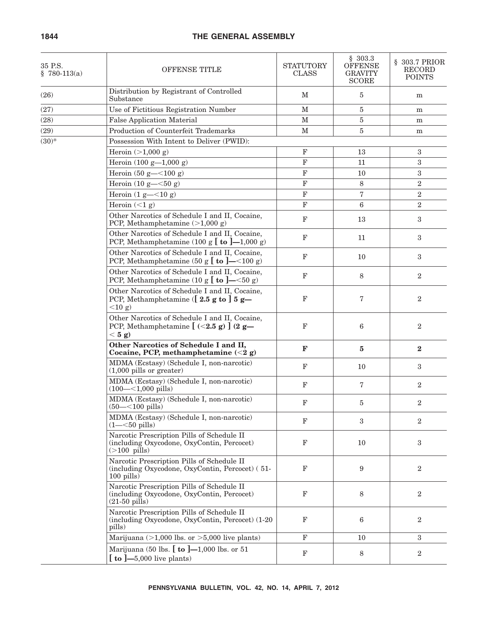| 35 P.S.<br>$$780-113(a)$ | OFFENSE TITLE                                                                                                             | <b>STATUTORY</b><br><b>CLASS</b> | \$303.3<br><b>OFFENSE</b><br><b>GRAVITY</b><br><b>SCORE</b> | § 303.7 PRIOR<br><b>RECORD</b><br><b>POINTS</b> |
|--------------------------|---------------------------------------------------------------------------------------------------------------------------|----------------------------------|-------------------------------------------------------------|-------------------------------------------------|
| (26)                     | Distribution by Registrant of Controlled<br>Substance                                                                     | М                                | 5                                                           | m                                               |
| (27)                     | Use of Fictitious Registration Number                                                                                     | $\mathbf M$                      | 5                                                           | m                                               |
| (28)                     | <b>False Application Material</b>                                                                                         | $\mathbf M$                      | 5                                                           | m                                               |
| (29)                     | Production of Counterfeit Trademarks                                                                                      | $\mathbf M$                      | 5                                                           | m                                               |
| $(30)*$                  | Possession With Intent to Deliver (PWID):                                                                                 |                                  |                                                             |                                                 |
|                          | Heroin $(>1,000 g)$                                                                                                       | $\mathbf F$                      | 13                                                          | 3                                               |
|                          | Heroin $(100 g - 1,000 g)$                                                                                                | $\mathbf F$                      | 11                                                          | 3                                               |
|                          | Heroin $(50 g - 100 g)$                                                                                                   | $\mathbf F$                      | 10                                                          | $\sqrt{3}$                                      |
|                          | Heroin $(10 g - 50 g)$                                                                                                    | $\mathbf F$                      | 8                                                           | $\overline{2}$                                  |
|                          | Heroin $(1 g=<10 g)$                                                                                                      | $\mathbf{F}$                     | $\overline{7}$                                              | $\overline{2}$                                  |
|                          | Heroin $(<1 g)$                                                                                                           | $\mathbf F$                      | $6\phantom{1}6$                                             | $\overline{2}$                                  |
|                          | Other Narcotics of Schedule I and II, Cocaine,<br>PCP, Methamphetamine $(>1,000 g)$                                       | $\mathbf F$                      | 13                                                          | $\sqrt{3}$                                      |
|                          | Other Narcotics of Schedule I and II, Cocaine,<br>PCP, Methamphetamine (100 g $\lbrack$ to $\lbrack -1,000$ g)            | $\mathbf F$                      | 11                                                          | 3                                               |
|                          | Other Narcotics of Schedule I and II, Cocaine,<br>PCP, Methamphetamine (50 g $\left[\right]$ to $\left]-$ < 100 g)        | $\mathbf F$                      | 10                                                          | 3                                               |
|                          | Other Narcotics of Schedule I and II, Cocaine,<br>PCP, Methamphetamine (10 g $\left[\right]$ to $\left]-$ <50 g)          | $\mathbf F$                      | 8                                                           | $\overline{2}$                                  |
|                          | Other Narcotics of Schedule I and II, Cocaine,<br>PCP, Methamphetamine ( $[2.5 \text{ g to }] 5 \text{ g}$ —<br>$<$ 10 g) | $\mathbf F$                      | 7                                                           | $\overline{2}$                                  |
|                          | Other Narcotics of Schedule I and II, Cocaine,<br>PCP, Methamphetamine $[$ (<2.5 g) $]$ (2 g-<br>$< 5$ g)                 | $\mathbf F$                      | 6                                                           | $\overline{2}$                                  |
|                          | Other Narcotics of Schedule I and II,<br>Cocaine, PCP, methamphetamine $(<2 g)$                                           | $\mathbf F$                      | 5                                                           | $\bf{2}$                                        |
|                          | MDMA (Ecstasy) (Schedule I, non-narcotic)<br>$(1,000 \text{ pills or greater})$                                           | $\mathbf F$                      | 10                                                          | 3                                               |
|                          | MDMA (Ecstasy) (Schedule I, non-narcotic)<br>$(100 - 1,000 \text{ pills})$                                                | $\mathbf F$                      | $\overline{7}$                                              | $\overline{2}$                                  |
|                          | MDMA (Ecstasy) (Schedule I, non-narcotic)<br>$(50 - < 100 \text{ pills})$                                                 | $\mathbf F$                      | 5                                                           | $\boldsymbol{2}$                                |
|                          | MDMA (Ecstasy) (Schedule I, non-narcotic)<br>$(1 - 50 \text{ pills})$                                                     | $\mathbf F$                      | 3                                                           | $\overline{2}$                                  |
|                          | Narcotic Prescription Pills of Schedule II<br>(including Oxycodone, OxyContin, Percocet)<br>$($ >100 pills $)$            | $\mathbf F$                      | 10                                                          | 3                                               |
|                          | Narcotic Prescription Pills of Schedule II<br>(including Oxycodone, OxyContin, Percocet) (51-<br>$100$ pills)             | $_{\rm F}$                       | 9                                                           | $\boldsymbol{2}$                                |
|                          | Narcotic Prescription Pills of Schedule II<br>(including Oxycodone, OxyContin, Percocet)<br>$(21-50 \text{ pills})$       | $\mathbf F$                      | 8                                                           | $\overline{2}$                                  |
|                          | Narcotic Prescription Pills of Schedule II<br>(including Oxycodone, OxyContin, Percocet) (1-20<br>pills)                  | $_{\rm F}$                       | $6\phantom{1}6$                                             | $\boldsymbol{2}$                                |
|                          | Marijuana ( $>1,000$ lbs. or $>5,000$ live plants)                                                                        | $\mathbf F$                      | 10                                                          | 3                                               |
|                          | Marijuana (50 lbs. $[$ to $]$ —1,000 lbs. or 51<br>$\left[\right.$ to $\left.\right]-5,000$ live plants)                  | $\mathbf F$                      | 8                                                           | $\boldsymbol{2}$                                |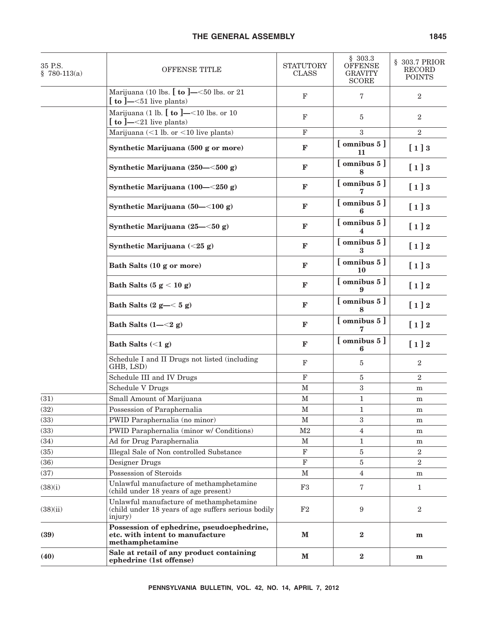| 35 P.S.<br>$$780-113(a)$ | OFFENSE TITLE                                                                                             | <b>STATUTORY</b><br><b>CLASS</b> | \$303.3<br><b>OFFENSE</b><br><b>GRAVITY</b><br><b>SCORE</b> | § 303.7 PRIOR<br><b>RECORD</b><br><b>POINTS</b> |
|--------------------------|-----------------------------------------------------------------------------------------------------------|----------------------------------|-------------------------------------------------------------|-------------------------------------------------|
|                          | Marijuana (10 lbs. $[$ to $]$ —<50 lbs. or 21<br>$\left[\right]$ to ]— $\leq$ 51 live plants)             | $\mathbf F$                      | 7                                                           | $\overline{2}$                                  |
|                          | Marijuana (1 lb. $\left[\right.$ to $\right]$ = <10 lbs. or 10<br>$\left[\right]$ to ]—<21 live plants)   | $\mathbf F$                      | 5                                                           | $\overline{2}$                                  |
|                          | Marijuana $(<1$ lb. or $<10$ live plants)                                                                 | $\mathbf F$                      | 3                                                           | $\boldsymbol{2}$                                |
|                          | Synthetic Marijuana (500 g or more)                                                                       | $\mathbf F$                      | $[$ omnibus $5]$<br>11                                      | [1]3                                            |
|                          | Synthetic Marijuana (250–<500 g)                                                                          | $\mathbf F$                      | $[$ omnibus $5]$                                            | [1]3                                            |
|                          | Synthetic Marijuana (100-<250 g)                                                                          | $\mathbf F$                      | $[$ omnibus $5]$                                            | [1]3                                            |
|                          | Synthetic Marijuana (50-<100 g)                                                                           | $\mathbf F$                      | $[$ omnibus $5]$                                            | [1]3                                            |
|                          | Synthetic Marijuana (25–<50 g)                                                                            | F                                | [omnibus 5]<br>4                                            | $[1]2$                                          |
|                          | Synthetic Marijuana $(<25 g)$                                                                             | $\mathbf F$                      | $[$ omnibus $5]$                                            | $[1]2$                                          |
|                          | Bath Salts (10 g or more)                                                                                 | $\mathbf{F}$                     | $[$ omnibus $5]$<br>10                                      | [1]3                                            |
|                          | Bath Salts $(5 g < 10 g)$                                                                                 | $\mathbf{F}$                     | $[$ omnibus $5]$                                            | $[1]2$                                          |
|                          | Bath Salts $(2 g - < 5 g)$                                                                                | $\mathbf{F}$                     | $[$ omnibus $5]$                                            | $[1]2$                                          |
|                          | Bath Salts $(1 - < 2 g)$                                                                                  | $\mathbf F$                      | $[$ omnibus $5]$                                            | $[1]2$                                          |
|                          | Bath Salts $(<1 g)$                                                                                       | $\mathbf F$                      | $[$ omnibus $5]$<br>6                                       | $[1]2$                                          |
|                          | Schedule I and II Drugs not listed (including<br>GHB, LSD)                                                | $_{\rm F}$                       | 5                                                           | $\overline{2}$                                  |
|                          | Schedule III and IV Drugs                                                                                 | $\mathbf F$                      | 5                                                           | $\sqrt{2}$                                      |
|                          | <b>Schedule V Drugs</b>                                                                                   | $\mathbf M$                      | $\boldsymbol{3}$                                            | m                                               |
| (31)                     | Small Amount of Marijuana                                                                                 | М                                | 1                                                           | m                                               |
| (32)                     | Possession of Paraphernalia                                                                               | $\mathbf M$                      | 1                                                           | m                                               |
| (33)                     | PWID Paraphernalia (no minor)                                                                             | $\mathbf M$                      | 3                                                           | m                                               |
| (33)                     | PWID Paraphernalia (minor w/ Conditions)                                                                  | $\mathbf{M}2$                    | 4                                                           | m                                               |
| (34)                     | Ad for Drug Paraphernalia                                                                                 | $\mathbf M$                      | 1                                                           | m                                               |
| (35)                     | Illegal Sale of Non controlled Substance                                                                  | $\mathbf F$                      | 5                                                           | $\overline{2}$                                  |
| (36)                     | Designer Drugs                                                                                            | $_{\rm F}$                       | 5                                                           | $\boldsymbol{2}$                                |
| (37)                     | Possession of Steroids                                                                                    | $\mathbf{M}$                     | 4                                                           | m                                               |
| (38)(i)                  | Unlawful manufacture of methamphetamine<br>(child under 18 years of age present)                          | F3                               | 7                                                           | $\mathbf{1}$                                    |
| (38)(ii)                 | Unlawful manufacture of methamphetamine<br>(child under 18 years of age suffers serious bodily<br>injury) | F2                               | 9                                                           | $\overline{2}$                                  |
| (39)                     | Possession of ephedrine, pseudoephedrine,<br>etc. with intent to manufacture<br>methamphetamine           | M                                | $\mathbf{2}$                                                | m                                               |
| (40)                     | Sale at retail of any product containing<br>ephedrine (1st offense)                                       | ${\bf M}$                        | $\bf 2$                                                     | m                                               |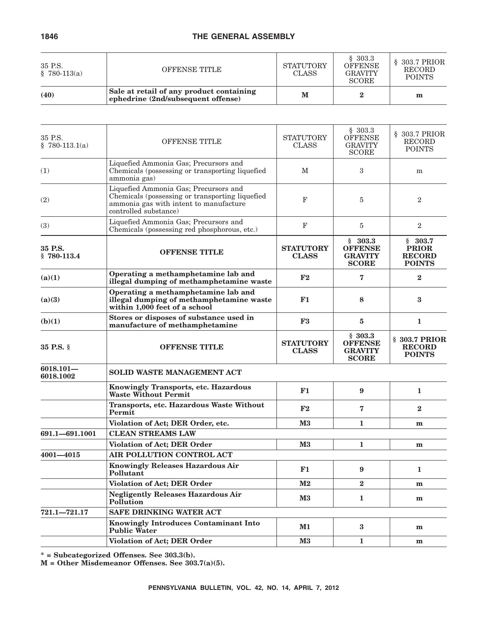| 35 P.S.<br>$$780-113(a)$ | OFFENSE TITLE                                                                  | <b>STATUTORY</b><br><b>CLASS</b> | \$303.3<br><b>OFFENSE</b><br><b>GRAVITY</b><br><b>SCORE</b> | $\S$ 303.7 PRIOR<br><b>RECORD</b><br><b>POINTS</b> |  |
|--------------------------|--------------------------------------------------------------------------------|----------------------------------|-------------------------------------------------------------|----------------------------------------------------|--|
| (40)                     | Sale at retail of any product containing<br>ephedrine (2nd/subsequent offense) | M                                |                                                             | m                                                  |  |

| 35 P.S.<br>$$780-113.1(a)$ | <b>OFFENSE TITLE</b>                                                                                                                                        | <b>STATUTORY</b><br><b>CLASS</b> | \$303.3<br><b>OFFENSE</b><br><b>GRAVITY</b><br><b>SCORE</b> | § 303.7 PRIOR<br><b>RECORD</b><br><b>POINTS</b>           |  |  |  |  |
|----------------------------|-------------------------------------------------------------------------------------------------------------------------------------------------------------|----------------------------------|-------------------------------------------------------------|-----------------------------------------------------------|--|--|--|--|
| (1)                        | Liquefied Ammonia Gas; Precursors and<br>Chemicals (possessing or transporting liquefied<br>ammonia gas)                                                    | $\mathbf M$                      | 3                                                           | m                                                         |  |  |  |  |
| (2)                        | Liquefied Ammonia Gas; Precursors and<br>Chemicals (possessing or transporting liquefied<br>ammonia gas with intent to manufacture<br>controlled substance) | F                                | 5                                                           | $\overline{2}$                                            |  |  |  |  |
| (3)                        | Liquefied Ammonia Gas; Precursors and<br>Chemicals (possessing red phosphorous, etc.)                                                                       | F                                | 5                                                           | $\overline{2}$                                            |  |  |  |  |
| 35 P.S.<br>$$780-113.4$    | <b>OFFENSE TITLE</b>                                                                                                                                        | <b>STATUTORY</b><br><b>CLASS</b> | \$303.3<br><b>OFFENSE</b><br><b>GRAVITY</b><br><b>SCORE</b> | \$303.7<br><b>PRIOR</b><br><b>RECORD</b><br><b>POINTS</b> |  |  |  |  |
| (a)(1)                     | Operating a methamphetamine lab and<br>illegal dumping of methamphetamine waste                                                                             | F2                               | 7                                                           | $\mathbf{2}$                                              |  |  |  |  |
| (a)(3)                     | Operating a methamphetamine lab and<br>illegal dumping of methamphetamine waste<br>within 1,000 feet of a school                                            | F1                               | 8                                                           | 3                                                         |  |  |  |  |
| (b)(1)                     | Stores or disposes of substance used in<br>manufacture of methamphetamine                                                                                   | F3                               | $\bf{5}$                                                    | $\mathbf{1}$                                              |  |  |  |  |
| 35 P.S. §                  | <b>OFFENSE TITLE</b>                                                                                                                                        | <b>STATUTORY</b><br><b>CLASS</b> | \$303.3<br><b>OFFENSE</b><br><b>GRAVITY</b><br><b>SCORE</b> | § 303.7 PRIOR<br><b>RECORD</b><br><b>POINTS</b>           |  |  |  |  |
| $6018.101 -$<br>6018.1002  | SOLID WASTE MANAGEMENT ACT                                                                                                                                  |                                  |                                                             |                                                           |  |  |  |  |
|                            | Knowingly Transports, etc. Hazardous<br><b>Waste Without Permit</b>                                                                                         | F1                               | 9                                                           | 1                                                         |  |  |  |  |
|                            | Transports, etc. Hazardous Waste Without<br>Permit                                                                                                          | F2                               | 7                                                           | $\bf{2}$                                                  |  |  |  |  |
|                            | Violation of Act; DER Order, etc.                                                                                                                           | $\mathbf{M}3$                    | $\mathbf{1}$                                                | m                                                         |  |  |  |  |
| 691.1-691.1001             | <b>CLEAN STREAMS LAW</b>                                                                                                                                    |                                  |                                                             |                                                           |  |  |  |  |
|                            | Violation of Act; DER Order<br>$\mathbf{M}3$<br>$\mathbf{1}$                                                                                                |                                  |                                                             |                                                           |  |  |  |  |
| $4001 - 4015$              | AIR POLLUTION CONTROL ACT                                                                                                                                   |                                  |                                                             |                                                           |  |  |  |  |
|                            | <b>Knowingly Releases Hazardous Air</b><br>Pollutant                                                                                                        | F1                               | 9                                                           | 1                                                         |  |  |  |  |
|                            | Violation of Act; DER Order                                                                                                                                 | $\mathbf{M2}$                    | $\bf{2}$                                                    | m                                                         |  |  |  |  |
|                            | <b>Negligently Releases Hazardous Air</b><br>Pollution                                                                                                      | $\mathbf{M}3$                    | $\mathbf{1}$                                                | m                                                         |  |  |  |  |
| $721.1 - 721.17$           | <b>SAFE DRINKING WATER ACT</b>                                                                                                                              |                                  |                                                             |                                                           |  |  |  |  |
|                            | <b>Knowingly Introduces Contaminant Into</b><br><b>Public Water</b>                                                                                         | $\mathbf{M1}$                    | $\bf{3}$                                                    | m                                                         |  |  |  |  |
|                            | <b>Violation of Act; DER Order</b>                                                                                                                          | $\mathbf{M}3$                    | $\mathbf{1}$                                                | $\mathbf{m}$                                              |  |  |  |  |
|                            |                                                                                                                                                             |                                  |                                                             |                                                           |  |  |  |  |

**\* = Subcategorized Offenses. See 303.3(b).**

**M = Other Misdemeanor Offenses. See 303.7(a)(5).**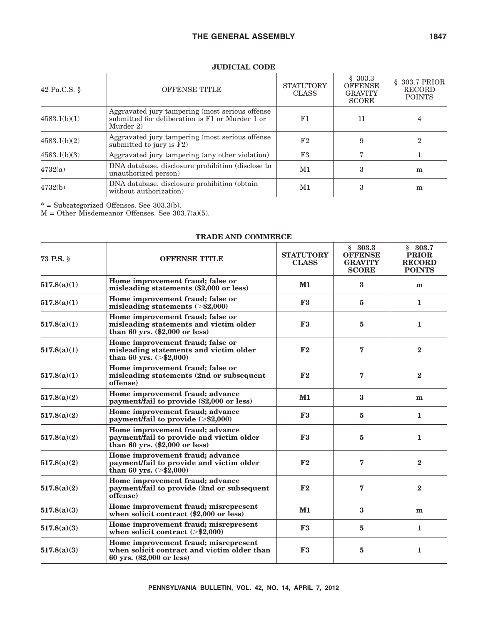| 42 Pa.C.S. $\S$<br><b>OFFENSE TITLE</b> |                                                                                                                 | <b>STATUTORY</b><br><b>CLASS</b> | \$303.3<br><b>OFFENSE</b><br><b>GRAVITY</b><br><b>SCORE</b> | $$303.7$ PRIOR<br><b>RECORD</b><br><b>POINTS</b> |  |
|-----------------------------------------|-----------------------------------------------------------------------------------------------------------------|----------------------------------|-------------------------------------------------------------|--------------------------------------------------|--|
| 4583.1(b)(1)                            | Aggravated jury tampering (most serious offense<br>submitted for deliberation is F1 or Murder 1 or<br>Murder 2) | F1                               | 11                                                          | 4                                                |  |
| 4583.1(b)(2)                            | Aggravated jury tampering (most serious offense<br>submitted to jury is $F2$ )                                  | F <sub>2</sub>                   | 9                                                           | 2                                                |  |
| 4583.1(b)(3)                            | Aggravated jury tampering (any other violation)                                                                 | F3                               |                                                             |                                                  |  |
| 4732(a)                                 | DNA database, disclosure prohibition (disclose to<br>unauthorized person)                                       |                                  | 3                                                           | m                                                |  |
| 4732(b)                                 | DNA database, disclosure prohibition (obtain<br>without authorization)                                          | M1                               | 3                                                           | m                                                |  |

## **JUDICIAL CODE**

\* = Subcategorized Offenses. See 303.3(b).

M = Other Misdemeanor Offenses. See 303.7(a)(5).

| 73 P.S. §   | <b>STATUTORY</b><br><b>OFFENSE TITLE</b>                                                                         |            | \$303.3<br><b>OFFENSE</b><br><b>GRAVITY</b><br><b>SCORE</b> | \$303.7<br><b>PRIOR</b><br><b>RECORD</b><br><b>POINTS</b> |
|-------------|------------------------------------------------------------------------------------------------------------------|------------|-------------------------------------------------------------|-----------------------------------------------------------|
| 517.8(a)(1) | Home improvement fraud; false or<br>misleading statements (\$2,000 or less)                                      | $M1$       | $\bf{3}$                                                    | m                                                         |
| 517.8(a)(1) | Home improvement fraud; false or<br>misleading statements $(>\,$ \$2,000)                                        | F3         | 5                                                           | 1                                                         |
| 517.8(a)(1) | Home improvement fraud; false or<br>misleading statements and victim older<br>than 60 yrs. $(\$2,000$ or less)   | F3         | 5                                                           | $\mathbf{1}$                                              |
| 517.8(a)(1) | Home improvement fraud; false or<br>misleading statements and victim older<br>than 60 yrs. $(>\$2,000)$          | F2         | 7                                                           | $\bf{2}$                                                  |
| 517.8(a)(1) | Home improvement fraud; false or<br>misleading statements (2nd or subsequent<br>offense)                         | F2         | 7                                                           | $\mathbf{2}$                                              |
| 517.8(a)(2) | Home improvement fraud; advance<br>payment/fail to provide (\$2,000 or less)                                     | $M1$       | $\bf{3}$                                                    | m                                                         |
| 517.8(a)(2) | Home improvement fraud; advance<br>payment/fail to provide $(>\$2,000)$                                          | F3         | 5                                                           | $\mathbf{1}$                                              |
| 517.8(a)(2) | Home improvement fraud; advance<br>payment/fail to provide and victim older<br>than 60 yrs. $(\$2,000$ or less)  | ${\bf F3}$ | 5                                                           | $\mathbf{1}$                                              |
| 517.8(a)(2) | Home improvement fraud; advance<br>payment/fail to provide and victim older<br>than 60 yrs. $(>\frac{2}{2},000)$ | F2         | 7                                                           | $\bf{2}$                                                  |
| 517.8(a)(2) | Home improvement fraud; advance<br>payment/fail to provide (2nd or subsequent<br>offense)                        | F2         | 7                                                           | $\bf{2}$                                                  |
| 517.8(a)(3) | Home improvement fraud; misrepresent<br>when solicit contract (\$2,000 or less)                                  | $M1$       | $\bf{3}$                                                    | m                                                         |
| 517.8(a)(3) | Home improvement fraud; misrepresent<br>when solicit contract $(>\$2,000)$                                       | ${\bf F3}$ | 5                                                           | $\mathbf{1}$                                              |
| 517.8(a)(3) | Home improvement fraud; misrepresent<br>when solicit contract and victim older than<br>60 yrs. (\$2,000 or less) | F3         | 5                                                           | 1                                                         |

#### **TRADE AND COMMERCE**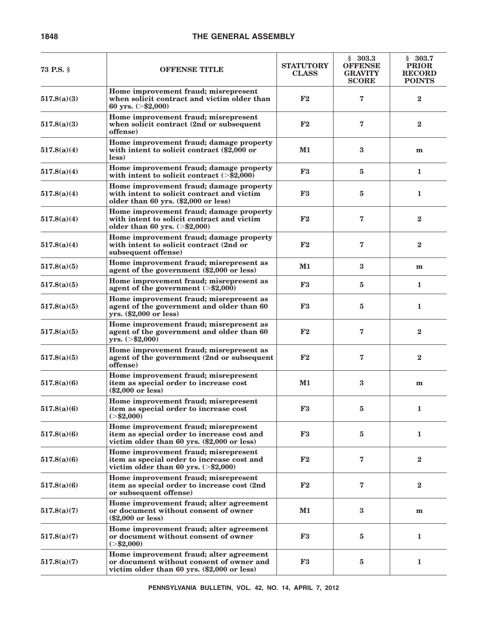| <b>73 P.S.</b> § | <b>OFFENSE TITLE</b>                                                                                                               | <b>STATUTORY</b><br><b>CLASS</b> | \$303.3<br><b>OFFENSE</b><br><b>GRAVITY</b><br><b>SCORE</b> | \$303.7<br><b>PRIOR</b><br><b>RECORD</b><br><b>POINTS</b> |
|------------------|------------------------------------------------------------------------------------------------------------------------------------|----------------------------------|-------------------------------------------------------------|-----------------------------------------------------------|
| 517.8(a)(3)      | Home improvement fraud; misrepresent<br>when solicit contract and victim older than<br>60 yrs. $(>\$2,000)$                        | F2                               | 7                                                           | $\bf{2}$                                                  |
| 517.8(a)(3)      | Home improvement fraud; misrepresent<br>when solicit contract (2nd or subsequent<br>offense)                                       | F <sub>2</sub>                   | 7                                                           | $\bf{2}$                                                  |
| 517.8(a)(4)      | Home improvement fraud; damage property<br>with intent to solicit contract (\$2,000 or<br>less)                                    | $\mathbf{M1}$                    | 3                                                           | m                                                         |
| 517.8(a)(4)      | Home improvement fraud; damage property<br>with intent to solicit contract $(>\$2,000)$                                            | F3                               | $\overline{5}$                                              | 1                                                         |
| 517.8(a)(4)      | Home improvement fraud; damage property<br>with intent to solicit contract and victim<br>older than 60 yrs. (\$2,000 or less)      | F3                               | 5                                                           | 1                                                         |
| 517.8(a)(4)      | Home improvement fraud; damage property<br>with intent to solicit contract and victim<br>older than 60 yrs. $(>\$2,000)$           | F2                               | 7                                                           | $\bf{2}$                                                  |
| 517.8(a)(4)      | Home improvement fraud; damage property<br>with intent to solicit contract (2nd or<br>subsequent offense)                          | F2                               | 7                                                           | $\bf{2}$                                                  |
| 517.8(a)(5)      | Home improvement fraud; misrepresent as<br>agent of the government (\$2,000 or less)                                               | M1                               | $\bf{3}$                                                    | m                                                         |
| 517.8(a)(5)      | Home improvement fraud; misrepresent as<br>agent of the government $(>\$2,000)$                                                    | F3                               | 5                                                           | 1                                                         |
| 517.8(a)(5)      | Home improvement fraud; misrepresent as<br>agent of the government and older than 60<br>yrs. (\$2,000 or less)                     | F3                               | 5                                                           | 1                                                         |
| 517.8(a)(5)      | Home improvement fraud; misrepresent as<br>agent of the government and older than 60<br>yrs. (> \$2,000)                           | $\mathbf{F2}$                    | 7                                                           | $\bf{2}$                                                  |
| 517.8(a)(5)      | Home improvement fraud; misrepresent as<br>agent of the government (2nd or subsequent<br>offense)                                  | ${\bf F2}$                       | 7                                                           | $\bf{2}$                                                  |
| 517.8(a)(6)      | Home improvement fraud; misrepresent<br>item as special order to increase cost<br>$(\$2,000$ or less)                              | M1                               | $\bf{3}$                                                    | m                                                         |
| 517.8(a)(6)      | Home improvement fraud; misrepresent<br>item as special order to increase cost<br>$(>\tfrac{$2,000}{5})$                           | F <sub>3</sub>                   | 5                                                           | 1                                                         |
| 517.8(a)(6)      | Home improvement fraud; misrepresent<br>item as special order to increase cost and<br>victim older than 60 yrs. (\$2,000 or less)  | F3                               | $\overline{5}$                                              | $\mathbf{1}$                                              |
| 517.8(a)(6)      | Home improvement fraud; misrepresent<br>item as special order to increase cost and<br>victim older than 60 yrs. $(>\$2,000)$       | ${\bf F2}$                       | 7                                                           | $\bf{2}$                                                  |
| 517.8(a)(6)      | Home improvement fraud; misrepresent<br>item as special order to increase cost (2nd)<br>or subsequent offense)                     | ${\bf F2}$                       | 7                                                           | $\bf{2}$                                                  |
| 517.8(a)(7)      | Home improvement fraud; alter agreement<br>or document without consent of owner<br>$(\$2,000$ or less)                             | $M1$                             | $\bf{3}$                                                    | m                                                         |
| 517.8(a)(7)      | Home improvement fraud; alter agreement<br>or document without consent of owner<br>$(>\tfrac{$2,000}{5})$                          | ${\bf F3}$                       | 5                                                           | 1                                                         |
| 517.8(a)(7)      | Home improvement fraud; alter agreement<br>or document without consent of owner and<br>victim older than 60 yrs. (\$2,000 or less) | ${\bf F3}$                       | 5                                                           | $\mathbf{1}$                                              |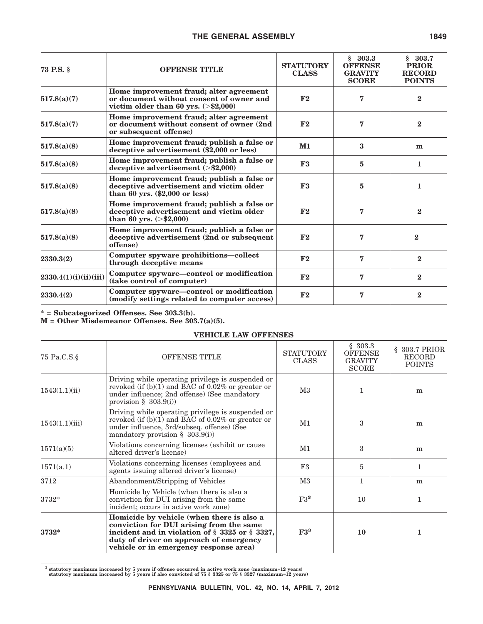| <b>OFFENSE TITLE</b><br><b>73 P.S.</b> § |                                                                                                                               | <b>STATUTORY</b><br><b>CLASS</b> | \$303.3<br><b>OFFENSE</b><br><b>GRAVITY</b><br><b>SCORE</b> | \$303.7<br><b>PRIOR</b><br><b>RECORD</b><br><b>POINTS</b> |
|------------------------------------------|-------------------------------------------------------------------------------------------------------------------------------|----------------------------------|-------------------------------------------------------------|-----------------------------------------------------------|
| 517.8(a)(7)                              | Home improvement fraud; alter agreement<br>or document without consent of owner and<br>victim older than 60 yrs. $(>\$2,000)$ | F2                               | 7                                                           | $\mathbf{2}$                                              |
| 517.8(a)(7)                              | Home improvement fraud; alter agreement<br>or document without consent of owner (2nd<br>or subsequent offense)                | F2                               | 7                                                           | $\bf{2}$                                                  |
| 517.8(a)(8)                              | Home improvement fraud; publish a false or<br>deceptive advertisement (\$2,000 or less)                                       | $M1$                             | 3                                                           | m                                                         |
| 517.8(a)(8)                              | Home improvement fraud; publish a false or<br>deceptive advertisement $(>\,$ \$2,000)                                         | F3                               | 5                                                           | 1                                                         |
| 517.8(a)(8)                              | Home improvement fraud; publish a false or<br>deceptive advertisement and victim older<br>than 60 yrs. $(\$2,000$ or less)    | F3                               | 5                                                           | $\mathbf{1}$                                              |
| 517.8(a)(8)                              | Home improvement fraud; publish a false or<br>deceptive advertisement and victim older<br>than 60 yrs. $(>\$2,000)$           |                                  | 7                                                           | $\bf{2}$                                                  |
| 517.8(a)(8)                              | Home improvement fraud; publish a false or<br>deceptive advertisement (2nd or subsequent<br>offense)                          | F2                               | 7                                                           | $\bf{2}$                                                  |
| 2330.3(2)                                | Computer spyware prohibitions—collect<br>through deceptive means                                                              | F2                               | 7                                                           | $\bf{2}$                                                  |
| 2330.4(1)(i)(ii)(iii)                    | Computer spyware—control or modification<br>(take control of computer)                                                        | F2                               | 7                                                           | $\mathbf{2}$                                              |
| 2330.4(2)                                | Computer spyware-control or modification<br>(modify settings related to computer access)                                      | F2                               | 7                                                           | $\mathbf{2}$                                              |

**\* = Subcategorized Offenses. See 303.3(b).**

**M = Other Misdemeanor Offenses. See 303.7(a)(5).**

## **VEHICLE LAW OFFENSES**

| 75 Pa.C.S.§    | <b>OFFENSE TITLE</b>                                                                                                                                                                                                         | <b>STATUTORY</b><br><b>CLASS</b> | \$303.3<br><b>OFFENSE</b><br><b>GRAVITY</b><br><b>SCORE</b> | § 303.7 PRIOR<br><b>RECORD</b><br><b>POINTS</b> |  |
|----------------|------------------------------------------------------------------------------------------------------------------------------------------------------------------------------------------------------------------------------|----------------------------------|-------------------------------------------------------------|-------------------------------------------------|--|
| 1543(1.1)(ii)  | Driving while operating privilege is suspended or<br>revoked (if $(b)(1)$ and BAC of 0.02% or greater or<br>under influence; 2nd offense) (See mandatory<br>provision $\S$ 303.9(i))                                         | M3                               |                                                             | m                                               |  |
| 1543(1.1)(iii) | Driving while operating privilege is suspended or<br>revoked (if $(b)(1)$ and BAC of 0.02% or greater or<br>under influence, 3rd/subseq. offense) (See<br>mandatory provision $\S$ 303.9(i))                                 |                                  | 3                                                           | m                                               |  |
| 1571(a)(5)     | Violations concerning licenses (exhibit or cause)<br>altered driver's license)                                                                                                                                               | M1                               | 3                                                           | m                                               |  |
| 1571(a.1)      | Violations concerning licenses (employees and<br>agents issuing altered driver's license)                                                                                                                                    | F3                               | 5                                                           | $\mathbf{1}$                                    |  |
| 3712           | Abandonment/Stripping of Vehicles                                                                                                                                                                                            | $\rm M3$                         | 1                                                           | m                                               |  |
| $3732*$        | Homicide by Vehicle (when there is also a<br>conviction for DUI arising from the same<br>incident; occurs in active work zone)                                                                                               | $F3^3$                           | 10                                                          | $\mathbf{1}$                                    |  |
| 3732*          | Homicide by vehicle (when there is also a<br>conviction for DUI arising from the same<br>incident and in violation of § 3325 or § 3327,<br>duty of driver on approach of emergency<br>vehicle or in emergency response area) | F3 <sup>3</sup>                  | <b>10</b>                                                   | 1                                               |  |

**<sup>3</sup> statutory maximum increased by 5 years if offense occurred in active work zone (maximum=12 years) statutory maximum increased by 5 years if also convicted of 75 § 3325 or 75 § 3327 (maximum=12 years)**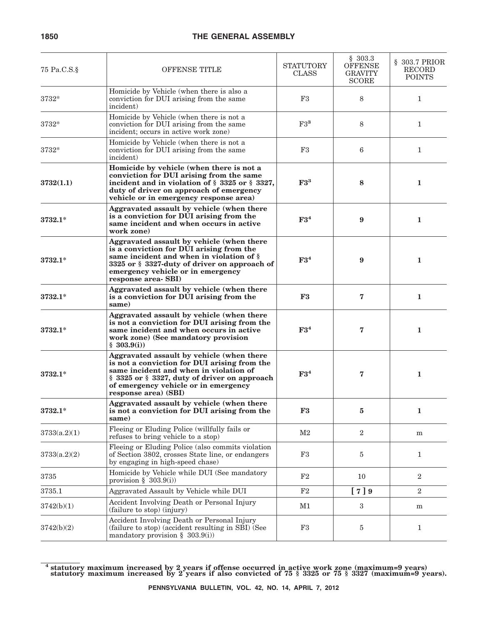| 75 Pa.C.S.§  | <b>OFFENSE TITLE</b>                                                                                                                                                                                                                                | <b>STATUTORY</b><br><b>CLASS</b> | \$303.3<br><b>OFFENSE</b><br><b>GRAVITY</b><br><b>SCORE</b> | $$303.7$ PRIOR<br><b>RECORD</b><br><b>POINTS</b> |
|--------------|-----------------------------------------------------------------------------------------------------------------------------------------------------------------------------------------------------------------------------------------------------|----------------------------------|-------------------------------------------------------------|--------------------------------------------------|
| 3732*        | Homicide by Vehicle (when there is also a<br>conviction for DUI arising from the same<br>incident)                                                                                                                                                  | F3                               | 8                                                           | $\mathbf{1}$                                     |
| 3732*        | Homicide by Vehicle (when there is not a<br>conviction for DUI arising from the same<br>incident; occurs in active work zone)                                                                                                                       | $F3^3$                           | 8                                                           | $\mathbf{1}$                                     |
| 3732*        | Homicide by Vehicle (when there is not a<br>conviction for DUI arising from the same<br>incident)                                                                                                                                                   | F3                               | 6                                                           | $\mathbf{1}$                                     |
| 3732(1.1)    | Homicide by vehicle (when there is not a<br>conviction for DUI arising from the same<br>incident and in violation of $\S$ 3325 or $\S$ 3327,<br>duty of driver on approach of emergency<br>vehicle or in emergency response area)                   | $F3^3$                           | 8                                                           | 1                                                |
| $3732.1*$    | Aggravated assault by vehicle (when there<br>is a conviction for DUI arising from the<br>same incident and when occurs in active<br>work zone)                                                                                                      | F3 <sup>4</sup>                  | 9                                                           | $\mathbf{1}$                                     |
| $3732.1*$    | Aggravated assault by vehicle (when there<br>is a conviction for DUI arising from the<br>same incident and when in violation of §<br>3325 or § 3327-duty of driver on approach of<br>emergency vehicle or in emergency<br>response area-SBI)        | F3 <sup>4</sup>                  | 9                                                           | 1                                                |
| $3732.1*$    | Aggravated assault by vehicle (when there<br>is a conviction for DUI arising from the<br>same)                                                                                                                                                      | F3                               | 7                                                           | 1                                                |
| $3732.1*$    | Aggravated assault by vehicle (when there<br>is not a conviction for DUI arising from the<br>same incident and when occurs in active<br>work zone) (See mandatory provision<br>\$303.9(i)                                                           | F3 <sup>4</sup>                  | 7                                                           | 1                                                |
| 3732.1*      | Aggravated assault by vehicle (when there<br>is not a conviction for DUI arising from the<br>same incident and when in violation of<br>§ 3325 or § 3327, duty of driver on approach<br>of emergency vehicle or in emergency<br>response area) (SBI) |                                  | 7                                                           | $\mathbf{1}$                                     |
| $3732.1*$    | Aggravated assault by vehicle (when there<br>is not a conviction for DUI arising from the<br>same)                                                                                                                                                  | ${\bf F3}$                       | 5                                                           | 1                                                |
| 3733(a.2)(1) | Fleeing or Eluding Police (willfully fails or<br>refuses to bring vehicle to a stop)                                                                                                                                                                | $\rm M2$                         | $\overline{2}$                                              | m                                                |
| 3733(a.2)(2) | Fleeing or Eluding Police (also commits violation<br>of Section 3802, crosses State line, or endangers<br>by engaging in high-speed chase)                                                                                                          | F3                               | 5                                                           | $\mathbf{1}$                                     |
| 3735         | Homicide by Vehicle while DUI (See mandatory<br>provision $\S$ 303.9(i))                                                                                                                                                                            | F2                               | 10                                                          | $\overline{2}$                                   |
| 3735.1       | Aggravated Assault by Vehicle while DUI                                                                                                                                                                                                             | F2                               | [7]9                                                        | $\overline{2}$                                   |
| 3742(b)(1)   | Accident Involving Death or Personal Injury<br>(failure to stop) (injury)                                                                                                                                                                           | M1                               | 3                                                           | m                                                |
| 3742(b)(2)   | Accident Involving Death or Personal Injury<br>(failure to stop) (accident resulting in SBI) (See<br>mandatory provision $\S$ 303.9(i))                                                                                                             | F3                               | 5                                                           | $\mathbf{1}$                                     |

**<sup>4</sup> statutory maximum increased by 2 years if offense occurred in active work zone (maximum=9 years) statutory maximum increased by 2 years if also convicted of 75 § 3325 or 75 § 3327 (maximum=9 years).**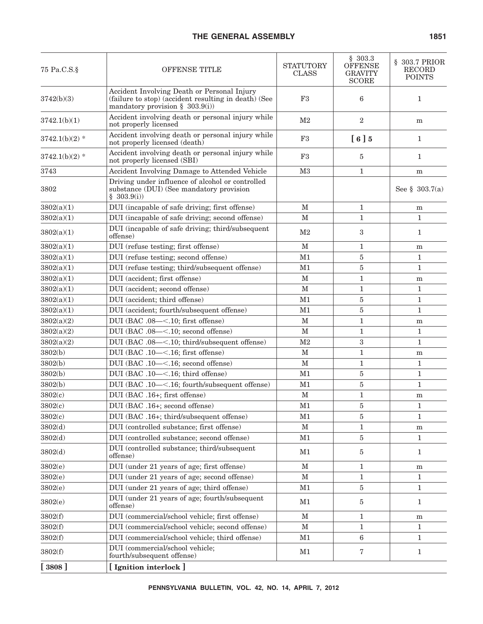| 75 Pa.C.S.§      | OFFENSE TITLE                                                                                                                             | <b>STATUTORY</b><br><b>CLASS</b> | \$303.3<br><b>OFFENSE</b><br>GRAVITY<br><b>SCORE</b> | § 303.7 PRIOR<br><b>RECORD</b><br><b>POINTS</b> |
|------------------|-------------------------------------------------------------------------------------------------------------------------------------------|----------------------------------|------------------------------------------------------|-------------------------------------------------|
| 3742(b)(3)       | Accident Involving Death or Personal Injury<br>(failure to stop) (accident resulting in death) (See<br>mandatory provision $\S$ 303.9(i)) | F <sub>3</sub>                   | 6                                                    | $\mathbf{1}$                                    |
| 3742.1(b)(1)     | Accident involving death or personal injury while<br>not properly licensed                                                                | M <sub>2</sub>                   | $\overline{2}$                                       | ${\bf m}$                                       |
| $3742.1(b)(2)$ * | Accident involving death or personal injury while<br>not properly licensed (death)                                                        | F3                               | [6]5                                                 | 1                                               |
| $3742.1(b)(2)$ * | Accident involving death or personal injury while<br>not properly licensed (SBI)                                                          | F3                               | 5                                                    | 1                                               |
| 3743             | Accident Involving Damage to Attended Vehicle                                                                                             | M <sub>3</sub>                   | $\mathbf{1}$                                         | m                                               |
| 3802             | Driving under influence of alcohol or controlled<br>substance (DUI) (See mandatory provision<br>\$303.9(i)                                |                                  |                                                      | See § $303.7(a)$                                |
| 3802(a)(1)       | DUI (incapable of safe driving; first offense)                                                                                            | $\mathbf{M}$                     | $\mathbf{1}$                                         | m                                               |
| 3802(a)(1)       | DUI (incapable of safe driving; second offense)                                                                                           | $\mathbf{M}$                     | $\mathbf{1}$                                         | $\mathbf{1}$                                    |
| 3802(a)(1)       | DUI (incapable of safe driving; third/subsequent<br>offense)                                                                              | M <sub>2</sub>                   | 3                                                    | 1                                               |
| 3802(a)(1)       | DUI (refuse testing; first offense)                                                                                                       | $\mathbf{M}$                     | $\mathbf{1}$                                         | m                                               |
| 3802(a)(1)       | DUI (refuse testing; second offense)                                                                                                      | M1                               | 5                                                    | 1                                               |
| 3802(a)(1)       | DUI (refuse testing; third/subsequent offense)                                                                                            | M1                               | 5                                                    | 1                                               |
| 3802(a)(1)       | DUI (accident; first offense)                                                                                                             | $\mathbf M$                      | 1                                                    | m                                               |
| 3802(a)(1)       | DUI (accident; second offense)                                                                                                            | $\mathbf{M}$                     | $\mathbf{1}$                                         | $\mathbf{1}$                                    |
| 3802(a)(1)       | DUI (accident; third offense)                                                                                                             | M1                               | 5                                                    | $\mathbf{1}$                                    |
| 3802(a)(1)       | DUI (accident; fourth/subsequent offense)                                                                                                 | M1                               | 5                                                    | $\mathbf{1}$                                    |
| 3802(a)(2)       | DUI (BAC .08-<.10; first offense)                                                                                                         | $\mathbf{M}$                     | 1                                                    | m                                               |
| 3802(a)(2)       | DUI (BAC .08-<.10; second offense)                                                                                                        | $\mathbf M$                      | $\mathbf{1}$                                         | 1                                               |
| 3802(a)(2)       | DUI (BAC .08-<.10; third/subsequent offense)                                                                                              | M <sub>2</sub>                   | 3                                                    | $\mathbf{1}$                                    |
| 3802(b)          | DUI (BAC .10-<.16; first offense)                                                                                                         | $\mathbf{M}$                     | $\mathbf{1}$                                         | m                                               |
| 3802(b)          | DUI (BAC .10-<.16; second offense)                                                                                                        | $\mathbf{M}$                     | 1                                                    | 1                                               |
| 3802(b)          | DUI (BAC .10-<.16; third offense)                                                                                                         | M1                               | 5                                                    | $\mathbf{1}$                                    |
| 3802(b)          | DUI (BAC .10-<.16; fourth/subsequent offense)                                                                                             | M1                               | $\bf 5$                                              | $\mathbf{1}$                                    |
| 3802(c)          | DUI (BAC .16+; first offense)                                                                                                             | $\mathbf M$                      | $\mathbf{1}$                                         | m                                               |
| 3802(c)          | DUI (BAC .16+; second offense)                                                                                                            | M <sub>1</sub>                   | 5                                                    | 1                                               |
| 3802(c)          | DUI (BAC .16+; third/subsequent offense)                                                                                                  | M1                               | $\bf 5$                                              | $\mathbf{1}$                                    |
| 3802(d)          | DUI (controlled substance; first offense)                                                                                                 | $\mathbf M$                      | 1                                                    | m                                               |
| 3802(d)          | DUI (controlled substance; second offense)                                                                                                | M1                               | 5                                                    | 1                                               |
| 3802(d)          | DUI (controlled substance; third/subsequent<br>offense)                                                                                   | M1                               | 5                                                    | 1                                               |
| 3802(e)          | DUI (under 21 years of age; first offense)                                                                                                | М                                | 1                                                    | m                                               |
| 3802(e)          | DUI (under 21 years of age; second offense)                                                                                               | $\mathbf M$                      | 1                                                    | 1                                               |
| 3802(e)          | DUI (under 21 years of age; third offense)                                                                                                | M1                               | 5                                                    | 1                                               |
| 3802(e)          | DUI (under 21 years of age; fourth/subsequent<br>offense)                                                                                 | M1                               | 5                                                    | 1                                               |
| 3802(f)          | DUI (commercial/school vehicle; first offense)                                                                                            | $\mathbf{M}$                     | $\mathbf{1}$                                         | m                                               |
| 3802(f)          | DUI (commercial/school vehicle; second offense)                                                                                           | $\mathbf{M}$                     | 1                                                    | 1                                               |
| 3802(f)          | DUI (commercial/school vehicle; third offense)                                                                                            | M1                               | 6                                                    | 1                                               |
| 3802(f)          | DUI (commercial/school vehicle;<br>fourth/subsequent offense)                                                                             | M1                               | 7                                                    | 1                                               |
| [3808]           | [Ignition interlock]                                                                                                                      |                                  |                                                      |                                                 |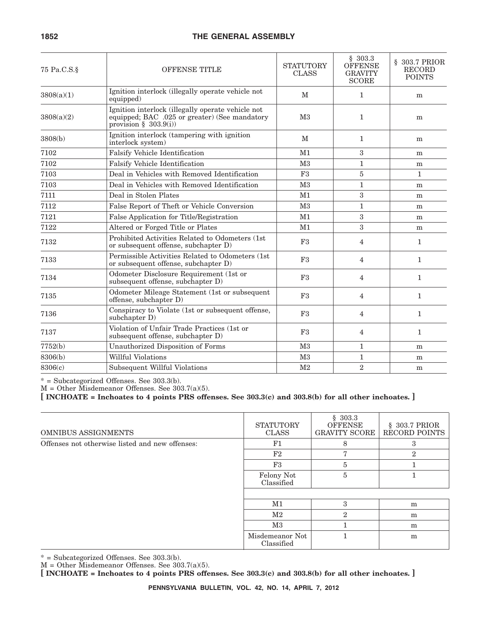| 75 Pa.C.S.§ | <b>OFFENSE TITLE</b>                                                                                                          |                | \$303.3<br><b>OFFENSE</b><br><b>GRAVITY</b><br><b>SCORE</b> | § 303.7 PRIOR<br><b>RECORD</b><br><b>POINTS</b> |  |
|-------------|-------------------------------------------------------------------------------------------------------------------------------|----------------|-------------------------------------------------------------|-------------------------------------------------|--|
| 3808(a)(1)  | Ignition interlock (illegally operate vehicle not<br>equipped)                                                                | M              | $\mathbf{1}$                                                | m                                               |  |
| 3808(a)(2)  | Ignition interlock (illegally operate vehicle not<br>equipped; BAC .025 or greater) (See mandatory<br>provision $§$ 303.9(i)) | M <sub>3</sub> | $\mathbf 1$                                                 | m                                               |  |
| 3808(b)     | Ignition interlock (tampering with ignition<br>interlock system)                                                              | M              | $\mathbf{1}$                                                | m                                               |  |
| 7102        | <b>Falsify Vehicle Identification</b>                                                                                         | M <sub>1</sub> | 3                                                           | m                                               |  |
| 7102        | Falsify Vehicle Identification                                                                                                | M <sub>3</sub> | $\mathbf{1}$                                                | m                                               |  |
| 7103        | Deal in Vehicles with Removed Identification                                                                                  | F3             | 5                                                           | $\mathbf{1}$                                    |  |
| 7103        | Deal in Vehicles with Removed Identification                                                                                  | M <sub>3</sub> | $\mathbf{1}$                                                | m                                               |  |
| 7111        | Deal in Stolen Plates                                                                                                         | M1             | 3                                                           | m                                               |  |
| 7112        | False Report of Theft or Vehicle Conversion                                                                                   | M <sub>3</sub> | $\mathbf{1}$                                                | m                                               |  |
| 7121        | False Application for Title/Registration                                                                                      | M1             | 3                                                           | m                                               |  |
| 7122        | Altered or Forged Title or Plates                                                                                             | M1             | 3                                                           | m                                               |  |
| 7132        | Prohibited Activities Related to Odometers (1st<br>or subsequent offense, subchapter D)                                       | F3             | 4                                                           | $\mathbf{1}$                                    |  |
| 7133        | Permissible Activities Related to Odometers (1st)<br>or subsequent offense, subchapter D)                                     | F3             | 4                                                           | $\mathbf{1}$                                    |  |
| 7134        | Odometer Disclosure Requirement (1st or<br>subsequent offense, subchapter D)                                                  | F3             | 4                                                           | $\mathbf{1}$                                    |  |
| 7135        | Odometer Mileage Statement (1st or subsequent<br>offense, subchapter D)                                                       | F3             | 4                                                           | $\mathbf{1}$                                    |  |
| 7136        | Conspiracy to Violate (1st or subsequent offense,<br>subchapter D)                                                            | F3             | 4                                                           | $\mathbf{1}$                                    |  |
| 7137        | Violation of Unfair Trade Practices (1st or<br>subsequent offense, subchapter D)                                              | F3             | 4                                                           | $\mathbf{1}$                                    |  |
| 7752(b)     | Unauthorized Disposition of Forms                                                                                             | M <sub>3</sub> | $\mathbf{1}$                                                | m                                               |  |
| 8306(b)     | Willful Violations                                                                                                            | M <sub>3</sub> | $\mathbf{1}$                                                | m                                               |  |
| 8306(c)     | Subsequent Willful Violations                                                                                                 | M <sub>2</sub> | $\overline{2}$                                              | m                                               |  |

\* = Subcategorized Offenses. See 303.3(b).

 $M =$  Other Misdemeanor Offenses. See 303.7(a)(5).

**[ INCHOATE = Inchoates to 4 points PRS offenses. See 303.3(c) and 303.8(b) for all other inchoates. ]**

| <b>OMNIBUS ASSIGNMENTS</b>                      | <b>STATUTORY</b><br><b>CLASS</b> | \$303.3<br><b>OFFENSE</b><br><b>GRAVITY SCORE</b> | § 303.7 PRIOR<br>RECORD POINTS |
|-------------------------------------------------|----------------------------------|---------------------------------------------------|--------------------------------|
| Offenses not otherwise listed and new offenses: | F1                               | 8                                                 | 3                              |
|                                                 | F2                               | Η,                                                | $\overline{2}$                 |
|                                                 | F3                               | 5                                                 |                                |
|                                                 | Felony Not<br>Classified         | 5                                                 |                                |
|                                                 |                                  |                                                   |                                |
|                                                 | M1                               | 3                                                 | m                              |
|                                                 | $\rm M2$                         | $\overline{2}$                                    | m                              |
|                                                 | $\rm M3$                         |                                                   | m                              |
|                                                 | Misdemeanor Not<br>Classified    |                                                   | m                              |

\* = Subcategorized Offenses. See 303.3(b).

M = Other Misdemeanor Offenses. See 303.7(a)(5).

**[ INCHOATE = Inchoates to 4 points PRS offenses. See 303.3(c) and 303.8(b) for all other inchoates. ]**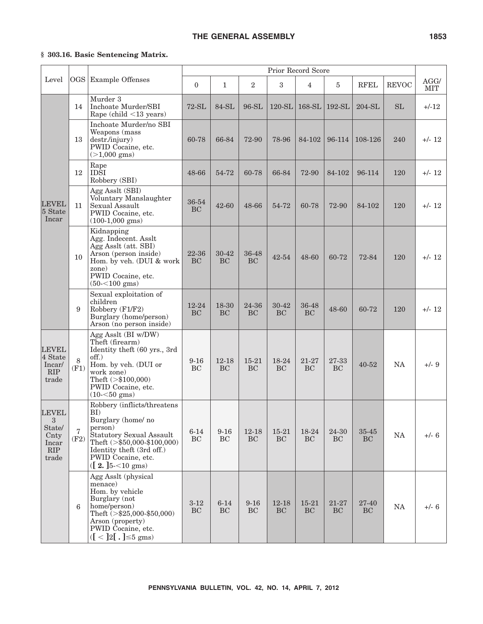## **§ 303.16. Basic Sentencing Matrix.**

|                                                              |                        |                                                                                                                                                                                                                 | Prior Record Score     |                        |                        |                        |                    |                    |                    |              |                    |
|--------------------------------------------------------------|------------------------|-----------------------------------------------------------------------------------------------------------------------------------------------------------------------------------------------------------------|------------------------|------------------------|------------------------|------------------------|--------------------|--------------------|--------------------|--------------|--------------------|
| Level                                                        |                        | OGS Example Offenses                                                                                                                                                                                            | $\theta$               | $\mathbf{1}$           | $\overline{2}$         | 3                      | $\overline{4}$     | 5                  | <b>RFEL</b>        | <b>REVOC</b> | AGG/<br><b>MIT</b> |
|                                                              | 14                     | Murder 3<br>Inchoate Murder/SBI<br>Rape (child $\leq$ 13 years)                                                                                                                                                 | $72-SL$                | 84-SL                  | 96-SL                  | $120-SL$               | 168-SL             | $192-SL$           | $204-SL$           | <b>SL</b>    | $+/-12$            |
|                                                              | 13                     | Inchoate Murder/no SBI<br>Weapons (mass<br>destr./injury)<br>PWID Cocaine, etc.<br>$(>1,000$ gms)                                                                                                               | 60-78                  | 66-84                  | 72-90                  | 78-96                  | 84-102             | 96-114             | 108-126            | 240          | $+/- 12$           |
|                                                              | 12                     | Rape<br>IDŜI<br>Robbery (SBI)                                                                                                                                                                                   | 48-66                  | 54-72                  | 60-78                  | 66-84                  | 72-90              | 84-102             | 96-114             | 120          | $+/- 12$           |
| <b>LEVEL</b><br>5 State<br>Incar                             | 11                     | Agg Asslt (SBI)<br>Voluntary Manslaughter<br>Sexual Assault<br>PWID Cocaine, etc.<br>$(100-1,000$ gms)                                                                                                          | 36-54<br><b>BC</b>     | 42-60                  | 48-66                  | 54-72                  | 60-78              | 72-90              | 84-102             | 120          | $+/- 12$           |
|                                                              | 10                     | Kidnapping<br>Agg. Indecent. Asslt<br>Agg Asslt (att. SBI)<br>Arson (person inside)<br>Hom. by veh. (DUI & work<br>zone)<br>PWID Cocaine, etc.<br>$(50 - 100$ gms)                                              | 22-36<br>BC            | 30-42<br><b>BC</b>     | 36-48<br><b>BC</b>     | 42-54                  | 48-60              | 60-72              | 72-84              | 120          | $+/- 12$           |
|                                                              | 9                      | Sexual exploitation of<br>children<br>Robbery (F1/F2)<br>Burglary (home/person)<br>Arson (no person inside)                                                                                                     | $12 - 24$<br><b>BC</b> | 18-30<br><b>BC</b>     | 24-36<br><b>BC</b>     | $30 - 42$<br><b>BC</b> | 36-48<br><b>BC</b> | 48-60              | 60-72              | 120          | $+/- 12$           |
| <b>LEVEL</b><br>4 State<br>Incar/<br>RIP<br>trade            | 8<br>(F1)              | Agg Asslt (BI w/DW)<br>Theft (firearm)<br>Identity theft (60 yrs., 3rd<br>off.)<br>Hom. by veh. (DUI or<br>work zone)<br>Theft $(>\$100,000)$<br>PWID Cocaine, etc.<br>$(10 - 50$ gms)                          | $9 - 16$<br><b>BC</b>  | $12 - 18$<br><b>BC</b> | $15 - 21$<br><b>BC</b> | 18-24<br><b>BC</b>     | 21-27<br><b>BC</b> | 27-33<br><b>BC</b> | $40 - 52$          | <b>NA</b>    | $+/-$ 9            |
| <b>LEVEL</b><br>3<br>State/<br>Cnty<br>Incar<br>RIP<br>trade | $\overline{7}$<br>(F2) | Robbery (inflicts/threatens<br>BI)<br>Burglary (home/no<br>person)<br>Statutory Sexual Assault<br>Theft $(>\$50,000-\$100,000)$<br>Identity theft (3rd off.)<br>PWID Cocaine, etc.<br>$([2, ]5<10 \text{ gms})$ | $6 - 14$<br>BC         | $9 - 16$<br>BC         | 12-18<br><b>BC</b>     | $15 - 21$<br><b>BC</b> | 18-24<br>BC        | 24-30<br><b>BC</b> | 35-45<br><b>BC</b> | $\rm NA$     | $+/- 6$            |
|                                                              | 6                      | Agg Asslt (physical<br>menace)<br>Hom. by vehicle<br>Burglary (not<br>home/person)<br>Theft $\zeta$ \\$25,000-\$50,000)<br>Arson (property)<br>PWID Cocaine, etc.<br>$([ < ]2[ . ] \leq 5$ gms)                 | $3 - 12$<br><b>BC</b>  | $6 - 14$<br><b>BC</b>  | $9 - 16$<br><b>BC</b>  | 12-18<br><b>BC</b>     | 15-21<br><b>BC</b> | 21-27<br><b>BC</b> | 27-40<br><b>BC</b> | $\rm NA$     | $+/- 6$            |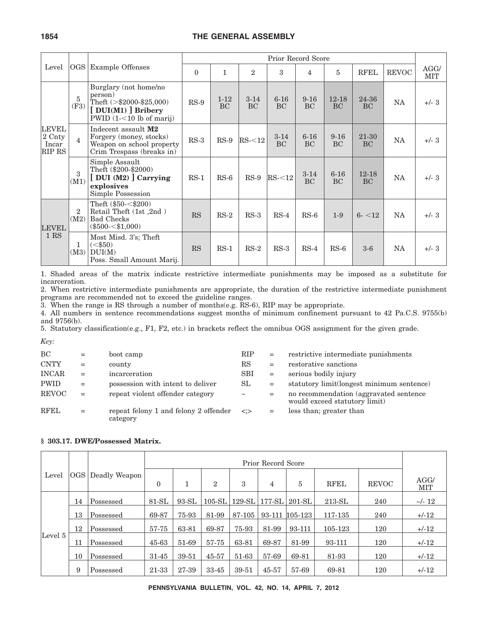|                                           |                        |                                                                                                                   |           |                |                       | Prior Record Score    |                       |                       |                        |              |             |
|-------------------------------------------|------------------------|-------------------------------------------------------------------------------------------------------------------|-----------|----------------|-----------------------|-----------------------|-----------------------|-----------------------|------------------------|--------------|-------------|
| Level                                     |                        | OGS   Example Offenses                                                                                            | $\Omega$  |                | $\overline{2}$        | 3                     | 4                     | 5                     | <b>RFEL</b>            | <b>REVOC</b> | AGG/<br>MIT |
| <b>LEVEL</b><br>2 Cnty<br>Incar<br>RIP RS | 5<br>(F3)              | Burglary (not home/no<br>person)<br>Theft $(>\$2000-\$25,000)$<br>[DUI(M1)] Bribery<br>$PWID$ (1-<10 lb of marij) | $RS-9$    | $1 - 12$<br>BC | $3 - 14$<br><b>BC</b> | $6 - 16$<br><b>BC</b> | $9 - 16$<br>BC        | $12 - 18$<br>BC       | 24-36<br>BC            | <b>NA</b>    | $+/- 3$     |
|                                           | $\overline{4}$         | Indecent assault M2<br>Forgery (money, stocks)<br>Weapon on school property<br>Crim Trespass (breaks in)          | $RS-3$    | $RS-9$         | RS < 12               | $3-14$<br>BC          | $6 - 16$<br>BC        | $9 - 16$<br>BC        | 21-30<br><b>BC</b>     | <b>NA</b>    | $+/- 3$     |
|                                           | $\mathbf{a}$<br>(M1)   | Simple Assault<br>Theft (\$200-\$2000)<br>[DUI (M2) ] Carrying<br>explosives<br>Simple Possession                 | $RS-1$    | $RS-6$         | $RS-9$                | RS < 12               | $3 - 14$<br><b>BC</b> | $6 - 16$<br><b>BC</b> | $12 - 18$<br><b>BC</b> | <b>NA</b>    | $+/- 3$     |
| <b>LEVEL</b><br>1 RS                      | $\overline{2}$<br>(M2) | Theft $(\$50<\$200)$<br>Retail Theft (1st,2nd)<br><b>Bad Checks</b><br>$(\$500<\$1,000)$                          | <b>RS</b> | $RS-2$         | $RS-3$                | $RS-4$                | $RS-6$                | $1-9$                 | $6 - 12$               | <b>NA</b>    | $+/- 3$     |
|                                           | 1<br>(M3)              | Most Misd. 3's; Theft<br>$(<\frac{650}{ }$<br>DUI(M)<br>Poss. Small Amount Marij.                                 | <b>RS</b> | $RS-1$         | $RS-2$                | $RS-3$                | $RS-4$                | $RS-6$                | $3-6$                  | NA           | $+/- 3$     |

1. Shaded areas of the matrix indicate restrictive intermediate punishments may be imposed as a substitute for incarceration.

2. When restrictive intermediate punishments are appropriate, the duration of the restrictive intermediate punishment programs are recommended not to exceed the guideline ranges.

3. When the range is RS through a number of months(e.g. RS-6), RIP may be appropriate.

4. All numbers in sentence recommendations suggest months of minimum confinement pursuant to 42 Pa.C.S. 9755(b) and 9756(b).

5. Statutory classification(e.g., F1, F2, etc.) in brackets reflect the omnibus OGS assignment for the given grade.

*Key:*

| BC           | $=$ | boot camp                                         | <b>RIP</b>              | $=$ | restrictive intermediate punishments                                     |
|--------------|-----|---------------------------------------------------|-------------------------|-----|--------------------------------------------------------------------------|
| <b>CNTY</b>  | $=$ | county                                            | RS                      | $=$ | restorative sanctions                                                    |
| <b>INCAR</b> | $=$ | incarceration                                     | <b>SBI</b>              | $=$ | serious bodily injury                                                    |
| <b>PWID</b>  | $=$ | possession with intent to deliver                 | SL                      | $=$ | statutory limit(longest minimum sentence)                                |
| <b>REVOC</b> | $=$ | repeat violent offender category                  | $\thicksim$             | $=$ | no recommendation (aggravated sentence)<br>would exceed statutory limit) |
| <b>RFEL</b>  | $=$ | repeat felony 1 and felony 2 offender<br>category | $\langle \cdot \rangle$ | $=$ | less than; greater than                                                  |

| Level   | OGS | Deadly Weapon | $\mathbf{0}$ |         | $\overline{2}$ | 3        | 4         | 5              | <b>RFEL</b> | <b>REVOC</b> | AGG/<br>MIT  |
|---------|-----|---------------|--------------|---------|----------------|----------|-----------|----------------|-------------|--------------|--------------|
|         | 14  | Possessed     | $81-SL$      | $93-SL$ | $105-SL$       | $129-SL$ | $177$ -SL | $201-SL$       | $213-SL$    | 240          | $\sim$ /- 12 |
|         | 13  | Possessed     | 69-87        | 75-93   | 81-99          | 87-105   |           | 93-111 105-123 | 117-135     | 240          | $+/-12$      |
|         | 12  | Possessed     | 57-75        | 63-81   | 69-87          | 75-93    | 81-99     | 93-111         | 105-123     | 120          | $+/-12$      |
| Level 5 | 11  | Possessed     | 45-63        | 51-69   | 57-75          | 63-81    | 69-87     | 81-99          | 93-111      | 120          | $+/-12$      |
|         | 10  | Possessed     | $31 - 45$    | 39-51   | 45-57          | 51-63    | 57-69     | 69-81          | 81-93       | 120          | $+/-12$      |
|         | 9   | Possessed     | 21-33        | 27-39   | 33-45          | 39-51    | 45-57     | 57-69          | 69-81       | 120          | $+/-12$      |

#### **§ 303.17. DWE/Possessed Matrix.**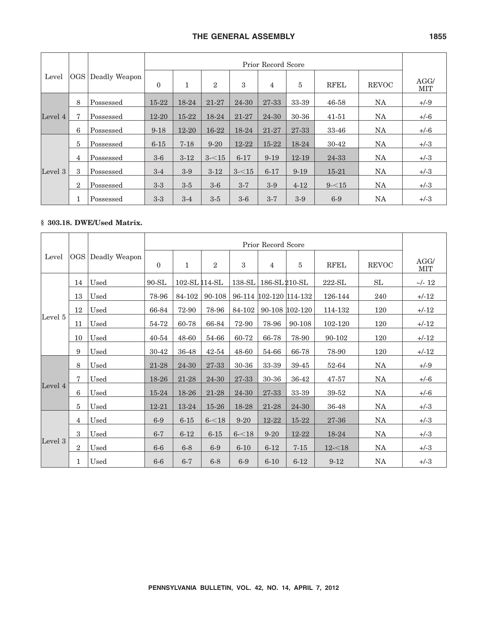|         |                  | Deadly Weapon |           | Prior Record Score |                |           |                |           |             |              |             |  |  |
|---------|------------------|---------------|-----------|--------------------|----------------|-----------|----------------|-----------|-------------|--------------|-------------|--|--|
| Level   | OGS              |               | $\Omega$  | 1                  | $\overline{2}$ | 3         | $\overline{4}$ | 5         | <b>RFEL</b> | <b>REVOC</b> | AGG/<br>MIT |  |  |
|         | 8                | Possessed     | $15 - 22$ | 18-24              | 21-27          | 24-30     | 27-33          | 33-39     | 46-58       | NA           | $+/-9$      |  |  |
| Level 4 | 7                | Possessed     | $12 - 20$ | $15 - 22$          | 18-24          | 21-27     | 24-30          | 30-36     | 41-51       | NA           | $+/-6$      |  |  |
|         | 6                | Possessed     | $9 - 18$  | $12 - 20$          | $16-22$        | 18-24     | 21-27          | 27-33     | 33-46       | NA           | $+/-6$      |  |  |
|         | 5                | Possessed     | $6 - 15$  | $7 - 18$           | $9 - 20$       | $12 - 22$ | $15 - 22$      | 18-24     | 30-42       | NA           | $+/-3$      |  |  |
|         | $\overline{4}$   | Possessed     | $3-6$     | $3-12$             | $3 - 15$       | $6 - 17$  | $9-19$         | $12 - 19$ | 24-33       | <b>NA</b>    | $+/-3$      |  |  |
| Level 3 | 3                | Possessed     | $3-4$     | $3-9$              | $3-12$         | $3 - 15$  | $6 - 17$       | $9 - 19$  | $15 - 21$   | NA           | $+/-3$      |  |  |
|         | $\boldsymbol{2}$ | Possessed     | $3-3$     | $3-5$              | $3-6$          | $3 - 7$   | $3-9$          | $4 - 12$  | $9 - 15$    | NA           | $+/-3$      |  |  |
|         | 1                | Possessed     | $3-3$     | $3 - 4$            | $3-5$          | $3-6$     | $3 - 7$        | $3-9$     | $6-9$       | NA           | $+/-3$      |  |  |

## **§ 303.18. DWE/Used Matrix.**

|         |                |                   |           | Prior Record Score |           |          |                        |                |             |              |                    |  |  |
|---------|----------------|-------------------|-----------|--------------------|-----------|----------|------------------------|----------------|-------------|--------------|--------------------|--|--|
| Level   |                | OGS Deadly Weapon | $\theta$  | $\mathbf{1}$       | 2         | 3        | $\overline{4}$         | 5              | <b>RFEL</b> | <b>REVOC</b> | AGG/<br><b>MIT</b> |  |  |
|         | 14             | Used              | $90 - SL$ | 102-SL 114-SL      |           |          | 138-SL 186-SL 210-SL   |                | $222-SL$    | SL           | $\sim$ /- 12       |  |  |
|         | 13             | Used              | 78-96     | 84-102             | 90-108    |          | 96-114 102-120 114-132 |                | 126-144     | 240          | $+/-12$            |  |  |
|         | 12             | Used              | 66-84     | 72-90              | 78-96     | 84-102   |                        | 90-108 102-120 | 114-132     | 120          | $+/-12$            |  |  |
| Level 5 | 11             | Used              | 54-72     | 60-78              | 66-84     | 72-90    | 78-96                  | 90-108         | 102-120     | 120          | $+/-12$            |  |  |
|         | 10             | Used              | 40-54     | 48-60              | 54-66     | 60-72    | 66-78                  | 78-90          | 90-102      | 120          | $+/-12$            |  |  |
|         | 9              | Used              | 30-42     | 36-48              | $42 - 54$ | 48-60    | 54-66                  | 66-78          | 78-90       | 120          | $+/-12$            |  |  |
|         | 8              | Used              | $21 - 28$ | 24-30              | $27 - 33$ | 30-36    | 33-39                  | 39-45          | 52-64       | <b>NA</b>    | $+/-9$             |  |  |
|         | $\mathbf 7$    | Used              | 18-26     | 21-28              | 24-30     | 27-33    | 30-36                  | 36-42          | 47-57       | <b>NA</b>    | $+/-6$             |  |  |
| Level 4 | 6              | Used              | 15-24     | 18-26              | 21-28     | 24-30    | 27-33                  | 33-39          | 39-52       | NA           | $+/-6$             |  |  |
|         | 5              | Used              | $12 - 21$ | 13-24              | 15-26     | 18-28    | 21-28                  | 24-30          | 36-48       | NA           | $+/-3$             |  |  |
|         | $\overline{4}$ | Used              | $6-9$     | $6 - 15$           | $6 - 18$  | $9 - 20$ | 12-22                  | 15-22          | 27-36       | NA           | $+/-3$             |  |  |
|         | 3              | Used              | $6 - 7$   | $6 - 12$           | $6 - 15$  | $6 - 18$ | $9 - 20$               | 12-22          | 18-24       | NA           | $+/-3$             |  |  |
| Level 3 | $\overline{2}$ | Used              | $6-6$     | $6-8$              | $6-9$     | $6 - 10$ | $6 - 12$               | $7 - 15$       | $12 - 18$   | NA           | $+/-3$             |  |  |
|         | $\mathbf{1}$   | Used              | $6-6$     | $6 - 7$            | $6 - 8$   | $6-9$    | $6 - 10$               | $6 - 12$       | $9 - 12$    | <b>NA</b>    | $+/-3$             |  |  |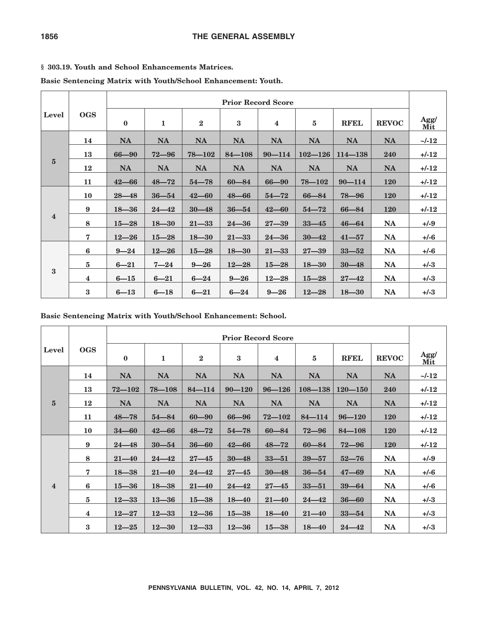## **§ 303.19. Youth and School Enhancements Matrices.**

**Basic Sentencing Matrix with Youth/School Enhancement: Youth.**

|                         |                         | <b>Prior Record Score</b> |              |              |            |                         |             |             |              |             |  |  |
|-------------------------|-------------------------|---------------------------|--------------|--------------|------------|-------------------------|-------------|-------------|--------------|-------------|--|--|
| Level                   | <b>OGS</b>              | $\bf{0}$                  | $\mathbf{1}$ | $\mathbf{2}$ | $\bf{3}$   | $\overline{\mathbf{4}}$ | 5           | <b>RFEL</b> | <b>REVOC</b> | Agg/<br>Mit |  |  |
|                         | 14                      | <b>NA</b>                 | <b>NA</b>    | <b>NA</b>    | <b>NA</b>  | <b>NA</b>               | <b>NA</b>   | <b>NA</b>   | <b>NA</b>    | $\sim$ /-12 |  |  |
| $5\phantom{.0}$         | 13                      | $66 - 90$                 | $72 - 96$    | $78 - 102$   | $84 - 108$ | $90 - 114$              | $102 - 126$ | $114 - 138$ | 240          | $+/-12$     |  |  |
|                         | 12                      | <b>NA</b>                 | <b>NA</b>    | <b>NA</b>    | <b>NA</b>  | <b>NA</b>               | <b>NA</b>   | <b>NA</b>   | <b>NA</b>    | $+/-12$     |  |  |
|                         | 11                      | $42 - 66$                 | $48 - 72$    | $54 - 78$    | $60 - 84$  | $66 - 90$               | $78 - 102$  | $90 - 114$  | <b>120</b>   | $+/-12$     |  |  |
|                         | 10                      | $28 - 48$                 | $36 - 54$    | $42 - 60$    | $48 - 66$  | $54 - 72$               | $66 - 84$   | $78 - 96$   | <b>120</b>   | $+/-12$     |  |  |
|                         | 9                       | $18 - 36$                 | $24 - 42$    | $30 - 48$    | $36 - 54$  | $42 - 60$               | $54 - 72$   | $66 - 84$   | <b>120</b>   | $+/-12$     |  |  |
| $\overline{\mathbf{4}}$ | 8                       | $15 - 28$                 | $18 - 30$    | $21 - 33$    | $24 - 36$  | $27 - 39$               | $33 - 45$   | $46 - 64$   | <b>NA</b>    | $+/-9$      |  |  |
|                         | $\overline{7}$          | $12 - 26$                 | $15 - 28$    | $18 - 30$    | $21 - 33$  | $24 - 36$               | $30 - 42$   | $41 - 57$   | <b>NA</b>    | $+/-6$      |  |  |
|                         | 6                       | $9 - 24$                  | $12 - 26$    | $15 - 28$    | $18 - 30$  | $21 - 33$               | $27 - 39$   | $33 - 52$   | <b>NA</b>    | $+/-6$      |  |  |
| 3                       | $\overline{5}$          | $6 - 21$                  | $7 - 24$     | $9 - 26$     | $12 - 28$  | $15 - 28$               | $18 - 30$   | $30 - 48$   | <b>NA</b>    | $+/-3$      |  |  |
|                         | $\overline{\mathbf{4}}$ | $6 - 15$                  | $6 - 21$     | $6 - 24$     | $9 - 26$   | $12 - 28$               | $15 - 28$   | $27 - 42$   | <b>NA</b>    | $+/-3$      |  |  |
|                         | $\bf{3}$                | $6 - 13$                  | $6 - 18$     | $6 - 21$     | $6 - 24$   | $9 - 26$                | $12 - 28$   | $18 - 30$   | <b>NA</b>    | $+/-3$      |  |  |

**Basic Sentencing Matrix with Youth/School Enhancement: School.**

|                         |                         | <b>Prior Record Score</b> |              |                  |            |                         |             |             |              |             |  |  |
|-------------------------|-------------------------|---------------------------|--------------|------------------|------------|-------------------------|-------------|-------------|--------------|-------------|--|--|
| Level                   | <b>OGS</b>              | $\bf{0}$                  | $\mathbf{1}$ | $\boldsymbol{2}$ | 3          | $\overline{\mathbf{4}}$ | 5           | <b>RFEL</b> | <b>REVOC</b> | Agg/<br>Mit |  |  |
|                         | 14                      | <b>NA</b>                 | <b>NA</b>    | <b>NA</b>        | <b>NA</b>  | <b>NA</b>               | <b>NA</b>   | <b>NA</b>   | <b>NA</b>    | $\sim$ /-12 |  |  |
|                         | 13                      | $72 - 102$                | $78 - 108$   | $84 - 114$       | $90 - 120$ | $96 - 126$              | $108 - 138$ | $120 - 150$ | 240          | $+/-12$     |  |  |
| ${\bf 5}$               | 12                      | <b>NA</b>                 | <b>NA</b>    | <b>NA</b>        | <b>NA</b>  | <b>NA</b>               | <b>NA</b>   | <b>NA</b>   | <b>NA</b>    | $+/-12$     |  |  |
|                         | 11                      | $48 - 78$                 | $54 - 84$    | $60 - 90$        | $66 - 96$  | $72 - 102$              | $84 - 114$  | $96 - 120$  | <b>120</b>   | $+/-12$     |  |  |
|                         | 10                      | $34 - 60$                 | $42 - 66$    | $48 - 72$        | $54 - 78$  | $60 - 84$               | $72 - 96$   | $84 - 108$  | <b>120</b>   | $+/-12$     |  |  |
|                         | 9                       | $24 - 48$                 | $30 - 54$    | $36 - 60$        | $42 - 66$  | $48 - 72$               | $60 - 84$   | $72 - 96$   | <b>120</b>   | $+/-12$     |  |  |
|                         | 8                       | $21 - 40$                 | $24 - 42$    | $27 - 45$        | $30 - 48$  | $33 - 51$               | $39 - 57$   | $52 - 76$   | <b>NA</b>    | $+/-9$      |  |  |
|                         | $\overline{7}$          | $18 - 38$                 | $21 - 40$    | $24 - 42$        | $27 - 45$  | $30 - 48$               | $36 - 54$   | $47 - 69$   | <b>NA</b>    | $+/-6$      |  |  |
| $\overline{\mathbf{4}}$ | 6                       | $15 - 36$                 | $18 - 38$    | $21 - 40$        | $24 - 42$  | $27 - 45$               | $33 - 51$   | $39 - 64$   | <b>NA</b>    | $+/-6$      |  |  |
|                         | 5                       | $12 - 33$                 | $13 - 36$    | $15 - 38$        | $18 - 40$  | $21 - 40$               | $24 - 42$   | $36 - 60$   | <b>NA</b>    | $+/-3$      |  |  |
|                         | $\overline{\mathbf{4}}$ | $12 - 27$                 | $12 - 33$    | $12 - 36$        | $15 - 38$  | $18 - 40$               | $21 - 40$   | $33 - 54$   | <b>NA</b>    | $+/-3$      |  |  |
|                         | $\bf{3}$                | $12 - 25$                 | $12 - 30$    | $12 - 33$        | $12 - 36$  | $15 - 38$               | $18 - 40$   | $24 - 42$   | <b>NA</b>    | $+/-3$      |  |  |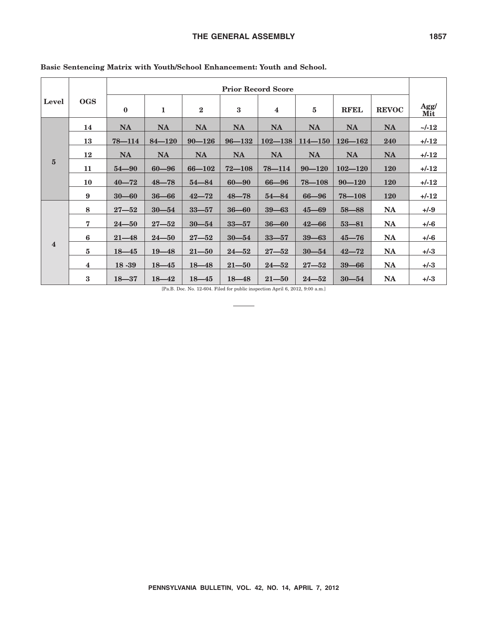| Level                   |                         | <b>Prior Record Score</b> |              |            |            |             |             |             |              |             |  |  |
|-------------------------|-------------------------|---------------------------|--------------|------------|------------|-------------|-------------|-------------|--------------|-------------|--|--|
|                         | <b>OGS</b>              | $\bf{0}$                  | $\mathbf{1}$ | $\bf{2}$   | $\bf{3}$   | 4           | $\bf 5$     | <b>RFEL</b> | <b>REVOC</b> | Agg/<br>Mit |  |  |
| $\overline{5}$          | 14                      | <b>NA</b>                 | <b>NA</b>    | <b>NA</b>  | <b>NA</b>  | <b>NA</b>   | <b>NA</b>   | <b>NA</b>   | <b>NA</b>    | $\sim$ /-12 |  |  |
|                         | 13                      | $78 - 114$                | $84 - 120$   | $90 - 126$ | $96 - 132$ | $102 - 138$ | $114 - 150$ | $126 - 162$ | 240          | $+/-12$     |  |  |
|                         | 12                      | <b>NA</b>                 | <b>NA</b>    | <b>NA</b>  | <b>NA</b>  | <b>NA</b>   | <b>NA</b>   | <b>NA</b>   | <b>NA</b>    | $+/-12$     |  |  |
|                         | 11                      | $54 - 90$                 | $60 - 96$    | $66 - 102$ | $72 - 108$ | $78 - 114$  | $90 - 120$  | $102 - 120$ | <b>120</b>   | $+/-12$     |  |  |
|                         | 10                      | $40 - 72$                 | $48 - 78$    | $54 - 84$  | $60 - 90$  | 66-96       | $78 - 108$  | $90 - 120$  | <b>120</b>   | $+/-12$     |  |  |
|                         | 9                       | $30 - 60$                 | $36 - 66$    | $42 - 72$  | $48 - 78$  | $54 - 84$   | $66 - 96$   | $78 - 108$  | <b>120</b>   | $+/-12$     |  |  |
|                         | 8                       | $27 - 52$                 | $30 - 54$    | $33 - 57$  | $36 - 60$  | $39 - 63$   | $45 - 69$   | $58 - 88$   | <b>NA</b>    | $+/-9$      |  |  |
|                         | $\overline{7}$          | $24 - 50$                 | $27 - 52$    | $30 - 54$  | $33 - 57$  | $36 - 60$   | $42 - 66$   | $53 - 81$   | <b>NA</b>    | $+/-6$      |  |  |
|                         | 6                       | $21 - 48$                 | $24 - 50$    | $27 - 52$  | $30 - 54$  | $33 - 57$   | $39 - 63$   | $45 - 76$   | <b>NA</b>    | $+/-6$      |  |  |
| $\overline{\mathbf{4}}$ | 5                       | $18 - 45$                 | $19 - 48$    | $21 - 50$  | $24 - 52$  | $27 - 52$   | $30 - 54$   | $42 - 72$   | <b>NA</b>    | $+/-3$      |  |  |
|                         | $\overline{\mathbf{4}}$ | 18 - 39                   | $18 - 45$    | $18 - 48$  | $21 - 50$  | $24 - 52$   | $27 - 52$   | $39 - 66$   | <b>NA</b>    | $+/-3$      |  |  |
|                         | $\bf{3}$                | $18 - 37$                 | $18 - 42$    | $18 - 45$  | $18 - 48$  | $21 - 50$   | $24 - 52$   | $30 - 54$   | <b>NA</b>    | $+/-3$      |  |  |

**Basic Sentencing Matrix with Youth/School Enhancement: Youth and School.**

[Pa.B. Doc. No. 12-604. Filed for public inspection April 6, 2012, 9:00 a.m.]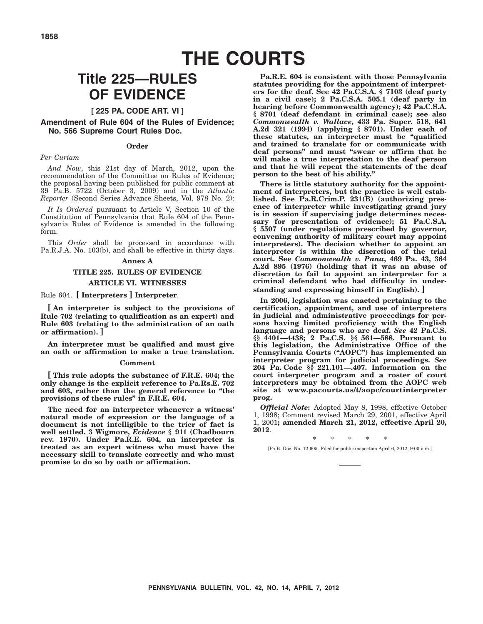# **THE COURTS**

## **Title 225—RULES OF EVIDENCE**

#### **[ 225 PA. CODE ART. VI ]**

**Amendment of Rule 604 of the Rules of Evidence; No. 566 Supreme Court Rules Doc.**

#### **Order**

#### *Per Curiam*

*And Now*, this 21st day of March, 2012, upon the recommendation of the Committee on Rules of Evidence; the proposal having been published for public comment at 39 Pa.B. 5722 (October 3, 2009) and in the *Atlantic Reporter* (Second Series Advance Sheets, Vol. 978 No. 2):

*It Is Ordered* pursuant to Article V, Section 10 of the Constitution of Pennsylvania that Rule 604 of the Pennsylvania Rules of Evidence is amended in the following form.

This *Order* shall be processed in accordance with Pa.R.J.A. No. 103(b), and shall be effective in thirty days.

#### **Annex A**

### **TITLE 225. RULES OF EVIDENCE ARTICLE VI. WITNESSES**

Rule 604. **[ Interpreters ] Interpreter**.

**[ An interpreter is subject to the provisions of Rule 702 (relating to qualification as an expert) and Rule 603 (relating to the administration of an oath or affirmation). ]**

**An interpreter must be qualified and must give an oath or affirmation to make a true translation.**

#### **Comment**

**[ This rule adopts the substance of F.R.E. 604; the only change is the explicit reference to Pa.Rs.E. 702 and 603, rather than the general reference to ''the provisions of these rules'' in F.R.E. 604.**

**The need for an interpreter whenever a witness' natural mode of expression or the language of a document is not intelligible to the trier of fact is well settled. 3 Wigmore,** *Evidence* **§ 911 (Chadbourn rev. 1970). Under Pa.R.E. 604, an interpreter is treated as an expert witness who must have the necessary skill to translate correctly and who must promise to do so by oath or affirmation.**

**Pa.R.E. 604 is consistent with those Pennsylvania statutes providing for the appointment of interpreters for the deaf. See 42 Pa.C.S.A. § 7103 (deaf party in a civil case); 2 Pa.C.S.A. 505.1 (deaf party in hearing before Commonwealth agency); 42 Pa.C.S.A. § 8701 (deaf defendant in criminal case); see also** *Commonwealth v. Wallace***, 433 Pa. Super. 518, 641 A.2d 321 (1994) (applying § 8701). Under each of these statutes, an interpreter must be ''qualified and trained to translate for or communicate with deaf persons'' and must ''swear or affirm that he will make a true interpretation to the deaf person and that he will repeat the statements of the deaf person to the best of his ability.''**

**There is little statutory authority for the appointment of interpreters, but the practice is well established. See Pa.R.Crim.P. 231(B) (authorizing presence of interpreter while investigating grand jury is in session if supervising judge determines necessary for presentation of evidence); 51 Pa.C.S.A. § 5507 (under regulations prescribed by governor, convening authority of military court may appoint interpreters). The decision whether to appoint an interpreter is within the discretion of the trial court. See** *Commonwealth v. Pana***, 469 Pa. 43, 364 A.2d 895 (1976) (holding that it was an abuse of discretion to fail to appoint an interpreter for a criminal defendant who had difficulty in understanding and expressing himself in English). ]**

**In 2006, legislation was enacted pertaining to the certification, appointment, and use of interpreters in judicial and administrative proceedings for persons having limited proficiency with the English language and persons who are deaf.** *See* **42 Pa.C.S. §§ 4401—4438; 2 Pa.C.S. §§ 561—588. Pursuant to this legislation, the Administrative Office of the Pennsylvania Courts (''AOPC'') has implemented an interpreter program for judicial proceedings.** *See* **204 Pa. Code §§ 221.101—.407. Information on the court interpreter program and a roster of court interpreters may be obtained from the AOPC web site at www.pacourts.us/t/aopc/courtinterpreter prog.**

*Official Note***:** Adopted May 8, 1998, effective October 1, 1998; Comment revised March 29, 2001, effective April 1, 2001**; amended March 21, 2012, effective April 20, 2012**.

\*\*\*\*\* [Pa.B. Doc. No. 12-605. Filed for public inspection April 6, 2012, 9:00 a.m.]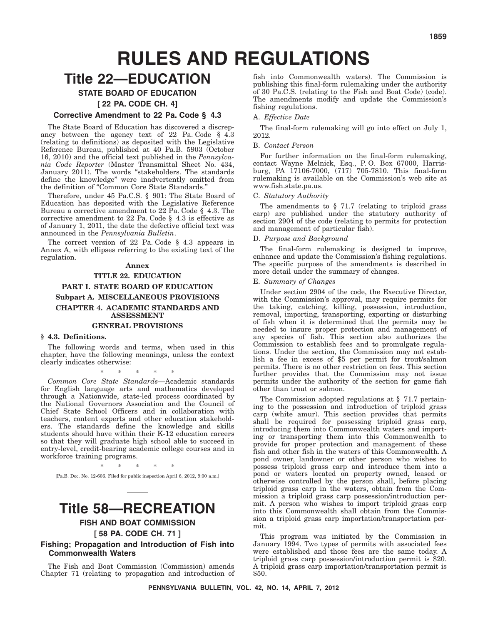# **RULES AND REGULATIONS**

## **Title 22—EDUCATION**

## **STATE BOARD OF EDUCATION**

**[ 22 PA. CODE CH. 4]**

#### **Corrective Amendment to 22 Pa. Code § 4.3**

The State Board of Education has discovered a discrepancy between the agency text of 22 Pa. Code § 4.3 (relating to definitions) as deposited with the Legislative Reference Bureau, published at 40 Pa.B. 5903 (October 16, 2010) and the official text published in the *Pennsylvania Code Reporter* (Master Transmittal Sheet No. 434, January 2011). The words ''stakeholders. The standards define the knowledge'' were inadvertently omitted from the definition of ''Common Core State Standards.''

Therefore, under 45 Pa.C.S. § 901: The State Board of Education has deposited with the Legislative Reference Bureau a corrective amendment to 22 Pa. Code § 4.3. The corrective amendment to 22 Pa. Code § 4.3 is effective as of January 1, 2011, the date the defective official text was announced in the *Pennsylvania Bulletin*.

The correct version of 22 Pa. Code § 4.3 appears in Annex A, with ellipses referring to the existing text of the regulation.

#### **Annex**

## **TITLE 22. EDUCATION PART I. STATE BOARD OF EDUCATION Subpart A. MISCELLANEOUS PROVISIONS CHAPTER 4. ACADEMIC STANDARDS AND ASSESSMENT**

#### **GENERAL PROVISIONS**

#### **§ 4.3. Definitions.**

The following words and terms, when used in this chapter, have the following meanings, unless the context clearly indicates otherwise:

\*\*\*\*\* *Common Core State Standards*—Academic standards for English language arts and mathematics developed through a Nationwide, state-led process coordinated by the National Governors Association and the Council of Chief State School Officers and in collaboration with teachers, content experts and other education stakeholders. The standards define the knowledge and skills

students should have within their K-12 education careers so that they will graduate high school able to succeed in entry-level, credit-bearing academic college courses and in workforce training programs.

\*\*\*\*\*

[Pa.B. Doc. No. 12-606. Filed for public inspection April 6, 2012, 9:00 a.m.]

## **Title 58—RECREATION**

**FISH AND BOAT COMMISSION**

### **[ 58 PA. CODE CH. 71 ]**

**Fishing; Propagation and Introduction of Fish into Commonwealth Waters**

The Fish and Boat Commission (Commission) amends Chapter 71 (relating to propagation and introduction of

fish into Commonwealth waters). The Commission is publishing this final-form rulemaking under the authority of 30 Pa.C.S. (relating to the Fish and Boat Code) (code). The amendments modify and update the Commission's fishing regulations.

#### A. *Effective Date*

The final-form rulemaking will go into effect on July 1, 2012.

#### B. *Contact Person*

For further information on the final-form rulemaking, contact Wayne Melnick, Esq., P. O. Box 67000, Harrisburg, PA 17106-7000, (717) 705-7810. This final-form rulemaking is available on the Commission's web site at www.fish.state.pa.us.

#### C. *Statutory Authority*

The amendments to  $\S$  71.7 (relating to triploid grass carp) are published under the statutory authority of section 2904 of the code (relating to permits for protection and management of particular fish).

#### D. *Purpose and Background*

The final-form rulemaking is designed to improve, enhance and update the Commission's fishing regulations. The specific purpose of the amendments is described in more detail under the summary of changes.

#### E. *Summary of Changes*

Under section 2904 of the code, the Executive Director, with the Commission's approval, may require permits for the taking, catching, killing, possession, introduction, removal, importing, transporting, exporting or disturbing of fish when it is determined that the permits may be needed to insure proper protection and management of any species of fish. This section also authorizes the Commission to establish fees and to promulgate regulations. Under the section, the Commission may not establish a fee in excess of \$5 per permit for trout/salmon permits. There is no other restriction on fees. This section further provides that the Commission may not issue permits under the authority of the section for game fish other than trout or salmon.

The Commission adopted regulations at § 71.7 pertaining to the possession and introduction of triploid grass carp (white amur). This section provides that permits shall be required for possessing triploid grass carp, introducing them into Commonwealth waters and importing or transporting them into this Commonwealth to provide for proper protection and management of these fish and other fish in the waters of this Commonwealth. A pond owner, landowner or other person who wishes to possess triploid grass carp and introduce them into a pond or waters located on property owned, leased or otherwise controlled by the person shall, before placing triploid grass carp in the waters, obtain from the Commission a triploid grass carp possession/introduction permit. A person who wishes to import triploid grass carp into this Commonwealth shall obtain from the Commission a triploid grass carp importation/transportation permit.

This program was initiated by the Commission in January 1994. Two types of permits with associated fees were established and those fees are the same today. A triploid grass carp possession/introduction permit is \$20. A triploid grass carp importation/transportation permit is \$50.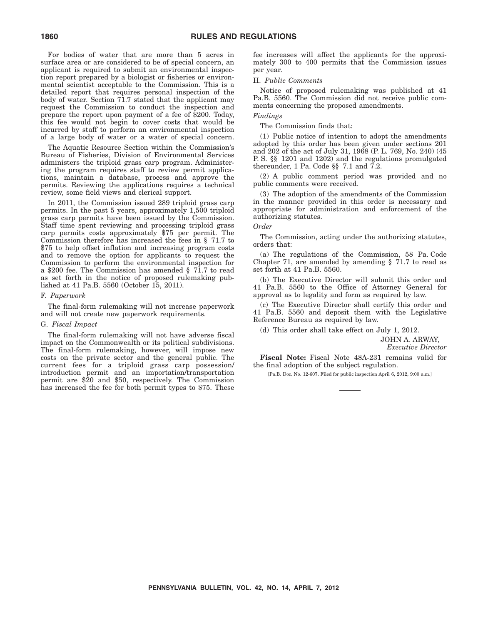For bodies of water that are more than 5 acres in surface area or are considered to be of special concern, an applicant is required to submit an environmental inspection report prepared by a biologist or fisheries or environmental scientist acceptable to the Commission. This is a detailed report that requires personal inspection of the body of water. Section 71.7 stated that the applicant may request the Commission to conduct the inspection and prepare the report upon payment of a fee of \$200. Today, this fee would not begin to cover costs that would be incurred by staff to perform an environmental inspection of a large body of water or a water of special concern.

The Aquatic Resource Section within the Commission's Bureau of Fisheries, Division of Environmental Services administers the triploid grass carp program. Administering the program requires staff to review permit applications, maintain a database, process and approve the permits. Reviewing the applications requires a technical review, some field views and clerical support.

In 2011, the Commission issued 289 triploid grass carp permits. In the past 5 years, approximately 1,500 triploid grass carp permits have been issued by the Commission. Staff time spent reviewing and processing triploid grass carp permits costs approximately \$75 per permit. The Commission therefore has increased the fees in § 71.7 to \$75 to help offset inflation and increasing program costs and to remove the option for applicants to request the Commission to perform the environmental inspection for a \$200 fee. The Commission has amended § 71.7 to read as set forth in the notice of proposed rulemaking published at 41 Pa.B. 5560 (October 15, 2011).

#### F. *Paperwork*

The final-form rulemaking will not increase paperwork and will not create new paperwork requirements.

#### G. *Fiscal Impact*

The final-form rulemaking will not have adverse fiscal impact on the Commonwealth or its political subdivisions. The final-form rulemaking, however, will impose new costs on the private sector and the general public. The current fees for a triploid grass carp possession/ introduction permit and an importation/transportation permit are \$20 and \$50, respectively. The Commission has increased the fee for both permit types to \$75. These fee increases will affect the applicants for the approximately 300 to 400 permits that the Commission issues per year.

#### H. *Public Comments*

Notice of proposed rulemaking was published at 41 Pa.B. 5560. The Commission did not receive public comments concerning the proposed amendments.

### *Findings*

The Commission finds that:

(1) Public notice of intention to adopt the amendments adopted by this order has been given under sections 201 and 202 of the act of July 31, 1968 (P. L. 769, No. 240) (45 P. S. §§ 1201 and 1202) and the regulations promulgated thereunder, 1 Pa. Code §§ 7.1 and 7.2.

(2) A public comment period was provided and no public comments were received.

(3) The adoption of the amendments of the Commission in the manner provided in this order is necessary and appropriate for administration and enforcement of the authorizing statutes.

#### *Order*

The Commission, acting under the authorizing statutes, orders that:

(a) The regulations of the Commission, 58 Pa. Code Chapter 71, are amended by amending § 71.7 to read as set forth at 41 Pa.B. 5560.

(b) The Executive Director will submit this order and 41 Pa.B. 5560 to the Office of Attorney General for approval as to legality and form as required by law.

(c) The Executive Director shall certify this order and 41 Pa.B. 5560 and deposit them with the Legislative Reference Bureau as required by law.

(d) This order shall take effect on July 1, 2012.

JOHN A. ARWAY,

*Executive Director*

**Fiscal Note:** Fiscal Note 48A-231 remains valid for the final adoption of the subject regulation.

[Pa.B. Doc. No. 12-607. Filed for public inspection April 6, 2012, 9:00 a.m.]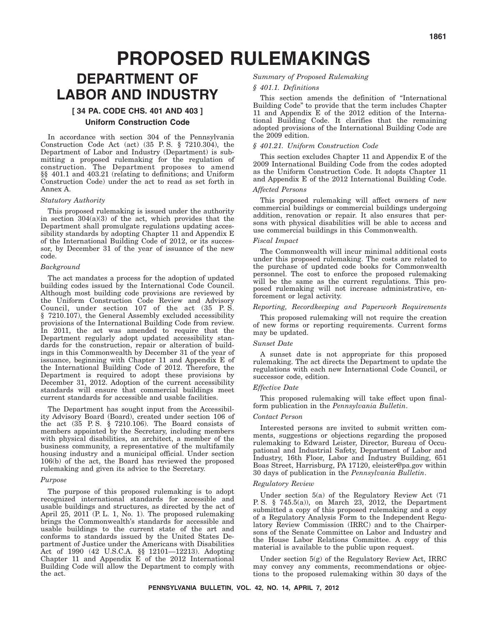# **PROPOSED RULEMAKINGS**

## **DEPARTMENT OF LABOR AND INDUSTRY**

## **[ 34 PA. CODE CHS. 401 AND 403 ] Uniform Construction Code**

In accordance with section 304 of the Pennsylvania Construction Code Act (act) (35 P. S. § 7210.304), the Department of Labor and Industry (Department) is submitting a proposed rulemaking for the regulation of construction. The Department proposes to amend §§ 401.1 and 403.21 (relating to definitions; and Uniform Construction Code) under the act to read as set forth in Annex A.

#### *Statutory Authority*

This proposed rulemaking is issued under the authority in section  $304(a)(3)$  of the act, which provides that the Department shall promulgate regulations updating accessibility standards by adopting Chapter 11 and Appendix E of the International Building Code of 2012, or its successor, by December 31 of the year of issuance of the new code.

#### *Background*

The act mandates a process for the adoption of updated building codes issued by the International Code Council. Although most building code provisions are reviewed by the Uniform Construction Code Review and Advisory Council, under section 107 of the act (35 P. S. § 7210.107), the General Assembly excluded accessibility provisions of the International Building Code from review. In 2011, the act was amended to require that the Department regularly adopt updated accessibility standards for the construction, repair or alteration of buildings in this Commonwealth by December 31 of the year of issuance, beginning with Chapter 11 and Appendix E of the International Building Code of 2012. Therefore, the Department is required to adopt these provisions by December 31, 2012. Adoption of the current accessibility standards will ensure that commercial buildings meet current standards for accessible and usable facilities.

The Department has sought input from the Accessibility Advisory Board (Board), created under section 106 of the act (35 P. S. § 7210.106). The Board consists of members appointed by the Secretary, including members with physical disabilities, an architect, a member of the business community, a representative of the multifamily housing industry and a municipal official. Under section 106(b) of the act, the Board has reviewed the proposed rulemaking and given its advice to the Secretary.

#### *Purpose*

The purpose of this proposed rulemaking is to adopt recognized international standards for accessible and usable buildings and structures, as directed by the act of April 25, 2011 (P. L. 1, No. 1). The proposed rulemaking brings the Commonwealth's standards for accessible and usable buildings to the current state of the art and conforms to standards issued by the United States Department of Justice under the Americans with Disabilities Act of 1990 (42 U.S.C.A. §§ 12101—12213). Adopting Chapter 11 and Appendix E of the 2012 International Building Code will allow the Department to comply with the act.

#### *Summary of Proposed Rulemaking*

#### *§ 401.1. Definitions*

This section amends the definition of ''International Building Code'' to provide that the term includes Chapter 11 and Appendix E of the 2012 edition of the International Building Code. It clarifies that the remaining adopted provisions of the International Building Code are the 2009 edition.

#### *§ 401.21. Uniform Construction Code*

This section excludes Chapter 11 and Appendix E of the 2009 International Building Code from the codes adopted as the Uniform Construction Code. It adopts Chapter 11 and Appendix E of the 2012 International Building Code.

#### *Affected Persons*

This proposed rulemaking will affect owners of new commercial buildings or commercial buildings undergoing addition, renovation or repair. It also ensures that persons with physical disabilities will be able to access and use commercial buildings in this Commonwealth.

#### *Fiscal Impact*

The Commonwealth will incur minimal additional costs under this proposed rulemaking. The costs are related to the purchase of updated code books for Commonwealth personnel. The cost to enforce the proposed rulemaking will be the same as the current regulations. This proposed rulemaking will not increase administrative, enforcement or legal activity.

#### *Reporting, Recordkeeping and Paperwork Requirements*

This proposed rulemaking will not require the creation of new forms or reporting requirements. Current forms may be updated.

#### *Sunset Date*

A sunset date is not appropriate for this proposed rulemaking. The act directs the Department to update the regulations with each new International Code Council, or successor code, edition.

#### *Effective Date*

This proposed rulemaking will take effect upon finalform publication in the *Pennsylvania Bulletin*.

#### *Contact Person*

Interested persons are invited to submit written comments, suggestions or objections regarding the proposed rulemaking to Edward Leister, Director, Bureau of Occupational and Industrial Safety, Department of Labor and Industry, 16th Floor, Labor and Industry Building, 651 Boas Street, Harrisburg, PA 17120, eleister@pa.gov within 30 days of publication in the *Pennsylvania Bulletin*.

#### *Regulatory Review*

Under section 5(a) of the Regulatory Review Act (71 P. S. § 745.5(a)), on March 23, 2012, the Department submitted a copy of this proposed rulemaking and a copy of a Regulatory Analysis Form to the Independent Regulatory Review Commission (IRRC) and to the Chairpersons of the Senate Committee on Labor and Industry and the House Labor Relations Committee. A copy of this material is available to the public upon request.

Under section 5(g) of the Regulatory Review Act, IRRC may convey any comments, recommendations or objections to the proposed rulemaking within 30 days of the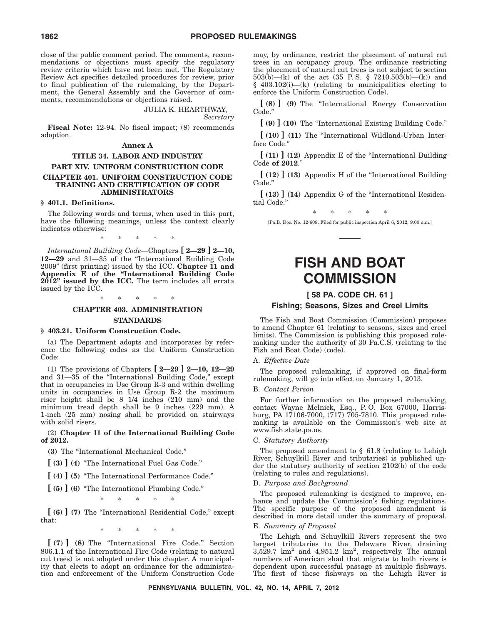close of the public comment period. The comments, recommendations or objections must specify the regulatory review criteria which have not been met. The Regulatory Review Act specifies detailed procedures for review, prior to final publication of the rulemaking, by the Department, the General Assembly and the Governor of comments, recommendations or objections raised.

> JULIA K. HEARTHWAY, *Secretary*

**Fiscal Note:** 12-94. No fiscal impact; (8) recommends adoption.

#### **Annex A**

#### **TITLE 34. LABOR AND INDUSTRY PART XIV. UNIFORM CONSTRUCTION CODE CHAPTER 401. UNIFORM CONSTRUCTION CODE TRAINING AND CERTIFICATION OF CODE ADMINISTRATORS**

#### **§ 401.1. Definitions.**

The following words and terms, when used in this part, have the following meanings, unless the context clearly indicates otherwise:

\*\*\*\*\*

*International Building Code*—Chapters **[ 2—29 ] 2—10, 12—29** and 31—35 of the ''International Building Code 2009'' (first printing) issued by the ICC. **Chapter 11 and Appendix E of the ''International Building Code 2012'' issued by the ICC.** The term includes all errata issued by the ICC.

#### \*\*\*\*\*

## **CHAPTER 403. ADMINISTRATION**

#### **STANDARDS**

#### **§ 403.21. Uniform Construction Code.**

(a) The Department adopts and incorporates by reference the following codes as the Uniform Construction Code:

(1) The provisions of Chapters **[ 2—29 ] 2—10, 12—29** and 31—35 of the "International Building Code," except that in occupancies in Use Group R-3 and within dwelling units in occupancies in Use Group R-2 the maximum riser height shall be 8 1/4 inches (210 mm) and the minimum tread depth shall be 9 inches (229 mm). A 1-inch (25 mm) nosing shall be provided on stairways with solid risers.

#### (2) **Chapter 11 of the International Building Code of 2012.**

**(3)** The ''International Mechanical Code.''

**[ (3) ] (4)** ''The International Fuel Gas Code.''

**[ (4) ] (5)** ''The International Performance Code.''

**[ (5) ] (6)** ''The International Plumbing Code.''

\*\*\*\*\*

**[ (6) ] (7)** The ''International Residential Code,'' except that:

\*\*\*\*\*

**[ (7) ] (8)** The ''International Fire Code.'' Section 806.1.1 of the International Fire Code (relating to natural cut trees) is not adopted under this chapter. A municipality that elects to adopt an ordinance for the administration and enforcement of the Uniform Construction Code may, by ordinance, restrict the placement of natural cut trees in an occupancy group. The ordinance restricting the placement of natural cut trees is not subject to section 503(b)—(k) of the act (35 P.S. § 7210.503(b)—(k)) and § 403.102(i)—(k) (relating to municipalities electing to enforce the Uniform Construction Code).

**[ (8) ] (9)** The ''International Energy Conservation Code.''

**[ (9) ] (10)** The ''International Existing Building Code.''

**[ (10) ] (11)** The ''International Wildland-Urban Interface Code.''

**[ (11) ] (12)** Appendix E of the ''International Building Code **of 2012**.''

**[ (12) ] (13)** Appendix H of the ''International Building Code.''

**[ (13) ] (14)** Appendix G of the ''International Residential Code.''

\*\*\*\*\* [Pa.B. Doc. No. 12-608. Filed for public inspection April 6, 2012, 9:00 a.m.]

## **FISH AND BOAT COMMISSION**

## **[ 58 PA. CODE CH. 61 ]**

#### **Fishing; Seasons, Sizes and Creel Limits**

The Fish and Boat Commission (Commission) proposes to amend Chapter 61 (relating to seasons, sizes and creel limits). The Commission is publishing this proposed rulemaking under the authority of 30 Pa.C.S. (relating to the Fish and Boat Code) (code).

#### A. *Effective Date*

The proposed rulemaking, if approved on final-form rulemaking, will go into effect on January 1, 2013.

#### B. *Contact Person*

For further information on the proposed rulemaking, contact Wayne Melnick, Esq., P. O. Box 67000, Harrisburg, PA 17106-7000, (717) 705-7810. This proposed rulemaking is available on the Commission's web site at www.fish.state.pa.us.

#### C. *Statutory Authority*

The proposed amendment to  $\S$  61.8 (relating to Lehigh River, Schuylkill River and tributaries) is published under the statutory authority of section 2102(b) of the code (relating to rules and regulations).

#### D. *Purpose and Background*

The proposed rulemaking is designed to improve, enhance and update the Commission's fishing regulations. The specific purpose of the proposed amendment is described in more detail under the summary of proposal.

#### E. *Summary of Proposal*

The Lehigh and Schuylkill Rivers represent the two largest tributaries to the Delaware River, draining  $3,529.7$  km<sup>2</sup> and  $4,951.2$  km<sup>2</sup>, respectively. The annual numbers of American shad that migrate to both rivers is dependent upon successful passage at multiple fishways. The first of these fishways on the Lehigh River is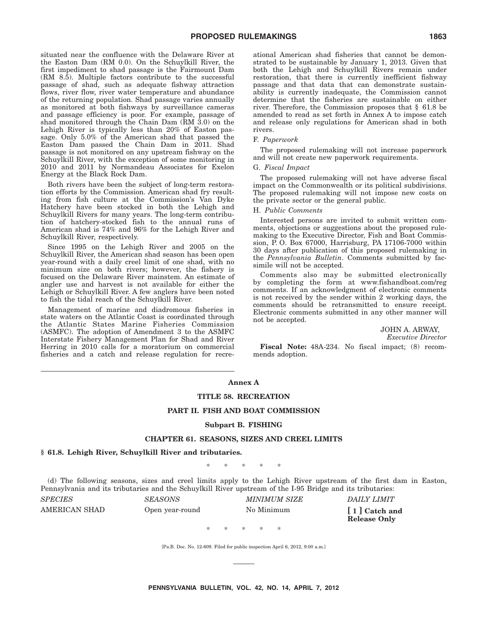situated near the confluence with the Delaware River at the Easton Dam (RM 0.0). On the Schuylkill River, the first impediment to shad passage is the Fairmount Dam (RM 8.5). Multiple factors contribute to the successful passage of shad, such as adequate fishway attraction flows, river flow, river water temperature and abundance of the returning population. Shad passage varies annually as monitored at both fishways by surveillance cameras and passage efficiency is poor. For example, passage of shad monitored through the Chain Dam (RM 3.0) on the Lehigh River is typically less than 20% of Easton passage. Only 5.0% of the American shad that passed the Easton Dam passed the Chain Dam in 2011. Shad passage is not monitored on any upstream fishway on the Schuylkill River, with the exception of some monitoring in 2010 and 2011 by Normandeau Associates for Exelon Energy at the Black Rock Dam.

Both rivers have been the subject of long-term restoration efforts by the Commission. American shad fry resulting from fish culture at the Commission's Van Dyke Hatchery have been stocked in both the Lehigh and Schuylkill Rivers for many years. The long-term contribution of hatchery-stocked fish to the annual runs of American shad is 74% and 96% for the Lehigh River and Schuylkill River, respectively.

Since 1995 on the Lehigh River and 2005 on the Schuylkill River, the American shad season has been open year-round with a daily creel limit of one shad, with no minimum size on both rivers; however, the fishery is focused on the Delaware River mainstem. An estimate of angler use and harvest is not available for either the Lehigh or Schuylkill River. A few anglers have been noted to fish the tidal reach of the Schuylkill River.

Management of marine and diadromous fisheries in state waters on the Atlantic Coast is coordinated through the Atlantic States Marine Fisheries Commission (ASMFC). The adoption of Amendment 3 to the ASMFC Interstate Fishery Management Plan for Shad and River Herring in 2010 calls for a moratorium on commercial fisheries and a catch and release regulation for recreational American shad fisheries that cannot be demonstrated to be sustainable by January 1, 2013. Given that both the Lehigh and Schuylkill Rivers remain under restoration, that there is currently inefficient fishway passage and that data that can demonstrate sustainability is currently inadequate, the Commission cannot determine that the fisheries are sustainable on either river. Therefore, the Commission proposes that § 61.8 be amended to read as set forth in Annex A to impose catch and release only regulations for American shad in both rivers.

#### F. *Paperwork*

The proposed rulemaking will not increase paperwork and will not create new paperwork requirements.

#### G. *Fiscal Impact*

The proposed rulemaking will not have adverse fiscal impact on the Commonwealth or its political subdivisions. The proposed rulemaking will not impose new costs on the private sector or the general public.

#### H. *Public Comments*

Interested persons are invited to submit written comments, objections or suggestions about the proposed rulemaking to the Executive Director, Fish and Boat Commission, P. O. Box 67000, Harrisburg, PA 17106-7000 within 30 days after publication of this proposed rulemaking in the *Pennsylvania Bulletin*. Comments submitted by facsimile will not be accepted.

Comments also may be submitted electronically by completing the form at www.fishandboat.com/reg comments. If an acknowledgment of electronic comments is not received by the sender within 2 working days, the comments should be retransmitted to ensure receipt. Electronic comments submitted in any other manner will not be accepted.

> JOHN A. ARWAY, *Executive Director*

**Fiscal Note:** 48A-234. No fiscal impact; (8) recommends adoption.

#### **Annex A**

#### **TITLE 58. RECREATION**

#### **PART II. FISH AND BOAT COMMISSION**

#### **Subpart B. FISHING**

#### **CHAPTER 61. SEASONS, SIZES AND CREEL LIMITS**

#### **§ 61.8. Lehigh River, Schuylkill River and tributaries.**

\*\*\*\*\*

(d) The following seasons, sizes and creel limits apply to the Lehigh River upstream of the first dam in Easton, Pennsylvania and its tributaries and the Schuylkill River upstream of the I-95 Bridge and its tributaries:

|                                                | DAILY LIMIT                          |
|------------------------------------------------|--------------------------------------|
| AMERICAN SHAD<br>No Minimum<br>Open year-round | [1] Catch and<br><b>Release Only</b> |

[Pa.B. Doc. No. 12-609. Filed for public inspection April 6, 2012, 9:00 a.m.]

\*\*\*\*\*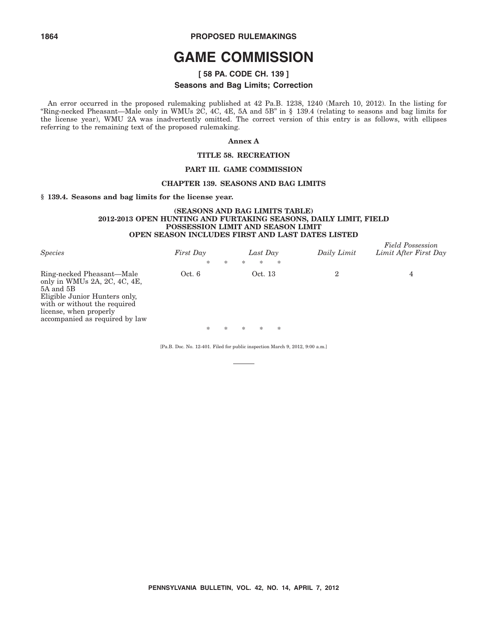# **1864 PROPOSED RULEMAKINGS**

# **GAME COMMISSION**

# **[ 58 PA. CODE CH. 139 ]**

#### **Seasons and Bag Limits; Correction**

An error occurred in the proposed rulemaking published at 42 Pa.B. 1238, 1240 (March 10, 2012). In the listing for ''Ring-necked Pheasant—Male only in WMUs 2C, 4C, 4E, 5A and 5B'' in § 139.4 (relating to seasons and bag limits for the license year), WMU 2A was inadvertently omitted. The correct version of this entry is as follows, with ellipses referring to the remaining text of the proposed rulemaking.

#### **Annex A**

#### **TITLE 58. RECREATION**

### **PART III. GAME COMMISSION**

#### **CHAPTER 139. SEASONS AND BAG LIMITS**

#### **§ 139.4. Seasons and bag limits for the license year.**

#### **(SEASONS AND BAG LIMITS TABLE) 2012-2013 OPEN HUNTING AND FURTAKING SEASONS, DAILY LIMIT, FIELD POSSESSION LIMIT AND SEASON LIMIT OPEN SEASON INCLUDES FIRST AND LAST DATES LISTED**

| <b>Species</b>                                                                                                                                                                                      | First Day<br>* | * | *      | Last Day<br>$\ast$ | $\ast$ | Daily Limit | <b>Field Possession</b><br>Limit After First Day |
|-----------------------------------------------------------------------------------------------------------------------------------------------------------------------------------------------------|----------------|---|--------|--------------------|--------|-------------|--------------------------------------------------|
| Ring-necked Pheasant—Male<br>only in WMUs 2A, 2C, 4C, 4E,<br>5A and 5B<br>Eligible Junior Hunters only,<br>with or without the required<br>license, when properly<br>accompanied as required by law | Oct. 6         |   |        | Oct. 13            |        | 2           | 4                                                |
|                                                                                                                                                                                                     | $\ast$         | ⋇ | $\ast$ | $\ast$             | $\ast$ |             |                                                  |

[Pa.B. Doc. No. 12-401. Filed for public inspection March 9, 2012, 9:00 a.m.]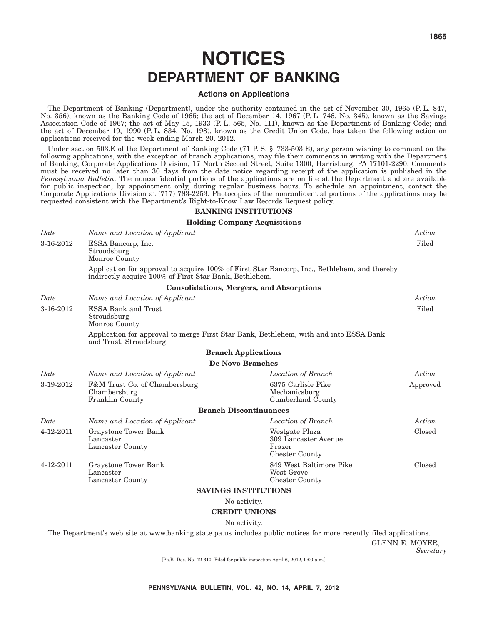# **NOTICES DEPARTMENT OF BANKING**

#### **Actions on Applications**

The Department of Banking (Department), under the authority contained in the act of November 30, 1965 (P. L. 847, No. 356), known as the Banking Code of 1965; the act of December 14, 1967 (P. L. 746, No. 345), known as the Savings Association Code of 1967; the act of May 15, 1933 (P. L. 565, No. 111), known as the Department of Banking Code; and the act of December 19, 1990 (P. L. 834, No. 198), known as the Credit Union Code, has taken the following action on applications received for the week ending March 20, 2012.

Under section 503.E of the Department of Banking Code (71 P.S. § 733-503.E), any person wishing to comment on the following applications, with the exception of branch applications, may file their comments in writing with the Department of Banking, Corporate Applications Division, 17 North Second Street, Suite 1300, Harrisburg, PA 17101-2290. Comments must be received no later than 30 days from the date notice regarding receipt of the application is published in the *Pennsylvania Bulletin*. The nonconfidential portions of the applications are on file at the Department and are available for public inspection, by appointment only, during regular business hours. To schedule an appointment, contact the Corporate Applications Division at (717) 783-2253. Photocopies of the nonconfidential portions of the applications may be requested consistent with the Department's Right-to-Know Law Records Request policy.

#### **BANKING INSTITUTIONS**

#### **Holding Company Acquisitions**

| Date      | Name and Location of Applicant                                          |                                                                                              | Action   |  |  |  |
|-----------|-------------------------------------------------------------------------|----------------------------------------------------------------------------------------------|----------|--|--|--|
| 3-16-2012 | ESSA Bancorp, Inc.<br>Stroudsburg<br>Monroe County                      |                                                                                              | Filed    |  |  |  |
|           | indirectly acquire 100% of First Star Bank, Bethlehem.                  | Application for approval to acquire 100% of First Star Bancorp, Inc., Bethlehem, and thereby |          |  |  |  |
|           |                                                                         | <b>Consolidations, Mergers, and Absorptions</b>                                              |          |  |  |  |
| Date      | Name and Location of Applicant                                          |                                                                                              | Action   |  |  |  |
| 3-16-2012 | <b>ESSA Bank and Trust</b><br>Stroudsburg<br>Monroe County              |                                                                                              |          |  |  |  |
|           | and Trust, Stroudsburg.                                                 | Application for approval to merge First Star Bank, Bethlehem, with and into ESSA Bank        |          |  |  |  |
|           |                                                                         | <b>Branch Applications</b>                                                                   |          |  |  |  |
|           |                                                                         | De Novo Branches                                                                             |          |  |  |  |
| Date      | Name and Location of Applicant                                          | Location of Branch                                                                           | Action   |  |  |  |
| 3-19-2012 | F&M Trust Co. of Chambersburg<br>Chambersburg<br><b>Franklin County</b> | 6375 Carlisle Pike<br>Mechanicsburg<br>Cumberland County                                     | Approved |  |  |  |
|           |                                                                         | <b>Branch Discontinuances</b>                                                                |          |  |  |  |
| Date      | Name and Location of Applicant                                          | Location of Branch                                                                           | Action   |  |  |  |
| 4-12-2011 | Graystone Tower Bank<br>Lancaster<br>Lancaster County                   | Westgate Plaza<br>309 Lancaster Avenue<br>Frazer<br>Chester County                           | Closed   |  |  |  |
| 4-12-2011 | Graystone Tower Bank<br>Lancaster<br>Lancaster County                   | 849 West Baltimore Pike<br>West Grove<br><b>Chester County</b>                               | Closed   |  |  |  |
|           |                                                                         | <b>SAVINGS INSTITUTIONS</b>                                                                  |          |  |  |  |
|           |                                                                         | No activity.                                                                                 |          |  |  |  |

**CREDIT UNIONS**

No activity.

The Department's web site at www.banking.state.pa.us includes public notices for more recently filed applications.

GLENN E. MOYER,

*Secretary*

[Pa.B. Doc. No. 12-610. Filed for public inspection April 6, 2012, 9:00 a.m.]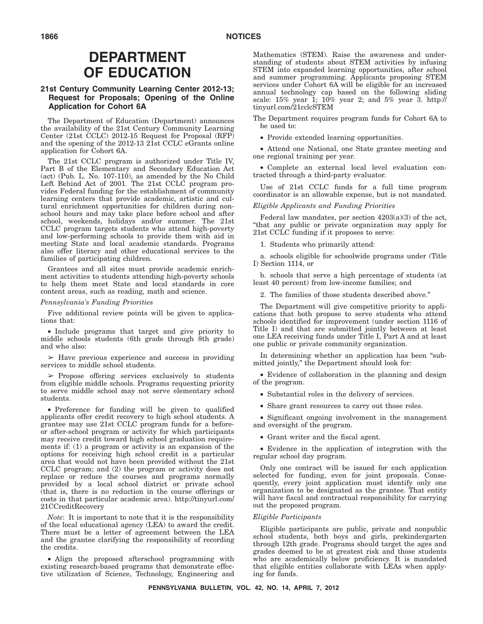# **DEPARTMENT OF EDUCATION**

### **21st Century Community Learning Center 2012-13; Request for Proposals; Opening of the Online Application for Cohort 6A**

The Department of Education (Department) announces the availability of the 21st Century Community Learning Center (21st ČCLC) 2012-15 Request for Proposal (RFP) and the opening of the 2012-13 21st CCLC eGrants online application for Cohort 6A.

The 21st CCLC program is authorized under Title IV, Part B of the Elementary and Secondary Education Act (act) (Pub. L. No. 107-110), as amended by the No Child Left Behind Act of 2001. The 21st CCLC program provides Federal funding for the establishment of community learning centers that provide academic, artistic and cultural enrichment opportunities for children during nonschool hours and may take place before school and after school, weekends, holidays and/or summer. The 21st CCLC program targets students who attend high-poverty and low-performing schools to provide them with aid in meeting State and local academic standards. Programs also offer literacy and other educational services to the families of participating children.

Grantees and all sites must provide academic enrichment activities to students attending high-poverty schools to help them meet State and local standards in core content areas, such as reading, math and science.

#### *Pennsylvania's Funding Priorities*

Five additional review points will be given to applications that:

• Include programs that target and give priority to middle schools students (6th grade through 8th grade) and who also:

 $\geq$  Have previous experience and success in providing services to middle school students.

 $\triangleright$  Propose offering services exclusively to students from eligible middle schools. Programs requesting priority to serve middle school may not serve elementary school students.

• Preference for funding will be given to qualified applicants offer credit recovery to high school students. A grantee may use 21st CCLC program funds for a beforeor after-school program or activity for which participants may receive credit toward high school graduation requirements if: (1) a program or activity is an expansion of the options for receiving high school credit in a particular area that would not have been provided without the 21st CCLC program; and (2) the program or activity does not replace or reduce the courses and programs normally provided by a local school district or private school (that is, there is no reduction in the course offerings or costs in that particular academic area). http://tinyurl.com/ 21CCreditRecovery

*Note*: It is important to note that it is the responsibility of the local educational agency (LEA) to award the credit. There must be a letter of agreement between the LEA and the grantee clarifying the responsibility of recording the credits.

• Align the proposed afterschool programming with existing research-based programs that demonstrate effective utilization of Science, Technology, Engineering and Mathematics (STEM). Raise the awareness and understanding of students about STEM activities by infusing STEM into expanded learning opportunities, after school and summer programming. Applicants proposing STEM services under Cohort 6A will be eligible for an increased annual technology cap based on the following sliding scale: 15% year 1; 10% year 2; and 5% year 3. http:// tinyurl.com/21cclcSTEM

The Department requires program funds for Cohort 6A to be used to:

• Provide extended learning opportunities.

• Attend one National, one State grantee meeting and one regional training per year.

• Complete an external local level evaluation contracted through a third-party evaluator.

Use of 21st CCLC funds for a full time program coordinator is an allowable expense, but is not mandated.

#### *Eligible Applicants and Funding Priorities*

Federal law mandates, per section  $4203(a)(3)$  of the act, ''that any public or private organization may apply for 21st CCLC funding if it proposes to serve:

1. Students who primarily attend:

a. schools eligible for schoolwide programs under (Title I) Section 1114, or

b. schools that serve a high percentage of students (at least 40 percent) from low-income families; and

2. The families of those students described above.''

The Department will give competitive priority to applications that both propose to serve students who attend schools identified for improvement (under section 1116 of Title I) and that are submitted jointly between at least one LEA receiving funds under Title I, Part A and at least one public or private community organization.

In determining whether an application has been "submitted jointly,'' the Department should look for:

• Evidence of collaboration in the planning and design of the program.

- Substantial roles in the delivery of services.
- Share grant resources to carry out those roles.

• Significant ongoing involvement in the management and oversight of the program.

• Grant writer and the fiscal agent.

• Evidence in the application of integration with the regular school day program.

Only one contract will be issued for each application selected for funding, even for joint proposals. Consequently, every joint application must identify only one organization to be designated as the grantee. That entity will have fiscal and contractual responsibility for carrying out the proposed program.

#### *Eligible Participants*

Eligible participants are public, private and nonpublic school students, both boys and girls, prekindergarten through 12th grade. Programs should target the ages and grades deemed to be at greatest risk and those students who are academically below proficiency. It is mandated that eligible entities collaborate with LEAs when applying for funds.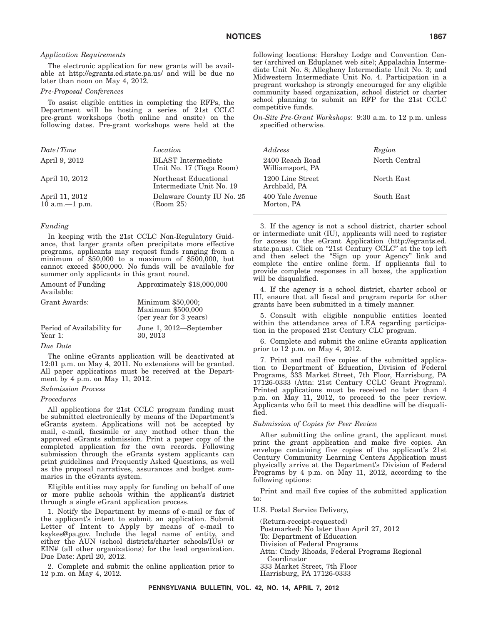#### *Application Requirements*

The electronic application for new grants will be available at http://egrants.ed.state.pa.us/ and will be due no later than noon on May 4, 2012.

#### *Pre-Proposal Conferences*

To assist eligible entities in completing the RFPs, the Department will be hosting a series of 21st CCLC pre-grant workshops (both online and onsite) on the following dates. Pre-grant workshops were held at the

| Date / Time                         | Location                                              | Address                             | Region |
|-------------------------------------|-------------------------------------------------------|-------------------------------------|--------|
| April 9, 2012                       | <b>BLAST</b> Intermediate<br>Unit No. 17 (Tioga Room) | 2400 Reach Road<br>Williamsport, PA | North  |
| April 10, 2012                      | Northeast Educational<br>Intermediate Unit No. 19     | 1200 Line Street<br>Archbald, PA    | North  |
| April 11, 2012<br>10 a.m. $-1$ p.m. | Delaware County IU No. 25<br>(Room 25)                | 400 Yale Avenue<br>Morton, PA       | South  |

#### *Funding*

In keeping with the 21st CCLC Non-Regulatory Guidance, that larger grants often precipitate more effective programs, applicants may request funds ranging from a minimum of \$50,000 to a maximum of \$500,000, but cannot exceed \$500,000. No funds will be available for summer only applicants in this grant round.

| Amount of Funding<br>Available:       | Approximately \$18,000,000                                       |
|---------------------------------------|------------------------------------------------------------------|
| Grant Awards:                         | Minimum \$50,000;<br>Maximum \$500,000<br>(per year for 3 years) |
| Period of Availability for<br>Year 1: | June 1, 2012-September<br>30, 2013                               |

#### *Due Date*

The online eGrants application will be deactivated at 12:01 p.m. on May 4, 2011. No extensions will be granted. All paper applications must be received at the Department by 4 p.m. on May 11, 2012.

### *Submission Process*

#### *Procedures*

All applications for 21st CCLC program funding must be submitted electronically by means of the Department's eGrants system. Applications will not be accepted by mail, e-mail, facsimile or any method other than the approved eGrants submission. Print a paper copy of the completed application for the own records. Following submission through the eGrants system applicants can print guidelines and Frequently Asked Questions, as well as the proposal narratives, assurances and budget summaries in the eGrants system.

Eligible entities may apply for funding on behalf of one or more public schools within the applicant's district through a single eGrant application process.

1. Notify the Department by means of e-mail or fax of the applicant's intent to submit an application. Submit Letter of Intent to Apply by means of e-mail to ksykes@pa.gov. Include the legal name of entity, and either the AUN (school districts/charter schools/IUs) or EIN# (all other organizations) for the lead organization. Due Date: April 20, 2012.

2. Complete and submit the online application prior to 12 p.m. on May 4, 2012.

following locations: Hershey Lodge and Convention Center (archived on Eduplanet web site); Appalachia Intermediate Unit No. 8; Allegheny Intermediate Unit No. 3; and Midwestern Intermediate Unit No. 4. Participation in a pregrant workshop is strongly encouraged for any eligible community based organization, school district or charter school planning to submit an RFP for the 21st CCLC competitive funds.

*On-Site Pre-Grant Workshops*: 9:30 a.m. to 12 p.m. unless specified otherwise.

| Address                             | Region        |
|-------------------------------------|---------------|
| 2400 Reach Road<br>Williamsport, PA | North Central |
| 1200 Line Street<br>Archbald, PA    | North East    |
| 400 Yale Avenue<br>Morton, PA       | South East    |

3. If the agency is not a school district, charter school or intermediate unit (IU), applicants will need to register for access to the eGrant Application (http://egrants.ed. state.pa.us). Click on "21st Century CCLC" at the top left and then select the ''Sign up your Agency'' link and complete the entire online form. If applicants fail to provide complete responses in all boxes, the application will be disqualified.

4. If the agency is a school district, charter school or IU, ensure that all fiscal and program reports for other grants have been submitted in a timely manner.

5. Consult with eligible nonpublic entities located within the attendance area of LEA regarding participation in the proposed 21st Century CLC program.

6. Complete and submit the online eGrants application prior to 12 p.m. on May 4, 2012.

7. Print and mail five copies of the submitted application to Department of Education, Division of Federal Programs, 333 Market Street, 7th Floor, Harrisburg, PA 17126-0333 (Attn: 21st Century CCLC Grant Program). Printed applications must be received no later than 4 p.m. on May 11, 2012, to proceed to the peer review. Applicants who fail to meet this deadline will be disqualified.

#### *Submission of Copies for Peer Review*

After submitting the online grant, the applicant must print the grant application and make five copies. An envelope containing five copies of the applicant's 21st Century Community Learning Centers Application must physically arrive at the Department's Division of Federal Programs by 4 p.m. on May 11, 2012, according to the following options:

Print and mail five copies of the submitted application to:

U.S. Postal Service Delivery,

(Return-receipt-requested) Postmarked: No later than April 27, 2012 To: Department of Education Division of Federal Programs Attn: Cindy Rhoads, Federal Programs Regional Coordinator 333 Market Street, 7th Floor Harrisburg, PA 17126-0333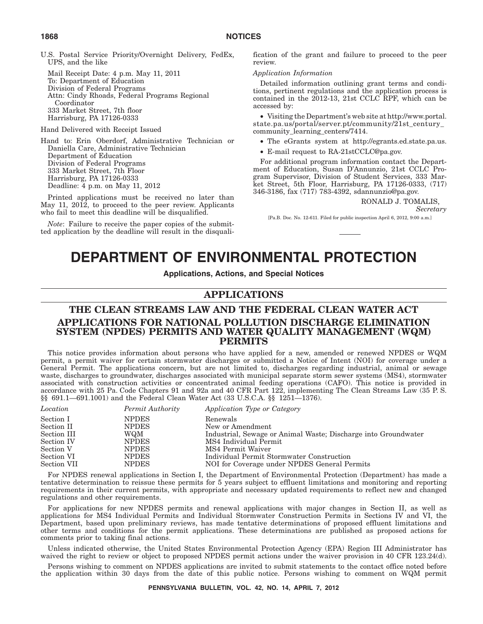U.S. Postal Service Priority/Overnight Delivery, FedEx, UPS, and the like

Mail Receipt Date: 4 p.m. May 11, 2011 To: Department of Education Division of Federal Programs Attn: Cindy Rhoads, Federal Programs Regional Coordinator 333 Market Street, 7th floor Harrisburg, PA 17126-0333

Hand Delivered with Receipt Issued

Hand to: Erin Oberdorf, Administrative Technician or Daniella Care, Administrative Technician Department of Education Division of Federal Programs 333 Market Street, 7th Floor Harrisburg, PA 17126-0333 Deadline: 4 p.m. on May 11, 2012

Printed applications must be received no later than May 11, 2012, to proceed to the peer review. Applicants who fail to meet this deadline will be disqualified.

*Note*: Failure to receive the paper copies of the submitted application by the deadline will result in the disqualification of the grant and failure to proceed to the peer review.

#### *Application Information*

Detailed information outlining grant terms and conditions, pertinent regulations and the application process is contained in the 2012-13, 21st CCLC RPF, which can be accessed by:

• Visiting the Department's web site at http://www.portal. state.pa.us/portal/server.pt/community/21st\_century\_ community\_learning\_centers/7414.

- The eGrants system at http://egrants.ed.state.pa.us.
- E-mail request to RA-21stCCLC@pa.gov.

For additional program information contact the Department of Education, Susan D'Annunzio, 21st CCLC Program Supervisor, Division of Student Services, 333 Market Street, 5th Floor, Harrisburg, PA 17126-0333, (717) 346-3186, fax (717) 783-4392, sdannunzio@pa.gov.

#### RONALD J. TOMALIS,

*Secretary*

[Pa.B. Doc. No. 12-611. Filed for public inspection April 6, 2012, 9:00 a.m.]

# **DEPARTMENT OF ENVIRONMENTAL PROTECTION**

#### **Applications, Actions, and Special Notices**

# **APPLICATIONS**

# **THE CLEAN STREAMS LAW AND THE FEDERAL CLEAN WATER ACT APPLICATIONS FOR NATIONAL POLLUTION DISCHARGE ELIMINATION SYSTEM (NPDES) PERMITS AND WATER QUALITY MANAGEMENT (WQM) PERMITS**

This notice provides information about persons who have applied for a new, amended or renewed NPDES or WQM permit, a permit waiver for certain stormwater discharges or submitted a Notice of Intent (NOI) for coverage under a General Permit. The applications concern, but are not limited to, discharges regarding industrial, animal or sewage waste, discharges to groundwater, discharges associated with municipal separate storm sewer systems (MS4), stormwater associated with construction activities or concentrated animal feeding operations (CAFO). This notice is provided in accordance with 25 Pa. Code Chapters 91 and 92a and 40 CFR Part 122, implementing The Clean Streams Law (35 P. S. §§ 691.1—691.1001) and the Federal Clean Water Act (33 U.S.C.A. §§ 1251—1376).

| Location    | Permit Authority | Application Type or Category                                   |
|-------------|------------------|----------------------------------------------------------------|
| Section I   | <b>NPDES</b>     | Renewals                                                       |
| Section II  | <b>NPDES</b>     | New or Amendment                                               |
| Section III | WQM              | Industrial, Sewage or Animal Waste; Discharge into Groundwater |
| Section IV  | <b>NPDES</b>     | MS4 Individual Permit                                          |
| Section V   | <b>NPDES</b>     | MS4 Permit Waiver                                              |
| Section VI  | <b>NPDES</b>     | Individual Permit Stormwater Construction                      |
| Section VII | <b>NPDES</b>     | NOI for Coverage under NPDES General Permits                   |

For NPDES renewal applications in Section I, the Department of Environmental Protection (Department) has made a tentative determination to reissue these permits for 5 years subject to effluent limitations and monitoring and reporting requirements in their current permits, with appropriate and necessary updated requirements to reflect new and changed regulations and other requirements.

For applications for new NPDES permits and renewal applications with major changes in Section II, as well as applications for MS4 Individual Permits and Individual Stormwater Construction Permits in Sections IV and VI, the Department, based upon preliminary reviews, has made tentative determinations of proposed effluent limitations and other terms and conditions for the permit applications. These determinations are published as proposed actions for comments prior to taking final actions.

Unless indicated otherwise, the United States Environmental Protection Agency (EPA) Region III Administrator has waived the right to review or object to proposed NPDES permit actions under the waiver provision in 40 CFR 123.24(d).

Persons wishing to comment on NPDES applications are invited to submit statements to the contact office noted before the application within 30 days from the date of this public notice. Persons wishing to comment on WQM permit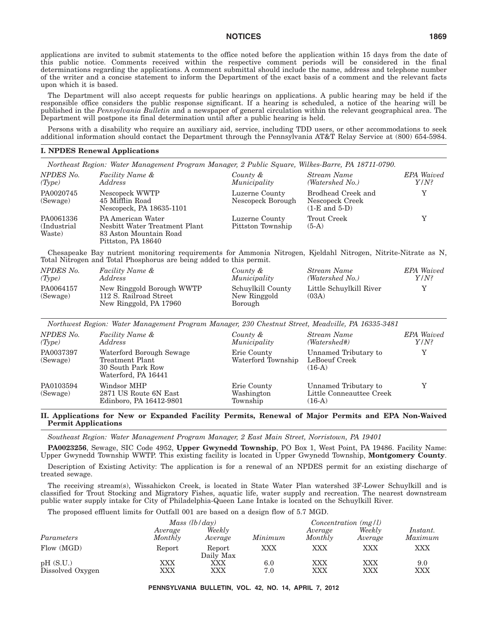applications are invited to submit statements to the office noted before the application within 15 days from the date of this public notice. Comments received within the respective comment periods will be considered in the final determinations regarding the applications. A comment submittal should include the name, address and telephone number of the writer and a concise statement to inform the Department of the exact basis of a comment and the relevant facts upon which it is based.

The Department will also accept requests for public hearings on applications. A public hearing may be held if the responsible office considers the public response significant. If a hearing is scheduled, a notice of the hearing will be published in the *Pennsylvania Bulletin* and a newspaper of general circulation within the relevant geographical area. The Department will postpone its final determination until after a public hearing is held.

Persons with a disability who require an auxiliary aid, service, including TDD users, or other accommodations to seek additional information should contact the Department through the Pennsylvania AT&T Relay Service at (800) 654-5984.

#### **I. NPDES Renewal Applications**

|                                     | Northeast Region: Water Management Program Manager, 2 Public Square, Wilkes-Barre, PA 18711-0790.  |                                     |                                                            |                              |
|-------------------------------------|----------------------------------------------------------------------------------------------------|-------------------------------------|------------------------------------------------------------|------------------------------|
| NPDES No.<br>(Type)                 | Facility Name &<br><i>Address</i>                                                                  | County &<br>Municipality            | Stream Name<br>(Watershed No.)                             | <b>EPA</b> Waived<br>$Y/N$ ? |
| PA0020745<br>(Sewage)               | Nescopeck WWTP<br>45 Mifflin Road<br>Nescopeck, PA 18635-1101                                      | Luzerne County<br>Nescopeck Borough | Brodhead Creek and<br>Nescopeck Creek<br>$(1-E$ and $5-D)$ |                              |
| PA0061336<br>(Industrial)<br>Waste) | PA American Water<br>Nesbitt Water Treatment Plant<br>83 Aston Mountain Road<br>Pittston, PA 18640 | Luzerne County<br>Pittston Township | Trout Creek<br>$(5-A)$                                     |                              |

Chesapeake Bay nutrient monitoring requirements for Ammonia Nitrogen, Kjeldahl Nitrogen, Nitrite-Nitrate as N, Total Nitrogen and Total Phosphorus are being added to this permit.

| NPDES No.             | Facility Name &                                                               | County &                                     | Stream Name                      | <b>EPA</b> Waived |
|-----------------------|-------------------------------------------------------------------------------|----------------------------------------------|----------------------------------|-------------------|
| (Tvpe)                | Address                                                                       | Municipality                                 | (Watershed No.)                  | $Y/N$ ?           |
| PA0064157<br>(Sewage) | New Ringgold Borough WWTP<br>112 S. Railroad Street<br>New Ringgold, PA 17960 | Schuylkill County<br>New Ringgold<br>Borough | Little Schuvlkill River<br>(03A) |                   |

*Northwest Region: Water Management Program Manager, 230 Chestnut Street, Meadville, PA 16335-3481*

| NPDES No.<br>(Type)   | Facility Name &<br><i>Address</i>                                                       | County &<br>Municipality              | Stream Name<br>$(Watershed\#)$                               | <b>EPA</b> Waived<br>$Y/N$ ? |
|-----------------------|-----------------------------------------------------------------------------------------|---------------------------------------|--------------------------------------------------------------|------------------------------|
| PA0037397<br>(Sewage) | Waterford Borough Sewage<br>Treatment Plant<br>30 South Park Row<br>Waterford, PA 16441 | Erie County<br>Waterford Township     | Unnamed Tributary to<br>LeBoeuf Creek<br>$(16-A)$            |                              |
| PA0103594<br>(Sewage) | Windsor MHP<br>2871 US Route 6N East<br>Edinboro, PA 16412-9801                         | Erie County<br>Washington<br>Township | Unnamed Tributary to<br>Little Conneauttee Creek<br>$(16-A)$ |                              |

#### **II. Applications for New or Expanded Facility Permits, Renewal of Major Permits and EPA Non-Waived Permit Applications**

*Southeast Region: Water Management Program Manager, 2 East Main Street, Norristown, PA 19401*

**PA0023256**, Sewage, SIC Code 4952, **Upper Gwynedd Township**, PO Box 1, West Point, PA 19486. Facility Name: Upper Gwynedd Township WWTP. This existing facility is located in Upper Gwynedd Township, **Montgomery County**.

Description of Existing Activity: The application is for a renewal of an NPDES permit for an existing discharge of treated sewage.

The receiving stream(s), Wissahickon Creek, is located in State Water Plan watershed 3F-Lower Schuylkill and is classified for Trout Stocking and Migratory Fishes, aquatic life, water supply and recreation. The nearest downstream public water supply intake for City of Philadelphia-Queen Lane Intake is located on the Schuylkill River.

The proposed effluent limits for Outfall 001 are based on a design flow of 5.7 MGD.

| Mass $(lb/day)$              |                    |                     |            | Concentration $(mg/l)$ |                   |                     |  |
|------------------------------|--------------------|---------------------|------------|------------------------|-------------------|---------------------|--|
| Parameters                   | Average<br>Monthly | Weekly<br>Average   | Minimum    | Average<br>Monthly     | Weekly<br>Average | Instant.<br>Maximum |  |
| Flow (MGD)                   | Report             | Report<br>Daily Max | XXX        | XXX                    | XXX               | XXX                 |  |
| pH(S.U.)<br>Dissolved Oxygen | XXX<br>$\rm XXX$   | XXX<br>XXX          | 6.0<br>7.0 | <b>XXX</b><br>XXX      | XXX<br>XXX        | 9.0<br>XXX          |  |

**PENNSYLVANIA BULLETIN, VOL. 42, NO. 14, APRIL 7, 2012**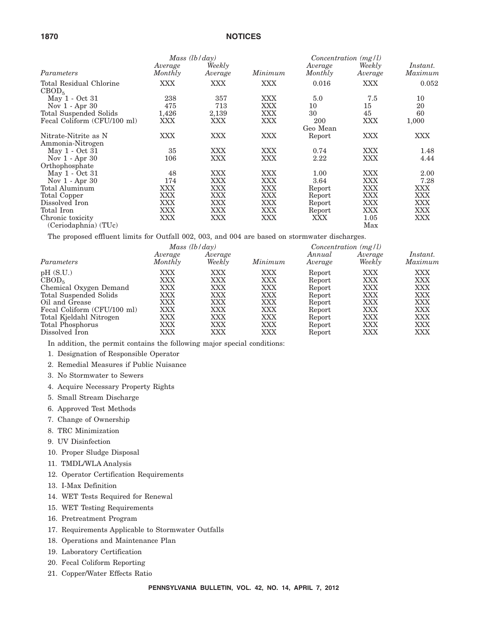| 1870                                         |                    |                   | <b>NOTICES</b> |                        |                   |                     |
|----------------------------------------------|--------------------|-------------------|----------------|------------------------|-------------------|---------------------|
|                                              |                    | Mass $(lb/day)$   |                | $Concentration$ (mg/l) |                   |                     |
| Parameters                                   | Average<br>Monthly | Weekly<br>Average | Minimum        | Average<br>Monthly     | Weekly<br>Average | Instant.<br>Maximum |
| Total Residual Chlorine<br>CBOD <sub>5</sub> | XXX                | <b>XXX</b>        | XXX            | 0.016                  | XXX               | 0.052               |
| May 1 - Oct 31                               | 238                | 357               | XXX            | 5.0                    | 7.5               | 10                  |
| Nov $1 -$ Apr $30$                           | 475                | 713               | XXX            | 10                     | 15                | 20                  |
| Total Suspended Solids                       | 1,426              | 2,139             | XXX            | 30                     | 45                | 60                  |
| Fecal Coliform (CFU/100 ml)                  | XXX                | XXX               | XXX            | 200                    | XXX               | 1,000               |
|                                              |                    |                   |                | Geo Mean               |                   |                     |
| Nitrate-Nitrite as N<br>Ammonia-Nitrogen     | XXX                | <b>XXX</b>        | XXX            | Report                 | <b>XXX</b>        | XXX                 |
| May 1 - Oct 31                               | 35                 | <b>XXX</b>        | <b>XXX</b>     | 0.74                   | <b>XXX</b>        | 1.48                |
| Nov $1 -$ Apr $30$                           | 106                | <b>XXX</b>        | XXX            | $2.22\,$               | XXX               | 4.44                |
| Orthophosphate                               |                    |                   |                |                        |                   |                     |
| May 1 - Oct 31                               | 48                 | <b>XXX</b>        | XXX            | 1.00                   | <b>XXX</b>        | 2.00                |
| Nov $1 -$ Apr $30$                           | 174                | <b>XXX</b>        | XXX            | 3.64                   | XXX               | 7.28                |
| Total Aluminum                               | XXX                | <b>XXX</b>        | XXX            | Report                 | XXX               | XXX                 |
| Total Copper                                 | XXX                | <b>XXX</b>        | XXX            | Report                 | XXX               | XXX                 |
| Dissolved Iron                               | XXX                | <b>XXX</b>        | XXX            | Report                 | XXX               | XXX                 |
| Total Iron                                   | XXX                | <b>XXX</b>        | XXX            | Report                 | XXX               | <b>XXX</b>          |
| Chronic toxicity                             | XXX                | XXX               | XXX            | XXX                    | 1.05              | XXX                 |

(Ceriodaphnia) (TUc)

The proposed effluent limits for Outfall 002, 003, and 004 are based on stormwater discharges.

| Mass (lb/day)      |                   |            | $Concentration$ (mg/l) |                   |                     |
|--------------------|-------------------|------------|------------------------|-------------------|---------------------|
| Average<br>Monthly | Average<br>Weekly | Minimum    | Annual<br>Average      | Average<br>Weekly | Instant.<br>Maximum |
| <b>XXX</b>         | XXX               | XXX        | Report                 | XXX               | XXX                 |
| XXX                | XXX               | XXX        | Report                 | XXX               | XXX                 |
| XXX                | XXX               | <b>XXX</b> | Report                 | XXX               | <b>XXX</b>          |
| XXX                | XXX               | XXX        | Report                 | XXX               | XXX                 |
| <b>XXX</b>         | <b>XXX</b>        | XXX        | Report                 | XXX               | <b>XXX</b>          |
| XXX                | XXX               | XXX        | Report                 | XXX               | <b>XXX</b>          |
| XXX                | XXX               | XXX        | Report                 | XXX               | XXX                 |
| XXX                | XXX               | XXX        | Report                 | XXX               | <b>XXX</b>          |
| XXX                | XXX               | XXX        | Report                 | XXX               | XXX                 |
|                    |                   |            |                        |                   |                     |

Max

In addition, the permit contains the following major special conditions:

- 1. Designation of Responsible Operator
- 2. Remedial Measures if Public Nuisance
- 3. No Stormwater to Sewers
- 4. Acquire Necessary Property Rights
- 5. Small Stream Discharge
- 6. Approved Test Methods
- 7. Change of Ownership
- 8. TRC Minimization
- 9. UV Disinfection
- 10. Proper Sludge Disposal
- 11. TMDL/WLA Analysis
- 12. Operator Certification Requirements
- 13. I-Max Definition
- 14. WET Tests Required for Renewal
- 15. WET Testing Requirements
- 16. Pretreatment Program
- 17. Requirements Applicable to Stormwater Outfalls
- 18. Operations and Maintenance Plan
- 19. Laboratory Certification
- 20. Fecal Coliform Reporting
- 21. Copper/Water Effects Ratio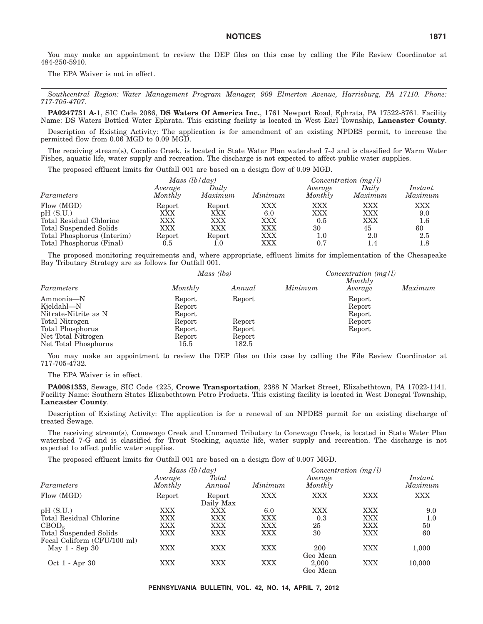You may make an appointment to review the DEP files on this case by calling the File Review Coordinator at 484-250-5910.

The EPA Waiver is not in effect.

*Southcentral Region: Water Management Program Manager, 909 Elmerton Avenue, Harrisburg, PA 17110. Phone: 717-705-4707.*

**PA0247731 A-1**, SIC Code 2086, **DS Waters Of America Inc.**, 1761 Newport Road, Ephrata, PA 17522-8761. Facility Name: DS Waters Bottled Water Ephrata. This existing facility is located in West Earl Township, **Lancaster County**.

Description of Existing Activity: The application is for amendment of an existing NPDES permit, to increase the permitted flow from 0.06 MGD to 0.09 MGD.

The receiving stream(s), Cocalico Creek, is located in State Water Plan watershed 7-J and is classified for Warm Water Fishes, aquatic life, water supply and recreation. The discharge is not expected to affect public water supplies.

The proposed effluent limits for Outfall 001 are based on a design flow of 0.09 MGD.

|                                                                                                                                       | Mass $(lb/day)$                              |                                              |                                                      | $Concentration$ (mg/l)                |                                       |                                                  |
|---------------------------------------------------------------------------------------------------------------------------------------|----------------------------------------------|----------------------------------------------|------------------------------------------------------|---------------------------------------|---------------------------------------|--------------------------------------------------|
| Parameters                                                                                                                            | Average<br>Monthly                           | Daily<br>Maximum                             | Minimum                                              | Average<br>Monthly                    | Daily<br>Maximum                      | Instant.<br>Maximum                              |
| Flow (MGD)<br>pH(S.U.)<br>Total Residual Chlorine<br>Total Suspended Solids<br>Total Phosphorus (Interim)<br>Total Phosphorus (Final) | Report<br>XXX<br>XXX<br>XXX<br>Report<br>0.5 | Report<br>XXX<br>XXX<br><b>XXX</b><br>Report | XXX<br>6.0<br>XXX<br><b>XXX</b><br><b>XXX</b><br>XXX | XXX<br>XXX<br>0.5<br>30<br>1.0<br>0.7 | XXX<br>XXX<br>XXX<br>45<br>2.0<br>1.4 | <b>XXX</b><br>9.0<br>$1.6\,$<br>60<br>2.5<br>1.8 |

The proposed monitoring requirements and, where appropriate, effluent limits for implementation of the Chesapeake Bay Tributary Strategy are as follows for Outfall 001.

|                                                                |                          | Mass (lbs)                |         |                    |         |
|----------------------------------------------------------------|--------------------------|---------------------------|---------|--------------------|---------|
| Parameters                                                     | Monthly                  | Annual                    | Minimum | Monthly<br>Average | Maximum |
| Ammonia-N<br>Kjeldahl-N                                        | Report<br>Report         | Report                    |         | Report<br>Report   |         |
| Nitrate-Nitrite as N<br>Total Nitrogen                         | Report<br>Report         | Report                    |         | Report<br>Report   |         |
| Total Phosphorus<br>Net Total Nitrogen<br>Net Total Phosphorus | Report<br>Report<br>15.5 | Report<br>Report<br>182.5 |         | Report             |         |

You may make an appointment to review the DEP files on this case by calling the File Review Coordinator at 717-705-4732.

The EPA Waiver is in effect.

**PA0081353**, Sewage, SIC Code 4225, **Crowe Transportation**, 2388 N Market Street, Elizabethtown, PA 17022-1141. Facility Name: Southern States Elizabethtown Petro Products. This existing facility is located in West Donegal Township, **Lancaster County**.

Description of Existing Activity: The application is for a renewal of an NPDES permit for an existing discharge of treated Sewage.

The receiving stream(s), Conewago Creek and Unnamed Tributary to Conewago Creek, is located in State Water Plan watershed 7-G and is classified for Trout Stocking, aquatic life, water supply and recreation. The discharge is not expected to affect public water supplies.

The proposed effluent limits for Outfall 001 are based on a design flow of 0.007 MGD.

|                                                       |                    | Mass $(lb/day)$        |         | $Concentration$ (mg/l) |            |                     |
|-------------------------------------------------------|--------------------|------------------------|---------|------------------------|------------|---------------------|
| Parameters                                            | Average<br>Monthly | <b>Total</b><br>Annual | Minimum | Average<br>Monthly     |            | Instant.<br>Maximum |
| Flow (MGD)                                            | Report             | Report<br>Daily Max    | XXX     | <b>XXX</b>             | XXX        | XXX                 |
| pH(S.U.)                                              | XXX                | XXX                    | 6.0     | XXX                    | <b>XXX</b> | 9.0                 |
| Total Residual Chlorine                               | <b>XXX</b>         | XXX                    | XXX     | 0.3                    | <b>XXX</b> | 1.0                 |
| CBOD <sub>5</sub>                                     | XXX                | XXX                    | XXX     | 25                     | XXX        | 50                  |
| Total Suspended Solids<br>Fecal Coliform (CFU/100 ml) | XXX                | XXX                    | XXX     | 30                     | XXX        | 60                  |
| May $1 - \text{Sep } 30$                              | XXX                | XXX                    | XXX     | 200<br>Geo Mean        | <b>XXX</b> | 1,000               |
| Oct 1 - Apr 30                                        | <b>XXX</b>         | XXX                    | XXX     | 2,000<br>Geo Mean      | <b>XXX</b> | 10,000              |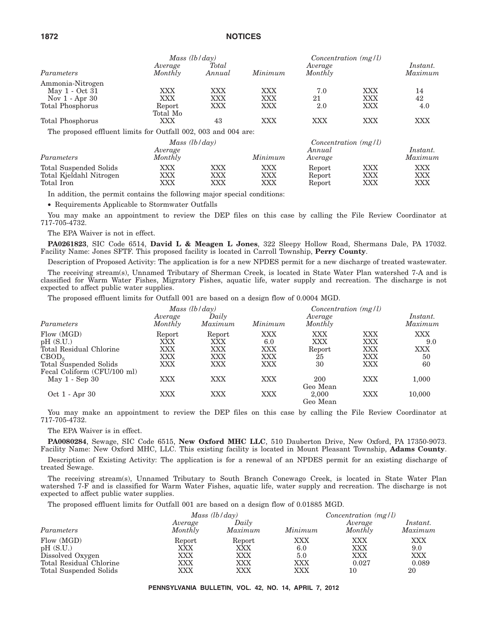|                                                                | Mass $(lb/day)$ |            |            | Concentration $(mg/l)$ |     |          |
|----------------------------------------------------------------|-----------------|------------|------------|------------------------|-----|----------|
|                                                                | Average         | Total      |            | Average                |     | Instant. |
| Parameters                                                     | Monthly         | Annual     | Minimum    | Monthly                |     | Maximum  |
| Ammonia-Nitrogen                                               |                 |            |            |                        |     |          |
| May 1 - Oct 31                                                 | <b>XXX</b>      | <b>XXX</b> | <b>XXX</b> | 7.0                    | XXX | 14       |
| Nov $1 -$ Apr 30                                               | <b>XXX</b>      | <b>XXX</b> | XXX        | 21                     | XXX | 42       |
| Total Phosphorus                                               | Report          | <b>XXX</b> | <b>XXX</b> | 2.0                    | XXX | 4.0      |
|                                                                | Total Mo        |            |            |                        |     |          |
| Total Phosphorus                                               | XXX             | 43         | <b>XXX</b> | <b>XXX</b>             | XXX | XXX      |
| The proposed effluent limits for Outfall 002, 003 and 004 are: |                 |            |            |                        |     |          |
|                                                                | Mass $(lb/day)$ |            |            | Concentration $(mg/l)$ |     |          |
|                                                                | Average         |            |            | Annual                 |     | Instant. |
| Parameters                                                     | Monthly         |            | Minimum    | Average                |     | Maximum  |
| Total Suspended Solids                                         | <b>XXX</b>      | <b>XXX</b> | <b>XXX</b> | Report                 | XXX | XXX      |
| Total Kjeldahl Nitrogen                                        | <b>XXX</b>      | <b>XXX</b> | <b>XXX</b> | Report                 | XXX | XXX      |
| Total Iron                                                     | XXX             | XXX        | XXX        | Report                 | XXX | XXX      |

In addition, the permit contains the following major special conditions:

• Requirements Applicable to Stormwater Outfalls

You may make an appointment to review the DEP files on this case by calling the File Review Coordinator at 717-705-4732.

The EPA Waiver is not in effect.

**PA0261823**, SIC Code 6514, **David L & Meagen L Jones**, 322 Sleepy Hollow Road, Shermans Dale, PA 17032. Facility Name: Jones SFTF. This proposed facility is located in Carroll Township, **Perry County**.

Description of Proposed Activity: The application is for a new NPDES permit for a new discharge of treated wastewater.

The receiving stream(s), Unnamed Tributary of Sherman Creek, is located in State Water Plan watershed 7-A and is classified for Warm Water Fishes, Migratory Fishes, aquatic life, water supply and recreation. The discharge is not expected to affect public water supplies.

The proposed effluent limits for Outfall 001 are based on a design flow of 0.0004 MGD.

|                                                                                                  | Mass $(lb/day)$                           |                                    |                                               | $Concentration$ (mg/l)           |                                        |                               |
|--------------------------------------------------------------------------------------------------|-------------------------------------------|------------------------------------|-----------------------------------------------|----------------------------------|----------------------------------------|-------------------------------|
| Parameters                                                                                       | Average<br>Monthly                        | Daily<br>Maximum                   | Minimum                                       | Average<br>Monthly               |                                        | Instant.<br>Maximum           |
| Flow (MGD)<br>pH(S.U.)<br>Total Residual Chlorine<br>CBOD <sub>5</sub><br>Total Suspended Solids | Report<br>XXX<br>XXX<br>XXX<br><b>XXX</b> | Report<br>XXX<br>XXX<br>XXX<br>XXX | XXX<br>6.0<br>XXX<br><b>XXX</b><br><b>XXX</b> | XXX<br>XXX<br>Report<br>25<br>30 | XXX<br>XXX<br><b>XXX</b><br>XXX<br>XXX | XXX<br>9.0<br>XXX<br>50<br>60 |
| Fecal Coliform (CFU/100 ml)<br>$May 1 - Sep 30$                                                  | XXX                                       | XXX                                | <b>XXX</b>                                    | 200<br>Geo Mean                  | <b>XXX</b>                             | 1,000                         |
| Oct 1 - Apr 30                                                                                   | XXX                                       | XXX                                | XXX                                           | 2.000<br>Geo Mean                | XXX                                    | 10,000                        |

You may make an appointment to review the DEP files on this case by calling the File Review Coordinator at 717-705-4732.

The EPA Waiver is in effect.

**PA0080284**, Sewage, SIC Code 6515, **New Oxford MHC LLC**, 510 Dauberton Drive, New Oxford, PA 17350-9073. Facility Name: New Oxford MHC, LLC. This existing facility is located in Mount Pleasant Township, **Adams County**.

Description of Existing Activity: The application is for a renewal of an NPDES permit for an existing discharge of treated Sewage.

The receiving stream(s), Unnamed Tributary to South Branch Conewago Creek, is located in State Water Plan watershed 7-F and is classified for Warm Water Fishes, aquatic life, water supply and recreation. The discharge is not expected to affect public water supplies.

The proposed effluent limits for Outfall 001 are based on a design flow of 0.01885 MGD.

|                                                                                                 |                                    | Mass $(lb/day)$                           |                                        |                                  | $Concentration$ (mg/l)           |
|-------------------------------------------------------------------------------------------------|------------------------------------|-------------------------------------------|----------------------------------------|----------------------------------|----------------------------------|
| Parameters                                                                                      | Average<br>Monthly                 | Daily<br>Maximum                          | Minimum                                | Average<br>Monthly               | Instant.<br>Maximum              |
| Flow (MGD)<br>pH(S.U.)<br>Dissolved Oxygen<br>Total Residual Chlorine<br>Total Suspended Solids | Report<br>XXX<br>XXX<br>XXX<br>XXX | Report<br>XXX<br>XXX<br>XXX<br><b>XXX</b> | XXX<br>6.0<br>5.0<br>XXX<br><b>XXX</b> | XXX<br>XXX<br>XXX<br>0.027<br>10 | XXX<br>9.0<br>XXX<br>0.089<br>20 |

**PENNSYLVANIA BULLETIN, VOL. 42, NO. 14, APRIL 7, 2012**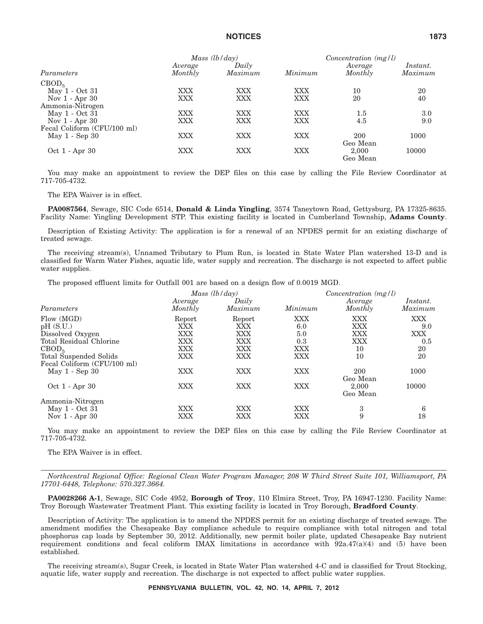|                             | Mass $(lb/day)$ |         |            | $Concentration$ (mg/l) |                 |  |
|-----------------------------|-----------------|---------|------------|------------------------|-----------------|--|
|                             | Average         | Daily   |            | Average                | <i>Instant.</i> |  |
| Parameters                  | Monthly         | Maximum | Minimum    | Monthly                | Maximum         |  |
| CBOD <sub>5</sub>           |                 |         |            |                        |                 |  |
| May 1 - Oct 31              | XXX             | XXX     | <b>XXX</b> | 10                     | 20              |  |
| Nov $1 -$ Apr 30            | XXX             | XXX     | <b>XXX</b> | 20                     | 40              |  |
| Ammonia-Nitrogen            |                 |         |            |                        |                 |  |
| May 1 - Oct 31              | XXX             | XXX     | <b>XXX</b> | $1.5\,$                | 3.0             |  |
| Nov $1 -$ Apr $30$          | <b>XXX</b>      | XXX     | <b>XXX</b> | 4.5                    | 9.0             |  |
| Fecal Coliform (CFU/100 ml) |                 |         |            |                        |                 |  |
| May 1 - Sep 30              | XXX             | XXX     | <b>XXX</b> | 200                    | 1000            |  |
|                             |                 |         |            | Geo Mean               |                 |  |
| Oct 1 - Apr 30              | XXX             | XXX     | XXX        | 2.000                  | 10000           |  |
|                             |                 |         |            | Geo Mean               |                 |  |

You may make an appointment to review the DEP files on this case by calling the File Review Coordinator at 717-705-4732.

The EPA Waiver is in effect.

**PA0087564**, Sewage, SIC Code 6514, **Donald & Linda Yingling**, 3574 Taneytown Road, Gettysburg, PA 17325-8635. Facility Name: Yingling Development STP. This existing facility is located in Cumberland Township, **Adams County**.

Description of Existing Activity: The application is for a renewal of an NPDES permit for an existing discharge of treated sewage.

The receiving stream(s), Unnamed Tributary to Plum Run, is located in State Water Plan watershed 13-D and is classified for Warm Water Fishes, aquatic life, water supply and recreation. The discharge is not expected to affect public water supplies.

The proposed effluent limits for Outfall 001 are based on a design flow of 0.0019 MGD.

|                                                                                                                      |                                                         | Mass $(lb/day)$                                  |                                                      | $Concentration$ (mg/l)                                           |                                             |  |
|----------------------------------------------------------------------------------------------------------------------|---------------------------------------------------------|--------------------------------------------------|------------------------------------------------------|------------------------------------------------------------------|---------------------------------------------|--|
| Parameters                                                                                                           | Average<br>Monthly                                      | Daily<br>Maximum                                 | Minimum                                              | Average<br>Monthly                                               | <i>Instant.</i><br>Maximum                  |  |
| Flow (MGD)<br>pH(S.U.)<br>Dissolved Oxygen<br>Total Residual Chlorine<br>CBOD <sub>5</sub><br>Total Suspended Solids | Report<br>XXX<br>XXX<br>XXX<br><b>XXX</b><br><b>XXX</b> | Report<br>XXX<br>XXX<br>XXX<br>XXX<br><b>XXX</b> | XXX<br>6.0<br>5.0<br>0.3<br><b>XXX</b><br><b>XXX</b> | <b>XXX</b><br><b>XXX</b><br><b>XXX</b><br><b>XXX</b><br>10<br>10 | XXX<br>9.0<br><b>XXX</b><br>0.5<br>20<br>20 |  |
| Fecal Coliform (CFU/100 ml)<br>May $1 -$ Sep $30$<br>Oct 1 - Apr 30                                                  | XXX<br><b>XXX</b>                                       | XXX<br><b>XXX</b>                                | <b>XXX</b><br><b>XXX</b>                             | 200<br>Geo Mean<br>2,000<br>Geo Mean                             | 1000<br>10000                               |  |
| Ammonia-Nitrogen<br>May 1 - Oct 31<br>Nov $1 -$ Apr $30$                                                             | XXX<br>XXX                                              | XXX<br>XXX                                       | <b>XXX</b><br>XXX                                    | 3<br>9                                                           | 6<br>18                                     |  |

You may make an appointment to review the DEP files on this case by calling the File Review Coordinator at 717-705-4732.

The EPA Waiver is in effect.

*Northcentral Regional Office: Regional Clean Water Program Manager, 208 W Third Street Suite 101, Williamsport, PA 17701-6448, Telephone: 570.327.3664.*

**PA0028266 A-1**, Sewage, SIC Code 4952, **Borough of Troy**, 110 Elmira Street, Troy, PA 16947-1230. Facility Name: Troy Borough Wastewater Treatment Plant. This existing facility is located in Troy Borough, **Bradford County**.

Description of Activity: The application is to amend the NPDES permit for an existing discharge of treated sewage. The amendment modifies the Chesapeake Bay compliance schedule to require compliance with total nitrogen and total phosphorus cap loads by September 30, 2012. Additionally, new permit boiler plate, updated Chesapeake Bay nutrient requirement conditions and fecal coliform IMAX limitations in accordance with 92a.47(a)(4) and (5) have been established.

The receiving stream(s), Sugar Creek, is located in State Water Plan watershed 4-C and is classified for Trout Stocking, aquatic life, water supply and recreation. The discharge is not expected to affect public water supplies.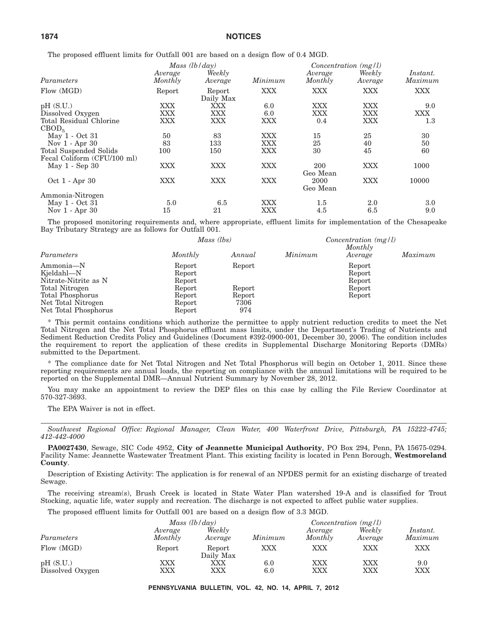The proposed effluent limits for Outfall 001 are based on a design flow of 0.4 MGD.

|                             |                    | Mass $(lb/day)$     |            | Concentration $(mg/l)$ |                   |                     |
|-----------------------------|--------------------|---------------------|------------|------------------------|-------------------|---------------------|
| Parameters                  | Average<br>Monthly | Weekly<br>Average   | Minimum    | Average<br>Monthly     | Weekly<br>Average | Instant.<br>Maximum |
| Flow (MGD)                  | Report             | Report<br>Daily Max | <b>XXX</b> | <b>XXX</b>             | XXX               | <b>XXX</b>          |
| pH(S.U.)                    | XXX                | XXX                 | 6.0        | <b>XXX</b>             | <b>XXX</b>        | 9.0                 |
| Dissolved Oxygen            | XXX                | <b>XXX</b>          | 6.0        | <b>XXX</b>             | XXX               | <b>XXX</b>          |
| Total Residual Chlorine     | XXX                | XXX                 | <b>XXX</b> | 0.4                    | XXX               | $1.3\,$             |
| CBOD <sub>5</sub>           |                    |                     |            |                        |                   |                     |
| May 1 - Oct 31              | 50                 | 83                  | <b>XXX</b> | 15                     | 25                | 30                  |
| Nov $1 -$ Apr $30$          | 83                 | 133                 | <b>XXX</b> | 25                     | 40                | 50                  |
| Total Suspended Solids      | 100                | 150                 | <b>XXX</b> | 30                     | 45                | 60                  |
| Fecal Coliform (CFU/100 ml) |                    |                     |            |                        |                   |                     |
| May 1 - Sep 30              | XXX                | <b>XXX</b>          | <b>XXX</b> | 200<br>Geo Mean        | <b>XXX</b>        | 1000                |
| Oct 1 - Apr 30              | <b>XXX</b>         | <b>XXX</b>          | <b>XXX</b> | 2000<br>Geo Mean       | <b>XXX</b>        | 10000               |
| Ammonia-Nitrogen            |                    |                     |            |                        |                   |                     |
| May 1 - Oct 31              | 5.0                | 6.5                 | XXX        | $1.5\,$                | 2.0               | 3.0                 |
| Nov $1 -$ Apr $30$          | 15                 | 21                  | XXX        | 4.5                    | 6.5               | 9.0                 |

The proposed monitoring requirements and, where appropriate, effluent limits for implementation of the Chesapeake Bay Tributary Strategy are as follows for Outfall 001.

|                      | Mass (lbs) |        |         | Concentration $(mg/l)$<br>Monthly |         |  |
|----------------------|------------|--------|---------|-----------------------------------|---------|--|
| Parameters           | Monthly    | Annual | Minimum | Average                           | Maximum |  |
| Ammonia-N            | Report     | Report |         | Report                            |         |  |
| Kjeldahl-N           | Report     |        |         | Report                            |         |  |
| Nitrate-Nitrite as N | Report     |        |         | Report                            |         |  |
| Total Nitrogen       | Report     | Report |         | Report                            |         |  |
| Total Phosphorus     | Report     | Report |         | Report                            |         |  |
| Net Total Nitrogen   | Report     | 7306   |         |                                   |         |  |
| Net Total Phosphorus | Report     | 974    |         |                                   |         |  |

\* This permit contains conditions which authorize the permittee to apply nutrient reduction credits to meet the Net Total Nitrogen and the Net Total Phosphorus effluent mass limits, under the Department's Trading of Nutrients and Sediment Reduction Credits Policy and Guidelines (Document #392-0900-001, December 30, 2006). The condition includes the requirement to report the application of these credits in Supplemental Discharge Monitoring Reports (DMRs) submitted to the Department.

\* The compliance date for Net Total Nitrogen and Net Total Phosphorus will begin on October 1, 2011. Since these reporting requirements are annual loads, the reporting on compliance with the annual limitations will be required to be reported on the Supplemental DMR—Annual Nutrient Summary by November 28, 2012.

You may make an appointment to review the DEP files on this case by calling the File Review Coordinator at 570-327-3693.

The EPA Waiver is not in effect.

*Southwest Regional Office: Regional Manager, Clean Water, 400 Waterfront Drive, Pittsburgh, PA 15222-4745; 412-442-4000*

**PA0027430**, Sewage, SIC Code 4952, **City of Jeannette Municipal Authority**, PO Box 294, Penn, PA 15675-0294. Facility Name: Jeannette Wastewater Treatment Plant. This existing facility is located in Penn Borough, **Westmoreland County**.

Description of Existing Activity: The application is for renewal of an NPDES permit for an existing discharge of treated Sewage.

The receiving stream(s), Brush Creek is located in State Water Plan watershed 19-A and is classified for Trout Stocking, aquatic life, water supply and recreation. The discharge is not expected to affect public water supplies.

The proposed effluent limits for Outfall 001 are based on a design flow of 3.3 MGD.

|                              |                    | Mass $(lb/day)$     |            | $Concentration$ (mg/l) |                   |                     |  |
|------------------------------|--------------------|---------------------|------------|------------------------|-------------------|---------------------|--|
| Parameters                   | Average<br>Monthly | Weekly<br>Average   | Minimum    | Average<br>Monthly     | Weekly<br>Average | Instant.<br>Maximum |  |
| Flow (MGD)                   | Report             | Report<br>Daily Max | XXX        | XXX                    | XXX               | XXX                 |  |
| pH(S.U.)<br>Dissolved Oxygen | XXX<br>XXX         | XXX<br>XXX          | 6.0<br>6.0 | XXX<br>XXX             | XXX<br>XXX        | 9.0<br>XXX          |  |

**PENNSYLVANIA BULLETIN, VOL. 42, NO. 14, APRIL 7, 2012**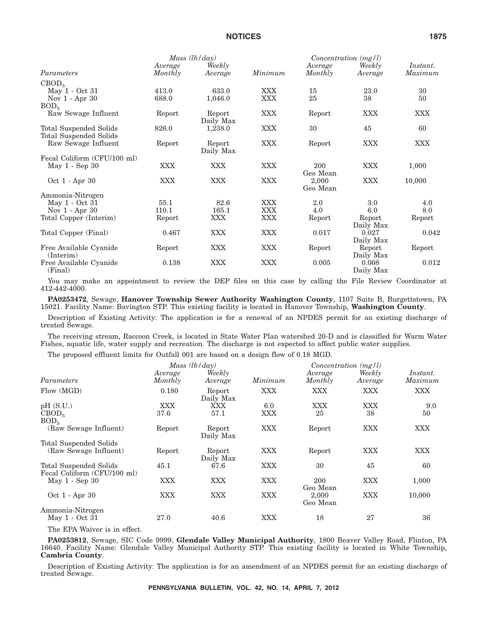|                                   | Mass (lb/day)      |                     |            | $Concentration$ (mg/l) |                    |                     |
|-----------------------------------|--------------------|---------------------|------------|------------------------|--------------------|---------------------|
| Parameters                        | Average<br>Monthly | Weekly<br>Average   | Minimum    | Average<br>Monthly     | Weekly<br>Average  | Instant.<br>Maximum |
| CBOD <sub>5</sub>                 |                    |                     |            |                        |                    |                     |
| May 1 - Oct 31                    | 413.0              | 633.0               | <b>XXX</b> | 15                     | 23.0               | 30                  |
| Nov $1 -$ Apr $30$                | 688.0              | 1,046.0             | XXX        | 25                     | 38                 | 50                  |
| BOD <sub>5</sub>                  |                    |                     |            |                        |                    |                     |
| Raw Sewage Influent               | Report             | Report<br>Daily Max | <b>XXX</b> | Report                 | <b>XXX</b>         | <b>XXX</b>          |
| Total Suspended Solids            | 826.0              | 1,238.0             | XXX        | 30                     | 45                 | 60                  |
| Total Suspended Solids            |                    |                     |            |                        |                    |                     |
| Raw Sewage Influent               | Report             | Report              | <b>XXX</b> | Report                 | <b>XXX</b>         | <b>XXX</b>          |
|                                   |                    | Daily Max           |            |                        |                    |                     |
| Fecal Coliform (CFU/100 ml)       |                    |                     |            |                        |                    |                     |
| May 1 - Sep 30                    | <b>XXX</b>         | <b>XXX</b>          | XXX        | 200<br>Geo Mean        | <b>XXX</b>         | 1,000               |
| Oct 1 - Apr 30                    | <b>XXX</b>         | <b>XXX</b>          | XXX        | 2,000<br>Geo Mean      | <b>XXX</b>         | 10,000              |
| Ammonia-Nitrogen                  |                    |                     |            |                        |                    |                     |
| May 1 - Oct 31                    | 55.1               | 82.6                | <b>XXX</b> | 2.0                    | 3.0                | 4.0                 |
| Nov $1 - Apr 30$                  | 110.1              | 165.1               | <b>XXX</b> | 4.0                    | 6.0                | 8.0                 |
| Total Copper (Interim)            | Report             | <b>XXX</b>          | XXX        | Report                 | Report             | Report              |
|                                   |                    |                     |            |                        | Daily Max          |                     |
| Total Copper (Final)              | 0.467              | <b>XXX</b>          | <b>XXX</b> | 0.017                  | 0.027              | 0.042               |
|                                   |                    |                     |            |                        | Daily Max          |                     |
| Free Available Cyanide            | Report             | <b>XXX</b>          | <b>XXX</b> | Report                 | Report             | Report              |
| $($ Interim $)$                   |                    |                     |            |                        | Daily Max          |                     |
| Free Available Cyanide<br>(Final) | 0.138              | <b>XXX</b>          | XXX        | 0.005                  | 0.008<br>Daily Max | 0.012               |

You may make an appointment to review the DEP files on this case by calling the File Review Coordinator at 412-442-4000.

**PA0253472**, Sewage, **Hanover Township Sewer Authority Washington County**, 1107 Suite B, Burgettstown, PA 15021. Facility Name: Bavington STP. This existing facility is located in Hanover Township, **Washington County**.

Description of Existing Activity: The application is for a renewal of an NPDES permit for an existing discharge of treated Sewage.

The receiving stream, Raccoon Creek, is located in State Water Plan watershed 20-D and is classified for Warm Water Fishes, aquatic life, water supply and recreation. The discharge is not expected to affect public water supplies.

The proposed effluent limits for Outfall 001 are based on a design flow of 0.18 MGD.

|                                                       | Mass $(lb/day)$    |                     |            | $Concentration$ (mg/l) |                   |                     |  |
|-------------------------------------------------------|--------------------|---------------------|------------|------------------------|-------------------|---------------------|--|
| Parameters                                            | Average<br>Monthly | Weekly<br>Average   | Minimum    | Average<br>Monthly     | Weekly<br>Average | Instant.<br>Maximum |  |
| Flow (MGD)                                            | 0.180              | Report<br>Daily Max | XXX        | <b>XXX</b>             | XXX               | <b>XXX</b>          |  |
| pH(S.U.)                                              | XXX                | XXX                 | 6.0        | XXX                    | XXX               | 9.0                 |  |
| CBOD <sub>5</sub><br>BOD <sub>5</sub>                 | 37.6               | 57.1                | XXX        | 25                     | 38                | 50                  |  |
| (Raw Sewage Influent)                                 | Report             | Report<br>Daily Max | XXX        | Report                 | XXX               | XXX                 |  |
| Total Suspended Solids                                |                    |                     |            |                        |                   |                     |  |
| (Raw Sewage Influent)                                 | Report             | Report<br>Daily Max | <b>XXX</b> | Report                 | XXX               | XXX                 |  |
| Total Suspended Solids<br>Fecal Coliform (CFU/100 ml) | 45.1               | 67.6                | <b>XXX</b> | 30                     | 45                | 60                  |  |
| May $1 -$ Sep $30$                                    | <b>XXX</b>         | XXX                 | XXX        | 200<br>Geo Mean        | XXX               | 1,000               |  |
| Oct 1 - Apr 30                                        | XXX                | <b>XXX</b>          | XXX        | 2,000<br>Geo Mean      | <b>XXX</b>        | 10,000              |  |
| Ammonia-Nitrogen                                      |                    |                     |            |                        |                   |                     |  |
| May 1 - Oct 31                                        | 27.0               | 40.6                | XXX        | 18                     | 27                | 36                  |  |

The EPA Waiver is in effect.

**PA0253812**, Sewage, SIC Code 9999, **Glendale Valley Municipal Authority**, 1800 Beaver Valley Road, Flinton, PA 16640. Facility Name: Glendale Valley Municipal Authority STP. This existing facility is located in White Township, **Cambria County**.

Description of Existing Activity: The application is for an amendment of an NPDES permit for an existing discharge of treated Sewage.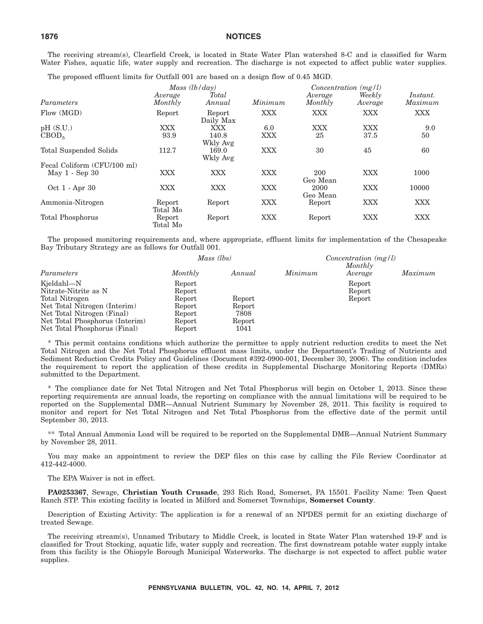The receiving stream(s), Clearfield Creek, is located in State Water Plan watershed 8-C and is classified for Warm Water Fishes, aquatic life, water supply and recreation. The discharge is not expected to affect public water supplies.

The proposed effluent limits for Outfall 001 are based on a design flow of 0.45 MGD.

|                             | Mass $(lb/day)$    |                     |            | Concentration $(mg/l)$ |                   |                     |
|-----------------------------|--------------------|---------------------|------------|------------------------|-------------------|---------------------|
| Parameters                  | Average<br>Monthly | Total<br>Annual     | Minimum    | Average<br>Monthly     | Weekly<br>Average | Instant.<br>Maximum |
| Flow (MGD)                  | Report             | Report<br>Daily Max | XXX        | <b>XXX</b>             | XXX               | <b>XXX</b>          |
| pH(S.U.)                    | XXX                | XXX                 | 6.0        | XXX                    | <b>XXX</b>        | 9.0                 |
| CBOD <sub>5</sub>           | 93.9               | 140.8<br>Wkly Avg   | XXX        | 25                     | 37.5              | 50                  |
| Total Suspended Solids      | 112.7              | 169.0<br>Wkly Avg   | XXX        | 30                     | 45                | 60                  |
| Fecal Coliform (CFU/100 ml) |                    |                     |            |                        |                   |                     |
| May 1 - Sep 30              | <b>XXX</b>         | <b>XXX</b>          | <b>XXX</b> | 200<br>Geo Mean        | <b>XXX</b>        | 1000                |
| Oct 1 - Apr 30              | <b>XXX</b>         | <b>XXX</b>          | XXX        | 2000<br>Geo Mean       | <b>XXX</b>        | 10000               |
| Ammonia-Nitrogen            | Report<br>Total Mo | Report              | XXX        | Report                 | <b>XXX</b>        | <b>XXX</b>          |
| Total Phosphorus            | Report<br>Total Mo | Report              | XXX        | Report                 | <b>XXX</b>        | <b>XXX</b>          |

The proposed monitoring requirements and, where appropriate, effluent limits for implementation of the Chesapeake Bay Tributary Strategy are as follows for Outfall 001.

|                                | Mass (lbs) |        |         |                    |         |
|--------------------------------|------------|--------|---------|--------------------|---------|
| Parameters                     | Monthly    | Annual | Minimum | Monthly<br>Average | Maximum |
| Kjeldahl-N                     | Report     |        |         | Report             |         |
| Nitrate-Nitrite as N           | Report     |        |         | Report             |         |
| Total Nitrogen                 | Report     | Report |         | Report             |         |
| Net Total Nitrogen (Interim)   | Report     | Report |         |                    |         |
| Net Total Nitrogen (Final)     | Report     | 7808   |         |                    |         |
| Net Total Phosphorus (Interim) | Report     | Report |         |                    |         |
| Net Total Phosphorus (Final)   | Report     | 1041   |         |                    |         |

\* This permit contains conditions which authorize the permittee to apply nutrient reduction credits to meet the Net Total Nitrogen and the Net Total Phosphorus effluent mass limits, under the Department's Trading of Nutrients and Sediment Reduction Credits Policy and Guidelines (Document #392-0900-001, December 30, 2006). The condition includes the requirement to report the application of these credits in Supplemental Discharge Monitoring Reports (DMRs) submitted to the Department.

\* The compliance date for Net Total Nitrogen and Net Total Phosphorus will begin on October 1, 2013. Since these reporting requirements are annual loads, the reporting on compliance with the annual limitations will be required to be reported on the Supplemental DMR—Annual Nutrient Summary by November 28, 2011. This facility is required to monitor and report for Net Total Nitrogen and Net Total Phosphorus from the effective date of the permit until September 30, 2013.

\*\* Total Annual Ammonia Load will be required to be reported on the Supplemental DMR—Annual Nutrient Summary by November 28, 2011.

You may make an appointment to review the DEP files on this case by calling the File Review Coordinator at 412-442-4000.

The EPA Waiver is not in effect.

**PA0253367**, Sewage, **Christian Youth Crusade**, 293 Rich Road, Somerset, PA 15501. Facility Name: Teen Quest Ranch STP. This existing facility is located in Milford and Somerset Townships, **Somerset County**.

Description of Existing Activity: The application is for a renewal of an NPDES permit for an existing discharge of treated Sewage.

The receiving stream(s), Unnamed Tributary to Middle Creek, is located in State Water Plan watershed 19-F and is classified for Trout Stocking, aquatic life, water supply and recreation. The first downstream potable water supply intake from this facility is the Ohiopyle Borough Municipal Waterworks. The discharge is not expected to affect public water supplies.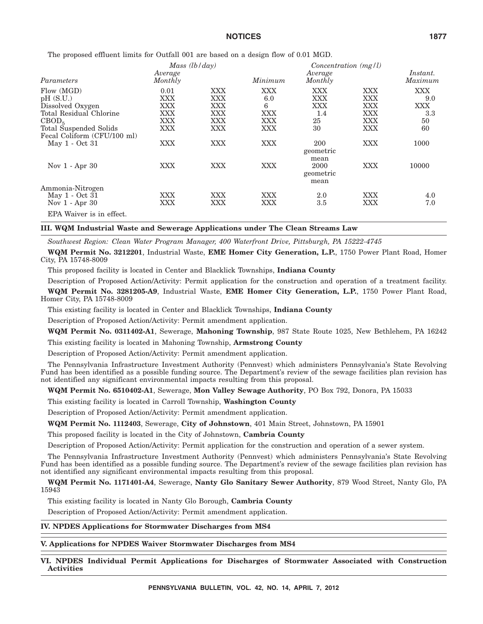The proposed effluent limits for Outfall 001 are based on a design flow of 0.01 MGD.

|                             | Mass $(lb/day)$    |            |         | $Concentration$ (mg/l)                         |            |                     |
|-----------------------------|--------------------|------------|---------|------------------------------------------------|------------|---------------------|
| Parameters                  | Average<br>Monthly |            | Minimum | Average<br>Monthly                             |            | Instant.<br>Maximum |
| Flow (MGD)                  | 0.01               | XXX        | XXX     | XXX                                            | XXX        | <b>XXX</b>          |
| pH(S.U.)                    | <b>XXX</b>         | <b>XXX</b> | 6.0     | <b>XXX</b>                                     | <b>XXX</b> | 9.0                 |
| Dissolved Oxygen            | XXX                | XXX        | 6       | XXX                                            | XXX        | <b>XXX</b>          |
| Total Residual Chlorine     | XXX                | XXX        | XXX     | 1.4                                            | XXX        | 3.3                 |
| CBOD <sub>5</sub>           | XXX                | <b>XXX</b> | XXX     | 25                                             | <b>XXX</b> | 50                  |
| Total Suspended Solids      | XXX                | <b>XXX</b> | XXX     | 30                                             | XXX        | 60                  |
| Fecal Coliform (CFU/100 ml) |                    |            |         |                                                |            |                     |
| May 1 - Oct 31              | XXX                | XXX        | XXX     | 200                                            | XXX        | 1000                |
| Nov $1 -$ Apr 30            | XXX                | <b>XXX</b> | XXX     | geometric<br>mean<br>2000<br>geometric<br>mean | XXX        | 10000               |
| Ammonia-Nitrogen            |                    |            |         |                                                |            |                     |
| May 1 - Oct 31              | <b>XXX</b>         | XXX        | XXX     | 2.0                                            | XXX        | 4.0                 |
| Nov $1 -$ Apr 30            | XXX                | <b>XXX</b> | XXX     | 3.5                                            | XXX        | 7.0                 |
| EPA Waiver is in effect.    |                    |            |         |                                                |            |                     |

#### **III. WQM Industrial Waste and Sewerage Applications under The Clean Streams Law**

*Southwest Region: Clean Water Program Manager, 400 Waterfront Drive, Pittsburgh, PA 15222-4745*

**WQM Permit No. 3212201**, Industrial Waste, **EME Homer City Generation, L.P.**, 1750 Power Plant Road, Homer City, PA 15748-8009

This proposed facility is located in Center and Blacklick Townships, **Indiana County**

Description of Proposed Action/Activity: Permit application for the construction and operation of a treatment facility.

**WQM Permit No. 3281205-A9**, Industrial Waste, **EME Homer City Generation, L.P.**, 1750 Power Plant Road, Homer City, PA 15748-8009

This existing facility is located in Center and Blacklick Townships, **Indiana County**

Description of Proposed Action/Activity: Permit amendment application.

#### **WQM Permit No. 0311402-A1**, Sewerage, **Mahoning Township**, 987 State Route 1025, New Bethlehem, PA 16242

This existing facility is located in Mahoning Township, **Armstrong County**

Description of Proposed Action/Activity: Permit amendment application.

The Pennsylvania Infrastructure Investment Authority (Pennvest) which administers Pennsylvania's State Revolving Fund has been identified as a possible funding source. The Department's review of the sewage facilities plan revision has not identified any significant environmental impacts resulting from this proposal.

#### **WQM Permit No. 6510402-A1**, Sewerage, **Mon Valley Sewage Authority**, PO Box 792, Donora, PA 15033

This existing facility is located in Carroll Township, **Washington County**

Description of Proposed Action/Activity: Permit amendment application.

**WQM Permit No. 1112403**, Sewerage, **City of Johnstown**, 401 Main Street, Johnstown, PA 15901

This proposed facility is located in the City of Johnstown, **Cambria County**

Description of Proposed Action/Activity: Permit application for the construction and operation of a sewer system.

The Pennsylvania Infrastructure Investment Authority (Pennvest) which administers Pennsylvania's State Revolving Fund has been identified as a possible funding source. The Department's review of the sewage facilities plan revision has not identified any significant environmental impacts resulting from this proposal.

**WQM Permit No. 1171401-A4**, Sewerage, **Nanty Glo Sanitary Sewer Authority**, 879 Wood Street, Nanty Glo, PA 15943

This existing facility is located in Nanty Glo Borough, **Cambria County**

Description of Proposed Action/Activity: Permit amendment application.

**IV. NPDES Applications for Stormwater Discharges from MS4**

#### **V. Applications for NPDES Waiver Stormwater Discharges from MS4**

**VI. NPDES Individual Permit Applications for Discharges of Stormwater Associated with Construction Activities**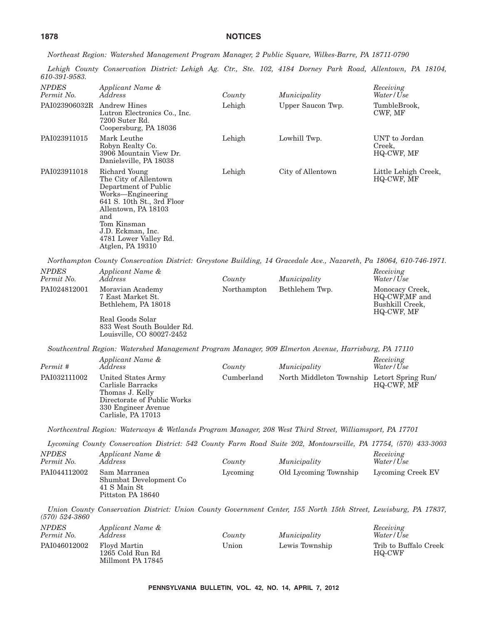*Northeast Region: Watershed Management Program Manager, 2 Public Square, Wilkes-Barre, PA 18711-0790*

*Lehigh County Conservation District: Lehigh Ag. Ctr., Ste. 102, 4184 Dorney Park Road, Allentown, PA 18104, 610-391-9583.*

| <u>010-001-0000.</u>       |                                                                                                                                                                                                                                  |             |                                             |                                                                   |
|----------------------------|----------------------------------------------------------------------------------------------------------------------------------------------------------------------------------------------------------------------------------|-------------|---------------------------------------------|-------------------------------------------------------------------|
| <b>NPDES</b><br>Permit No. | Applicant Name &<br>Address                                                                                                                                                                                                      | County      | Municipality                                | Receiving<br>Water/Use                                            |
| PAI023906032R Andrew Hines | Lutron Electronics Co., Inc.<br>7200 Suter Rd.<br>Coopersburg, PA 18036                                                                                                                                                          | Lehigh      | Upper Saucon Twp.                           | TumbleBrook,<br>CWF, MF                                           |
| PAI023911015               | Mark Leuthe<br>Robyn Realty Co.<br>3906 Mountain View Dr.<br>Danielsville, PA 18038                                                                                                                                              | Lehigh      | Lowhill Twp.                                | UNT to Jordan<br>Creek,<br>HQ-CWF, MF                             |
| PAI023911018               | Richard Young<br>The City of Allentown<br>Department of Public<br>Works-Engineering<br>641 S. 10th St., 3rd Floor<br>Allentown, PA 18103<br>and<br>Tom Kinsman<br>J.D. Eckman, Inc.<br>4781 Lower Valley Rd.<br>Atglen, PA 19310 | Lehigh      | City of Allentown                           | Little Lehigh Creek,<br>HQ-CWF, MF                                |
|                            | Northampton County Conservation District: Greystone Building, 14 Gracedale Ave., Nazareth, Pa 18064, 610-746-1971.                                                                                                               |             |                                             |                                                                   |
| <b>NPDES</b><br>Permit No. | Applicant Name &<br>Address                                                                                                                                                                                                      | County      | Municipality                                | Receiving<br>Water/Use                                            |
| PAI024812001               | Moravian Academy<br>7 East Market St.<br>Bethlehem, PA 18018                                                                                                                                                                     | Northampton | Bethlehem Twp.                              | Monocacy Creek,<br>HQ-CWF,MF and<br>Bushkill Creek,<br>HQ-CWF, MF |
|                            | Real Goods Solar<br>833 West South Boulder Rd.<br>Louisville, CO 80027-2452                                                                                                                                                      |             |                                             |                                                                   |
|                            | Southcentral Region: Watershed Management Program Manager, 909 Elmerton Avenue, Harrisburg, PA 17110                                                                                                                             |             |                                             |                                                                   |
| Permit #                   | Applicant Name &<br>Address                                                                                                                                                                                                      | County      | Municipality                                | Receiving<br>Water/Use                                            |
| PAI032111002               | United States Army<br>Carlisle Barracks<br>Thomas J. Kelly<br>Directorate of Public Works<br>330 Engineer Avenue<br>Carlisle, PA 17013                                                                                           | Cumberland  | North Middleton Township Letort Spring Run/ | HQ-CWF, MF                                                        |
|                            | Northcentral Region: Waterways & Wetlands Program Manager, 208 West Third Street, Williamsport, PA 17701                                                                                                                         |             |                                             |                                                                   |
|                            | Lycoming County Conservation District: 542 County Farm Road Suite 202, Montoursville, PA 17754, (570) 433-3003                                                                                                                   |             |                                             |                                                                   |
| <b>NPDES</b><br>Permit No. | Applicant Name &<br>Address                                                                                                                                                                                                      | County      | Municipality                                | Receiving<br>Water/Use                                            |
| PAI044112002               | Sam Marranea<br>Shumbat Development Co<br>41 S Main St<br>Pittston PA 18640                                                                                                                                                      | Lycoming    | Old Lycoming Township                       | Lycoming Creek EV                                                 |
| $(570) 524 - 3860$         | Union County Conservation District: Union County Government Center, 155 North 15th Street, Lewisburg, PA 17837,                                                                                                                  |             |                                             |                                                                   |
| <b>NPDES</b><br>Permit No. | Applicant Name &<br>Address                                                                                                                                                                                                      | County      | Municipality                                | Receiving<br>Water/Use                                            |
| PAI046012002               | Floyd Martin<br>1265 Cold Run Rd<br>Millmont PA 17845                                                                                                                                                                            | Union       | Lewis Township                              | Trib to Buffalo Creek<br>HQ-CWF                                   |
|                            |                                                                                                                                                                                                                                  |             |                                             |                                                                   |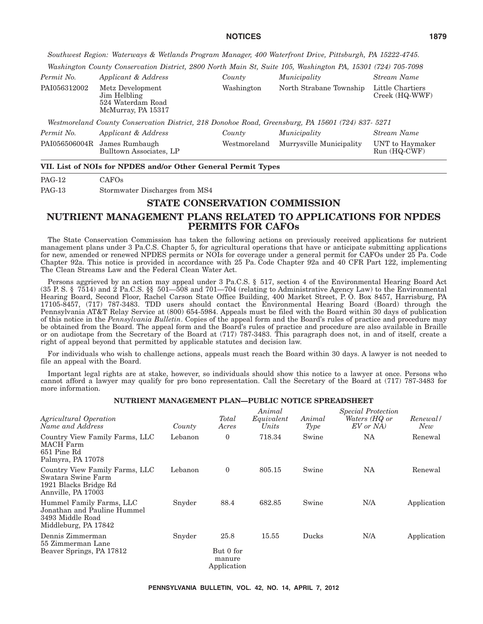*Southwest Region: Waterways & Wetlands Program Manager, 400 Waterfront Drive, Pittsburgh, PA 15222-4745.*

*Washington County Conservation District, 2800 North Main St, Suite 105, Washington PA, 15301 (724) 705-7098*

| Permit No.    | Applicant & Address                                                                               | County       | Municipality             | Stream Name                        |
|---------------|---------------------------------------------------------------------------------------------------|--------------|--------------------------|------------------------------------|
| PAI056312002  | Metz Development<br>Jim Helbling<br>524 Waterdam Road<br>McMurray, PA 15317                       | Washington   | North Strabane Township  | Little Chartiers<br>Creek (HQ-WWF) |
|               | Westmoreland County Conservation District, 218 Donohoe Road, Greensburg, PA 15601 (724) 837- 5271 |              |                          |                                    |
| Permit No.    | Applicant & Address                                                                               | County       | Municipality             | Stream Name                        |
| PAI056506004R | James Rumbaugh<br>Bulltown Associates, LP                                                         | Westmoreland | Murrysville Municipality | UNT to Haymaker<br>$Run(HQ-CWF)$   |

#### **VII. List of NOIs for NPDES and/or Other General Permit Types**

PAG-12 CAFOs

PAG-13 Stormwater Discharges from MS4

# **STATE CONSERVATION COMMISSION**

# **NUTRIENT MANAGEMENT PLANS RELATED TO APPLICATIONS FOR NPDES PERMITS FOR CAFOs**

The State Conservation Commission has taken the following actions on previously received applications for nutrient management plans under 3 Pa.C.S. Chapter 5, for agricultural operations that have or anticipate submitting applications for new, amended or renewed NPDES permits or NOIs for coverage under a general permit for CAFOs under 25 Pa. Code Chapter 92a. This notice is provided in accordance with 25 Pa. Code Chapter 92a and 40 CFR Part 122, implementing The Clean Streams Law and the Federal Clean Water Act.

Persons aggrieved by an action may appeal under 3 Pa.C.S. § 517, section 4 of the Environmental Hearing Board Act (35 P. S. § 7514) and  $\check{2}$  Pa.C.S. §§ 501—508 and 701—704 (relating to Administrative Agency Law) to the Environmental Hearing Board, Second Floor, Rachel Carson State Office Building, 400 Market Street, P. O. Box 8457, Harrisburg, PA 17105-8457, (717) 787-3483. TDD users should contact the Environmental Hearing Board (Board) through the Pennsylvania AT&T Relay Service at (800) 654-5984. Appeals must be filed with the Board within 30 days of publication of this notice in the *Pennsylvania Bulletin*. Copies of the appeal form and the Board's rules of practice and procedure may be obtained from the Board. The appeal form and the Board's rules of practice and procedure are also available in Braille or on audiotape from the Secretary of the Board at (717) 787-3483. This paragraph does not, in and of itself, create a right of appeal beyond that permitted by applicable statutes and decision law.

For individuals who wish to challenge actions, appeals must reach the Board within 30 days. A lawyer is not needed to file an appeal with the Board.

Important legal rights are at stake, however, so individuals should show this notice to a lawyer at once. Persons who cannot afford a lawyer may qualify for pro bono representation. Call the Secretary of the Board at (717) 787-3483 for more information.

#### **NUTRIENT MANAGEMENT PLAN—PUBLIC NOTICE SPREADSHEET**

| Agricultural Operation<br>Name and Address                                                          | County  | Total<br>Acres                             | Animal<br>Equivalent<br>Units | Animal<br>Type | Special Protection<br>Waters (HQ or<br>EV or NA | Renewal/<br>New |
|-----------------------------------------------------------------------------------------------------|---------|--------------------------------------------|-------------------------------|----------------|-------------------------------------------------|-----------------|
| Country View Family Farms, LLC<br>MACH Farm<br>651 Pine Rd<br>Palmyra, PA 17078                     | Lebanon | 0                                          | 718.34                        | Swine          | NA                                              | Renewal         |
| Country View Family Farms, LLC<br>Swatara Swine Farm<br>1921 Blacks Bridge Rd<br>Annville, PA 17003 | Lebanon | $\overline{0}$                             | 805.15                        | Swine          | NA                                              | Renewal         |
| Hummel Family Farms, LLC<br>Jonathan and Pauline Hummel<br>3493 Middle Road<br>Middleburg, PA 17842 | Snyder  | 88.4                                       | 682.85                        | Swine          | N/A                                             | Application     |
| Dennis Zimmerman<br>55 Zimmerman Lane<br>Beaver Springs, PA 17812                                   | Snyder  | 25.8<br>But 0 for<br>manure<br>Application | 15.55                         | Ducks          | N/A                                             | Application     |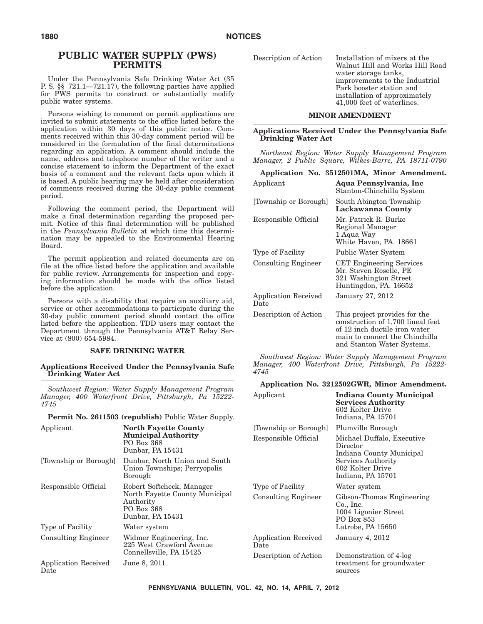# **PUBLIC WATER SUPPLY (PWS) PERMITS**

Under the Pennsylvania Safe Drinking Water Act (35 P. S. §§ 721.1—721.17), the following parties have applied for PWS permits to construct or substantially modify public water systems.

Persons wishing to comment on permit applications are invited to submit statements to the office listed before the application within 30 days of this public notice. Comments received within this 30-day comment period will be considered in the formulation of the final determinations regarding an application. A comment should include the name, address and telephone number of the writer and a concise statement to inform the Department of the exact basis of a comment and the relevant facts upon which it is based. A public hearing may be held after consideration of comments received during the 30-day public comment period.

Following the comment period, the Department will make a final determination regarding the proposed permit. Notice of this final determination will be published in the *Pennsylvania Bulletin* at which time this determination may be appealed to the Environmental Hearing Board.

The permit application and related documents are on file at the office listed before the application and available for public review. Arrangements for inspection and copying information should be made with the office listed before the application.

Persons with a disability that require an auxiliary aid, service or other accommodations to participate during the 30-day public comment period should contact the office listed before the application. TDD users may contact the Department through the Pennsylvania AT&T Relay Service at (800) 654-5984.

#### **SAFE DRINKING WATER**

**Applications Received Under the Pennsylvania Safe Drinking Water Act**

*Southwest Region: Water Supply Management Program Manager, 400 Waterfront Drive, Pittsburgh, Pa 15222- 4745*

**Permit No. 2611503 (republish)** Public Water Supply.

| Applicant                           | <b>North Fayette County</b><br><b>Municipal Authority</b><br>PO Box 368<br>Dunbar, PA 15431                | [Townshi<br>Responsi           |
|-------------------------------------|------------------------------------------------------------------------------------------------------------|--------------------------------|
| [Township or Borough]               | Dunbar, North Union and South<br>Union Townships; Perryopolis<br>Borough                                   |                                |
| Responsible Official                | Robert Softcheck, Manager<br>North Fayette County Municipal<br>Authority<br>PO Box 368<br>Dunbar, PA 15431 | Type of I<br>Consultii         |
| Type of Facility                    | Water system                                                                                               |                                |
| <b>Consulting Engineer</b>          | Widmer Engineering, Inc.<br>225 West Crawford Avenue<br>Connellsville, PA 15425                            | Applicati<br>Date<br>Descripti |
| <b>Application Received</b><br>Date | June 8, 2011                                                                                               |                                |

Description of Action Installation of mixers at the Walnut Hill and Works Hill Road water storage tanks, improvements to the Industrial Park booster station and installation of approximately 41,000 feet of waterlines.

#### **MINOR AMENDMENT**

#### **Applications Received Under the Pennsylvania Safe Drinking Water Act**

*Northeast Region: Water Supply Management Program Manager, 2 Public Square, Wilkes-Barre, PA 18711-0790*

|                              | Application No. 3512501MA, Minor Amendment.                                                                                                                         |
|------------------------------|---------------------------------------------------------------------------------------------------------------------------------------------------------------------|
| Applicant                    | Aqua Pennsylvania, Inc<br>Stanton-Chinchilla System                                                                                                                 |
| [Township or Borough]        | South Abington Township<br>Lackawanna County                                                                                                                        |
| Responsible Official         | Mr. Patrick R. Burke<br>Regional Manager<br>1 Aqua Way<br>White Haven, PA. 18661                                                                                    |
| Type of Facility             | Public Water System                                                                                                                                                 |
| <b>Consulting Engineer</b>   | <b>CET Engineering Services</b><br>Mr. Steven Roselle, PE<br>321 Washington Street<br>Huntingdon, PA. 16652                                                         |
| Application Received<br>Date | January 27, 2012                                                                                                                                                    |
| Description of Action        | This project provides for the<br>construction of 1,700 lineal feet<br>of 12 inch ductile iron water<br>main to connect the Chinchilla<br>and Stanton Water Systems. |

*Southwest Region: Water Supply Management Program Manager, 400 Waterfront Drive, Pittsburgh, Pa 15222- 4745*

#### **Application No. 3212502GWR, Minor Amendment.**

| Applicant                    | Indiana County Municipal<br><b>Services Authority</b><br>602 Kolter Drive<br>Indiana, PA 15701                                    |
|------------------------------|-----------------------------------------------------------------------------------------------------------------------------------|
| [Township or Borough]        | Plumville Borough                                                                                                                 |
| Responsible Official         | Michael Duffalo, Executive<br>Director<br>Indiana County Municipal<br>Services Authority<br>602 Kolter Drive<br>Indiana, PA 15701 |
| Type of Facility             | Water system                                                                                                                      |
| <b>Consulting Engineer</b>   | Gibson-Thomas Engineering<br>Co., Inc.<br>1004 Ligonier Street<br>PO Box 853<br>Latrobe, PA 15650                                 |
| Application Received<br>Date | <b>January 4, 2012</b>                                                                                                            |
| Description of Action        | Demonstration of 4-log<br>treatment for groundwater<br>sources                                                                    |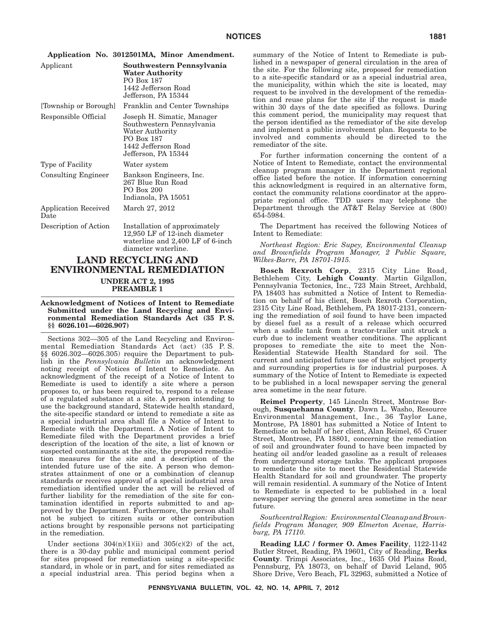|           |  | Application No. 3012501MA, Minor Amendment. |
|-----------|--|---------------------------------------------|
| Applicant |  | Southwestern Pennsylvania                   |

|                              | <b>Water Authority</b><br>PO Box 187<br>1442 Jefferson Road<br>Jefferson, PA 15344                                                     |
|------------------------------|----------------------------------------------------------------------------------------------------------------------------------------|
| [Township or Borough]        | Franklin and Center Townships                                                                                                          |
| Responsible Official         | Joseph H. Simatic, Manager<br>Southwestern Pennsylvania<br>Water Authority<br>PO Box 187<br>1442 Jefferson Road<br>Jefferson, PA 15344 |
| Type of Facility             | Water system                                                                                                                           |
| <b>Consulting Engineer</b>   | Bankson Engineers, Inc.<br>267 Blue Run Road<br>PO Box 200<br>Indianola, PA 15051                                                      |
| Application Received<br>Date | March 27, 2012                                                                                                                         |
| Description of Action        | Installation of approximately<br>12,950 LF of 12-inch diameter<br>waterline and 2,400 LF of 6-inch<br>diameter waterline.              |

# **LAND RECYCLING AND ENVIRONMENTAL REMEDIATION UNDER ACT 2, 1995**

**PREAMBLE 1**

**Acknowledgment of Notices of Intent to Remediate Submitted under the Land Recycling and Environmental Remediation Standards Act (35 P. S. §§ 6026.101—6026.907)**

Sections 302—305 of the Land Recycling and Environmental Remediation Standards Act (act) (35 P. S. §§ 6026.302—6026.305) require the Department to publish in the *Pennsylvania Bulletin* an acknowledgment noting receipt of Notices of Intent to Remediate. An acknowledgment of the receipt of a Notice of Intent to Remediate is used to identify a site where a person proposes to, or has been required to, respond to a release of a regulated substance at a site. A person intending to use the background standard, Statewide health standard, the site-specific standard or intend to remediate a site as a special industrial area shall file a Notice of Intent to Remediate with the Department. A Notice of Intent to Remediate filed with the Department provides a brief description of the location of the site, a list of known or suspected contaminants at the site, the proposed remediation measures for the site and a description of the intended future use of the site. A person who demonstrates attainment of one or a combination of cleanup standards or receives approval of a special industrial area remediation identified under the act will be relieved of further liability for the remediation of the site for contamination identified in reports submitted to and approved by the Department. Furthermore, the person shall not be subject to citizen suits or other contribution actions brought by responsible persons not participating in the remediation.

Under sections  $304(n)(1)(ii)$  and  $305(c)(2)$  of the act, there is a 30-day public and municipal comment period for sites proposed for remediation using a site-specific standard, in whole or in part, and for sites remediated as a special industrial area. This period begins when a summary of the Notice of Intent to Remediate is published in a newspaper of general circulation in the area of the site. For the following site, proposed for remediation to a site-specific standard or as a special industrial area, the municipality, within which the site is located, may request to be involved in the development of the remediation and reuse plans for the site if the request is made within 30 days of the date specified as follows. During this comment period, the municipality may request that the person identified as the remediator of the site develop and implement a public involvement plan. Requests to be involved and comments should be directed to the remediator of the site.

For further information concerning the content of a Notice of Intent to Remediate, contact the environmental cleanup program manager in the Department regional office listed before the notice. If information concerning this acknowledgment is required in an alternative form, contact the community relations coordinator at the appropriate regional office. TDD users may telephone the Department through the AT&T Relay Service at (800) 654-5984.

The Department has received the following Notices of Intent to Remediate:

*Northeast Region: Eric Supey, Environmental Cleanup and Brownfields Program Manager, 2 Public Square, Wilkes-Barre, PA 18701-1915.*

**Bosch Rexroth Corp**, 2315 City Line Road, Bethlehem City, **Lehigh County**. Martin Gilgallon, Pennsylvania Tectonics, Inc., 723 Main Street, Archbald, PA 18403 has submitted a Notice of Intent to Remediation on behalf of his client, Bosch Rexroth Corporation, 2315 City Line Road, Bethlehem, PA 18017-2131, concerning the remediation of soil found to have been impacted by diesel fuel as a result of a release which occurred when a saddle tank from a tractor-trailer unit struck a curb due to inclement weather conditions. The applicant proposes to remediate the site to meet the Non-Residential Statewide Health Standard for soil. The current and anticipated future use of the subject property and surrounding properties is for industrial purposes. A summary of the Notice of Intent to Remediate is expected to be published in a local newspaper serving the general area sometime in the near future.

**Reimel Property**, 145 Lincoln Street, Montrose Borough, **Susquehanna County**. Dawn L. Washo, Resource Environmental Management, Inc., 36 Taylor Lane, Montrose, PA 18801 has submitted a Notice of Intent to Remediate on behalf of her client, Alan Reimel, 65 Cruser Street, Montrose, PA 18801, concerning the remediation of soil and groundwater found to have been impacted by heating oil and/or leaded gasoline as a result of releases from underground storage tanks. The applicant proposes to remediate the site to meet the Residential Statewide Health Standard for soil and groundwater. The property will remain residential. A summary of the Notice of Intent to Remediate is expected to be published in a local newspaper serving the general area sometime in the near future.

*SouthcentralRegion: EnvironmentalCleanupandBrownfields Program Manager, 909 Elmerton Avenue, Harrisburg, PA 17110.*

**Reading LLC / former O. Ames Facility**, 1122-1142 Butler Street, Reading, PA 19601, City of Reading, **Berks County**. Trimpi Associates, Inc., 1635 Old Plains Road, Pennsburg, PA 18073, on behalf of David Leland, 905 Shore Drive, Vero Beach, FL 32963, submitted a Notice of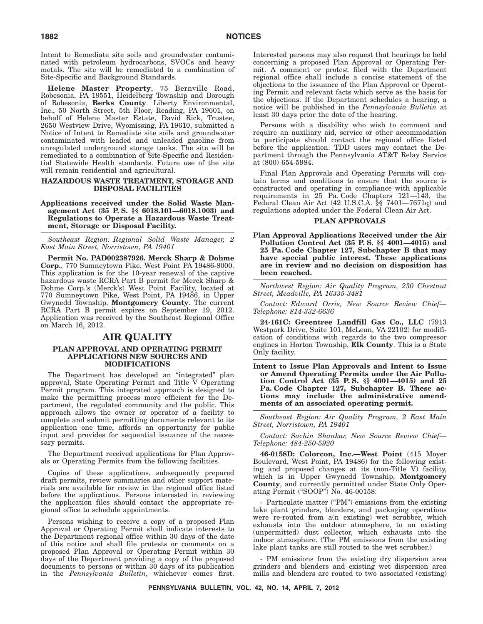Intent to Remediate site soils and groundwater contaminated with petroleum hydrocarbons, SVOCs and heavy metals. The site will be remediated to a combination of Site-Specific and Background Standards.

**Helene Master Property**, 75 Bernville Road, Robesonia, PA 19551, Heidelberg Township and Borough of Robesonia, **Berks County**. Liberty Environmental, Inc., 50 North Street, 5th Floor, Reading, PA 19601, on behalf of Helene Master Estate, David Rick, Trustee, 2650 Westview Drive, Wyomissing, PA 19610, submitted a Notice of Intent to Remediate site soils and groundwater contaminated with leaded and unleaded gasoline from unregulated underground storage tanks. The site will be remediated to a combination of Site-Specific and Residential Statewide Health standards. Future use of the site will remain residential and agricultural.

#### **HAZARDOUS WASTE TREATMENT, STORAGE AND DISPOSAL FACILITIES**

**Applications received under the Solid Waste Management Act (35 P. S. §§ 6018.101—6018.1003) and Regulations to Operate a Hazardous Waste Treatment, Storage or Disposal Facility.**

*Southeast Region: Regional Solid Waste Manager, 2 East Main Street, Norristown, PA 19401*

**Permit No. PAD002387926. Merck Sharp & Dohme Corp.**, 770 Sumneytown Pike, West Point PA 19486-8000. This application is for the 10-year renewal of the captive hazardous waste RCRA Part B permit for Merck Sharp & Dohme Corp.'s (Merck's) West Point Facility, located at 770 Sumneytown Pike, West Point, PA 19486, in Upper Gwynedd Township, **Montgomery County**. The current RCRA Part B permit expires on September 19, 2012. Application was received by the Southeast Regional Office on March 16, 2012.

# **AIR QUALITY**

#### **PLAN APPROVAL AND OPERATING PERMIT APPLICATIONS NEW SOURCES AND MODIFICATIONS**

The Department has developed an ''integrated'' plan approval, State Operating Permit and Title V Operating Permit program. This integrated approach is designed to make the permitting process more efficient for the Department, the regulated community and the public. This approach allows the owner or operator of a facility to complete and submit permitting documents relevant to its application one time, affords an opportunity for public input and provides for sequential issuance of the necessary permits.

The Department received applications for Plan Approvals or Operating Permits from the following facilities.

Copies of these applications, subsequently prepared draft permits, review summaries and other support materials are available for review in the regional office listed before the applications. Persons interested in reviewing the application files should contact the appropriate regional office to schedule appointments.

Persons wishing to receive a copy of a proposed Plan Approval or Operating Permit shall indicate interests to the Department regional office within 30 days of the date of this notice and shall file protests or comments on a proposed Plan Approval or Operating Permit within 30 days of the Department providing a copy of the proposed documents to persons or within 30 days of its publication in the *Pennsylvania Bulletin*, whichever comes first. Interested persons may also request that hearings be held concerning a proposed Plan Approval or Operating Permit. A comment or protest filed with the Department regional office shall include a concise statement of the objections to the issuance of the Plan Approval or Operating Permit and relevant facts which serve as the basis for the objections. If the Department schedules a hearing, a notice will be published in the *Pennsylvania Bulletin* at least 30 days prior the date of the hearing.

Persons with a disability who wish to comment and require an auxiliary aid, service or other accommodation to participate should contact the regional office listed before the application. TDD users may contact the Department through the Pennsylvania AT&T Relay Service at (800) 654-5984.

Final Plan Approvals and Operating Permits will contain terms and conditions to ensure that the source is constructed and operating in compliance with applicable requirements in 25 Pa. Code Chapters 121—143, the Federal Clean Air Act (42 U.S.C.A. §§ 7401—7671q) and regulations adopted under the Federal Clean Air Act.

#### **PLAN APPROVALS**

**Plan Approval Applications Received under the Air Pollution Control Act (35 P. S. §§ 4001—4015) and 25 Pa. Code Chapter 127, Subchapter B that may have special public interest. These applications are in review and no decision on disposition has been reached.**

*Northwest Region: Air Quality Program, 230 Chestnut Street, Meadville, PA 16335-3481*

*Contact: Edward Orris, New Source Review Chief— Telephone: 814-332-6636*

**24-161C: Greentree Landfill Gas Co., LLC** (7913 Westpark Drive, Suite 101, McLean, VA 22102) for modification of conditions with regards to the two compressor engines in Horton Township, **Elk County**. This is a State Only facility.

**Intent to Issue Plan Approvals and Intent to Issue or Amend Operating Permits under the Air Pollution Control Act (35 P. S. §§ 4001—4015) and 25 Pa. Code Chapter 127, Subchapter B. These actions may include the administrative amendments of an associated operating permit.**

*Southeast Region: Air Quality Program, 2 East Main Street, Norristown, PA 19401*

*Contact: Sachin Shankar, New Source Review Chief— Telephone: 484-250-5920*

**46-0158D: Colorcon, Inc.—West Point** (415 Moyer Boulevard, West Point, PA 19486) for the following existing and proposed changes at its (non-Title V) facility, which is in Upper Gwynedd Township, **Montgomery County**, and currently permitted under State Only Operating Permit (''SOOP'') No. 46-00158:

- Particulate matter ("PM") emissions from the existing lake plant grinders, blenders, and packaging operations were re-routed from a(n existing) wet scrubber, which exhausts into the outdoor atmosphere, to an existing (unpermitted) dust collector, which exhausts into the indoor atmosphere. (The PM emissions from the existing lake plant tanks are still routed to the wet scrubber.)

- PM emissions from the existing dry dispersion area grinders and blenders and existing wet dispersion area mills and blenders are routed to two associated (existing)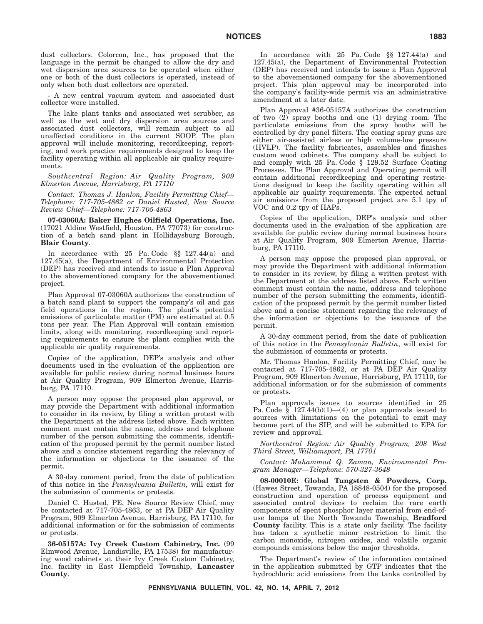dust collectors. Colorcon, Inc., has proposed that the language in the permit be changed to allow the dry and wet dispersion area sources to be operated when either one or both of the dust collectors is operated, instead of only when both dust collectors are operated.

- A new central vacuum system and associated dust collector were installed.

The lake plant tanks and associated wet scrubber, as well as the wet and dry dispersion area sources and associated dust collectors, will remain subject to all unaffected conditions in the current SOOP. The plan approval will include monitoring, recordkeeping, reporting, and work practice requirements designed to keep the facility operating within all applicable air quality requirements.

*Southcentral Region: Air Quality Program, 909 Elmerton Avenue, Harrisburg, PA 17110*

*Contact: Thomas J. Hanlon, Facility Permitting Chief— Telephone: 717-705-4862 or Daniel Husted, New Source Review Chief—Telephone: 717-705-4863*

**07-03060A: Baker Hughes Oilfield Operations, Inc.** (17021 Aldine Westfield, Houston, PA 77073) for construction of a batch sand plant in Hollidaysburg Borough, **Blair County**.

In accordance with 25 Pa. Code §§ 127.44(a) and 127.45(a), the Department of Environmental Protection (DEP) has received and intends to issue a Plan Approval to the abovementioned company for the abovementioned project.

Plan Approval 07-03060A authorizes the construction of a batch sand plant to support the company's oil and gas field operations in the region. The plant's potential emissions of particulate matter (PM) are estimated at 0.5 tons per year. The Plan Approval will contain emission limits, along with monitoring, recordkeeping and reporting requirements to ensure the plant complies with the applicable air quality requirements.

Copies of the application, DEP's analysis and other documents used in the evaluation of the application are available for public review during normal business hours at Air Quality Program, 909 Elmerton Avenue, Harrisburg, PA 17110.

A person may oppose the proposed plan approval, or may provide the Department with additional information to consider in its review, by filing a written protest with the Department at the address listed above. Each written comment must contain the name, address and telephone number of the person submitting the comments, identification of the proposed permit by the permit number listed above and a concise statement regarding the relevancy of the information or objections to the issuance of the permit.

A 30-day comment period, from the date of publication of this notice in the *Pennsylvania Bulletin*, will exist for the submission of comments or protests.

Daniel C. Husted, PE, New Source Review Chief, may be contacted at 717-705-4863, or at PA DEP Air Quality Program, 909 Elmerton Avenue, Harrisburg, PA 17110, for additional information or for the submission of comments or protests.

**36-05157A: Ivy Creek Custom Cabinetry, Inc.** (99 Elmwood Avenue, Landisville, PA 17538) for manufacturing wood cabinets at their Ivy Creek Custom Cabinetry, Inc. facility in East Hempfield Township, **Lancaster County**.

In accordance with 25 Pa. Code §§ 127.44(a) and 127.45(a), the Department of Environmental Protection (DEP) has received and intends to issue a Plan Approval to the abovementioned company for the abovementioned project. This plan approval may be incorporated into the company's facility-wide permit via an administrative amendment at a later date.

Plan Approval #36-05157A authorizes the construction of two (2) spray booths and one (1) drying room. The particulate emissions from the spray booths will be controlled by dry panel filters. The coating spray guns are either air-assisted airless or high volume-low pressure (HVLP). The facility fabricates, assembles and finishes custom wood cabinets. The company shall be subject to and comply with 25 Pa. Code § 129.52 Surface Coating Processes. The Plan Approval and Operating permit will contain additional recordkeeping and operating restrictions designed to keep the facility operating within all applicable air quality requirements. The expected actual air emissions from the proposed project are 5.1 tpy of VOC and 0.2 tpy of HAPs.

Copies of the application, DEP's analysis and other documents used in the evaluation of the application are available for public review during normal business hours at Air Quality Program, 909 Elmerton Avenue, Harrisburg, PA 17110.

A person may oppose the proposed plan approval, or may provide the Department with additional information to consider in its review, by filing a written protest with the Department at the address listed above. Each written comment must contain the name, address and telephone number of the person submitting the comments, identification of the proposed permit by the permit number listed above and a concise statement regarding the relevancy of the information or objections to the issuance of the permit.

A 30-day comment period, from the date of publication of this notice in the *Pennsylvania Bulletin*, will exist for the submission of comments or protests.

Mr. Thomas Hanlon, Facility Permitting Chief, may be contacted at 717-705-4862, or at PA DEP Air Quality Program, 909 Elmerton Avenue, Harrisburg, PA 17110, for additional information or for the submission of comments or protests.

Plan approvals issues to sources identified in 25 Pa. Code  $\frac{1}{8}$  127.44(b)(1)–(4) or plan approvals issued to sources with limitations on the potential to emit may become part of the SIP, and will be submitted to EPA for review and approval.

*Northcentral Region: Air Quality Program, 208 West Third Street, Williamsport, PA 17701*

*Contact: Muhammad Q. Zaman, Environmental Program Manager—Telephone: 570-327-3648*

**08-00010E: Global Tungsten & Powders, Corp.** (Hawes Street, Towanda, PA 18848-0504) for the proposed construction and operation of process equipment and associated control devices to reclaim the rare earth components of spent phosphor layer material from end-ofuse lamps at the North Towanda Township, **Bradford County** facility. This is a state only facility. The facility has taken a synthetic minor restriction to limit the carbon monoxide, nitrogen oxides, and volatile organic compounds emissions below the major thresholds.

The Department's review of the information contained in the application submitted by GTP indicates that the hydrochloric acid emissions from the tanks controlled by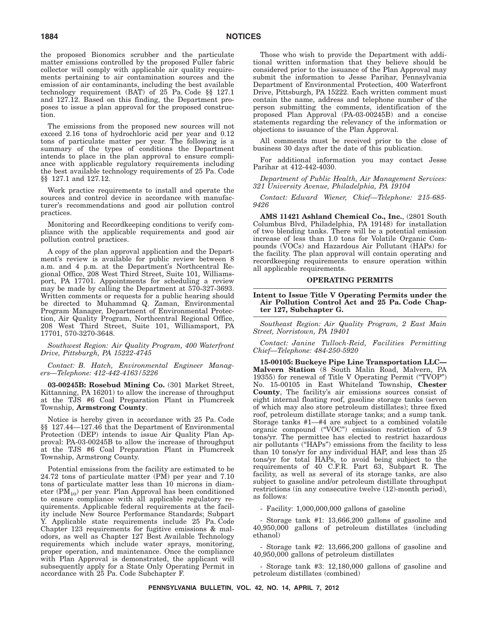the proposed Bionomics scrubber and the particulate matter emissions controlled by the proposed Fuller fabric collector will comply with applicable air quality requirements pertaining to air contamination sources and the emission of air contaminants, including the best available technology requirement (BAT) of 25 Pa. Code §§ 127.1 and 127.12. Based on this finding, the Department proposes to issue a plan approval for the proposed construction.

The emissions from the proposed new sources will not exceed 2.16 tons of hydrochloric acid per year and 0.12 tons of particulate matter per year. The following is a summary of the types of conditions the Department intends to place in the plan approval to ensure compliance with applicable regulatory requirements including the best available technology requirements of 25 Pa. Code §§ 127.1 and 127.12.

Work practice requirements to install and operate the sources and control device in accordance with manufacturer's recommendations and good air pollution control practices.

Monitoring and Recordkeeping conditions to verify compliance with the applicable requirements and good air pollution control practices.

A copy of the plan approval application and the Department's review is available for public review between 8 a.m. and 4 p.m. at the Department's Northcentral Regional Office, 208 West Third Street, Suite 101, Williamsport, PA 17701. Appointments for scheduling a review may be made by calling the Department at 570-327-3693. Written comments or requests for a public hearing should be directed to Muhammad Q. Zaman, Environmental Program Manager, Department of Environmental Protection, Air Quality Program, Northcentral Regional Office, 208 West Third Street, Suite 101, Williamsport, PA 17701, 570-3270-3648.

*Southwest Region: Air Quality Program, 400 Waterfront Drive, Pittsburgh, PA 15222-4745*

*Contact: B. Hatch, Environmental Engineer Managers—Telephone: 412-442-4163/5226*

**03-00245B: Rosebud Mining Co.** (301 Market Street, Kittanning, PA 16201) to allow the increase of throughput at the TJS #6 Coal Preparation Plant in Plumcreek Township, **Armstrong County**.

Notice is hereby given in accordance with 25 Pa. Code §§ 127.44—127.46 that the Department of Environmental Protection (DEP) intends to issue Air Quality Plan Approval: PA-03-00245B to allow the increase of throughput at the TJS #6 Coal Preparation Plant in Plumcreek Township, Armstrong County.

Potential emissions from the facility are estimated to be 24.72 tons of particulate matter (PM) per year and 7.10 tons of particulate matter less than 10 microns in diameter  $(PM_{10})$  per year. Plan Approval has been conditioned to ensure compliance with all applicable regulatory requirements. Applicable federal requirements at the facility include New Source Performance Standards; Subpart Y. Applicable state requirements include 25 Pa. Code Chapter 123 requirements for fugitive emissions & malodors, as well as Chapter 127 Best Available Technology requirements which include water sprays, monitoring, proper operation, and maintenance. Once the compliance with Plan Approval is demonstrated, the applicant will subsequently apply for a State Only Operating Permit in accordance with 25 Pa. Code Subchapter F.

Those who wish to provide the Department with additional written information that they believe should be considered prior to the issuance of the Plan Approval may submit the information to Jesse Parihar, Pennsylvania Department of Environmental Protection, 400 Waterfront Drive, Pittsburgh, PA 15222. Each written comment must contain the name, address and telephone number of the person submitting the comments, identification of the proposed Plan Approval (PA-03-00245B) and a concise statements regarding the relevancy of the information or objections to issuance of the Plan Approval.

All comments must be received prior to the close of business 30 days after the date of this publication.

For additional information you may contact Jesse Parihar at 412-442-4030.

*Department of Public Health, Air Management Services: 321 University Avenue, Philadelphia, PA 19104*

*Contact: Edward Wiener, Chief—Telephone: 215-685- 9426*

**AMS 11421 Ashland Chemical Co., Inc.**, (2801 South Columbus Blvd, Philadelphia, PA 19148) for installation of two blending tanks. There will be a potential emission increase of less than 1.0 tons for Volatile Organic Compounds (VOCs) and Hazardous Air Pollutant (HAPs) for the facility. The plan approval will contain operating and recordkeeping requirements to ensure operation within all applicable requirements.

#### **OPERATING PERMITS**

**Intent to Issue Title V Operating Permits under the Air Pollution Control Act and 25 Pa. Code Chapter 127, Subchapter G.**

*Southeast Region: Air Quality Program, 2 East Main Street, Norristown, PA 19401*

*Contact: Janine Tulloch-Reid, Facilities Permitting Chief—Telephone: 484-250-5920*

**15-00105: Buckeye Pipe Line Transportation LLC— Malvern Station** (8 South Malin Road, Malvern, PA 19355) for renewal of Title V Operating Permit (''TVOP'') No. 15-00105 in East Whiteland Township, **Chester County**, The facility's air emissions sources consist of eight internal floating roof, gasoline storage tanks (seven of which may also store petroleum distillates); three fixed roof, petroleum distillate storage tanks; and a sump tank. Storage tanks #1—#4 are subject to a combined volatile organic compound (''VOC'') emission restriction of 5.9 tons/yr. The permittee has elected to restrict hazardous air pollutants (''HAPs'') emissions from the facility to less than 10 tons/yr for any individual HAP, and less than 25 tons/yr for total HAPs, to avoid being subject to the requirements of 40 C.F.R. Part 63, Subpart R. The facility, as well as several of its storage tanks, are also subject to gasoline and/or petroleum distillate throughput restrictions (in any consecutive twelve (12)-month period), as follows:

- Facility: 1,000,000,000 gallons of gasoline

- Storage tank #1: 13,666,200 gallons of gasoline and 40,950,000 gallons of petroleum distillates (including ethanol)

- Storage tank #2: 13,666,200 gallons of gasoline and 40,950,000 gallons of petroleum distillates

- Storage tank #3: 12,180,000 gallons of gasoline and petroleum distillates (combined)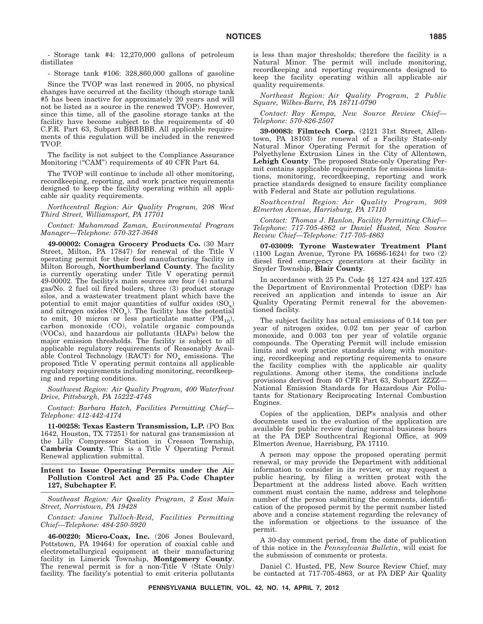- Storage tank #4: 12,270,000 gallons of petroleum distillates

- Storage tank #106: 328,860,000 gallons of gasoline

Since the TVOP was last renewed in 2005, no physical changes have occurred at the facility (though storage tank #5 has been inactive for approximately 20 years and will not be listed as a source in the renewed TVOP). However, since this time, all of the gasoline storage tanks at the facility have become subject to the requirements of 40 C.F.R. Part 63, Subpart BBBBBB. All applicable requirements of this regulation will be included in the renewed TVOP.

The facility is not subject to the Compliance Assurance Monitoring ("CAM") requirements of 40 CFR Part 64.

The TVOP will continue to include all other monitoring, recordkeeping, reporting, and work practice requirements designed to keep the facility operating within all applicable air quality requirements.

*Northcentral Region: Air Quality Program, 208 West Third Street, Williamsport, PA 17701*

*Contact: Muhammad Zaman, Environmental Program Manager—Telephone: 570-327-3648*

**49-00002: Conagra Grocery Products Co.** (30 Marr Street, Milton, PA 17847) for renewal of the Title V operating permit for their food manufacturing facility in Milton Borough, **Northumberland County**. The facility is currently operating under Title V operating permit 49-00002. The facility's main sources are four (4) natural gas/No. 2 fuel oil fired boilers, three (3) product storage silos, and a wastewater treatment plant which have the potential to emit major quantities of sulfur oxides  $(SO_x)$ and nitrogen oxides  $(NO_x)$ . The facility has the potential to emit, 10 micron or less particulate matter  $(PM_{10})$ , carbon monoxide (CO), volatile organic compounds (VOCs), and hazardous air pollutants (HAPs) below the major emission thresholds. The facility is subject to all applicable regulatory requirements of Reasonably Available Control Technology (RACT) for  $NO_x$  emissions. The proposed Title V operating permit contains all applicable regulatory requirements including monitoring, recordkeeping and reporting conditions.

*Southwest Region: Air Quality Program, 400 Waterfront Drive, Pittsburgh, PA 15222-4745*

*Contact: Barbara Hatch, Facilities Permitting Chief— Telephone: 412-442-4174*

**11-00258: Texas Eastern Transmission, L.P.** (PO Box 1642, Houston, TX 77251) for natural gas transmission at the Lilly Compressor Station in Cresson Township, **Cambria County**. This is a Title V Operating Permit Renewal application submittal.

#### **Intent to Issue Operating Permits under the Air Pollution Control Act and 25 Pa. Code Chapter 127, Subchapter F.**

*Southeast Region: Air Quality Program, 2 East Main Street, Norristown, PA 19428*

*Contact: Janine Tulloch-Reid, Facilities Permitting Chief—Telephone: 484-250-5920*

**46-00220: Micro-Coax, Inc.** (206 Jones Boulevard, Pottstown, PA 19464) for operation of coaxial cable and electrometallurgical equipment at their manufacturing facility in Limerick Township, **Montgomery County**. The renewal permit is for a non-Title V (State Only) facility. The facility's potential to emit criteria pollutants

is less than major thresholds; therefore the facility is a Natural Minor. The permit will include monitoring, recordkeeping and reporting requirements designed to keep the facility operating within all applicable air quality requirements.

*Northeast Region: Air Quality Program, 2 Public Square, Wilkes-Barre, PA 18711-0790*

*Contact: Ray Kempa, New Source Review Chief— Telephone: 570-826-2507*

**39-00083: Filmtech Corp.** (2121 31st Street, Allentown, PA 18103) for renewal of a Facility State-only Natural Minor Operating Permit for the operation of Polyethylene Extrusion Lines in the City of Allentown, **Lehigh County**. The proposed State-only Operating Permit contains applicable requirements for emissions limitations, monitoring, recordkeeping, reporting and work practice standards designed to ensure facility compliance with Federal and State air pollution regulations.

*Southcentral Region: Air Quality Program, 909 Elmerton Avenue, Harrisburg, PA 17110*

*Contact: Thomas J. Hanlon, Facility Permitting Chief— Telephone: 717-705-4862 or Daniel Husted, New Source Review Chief—Telephone: 717-705-4863*

**07-03009: Tyrone Wastewater Treatment Plant** (1100 Logan Avenue, Tyrone PA 16686-1624) for two (2) diesel fired emergency generators at their facility in Snyder Township, **Blair County**.

In accordance with 25 Pa. Code §§ 127.424 and 127.425 the Department of Environmental Protection (DEP) has received an application and intends to issue an Air Quality Operating Permit renewal for the abovementioned facility.

The subject facility has actual emissions of 0.14 ton per year of nitrogen oxides, 0.02 ton per year of carbon monoxide, and 0.003 ton per year of volatile organic compounds. The Operating Permit will include emission limits and work practice standards along with monitoring, recordkeeping and reporting requirements to ensure the facility complies with the applicable air quality regulations. Among other items, the conditions include provisions derived from 40 CFR Part 63, Subpart ZZZZ— National Emission Standards for Hazardous Air Pollutants for Stationary Reciprocating Internal Combustion Engines.

Copies of the application, DEP's analysis and other documents used in the evaluation of the application are available for public review during normal business hours at the PA DEP Southcentral Regional Office, at 909 Elmerton Avenue, Harrisburg, PA 17110.

A person may oppose the proposed operating permit renewal, or may provide the Department with additional information to consider in its review, or may request a public hearing, by filing a written protest with the Department at the address listed above. Each written comment must contain the name, address and telephone number of the person submitting the comments, identification of the proposed permit by the permit number listed above and a concise statement regarding the relevancy of the information or objections to the issuance of the permit.

A 30-day comment period, from the date of publication of this notice in the *Pennsylvania Bulletin*, will exist for the submission of comments or protests.

Daniel C. Husted, PE, New Source Review Chief, may be contacted at 717-705-4863, or at PA DEP Air Quality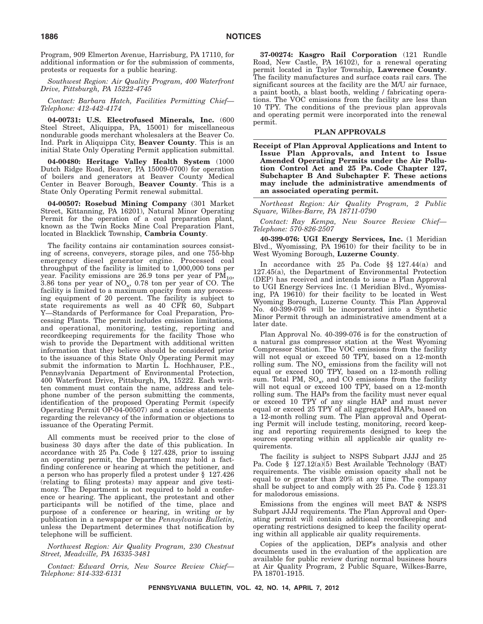Program, 909 Elmerton Avenue, Harrisburg, PA 17110, for additional information or for the submission of comments, protests or requests for a public hearing.

*Southwest Region: Air Quality Program, 400 Waterfront Drive, Pittsburgh, PA 15222-4745*

*Contact: Barbara Hatch, Facilities Permitting Chief— Telephone: 412-442-4174*

**04-00731: U.S. Electrofused Minerals, Inc.** (600 Steel Street, Aliquippa, PA, 15001) for miscellaneous nondurable goods merchant wholesalers at the Beaver Co. Ind. Park in Aliquippa City, **Beaver County**. This is an initial State Only Operating Permit application submittal.

**04-00480: Heritage Valley Health System** (1000 Dutch Ridge Road, Beaver, PA 15009-0700) for operation of boilers and generators at Beaver County Medical Center in Beaver Borough, **Beaver County**. This is a State Only Operating Permit renewal submittal.

**04-00507: Rosebud Mining Company** (301 Market Street, Kittanning, PA 16201), Natural Minor Operating Permit for the operation of a coal preparation plant, known as the Twin Rocks Mine Coal Preparation Plant, located in Blacklick Township, **Cambria County**.

The facility contains air contamination sources consisting of screens, conveyers, storage piles, and one 755-bhp emergency diesel generator engine. Processed coal throughput of the facility is limited to 1,000,000 tons per year. Facility emissions are 26.9 tons per year of  $PM_{10}$ , 3.86 tons per year of  $NO_x$ , 0.78 ton per year of CO. The facility is limited to a maximum opacity from any processing equipment of 20 percent. The facility is subject to state requirements as well as 40 CFR 60, Subpart Y—Standards of Performance for Coal Preparation, Processing Plants. The permit includes emission limitations, and operational, monitoring, testing, reporting and recordkeeping requirements for the facility Those who wish to provide the Department with additional written information that they believe should be considered prior to the issuance of this State Only Operating Permit may submit the information to Martin L. Hochhauser, P.E., Pennsylvania Department of Environmental Protection, 400 Waterfront Drive, Pittsburgh, PA, 15222. Each written comment must contain the name, address and telephone number of the person submitting the comments, identification of the proposed Operating Permit (specify Operating Permit OP-04-00507) and a concise statements regarding the relevancy of the information or objections to issuance of the Operating Permit.

All comments must be received prior to the close of business 30 days after the date of this publication. In accordance with 25 Pa. Code § 127.428, prior to issuing an operating permit, the Department may hold a factfinding conference or hearing at which the petitioner, and a person who has properly filed a protest under § 127.426 (relating to filing protests) may appear and give testimony. The Department is not required to hold a conference or hearing. The applicant, the protestant and other participants will be notified of the time, place and purpose of a conference or hearing, in writing or by publication in a newspaper or the *Pennsylvania Bulletin*, unless the Department determines that notification by telephone will be sufficient.

*Northwest Region: Air Quality Program, 230 Chestnut Street, Meadville, PA 16335-3481*

*Contact: Edward Orris, New Source Review Chief— Telephone: 814-332-6131*

**37-00274: Kasgro Rail Corporation** (121 Rundle Road, New Castle, PA 16102), for a renewal operating permit located in Taylor Township, **Lawrence County**. The facility manufactures and surface coats rail cars. The significant sources at the facility are the M/U air furnace, a paint booth, a blast booth, welding / fabricating operations. The VOC emissions from the facility are less than 10 TPY. The conditions of the previous plan approvals and operating permit were incorporated into the renewal permit.

#### **PLAN APPROVALS**

**Receipt of Plan Approval Applications and Intent to Issue Plan Approvals, and Intent to Issue Amended Operating Permits under the Air Pollution Control Act and 25 Pa. Code Chapter 127, Subchapter B And Subchapter F. These actions may include the administrative amendments of an associated operating permit.**

*Northeast Region: Air Quality Program, 2 Public Square, Wilkes-Barre, PA 18711-0790*

*Contact: Ray Kempa, New Source Review Chief— Telephone: 570-826-2507*

**40-399-076: UGI Energy Services, Inc.** (1 Meridian Blvd., Wyomissing, PA 19610) for their facility to be in West Wyoming Borough, **Luzerne County**.

In accordance with 25 Pa. Code §§ 127.44(a) and 127.45(a), the Department of Environmental Protection (DEP) has received and intends to issue a Plan Approval to UGI Energy Services Inc. (1 Meridian Blvd., Wyomissing, PA 19610) for their facility to be located in West Wyoming Borough, Luzerne County. This Plan Approval No. 40-399-076 will be incorporated into a Synthetic Minor Permit through an administrative amendment at a later date.

Plan Approval No. 40-399-076 is for the construction of a natural gas compressor station at the West Wyoming Compressor Station. The VOC emissions from the facility will not equal or exceed 50 TPY, based on a 12-month rolling sum. The  $NO_x$  emissions from the facility will not equal or exceed 100 TPY, based on a 12-month rolling sum. Total PM,  $SO_x$ , and CO emissions from the facility will not equal or exceed 100 TPY, based on a 12-month rolling sum. The HAPs from the facility must never equal or exceed 10 TPY of any single HAP and must never equal or exceed 25 TPY of all aggregated HAPs, based on a 12-month rolling sum. The Plan approval and Operating Permit will include testing, monitoring, record keeping and reporting requirements designed to keep the sources operating within all applicable air quality requirements.

The facility is subject to NSPS Subpart JJJJ and 25 Pa. Code § 127.12(a)(5) Best Available Technology (BAT) requirements. The visible emission opacity shall not be equal to or greater than 20% at any time. The company shall be subject to and comply with 25 Pa. Code § 123.31 for malodorous emissions.

Emissions from the engines will meet BAT & NSPS Subpart JJJJ requirements. The Plan Approval and Operating permit will contain additional recordkeeping and operating restrictions designed to keep the facility operating within all applicable air quality requirements.

Copies of the application, DEP's analysis and other documents used in the evaluation of the application are available for public review during normal business hours at Air Quality Program, 2 Public Square, Wilkes-Barre, PA 18701-1915.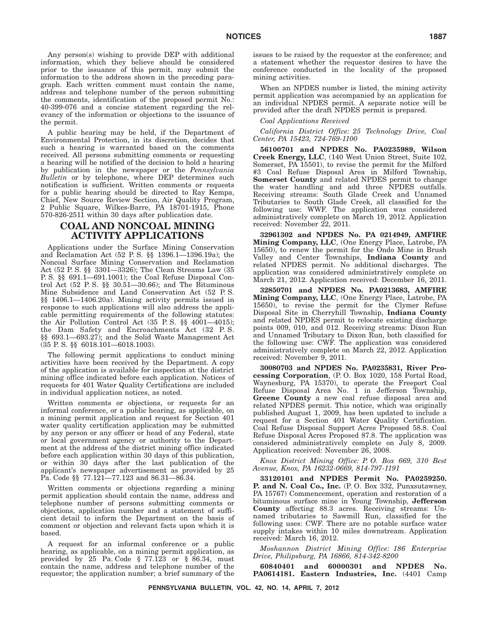Any person(s) wishing to provide DEP with additional information, which they believe should be considered prior to the issuance of this permit, may submit the information to the address shown in the preceding paragraph. Each written comment must contain the name, address and telephone number of the person submitting the comments, identification of the proposed permit No.: 40-399-076 and a concise statement regarding the relevancy of the information or objections to the issuance of the permit.

A public hearing may be held, if the Department of Environmental Protection, in its discretion, decides that such a hearing is warranted based on the comments received. All persons submitting comments or requesting a hearing will be notified of the decision to hold a hearing by publication in the newspaper or the *Pennsylvania Bulletin* or by telephone, where DEP determines such notification is sufficient. Written comments or requests for a public hearing should be directed to Ray Kempa, Chief, New Source Review Section, Air Quality Program, 2 Public Square, Wilkes-Barre, PA 18701-1915, Phone 570-826-2511 within 30 days after publication date.

# **COAL AND NONCOAL MINING ACTIVITY APPLICATIONS**

Applications under the Surface Mining Conservation and Reclamation Act (52 P. S. §§ 1396.1—1396.19a); the Noncoal Surface Mining Conservation and Reclamation Act (52 P. S. §§ 3301—3326); The Clean Streams Law (35 P. S. §§ 691.1—691.1001); the Coal Refuse Disposal Control Act  $(52 \text{ P.S. }$  §§  $30.51 \text{---} 30.66)$ ; and The Bituminous Mine Subsidence and Land Conservation Act (52 P. S. §§ 1406.1—1406.20a). Mining activity permits issued in response to such applications will also address the applicable permitting requirements of the following statutes: the Air Pollution Control Act (35 P. S. §§ 4001—4015); the Dam Safety and Encroachments Act (32 P. S. §§ 693.1—693.27); and the Solid Waste Management Act (35 P. S. §§ 6018.101—6018.1003).

The following permit applications to conduct mining activities have been received by the Department. A copy of the application is available for inspection at the district mining office indicated before each application. Notices of requests for 401 Water Quality Certifications are included in individual application notices, as noted.

Written comments or objections, or requests for an informal conference, or a public hearing, as applicable, on a mining permit application and request for Section 401 water quality certification application may be submitted by any person or any officer or head of any Federal, state or local government agency or authority to the Department at the address of the district mining office indicated before each application within 30 days of this publication, or within 30 days after the last publication of the applicant's newspaper advertisement as provided by 25 Pa. Code §§ 77.121—77.123 and 86.31—86.34.

Written comments or objections regarding a mining permit application should contain the name, address and telephone number of persons submitting comments or objections, application number and a statement of sufficient detail to inform the Department on the basis of comment or objection and relevant facts upon which it is based.

A request for an informal conference or a public hearing, as applicable, on a mining permit application, as provided by 25 Pa. Code  $\S$  77.123 or  $\S$  86.34, must contain the name, address and telephone number of the requestor; the application number; a brief summary of the issues to be raised by the requestor at the conference; and a statement whether the requestor desires to have the conference conducted in the locality of the proposed mining activities.

When an NPDES number is listed, the mining activity permit application was accompanied by an application for an individual NPDES permit. A separate notice will be provided after the draft NPDES permit is prepared.

#### *Coal Applications Received*

*California District Office: 25 Technology Drive, Coal Center, PA 15423, 724-769-1100*

**56100701 and NPDES No. PA0235989, Wilson Creek Energy, LLC**, (140 West Union Street, Suite 102, Somerset, PA 15501), to revise the permit for the Milford #3 Coal Refuse Disposal Area in Milford Township, **Somerset County** and related NPDES permit to change the water handling and add three NPDES outfalls. Receiving streams: South Glade Creek and Unnamed Tributaries to South Glade Creek, all classified for the following use: WWF. The application was considered administratively complete on March 19, 2012. Application received: November 22, 2011.

**32961302 and NPDES No. PA 0214949, AMFIRE Mining Company, LLC**, (One Energy Place, Latrobe, PA 15650), to renew the permit for the Ondo Mine in Brush Valley and Center Townships, **Indiana County** and related NPDES permit. No additional discharges. The application was considered administratively complete on March 21, 2012. Application received: December 16, 2011.

**32850701 and NPDES No. PA0213683, AMFIRE Mining Company, LLC**, (One Energy Place, Latrobe, PA 15650), to revise the permit for the Clymer Refuse Disposal Site in Cherryhill Township, **Indiana County** and related NPDES permit to relocate existing discharge points 009, 010, and 012. Receiving streams: Dixon Run and Unnamed Tributary to Dixon Run, both classified for the following use: CWF. The application was considered administratively complete on March 22, 2012. Application received: November 9, 2011.

**30080703 and NPDES No. PA0235831, River Processing Corporation**, (P. O. Box 1020, 158 Portal Road, Waynesburg, PA 15370), to operate the Freeport Coal Refuse Disposal Area No. 1 in Jefferson Township, **Greene County** a new coal refuse disposal area and related NPDES permit. This notice, which was originally published August 1, 2009, has been updated to include a request for a Section 401 Water Quality Certification. Coal Refuse Disposal Support Acres Proposed 58.8. Coal Refuse Disposal Acres Proposed 87.8. The application was considered administratively complete on July 8, 2009. Application received: November 26, 2008.

*Knox District Mining Office: P. O. Box 669, 310 Best Avenue, Knox, PA 16232-0669, 814-797-1191*

**33120101 and NPDES Permit No. PA0259250. P. and N. Coal Co., Inc.** (P. O. Box 332, Punxsutawney, PA 15767) Commencement, operation and restoration of a bituminous surface mine in Young Township, **Jefferson County** affecting 88.3 acres. Receiving streams: Unnamed tributaries to Sawmill Run, classified for the following uses: CWF. There are no potable surface water supply intakes within 10 miles downstream. Application received: March 16, 2012.

*Moshannon District Mining Office: 186 Enterprise Drive, Philipsburg, PA 16866, 814-342-8200*

**60840401 and 60000301 and NPDES No. PA0614181. Eastern Industries, Inc.** (4401 Camp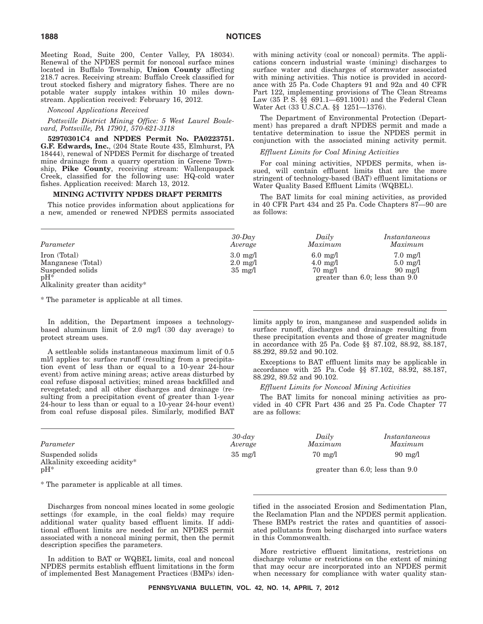Meeting Road, Suite 200, Center Valley, PA 18034). Renewal of the NPDES permit for noncoal surface mines located in Buffalo Township, **Union County** affecting 218.7 acres. Receiving stream: Buffalo Creek classified for trout stocked fishery and migratory fishes. There are no potable water supply intakes within 10 miles downstream. Application received: February 16, 2012.

*Noncoal Applications Received*

*Pottsville District Mining Office: 5 West Laurel Boulevard, Pottsville, PA 17901, 570-621-3118*

**52970301C4 and NPDES Permit No. PA0223751. G.F. Edwards, Inc.**, (204 State Route 435, Elmhurst, PA 18444), renewal of NPDES Permit for discharge of treated mine drainage from a quarry operation in Greene Township, **Pike County**, receiving stream: Wallenpaupack Creek, classified for the following use: HQ-cold water fishes. Application received: March 13, 2012.

#### **MINING ACTIVITY NPDES DRAFT PERMITS**

This notice provides information about applications for a new, amended or renewed NPDES permits associated with mining activity (coal or noncoal) permits. The applications concern industrial waste (mining) discharges to surface water and discharges of stormwater associated with mining activities. This notice is provided in accordance with 25 Pa. Code Chapters 91 and 92a and 40 CFR Part 122, implementing provisions of The Clean Streams Law (35 P. S. §§ 691.1—691.1001) and the Federal Clean Water Act (33 U.S.C.A. §§ 1251—1376).

The Department of Environmental Protection (Department) has prepared a draft NPDES permit and made a tentative determination to issue the NPDES permit in conjunction with the associated mining activity permit.

#### *Effluent Limits for Coal Mining Activities*

For coal mining activities, NPDES permits, when issued, will contain effluent limits that are the more stringent of technology-based (BAT) effluent limitations or Water Quality Based Effluent Limits (WQBEL).

The BAT limits for coal mining activities, as provided in 40 CFR Part 434 and 25 Pa. Code Chapters 87—90 are as follows:

| Parameter                                                                                           | $30$ -Dav                                                     | Daily                                                         | Instantaneous                                                                                         |
|-----------------------------------------------------------------------------------------------------|---------------------------------------------------------------|---------------------------------------------------------------|-------------------------------------------------------------------------------------------------------|
|                                                                                                     | Average                                                       | Maximum                                                       | Maximum                                                                                               |
| Iron (Total)<br>Manganese (Total)<br>Suspended solids<br>$pH^*$<br>Alkalinity greater than acidity* | $3.0 \text{ mg}/1$<br>$2.0 \text{ mg}/1$<br>$35 \text{ mg}/1$ | $6.0 \text{ mg}/1$<br>$4.0 \text{ mg}/1$<br>$70 \text{ mg}/1$ | $7.0 \text{ mg}/1$<br>$5.0 \text{ mg}/l$<br>$90 \text{ mg}/1$<br>greater than $6.0$ ; less than $9.0$ |

\* The parameter is applicable at all times.

In addition, the Department imposes a technologybased aluminum limit of 2.0 mg/l (30 day average) to protect stream uses.

A settleable solids instantaneous maximum limit of 0.5 ml/l applies to: surface runoff (resulting from a precipitation event of less than or equal to a 10-year 24-hour event) from active mining areas; active areas disturbed by coal refuse disposal activities; mined areas backfilled and revegetated; and all other discharges and drainage (resulting from a precipitation event of greater than 1-year 24-hour to less than or equal to a 10-year 24-hour event) from coal refuse disposal piles. Similarly, modified BAT limits apply to iron, manganese and suspended solids in surface runoff, discharges and drainage resulting from these precipitation events and those of greater magnitude in accordance with 25 Pa. Code §§ 87.102, 88.92, 88.187, 88.292, 89.52 and 90.102.

Exceptions to BAT effluent limits may be applicable in accordance with 25 Pa. Code §§ 87.102, 88.92, 88.187, 88.292, 89.52 and 90.102.

*Effluent Limits for Noncoal Mining Activities*

The BAT limits for noncoal mining activities as provided in 40 CFR Part 436 and 25 Pa. Code Chapter 77 are as follows:

| Parameter                                         | $30$ -day<br>Average | Daily<br>Maximum  | Instantaneous<br>Maximum             |
|---------------------------------------------------|----------------------|-------------------|--------------------------------------|
| Suspended solids<br>Alkalinity exceeding acidity* | $35 \text{ mg}/1$    | $70 \text{ mg}/1$ | $90 \text{ mg}/1$                    |
| $nH^*$                                            |                      |                   | greater than $6.0$ ; less than $9.0$ |

\* The parameter is applicable at all times.

Discharges from noncoal mines located in some geologic settings (for example, in the coal fields) may require additional water quality based effluent limits. If additional effluent limits are needed for an NPDES permit associated with a noncoal mining permit, then the permit description specifies the parameters.

In addition to BAT or WQBEL limits, coal and noncoal NPDES permits establish effluent limitations in the form of implemented Best Management Practices (BMPs) identified in the associated Erosion and Sedimentation Plan, the Reclamation Plan and the NPDES permit application. These BMPs restrict the rates and quantities of associated pollutants from being discharged into surface waters in this Commonwealth.

More restrictive effluent limitations, restrictions on discharge volume or restrictions on the extent of mining that may occur are incorporated into an NPDES permit when necessary for compliance with water quality stan-

**PENNSYLVANIA BULLETIN, VOL. 42, NO. 14, APRIL 7, 2012**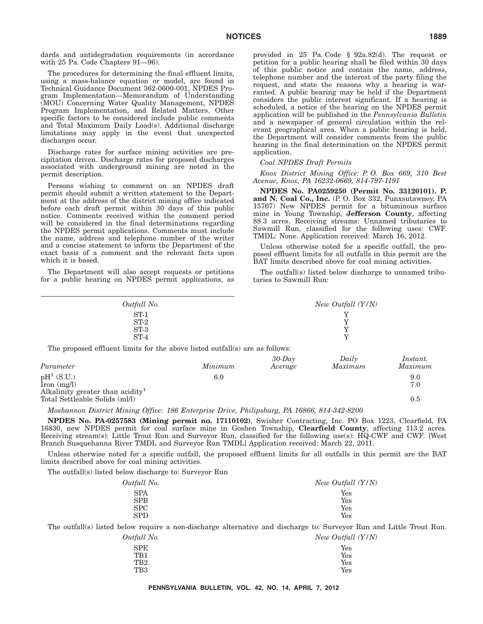dards and antidegradation requirements (in accordance with 25 Pa. Code Chapters 91—96).

The procedures for determining the final effluent limits, using a mass-balance equation or model, are found in Technical Guidance Document 362-0600-001, NPDES Program Implementation—Memorandum of Understanding (MOU) Concerning Water Quality Management, NPDES Program Implementation, and Related Matters. Other specific factors to be considered include public comments and Total Maximum Daily Load(s). Additional discharge limitations may apply in the event that unexpected discharges occur.

Discharge rates for surface mining activities are precipitation driven. Discharge rates for proposed discharges associated with underground mining are noted in the permit description.

Persons wishing to comment on an NPDES draft permit should submit a written statement to the Department at the address of the district mining office indicated before each draft permit within 30 days of this public notice. Comments received within the comment period will be considered in the final determinations regarding the NPDES permit applications. Comments must include the name, address and telephone number of the writer and a concise statement to inform the Department of the exact basis of a comment and the relevant facts upon which it is based.

The Department will also accept requests or petitions for a public hearing on NPDES permit applications, as provided in 25 Pa. Code § 92a.82(d). The request or petition for a public hearing shall be filed within 30 days of this public notice and contain the name, address, telephone number and the interest of the party filing the request, and state the reasons why a hearing is warranted. A public hearing may be held if the Department considers the public interest significant. If a hearing is scheduled, a notice of the hearing on the NPDES permit application will be published in the *Pennsylvania Bulletin* and a newspaper of general circulation within the relevant geographical area. When a public hearing is held, the Department will consider comments from the public hearing in the final determination on the NPDES permit application.

#### *Coal NPDES Draft Permits*

*Knox District Mining Office: P. O. Box 669, 310 Best Avenue, Knox, PA 16232-0669, 814-797-1191*

**NPDES No. PA0259250 (Permit No. 33120101). P. and N. Coal Co., Inc.** (P. O. Box 332, Punxsutawney, PA 15767) New NPDES permit for a bituminous surface mine in Young Township, **Jefferson County**, affecting 88.3 acres. Receiving streams: Unnamed tributaries to Sawmill Run, classified for the following uses: CWF. TMDL: None. Application received: March 16, 2012.

Unless otherwise noted for a specific outfall, the proposed effluent limits for all outfalls in this permit are the BAT limits described above for coal mining activities.

The outfall(s) listed below discharge to unnamed tributaries to Sawmill Run:

| Outfall No.  |                                                                              | New Outfall $(Y/N)$ |         |          |
|--------------|------------------------------------------------------------------------------|---------------------|---------|----------|
|              | $ST-1$                                                                       |                     | v       |          |
|              | $ST-2$                                                                       |                     | v       |          |
|              | $ST-3$                                                                       |                     |         |          |
|              | $ST-4$                                                                       |                     | Y       |          |
|              | The proposed effluent limits for the above listed outfall(s) are as follows: |                     |         |          |
|              |                                                                              | $30$ -Day           | Daily   | Instant. |
| Parameter    | Minimum                                                                      | Average             | Maximum | Maximum  |
| $pH^1(S.U.)$ | 6.0                                                                          |                     |         | 9.0      |

 $\text{Iron (mg/l)}$  7.0 Iron  $(mg/l)$ <br>Alkalinity greater than acidity<sup>1</sup> Total Settleable Solids (ml/l) 0.5

*Moshannon District Mining Office: 186 Enterprise Drive, Philipsburg, PA 16866, 814-342-8200*

**NPDES No. PA-0257583 (Mining permit no. 17110102)**, Swisher Contracting, Inc. PO Box 1223, Clearfield, PA 16830, new NPDES permit for coal surface mine in Goshen Township, **Clearfield County**, affecting 113.2 acres. Receiving stream(s): Little Trout Run and Surveyor Run, classified for the following use(s): HQ-CWF and CWF. [West Branch Susquehanna River TMDL and Surveyor Run TMDL] Application received: March 22, 2011.

Unless otherwise noted for a specific outfall, the proposed effluent limits for all outfalls in this permit are the BAT limits described above for coal mining activities.

The outfall(s) listed below discharge to: Surveyor Run

| New Outfall $(Y/N)$ |
|---------------------|
| Yes                 |
| Yes                 |
| Yes                 |
| Yes                 |
|                     |

The outfall(s) listed below require a non-discharge alternative and discharge to: Surveyor Run and Little Trout Run.<br> $Output$  No.  $\frac{1}{N}$ 

| fall No.    | New Outfall $(Y/N)$ |
|-------------|---------------------|
| ${\rm SPE}$ | Yes                 |
| TB1         | Yes                 |
| TB2         | Yes                 |
| TB3         | Yes                 |
|             |                     |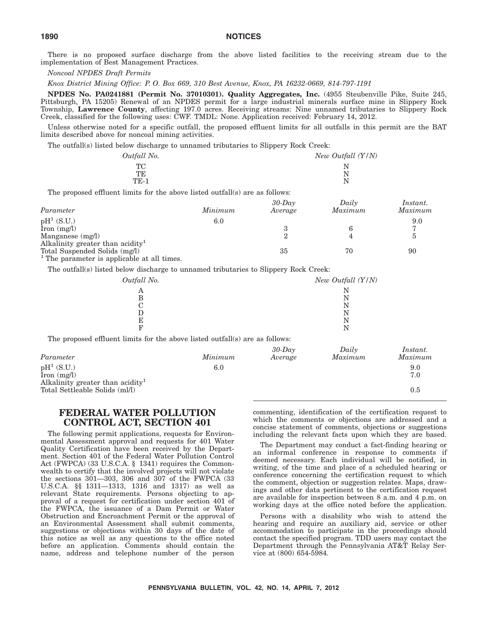There is no proposed surface discharge from the above listed facilities to the receiving stream due to the implementation of Best Management Practices.

*Noncoal NPDES Draft Permits*

*Knox District Mining Office: P. O. Box 669, 310 Best Avenue, Knox, PA 16232-0669, 814-797-1191*

**NPDES No. PA0241881 (Permit No. 37010301). Quality Aggregates, Inc.** (4955 Steubenville Pike, Suite 245, Pittsburgh, PA 15205) Renewal of an NPDES permit for a large industrial minerals surface mine in Slippery Rock Township, **Lawrence County**, affecting 197.0 acres. Receiving streams: Nine unnamed tributaries to Slippery Rock Creek, classified for the following uses: CWF. TMDL: None. Application received: February 14, 2012.

Unless otherwise noted for a specific outfall, the proposed effluent limits for all outfalls in this permit are the BAT limits described above for noncoal mining activities.

The outfall(s) listed below discharge to unnamed tributaries to Slippery Rock Creek:

| Outfall No.                                                          | New Outfall (Y/N) |  |
|----------------------------------------------------------------------|-------------------|--|
| TC.                                                                  |                   |  |
| TE                                                                   | N                 |  |
| TE-1                                                                 | N                 |  |
| osed effluent limits for the above listed outfall(s) are as follows: |                   |  |

| Parameter                                    | Minimum | $30$ -Day<br>Average | Daily<br>Maximum | Instant.<br>Maximum |
|----------------------------------------------|---------|----------------------|------------------|---------------------|
|                                              |         |                      |                  |                     |
| $pH^1(S.U.)$                                 | $6.0\,$ |                      |                  | 9.0                 |
| $\text{Iron} \text{ (mg/l)}$                 |         |                      |                  |                     |
| Manganese $(mg/l)$                           |         |                      |                  |                     |
| Alkalinity greater than acidity <sup>1</sup> |         |                      |                  |                     |
| Total Suspended Solids (mg/l)                |         | 35                   | 70               | 90                  |

<sup>1</sup> The parameter is applicable at all times.

The outfall(s) listed below discharge to unnamed tributaries to Slippery Rock Creek:

| Outfall No.                                                                                                |         |                      | New Outfall $(Y/N)$        |                     |
|------------------------------------------------------------------------------------------------------------|---------|----------------------|----------------------------|---------------------|
| A<br>B<br>С<br>D<br>E<br>F<br>The proposed effluent limits for the above listed outfall(s) are as follows: |         |                      | N<br>N<br>N<br>N<br>N<br>N |                     |
| Parameter                                                                                                  | Minimum | $30$ -Day<br>Average | Daily<br>Maximum           | Instant.<br>Maximum |
| $pH^1$ (S.U.)<br>$\text{from } (\text{mg/l})$                                                              | 6.0     |                      |                            | 9.0<br>7.0          |
| Alkalinity greater than acidity <sup>1</sup><br>Total Settleable Solids (ml/l)                             |         |                      |                            | 0.5                 |

# **FEDERAL WATER POLLUTION CONTROL ACT, SECTION 401**

The following permit applications, requests for Environmental Assessment approval and requests for 401 Water Quality Certification have been received by the Department. Section 401 of the Federal Water Pollution Control Act (FWPCA) (33 U.S.C.A. § 1341) requires the Commonwealth to certify that the involved projects will not violate the sections 301—303, 306 and 307 of the FWPCA (33 U.S.C.A. §§ 1311—1313, 1316 and 1317) as well as relevant State requirements. Persons objecting to approval of a request for certification under section 401 of the FWPCA, the issuance of a Dam Permit or Water Obstruction and Encroachment Permit or the approval of an Environmental Assessment shall submit comments, suggestions or objections within 30 days of the date of this notice as well as any questions to the office noted before an application. Comments should contain the name, address and telephone number of the person commenting, identification of the certification request to which the comments or objections are addressed and a concise statement of comments, objections or suggestions including the relevant facts upon which they are based.

The Department may conduct a fact-finding hearing or an informal conference in response to comments if deemed necessary. Each individual will be notified, in writing, of the time and place of a scheduled hearing or conference concerning the certification request to which the comment, objection or suggestion relates. Maps, drawings and other data pertinent to the certification request are available for inspection between 8 a.m. and 4 p.m. on working days at the office noted before the application.

Persons with a disability who wish to attend the hearing and require an auxiliary aid, service or other accommodation to participate in the proceedings should contact the specified program. TDD users may contact the Department through the Pennsylvania AT&T Relay Service at (800) 654-5984.

The prop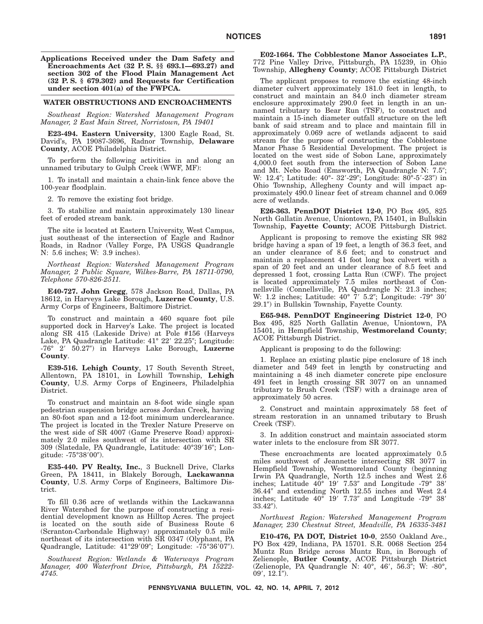**Applications Received under the Dam Safety and Encroachments Act (32 P. S. §§ 693.1—693.27) and section 302 of the Flood Plain Management Act (32 P. S. § 679.302) and Requests for Certification under section 401(a) of the FWPCA.**

#### **WATER OBSTRUCTIONS AND ENCROACHMENTS**

*Southeast Region: Watershed Management Program Manager, 2 East Main Street, Norristown, PA 19401*

**E23-494. Eastern University**, 1300 Eagle Road, St. David's, PA 19087-3696, Radnor Township, **Delaware County**, ACOE Philadelphia District.

To perform the following activities in and along an unnamed tributary to Gulph Creek (WWF, MF):

1. To install and maintain a chain-link fence above the 100-year floodplain.

2. To remove the existing foot bridge.

3. To stabilize and maintain approximately 130 linear feet of eroded stream bank.

The site is located at Eastern University, West Campus, just southeast of the intersection of Eagle and Radnor Roads, in Radnor (Valley Forge, PA USGS Quadrangle N: 5.6 inches; W: 3.9 inches).

*Northeast Region: Watershed Management Program Manager, 2 Public Square, Wilkes-Barre, PA 18711-0790, Telephone 570-826-2511.*

**E40-727. John Gregg**, 578 Jackson Road, Dallas, PA 18612, in Harveys Lake Borough, **Luzerne County**, U.S. Army Corps of Engineers, Baltimore District.

To construct and maintain a 460 square foot pile supported dock in Harvey's Lake. The project is located along SR 415 (Lakeside Drive) at Pole #156 (Harveys Lake, PA Quadrangle Latitude: 41° 22′ 22.25"; Longitude: -76° 2- 50.27) in Harveys Lake Borough, **Luzerne County**.

**E39-516. Lehigh County**, 17 South Seventh Street, Allentown, PA 18101, in Lowhill Township, **Lehigh County**, U.S. Army Corps of Engineers, Philadelphia District.

To construct and maintain an 8-foot wide single span pedestrian suspension bridge across Jordan Creek, having an 80-foot span and a 12-foot minimum underclearance. The project is located in the Trexler Nature Preserve on the west side of SR 4007 (Game Preserve Road) approximately 2.0 miles southwest of its intersection with SR 309 (Slatedale, PA Quadrangle, Latitude: 40°39'16"; Longitude: -75°38′00″).

**E35-440. PV Realty, Inc.**, 3 Bucknell Drive, Clarks Green, PA 18411, in Blakely Borough, **Lackawanna County**, U.S. Army Corps of Engineers, Baltimore District.

To fill 0.36 acre of wetlands within the Lackawanna River Watershed for the purpose of constructing a residential development known as Hilltop Acres. The project is located on the south side of Business Route 6 (Scranton-Carbondale Highway) approximately 0.5 mile northeast of its intersection with SR 0347 (Olyphant, PA Quadrangle, Latitude: 41°29'09"; Longitude: -75°36'07").

*Southwest Region: Wetlands & Waterways Program Manager, 400 Waterfront Drive, Pittsburgh, PA 15222- 4745.*

**E02-1664. The Cobblestone Manor Associates L.P.**, 772 Pine Valley Drive, Pittsburgh, PA 15239, in Ohio Township, **Allegheny County**; ACOE Pittsburgh District

The applicant proposes to remove the existing 48-inch diameter culvert approximately 181.0 feet in length, to construct and maintain an 84.0 inch diameter stream enclosure approximately 290.0 feet in length in an unnamed tributary to Bear Run (TSF), to construct and maintain a 15-inch diameter outfall structure on the left bank of said stream and to place and maintain fill in approximately 0.069 acre of wetlands adjacent to said stream for the purpose of constructing the Cobblestone Manor Phase 5 Residential Development. The project is located on the west side of Sobon Lane, approximately 4,000.0 feet south from the intersection of Sobon Lane and Mt. Nebo Road (Emsworth, PA Quadrangle N: 7.5"; W: 12.4"; Latitude: 40°- 32'-29"; Longitude: 80°-5'-23") in Ohio Township, Allegheny County and will impact approximately 490.0 linear feet of stream channel and 0.069 acre of wetlands.

**E26-363. PennDOT District 12-0**, PO Box 495, 825 North Gallatin Avenue, Uniontown, PA 15401, in Bullskin Township, **Fayette County**; ACOE Pittsburgh District.

Applicant is proposing to remove the existing SR 982 bridge having a span of 19 feet, a length of 36.3 feet, and an under clearance of 8.6 feet; and to construct and maintain a replacement 41 foot long box culvert with a span of 20 feet and an under clearance of 8.5 feet and depressed 1 foot, crossing Latta Run (CWF). The project is located approximately 7.5 miles northeast of Connellsville (Connellsville, PA Quadrangle N: 21.3 inches; W: 1.2 inches; Latitude: 40° 7′ 5.2″; Longitude: -79° 30′ 29.1) in Bullskin Township, Fayette County.

**E65-948. PennDOT Engineering District 12-0**, PO Box 495, 825 North Gallatin Avenue, Uniontown, PA 15401, in Hempfield Township, **Westmoreland County**; ACOE Pittsburgh District.

Applicant is proposing to do the following:

1. Replace an existing plastic pipe enclosure of 18 inch diameter and 549 feet in length by constructing and maintaining a 48 inch diameter concrete pipe enclosure 491 feet in length crossing SR 3077 on an unnamed tributary to Brush Creek (TSF) with a drainage area of approximately 50 acres.

2. Construct and maintain approximately 58 feet of stream restoration in an unnamed tributary to Brush Creek (TSF).

3. In addition construct and maintain associated storm water inlets to the enclosure from SR 3077.

These encroachments are located approximately 0.5 miles southwest of Jeannette intersecting SR 3077 in Hempfield Township, Westmoreland County (beginning Irwin PA Quadrangle, North 12.5 inches and West 2.6 inches; Latitude  $40^{\circ}$  19'  $7.53''$  and Longitude  $-79^{\circ}$  38' 36.44" and extending North 12.55 inches and West 2.4 inches; Latitude 40° 19′ 7.73″ and Longitude -79° 38′ 33.42).

*Northwest Region: Watershed Management Program Manager, 230 Chestnut Street, Meadville, PA 16335-3481*

**E10-476, PA DOT, District 10-0**, 2550 Oakland Ave., PO Box 429, Indiana, PA 15701. S.R. 0068 Section 254 Muntz Run Bridge across Muntz Run, in Borough of Zelienople, **Butler County**, ACOE Pittsburgh District (Zelienople, PA Quadrangle N: 40°, 46', 56.3"; W: -80°,  $09', 12.1$ ").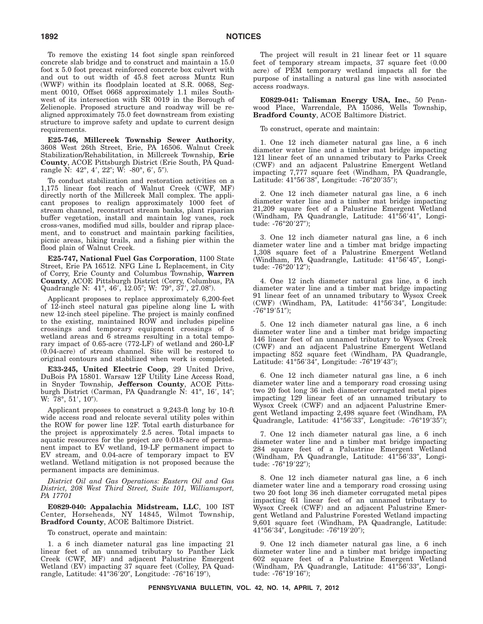To remove the existing 14 foot single span reinforced concrete slab bridge and to construct and maintain a 15.0 foot x 5.0 foot precast reinforced concrete box culvert with and out to out width of 45.8 feet across Muntz Run (WWF) within its floodplain located at S.R. 0068, Segment 0010, Offset 0668 approximately 1.1 miles Southwest of its intersection with SR 0019 in the Borough of Zelienople. Proposed structure and roadway will be realigned approximately 75.0 feet downstream from existing structure to improve safety and update to current design requirements.

**E25-746, Millcreek Township Sewer Authority**, 3608 West 26th Street, Erie, PA 16506. Walnut Creek Stabilization/Rehabilitation, in Millcreek Township, **Erie County**, ACOE Pittsburgh District (Erie South, PA Quadrangle N: 42°, 4′, 22″; W: -80°, 6′, 5″).

To conduct stabilization and restoration activities on a 1,175 linear foot reach of Walnut Creek (CWF, MF) directly north of the Millcreek Mall complex. The applicant proposes to realign approximately 1000 feet of stream channel, reconstruct stream banks, plant riparian buffer vegetation, install and maintain log vanes, rock cross-vanes, modified mud sills, boulder and riprap placement, and to construct and maintain parking facilities, picnic areas, hiking trails, and a fishing pier within the flood plain of Walnut Creek.

**E25-747, National Fuel Gas Corporation**, 1100 State Street, Erie PA 16512. NFG Line L Replacement, in City of Corry, Erie County and Columbus Township, **Warren County**, ACOE Pittsburgh District (Corry, Columbus, PA Quadrangle N: 41°, 46', 12.05"; W: 79°, 37', 27.08").

Applicant proposes to replace approximately 6,200-feet of 12-inch steel natural gas pipeline along line L with new 12-inch steel pipeline. The project is mainly confined to the existing, maintained ROW and includes pipeline crossings and temporary equipment crossings of 5 wetland areas and 6 streams resulting in a total temporary impact of 0.65-acre (772-LF) of wetland and 260-LF (0.04-acre) of stream channel. Site will be restored to original contours and stabilized when work is completed.

**E33-245, United Electric Coop**, 29 United Drive, DuBois PA 15801. Warsaw 12F Utility Line Access Road, in Snyder Township, **Jefferson County**, ACOE Pittsburgh District (Carman, PA Quadrangle N: 41°, 16', 14";  $W: 78^{\circ}, 51', 10".$ 

Applicant proposes to construct a 9,243-ft long by 10-ft wide access road and relocate several utility poles within the ROW for power line 12F. Total earth disturbance for the project is approximately 2.5 acres. Total impacts to aquatic resources for the project are 0.018-acre of permanent impact to EV wetland, 19-LF permanent impact to EV stream, and 0.04-acre of temporary impact to EV wetland. Wetland mitigation is not proposed because the permanent impacts are deminimus.

*District Oil and Gas Operations: Eastern Oil and Gas District, 208 West Third Street, Suite 101, Williamsport, PA 17701*

**E0829-040: Appalachia Midstream, LLC**, 100 IST Center, Horseheads, NY 14845, Wilmot Township, **Bradford County**, ACOE Baltimore District.

To construct, operate and maintain:

1. a 6 inch diameter natural gas line impacting 21 linear feet of an unnamed tributary to Panther Lick Creek (CWF, MF) and adjacent Palustrine Emergent Wetland (EV) impacting 37 square feet (Colley, PA Quadrangle, Latitude: 41°36′20″, Longitude: -76°16′19″),

The project will result in 21 linear feet or 11 square feet of temporary stream impacts, 37 square feet (0.00 acre) of PEM temporary wetland impacts all for the purpose of installing a natural gas line with associated access roadways.

**E0829-041: Talisman Energy USA, Inc.**, 50 Pennwood Place, Warrendale, PA 15086, Wells Township, **Bradford County**, ACOE Baltimore District.

To construct, operate and maintain:

1. One 12 inch diameter natural gas line, a 6 inch diameter water line and a timber mat bridge impacting 121 linear feet of an unnamed tributary to Parks Creek (CWF) and an adjacent Palustrine Emergent Wetland impacting 7,777 square feet (Windham, PA Quadrangle, Latitude: 41°56'38", Longitude: -76°20'35");

2. One 12 inch diameter natural gas line, a 6 inch diameter water line and a timber mat bridge impacting 21,209 square feet of a Palustrine Emergent Wetland (Windham, PA Quadrangle, Latitude: 41°56'41", Longitude: -76°20′27");

3. One 12 inch diameter natural gas line, a 6 inch diameter water line and a timber mat bridge impacting 1,308 square feet of a Palustrine Emergent Wetland (Windham, PA Quadrangle, Latitude: 41°56'45", Longitude: -76°20′12″);

4. One 12 inch diameter natural gas line, a 6 inch diameter water line and a timber mat bridge impacting 91 linear feet of an unnamed tributary to Wysox Creek (CWF) (Windham, PA, Latitude: 41°56'34", Longitude: -76°19′51″);

5. One 12 inch diameter natural gas line, a 6 inch diameter water line and a timber mat bridge impacting 146 linear feet of an unnamed tributary to Wysox Creek (CWF) and an adjacent Palustrine Emergent Wetland impacting 852 square feet (Windham, PA Quadrangle, Latitude: 41°56'34", Longitude: -76°19'43");

6. One 12 inch diameter natural gas line, a 6 inch diameter water line and a temporary road crossing using two 20 foot long 36 inch diameter corrugated metal pipes impacting 129 linear feet of an unnamed tributary to Wysox Creek (CWF) and an adjacent Palustrine Emergent Wetland impacting 2,498 square feet (Windham, PA Quadrangle, Latitude: 41°56'33", Longitude: -76°19'35");

7. One 12 inch diameter natural gas line, a 6 inch diameter water line and a timber mat bridge impacting 284 square feet of a Palustrine Emergent Wetland (Windham, PA Quadrangle, Latitude: 41°56'33", Longitude: -76°19′22″);

8. One 12 inch diameter natural gas line, a 6 inch diameter water line and a temporary road crossing using two 20 foot long 36 inch diameter corrugated metal pipes impacting 61 linear feet of an unnamed tributary to Wysox Creek (CWF) and an adjacent Palustrine Emergent Wetland and Palustrine Forested Wetland impacting 9,601 square feet (Windham, PA Quadrangle, Latitude: 41°56′34″, Longitude: -76°19′20″);

9. One 12 inch diameter natural gas line, a 6 inch diameter water line and a timber mat bridge impacting 602 square feet of a Palustrine Emergent Wetland (Windham, PA Quadrangle, Latitude: 41°56'33", Longitude: -76°19′16″);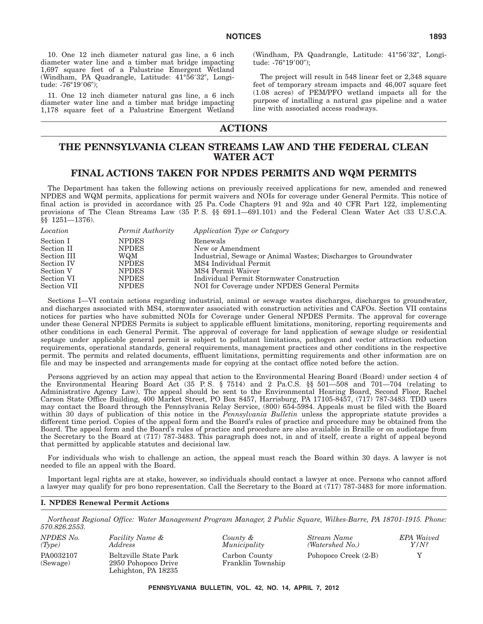10. One 12 inch diameter natural gas line, a 6 inch diameter water line and a timber mat bridge impacting 1,697 square feet of a Palustrine Emergent Wetland (Windham, PA Quadrangle, Latitude: 41°56'32", Longitude: -76°19′06″);

11. One 12 inch diameter natural gas line, a 6 inch diameter water line and a timber mat bridge impacting 1,178 square feet of a Palustrine Emergent Wetland

(Windham, PA Quadrangle, Latitude: 41°56'32", Longitude: -76°19′00");

The project will result in 548 linear feet or 2,348 square feet of temporary stream impacts and 46,007 square feet (1.08 acres) of PEM/PFO wetland impacts all for the purpose of installing a natural gas pipeline and a water line with associated access roadways.

# **ACTIONS**

# **THE PENNSYLVANIA CLEAN STREAMS LAW AND THE FEDERAL CLEAN WATER ACT**

# **FINAL ACTIONS TAKEN FOR NPDES PERMITS AND WQM PERMITS**

The Department has taken the following actions on previously received applications for new, amended and renewed NPDES and WQM permits, applications for permit waivers and NOIs for coverage under General Permits. This notice of final action is provided in accordance with 25 Pa. Code Chapters 91 and 92a and 40 CFR Part 122, implementing provisions of The Clean Streams Law (35 P.S. §§ 691.1—691.101) and the Federal Clean Water Act (33 U.S.C.A. §§ 1251—1376).

| Location    | Permit Authority | Application Type or Category                                   |
|-------------|------------------|----------------------------------------------------------------|
| Section I   | <b>NPDES</b>     | Renewals                                                       |
| Section II  | <b>NPDES</b>     | New or Amendment                                               |
| Section III | WQM              | Industrial, Sewage or Animal Wastes; Discharges to Groundwater |
| Section IV  | <b>NPDES</b>     | MS4 Individual Permit                                          |
| Section V   | <b>NPDES</b>     | MS4 Permit Waiver                                              |
| Section VI  | <b>NPDES</b>     | Individual Permit Stormwater Construction                      |
| Section VII | <b>NPDES</b>     | NOI for Coverage under NPDES General Permits                   |

Sections I—VI contain actions regarding industrial, animal or sewage wastes discharges, discharges to groundwater, and discharges associated with MS4, stormwater associated with construction activities and CAFOs. Section VII contains notices for parties who have submitted NOIs for Coverage under General NPDES Permits. The approval for coverage under these General NPDES Permits is subject to applicable effluent limitations, monitoring, reporting requirements and other conditions in each General Permit. The approval of coverage for land application of sewage sludge or residential septage under applicable general permit is subject to pollutant limitations, pathogen and vector attraction reduction requirements, operational standards, general requirements, management practices and other conditions in the respective permit. The permits and related documents, effluent limitations, permitting requirements and other information are on file and may be inspected and arrangements made for copying at the contact office noted before the action.

Persons aggrieved by an action may appeal that action to the Environmental Hearing Board (Board) under section 4 of the Environmental Hearing Board Act  $(35 \text{ P.S.} \S 7514)$  and 2 Pa.C.S.  $\S$   $501-508$  and  $701-704$  (relating to Administrative Agency Law). The appeal should be sent to the Environmental Hearing Board, Second Floor, Rachel Carson State Office Building, 400 Market Street, PO Box 8457, Harrisburg, PA 17105-8457, (717) 787-3483. TDD users may contact the Board through the Pennsylvania Relay Service, (800) 654-5984. Appeals must be filed with the Board within 30 days of publication of this notice in the *Pennsylvania Bulletin* unless the appropriate statute provides a different time period. Copies of the appeal form and the Board's rules of practice and procedure may be obtained from the Board. The appeal form and the Board's rules of practice and procedure are also available in Braille or on audiotape from the Secretary to the Board at (717) 787-3483. This paragraph does not, in and of itself, create a right of appeal beyond that permitted by applicable statutes and decisional law.

For individuals who wish to challenge an action, the appeal must reach the Board within 30 days. A lawyer is not needed to file an appeal with the Board.

Important legal rights are at stake, however, so individuals should contact a lawyer at once. Persons who cannot afford a lawyer may qualify for pro bono representation. Call the Secretary to the Board at (717) 787-3483 for more information.

#### **I. NPDES Renewal Permit Actions**

*Northeast Regional Office: Water Management Program Manager, 2 Public Square, Wilkes-Barre, PA 18701-1915. Phone: 570.826.2553.*

| NPDES No.             | Facility Name &                                                     |
|-----------------------|---------------------------------------------------------------------|
| (Tvpe)                | Address                                                             |
| PA0032107<br>(Sewage) | Beltzville State Park<br>2950 Pohopoco Drive<br>Lehighton, PA 18235 |

*County & Municipality* Carbon County Franklin Township *Stream Name (Watershed No.)* Pohopoco Creek (2-B)  $Y$ 

*EPA Waived Y/N?*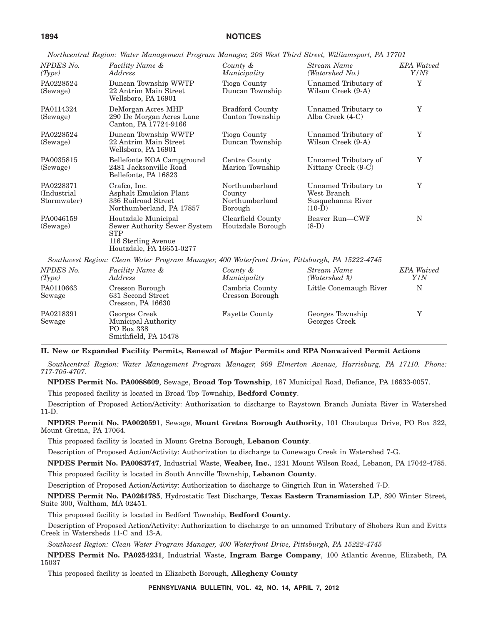*Northcentral Region: Water Management Program Manager, 208 West Third Street, Williamsport, PA 17701*

| NPDES <sub>No.</sub><br>(Type)           | Facility Name &<br>Address                                                                                           | County &<br>Municipality                              | Stream Name<br>(Watershed No.)                                       | <b>EPA</b> Waived<br>$Y/N$ ? |
|------------------------------------------|----------------------------------------------------------------------------------------------------------------------|-------------------------------------------------------|----------------------------------------------------------------------|------------------------------|
| PA0228524<br>(Sewage)                    | Duncan Township WWTP<br>22 Antrim Main Street<br>Wellsboro, PA 16901                                                 | Tioga County<br>Duncan Township                       | Unnamed Tributary of<br>Wilson Creek (9-A)                           | $\mathbf Y$                  |
| PA0114324<br>(Sewage)                    | DeMorgan Acres MHP<br>290 De Morgan Acres Lane<br>Canton, PA 17724-9166                                              | <b>Bradford County</b><br>Canton Township             | Unnamed Tributary to<br>Alba Creek $(4-C)$                           | Y                            |
| PA0228524<br>(Sewage)                    | Duncan Township WWTP<br>22 Antrim Main Street<br>Wellsboro, PA 16901                                                 | Tioga County<br>Duncan Township                       | Unnamed Tributary of<br>Wilson Creek (9-A)                           | Y                            |
| PA0035815<br>(Sewage)                    | Bellefonte KOA Campground<br>2481 Jacksonville Road<br>Bellefonte, PA 16823                                          | Centre County<br>Marion Township                      | Unnamed Tributary of<br>Nittany Creek (9-C)                          | Y                            |
| PA0228371<br>(Industrial)<br>Stormwater) | Crafco, Inc.<br>Asphalt Emulsion Plant<br>336 Railroad Street<br>Northumberland, PA 17857                            | Northumberland<br>County<br>Northumberland<br>Borough | Unnamed Tributary to<br>West Branch<br>Susquehanna River<br>$(10-D)$ | Y                            |
| PA0046159<br>(Sewage)                    | Houtzdale Municipal<br>Sewer Authority Sewer System<br><b>STP</b><br>116 Sterling Avenue<br>Houtzdale, PA 16651-0277 | Clearfield County<br>Houtzdale Borough                | Beaver Run-CWF<br>$(8-D)$                                            | N                            |
|                                          | Southwest Region: Clean Water Program Manager, 400 Waterfront Drive, Pittsburgh, PA 15222-4745                       |                                                       |                                                                      |                              |
| NPDES No.<br>(Type)                      | Facility Name &<br>Address                                                                                           | County &<br>Municipality                              | Stream Name<br>(Watershed #)                                         | <b>EPA</b> Waived<br>Y/N     |
| PA0110663<br>Sewage                      | Cresson Borough<br>631 Second Street<br>Cresson, PA 16630                                                            | Cambria County<br>Cresson Borough                     | Little Conemaugh River                                               | N                            |
| PA0218391<br>Sewage                      | Georges Creek<br>Municipal Authority<br>PO Box 338<br>Smithfield, PA 15478                                           | <b>Fayette County</b>                                 | Georges Township<br>Georges Creek                                    | Y                            |

# **II. New or Expanded Facility Permits, Renewal of Major Permits and EPA Nonwaived Permit Actions**

*Southcentral Region: Water Management Program Manager, 909 Elmerton Avenue, Harrisburg, PA 17110. Phone: 717-705-4707.*

**NPDES Permit No. PA0088609**, Sewage, **Broad Top Township**, 187 Municipal Road, Defiance, PA 16633-0057.

This proposed facility is located in Broad Top Township, **Bedford County**.

Description of Proposed Action/Activity: Authorization to discharge to Raystown Branch Juniata River in Watershed 11-D.

**NPDES Permit No. PA0020591**, Sewage, **Mount Gretna Borough Authority**, 101 Chautaqua Drive, PO Box 322, Mount Gretna, PA 17064.

This proposed facility is located in Mount Gretna Borough, **Lebanon County**.

Description of Proposed Action/Activity: Authorization to discharge to Conewago Creek in Watershed 7-G.

**NPDES Permit No. PA0083747**, Industrial Waste, **Weaber, Inc.**, 1231 Mount Wilson Road, Lebanon, PA 17042-4785.

This proposed facility is located in South Annville Township, **Lebanon County**.

Description of Proposed Action/Activity: Authorization to discharge to Gingrich Run in Watershed 7-D.

**NPDES Permit No. PA0261785**, Hydrostatic Test Discharge, **Texas Eastern Transmission LP**, 890 Winter Street, Suite 300, Waltham, MA 02451.

This proposed facility is located in Bedford Township, **Bedford County**.

Description of Proposed Action/Activity: Authorization to discharge to an unnamed Tributary of Shobers Run and Evitts Creek in Watersheds 11-C and 13-A.

*Southwest Region: Clean Water Program Manager, 400 Waterfront Drive, Pittsburgh, PA 15222-4745*

**NPDES Permit No. PA0254231**, Industrial Waste, **Ingram Barge Company**, 100 Atlantic Avenue, Elizabeth, PA 15037

This proposed facility is located in Elizabeth Borough, **Allegheny County**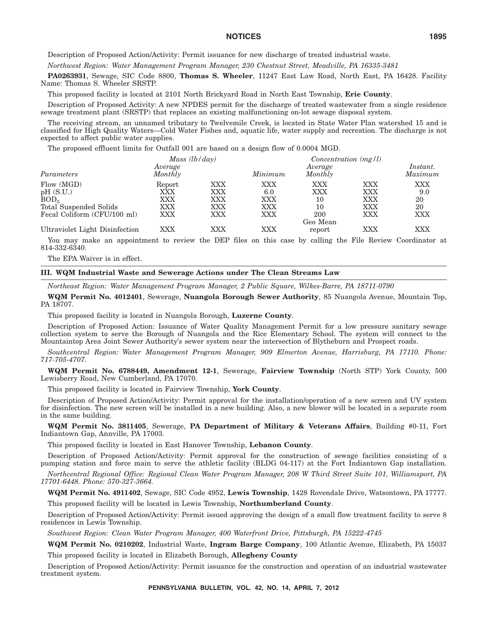Description of Proposed Action/Activity: Permit issuance for new discharge of treated industrial waste.

*Northwest Region: Water Management Program Manager, 230 Chestnut Street, Meadville, PA 16335-3481*

**PA0263931**, Sewage, SIC Code 8800, **Thomas S. Wheeler**, 11247 East Law Road, North East, PA 16428. Facility Name: Thomas S. Wheeler SRSTP.

This proposed facility is located at 2101 North Brickyard Road in North East Township, **Erie County**.

Description of Proposed Activity: A new NPDES permit for the discharge of treated wastewater from a single residence sewage treatment plant (SRSTP) that replaces an existing malfunctioning on-lot sewage disposal system.

The receiving stream, an unnamed tributary to Twelvemile Creek, is located in State Water Plan watershed 15 and is classified for High Quality Waters—Cold Water Fishes and, aquatic life, water supply and recreation. The discharge is not expected to affect public water supplies.

The proposed effluent limits for Outfall 001 are based on a design flow of 0.0004 MGD.

|                                | Mass $(lb/day)$    |     |            | Concentration $(mg/l)$ |     |                     |
|--------------------------------|--------------------|-----|------------|------------------------|-----|---------------------|
| Parameters                     | Average<br>Monthly |     | Minimum    | Average<br>Monthly     |     | Instant.<br>Maximum |
| Flow (MGD)                     | Report             | XXX | XXX        | XXX                    | XXX | XXX                 |
| pH(S.U.)                       | $\rm XXX$          | XXX | 6.0        | XXX                    | XXX | 9.0                 |
| BOD <sub>5</sub>               | XXX                | XXX | <b>XXX</b> | 10                     | XXX | 20                  |
| Total Suspended Solids         | XXX                | XXX | <b>XXX</b> | 10                     | XXX | 20                  |
| Fecal Coliform (CFU/100 ml)    | XXX                | XXX | XXX        | 200                    | XXX | XXX                 |
|                                |                    |     |            | Geo Mean               |     |                     |
| Ultraviolet Light Disinfection | XXX                | XXX | XXX        | report                 | XXX | XXX                 |

You may make an appointment to review the DEP files on this case by calling the File Review Coordinator at 814-332-6340.

The EPA Waiver is in effect.

**III. WQM Industrial Waste and Sewerage Actions under The Clean Streams Law**

*Northeast Region: Water Management Program Manager, 2 Public Square, Wilkes-Barre, PA 18711-0790*

**WQM Permit No. 4012401**, Sewerage, **Nuangola Borough Sewer Authority**, 85 Nuangola Avenue, Mountain Top, PA 18707.

This proposed facility is located in Nuangola Borough, **Luzerne County**.

Description of Proposed Action: Issuance of Water Quality Management Permit for a low pressure sanitary sewage collection system to serve the Borough of Nuangola and the Rice Elementary School. The system will connect to the Mountaintop Area Joint Sewer Authority's sewer system near the intersection of Blytheburn and Prospect roads.

*Southcentral Region: Water Management Program Manager, 909 Elmerton Avenue, Harrisburg, PA 17110. Phone: 717-705-4707.*

**WQM Permit No. 6788449, Amendment 12-1**, Sewerage, **Fairview Township** (North STP) York County, 500 Lewisberry Road, New Cumberland, PA 17070.

This proposed facility is located in Fairview Township, **York County**.

Description of Proposed Action/Activity: Permit approval for the installation/operation of a new screen and UV system for disinfection. The new screen will be installed in a new building. Also, a new blower will be located in a separate room in the same building.

**WQM Permit No. 3811405**, Sewerage, **PA Department of Military & Veterans Affairs**, Building #0-11, Fort Indiantown Gap, Annville, PA 17003.

This proposed facility is located in East Hanover Township, **Lebanon County**.

Description of Proposed Action/Activity: Permit approval for the construction of sewage facilities consisting of a pumping station and force main to serve the athletic facility (BLDG 04-117) at the Fort Indiantown Gap installation.

*Northcentral Regional Office: Regional Clean Water Program Manager, 208 W Third Street Suite 101, Williamsport, PA 17701-6448. Phone: 570-327-3664.*

**WQM Permit No. 4911402**, Sewage, SIC Code 4952, **Lewis Township**, 1428 Rovendale Drive, Watsontown, PA 17777.

This proposed facility will be located in Lewis Township, **Northumberland County**.

Description of Proposed Action/Activity: Permit issued approving the design of a small flow treatment facility to serve 8 residences in Lewis Township.

*Southwest Region: Clean Water Program Manager, 400 Waterfront Drive, Pittsburgh, PA 15222-4745*

**WQM Permit No. 0210202**, Industrial Waste, **Ingram Barge Company**, 100 Atlantic Avenue, Elizabeth, PA 15037 This proposed facility is located in Elizabeth Borough, **Allegheny County**

Description of Proposed Action/Activity: Permit issuance for the construction and operation of an industrial wastewater treatment system.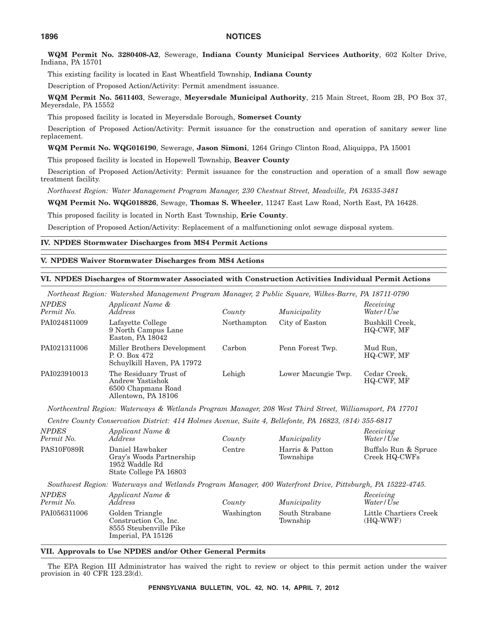**WQM Permit No. 3280408-A2**, Sewerage, **Indiana County Municipal Services Authority**, 602 Kolter Drive, Indiana, PA 15701

This existing facility is located in East Wheatfield Township, **Indiana County**

Description of Proposed Action/Activity: Permit amendment issuance.

**WQM Permit No. 5611403**, Sewerage, **Meyersdale Municipal Authority**, 215 Main Street, Room 2B, PO Box 37, Meyersdale, PA 15552

This proposed facility is located in Meyersdale Borough, **Somerset County**

Description of Proposed Action/Activity: Permit issuance for the construction and operation of sanitary sewer line replacement.

**WQM Permit No. WQG016190**, Sewerage, **Jason Simoni**, 1264 Gringo Clinton Road, Aliquippa, PA 15001

This proposed facility is located in Hopewell Township, **Beaver County**

Description of Proposed Action/Activity: Permit issuance for the construction and operation of a small flow sewage treatment facility.

*Northwest Region: Water Management Program Manager, 230 Chestnut Street, Meadville, PA 16335-3481*

**WQM Permit No. WQG018826**, Sewage, **Thomas S. Wheeler**, 11247 East Law Road, North East, PA 16428.

This proposed facility is located in North East Township, **Erie County**.

Description of Proposed Action/Activity: Replacement of a malfunctioning onlot sewage disposal system.

#### **IV. NPDES Stormwater Discharges from MS4 Permit Actions**

## **V. NPDES Waiver Stormwater Discharges from MS4 Actions**

## **VI. NPDES Discharges of Stormwater Associated with Construction Activities Individual Permit Actions**

|                            | Northeast Region: Watershed Management Program Manager, 2 Public Square, Wilkes-Barre, PA 18711-0790 |             |                     |                               |
|----------------------------|------------------------------------------------------------------------------------------------------|-------------|---------------------|-------------------------------|
| <b>NPDES</b><br>Permit No. | Applicant Name &<br>Address                                                                          | County      | Municipality        | Receiving<br>Water/Use        |
| PAI024811009               | Lafayette College<br>9 North Campus Lane<br>Easton, PA 18042                                         | Northampton | City of Easton      | Bushkill Creek,<br>HQ-CWF, MF |
| PAI021311006               | Miller Brothers Development<br>P.O. Box 472<br>Schuylkill Haven, PA 17972                            | Carbon      | Penn Forest Twp.    | Mud Run,<br>HQ-CWF, MF        |
| PAI023910013               | The Residuary Trust of<br>Andrew Yastishok<br>6500 Chapmans Road<br>Allentown, PA 18106              | Lehigh      | Lower Macungie Twp. | Cedar Creek,<br>HQ-CWF, MF    |

*Northcentral Region: Waterways & Wetlands Program Manager, 208 West Third Street, Williamsport, PA 17701*

*Centre County Conservation District: 414 Holmes Avenue, Suite 4, Bellefonte, PA 16823, (814) 355-6817*

| <b>NPDES</b><br>Permit No. | Applicant Name &<br>Address                                                             | County | Municipality                 | Receiving<br>Water/Use                |
|----------------------------|-----------------------------------------------------------------------------------------|--------|------------------------------|---------------------------------------|
| PAS10F089R                 | Daniel Hawbaker<br>Gray's Woods Partnership<br>1952 Waddle Rd<br>State College PA 16803 | Centre | Harris & Patton<br>Townships | Buffalo Run & Spruce<br>Creek HQ-CWFs |
|                            | מורה ההמידורות וניתיות המונית והנדורות והידודיות והידודיות                              |        |                              |                                       |

*Southwest Region: Waterways and Wetlands Program Manager, 400 Waterfront Drive, Pittsburgh, PA 15222-4745.*

| <b>NPDES</b><br>Permit No. | Applicant Name &<br>Address                                                              | County     | Municipality               | Receiving<br>Water/Use               |
|----------------------------|------------------------------------------------------------------------------------------|------------|----------------------------|--------------------------------------|
| PAI056311006               | Golden Triangle<br>Construction Co, Inc.<br>8555 Steubenville Pike<br>Imperial, PA 15126 | Washington | South Strabane<br>Township | Little Chartiers Creek<br>$(HQ-WWF)$ |

#### **VII. Approvals to Use NPDES and/or Other General Permits**

The EPA Region III Administrator has waived the right to review or object to this permit action under the waiver provision in 40 CFR 123.23(d).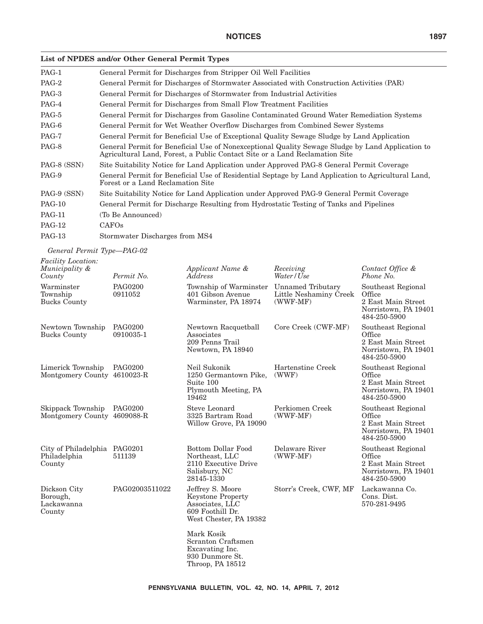# **List of NPDES and/or Other General Permit Types**

| PAG-1         | General Permit for Discharges from Stripper Oil Well Facilities                                                                                                                 |
|---------------|---------------------------------------------------------------------------------------------------------------------------------------------------------------------------------|
| PAG-2         | General Permit for Discharges of Stormwater Associated with Construction Activities (PAR)                                                                                       |
| PAG-3         | General Permit for Discharges of Stormwater from Industrial Activities                                                                                                          |
| PAG-4         | General Permit for Discharges from Small Flow Treatment Facilities                                                                                                              |
| PAG-5         | General Permit for Discharges from Gasoline Contaminated Ground Water Remediation Systems                                                                                       |
| PAG-6         | General Permit for Wet Weather Overflow Discharges from Combined Sewer Systems                                                                                                  |
| PAG-7         | General Permit for Beneficial Use of Exceptional Quality Sewage Sludge by Land Application                                                                                      |
| PAG-8         | General Permit for Beneficial Use of Nonexceptional Quality Sewage Sludge by Land Application to<br>Agricultural Land, Forest, a Public Contact Site or a Land Reclamation Site |
| PAG-8 (SSN)   | Site Suitability Notice for Land Application under Approved PAG-8 General Permit Coverage                                                                                       |
| PAG-9         | General Permit for Beneficial Use of Residential Septage by Land Application to Agricultural Land,<br>Forest or a Land Reclamation Site                                         |
| PAG-9 (SSN)   | Site Suitability Notice for Land Application under Approved PAG-9 General Permit Coverage                                                                                       |
| <b>PAG-10</b> | General Permit for Discharge Resulting from Hydrostatic Testing of Tanks and Pipelines                                                                                          |
| <b>PAG-11</b> | (To Be Announced)                                                                                                                                                               |
| <b>PAG-12</b> | CAFO <sub>s</sub>                                                                                                                                                               |
| <b>PAG-13</b> | Stormwater Discharges from MS4                                                                                                                                                  |
|               |                                                                                                                                                                                 |

*General Permit Type—PAG-02*

| <i>Facility Location:</i><br>Municipality &            |                             | Applicant Name &                                                                                              | Receiving                                                 | Contact Office &                                                                           |
|--------------------------------------------------------|-----------------------------|---------------------------------------------------------------------------------------------------------------|-----------------------------------------------------------|--------------------------------------------------------------------------------------------|
| County                                                 | Permit No.                  | Address                                                                                                       | Water / Use                                               | Phone No.                                                                                  |
| Warminster<br>Township<br><b>Bucks County</b>          | <b>PAG0200</b><br>0911052   | Township of Warminster<br>401 Gibson Avenue<br>Warminster, PA 18974                                           | Unnamed Tributary<br>Little Neshaminy Creek<br>$(WWF-MF)$ | Southeast Regional<br>Office<br>2 East Main Street<br>Norristown, PA 19401<br>484-250-5900 |
| Newtown Township<br><b>Bucks County</b>                | <b>PAG0200</b><br>0910035-1 | Newtown Racquetball<br>Associates<br>209 Penns Trail<br>Newtown, PA 18940                                     | Core Creek (CWF-MF)                                       | Southeast Regional<br>Office<br>2 East Main Street<br>Norristown, PA 19401<br>484-250-5900 |
| Limerick Township<br>Montgomery County 4610023-R       | <b>PAG0200</b>              | Neil Sukonik<br>1250 Germantown Pike,<br>Suite 100<br>Plymouth Meeting, PA<br>19462                           | Hartenstine Creek<br>(WWF)                                | Southeast Regional<br>Office<br>2 East Main Street<br>Norristown, PA 19401<br>484-250-5900 |
| Skippack Township<br>Montgomery County 4609088-R       | <b>PAG0200</b>              | Steve Leonard<br>3325 Bartram Road<br>Willow Grove, PA 19090                                                  | Perkiomen Creek<br>$(WWF-MF)$                             | Southeast Regional<br>Office<br>2 East Main Street<br>Norristown, PA 19401<br>484-250-5900 |
| City of Philadelphia PAG0201<br>Philadelphia<br>County | 511139                      | Bottom Dollar Food<br>Northeast, LLC<br>2110 Executive Drive<br>Salisbury, NC<br>28145-1330                   | Delaware River<br>$(WWF-MF)$                              | Southeast Regional<br>Office<br>2 East Main Street<br>Norristown, PA 19401<br>484-250-5900 |
| Dickson City<br>Borough,<br>Lackawanna<br>County       | PAG02003511022              | Jeffrey S. Moore<br><b>Keystone Property</b><br>Associates, LLC<br>609 Foothill Dr.<br>West Chester, PA 19382 | Storr's Creek, CWF, MF                                    | Lackawanna Co.<br>Cons. Dist.<br>570-281-9495                                              |
|                                                        |                             | Mark Kosik<br>Scranton Craftsmen<br>Excavating Inc.<br>930 Dunmore St.                                        |                                                           |                                                                                            |

Throop, PA 18512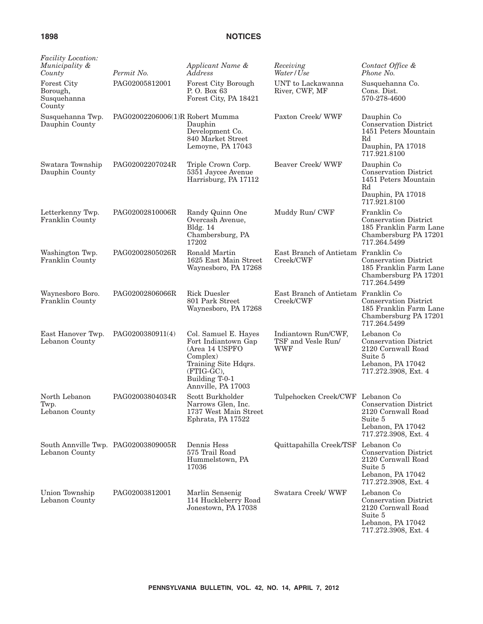| <i>Facility Location:</i><br>Municipality &<br>County   | Permit No.                      | Applicant Name &<br>Address                                                                                                                             | Receiving<br>Water / Use                                | Contact Office &<br>Phone No.                                                                                            |
|---------------------------------------------------------|---------------------------------|---------------------------------------------------------------------------------------------------------------------------------------------------------|---------------------------------------------------------|--------------------------------------------------------------------------------------------------------------------------|
| <b>Forest City</b><br>Borough,<br>Susquehanna<br>County | PAG02005812001                  | Forest City Borough<br>P.O. Box 63<br>Forest City, PA 18421                                                                                             | UNT to Lackawanna<br>River, CWF, MF                     | Susquehanna Co.<br>Cons. Dist.<br>570-278-4600                                                                           |
| Susquehanna Twp.<br>Dauphin County                      | PAG02002206006(1)R Robert Mumma | Dauphin<br>Development Co.<br>840 Market Street<br>Lemoyne, PA 17043                                                                                    | Paxton Creek/WWF                                        | Dauphin Co<br>Conservation District<br>1451 Peters Mountain<br>Rd<br>Dauphin, PA 17018<br>717.921.8100                   |
| Swatara Township<br>Dauphin County                      | PAG02002207024R                 | Triple Crown Corp.<br>5351 Jaycee Avenue<br>Harrisburg, PA 17112                                                                                        | Beaver Creek/WWF                                        | Dauphin Co<br>Conservation District<br>1451 Peters Mountain<br>Rd<br>Dauphin, PA 17018<br>717.921.8100                   |
| Letterkenny Twp.<br>Franklin County                     | PAG02002810006R                 | Randy Quinn One<br>Overcash Avenue,<br><b>Bldg.</b> 14<br>Chambersburg, PA<br>17202                                                                     | Muddy Run/ CWF                                          | Franklin Co<br><b>Conservation District</b><br>185 Franklin Farm Lane<br>Chambersburg PA 17201<br>717.264.5499           |
| Washington Twp.<br>Franklin County                      | PAG02002805026R                 | Ronald Martin<br>1625 East Main Street<br>Waynesboro, PA 17268                                                                                          | East Branch of Antietam Franklin Co<br>Creek/CWF        | <b>Conservation District</b><br>185 Franklin Farm Lane<br>Chambersburg PA 17201<br>717.264.5499                          |
| Waynesboro Boro.<br>Franklin County                     | PAG02002806066R                 | <b>Rick Duesler</b><br>801 Park Street<br>Waynesboro, PA 17268                                                                                          | East Branch of Antietam Franklin Co<br>Creek/CWF        | <b>Conservation District</b><br>185 Franklin Farm Lane<br>Chambersburg PA 17201<br>717.264.5499                          |
| East Hanover Twp.<br>Lebanon County                     | PAG0200380911(4)                | Col. Samuel E. Hayes<br>Fort Indiantown Gap<br>(Area 14 USPFO<br>Complex)<br>Training Site Hdqrs.<br>(FTIG-GC),<br>Building T-0-1<br>Annville, PA 17003 | Indiantown Run/CWF,<br>TSF and Vesle Run/<br><b>WWF</b> | Lebanon Co<br>Conservation District<br>2120 Cornwall Road<br>Suite 5<br>Lebanon, PA 17042<br>717.272.3908, Ext. 4        |
| North Lebanon<br>Twp.<br>Lebanon County                 | PAG02003804034R                 | Scott Burkholder<br>Narrows Glen, Inc.<br>1737 West Main Street<br>Ephrata, PA 17522                                                                    | Tulpehocken Creek/CWF                                   | Lebanon Co<br><b>Conservation District</b><br>2120 Cornwall Road<br>Suite 5<br>Lebanon, PA 17042<br>717.272.3908, Ext. 4 |
| South Annville Twp. PAG02003809005R<br>Lebanon County   |                                 | Dennis Hess<br>575 Trail Road<br>Hummelstown, PA<br>17036                                                                                               | Quittapahilla Creek/TSF                                 | Lebanon Co<br><b>Conservation District</b><br>2120 Cornwall Road<br>Suite 5<br>Lebanon, PA 17042<br>717.272.3908, Ext. 4 |
| Union Township<br>Lebanon County                        | PAG02003812001                  | Marlin Sensenig<br>114 Huckleberry Road<br>Jonestown, PA 17038                                                                                          | Swatara Creek/WWF                                       | Lebanon Co<br><b>Conservation District</b><br>2120 Cornwall Road<br>Suite 5<br>Lebanon, PA 17042<br>717.272.3908, Ext. 4 |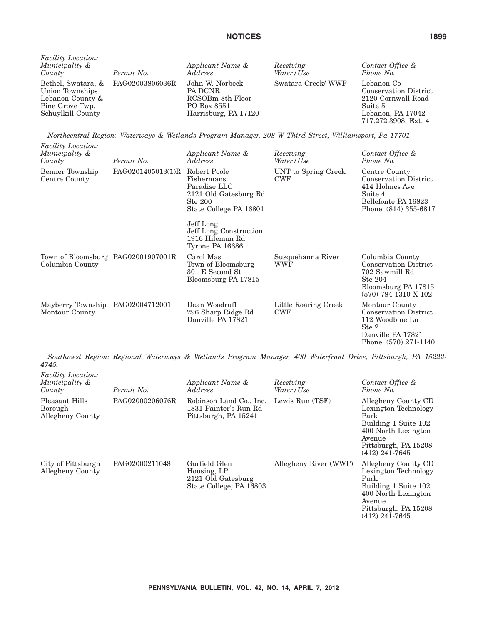| <i>Facility Location:</i><br>Municipality &<br>County                       | Permit No.                         | Applicant Name &<br>Address                                                           | Receiving<br>Water/Use | Contact Office &<br>Phone No.                                                                                            |
|-----------------------------------------------------------------------------|------------------------------------|---------------------------------------------------------------------------------------|------------------------|--------------------------------------------------------------------------------------------------------------------------|
| Union Townships<br>Lebanon County &<br>Pine Grove Twp.<br>Schuylkill County | Bethel, Swatara, & PAG02003806036R | John W. Norbeck<br>PA DCNR<br>RCSOBm 8th Floor<br>PO Box 8551<br>Harrisburg, PA 17120 | Swatara Creek/WWF      | Lebanon Co<br><b>Conservation District</b><br>2120 Cornwall Road<br>Suite 5<br>Lebanon, PA 17042<br>717.272.3908, Ext. 4 |

*Northcentral Region: Waterways & Wetlands Program Manager, 208 W Third Street, Williamsport, Pa 17701*

| <i>Facility Location:</i><br>Municipality &<br>County | Permit No.                     | Applicant Name &<br>Address                                                              | Receiving<br>Water/Use             | Contact Office &<br>Phone No.                                                                                                 |
|-------------------------------------------------------|--------------------------------|------------------------------------------------------------------------------------------|------------------------------------|-------------------------------------------------------------------------------------------------------------------------------|
| Benner Township<br>Centre County                      | PAG0201405013(1)R Robert Poole | Fishermans<br>Paradise LLC<br>2121 Old Gatesburg Rd<br>Ste 200<br>State College PA 16801 | UNT to Spring Creek<br><b>CWF</b>  | Centre County<br><b>Conservation District</b><br>414 Holmes Ave<br>Suite 4<br>Bellefonte PA 16823<br>Phone: (814) 355-6817    |
|                                                       |                                | Jeff Long<br>Jeff Long Construction<br>1916 Hileman Rd<br>Tyrone PA 16686                |                                    |                                                                                                                               |
| Town of Bloomsburg PAG02001907001R<br>Columbia County |                                | Carol Mas<br>Town of Bloomsburg<br>301 E Second St<br>Bloomsburg PA 17815                | Susquehanna River<br>WWF           | Columbia County<br><b>Conservation District</b><br>702 Sawmill Rd<br>Ste 204<br>Bloomsburg PA 17815<br>$(570)$ 784-1310 X 102 |
| Mayberry Township<br>Montour County                   | PAG02004712001                 | Dean Woodruff<br>296 Sharp Ridge Rd<br>Danville PA 17821                                 | Little Roaring Creek<br><b>CWF</b> | Montour County<br><b>Conservation District</b><br>112 Woodbine Ln<br>Ste 2<br>Danville PA 17821<br>Phone: (570) 271-1140      |

*Southwest Region: Regional Waterways & Wetlands Program Manager, 400 Waterfront Drive, Pittsburgh, PA 15222- 4745.*

| <b>Facility Location:</b><br>Municipality &<br>County | Permit No.      | Applicant Name &<br><i>Address</i>                                            | Receiving<br>Water/Use | Contact Office &<br>Phone No.                                                                                                                            |
|-------------------------------------------------------|-----------------|-------------------------------------------------------------------------------|------------------------|----------------------------------------------------------------------------------------------------------------------------------------------------------|
| Pleasant Hills<br>Borough<br>Allegheny County         | PAG02000206076R | Robinson Land Co., Inc.<br>1831 Painter's Run Rd<br>Pittsburgh, PA 15241      | Lewis Run (TSF)        | Allegheny County CD<br>Lexington Technology<br>Park<br>Building 1 Suite 102<br>400 North Lexington<br>Avenue<br>Pittsburgh, PA 15208<br>$(412)$ 241-7645 |
| City of Pittsburgh<br>Allegheny County                | PAG02000211048  | Garfield Glen<br>Housing, LP<br>2121 Old Gatesburg<br>State College, PA 16803 | Allegheny River (WWF)  | Allegheny County CD<br>Lexington Technology<br>Park<br>Building 1 Suite 102<br>400 North Lexington<br>Avenue<br>Pittsburgh, PA 15208<br>$(412)$ 241-7645 |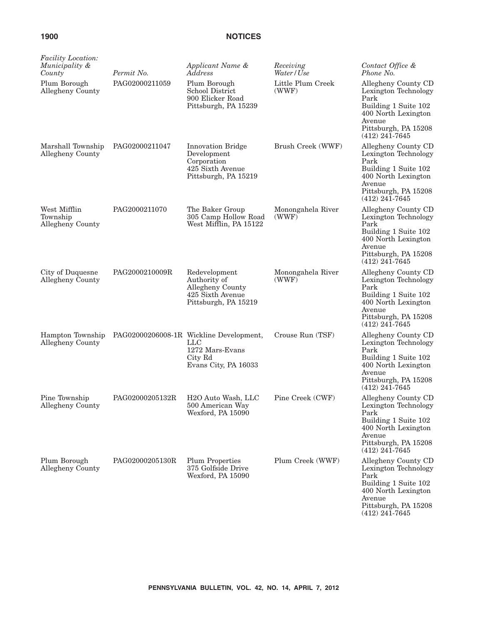| Facility Location:<br>Municipality &<br>County | Permit No.      | Applicant Name &<br>Address                                                                                   | Receiving<br>Water/Use     | Contact Office &<br>Phone No.                                                                                                                            |
|------------------------------------------------|-----------------|---------------------------------------------------------------------------------------------------------------|----------------------------|----------------------------------------------------------------------------------------------------------------------------------------------------------|
| Plum Borough<br>Allegheny County               | PAG02000211059  | Plum Borough<br>School District<br>900 Elicker Road<br>Pittsburgh, PA 15239                                   | Little Plum Creek<br>(WWF) | Allegheny County CD<br>Lexington Technology<br>Park<br>Building 1 Suite 102<br>400 North Lexington<br>Avenue<br>Pittsburgh, PA 15208<br>$(412)$ 241-7645 |
| Marshall Township<br>Allegheny County          | PAG02000211047  | <b>Innovation Bridge</b><br>Development<br>Corporation<br>425 Sixth Avenue<br>Pittsburgh, PA 15219            | Brush Creek (WWF)          | Allegheny County CD<br>Lexington Technology<br>Park<br>Building 1 Suite 102<br>400 North Lexington<br>Avenue<br>Pittsburgh, PA 15208<br>$(412)$ 241-7645 |
| West Mifflin<br>Township<br>Allegheny County   | PAG2000211070   | The Baker Group<br>305 Camp Hollow Road<br>West Mifflin, PA 15122                                             | Monongahela River<br>(WWF) | Allegheny County CD<br>Lexington Technology<br>Park<br>Building 1 Suite 102<br>400 North Lexington<br>Avenue<br>Pittsburgh, PA 15208<br>$(412)$ 241-7645 |
| City of Duquesne<br>Allegheny County           | PAG2000210009R  | Redevelopment<br>Authority of<br>Allegheny County<br>425 Sixth Avenue<br>Pittsburgh, PA 15219                 | Monongahela River<br>(WWF) | Allegheny County CD<br>Lexington Technology<br>Park<br>Building 1 Suite 102<br>400 North Lexington<br>Avenue<br>Pittsburgh, PA 15208<br>$(412)$ 241-7645 |
| Hampton Township<br>Allegheny County           |                 | PAG02000206008-1R Wickline Development,<br>$_{\rm LLC}$<br>1272 Mars-Evans<br>City Rd<br>Evans City, PA 16033 | Crouse Run (TSF)           | Allegheny County CD<br>Lexington Technology<br>Park<br>Building 1 Suite 102<br>400 North Lexington<br>Avenue<br>Pittsburgh, PA 15208<br>$(412)$ 241-7645 |
| Pine Township<br>Allegheny County              | PAG02000205132R | H <sub>2</sub> O Auto Wash, LLC<br>500 American Way<br>Wexford, PA 15090                                      | Pine Creek (CWF)           | Allegheny County CD<br>Lexington Technology<br>Park<br>Building 1 Suite 102<br>400 North Lexington<br>Avenue<br>Pittsburgh, PA 15208<br>$(412)$ 241-7645 |
| Plum Borough<br>Allegheny County               | PAG02000205130R | <b>Plum Properties</b><br>375 Golfside Drive<br>Wexford, PA 15090                                             | Plum Creek (WWF)           | Allegheny County CD<br>Lexington Technology<br>Park<br>Building 1 Suite 102<br>400 North Lexington<br>Avenue<br>Pittsburgh, PA 15208<br>$(412)$ 241-7645 |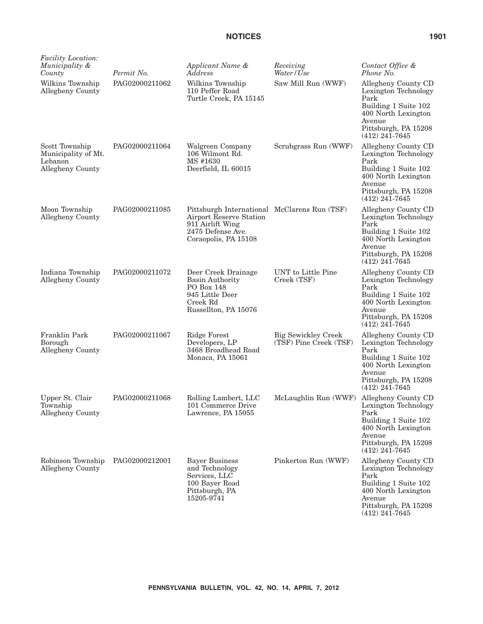| <i>Facility Location:</i><br>Municipality &<br>County                | Permit No.     | Applicant Name &<br>Address                                                                                                                     | Receiving<br>Water / Use                             | Contact Office &<br>Phone No.                                                                                                                            |
|----------------------------------------------------------------------|----------------|-------------------------------------------------------------------------------------------------------------------------------------------------|------------------------------------------------------|----------------------------------------------------------------------------------------------------------------------------------------------------------|
| Wilkins Township<br>Allegheny County                                 | PAG02000211062 | Wilkins Township<br>110 Peffer Road<br>Turtle Creek, PA 15145                                                                                   | Saw Mill Run (WWF)                                   | Allegheny County CD<br>Lexington Technology<br>Park<br>Building 1 Suite 102<br>400 North Lexington<br>Avenue<br>Pittsburgh, PA 15208<br>$(412)$ 241-7645 |
| Scott Township<br>Municipality of Mt.<br>Lebanon<br>Allegheny County | PAG02000211064 | Walgreen Company<br>106 Wilmont Rd.<br>MS #1630<br>Deerfield, IL 60015                                                                          | Scrubgrass Run (WWF)                                 | Allegheny County CD<br>Lexington Technology<br>Park<br>Building 1 Suite 102<br>400 North Lexington<br>Avenue<br>Pittsburgh, PA 15208<br>$(412)$ 241-7645 |
| Moon Township<br>Allegheny County                                    | PAG02000211085 | Pittsburgh International McClarens Run (TSF)<br><b>Airport Reserve Station</b><br>911 Airlift Wing<br>2475 Defense Ave.<br>Coraopolis, PA 15108 |                                                      | Allegheny County CD<br>Lexington Technology<br>Park<br>Building 1 Suite 102<br>400 North Lexington<br>Avenue<br>Pittsburgh, PA 15208<br>$(412)$ 241-7645 |
| Indiana Township<br>Allegheny County                                 | PAG02000211072 | Deer Creek Drainage<br><b>Basin Authority</b><br>PO Box 148<br>945 Little Deer<br>Creek Rd<br>Russellton, PA 15076                              | UNT to Little Pine<br>Creek (TSF)                    | Allegheny County CD<br>Lexington Technology<br>Park<br>Building 1 Suite 102<br>400 North Lexington<br>Avenue<br>Pittsburgh, PA 15208<br>$(412)$ 241-7645 |
| Franklin Park<br>Borough<br>Allegheny County                         | PAG02000211067 | <b>Ridge Forest</b><br>Developers, LP<br>3468 Broadhead Road<br>Monaca, PA 15061                                                                | <b>Big Sewickley Creek</b><br>(TSF) Pine Creek (TSF) | Allegheny County CD<br>Lexington Technology<br>Park<br>Building 1 Suite 102<br>400 North Lexington<br>Avenue<br>Pittsburgh, PA 15208<br>$(412)$ 241-7645 |
| Upper St. Clair<br>Township<br>Allegheny County                      | PAG02000211068 | Rolling Lambert, LLC<br>101 Commerce Drive<br>Lawrence, PA 15055                                                                                | McLaughlin Run (WWF)                                 | Allegheny County CD<br>Lexington Technology<br>Park<br>Building 1 Suite 102<br>400 North Lexington<br>Avenue<br>Pittsburgh, PA 15208<br>$(412)$ 241-7645 |
| Robinson Township<br>Allegheny County                                | PAG02000212001 | <b>Bayer Business</b><br>and Technology<br>Services, LLC<br>100 Bayer Road<br>Pittsburgh, PA<br>15205-9741                                      | Pinkerton Run (WWF)                                  | Allegheny County CD<br>Lexington Technology<br>Park<br>Building 1 Suite 102<br>400 North Lexington<br>Avenue<br>Pittsburgh, PA 15208<br>$(412)$ 241-7645 |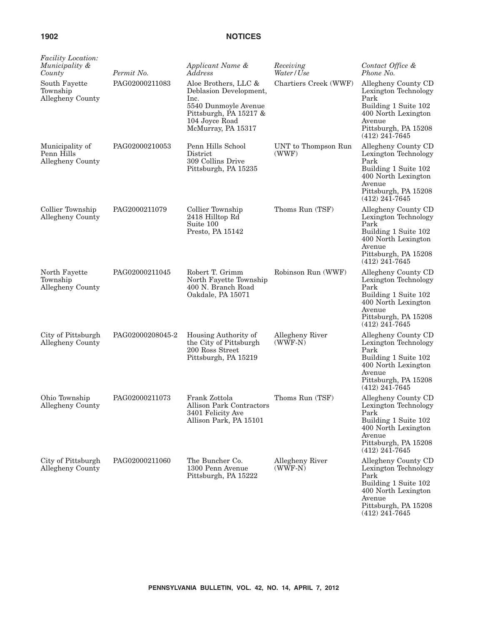| <i>Facility Location:</i><br>Municipality &<br>County | Permit No.       | Applicant Name &<br>Address                                                                                                                      | Receiving<br>Water/Use       | Contact Office &<br>Phone No.                                                                                                                            |
|-------------------------------------------------------|------------------|--------------------------------------------------------------------------------------------------------------------------------------------------|------------------------------|----------------------------------------------------------------------------------------------------------------------------------------------------------|
| South Fayette<br>Township<br>Allegheny County         | PAG02000211083   | Aloe Brothers, LLC &<br>Deblasion Development,<br>Inc.<br>5540 Dunmoyle Avenue<br>Pittsburgh, PA 15217 &<br>104 Joyce Road<br>McMurray, PA 15317 | Chartiers Creek (WWF)        | Allegheny County CD<br>Lexington Technology<br>Park<br>Building 1 Suite 102<br>400 North Lexington<br>Avenue<br>Pittsburgh, PA 15208<br>$(412)$ 241-7645 |
| Municipality of<br>Penn Hills<br>Allegheny County     | PAG02000210053   | Penn Hills School<br>District<br>309 Collins Drive<br>Pittsburgh, PA 15235                                                                       | UNT to Thompson Run<br>(WWF) | Allegheny County CD<br>Lexington Technology<br>Park<br>Building 1 Suite 102<br>400 North Lexington<br>Avenue<br>Pittsburgh, PA 15208<br>$(412)$ 241-7645 |
| Collier Township<br>Allegheny County                  | PAG2000211079    | Collier Township<br>2418 Hilltop Rd<br>Suite 100<br>Presto, PA 15142                                                                             | Thoms Run (TSF)              | Allegheny County CD<br>Lexington Technology<br>Park<br>Building 1 Suite 102<br>400 North Lexington<br>Avenue<br>Pittsburgh, PA 15208<br>$(412)$ 241-7645 |
| North Fayette<br>Township<br>Allegheny County         | PAG02000211045   | Robert T. Grimm<br>North Fayette Township<br>400 N. Branch Road<br>Oakdale, PA 15071                                                             | Robinson Run (WWF)           | Allegheny County CD<br>Lexington Technology<br>Park<br>Building 1 Suite 102<br>400 North Lexington<br>Avenue<br>Pittsburgh, PA 15208<br>$(412)$ 241-7645 |
| City of Pittsburgh<br>Allegheny County                | PAG02000208045-2 | Housing Authority of<br>the City of Pittsburgh<br>200 Ross Street<br>Pittsburgh, PA 15219                                                        | Allegheny River<br>$(WWF-N)$ | Allegheny County CD<br>Lexington Technology<br>Park<br>Building 1 Suite 102<br>400 North Lexington<br>Avenue<br>Pittsburgh, PA 15208<br>$(412)$ 241-7645 |
| Ohio Township<br>Allegheny County                     | PAG02000211073   | Frank Zottola<br>Allison Park Contractors<br>3401 Felicity Ave<br>Allison Park, PA 15101                                                         | Thoms Run (TSF)              | Allegheny County CD<br>Lexington Technology<br>Park<br>Building 1 Suite 102<br>400 North Lexington<br>Avenue<br>Pittsburgh, PA 15208<br>$(412)$ 241-7645 |
| City of Pittsburgh<br>Allegheny County                | PAG02000211060   | The Buncher Co.<br>1300 Penn Avenue<br>Pittsburgh, PA 15222                                                                                      | Allegheny River<br>$(WWF-N)$ | Allegheny County CD<br>Lexington Technology<br>Park<br>Building 1 Suite 102<br>400 North Lexington<br>Avenue<br>Pittsburgh, PA 15208<br>$(412)$ 241-7645 |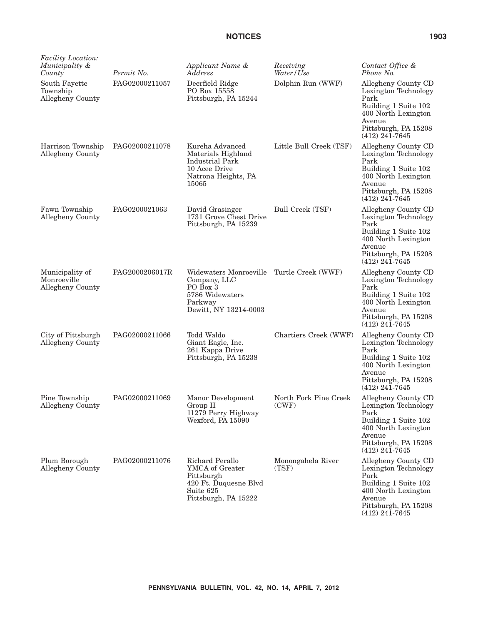| Facility Location:<br>Municipality &<br>County     | Permit No.     | Applicant Name &<br>Address                                                                                      | Receiving<br>Water / Use       | Contact Office &<br>Phone No.                                                                                                                            |
|----------------------------------------------------|----------------|------------------------------------------------------------------------------------------------------------------|--------------------------------|----------------------------------------------------------------------------------------------------------------------------------------------------------|
| South Fayette<br>Township<br>Allegheny County      | PAG02000211057 | Deerfield Ridge<br>PO Box 15558<br>Pittsburgh, PA 15244                                                          | Dolphin Run (WWF)              | Allegheny County CD<br>Lexington Technology<br>Park<br>Building 1 Suite 102<br>400 North Lexington<br>Avenue<br>Pittsburgh, PA 15208<br>$(412)$ 241-7645 |
| Harrison Township<br>Allegheny County              | PAG02000211078 | Kureha Advanced<br>Materials Highland<br><b>Industrial Park</b><br>10 Acee Drive<br>Natrona Heights, PA<br>15065 | Little Bull Creek (TSF)        | Allegheny County CD<br>Lexington Technology<br>Park<br>Building 1 Suite 102<br>400 North Lexington<br>Avenue<br>Pittsburgh, PA 15208<br>$(412)$ 241-7645 |
| Fawn Township<br>Allegheny County                  | PAG0200021063  | David Grasinger<br>1731 Grove Chest Drive<br>Pittsburgh, PA 15239                                                | Bull Creek (TSF)               | Allegheny County CD<br>Lexington Technology<br>Park<br>Building 1 Suite 102<br>400 North Lexington<br>Avenue<br>Pittsburgh, PA 15208<br>$(412)$ 241-7645 |
| Municipality of<br>Monroeville<br>Allegheny County | PAG2000206017R | Widewaters Monroeville<br>Company, LLC<br>PO Box 3<br>5786 Widewaters<br>Parkway<br>Dewitt, NY 13214-0003        | Turtle Creek (WWF)             | Allegheny County CD<br>Lexington Technology<br>Park<br>Building 1 Suite 102<br>400 North Lexington<br>Avenue<br>Pittsburgh, PA 15208<br>$(412)$ 241-7645 |
| City of Pittsburgh<br>Allegheny County             | PAG02000211066 | Todd Waldo<br>Giant Eagle, Inc.<br>261 Kappa Drive<br>Pittsburgh, PA 15238                                       | Chartiers Creek (WWF)          | Allegheny County CD<br>Lexington Technology<br>Park<br>Building 1 Suite 102<br>400 North Lexington<br>Avenue<br>Pittsburgh, PA 15208<br>$(412)$ 241-7645 |
| Pine Township<br>Allegheny County                  | PAG02000211069 | Manor Development<br>Group II<br>11279 Perry Highway<br>Wexford, PA 15090                                        | North Fork Pine Creek<br>(CWF) | Allegheny County CD<br>Lexington Technology<br>Park<br>Building 1 Suite 102<br>400 North Lexington<br>Avenue<br>Pittsburgh, PA 15208<br>$(412)$ 241-7645 |
| Plum Borough<br>Allegheny County                   | PAG02000211076 | Richard Perallo<br>YMCA of Greater<br>Pittsburgh<br>420 Ft. Duquesne Blvd<br>Suite 625<br>Pittsburgh, PA 15222   | Monongahela River<br>(TSF)     | Allegheny County CD<br>Lexington Technology<br>Park<br>Building 1 Suite 102<br>400 North Lexington<br>Avenue<br>Pittsburgh, PA 15208<br>$(412)$ 241-7645 |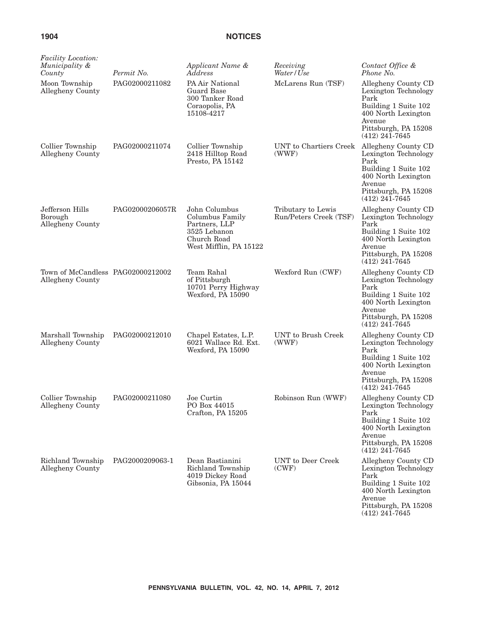| <i>Facility Location:</i><br>Municipality &<br>County | Permit No.      | Applicant Name &<br>Address                                                                                | Receiving<br>Water/Use                       | Contact Office &<br>Phone No.                                                                                                                            |
|-------------------------------------------------------|-----------------|------------------------------------------------------------------------------------------------------------|----------------------------------------------|----------------------------------------------------------------------------------------------------------------------------------------------------------|
| Moon Township<br>Allegheny County                     | PAG02000211082  | PA Air National<br>Guard Base<br>300 Tanker Road<br>Coraopolis, PA<br>15108-4217                           | McLarens Run (TSF)                           | Allegheny County CD<br>Lexington Technology<br>Park<br>Building 1 Suite 102<br>400 North Lexington<br>Avenue<br>Pittsburgh, PA 15208<br>$(412)$ 241-7645 |
| Collier Township<br>Allegheny County                  | PAG02000211074  | Collier Township<br>2418 Hilltop Road<br>Presto, PA 15142                                                  | UNT to Chartiers Creek<br>(WWF)              | Allegheny County CD<br>Lexington Technology<br>Park<br>Building 1 Suite 102<br>400 North Lexington<br>Avenue<br>Pittsburgh, PA 15208<br>$(412)$ 241-7645 |
| Jefferson Hills<br>Borough<br>Allegheny County        | PAG02000206057R | John Columbus<br>Columbus Family<br>Partners, LLP<br>3525 Lebanon<br>Church Road<br>West Mifflin, PA 15122 | Tributary to Lewis<br>Run/Peters Creek (TSF) | Allegheny County CD<br>Lexington Technology<br>Park<br>Building 1 Suite 102<br>400 North Lexington<br>Avenue<br>Pittsburgh, PA 15208<br>$(412)$ 241-7645 |
| Town of McCandless PAG02000212002<br>Allegheny County |                 | Team Rahal<br>of Pittsburgh<br>10701 Perry Highway<br>Wexford, PA 15090                                    | Wexford Run (CWF)                            | Allegheny County CD<br>Lexington Technology<br>Park<br>Building 1 Suite 102<br>400 North Lexington<br>Avenue<br>Pittsburgh, PA 15208<br>$(412)$ 241-7645 |
| Marshall Township<br>Allegheny County                 | PAG02000212010  | Chapel Estates, L.P.<br>6021 Wallace Rd. Ext.<br>Wexford, PA 15090                                         | UNT to Brush Creek<br>(WWF)                  | Allegheny County CD<br>Lexington Technology<br>Park<br>Building 1 Suite 102<br>400 North Lexington<br>Avenue<br>Pittsburgh, PA 15208<br>$(412)$ 241-7645 |
| Collier Township<br>Allegheny County                  | PAG02000211080  | Joe Curtin<br>PO Box 44015<br>Crafton, PA 15205                                                            | Robinson Run (WWF)                           | Allegheny County CD<br>Lexington Technology<br>Park<br>Building 1 Suite 102<br>400 North Lexington<br>Avenue<br>Pittsburgh, PA 15208<br>$(412)$ 241-7645 |
| Richland Township<br>Allegheny County                 | PAG2000209063-1 | Dean Bastianini<br>Richland Township<br>4019 Dickey Road<br>Gibsonia, PA 15044                             | UNT to Deer Creek<br>(CWF)                   | Allegheny County CD<br>Lexington Technology<br>Park<br>Building 1 Suite 102<br>400 North Lexington<br>Avenue<br>Pittsburgh, PA 15208<br>$(412)$ 241-7645 |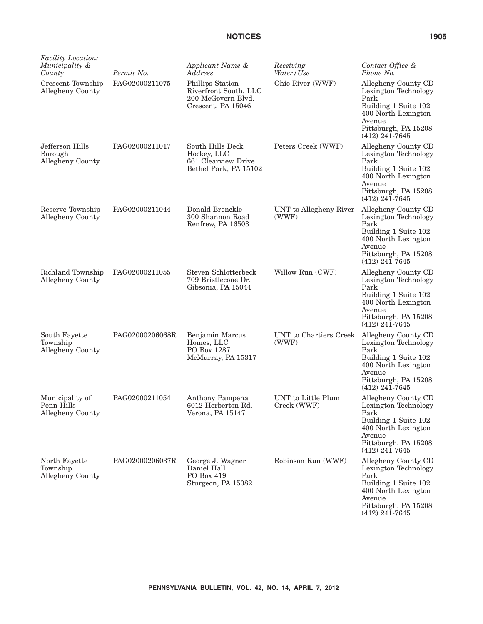| <i>Facility Location:</i><br>Municipality &<br>County | Permit No.      | Applicant Name &<br>Address                                                           | Receiving<br>Water / Use          | Contact Office &<br>Phone No.                                                                                                                            |
|-------------------------------------------------------|-----------------|---------------------------------------------------------------------------------------|-----------------------------------|----------------------------------------------------------------------------------------------------------------------------------------------------------|
| Crescent Township<br>Allegheny County                 | PAG02000211075  | Phillips Station<br>Riverfront South, LLC<br>200 McGovern Blvd.<br>Crescent, PA 15046 | Ohio River (WWF)                  | Allegheny County CD<br>Lexington Technology<br>Park<br>Building 1 Suite 102<br>400 North Lexington<br>Avenue<br>Pittsburgh, PA 15208<br>$(412)$ 241-7645 |
| Jefferson Hills<br>Borough<br>Allegheny County        | PAG02000211017  | South Hills Deck<br>Hockey, LLC<br>661 Clearview Drive<br>Bethel Park, PA 15102       | Peters Creek (WWF)                | Allegheny County CD<br>Lexington Technology<br>Park<br>Building 1 Suite 102<br>400 North Lexington<br>Avenue<br>Pittsburgh, PA 15208<br>$(412)$ 241-7645 |
| Reserve Township<br>Allegheny County                  | PAG02000211044  | Donald Brenckle<br>300 Shannon Road<br>Renfrew, PA 16503                              | UNT to Allegheny River<br>(WWF)   | Allegheny County CD<br>Lexington Technology<br>Park<br>Building 1 Suite 102<br>400 North Lexington<br>Avenue<br>Pittsburgh, PA 15208<br>$(412)$ 241-7645 |
| Richland Township<br>Allegheny County                 | PAG02000211055  | Steven Schlotterbeck<br>709 Bristlecone Dr.<br>Gibsonia, PA 15044                     | Willow Run (CWF)                  | Allegheny County CD<br>Lexington Technology<br>Park<br>Building 1 Suite 102<br>400 North Lexington<br>Avenue<br>Pittsburgh, PA 15208<br>$(412)$ 241-7645 |
| South Fayette<br>Township<br>Allegheny County         | PAG02000206068R | Benjamin Marcus<br>Homes, LLC<br>PO Box 1287<br>McMurray, PA 15317                    | UNT to Chartiers Creek<br>(WWF)   | Allegheny County CD<br>Lexington Technology<br>Park<br>Building 1 Suite 102<br>400 North Lexington<br>Avenue<br>Pittsburgh, PA 15208<br>$(412)$ 241-7645 |
| Municipality of<br>Penn Hills<br>Allegheny County     | PAG02000211054  | Anthony Pampena<br>6012 Herberton Rd.<br>Verona, PA 15147                             | UNT to Little Plum<br>Creek (WWF) | Allegheny County CD<br>Lexington Technology<br>Park<br>Building 1 Suite 102<br>400 North Lexington<br>Avenue<br>Pittsburgh, PA 15208<br>$(412)$ 241-7645 |
| North Fayette<br>Township<br>Allegheny County         | PAG02000206037R | George J. Wagner<br>Daniel Hall<br>PO Box 419<br>Sturgeon, PA 15082                   | Robinson Run (WWF)                | Allegheny County CD<br>Lexington Technology<br>Park<br>Building 1 Suite 102<br>400 North Lexington<br>Avenue<br>Pittsburgh, PA 15208<br>$(412)$ 241-7645 |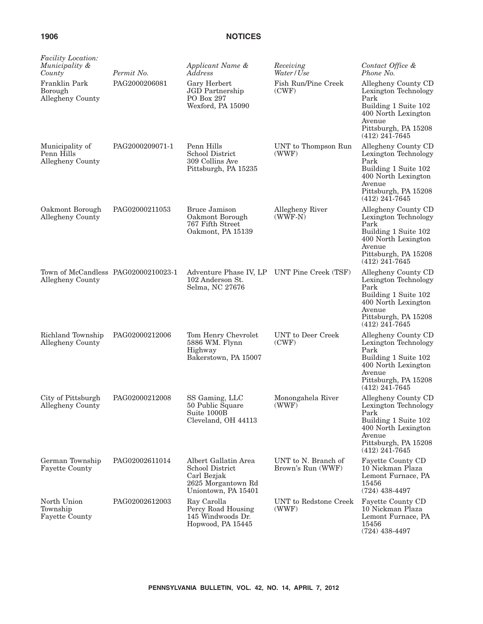*Receiving*

*Contact Office &*

*Applicant Name &*

| <i>Facility Location:</i><br>Municipality &<br>County<br>Franklin Park<br>Borough<br>Allegheny County | Permit No.<br>PAG20002 |
|-------------------------------------------------------------------------------------------------------|------------------------|
| Municipality of<br>Penn Hills<br><b>Allegheny County</b>                                              | PAG20002               |

| County                                                  | Permit No.      | Address                                                                                             | Water/Use                                | Phone No.                                                                                                                                                |
|---------------------------------------------------------|-----------------|-----------------------------------------------------------------------------------------------------|------------------------------------------|----------------------------------------------------------------------------------------------------------------------------------------------------------|
| Franklin Park<br>Borough<br>Allegheny County            | PAG2000206081   | Gary Herbert<br>JGD Partnership<br>PO Box 297<br>Wexford, PA 15090                                  | Fish Run/Pine Creek<br>(CWF)             | Allegheny County CD<br>Lexington Technology<br>Park<br>Building 1 Suite 102<br>400 North Lexington<br>Avenue<br>Pittsburgh, PA 15208<br>$(412)$ 241-7645 |
| Municipality of<br>Penn Hills<br>Allegheny County       | PAG2000209071-1 | Penn Hills<br>School District<br>309 Collins Ave<br>Pittsburgh, PA 15235                            | UNT to Thompson Run<br>(WWF)             | Allegheny County CD<br>Lexington Technology<br>Park<br>Building 1 Suite 102<br>400 North Lexington<br>Avenue<br>Pittsburgh, PA 15208<br>$(412)$ 241-7645 |
| Oakmont Borough<br>Allegheny County                     | PAG02000211053  | <b>Bruce Jamison</b><br>Oakmont Borough<br>767 Fifth Street<br>Oakmont, PA 15139                    | Allegheny River<br>$(WWF-N)$             | Allegheny County CD<br>Lexington Technology<br>Park<br>Building 1 Suite 102<br>400 North Lexington<br>Avenue<br>Pittsburgh, PA 15208<br>$(412)$ 241-7645 |
| Town of McCandless PAG02000210023-1<br>Allegheny County |                 | Adventure Phase IV, LP UNT Pine Creek (TSF)<br>102 Anderson St.<br>Selma, NC 27676                  |                                          | Allegheny County CD<br>Lexington Technology<br>Park<br>Building 1 Suite 102<br>400 North Lexington<br>Avenue<br>Pittsburgh, PA 15208<br>$(412)$ 241-7645 |
| Richland Township<br>Allegheny County                   | PAG02000212006  | Tom Henry Chevrolet<br>5886 WM. Flynn<br>Highway<br>Bakerstown, PA 15007                            | UNT to Deer Creek<br>(CWF)               | Allegheny County CD<br>Lexington Technology<br>Park<br>Building 1 Suite 102<br>400 North Lexington<br>Avenue<br>Pittsburgh, PA 15208<br>$(412)$ 241-7645 |
| City of Pittsburgh<br>Allegheny County                  | PAG02000212008  | SS Gaming, LLC<br>50 Public Square<br>Suite 1000B<br>Cleveland, OH 44113                            | Monongahela River<br>(WWF)               | Allegheny County CD<br>Lexington Technology<br>Park<br>Building 1 Suite 102<br>400 North Lexington<br>Avenue<br>Pittsburgh, PA 15208<br>$(412)$ 241-7645 |
| German Township<br><b>Fayette County</b>                | PAG02002611014  | Albert Gallatin Area<br>School District<br>Carl Bezjak<br>2625 Morgantown Rd<br>Uniontown, PA 15401 | UNT to N. Branch of<br>Brown's Run (WWF) | Fayette County CD<br>10 Nickman Plaza<br>Lemont Furnace, PA<br>15456<br>$(724)$ 438-4497                                                                 |
| North Union<br>Township<br><b>Fayette County</b>        | PAG02002612003  | Ray Carolla<br>Percy Road Housing<br>145 Windwoods Dr.<br>Hopwood, PA 15445                         | UNT to Redstone Creek<br>(WWF)           | Fayette County CD<br>10 Nickman Plaza<br>Lemont Furnace, PA<br>15456<br>$(724)$ 438-4497                                                                 |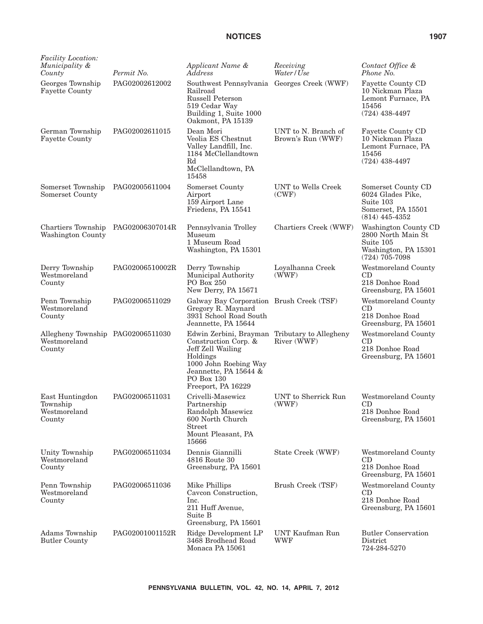| <i>Facility Location:</i><br>Municipality &<br>County       | Permit No.      | Applicant Name &<br>Address                                                                                                                                                                  | Receiving<br>Water / Use                 | Contact Office &<br>Phone No.                                                                       |
|-------------------------------------------------------------|-----------------|----------------------------------------------------------------------------------------------------------------------------------------------------------------------------------------------|------------------------------------------|-----------------------------------------------------------------------------------------------------|
| Georges Township<br><b>Fayette County</b>                   | PAG02002612002  | Southwest Pennsylvania Georges Creek (WWF)<br>Railroad<br>Russell Peterson<br>519 Cedar Way<br>Building 1, Suite 1000<br>Oakmont, PA 15139                                                   |                                          | Fayette County CD<br>10 Nickman Plaza<br>Lemont Furnace, PA<br>15456<br>$(724)$ 438-4497            |
| German Township<br><b>Fayette County</b>                    | PAG02002611015  | Dean Mori<br>Veolia ES Chestnut<br>Valley Landfill, Inc.<br>1184 McClellandtown<br>Rd<br>McClellandtown, PA<br>15458                                                                         | UNT to N. Branch of<br>Brown's Run (WWF) | Fayette County CD<br>10 Nickman Plaza<br>Lemont Furnace, PA<br>15456<br>$(724)$ 438-4497            |
| Somerset Township<br>Somerset County                        | PAG02005611004  | Somerset County<br>Airport<br>159 Airport Lane<br>Friedens, PA 15541                                                                                                                         | UNT to Wells Creek<br>(CWF)              | Somerset County CD<br>6024 Glades Pike,<br>Suite 103<br>Somerset, PA 15501<br>$(814)$ 445-4352      |
| Chartiers Township<br>Washington County                     | PAG02006307014R | Pennsylvania Trolley<br>Museum<br>1 Museum Road<br>Washington, PA 15301                                                                                                                      | Chartiers Creek (WWF)                    | Washington County CD<br>2800 North Main St<br>Suite 105<br>Washington, PA 15301<br>$(724)$ 705-7098 |
| Derry Township<br>Westmoreland<br>County                    | PAG02006510002R | Derry Township<br>Municipal Authority<br>PO Box 250<br>New Derry, PA 15671                                                                                                                   | Loyalhanna Creek<br>(WWF)                | Westmoreland County<br>CD<br>218 Donhoe Road<br>Greensburg, PA 15601                                |
| Penn Township<br>Westmoreland<br>County                     | PAG02006511029  | Galway Bay Corporation Brush Creek (TSF)<br>Gregory R. Maynard<br>3931 School Road South<br>Jeannette, PA 15644                                                                              |                                          | Westmoreland County<br>CD<br>218 Donhoe Road<br>Greensburg, PA 15601                                |
| Allegheny Township PAG02006511030<br>Westmoreland<br>County |                 | Edwin Zerbini, Brayman Tributary to Allegheny<br>Construction Corp. &<br>Jeff Zell Wailing<br>Holdings<br>1000 John Roebing Way<br>Jeannette, PA 15644 &<br>PO Box 130<br>Freeport, PA 16229 | River (WWF)                              | Westmoreland County<br>CD<br>218 Donhoe Road<br>Greensburg, PA 15601                                |
| East Huntingdon<br>Township<br>Westmoreland<br>County       | PAG02006511031  | Crivelli-Masewicz<br>Partnership<br>Randolph Masewicz<br>600 North Church<br>Street<br>Mount Pleasant, PA<br>15666                                                                           | UNT to Sherrick Run<br>(WWF)             | Westmoreland County<br>CD<br>218 Donhoe Road<br>Greensburg, PA 15601                                |
| Unity Township<br>Westmoreland<br>County                    | PAG02006511034  | Dennis Giannilli<br>4816 Route 30<br>Greensburg, PA 15601                                                                                                                                    | State Creek (WWF)                        | Westmoreland County<br>CD<br>218 Donhoe Road<br>Greensburg, PA 15601                                |
| Penn Township<br>Westmoreland<br>County                     | PAG02006511036  | Mike Phillips<br>Cavcon Construction,<br>Inc.<br>211 Huff Avenue,<br>Suite B<br>Greensburg, PA 15601                                                                                         | Brush Creek (TSF)                        | Westmoreland County<br>CD<br>218 Donhoe Road<br>Greensburg, PA 15601                                |
| Adams Township<br><b>Butler County</b>                      | PAG02001001152R | Ridge Development LP<br>3468 Brodhead Road<br>Monaca PA 15061                                                                                                                                | UNT Kaufman Run<br><b>WWF</b>            | <b>Butler Conservation</b><br>District<br>724-284-5270                                              |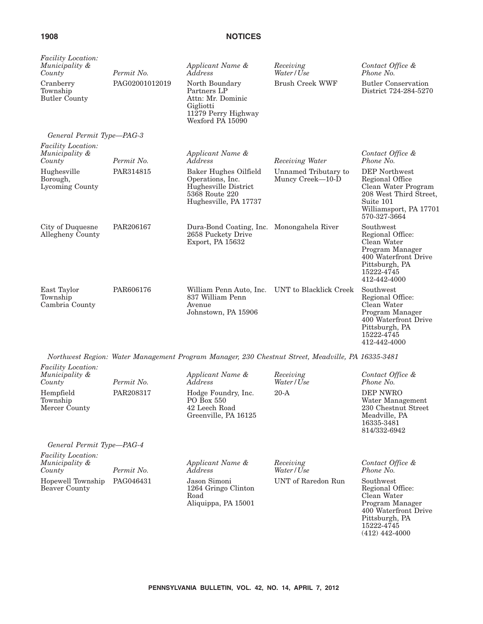| Facility Location:<br>Municipality &<br>County        | Permit No.     | Applicant Name &<br>Address                                                                                  | Receiving<br>Water/Use                   | Contact Office &<br>Phone No.                                                                                                            |
|-------------------------------------------------------|----------------|--------------------------------------------------------------------------------------------------------------|------------------------------------------|------------------------------------------------------------------------------------------------------------------------------------------|
| Cranberry<br>Township<br><b>Butler County</b>         | PAG02001012019 | North Boundary<br>Partners LP<br>Attn: Mr. Dominic<br>Gigliotti<br>11279 Perry Highway<br>Wexford PA 15090   | <b>Brush Creek WWF</b>                   | <b>Butler Conservation</b><br>District 724-284-5270                                                                                      |
| General Permit Type-PAG-3                             |                |                                                                                                              |                                          |                                                                                                                                          |
| <i>Facility Location:</i><br>Municipality &<br>County | Permit No.     | Applicant Name &<br>Address                                                                                  | Receiving Water                          | Contact Office &<br>Phone No.                                                                                                            |
| Hughesville<br>Borough,<br>Lycoming County            | PAR314815      | Baker Hughes Oilfield<br>Operations, Inc.<br>Hughesville District<br>5368 Route 220<br>Hughesville, PA 17737 | Unnamed Tributary to<br>Muncy Creek-10-D | DEP Northwest<br>Regional Office<br>Clean Water Program<br>208 West Third Street,<br>Suite 101<br>Williamsport, PA 17701<br>570-327-3664 |
| City of Duquesne<br>Allegheny County                  | PAR206167      | Dura-Bond Coating, Inc. Monongahela River<br>2658 Puckety Drive<br>Export, PA 15632                          |                                          | Southwest<br>Regional Office:<br>Clean Water<br>Program Manager<br>400 Waterfront Drive<br>Pittsburgh, PA<br>15222-4745<br>412-442-4000  |
| East Taylor<br>Township<br>Cambria County             | PAR606176      | William Penn Auto, Inc.<br>837 William Penn<br>Avenue<br>Johnstown, PA 15906                                 | UNT to Blacklick Creek                   | Southwest<br>Regional Office:<br>Clean Water<br>Program Manager<br>400 Waterfront Drive<br>Pittsburgh, PA<br>15222-4745<br>412-442-4000  |
|                                                       |                | Northwest Region: Water Management Program Manager, 230 Chestnut Street, Meadville, PA 16335-3481            |                                          |                                                                                                                                          |
| Facility Location:<br>Municipality &<br>County        | Permit No.     | Applicant Name &<br>Address                                                                                  | Receiving<br>Water/Use                   | Contact Office &<br>Phone No.                                                                                                            |
| Hempfield<br>Township<br>Mercer County                | PAR208317      | Hodge Foundry, Inc.<br>PO Box 550<br>42 Leech Road<br>Greenville, PA 16125                                   | $20-A$                                   | <b>DEP NWRO</b><br>Water Management<br>230 Chestnut Street<br>Meadville, PA<br>16335-3481<br>814/332-6942                                |
| General Permit Type-PAG-4                             |                |                                                                                                              |                                          |                                                                                                                                          |
| Facility Location:<br>Municipality &<br>County        | Permit No.     | Applicant Name &<br>Address                                                                                  | Receiving<br>Water / Use                 | Contact Office &<br>Phone No.                                                                                                            |
| Hopewell Township<br><b>Beaver County</b>             | PAG046431      | Jason Simoni<br>1264 Gringo Clinton<br>Road<br>Aliquippa, PA 15001                                           | UNT of Raredon Run                       | Southwest<br>Regional Office:<br>Clean Water<br>Program Manager                                                                          |

Program Manager 400 Waterfront Drive Pittsburgh, PA 15222-4745 (412) 442-4000

**PENNSYLVANIA BULLETIN, VOL. 42, NO. 14, APRIL 7, 2012**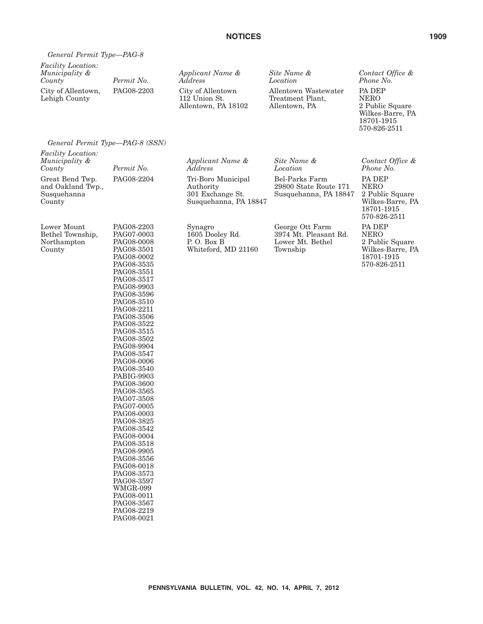| General Permit Type-PAG-8                             |            |                                                           |                                                           |                                                                     |
|-------------------------------------------------------|------------|-----------------------------------------------------------|-----------------------------------------------------------|---------------------------------------------------------------------|
| <i>Facility Location:</i><br>Municipality &<br>County | Permit No. | Applicant Name &<br>Address                               | Site Name &<br>Location                                   | Contact Office &<br>Phone No.                                       |
| City of Allentown,<br>Lehigh County                   | PAG08-2203 | City of Allentown<br>112 Union St.<br>Allentown, PA 18102 | Allentown Wastewater<br>Treatment Plant,<br>Allentown, PA | <b>PA DEP</b><br><b>NERO</b><br>2 Public Square<br>Wilkes-Barre, PA |

# *General Permit Type—PAG-8 (SSN)*

| Facility Location:<br>Municipality &<br>County                | Permit No.                                                                                                                                                                                                                                                                                                                                                                                                                                                                                                                                                                 | Applicant Name &<br>Address                                                  | Site Name &<br>Location                                                  | Contact Office &<br>Phone No.                                                              |
|---------------------------------------------------------------|----------------------------------------------------------------------------------------------------------------------------------------------------------------------------------------------------------------------------------------------------------------------------------------------------------------------------------------------------------------------------------------------------------------------------------------------------------------------------------------------------------------------------------------------------------------------------|------------------------------------------------------------------------------|--------------------------------------------------------------------------|--------------------------------------------------------------------------------------------|
| Great Bend Twp.<br>and Oakland Twp.,<br>Susquehanna<br>County | PAG08-2204                                                                                                                                                                                                                                                                                                                                                                                                                                                                                                                                                                 | Tri-Boro Municipal<br>Authority<br>301 Exchange St.<br>Susquehanna, PA 18847 | Bel-Parks Farm<br>29800 State Route 171<br>Susquehanna, PA 18847         | PA DEP<br><b>NERO</b><br>2 Public Square<br>Wilkes-Barre, PA<br>18701-1915<br>570-826-2511 |
| Lower Mount<br>Bethel Township,<br>Northampton<br>County      | PAG08-2203<br>PAG07-0003<br>PAG08-0008<br>PAG08-3501<br>PAG08-0002<br>PAG08-3535<br>PAG08-3551<br>PAG08-3517<br>PAG08-9903<br>PAG08-3596<br>PAG08-3510<br>PAG08-2211<br>PAG08-3506<br>PAG08-3522<br>PAG08-3515<br>PAG08-3502<br>PAG08-9904<br>PAG08-3547<br>PAG08-0006<br>PAG08-3540<br>PABIG-9903<br>PAG08-3600<br>PAG08-3565<br>PAG07-3508<br>PAG07-0005<br>PAG08-0003<br>PAG08-3825<br>PAG08-3542<br>PAG08-0004<br>PAG08-3518<br>PAG08-9905<br>PAG08-3556<br>PAG08-0018<br>PAG08-3573<br>PAG08-3597<br>WMGR-099<br>PAG08-0011<br>PAG08-3567<br>PAG08-2219<br>PAG08-0021 | Synagro<br>1605 Dooley Rd.<br>P.O. Box B<br>Whiteford, MD 21160              | George Ott Farm<br>3974 Mt. Pleasant Rd.<br>Lower Mt. Bethel<br>Township | PA DEP<br><b>NERO</b><br>2 Public Square<br>Wilkes-Barre, PA<br>18701-1915<br>570-826-2511 |

18701-1915 570-826-2511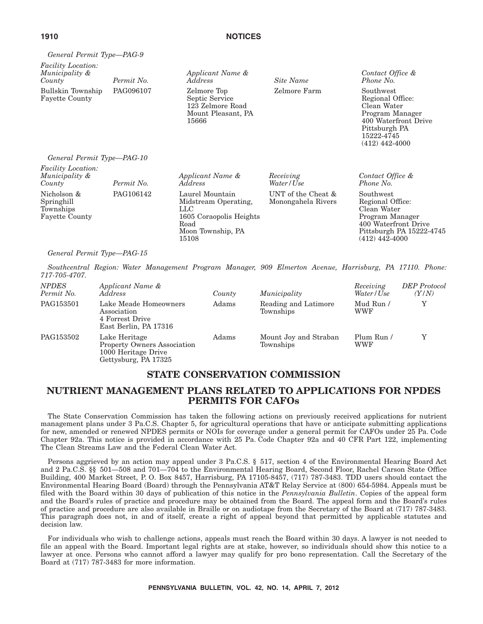| General Permit Type—PAG-9                                       |            |                                                                                                                          |                                          |                                                                                                                                            |
|-----------------------------------------------------------------|------------|--------------------------------------------------------------------------------------------------------------------------|------------------------------------------|--------------------------------------------------------------------------------------------------------------------------------------------|
| <i>Facility Location:</i><br>Municipality &<br>County           | Permit No. | Applicant Name &<br>Address                                                                                              | Site Name                                | Contact Office &<br>Phone No.                                                                                                              |
| Bullskin Township<br><b>Fayette County</b>                      | PAG096107  | Zelmore Top<br>Septic Service<br>123 Zelmore Road<br>Mount Pleasant, PA<br>15666                                         | Zelmore Farm                             | Southwest<br>Regional Office:<br>Clean Water<br>Program Manager<br>400 Waterfront Drive<br>Pittsburgh PA<br>15222-4745<br>$(412)$ 442-4000 |
| General Permit Type-PAG-10                                      |            |                                                                                                                          |                                          |                                                                                                                                            |
| <b>Facility Location:</b><br>Municipality &<br>County           | Permit No. | Applicant Name &<br>Address                                                                                              | Receiving<br>Water/Use                   | Contact Office &<br>Phone No.                                                                                                              |
| Nicholson &<br>Springhill<br>Townships<br><b>Fayette County</b> | PAG106142  | Laurel Mountain<br>Midstream Operating,<br>$_{\rm LLC}$<br>1605 Coraopolis Heights<br>Road<br>Moon Township, PA<br>15108 | UNT of the Cheat &<br>Monongahela Rivers | Southwest<br>Regional Office:<br>Clean Water<br>Program Manager<br>400 Waterfront Drive<br>Pittsburgh PA 15222-4745<br>$(412)$ 442-4000    |

#### *General Permit Type—PAG-15*

*Southcentral Region: Water Management Program Manager, 909 Elmerton Avenue, Harrisburg, PA 17110. Phone: 717-705-4707.*

| NPDES<br>Permit No. | Applicant Name &<br>Address                                                                 | County | Municipality                       | Receiving<br>Water/Use | <b>DEP</b> Protocol<br>(Y/N) |
|---------------------|---------------------------------------------------------------------------------------------|--------|------------------------------------|------------------------|------------------------------|
| PAG153501           | Lake Meade Homeowners<br>Association<br>4 Forrest Drive<br>East Berlin, PA 17316            | Adams  | Reading and Latimore<br>Townships  | Mud Run /<br>WWF       | $\rm v$                      |
| PAG153502           | Lake Heritage<br>Property Owners Association<br>1000 Heritage Drive<br>Gettysburg, PA 17325 | Adams  | Mount Joy and Straban<br>Townships | Plum Run /<br>WWF      |                              |

# **STATE CONSERVATION COMMISSION**

# **NUTRIENT MANAGEMENT PLANS RELATED TO APPLICATIONS FOR NPDES PERMITS FOR CAFOs**

The State Conservation Commission has taken the following actions on previously received applications for nutrient management plans under 3 Pa.C.S. Chapter 5, for agricultural operations that have or anticipate submitting applications for new, amended or renewed NPDES permits or NOIs for coverage under a general permit for CAFOs under 25 Pa. Code Chapter 92a. This notice is provided in accordance with 25 Pa. Code Chapter 92a and 40 CFR Part 122, implementing The Clean Streams Law and the Federal Clean Water Act.

Persons aggrieved by an action may appeal under 3 Pa.C.S. § 517, section 4 of the Environmental Hearing Board Act and 2 Pa.C.S. §§ 501—508 and 701—704 to the Environmental Hearing Board, Second Floor, Rachel Carson State Office Building, 400 Market Street, P. O. Box 8457, Harrisburg, PA 17105-8457, (717) 787-3483. TDD users should contact the Environmental Hearing Board (Board) through the Pennsylvania AT&T Relay Service at (800) 654-5984. Appeals must be filed with the Board within 30 days of publication of this notice in the *Pennsylvania Bulletin*. Copies of the appeal form and the Board's rules of practice and procedure may be obtained from the Board. The appeal form and the Board's rules of practice and procedure are also available in Braille or on audiotape from the Secretary of the Board at (717) 787-3483. This paragraph does not, in and of itself, create a right of appeal beyond that permitted by applicable statutes and decision law.

For individuals who wish to challenge actions, appeals must reach the Board within 30 days. A lawyer is not needed to file an appeal with the Board. Important legal rights are at stake, however, so individuals should show this notice to a lawyer at once. Persons who cannot afford a lawyer may qualify for pro bono representation. Call the Secretary of the Board at (717) 787-3483 for more information.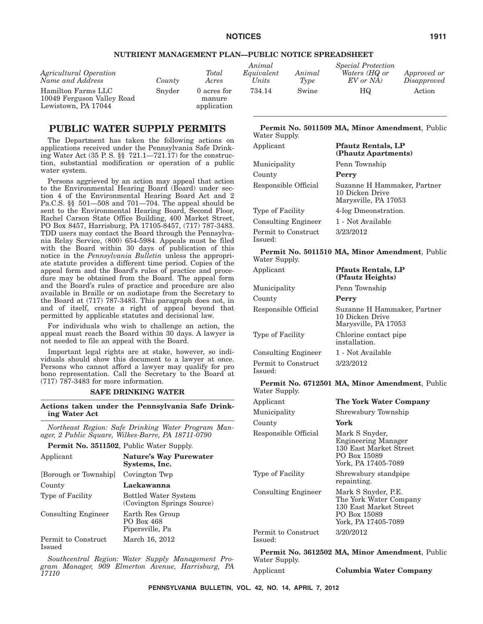#### **NUTRIENT MANAGEMENT PLAN—PUBLIC NOTICE SPREADSHEET**

| Agricultural Operation<br>Name and Address                              | County | Total<br>Acres                       | Animal<br>Equivalent<br>Units | Animal<br>Type | <i>Special Protection</i><br>Waters (HQ or<br>$EV$ or $NA$ ) | Approved or<br>Disapproved |
|-------------------------------------------------------------------------|--------|--------------------------------------|-------------------------------|----------------|--------------------------------------------------------------|----------------------------|
| Hamilton Farms LLC<br>10049 Ferguson Valley Road<br>Lewistown, PA 17044 | Snyder | 0 acres for<br>manure<br>application | 734.14                        | Swine          | HQ                                                           | Action                     |

# **PUBLIC WATER SUPPLY PERMITS**

The Department has taken the following actions on applications received under the Pennsylvania Safe Drinking Water Act (35 P. S. §§ 721.1—721.17) for the construction, substantial modification or operation of a public water system.

Persons aggrieved by an action may appeal that action to the Environmental Hearing Board (Board) under section 4 of the Environmental Hearing Board Act and 2 Pa.C.S. §§ 501—508 and 701—704. The appeal should be sent to the Environmental Hearing Board, Second Floor, Rachel Carson State Office Building, 400 Market Street, PO Box 8457, Harrisburg, PA 17105-8457, (717) 787-3483. TDD users may contact the Board through the Pennsylvania Relay Service, (800) 654-5984. Appeals must be filed with the Board within 30 days of publication of this notice in the *Pennsylvania Bulletin* unless the appropriate statute provides a different time period. Copies of the appeal form and the Board's rules of practice and procedure may be obtained from the Board. The appeal form and the Board's rules of practice and procedure are also available in Braille or on audiotape from the Secretary to the Board at (717) 787-3483. This paragraph does not, in and of itself, create a right of appeal beyond that permitted by applicable statutes and decisional law.

For individuals who wish to challenge an action, the appeal must reach the Board within 30 days. A lawyer is not needed to file an appeal with the Board.

Important legal rights are at stake, however, so individuals should show this document to a lawyer at once. Persons who cannot afford a lawyer may qualify for pro bono representation. Call the Secretary to the Board at (717) 787-3483 for more information.

#### **SAFE DRINKING WATER**

**Actions taken under the Pennsylvania Safe Drinking Water Act**

*Northeast Region: Safe Drinking Water Program Manager, 2 Public Square, Wilkes-Barre, PA 18711-0790*

**Permit No. 3511502**, Public Water Supply.

| Applicant                     | <b>Nature's Way Purewater</b><br>Systems, Inc.            |
|-------------------------------|-----------------------------------------------------------|
| [Borough or Township]         | Covington Twp                                             |
| County                        | Lackawanna                                                |
| Type of Facility              | <b>Bottled Water System</b><br>(Covington Springs Source) |
| <b>Consulting Engineer</b>    | Earth Res Group<br>PO Box 468<br>Pipersville, Pa          |
| Permit to Construct<br>Issued | March 16, 2012                                            |

*Southcentral Region: Water Supply Management Program Manager, 909 Elmerton Avenue, Harrisburg, PA 17110*

#### **Permit No. 5011509 MA, Minor Amendment**, Public Water Supply.

| Applicant                      | <b>Pfautz Rentals, LP</b><br>(Phautz Apartments)                       |
|--------------------------------|------------------------------------------------------------------------|
| Municipality                   | Penn Township                                                          |
| County                         | Perry                                                                  |
| Responsible Official           | Suzanne H Hammaker, Partner<br>10 Dicken Drive<br>Marysville, PA 17053 |
| Type of Facility               | 4-log Dmeonstration.                                                   |
| <b>Consulting Engineer</b>     | 1 - Not Available                                                      |
| Permit to Construct<br>Issued: | 3/23/2012                                                              |

#### **Permit No. 5011510 MA, Minor Amendment**, Public Water Supply.

| Applicant                      | <b>Pfauts Rentals, LP</b><br>(Pfautz Heights)                          |
|--------------------------------|------------------------------------------------------------------------|
| Municipality                   | Penn Township                                                          |
| County                         | Perry                                                                  |
| Responsible Official           | Suzanne H Hammaker, Partner<br>10 Dicken Drive<br>Marysville, PA 17053 |
| Type of Facility               | Chlorine contact pipe<br>installation.                                 |
| <b>Consulting Engineer</b>     | 1 - Not Available                                                      |
| Permit to Construct<br>Issued: | 3/23/2012                                                              |

#### **Permit No. 6712501 MA, Minor Amendment**, Public Water Supply.

| Applicant                      | The York Water Company                                                                                         |
|--------------------------------|----------------------------------------------------------------------------------------------------------------|
| Municipality                   | Shrewsbury Township                                                                                            |
| County                         | York                                                                                                           |
| Responsible Official           | Mark S Snyder,<br><b>Engineering Manager</b><br>130 East Market Street<br>PO Box 15089<br>York, PA 17405-7089  |
| Type of Facility               | Shrewsbury standpipe<br>repainting.                                                                            |
| <b>Consulting Engineer</b>     | Mark S Snyder, P.E.<br>The York Water Company<br>130 East Market Street<br>PO Box 15089<br>York, PA 17405-7089 |
| Permit to Construct<br>Issued: | 3/20/2012                                                                                                      |

**Permit No. 3612502 MA, Minor Amendment**, Public Water Supply. Applicant **Columbia Water Company**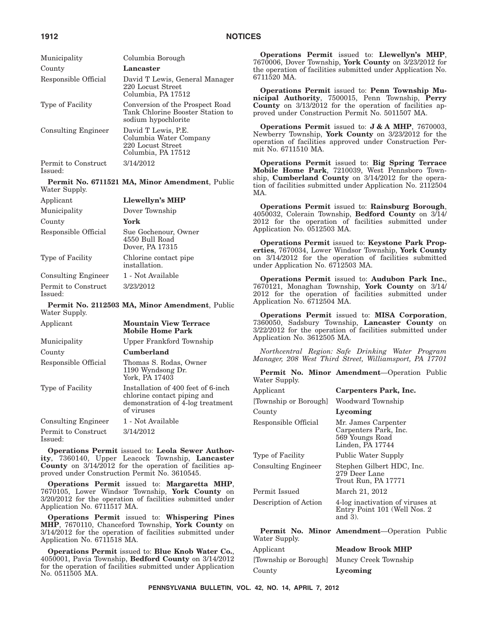| Municipality                   | Columbia Borough                                                                           |
|--------------------------------|--------------------------------------------------------------------------------------------|
| County                         | Lancaster                                                                                  |
| Responsible Official           | David T Lewis, General Manager<br>220 Locust Street<br>Columbia, PA 17512                  |
| Type of Facility               | Conversion of the Prospect Road<br>Tank Chlorine Booster Station to<br>sodium hypochlorite |
| <b>Consulting Engineer</b>     | David T Lewis, P.E.<br>Columbia Water Company<br>220 Locust Street<br>Columbia, PA 17512   |
| Permit to Construct<br>Issued: | 3/14/2012                                                                                  |
| Water Supply.                  | Permit No. 6711521 MA, Minor Amendment, Public                                             |

| Applicant                      | Llewellyn's MHP                                           |
|--------------------------------|-----------------------------------------------------------|
| Municipality                   | Dover Township                                            |
| County                         | York                                                      |
| Responsible Official           | Sue Gochenour, Owner<br>4550 Bull Road<br>Dover, PA 17315 |
| Type of Facility               | Chlorine contact pipe<br>installation.                    |
| <b>Consulting Engineer</b>     | 1 - Not Available                                         |
| Permit to Construct<br>Issued: | 3/23/2012                                                 |

**Permit No. 2112503 MA, Minor Amendment**, Public Water Supply.

| Applicant                      | <b>Mountain View Terrace</b><br><b>Mobile Home Park</b>                                                             |
|--------------------------------|---------------------------------------------------------------------------------------------------------------------|
| Municipality                   | Upper Frankford Township                                                                                            |
| County                         | Cumberland                                                                                                          |
| Responsible Official           | Thomas S. Rodas, Owner<br>1190 Wyndsong Dr.<br>York, PA 17403                                                       |
| Type of Facility               | Installation of 400 feet of 6-inch<br>chlorine contact piping and<br>demonstration of 4-log treatment<br>of viruses |
| <b>Consulting Engineer</b>     | 1 - Not Available                                                                                                   |
| Permit to Construct<br>Issued: | 3/14/2012                                                                                                           |

**Operations Permit** issued to: **Leola Sewer Authority**, 7360140, Upper Leacock Township, **Lancaster County** on 3/14/2012 for the operation of facilities approved under Construction Permit No. 3610545.

**Operations Permit** issued to: **Margaretta MHP**, 7670105, Lower Windsor Township, **York County** on 3/20/2012 for the operation of facilities submitted under Application No. 6711517 MA.

**Operations Permit** issued to: **Whispering Pines MHP**, 7670110, Chanceford Township, **York County** on 3/14/2012 for the operation of facilities submitted under Application No. 6711518 MA.

**Operations Permit** issued to: **Blue Knob Water Co.**, 4050001, Pavia Township, **Bedford County** on 3/14/2012 for the operation of facilities submitted under Application No. 0511505 MA.

**Operations Permit** issued to: **Llewellyn's MHP**, 7670006, Dover Township, **York County** on 3/23/2012 for the operation of facilities submitted under Application No. 6711520 MA.

**Operations Permit** issued to: **Penn Township Municipal Authority**, 7500015, Penn Township, **Perry County** on 3/13/2012 for the operation of facilities approved under Construction Permit No. 5011507 MA.

**Operations Permit** issued to: **J & A MHP**, 7670003, Newberry Township, **York County** on 3/23/2012 for the operation of facilities approved under Construction Permit No. 6711510 MA.

**Operations Permit** issued to: **Big Spring Terrace Mobile Home Park**, 7210039, West Pennsboro Township, **Cumberland County** on 3/14/2012 for the operation of facilities submitted under Application No. 2112504 MA.

**Operations Permit** issued to: **Rainsburg Borough**, 4050032, Colerain Township, **Bedford County** on 3/14/ 2012 for the operation of facilities submitted under Application No. 0512503 MA.

**Operations Permit** issued to: **Keystone Park Properties**, 7670034, Lower Windsor Township, **York County** on 3/14/2012 for the operation of facilities submitted under Application No. 6712503 MA.

**Operations Permit** issued to: **Audubon Park Inc.**, 7670121, Monaghan Township, **York County** on 3/14/ 2012 for the operation of facilities submitted under Application No. 6712504 MA.

**Operations Permit** issued to: **MISA Corporation**, 7360050, Sadsbury Township, **Lancaster County** on 3/22/2012 for the operation of facilities submitted under Application No. 3612505 MA.

*Northcentral Region: Safe Drinking Water Program Manager, 208 West Third Street, Williamsport, PA 17701*

**Permit No. Minor Amendment**—Operation Public Water Supply.

| Applicant                  | Carpenters Park, Inc.                                                               |
|----------------------------|-------------------------------------------------------------------------------------|
| [Township or Borough]      | Woodward Township                                                                   |
| County                     | Lycoming                                                                            |
| Responsible Official       | Mr. James Carpenter<br>Carpenters Park, Inc.<br>569 Youngs Road<br>Linden, PA 17744 |
| Type of Facility           | Public Water Supply                                                                 |
| <b>Consulting Engineer</b> | Stephen Gilbert HDC, Inc.<br>279 Deer Lane<br>Trout Run, PA 17771                   |
| Permit Issued              | March 21, 2012                                                                      |
| Description of Action      | 4-log inactivation of viruses at<br>Entry Point 101 (Well Nos. 2)<br>and $3$ ).     |
| Water Supply.              | <b>Permit No. Minor Amendment</b> —Operation Public                                 |
| Applicant                  | <b>Meadow Brook MHP</b>                                                             |
| [Township or Borough]      | Muncy Creek Township                                                                |

County **Lycoming**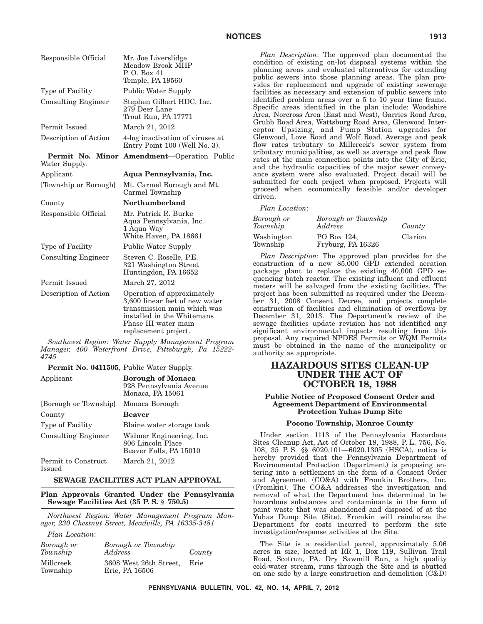| Responsible Official        | Mr. Joe Liverslidge<br>Meadow Brook MHP<br>P.O. Box 41<br>Temple, PA 19560                                                                                                |
|-----------------------------|---------------------------------------------------------------------------------------------------------------------------------------------------------------------------|
| Type of Facility            | Public Water Supply                                                                                                                                                       |
| <b>Consulting Engineer</b>  | Stephen Gilbert HDC, Inc.<br>279 Deer Lane<br>Trout Run, PA 17771                                                                                                         |
| Permit Issued               | March 21, 2012                                                                                                                                                            |
| Description of Action       | 4-log inactivation of viruses at<br>Entry Point 100 (Well No. 3).                                                                                                         |
| Permit No.<br>Water Supply. | Minor Amendment-Operation Public                                                                                                                                          |
| Applicant                   | Aqua Pennsylvania, Inc.                                                                                                                                                   |
| [Township or Borough]       | Mt. Carmel Borough and Mt.<br>Carmel Township                                                                                                                             |
| County                      | <b>Northumberland</b>                                                                                                                                                     |
| Responsible Official        | Mr. Patrick R. Burke<br>Aqua Pennsylvania, Inc.<br>1 Aqua Way<br>White Haven, PA 18661                                                                                    |
| Type of Facility            | Public Water Supply                                                                                                                                                       |
| <b>Consulting Engineer</b>  | Steven C. Roselle, P.E.<br>321 Washington Street<br>Huntingdon, PA 16652                                                                                                  |
| Permit Issued               | March 27, 2012                                                                                                                                                            |
| Description of Action       | Operation of approximately<br>3,600 linear feet of new water<br>transmission main which was<br>installed in the Whitemans<br>Phase III water main<br>replacement project. |

*Southwest Region: Water Supply Management Program Manager, 400 Waterfront Drive, Pittsburgh, Pa 15222- 4745*

**Permit No. 0411505**, Public Water Supply.

| Applicant                     | <b>Borough of Monaca</b><br>928 Pennsylvania Avenue<br>Monaca, PA 15061 |
|-------------------------------|-------------------------------------------------------------------------|
| [Borough or Township]         | Monaca Borough                                                          |
| County                        | <b>Beaver</b>                                                           |
| Type of Facility              | Blaine water storage tank                                               |
| <b>Consulting Engineer</b>    | Widmer Engineering, Inc.<br>806 Lincoln Place<br>Beaver Falls, PA 15010 |
| Permit to Construct<br>Issued | March 21, 2012                                                          |

#### **SEWAGE FACILITIES ACT PLAN APPROVAL**

**Plan Approvals Granted Under the Pennsylvania Sewage Facilities Act (35 P. S. § 750.5)**

*Northwest Region: Water Management Program Manager, 230 Chestnut Street, Meadville, PA 16335-3481*

*Plan Location*:

| Borough or<br>Township | Borough or Township<br>Address           | County |
|------------------------|------------------------------------------|--------|
| Millcreek<br>Township  | 3608 West 26th Street,<br>Erie, PA 16506 | Erie   |

*Plan Description*: The approved plan documented the condition of existing on-lot disposal systems within the planning areas and evaluated alternatives for extending public sewers into those planning areas. The plan provides for replacement and upgrade of existing sewerage facilities as necessary and extension of public sewers into identified problem areas over a 5 to 10 year time frame. Specific areas identified in the plan include: Woodshire Area, Norcross Area (East and West), Garries Road Area, Grubb Road Area, Wattsburg Road Area, Glenwood Interceptor Upsizing, and Pump Station upgrades for Glenwood, Love Road and Wolf Road. Average and peak flow rates tributary to Millcreek's sewer system from tributary municipalities, as well as average and peak flow rates at the main connection points into the City of Erie, and the hydraulic capacities of the major sewer conveyance system were also evaluated. Project detail will be submitted for each project when proposed. Projects will proceed when economically feasible and/or developer driven.

*Plan Location*:

| Borough or<br>Township | Borough or Township<br>Address   | County  |
|------------------------|----------------------------------|---------|
| Washington<br>Township | PO Box 124.<br>Fryburg, PA 16326 | Clarion |

*Plan Description*: The approved plan provides for the construction of a new 85,000 GPD extended aeration package plant to replace the existing 40,000 GPD sequencing batch reactor. The existing influent and effluent meters will be salvaged from the existing facilities. The project has been submitted as required under the December 31, 2008 Consent Decree, and projects complete construction of facilities and elimination of overflows by December 31, 2013. The Department's review of the sewage facilities update revision has not identified any significant environmental impacts resulting from this proposal. Any required NPDES Permits or WQM Permits must be obtained in the name of the municipality or authority as appropriate.

# **HAZARDOUS SITES CLEAN-UP UNDER THE ACT OF OCTOBER 18, 1988**

#### **Public Notice of Proposed Consent Order and Agreement Department of Environmental Protection Yuhas Dump Site**

#### **Pocono Township, Monroe County**

Under section 1113 of the Pennsylvania Hazardous Sites Cleanup Act, Act of October 18, 1988, P. L. 756, No. 108, 35 P. S. §§ 6020.101—6020.1305 (HSCA), notice is hereby provided that the Pennsylvania Department of Environmental Protection (Department) is proposing entering into a settlement in the form of a Consent Order and Agreement (CO&A) with Fromkin Brothers, Inc. (Fromkin). The CO&A addresses the investigation and removal of what the Department has determined to be hazardous substances and contaminants in the form of paint waste that was abandoned and disposed of at the Yuhas Dump Site (Site). Fromkin will reimburse the Department for costs incurred to perform the site investigation/response activities at the Site.

The Site is a residential parcel, approximately 5.06 acres in size, located at RR 1, Box 119, Sullivan Trail Road, Scotrun, PA. Dry Sawmill Run, a high quality cold-water stream, runs through the Site and is abutted on one side by a large construction and demolition (C&D)

**PENNSYLVANIA BULLETIN, VOL. 42, NO. 14, APRIL 7, 2012**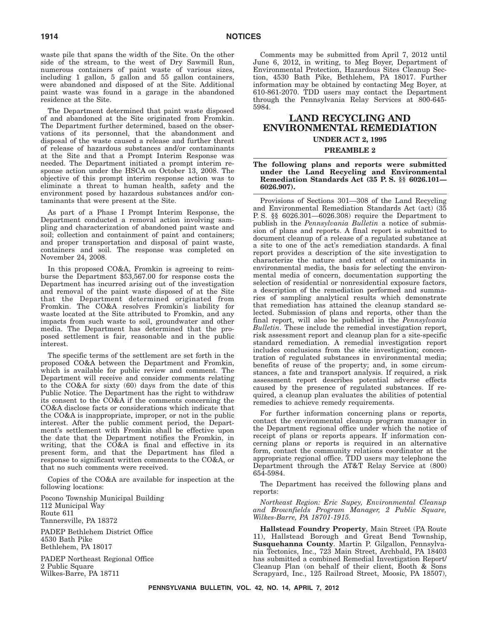waste pile that spans the width of the Site. On the other side of the stream, to the west of Dry Sawmill Run, numerous containers of paint waste of various sizes, including 1 gallon, 5 gallon and 55 gallon containers, were abandoned and disposed of at the Site. Additional paint waste was found in a garage in the abandoned residence at the Site.

The Department determined that paint waste disposed of and abandoned at the Site originated from Fromkin. The Department further determined, based on the observations of its personnel, that the abandonment and disposal of the waste caused a release and further threat of release of hazardous substances and/or contaminants at the Site and that a Prompt Interim Response was needed. The Department initiated a prompt interim response action under the HSCA on October 13, 2008. The objective of this prompt interim response action was to eliminate a threat to human health, safety and the environment posed by hazardous substances and/or contaminants that were present at the Site.

As part of a Phase I Prompt Interim Response, the Department conducted a removal action involving sampling and characterization of abandoned paint waste and soil; collection and containment of paint and containers; and proper transportation and disposal of paint waste, containers and soil. The response was completed on November 24, 2008.

In this proposed CO&A, Fromkin is agreeing to reimburse the Department \$53,567.00 for response costs the Department has incurred arising out of the investigation and removal of the paint waste disposed of at the Site that the Department determined originated from Fromkin. The CO&A resolves Fromkin's liability for waste located at the Site attributed to Fromkin, and any impacts from such waste to soil, groundwater and other media. The Department has determined that the proposed settlement is fair, reasonable and in the public interest.

The specific terms of the settlement are set forth in the proposed CO&A between the Department and Fromkin, which is available for public review and comment. The Department will receive and consider comments relating to the CO&A for sixty (60) days from the date of this Public Notice. The Department has the right to withdraw its consent to the CO&A if the comments concerning the CO&A disclose facts or considerations which indicate that the CO&A is inappropriate, improper, or not in the public interest. After the public comment period, the Department's settlement with Fromkin shall be effective upon the date that the Department notifies the Fromkin, in writing, that the CO&A is final and effective in its present form, and that the Department has filed a response to significant written comments to the CO&A, or that no such comments were received.

Copies of the CO&A are available for inspection at the following locations:

Pocono Township Municipal Building 112 Municipal Way Route 611 Tannersville, PA 18372

PADEP Bethlehem District Office 4530 Bath Pike Bethlehem, PA 18017

PADEP Northeast Regional Office 2 Public Square Wilkes-Barre, PA 18711

Comments may be submitted from April 7, 2012 until June 6, 2012, in writing, to Meg Boyer, Department of Environmental Protection, Hazardous Sites Cleanup Section, 4530 Bath Pike, Bethlehem, PA 18017. Further information may be obtained by contacting Meg Boyer, at 610-861-2070. TDD users may contact the Department through the Pennsylvania Relay Services at 800-645- 5984.

# **LAND RECYCLING AND ENVIRONMENTAL REMEDIATION**

#### **UNDER ACT 2, 1995**

#### **PREAMBLE 2**

#### **The following plans and reports were submitted under the Land Recycling and Environmental Remediation Standards Act (35 P. S. §§ 6026.101— 6026.907).**

Provisions of Sections 301—308 of the Land Recycling and Environmental Remediation Standards Act (act) (35 P. S. §§ 6026.301—6026.308) require the Department to publish in the *Pennsylvania Bulletin* a notice of submission of plans and reports. A final report is submitted to document cleanup of a release of a regulated substance at a site to one of the act's remediation standards. A final report provides a description of the site investigation to characterize the nature and extent of contaminants in environmental media, the basis for selecting the environmental media of concern, documentation supporting the selection of residential or nonresidential exposure factors, a description of the remediation performed and summaries of sampling analytical results which demonstrate that remediation has attained the cleanup standard selected. Submission of plans and reports, other than the final report, will also be published in the *Pennsylvania Bulletin*. These include the remedial investigation report, risk assessment report and cleanup plan for a site-specific standard remediation. A remedial investigation report includes conclusions from the site investigation; concentration of regulated substances in environmental media; benefits of reuse of the property; and, in some circumstances, a fate and transport analysis. If required, a risk assessment report describes potential adverse effects caused by the presence of regulated substances. If required, a cleanup plan evaluates the abilities of potential remedies to achieve remedy requirements.

For further information concerning plans or reports, contact the environmental cleanup program manager in the Department regional office under which the notice of receipt of plans or reports appears. If information concerning plans or reports is required in an alternative form, contact the community relations coordinator at the appropriate regional office. TDD users may telephone the Department through the AT&T Relay Service at (800) 654-5984.

The Department has received the following plans and reports:

*Northeast Region: Eric Supey, Environmental Cleanup and Brownfields Program Manager, 2 Public Square, Wilkes-Barre, PA 18701-1915.*

**Hallstead Foundry Property**, Main Street (PA Route 11), Hallstead Borough and Great Bend Township, **Susquehanna County**. Martin P. Gilgallon, Pennsylvania Tectonics, Inc., 723 Main Street, Archbald, PA 18403 has submitted a combined Remedial Investigation Report/ Cleanup Plan (on behalf of their client, Booth & Sons Scrapyard, Inc., 125 Railroad Street, Moosic, PA 18507),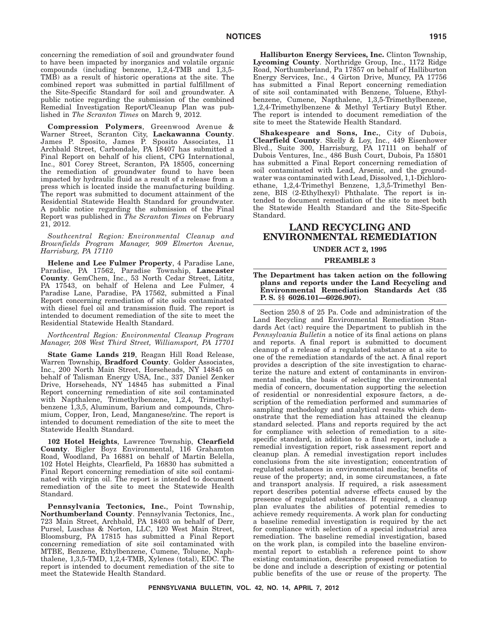concerning the remediation of soil and groundwater found to have been impacted by inorganics and volatile organic compounds (including benzene, 1,2,4-TMB and 1,3,5- TMB) as a result of historic operations at the site. The combined report was submitted in partial fulfillment of the Site-Specific Standard for soil and groundwater. A public notice regarding the submission of the combined Remedial Investigation Report/Cleanup Plan was published in *The Scranton Times* on March 9, 2012.

**Compression Polymers**, Greenwood Avenue & Warner Street, Scranton City, **Lackawanna County**. James P. Sposito, James P. Sposito Associates, 11 Archbald Street, Carbondale, PA 18407 has submitted a Final Report on behalf of his client, CPG International, Inc., 801 Corey Street, Scranton, PA 18505, concerning the remediation of groundwater found to have been impacted by hydraulic fluid as a result of a release from a press which is located inside the manufacturing building. The report was submitted to document attainment of the Residential Statewide Health Standard for groundwater. A public notice regarding the submission of the Final Report was published in *The Scranton Times* on February 21, 2012.

*Southcentral Region: Environmental Cleanup and Brownfields Program Manager, 909 Elmerton Avenue, Harrisburg, PA 17110*

**Helene and Lee Fulmer Property**, 4 Paradise Lane, Paradise, PA 17562, Paradise Township, **Lancaster County**. GemChem, Inc., 53 North Cedar Street, Lititz, PA 17543, on behalf of Helena and Lee Fulmer, 4 Paradise Lane, Paradise, PA 17562, submitted a Final Report concerning remediation of site soils contaminated with diesel fuel oil and transmission fluid. The report is intended to document remediation of the site to meet the Residential Statewide Health Standard.

#### *Northcentral Region: Environmental Cleanup Program Manager, 208 West Third Street, Williamsport, PA 17701*

**State Game Lands 219**, Reagan Hill Road Release, Warren Township, **Bradford County**. Golder Associates, Inc., 200 North Main Street, Horseheads, NY 14845 on behalf of Talisman Energy USA, Inc., 337 Daniel Zenker Drive, Horseheads, NY 14845 has submitted a Final Report concerning remediation of site soil contaminated with Napthalene, Trimethylbenzene, 1,2,4, Trimethylbenzene 1,3,5, Aluminum, Barium and compounds, Chromium, Copper, Iron, Lead, Manganese/zinc. The report is intended to document remediation of the site to meet the Statewide Health Standard.

**102 Hotel Heights**, Lawrence Township, **Clearfield County**. Bigler Boyz Environmental, 116 Grahamton Road, Woodland, Pa 16881 on behalf of Martin Belella, 102 Hotel Heights, Clearfield, Pa 16830 has submitted a Final Report concerning remediation of site soil contaminated with virgin oil. The report is intended to document remediation of the site to meet the Statewide Health Standard.

**Pennsylvania Tectonics, Inc.**, Point Township, **Northumberland County**. Pennsylvania Tectonics, Inc., 723 Main Street, Archbald, PA 18403 on behalf of Derr, Pursel, Luschas & Norton, LLC, 120 West Main Street, Bloomsburg, PA 17815 has submitted a Final Report concerning remediation of site soil contaminated with MTBE, Benzene, Ethylbenzene, Cumene, Toluene, Naphthalene, 1,3,5-TMD, 1,2,4-TMB, Xylenes (total), EDC. The report is intended to document remediation of the site to meet the Statewide Health Standard.

**Halliburton Energy Services, Inc.** Clinton Township, **Lycoming County**. Northridge Group, Inc., 1172 Ridge Road, Northumberland, Pa 17857 on behalf of Halliburton Energy Services, Inc., 4 Girton Drive, Muncy, PA 17756 has submitted a Final Report concerning remediation of site soil contaminated with Benzene, Toluene, Ethylbenzene, Cumene, Napthalene, 1,3,5-Trimethylbenzene, 1,2,4-Trimethylbenzene & Methyl Tertiary Butyl Ether. The report is intended to document remediation of the site to meet the Statewide Health Standard.

**Shakespeare and Sons, Inc.**, City of Dubois, **Clearfield County**. Skelly & Loy, Inc., 449 Eisenhower Blvd., Suite 300, Harrisburg, PA 17111 on behalf of Dubois Ventures, Inc., 486 Bush Court, Dubois, Pa 15801 has submitted a Final Report concerning remediation of soil contaminated with Lead, Arsenic, and the groundwater was contaminated with Lead, Dissolved, 1,1-Dichloroethane, 1,2,4-Trimethyl Benzene, 1,3,5-Trimethyl Benzene, BIS (2-Ethylhexyl) Phthalate. The report is intended to document remediation of the site to meet both the Statewide Health Standard and the Site-Specific Standard.

# **LAND RECYCLING AND ENVIRONMENTAL REMEDIATION**

#### **UNDER ACT 2, 1995**

#### **PREAMBLE 3**

#### **The Department has taken action on the following plans and reports under the Land Recycling and Environmental Remediation Standards Act (35 P. S. §§ 6026.101—6026.907).**

Section 250.8 of 25 Pa. Code and administration of the Land Recycling and Environmental Remediation Standards Act (act) require the Department to publish in the *Pennsylvania Bulletin* a notice of its final actions on plans and reports. A final report is submitted to document cleanup of a release of a regulated substance at a site to one of the remediation standards of the act. A final report provides a description of the site investigation to characterize the nature and extent of contaminants in environmental media, the basis of selecting the environmental media of concern, documentation supporting the selection of residential or nonresidential exposure factors, a description of the remediation performed and summaries of sampling methodology and analytical results which demonstrate that the remediation has attained the cleanup standard selected. Plans and reports required by the act for compliance with selection of remediation to a sitespecific standard, in addition to a final report, include a remedial investigation report, risk assessment report and cleanup plan. A remedial investigation report includes conclusions from the site investigation; concentration of regulated substances in environmental media; benefits of reuse of the property; and, in some circumstances, a fate and transport analysis. If required, a risk assessment report describes potential adverse effects caused by the presence of regulated substances. If required, a cleanup plan evaluates the abilities of potential remedies to achieve remedy requirements. A work plan for conducting a baseline remedial investigation is required by the act for compliance with selection of a special industrial area remediation. The baseline remedial investigation, based on the work plan, is compiled into the baseline environmental report to establish a reference point to show existing contamination, describe proposed remediation to be done and include a description of existing or potential public benefits of the use or reuse of the property. The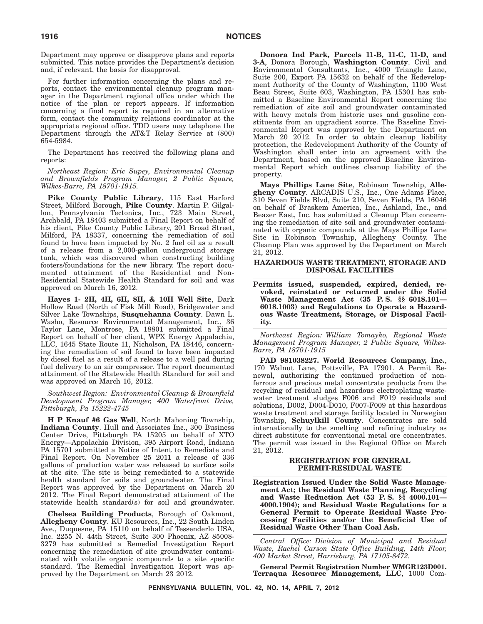Department may approve or disapprove plans and reports submitted. This notice provides the Department's decision and, if relevant, the basis for disapproval.

For further information concerning the plans and reports, contact the environmental cleanup program manager in the Department regional office under which the notice of the plan or report appears. If information concerning a final report is required in an alternative form, contact the community relations coordinator at the appropriate regional office. TDD users may telephone the Department through the AT&T Relay Service at (800) 654-5984.

The Department has received the following plans and reports:

*Northeast Region: Eric Supey, Environmental Cleanup and Brownfields Program Manager, 2 Public Square, Wilkes-Barre, PA 18701-1915.*

**Pike County Public Library**, 115 East Harford Street, Milford Borough, **Pike County**. Martin P. Gilgallon, Pennsylvania Tectonics, Inc., 723 Main Street, Archbald, PA 18403 submitted a Final Report on behalf of his client, Pike County Public Library, 201 Broad Street, Milford, PA 18337, concerning the remediation of soil found to have been impacted by No. 2 fuel oil as a result of a release from a 2,000-gallon underground storage tank, which was discovered when constructing building footers/foundations for the new library. The report documented attainment of the Residential and Non-Residential Statewide Health Standard for soil and was approved on March 16, 2012.

**Hayes 1- 2H, 4H, 6H, 8H, & 10H Well Site**, Dark Hollow Road (North of Fisk Mill Road), Bridgewater and Silver Lake Townships, **Susquehanna County**. Dawn L. Washo, Resource Environmental Management, Inc., 36 Taylor Lane, Montrose, PA 18801 submitted a Final Report on behalf of her client, WPX Energy Appalachia, LLC, 1645 State Route 11, Nicholson, PA 18446, concerning the remediation of soil found to have been impacted by diesel fuel as a result of a release to a well pad during fuel delivery to an air compressor. The report documented attainment of the Statewide Health Standard for soil and was approved on March 16, 2012.

*Southwest Region: Environmental Cleanup & Brownfield Development Program Manager, 400 Waterfront Drive, Pittsburgh, Pa 15222-4745*

**H P Knauf #6 Gas Well**, North Mahoning Township, **Indiana County**. Hull and Associates Inc., 300 Business Center Drive, Pittsburgh PA 15205 on behalf of XTO Energy—Appalachia Division, 395 Airport Road, Indiana PA 15701 submitted a Notice of Intent to Remediate and Final Report. On November 25 2011 a release of 336 gallons of production water was released to surface soils at the site. The site is being remediated to a statewide health standard for soils and groundwater. The Final Report was approved by the Department on March 20 2012. The Final Report demonstrated attainment of the statewide health standard(s) for soil and groundwater.

**Chelsea Building Products**, Borough of Oakmont, **Allegheny County**. KU Resources, Inc., 22 South Linden Ave., Duquesne, PA 15110 on behalf of Tessenderlo USA, Inc. 2255 N. 44th Street, Suite 300 Phoenix, AZ 85008- 3279 has submitted a Remedial Investigation Report concerning the remediation of site groundwater contaminated with volatile organic compounds to a site specific standard. The Remedial Investigation Report was approved by the Department on March 23 2012.

**Donora Ind Park, Parcels 11-B, 11-C, 11-D, and 3-A**, Donora Borough, **Washington County**. Civil and Environmental Consultants, Inc., 4000 Triangle Lane, Suite 200, Export PA 15632 on behalf of the Redevelopment Authority of the County of Washington, 1100 West Beau Street, Suite 603, Washington, PA 15301 has submitted a Baseline Environmental Report concerning the remediation of site soil and groundwater contaminated with heavy metals from historic uses and gasoline constituents from an upgradient source. The Baseline Environmental Report was approved by the Department on March 20 2012. In order to obtain cleanup liability protection, the Redevelopment Authority of the County of Washington shall enter into an agreement with the Department, based on the approved Baseline Environmental Report which outlines cleanup liability of the property.

**Mays Phillips Lane Site**, Robinson Township, **Allegheny County**. ARCADIS U.S., Inc., One Adams Place, 310 Seven Fields Blvd, Suite 210, Seven Fields, PA 16046 on behalf of Braskem America, Inc., Ashland, Inc., and Beazer East, Inc. has submitted a Cleanup Plan concerning the remediation of site soil and groundwater contaminated with organic compounds at the Mays Phillips Lane Site in Robinson Township, Allegheny County. The Cleanup Plan was approved by the Department on March 21, 2012.

#### **HAZARDOUS WASTE TREATMENT, STORAGE AND DISPOSAL FACILITIES**

**Permits issued, suspended, expired, denied, revoked, reinstated or returned under the Solid Waste Management Act (35 P. S. §§ 6018.101— 6018.1003) and Regulations to Operate a Hazardous Waste Treatment, Storage, or Disposal Facility.**

*Northeast Region: William Tomayko, Regional Waste Management Program Manager, 2 Public Square, Wilkes-Barre, PA 18701-1915*

**PAD 981038227. World Resources Company, Inc.**, 170 Walnut Lane, Pottsville, PA 17901. A Permit Renewal, authorizing the continued production of nonferrous and precious metal concentrate products from the recycling of residual and hazardous electroplating wastewater treatment sludges F006 and F019 residuals and solutions, D002, D004-D010, F007-F009 at this hazardous waste treatment and storage facility located in Norwegian Township, Schuylkill County. Concentrates are sold internationally to the smelting and refining industry as direct substitute for conventional metal ore concentrates. The permit was issued in the Regional Office on March 21, 2012.

#### **REGISTRATION FOR GENERAL PERMIT-RESIDUAL WASTE**

**Registration Issued Under the Solid Waste Management Act; the Residual Waste Planning, Recycling and Waste Reduction Act (53 P. S. §§ 4000.101— 4000.1904); and Residual Waste Regulations for a General Permit to Operate Residual Waste Processing Facilities and/or the Beneficial Use of Residual Waste Other Than Coal Ash.**

*Central Office: Division of Municipal and Residual Waste, Rachel Carson State Office Building, 14th Floor, 400 Market Street, Harrisburg, PA 17105-8472.*

**General Permit Registration Number WMGR123D001. Terraqua Resource Management, LLC**, 1000 Com-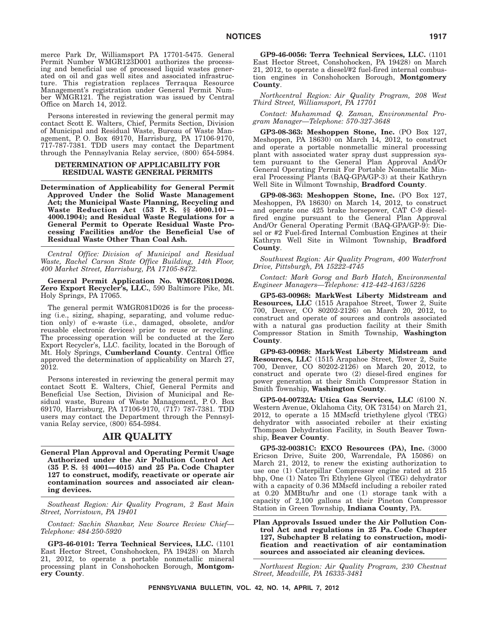merce Park Dr, Williamsport PA 17701-5475. General Permit Number WMGR123D001 authorizes the processing and beneficial use of processed liquid wastes generated on oil and gas well sites and associated infrastructure. This registration replaces Terraqua Resource Management's registration under General Permit Number WMGR121. The registration was issued by Central Office on March 14, 2012.

Persons interested in reviewing the general permit may contact Scott E. Walters, Chief, Permits Section, Division of Municipal and Residual Waste, Bureau of Waste Management, P. O. Box 69170, Harrisburg, PA 17106-9170, 717-787-7381. TDD users may contact the Department through the Pennsylvania Relay service, (800) 654-5984.

#### **DETERMINATION OF APPLICABILITY FOR RESIDUAL WASTE GENERAL PERMITS**

**Determination of Applicability for General Permit Approved Under the Solid Waste Management Act; the Municipal Waste Planning, Recycling and Waste Reduction Act (53 P. S. §§ 4000.101— 4000.1904); and Residual Waste Regulations for a General Permit to Operate Residual Waste Processing Facilities and/or the Beneficial Use of Residual Waste Other Than Coal Ash.**

*Central Office: Division of Municipal and Residual Waste, Rachel Carson State Office Building, 14th Floor, 400 Market Street, Harrisburg, PA 17105-8472.*

**General Permit Application No. WMGR081D026. Zero Export Recycler's, LLC.**, 590 Baltimore Pike, Mt. Holy Springs, PA 17065.

The general permit WMGR081D026 is for the processing (i.e., sizing, shaping, separating, and volume reduction only) of e-waste (i.e., damaged, obsolete, and/or reusable electronic devices) prior to reuse or recycling. The processing operation will be conducted at the Zero Export Recycler's, LLC. facility, located in the Borough of Mt. Holy Springs, **Cumberland County**. Central Office approved the determination of applicability on March 27, 2012.

Persons interested in reviewing the general permit may contact Scott E. Walters, Chief, General Permits and Beneficial Use Section, Division of Municipal and Residual waste, Bureau of Waste Management, P. O. Box 69170, Harrisburg, PA 17106-9170, (717) 787-7381. TDD users may contact the Department through the Pennsylvania Relay service, (800) 654-5984.

### **AIR QUALITY**

**General Plan Approval and Operating Permit Usage Authorized under the Air Pollution Control Act (35 P. S. §§ 4001—4015) and 25 Pa. Code Chapter 127 to construct, modify, reactivate or operate air contamination sources and associated air cleaning devices.**

*Southeast Region: Air Quality Program, 2 East Main Street, Norristown, PA 19401*

*Contact: Sachin Shankar, New Source Review Chief— Telephone: 484-250-5920*

**GP3-46-0101: Terra Technical Services, LLC.** (1101 East Hector Street, Conshohocken, PA 19428) on March 21, 2012, to operate a portable nonmetallic mineral processing plant in Conshohocken Borough, **Montgomery County**.

**GP9-46-0056: Terra Technical Services, LLC.** (1101 East Hector Street, Conshohocken, PA 19428) on March 21, 2012, to operate a diesel/#2 fuel-fired internal combustion engines in Conshohocken Borough, **Montgomery County**.

*Northcentral Region: Air Quality Program, 208 West Third Street, Williamsport, PA 17701*

*Contact: Muhammad Q. Zaman, Environmental Program Manager—Telephone: 570-327-3648*

**GP3-08-363: Meshoppen Stone, Inc.** (PO Box 127, Meshoppen, PA 18630) on March 14, 2012, to construct and operate a portable nonmetallic mineral processing plant with associated water spray dust suppression system pursuant to the General Plan Approval And/Or General Operating Permit For Portable Nonmetallic Mineral Processing Plants (BAQ-GPA/GP-3) at their Kathryn Well Site in Wilmont Township, **Bradford County**.

**GP9-08-363: Meshoppen Stone, Inc.** (PO Box 127, Meshoppen, PA 18630) on March 14, 2012, to construct and operate one 425 brake horsepower, CAT C-9 dieselfired engine pursuant to the General Plan Approval And/Or General Operating Permit (BAQ-GPA/GP-9): Diesel or #2 Fuel-fired Internal Combustion Engines at their Kathryn Well Site in Wilmont Township, **Bradford County**.

*Southwest Region: Air Quality Program, 400 Waterfront Drive, Pittsburgh, PA 15222-4745*

*Contact: Mark Gorog and Barb Hatch, Environmental Engineer Managers—Telephone: 412-442-4163/5226*

**GP5-63-00968: MarkWest Liberty Midstream and Resources, LLC** (1515 Arapahoe Street, Tower 2, Suite 700, Denver, CO 80202-2126) on March 20, 2012, to construct and operate of sources and controls associated with a natural gas production facility at their Smith Compressor Station in Smith Township, **Washington County**.

**GP9-63-00968: MarkWest Liberty Midstream and Resources, LLC** (1515 Arapahoe Street, Tower 2, Suite 700, Denver, CO 80202-2126) on March 20, 2012, to construct and operate two (2) diesel-fired engines for power generation at their Smith Compressor Station in Smith Township, **Washington County**.

**GP5-04-00732A: Utica Gas Services, LLC** (6100 N. Western Avenue, Oklahoma City, OK 73154) on March 21, 2012, to operate a 15 MMscfd triethylene glycol (TEG) dehydrator with associated reboiler at their existing Thompson Dehydration Facility, in South Beaver Township, **Beaver County**.

**GP5-32-00381C: EXCO Resources (PA), Inc.** (3000 Ericson Drive, Suite 200, Warrendale, PA 15086) on March 21, 2012, to renew the existing authorization to use one (1) Caterpillar Compressor engine rated at 215 bhp, One (1) Natco Tri Ethylene Glycol (TEG) dehydrator with a capacity of 0.36 MMscfd including a reboiler rated at 0.20 MMBtu/hr and one (1) storage tank with a capacity of 2,100 gallons at their Pineton Compressor Station in Green Township, **Indiana County**, PA.

**Plan Approvals Issued under the Air Pollution Control Act and regulations in 25 Pa. Code Chapter 127, Subchapter B relating to construction, modification and reactivation of air contamination sources and associated air cleaning devices.**

*Northwest Region: Air Quality Program, 230 Chestnut Street, Meadville, PA 16335-3481*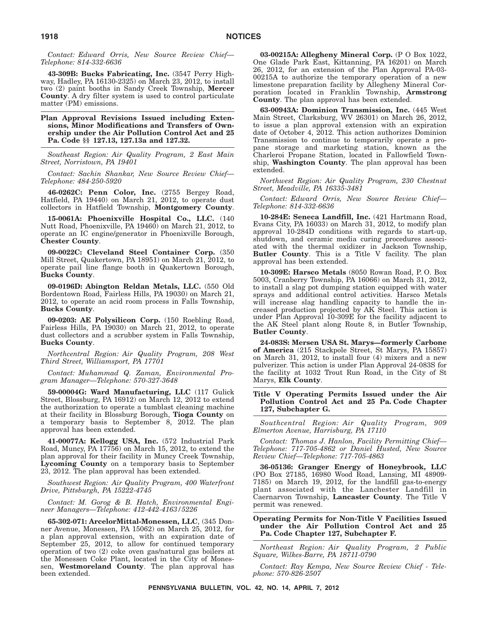*Contact: Edward Orris, New Source Review Chief— Telephone: 814-332-6636*

**43-309B: Bucks Fabricating, Inc.** (3547 Perry Highway, Hadley, PA 16130-2325) on March 23, 2012, to install two (2) paint booths in Sandy Creek Township, **Mercer County**. A dry filter system is used to control particulate matter (PM) emissions.

**Plan Approval Revisions Issued including Extensions, Minor Modifications and Transfers of Ownership under the Air Pollution Control Act and 25 Pa. Code §§ 127.13, 127.13a and 127.32.**

*Southeast Region: Air Quality Program, 2 East Main Street, Norristown, PA 19401*

*Contact: Sachin Shankar, New Source Review Chief— Telephone: 484-250-5920*

**46-0262C: Penn Color, Inc.** (2755 Bergey Road, Hatfield, PA 19440) on March 21, 2012, to operate dust collectors in Hatfield Township, **Montgomery County**.

**15-0061A: Phoenixville Hospital Co., LLC.** (140 Nutt Road, Phoenixville, PA 19460) on March 21, 2012, to operate an IC engine/generator in Phoenixville Borough, **Chester County**.

**09-0022C: Cleveland Steel Container Corp.** (350 Mill Street, Quakertown, PA 18951) on March 21, 2012, to operate pail line flange booth in Quakertown Borough, **Bucks County**.

**09-0196D: Abington Reldan Metals, LLC.** (550 Old Bordentown Road, Fairless Hills, PA 19030) on March 21, 2012, to operate an acid room process in Falls Township, **Bucks County**.

**09-0203: AE Polysilicon Corp.** (150 Roebling Road, Fairless Hills, PA 19030) on March 21, 2012, to operate dust collectors and a scrubber system in Falls Township, **Bucks County**.

*Northcentral Region: Air Quality Program, 208 West Third Street, Williamsport, PA 17701*

*Contact: Muhammad Q. Zaman, Environmental Program Manager—Telephone: 570-327-3648*

**59-00004G: Ward Manufacturing, LLC** (117 Gulick Street, Blossburg, PA 16912) on March 12, 2012 to extend the authorization to operate a tumblast cleaning machine at their facility in Blossburg Borough, **Tioga County** on a temporary basis to September 8, 2012. The plan approval has been extended.

**41-00077A: Kellogg USA, Inc.** (572 Industrial Park Road, Muncy, PA 17756) on March 15, 2012, to extend the plan approval for their facility in Muncy Creek Township, **Lycoming County** on a temporary basis to September 23, 2012. The plan approval has been extended.

*Southwest Region: Air Quality Program, 400 Waterfront Drive, Pittsburgh, PA 15222-4745*

*Contact: M. Gorog & B. Hatch, Environmental Engineer Managers—Telephone: 412-442-4163/5226*

**65-302-071: ArcelorMittal-Monessen, LLC**, (345 Donner Avenue, Monessen, PA 15062) on March 25, 2012, for a plan approval extension, with an expiration date of September 25, 2012, to allow for continued temporary operation of two (2) coke oven gas/natural gas boilers at the Monessen Coke Plant, located in the City of Monessen, **Westmoreland County**. The plan approval has been extended.

**03-00215A: Allegheny Mineral Corp.** (P O Box 1022, One Glade Park East, Kittanning, PA 16201) on March 26, 2012, for an extension of the Plan Approval PA-03- 00215A to authorize the temporary operation of a new limestone preparation facility by Allegheny Mineral Corporation located in Franklin Township, **Armstrong County**. The plan approval has been extended.

**63-00943A: Dominion Transmission, Inc.** (445 West Main Street, Clarksburg, WV 26301) on March 26, 2012, to issue a plan approval extension with an expiration date of October 4, 2012. This action authorizes Dominion Transmission to continue to temporarily operate a propane storage and marketing station, known as the Charleroi Propane Station, located in Fallowfield Township, **Washington County**. The plan approval has been extended.

*Northwest Region: Air Quality Program, 230 Chestnut Street, Meadville, PA 16335-3481*

*Contact: Edward Orris, New Source Review Chief— Telephone: 814-332-6636*

**10-284E: Seneca Landfill, Inc.** (421 Hartmann Road, Evans City, PA 16033) on March 31, 2012, to modify plan approval 10-284D conditions with regards to start-up, shutdown, and ceramic media curing procedures associated with the thermal oxidizer in Jackson Township, **Butler County**. This is a Title V facility. The plan approval has been extended.

**10-309E: Harsco Metals** (8050 Rowan Road, P. O. Box 5003, Cranberry Township, PA 16066) on March 31, 2012, to install a slag pot dumping station equipped with water sprays and additional control activities. Harsco Metals will increase slag handling capacity to handle the increased production projected by AK Steel. This action is under Plan Approval 10-309E for the facility adjacent to the AK Steel plant along Route 8, in Butler Township, **Butler County**.

**24-083S: Mersen USA St. Marys—formerly Carbone of America** (215 Stackpole Street, St Marys, PA 15857) on March 31, 2012, to install four (4) mixers and a new pulverizer. This action is under Plan Approval 24-083S for the facility at 1032 Trout Run Road, in the City of St Marys, **Elk County**.

#### **Title V Operating Permits Issued under the Air Pollution Control Act and 25 Pa. Code Chapter 127, Subchapter G.**

*Southcentral Region: Air Quality Program, 909 Elmerton Avenue, Harrisburg, PA 17110*

*Contact: Thomas J. Hanlon, Facility Permitting Chief— Telephone: 717-705-4862 or Daniel Husted, New Source Review Chief—Telephone: 717-705-4863*

**36-05136: Granger Energy of Honeybrook, LLC** (PO Box 27185, 16980 Wood Road, Lansing, MI 48909- 7185) on March 19, 2012, for the landfill gas-to-energy plant associated with the Lanchester Landfill in Caernarvon Township, **Lancaster County**. The Title V permit was renewed.

#### **Operating Permits for Non-Title V Facilities Issued under the Air Pollution Control Act and 25 Pa. Code Chapter 127, Subchapter F.**

*Northeast Region: Air Quality Program, 2 Public Square, Wilkes-Barre, PA 18711-0790*

*Contact: Ray Kempa, New Source Review Chief - Telephone: 570-826-2507*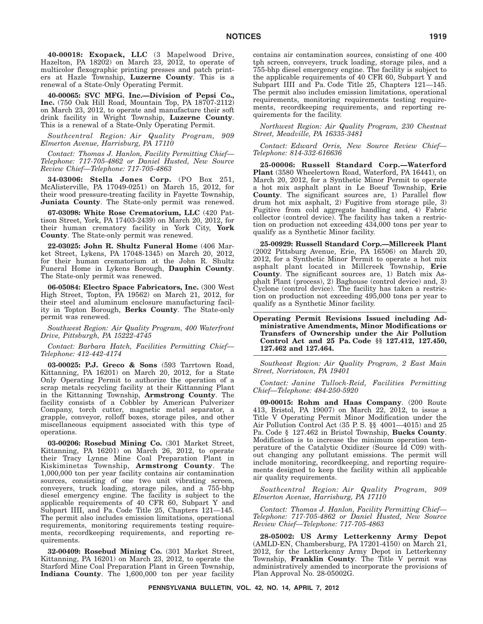**40-00018: Exopack, LLC** (3 Mapelwood Drive, Hazelton, PA 18202) on March 23, 2012, to operate of multicolor flexographic printing presses and patch printers at Hazle Township, **Luzerne County**. This is a renewal of a State-Only Operating Permit.

**40-00065: SVC MFG. Inc.—Division of Pepsi Co., Inc.** (750 Oak Hill Road, Mountain Top, PA 18707-2112) on March 23, 2012, to operate and manufacture their soft drink facility in Wright Township, **Luzerne County**. This is a renewal of a State-Only Operating Permit.

*Southcentral Region: Air Quality Program, 909 Elmerton Avenue, Harrisburg, PA 17110*

*Contact: Thomas J. Hanlon, Facility Permitting Chief— Telephone: 717-705-4862 or Daniel Husted, New Source Review Chief—Telephone: 717-705-4863*

**34-03006: Stella Jones Corp.** (PO Box 251, McAlisterville, PA 17049-0251) on March 15, 2012, for their wood pressure-treating facility in Fayette Township, **Juniata County**. The State-only permit was renewed.

**67-03098: White Rose Crematorium, LLC** (420 Pattison Street, York, PA 17403-2439) on March 20, 2012, for their human crematory facility in York City, **York County**. The State-only permit was renewed.

**22-03025: John R. Shultz Funeral Home** (406 Market Street, Lykens, PA 17048-1345) on March 20, 2012, for their human crematorium at the John R. Shultz Funeral Home in Lykens Borough, **Dauphin County**. The State-only permit was renewed.

**06-05084: Electro Space Fabricators, Inc.** (300 West High Street, Topton, PA 19562) on March 21, 2012, for their steel and aluminum enclosure manufacturing facility in Topton Borough, **Berks County**. The State-only permit was renewed.

*Southwest Region: Air Quality Program, 400 Waterfront Drive, Pittsburgh, PA 15222-4745*

*Contact: Barbara Hatch, Facilities Permitting Chief— Telephone: 412-442-4174*

**03-00025: P.J. Greco & Sons** (593 Tarrtown Road, Kittanning, PA 16201) on March 20, 2012, for a State Only Operating Permit to authorize the operation of a scrap metals recycling facility at their Kittanning Plant in the Kittanning Township, **Armstrong County**. The facility consists of a Cobbler by American Pulverizer Company, torch cutter, magnetic metal separator, a grapple, conveyor, rolloff boxes, storage piles, and other miscellaneous equipment associated with this type of operations.

**03-00206: Rosebud Mining Co.** (301 Market Street, Kittanning, PA 16201) on March 26, 2012, to operate their Tracy Lynne Mine Coal Preparation Plant in Kiskiminetas Township, **Armstrong County**. The 1,000,000 ton per year facility contains air contamination sources, consisting of one two unit vibrating screen, conveyers, truck loading, storage piles, and a 755-bhp diesel emergency engine. The facility is subject to the applicable requirements of 40 CFR 60, Subpart Y and Subpart IIII, and Pa. Code Title 25, Chapters 121—145. The permit also includes emission limitations, operational requirements, monitoring requirements testing requirements, recordkeeping requirements, and reporting requirements.

**32-00409: Rosebud Mining Co.** (301 Market Street, Kittanning, PA 16201) on March 23, 2012, to operate the Starford Mine Coal Preparation Plant in Green Township, **Indiana County**. The 1,600,000 ton per year facility contains air contamination sources, consisting of one 400 tph screen, conveyers, truck loading, storage piles, and a 755-bhp diesel emergency engine. The facility is subject to the applicable requirements of 40 CFR 60, Subpart Y and Subpart IIII and Pa. Code Title 25, Chapters 121—145. The permit also includes emission limitations, operational requirements, monitoring requirements testing requirements, recordkeeping requirements, and reporting requirements for the facility.

*Northwest Region: Air Quality Program, 230 Chestnut Street, Meadville, PA 16335-3481*

*Contact: Edward Orris, New Source Review Chief— Telephone: 814-332-616636*

**25-00006: Russell Standard Corp.—Waterford Plant** (3580 Wheelertown Road, Waterford, PA 16441), on March 20, 2012, for a Synthetic Minor Permit to operate a hot mix asphalt plant in Le Boeuf Township, **Erie County**. The significant sources are, 1) Parallel flow drum hot mix asphalt, 2) Fugitive from storage pile, 3) Fugitive from cold aggregate handling and, 4) Fabric collector (control device). The facility has taken a restriction on production not exceeding 434,000 tons per year to qualify as a Synthetic Minor facility.

**25-00929: Russell Standard Corp.—Millcreek Plant** (2002 Pittsburg Avenue, Erie, PA 16506) on March 20, 2012, for a Synthetic Minor Permit to operate a hot mix asphalt plant located in Millcreek Township, **Erie County**. The significant sources are, 1) Batch mix Asphalt Plant (process), 2) Baghouse (control device) and, 3) Cyclone (control device). The facility has taken a restriction on production not exceeding 495,000 tons per year to qualify as a Synthetic Minor facility.

**Operating Permit Revisions Issued including Administrative Amendments, Minor Modifications or Transfers of Ownership under the Air Pollution Control Act and 25 Pa. Code §§ 127.412, 127.450, 127.462 and 127.464.**

*Southeast Region: Air Quality Program, 2 East Main Street, Norristown, PA 19401*

*Contact: Janine Tulloch-Reid, Facilities Permitting Chief—Telephone: 484-250-5920*

**09-00015: Rohm and Haas Company**. (200 Route 413, Bristol, PA 19007) on March 22, 2012, to issue a Title V Operating Permit Minor Modification under the Air Pollution Control Act (35 P. S. §§ 4001—4015) and 25 Pa. Code § 127.462 in Bristol Township, **Bucks County**. Modification is to increase the minimum operation temperature of the Catalytic Oxidizer (Source Id C09) without changing any pollutant emissions. The permit will include monitoring, recordkeeping, and reporting requirements designed to keep the facility within all applicable air quality requirements.

*Southcentral Region: Air Quality Program, 909 Elmerton Avenue, Harrisburg, PA 17110*

*Contact: Thomas J. Hanlon, Facility Permitting Chief— Telephone: 717-705-4862 or Daniel Husted, New Source Review Chief—Telephone: 717-705-4863*

**28-05002: US Army Letterkenny Army Depot** (AMLD-EN, Chambersburg, PA 17201-4150) on March 21, 2012, for the Letterkenny Army Depot in Letterkenny Township, **Franklin County**. The Title V permit was administratively amended to incorporate the provisions of Plan Approval No. 28-05002G.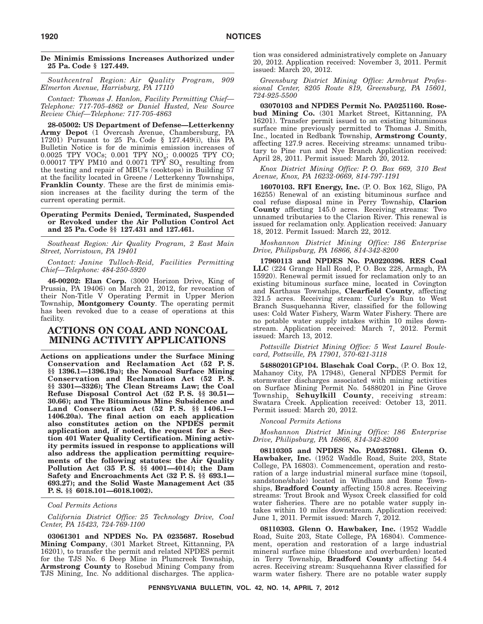#### **De Minimis Emissions Increases Authorized under 25 Pa. Code § 127.449.**

*Southcentral Region: Air Quality Program, 909 Elmerton Avenue, Harrisburg, PA 17110*

*Contact: Thomas J. Hanlon, Facility Permitting Chief— Telephone: 717-705-4862 or Daniel Husted, New Source Review Chief—Telephone: 717-705-4863*

**28-05002: US Department of Defense—Letterkenny Army Depot** (1 Overcash Avenue, Chambersburg, PA 17201) Pursuant to 25 Pa. Code § 127.449(i), this PA Bulletin Notice is for de minimis emission increases of 0.0025 TPY VOCs; 0.001 TPY NOx; 0.00025 TPY CO;  $0.00017$  TPY PM10 and  $0.0071$  TPY SO<sub>x</sub> resulting from the testing and repair of MBU's (cooktops) in Building 57 at the facility located in Greene / Letterkenny Townships, **Franklin County**. These are the first de minimis emission increases at the facility during the term of the current operating permit.

#### **Operating Permits Denied, Terminated, Suspended or Revoked under the Air Pollution Control Act and 25 Pa. Code §§ 127.431 and 127.461.**

*Southeast Region: Air Quality Program, 2 East Main Street, Norristown, PA 19401*

*Contact: Janine Tulloch-Reid, Facilities Permitting Chief—Telephone: 484-250-5920*

**46-00202: Elan Corp.** (3000 Horizon Drive, King of Prussia, PA 19406) on March 21, 2012, for revocation of their Non-Title V Operating Permit in Upper Merion Township, **Montgomery County**. The operating permit has been revoked due to a cease of operations at this facility.

# **ACTIONS ON COAL AND NONCOAL MINING ACTIVITY APPLICATIONS**

**Actions on applications under the Surface Mining Conservation and Reclamation Act (52 P. S. §§ 1396.1—1396.19a); the Noncoal Surface Mining Conservation and Reclamation Act (52 P. S. §§ 3301—3326); The Clean Streams Law; the Coal Refuse Disposal Control Act (52 P. S. §§ 30.51— 30.66); and The Bituminous Mine Subsidence and Land Conservation Act (52 P. S. §§ 1406.1— 1406.20a). The final action on each application also constitutes action on the NPDES permit application and, if noted, the request for a Section 401 Water Quality Certification. Mining activity permits issued in response to applications will also address the application permitting requirements of the following statutes: the Air Quality Pollution Act (35 P. S. §§ 4001—4014); the Dam Safety and Encroachments Act (32 P. S. §§ 693.1— 693.27); and the Solid Waste Management Act (35 P. S. §§ 6018.101—6018.1002).**

#### *Coal Permits Actions*

*California District Office: 25 Technology Drive, Coal Center, PA 15423, 724-769-1100*

**03061301 and NPDES No. PA 0235687. Rosebud Mining Company**, (301 Market Street, Kittanning, PA 16201), to transfer the permit and related NPDES permit for the TJS No. 6 Deep Mine in Plumcreek Township, **Armstrong County** to Rosebud Mining Company from TJS Mining, Inc. No additional discharges. The application was considered administratively complete on January 20, 2012. Application received: November 3, 2011. Permit issued: March 20, 2012.

*Greensburg District Mining Office: Armbrust Professional Center, 8205 Route 819, Greensburg, PA 15601, 724-925-5500*

**03070103 and NPDES Permit No. PA0251160. Rosebud Mining Co.** (301 Market Street, Kittanning, PA 16201). Transfer permit issued to an existing bituminous surface mine previously permitted to Thomas J. Smith, Inc., located in Redbank Township, **Armstrong County**, affecting 127.9 acres. Receiving streams: unnamed tributary to Pine run and Nye Branch Application received: April 28, 2011. Permit issued: March 20, 2012.

*Knox District Mining Office: P. O. Box 669, 310 Best Avenue, Knox, PA 16232-0669, 814-797-1191*

**16070103. RFI Energy, Inc.** (P. O. Box 162, Sligo, PA 16255) Renewal of an existing bituminous surface and coal refuse disposal mine in Perry Township, **Clarion County** affecting 145.0 acres. Receiving streams: Two unnamed tributaries to the Clarion River. This renewal is issued for reclamation only. Application received: January 18, 2012. Permit Issued: March 22, 2012.

*Moshannon District Mining Office: 186 Enterprise Drive, Philipsburg, PA 16866, 814-342-8200*

**17960113 and NPDES No. PA0220396. RES Coal LLC** (224 Grange Hall Road, P. O. Box 228, Armagh, PA 15920). Renewal permit issued for reclamation only to an existing bituminous surface mine, located in Covington and Karthaus Townships, **Clearfield County**, affecting 321.5 acres. Receiving stream: Curley's Run to West Branch Susquehanna River, classified for the following uses: Cold Water Fishery, Warm Water Fishery. There are no potable water supply intakes within 10 miles downstream. Application received: March 7, 2012. Permit issued: March 13, 2012.

*Pottsville District Mining Office: 5 West Laurel Boulevard, Pottsville, PA 17901, 570-621-3118*

**54880201GP104. Blaschak Coal Corp.**, (P. O. Box 12, Mahanoy City, PA 17948), General NPDES Permit for stormwater discharges associated with mining activities on Surface Mining Permit No. 54880201 in Pine Grove Township, **Schuylkill County**, receiving stream: Swatara Creek. Application received: October 13, 2011. Permit issued: March 20, 2012.

*Noncoal Permits Actions*

*Moshannon District Mining Office: 186 Enterprise Drive, Philipsburg, PA 16866, 814-342-8200*

**08110305 and NPDES No. PA0257681. Glenn O. Hawbaker, Inc.** (1952 Waddle Road, Suite 203, State College, PA 16803). Commencement, operation and restoration of a large industrial mineral surface mine (topsoil, sandstone/shale) located in Windham and Rome Townships, **Bradford County** affecting 150.8 acres. Receiving streams: Trout Brook and Wysox Creek classified for cold water fisheries. There are no potable water supply intakes within 10 miles downstream. Application received: June 1, 2011. Permit issued: March 7, 2012.

**08110303. Glenn O. Hawbaker, Inc.** (1952 Waddle Road, Suite 203, State College, PA 16804). Commencement, operation and restoration of a large industrial mineral surface mine (bluestone and overburden) located in Terry Township, **Bradford County** affecting 54.4 acres. Receiving stream: Susquehanna River classified for warm water fishery. There are no potable water supply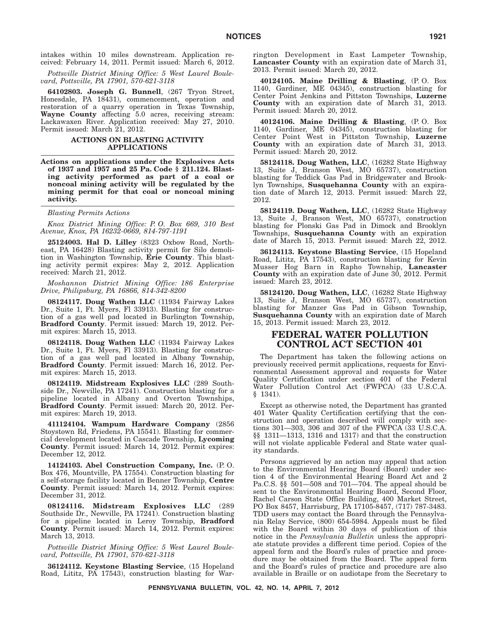intakes within 10 miles downstream. Application received: February 14, 2011. Permit issued: March 6, 2012.

*Pottsville District Mining Office: 5 West Laurel Boulevard, Pottsville, PA 17901, 570-621-3118*

**64102803. Joseph G. Bunnell**, (267 Tryon Street, Honesdale, PA 18431), commencement, operation and restoration of a quarry operation in Texas Township, **Wayne County** affecting 5.0 acres, receiving stream: Lackawaxen River. Application received: May 27, 2010. Permit issued: March 21, 2012.

#### **ACTIONS ON BLASTING ACTIVITY APPLICATIONS**

**Actions on applications under the Explosives Acts of 1937 and 1957 and 25 Pa. Code § 211.124. Blasting activity performed as part of a coal or noncoal mining activity will be regulated by the mining permit for that coal or noncoal mining activity.**

*Blasting Permits Actions*

*Knox District Mining Office: P. O. Box 669, 310 Best Avenue, Knox, PA 16232-0669, 814-797-1191*

**25124003. Hal D. Lilley** (8323 Oxbow Road, Northeast, PA 16428) Blasting activity permit for Silo demolition in Washington Township, **Erie County**. This blasting activity permit expires: May 2, 2012. Application received: March 21, 2012.

*Moshannon District Mining Office: 186 Enterprise Drive, Philipsburg, PA 16866, 814-342-8200*

**08124117. Doug Wathen LLC** (11934 Fairway Lakes Dr., Suite 1, Ft. Myers, Fl 33913). Blasting for construction of a gas well pad located in Burlington Township, **Bradford County**. Permit issued: March 19, 2012. Permit expires: March 15, 2013.

**08124118. Doug Wathen LLC** (11934 Fairway Lakes Dr., Suite 1, Ft. Myers, Fl 33913). Blasting for construction of a gas well pad located in Albany Township, **Bradford County**. Permit issued: March 16, 2012. Permit expires: March 15, 2013.

**08124119. Midstream Explosives LLC** (289 Southside Dr., Newville, PA 17241). Construction blasting for a pipeline located in Albany and Overton Townships, **Bradford County**. Permit issued: March 20, 2012. Permit expires: March 19, 2013.

**411124104. Wampum Hardware Company** (2856 Stoystown Rd, Friedens, PA 15541). Blasting for commercial development located in Cascade Township, **Lycoming County**. Permit issued: March 14, 2012. Permit expires: December 12, 2012.

**14124103. Abel Construction Company, Inc.** (P. O. Box 476, Mountville, PA 17554). Construction blasting for a self-storage facility located in Benner Township, **Centre County**. Permit issued: March 14, 2012. Permit expires: December 31, 2012.

**08124116. Midstream Explosives LLC** (289 Southside Dr., Newville, PA 17241). Construction blasting for a pipeline located in Leroy Township, **Bradford County**. Permit issued: March 14, 2012. Permit expires: March 13, 2013.

*Pottsville District Mining Office: 5 West Laurel Boulevard, Pottsville, PA 17901, 570-621-3118*

**36124112. Keystone Blasting Service**, (15 Hopeland Road, Lititz, PA 17543), construction blasting for Warrington Development in East Lampeter Township, **Lancaster County** with an expiration date of March 31, 2013. Permit issued: March 20, 2012.

**40124105. Maine Drilling & Blasting**, (P. O. Box 1140, Gardiner, ME 04345), construction blasting for Center Point Jenkins and Pittston Townships, **Luzerne County** with an expiration date of March 31, 2013. Permit issued: March 20, 2012.

**40124106. Maine Drilling & Blasting**, (P. O. Box 1140, Gardiner, ME 04345), construction blasting for Center Point West in Pittston Township, **Luzerne County** with an expiration date of March 31, 2013. Permit issued: March 20, 2012.

**58124118. Doug Wathen, LLC**, (16282 State Highway 13, Suite J, Branson West, MO 65737), construction blasting for Teddick Gas Pad in Bridgewater and Brooklyn Townships, **Susquehanna County** with an expiration date of March 12, 2013. Permit issued: March 22, 2012.

**58124119. Doug Wathen, LLC**, (16282 State Highway 13, Suite J, Branson West, MO 65737), construction blasting for Plonski Gas Pad in Dimock and Brooklyn Townships, **Susquehanna County** with an expiration date of March 15, 2013. Permit issued: March 22, 2012.

**36124113. Keystone Blasting Service**, (15 Hopeland Road, Lititz, PA 17543), construction blasting for Kevin Musser Hog Barn in Rapho Township, **Lancaster County** with an expiration date of June 30, 2012. Permit issued: March 23, 2012.

**58124120. Doug Wathen, LLC**, (16282 State Highway 13, Suite J, Branson West, MO 65737), construction blasting for Manzer Gas Pad in Gibson Township, **Susquehanna County** with an expiration date of March 15, 2013. Permit issued: March 23, 2012.

# **FEDERAL WATER POLLUTION CONTROL ACT SECTION 401**

The Department has taken the following actions on previously received permit applications, requests for Environmental Assessment approval and requests for Water Quality Certification under section 401 of the Federal Water Pollution Control Act (FWPCA) (33 U.S.C.A. § 1341).

Except as otherwise noted, the Department has granted 401 Water Quality Certification certifying that the construction and operation described will comply with sections 301—303, 306 and 307 of the FWPCA (33 U.S.C.A. §§ 1311—1313, 1316 and 1317) and that the construction will not violate applicable Federal and State water quality standards.

Persons aggrieved by an action may appeal that action to the Environmental Hearing Board (Board) under section 4 of the Environmental Hearing Board Act and 2 Pa.C.S. §§ 501—508 and 701—704. The appeal should be sent to the Environmental Hearing Board, Second Floor, Rachel Carson State Office Building, 400 Market Street, PO Box 8457, Harrisburg, PA 17105-8457, (717) 787-3483. TDD users may contact the Board through the Pennsylvania Relay Service, (800) 654-5984. Appeals must be filed with the Board within 30 days of publication of this notice in the *Pennsylvania Bulletin* unless the appropriate statute provides a different time period. Copies of the appeal form and the Board's rules of practice and procedure may be obtained from the Board. The appeal form and the Board's rules of practice and procedure are also available in Braille or on audiotape from the Secretary to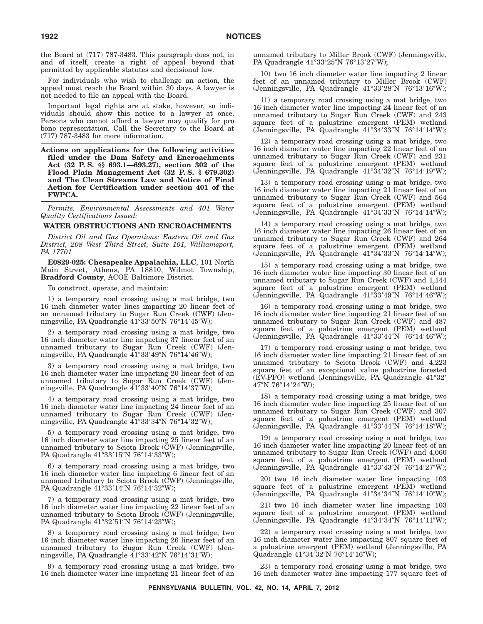the Board at (717) 787-3483. This paragraph does not, in and of itself, create a right of appeal beyond that permitted by applicable statutes and decisional law.

For individuals who wish to challenge an action, the appeal must reach the Board within 30 days. A lawyer is not needed to file an appeal with the Board.

Important legal rights are at stake, however, so individuals should show this notice to a lawyer at once. Persons who cannot afford a lawyer may qualify for pro bono representation. Call the Secretary to the Board at (717) 787-3483 for more information.

**Actions on applications for the following activities filed under the Dam Safety and Encroachments Act (32 P. S. §§ 693.1—693.27), section 302 of the Flood Plain Management Act (32 P. S. § 679.302) and The Clean Streams Law and Notice of Final Action for Certification under section 401 of the FWPCA.**

*Permits, Environmental Assessments and 401 Water Quality Certifications Issued:*

#### **WATER OBSTRUCTIONS AND ENCROACHMENTS**

*District Oil and Gas Operations: Eastern Oil and Gas District, 208 West Third Street, Suite 101, Williamsport, PA 17701*

**E0829-025: Chesapeake Appalachia, LLC**, 101 North Main Street, Athens, PA 18810, Wilmot Township, **Bradford County**, ACOE Baltimore District.

To construct, operate, and maintain:

1) a temporary road crossing using a mat bridge, two 16 inch diameter water lines impacting 20 linear feet of an unnamed tributary to Sugar Run Creek (CWF) (Jenningsville, PA Quadrangle 41°33′50″N 76°14′45″W);

2) a temporary road crossing using a mat bridge, two 16 inch diameter water line impacting 37 linear feet of an unnamed tributary to Sugar Run Creek (CWF) (Jenningsville, PA Quadrangle 41°33′49″N 76°14′46″W);

3) a temporary road crossing using a mat bridge, two 16 inch diameter water line impacting 20 linear feet of an unnamed tributary to Sugar Run Creek (CWF) (Jenningsville, PA Quadrangle 41°33′40″N 76°14′37″W);

4) a temporary road crossing using a mat bridge, two 16 inch diameter water line impacting 24 linear feet of an unnamed tributary to Sugar Run Creek (CWF) (Jenningsville, PA Quadrangle 41°33′34″N 76°14′32″W);

5) a temporary road crossing using a mat bridge, two 16 inch diameter water line impacting 25 linear feet of an unnamed tributary to Sciota Brook (CWF) (Jenningsville, PA Quadrangle 41°33′15″N 76°14′33″W);

6) a temporary road crossing using a mat bridge, two 16 inch diameter water line impacting 6 linear feet of an unnamed tributary to Sciota Brook (CWF) (Jenningsville, PA Quadrangle 41°33′14″N 76°14′32″W);

7) a temporary road crossing using a mat bridge, two 16 inch diameter water line impacting 22 linear feet of an unnamed tributary to Sciota Brook (CWF) (Jenningsville, PA Quadrangle 41°32′51″N 76°14′23″W);

8) a temporary road crossing using a mat bridge, two 16 inch diameter water line impacting 26 linear feet of an unnamed tributary to Sugar Run Creek (CWF) (Jenningsville, PA Quadrangle 41°33'42"N 76°14'31"W);

9) a temporary road crossing using a mat bridge, two 16 inch diameter water line impacting 21 linear feet of an unnamed tributary to Miller Brook (CWF) (Jenningsville, PA Quadrangle 41°33′25″N 76°13′27″W);

10) two 16 inch diameter water line impacting 2 linear feet of an unnamed tributary to Miller Brook (CWF) (Jenningsville, PA Quadrangle 41°33'28"N 76°13'16"W);

11) a temporary road crossing using a mat bridge, two 16 inch diameter water line impacting 24 linear feet of an unnamed tributary to Sugar Run Creek (CWF) and 243 square feet of a palustrine emergent (PEM) wetland (Jenningsville, PA Quadrangle 41°34'33"N 76°14'14"W);

12) a temporary road crossing using a mat bridge, two 16 inch diameter water line impacting 22 linear feet of an unnamed tributary to Sugar Run Creek (CWF) and 231 square feet of a palustrine emergent (PEM) wetland (Jenningsville, PA Quadrangle 41°34'32"N 76°14'19"W);

13) a temporary road crossing using a mat bridge, two 16 inch diameter water line impacting 21 linear feet of an unnamed tributary to Sugar Run Creek (CWF) and 564 square feet of a palustrine emergent (PEM) wetland (Jenningsville, PA Quadrangle 41°34'33"N 76°14'14"W);

14) a temporary road crossing using a mat bridge, two 16 inch diameter water line impacting 26 linear feet of an unnamed tributary to Sugar Run Creek (CWF) and 264 square feet of a palustrine emergent (PEM) wetland (Jenningsville, PA Quadrangle 41°34'33"N 76°14'14"W);

15) a temporary road crossing using a mat bridge, two 16 inch diameter water line impacting 30 linear feet of an unnamed tributary to Sugar Run Creek (CWF) and 1,144 square feet of a palustrine emergent (PEM) wetland (Jenningsville, PA Quadrangle 41°33'49"N 76°14'46"W);

16) a temporary road crossing using a mat bridge, two 16 inch diameter water line impacting 21 linear feet of an unnamed tributary to Sugar Run Creek (CWF) and 487 square feet of a palustrine emergent (PEM) wetland (Jenningsville, PA Quadrangle 41°33'44"N 76°14'46"W);

17) a temporary road crossing using a mat bridge, two 16 inch diameter water line impacting 21 linear feet of an unnamed tributary to Sciota Brook (CWF) and 4,223 square feet of an exceptional value palustrine forested (EV-PFO) wetland (Jenningsville, PA Quadrangle 41°32- 47″N 76°14′24″W);

18) a temporary road crossing using a mat bridge, two 16 inch diameter water line impacting 25 linear feet of an unnamed tributary to Sugar Run Creek (CWF) and 307 square feet of a palustrine emergent (PEM) wetland (Jenningsville, PA Quadrangle 41°33'44"N 76°14'18"W);

19) a temporary road crossing using a mat bridge, two 16 inch diameter water line impacting 20 linear feet of an unnamed tributary to Sugar Run Creek (CWF) and 4,060 square feet of a palustrine emergent (PEM) wetland (Jenningsville, PA Quadrangle 41°33'43"N 76°14'27"W);

20) two 16 inch diameter water line impacting 103 square feet of a palustrine emergent (PEM) wetland (Jenningsville, PA Quadrangle 41°34'34"N 76°14'10"W);

21) two 16 inch diameter water line impacting 103 square feet of a palustrine emergent (PEM) wetland (Jenningsville, PA Quadrangle 41°34'34"N 76°14'11"W);

22) a temporary road crossing using a mat bridge, two 16 inch diameter water line impacting 807 square feet of a palustrine emergent (PEM) wetland (Jenningsville, PA Quadrangle 41°34′32″N 76°14′16″W);

23) a temporary road crossing using a mat bridge, two 16 inch diameter water line impacting 177 square feet of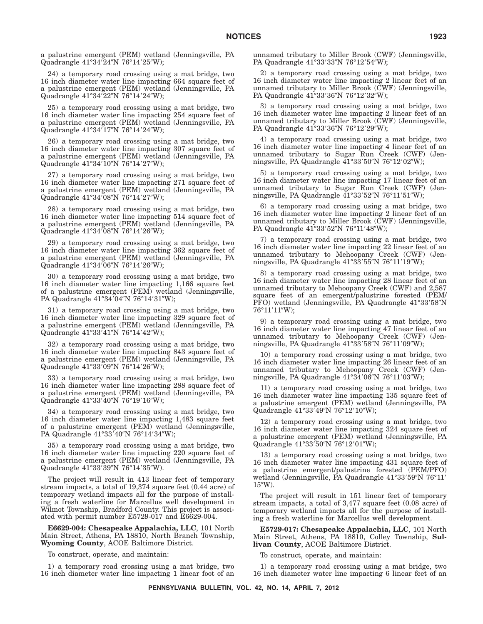a palustrine emergent (PEM) wetland (Jenningsville, PA Quadrangle 41°34′24″N 76°14′25″W);

24) a temporary road crossing using a mat bridge, two 16 inch diameter water line impacting 664 square feet of a palustrine emergent (PEM) wetland (Jenningsville, PA Quadrangle 41°34'22"N 76°14'24"W);

25) a temporary road crossing using a mat bridge, two 16 inch diameter water line impacting 254 square feet of a palustrine emergent (PEM) wetland (Jenningsville, PA Quadrangle 41°34′17″N 76°14′24″W);

26) a temporary road crossing using a mat bridge, two 16 inch diameter water line impacting 307 square feet of a palustrine emergent (PEM) wetland (Jenningsville, PA Quadrangle 41°34′10″N 76°14′27″W);

27) a temporary road crossing using a mat bridge, two 16 inch diameter water line impacting 271 square feet of a palustrine emergent (PEM) wetland (Jenningsville, PA Quadrangle 41°34′08″N 76°14′27″W);

28) a temporary road crossing using a mat bridge, two 16 inch diameter water line impacting 514 square feet of a palustrine emergent (PEM) wetland (Jenningsville, PA Quadrangle 41°34′08″N 76°14′26″W);

29) a temporary road crossing using a mat bridge, two 16 inch diameter water line impacting 362 square feet of a palustrine emergent (PEM) wetland (Jenningsville, PA Quadrangle 41°34'06"N 76°14'26"W);

30) a temporary road crossing using a mat bridge, two 16 inch diameter water line impacting 1,166 square feet of a palustrine emergent (PEM) wetland (Jenningsville, PA Quadrangle 41°34′04″N 76°14′31″W);

31) a temporary road crossing using a mat bridge, two 16 inch diameter water line impacting 329 square feet of a palustrine emergent (PEM) wetland (Jenningsville, PA Quadrangle 41°33'41"N 76°14'42"W);

32) a temporary road crossing using a mat bridge, two 16 inch diameter water line impacting 843 square feet of a palustrine emergent (PEM) wetland (Jenningsville, PA Quadrangle 41°33′09″N 76°14′26″W);

33) a temporary road crossing using a mat bridge, two 16 inch diameter water line impacting 288 square feet of a palustrine emergent (PEM) wetland (Jenningsville, PA Quadrangle 41°33′40″N 76°19′16″W);

34) a temporary road crossing using a mat bridge, two 16 inch diameter water line impacting 1,483 square feet of a palustrine emergent (PEM) wetland (Jenningsville, PA Quadrangle 41°33′40″N 76°14′34″W);

35) a temporary road crossing using a mat bridge, two 16 inch diameter water line impacting 220 square feet of a palustrine emergent (PEM) wetland (Jenningsville, PA Quadrangle 41°33′39″N 76°14′35″W).

The project will result in 413 linear feet of temporary stream impacts, a total of 19,374 square feet (0.44 acre) of temporary wetland impacts all for the purpose of installing a fresh waterline for Marcellus well development in Wilmot Township, Bradford County. This project is associated with permit number E5729-017 and E6629-004.

**E6629-004: Chesapeake Appalachia, LLC**, 101 North Main Street, Athens, PA 18810, North Branch Township, **Wyoming County**, ACOE Baltimore District.

To construct, operate, and maintain:

1) a temporary road crossing using a mat bridge, two 16 inch diameter water line impacting 1 linear foot of an unnamed tributary to Miller Brook (CWF) (Jenningsville, PA Quadrangle 41°33′33″N 76°12′54″W);

2) a temporary road crossing using a mat bridge, two 16 inch diameter water line impacting 2 linear feet of an unnamed tributary to Miller Brook (CWF) (Jenningsville, PA Quadrangle 41°33′36″N 76°12′32″W);

3) a temporary road crossing using a mat bridge, two 16 inch diameter water line impacting 2 linear feet of an unnamed tributary to Miller Brook (CWF) (Jenningsville, PA Quadrangle 41°33'36"N 76°12'29"W);

4) a temporary road crossing using a mat bridge, two 16 inch diameter water line impacting 4 linear feet of an unnamed tributary to Sugar Run Creek (CWF) (Jenningsville, PA Quadrangle 41°33′50″N 76°12′02″W);

5) a temporary road crossing using a mat bridge, two 16 inch diameter water line impacting 17 linear feet of an unnamed tributary to Sugar Run Creek (CWF) (Jenningsville, PA Quadrangle 41°33′52″N 76°11′51″W);

6) a temporary road crossing using a mat bridge, two 16 inch diameter water line impacting 2 linear feet of an unnamed tributary to Miller Brook (CWF) (Jenningsville, PA Quadrangle 41°33′52″N 76°11′48″W);

7) a temporary road crossing using a mat bridge, two 16 inch diameter water line impacting 22 linear feet of an unnamed tributary to Mehoopany Creek (CWF) (Jenningsville, PA Quadrangle 41°33′55″N 76°11′19″W);

8) a temporary road crossing using a mat bridge, two 16 inch diameter water line impacting 28 linear feet of an unnamed tributary to Mehoopany Creek (CWF) and 2,587 square feet of an emergent/palustrine forested (PEM/ PFO) wetland (Jenningsville, PA Quadrangle 41°33'58"N 76°11'11"W);

9) a temporary road crossing using a mat bridge, two 16 inch diameter water line impacting 47 linear feet of an unnamed tributary to Mehoopany Creek (CWF) (Jenningsville, PA Quadrangle 41°33′58″N 76°11′09″W);

10) a temporary road crossing using a mat bridge, two 16 inch diameter water line impacting 26 linear feet of an unnamed tributary to Mehoopany Creek (CWF) (Jenningsville, PA Quadrangle 41°34′06″N 76°11′03″W);

11) a temporary road crossing using a mat bridge, two 16 inch diameter water line impacting 135 square feet of a palustrine emergent (PEM) wetland (Jenningsville, PA Quadrangle 41°33'49"N 76°12'10"W);

12) a temporary road crossing using a mat bridge, two 16 inch diameter water line impacting 324 square feet of a palustrine emergent (PEM) wetland (Jenningsville, PA Quadrangle 41°33'50"N 76°12'01"W);

13) a temporary road crossing using a mat bridge, two 16 inch diameter water line impacting 431 square feet of a palustrine emergent/palustrine forested (PEM/PFO) wetland (Jenningsville, PA Quadrangle 41°33'59"N 76°11' 15"W).

The project will result in 151 linear feet of temporary stream impacts, a total of 3,477 square feet (0.08 acre) of temporary wetland impacts all for the purpose of installing a fresh waterline for Marcellus well development.

**E5729-017: Chesapeake Appalachia, LLC**, 101 North Main Street, Athens, PA 18810, Colley Township, **Sullivan County**, ACOE Baltimore District.

To construct, operate, and maintain:

1) a temporary road crossing using a mat bridge, two 16 inch diameter water line impacting 6 linear feet of an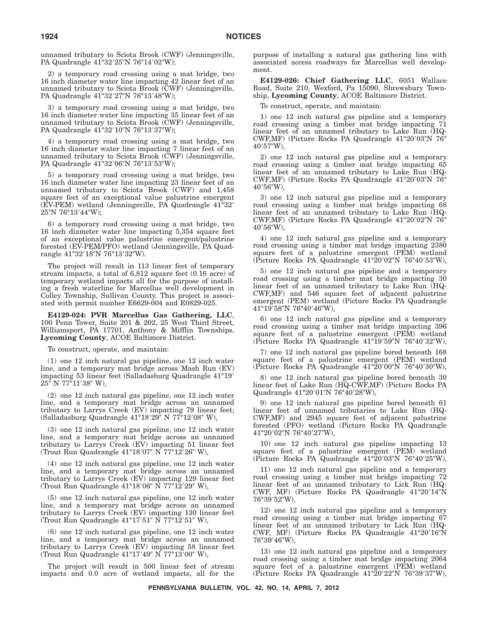unnamed tributary to Sciota Brook (CWF) (Jenningsville, PA Quadrangle 41°32′25″N 76°14′02″W);

2) a temporary road crossing using a mat bridge, two 16 inch diameter water line impacting 42 linear feet of an unnamed tributary to Sciota Brook (CWF) (Jenningsville, PA Quadrangle 41°32'27"N 76°13'48"W);

3) a temporary road crossing using a mat bridge, two 16 inch diameter water line impacting 35 linear feet of an unnamed tributary to Sciota Brook (CWF) (Jenningsville, PA Quadrangle 41°32′10″N 76°13′37″W);

4) a temporary road crossing using a mat bridge, two 16 inch diameter water line impacting 7 linear feet of an unnamed tributary to Sciota Brook (CWF) (Jenningsville, PA Quadrangle 41°32′06″N 76°13′53″W);

5) a temporary road crossing using a mat bridge, two 16 inch diameter water line impacting 23 linear feet of an unnamed tributary to Sciota Brook (CWF) and 1,458 square feet of an exceptional value palustrine emergent (EV-PEM) wetland (Jenningsville, PA Quadrangle 41°32- 25″N 76°13′44″W);

6) a temporary road crossing using a mat bridge, two 16 inch diameter water line impacting 5,354 square feet of an exceptional value palustrine emergent/palustrine forested (EV-PEM/PFO) wetland (Jenningsville, PA Quadrangle 41°32′18″N 76°13′32″W).

The project will result in 113 linear feet of temporary stream impacts, a total of 6,812 square feet (0.16 acre) of temporary wetland impacts all for the purpose of installing a fresh waterline for Marcellus well development in Colley Township, Sullivan County. This project is associated with permit number E6629-004 and E0829-025.

**E4129-024: PVR Marcellus Gas Gathering, LLC**, 100 Penn Tower, Suite 201 & 202, 25 West Third Street, Williamsport, PA 17701, Anthony & Mifflin Townships, **Lycoming County**, ACOE Baltimore District.

To construct, operate, and maintain:

(1) one 12 inch natural gas pipeline, one 12 inch water line, and a temporary mat bridge across Mash Run (EV) impacting 53 linear feet (Salladasburg Quadrangle 41°19- 25″ N 77°11′38″ W),

(2) one 12 inch natural gas pipeline, one 12 inch water line, and a temporary mat bridge across an unnamed tributary to Larrys Creek (EV) impacting 79 linear feet; (Salladasburg Quadrangle 41°18'29" N 77°12'08" W),

(3) one 12 inch natural gas pipeline, one 12 inch water line, and a temporary mat bridge across an unnamed tributary to Larrys Creek (EV) impacting 51 linear feet (Trout Run Quadrangle 41°18'07" N 77°12'26" W),

(4) one 12 inch natural gas pipeline, one 12 inch water line, and a temporary mat bridge across an unnamed tributary to Larrys Creek (EV) impacting 129 linear feet (Trout Run Quadrangle 41°18'06" N 77°12'29" W),

(5) one 12 inch natural gas pipeline, one 12 inch water line, and a temporary mat bridge across an unnamed tributary to Larrys Creek (EV) impacting 130 linear feet (Trout Run Quadrangle 41°17'51" N 77°12'51" W),

(6) one 12 inch natural gas pipeline, one 12 inch water line, and a temporary mat bridge across an unnamed tributary to Larrys Creek (EV) impacting 58 linear feet (Trout Run Quadrangle 41°17'49" N 77°13'00" W),

The project will result in 500 linear feet of stream impacts and 0.0 acre of wetland impacts, all for the purpose of installing a natural gas gathering line with associated access roadways for Marcellus well development.

**E4129-026: Chief Gathering LLC**, 6051 Wallace Road, Suite 210, Wexford, Pa 15090, Shrewsbury Township, **Lycoming County**, ACOE Baltimore District.

To construct, operate, and maintain:

1) one 12 inch natural gas pipeline and a temporary road crossing using a timber mat bridge impacting 71 linear feet of an unnamed tributary to Lake Run (HQ-CWF,MF) (Picture Rocks PA Quadrangle 41°20'03"N 76° 40'57″W),

2) one 12 inch natural gas pipeline and a temporary road crossing using a timber mat bridge impacting 65 linear feet of an unnamed tributary to Lake Run (HQ-CWF,MF) (Picture Rocks PA Quadrangle 41°20'03"N 76° 40'56″W),

3) one 12 inch natural gas pipeline and a temporary road crossing using a timber mat bridge impacting 68 linear feet of an unnamed tributary to Lake Run (HQ-CWF,MF) (Picture Rocks PA Quadrangle 41°20'02"N 76° 40'56″W),

4) one 12 inch natural gas pipeline and a temporary road crossing using a timber mat bridge impacting 2380 square feet of a palustrine emergent (PEM) wetland (Picture Rocks PA Quadrangle 41°20'02"N 76°40'53"W),

5) one 12 inch natural gas pipeline and a temporary road crossing using a timber mat bridge impacting 30 linear feet of an unnamed tributary to Lake Run (HQ-CWF,MF) and 546 square feet of adjacent palustrine emergent (PEM) wetland (Picture Rocks PA Quadrangle 41°19′58″N 76°40′46″W),

6) one 12 inch natural gas pipeline and a temporary road crossing using a timber mat bridge impacting 396 square feet of a palustrine emergent (PEM) wetland (Picture Rocks PA Quadrangle 41°19'59"N 76°40'32"W),

7) one 12 inch natural gas pipeline bored beneath 168 square feet of a palustrine emergent (PEM) wetland (Picture Rocks PA Quadrangle 41°20'00"N 76°40'30"W),

8) one 12 inch natural gas pipeline bored beneath 30 linear feet of Lake Run (HQ-CWF,MF) (Picture Rocks PA Quadrangle 41°20'01"N 76°40'28"W),

9) one 12 inch natural gas pipeline bored beneath 61 linear feet of unnamed tributaries to Lake Run (HQ-CWF,MF) and 2945 square feet of adjacent palustrine forested (PFO) wetland (Picture Rocks PA Quadrangle 41°20′02″N 76°40′27″W),

10) one 12 inch natural gas pipeline impacting 13 square feet of a palustrine emergent (PEM) wetland (Picture Rocks PA Quadrangle 41°20'03"N 76°40'25"W),

11) one 12 inch natural gas pipeline and a temporary road crossing using a timber mat bridge impacting 72 linear feet of an unnamed tributary to Lick Run (HQ-CWF, MF) (Picture Rocks PA Quadrangle 41°20'14"N 76°39'52"W),

12) one 12 inch natural gas pipeline and a temporary road crossing using a timber mat bridge impacting 67 linear feet of an unnamed tributary to Lick Run (HQ-CWF, MF) (Picture Rocks PA Quadrangle 41°20'16"N 76°39′46″W),

13) one 12 inch natural gas pipeline and a temporary road crossing using a timber mat bridge impacting 2064 square feet of a palustrine emergent (PEM) wetland (Picture Rocks PA Quadrangle 41°20'22"N 76°39'37"W),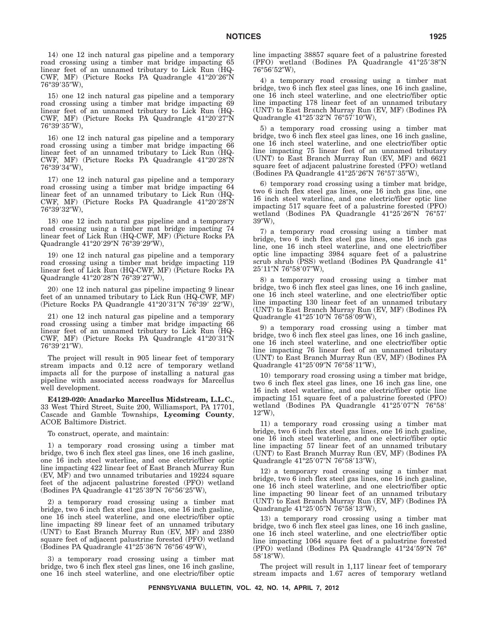14) one 12 inch natural gas pipeline and a temporary road crossing using a timber mat bridge impacting 65 linear feet of an unnamed tributary to Lick Run (HQ-CWF, MF) (Picture Rocks PA Quadrangle 41°20'26"N 76°39′35″W),

15) one 12 inch natural gas pipeline and a temporary road crossing using a timber mat bridge impacting 69 linear feet of an unnamed tributary to Lick Run (HQ-CWF, MF) (Picture Rocks PA Quadrangle 41°20'27"N 76°39'35"W),

16) one 12 inch natural gas pipeline and a temporary road crossing using a timber mat bridge impacting 66 linear feet of an unnamed tributary to Lick Run (HQ-CWF, MF) (Picture Rocks PA Quadrangle 41°20'28"N 76°39′34″W),

17) one 12 inch natural gas pipeline and a temporary road crossing using a timber mat bridge impacting 64 linear feet of an unnamed tributary to Lick Run (HQ-CWF, MF) (Picture Rocks PA Quadrangle 41°20'28"N 76°39′32″W),

18) one 12 inch natural gas pipeline and a temporary road crossing using a timber mat bridge impacting 74 linear feet of Lick Run (HQ-CWF, MF) (Picture Rocks PA Quadrangle 41°20'29"N 76°39'29"W),

19) one 12 inch natural gas pipeline and a temporary road crossing using a timber mat bridge impacting 119 linear feet of Lick Run (HQ-CWF, MF) (Picture Rocks PA Quadrangle 41°20′28″N 76°39′27″W),

20) one 12 inch natural gas pipeline impacting 9 linear feet of an unnamed tributary to Lick Run (HQ-CWF, MF) (Picture Rocks PA Quadrangle 41°20'31"N 76°39' 22"W),

21) one 12 inch natural gas pipeline and a temporary road crossing using a timber mat bridge impacting 66 linear feet of an unnamed tributary to Lick Run (HQ-CWF, MF) (Picture Rocks PA Quadrangle 41°20'31"N 76°39′21″W).

The project will result in 905 linear feet of temporary stream impacts and 0.12 acre of temporary wetland impacts all for the purpose of installing a natural gas pipeline with associated access roadways for Marcellus well development.

**E4129-020: Anadarko Marcellus Midstream, L.L.C.**, 33 West Third Street, Suite 200, Williamsport, PA 17701, Cascade and Gamble Townships, **Lycoming County**, ACOE Baltimore District.

To construct, operate, and maintain:

1) a temporary road crossing using a timber mat bridge, two 6 inch flex steel gas lines, one 16 inch gasline, one 16 inch steel waterline, and one electric/fiber optic line impacting 422 linear feet of East Branch Murray Run (EV, MF) and two unnamed tributaries and 19224 square feet of the adjacent palustrine forested (PFO) wetland (Bodines PA Quadrangle 41°25′39″N 76°56′25″W),

2) a temporary road crossing using a timber mat bridge, two 6 inch flex steel gas lines, one 16 inch gasline, one 16 inch steel waterline, and one electric/fiber optic line impacting 89 linear feet of an unnamed tributary (UNT) to East Branch Murray Run (EV, MF) and 2380 square feet of adjacent palustrine forested (PFO) wetland (Bodines PA Quadrangle 41°25'36"N 76°56'49"W),

3) a temporary road crossing using a timber mat bridge, two 6 inch flex steel gas lines, one 16 inch gasline, one 16 inch steel waterline, and one electric/fiber optic line impacting 38857 square feet of a palustrine forested (PFO) wetland (Bodines PA Quadrangle 41°25'38"N 76°56′52″W),

4) a temporary road crossing using a timber mat bridge, two 6 inch flex steel gas lines, one 16 inch gasline, one 16 inch steel waterline, and one electric/fiber optic line impacting 178 linear feet of an unnamed tributary (UNT) to East Branch Murray Run (EV, MF) (Bodines PA Quadrangle 41°25'32"N 76°57'10"W),

5) a temporary road crossing using a timber mat bridge, two 6 inch flex steel gas lines, one 16 inch gasline, one 16 inch steel waterline, and one electric/fiber optic line impacting 75 linear feet of an unnamed tributary (UNT) to East Branch Murray Run (EV, MF) and 6621 square feet of adjacent palustrine forested (PFO) wetland (Bodines PA Quadrangle 41°25'26"N 76°57'35"W),

6) temporary road crossing using a timber mat bridge, two 6 inch flex steel gas lines, one 16 inch gas line, one 16 inch steel waterline, and one electric/fiber optic line impacting 517 square feet of a palustrine forested (PFO) wetland (Bodines PA Quadrangle 41°25'26"N 76°57' 39W),

7) a temporary road crossing using a timber mat bridge, two 6 inch flex steel gas lines, one 16 inch gas line, one 16 inch steel waterline, and one electric/fiber optic line impacting 3984 square feet of a palustrine scrub shrub (PSS) wetland (Bodines PA Quadrangle 41° 25′11″N 76°58′07″W),

8) a temporary road crossing using a timber mat bridge, two 6 inch flex steel gas lines, one 16 inch gasline, one 16 inch steel waterline, and one electric/fiber optic line impacting 130 linear feet of an unnamed tributary (UNT) to East Branch Murray Run (EV, MF) (Bodines PA Quadrangle 41°25'10"N 76°58'09"W),

9) a temporary road crossing using a timber mat bridge, two  $\hat{6}$  inch flex steel gas lines, one 16 inch gas line, one 16 inch steel waterline, and one electric/fiber optic line impacting 76 linear feet of an unnamed tributary (UNT) to East Branch Murray Run (EV, MF) (Bodines PA Quadrangle 41°25'09"N 76°58'11"W),

10) temporary road crossing using a timber mat bridge, two 6 inch flex steel gas lines, one 16 inch gas line, one 16 inch steel waterline, and one electric/fiber optic line impacting 151 square feet of a palustrine forested (PFO) wetland (Bodines PA Quadrangle 41°25'07"N 76°58'  $12^{\prime\prime}$ W),

11) a temporary road crossing using a timber mat bridge, two 6 inch flex steel gas lines, one 16 inch gasline, one 16 inch steel waterline, and one electric/fiber optic line impacting 57 linear feet of an unnamed tributary (UNT) to East Branch Murray Run (EV, MF) (Bodines PA Quadrangle 41°25'07"N 76°58'13"W),

12) a temporary road crossing using a timber mat bridge, two 6 inch flex steel gas lines, one 16 inch gasline, one 16 inch steel waterline, and one electric/fiber optic line impacting 90 linear feet of an unnamed tributary (UNT) to East Branch Murray Run (EV, MF) (Bodines PA Quadrangle 41°25'05"N 76°58'13"W),

13) a temporary road crossing using a timber mat bridge, two 6 inch flex steel gas lines, one 16 inch gasline, one 16 inch steel waterline, and one electric/fiber optic line impacting 1064 square feet of a palustrine forested (PFO) wetland (Bodines PA Quadrangle 41°24'59"N 76° 58'18"W).

The project will result in 1,117 linear feet of temporary stream impacts and 1.67 acres of temporary wetland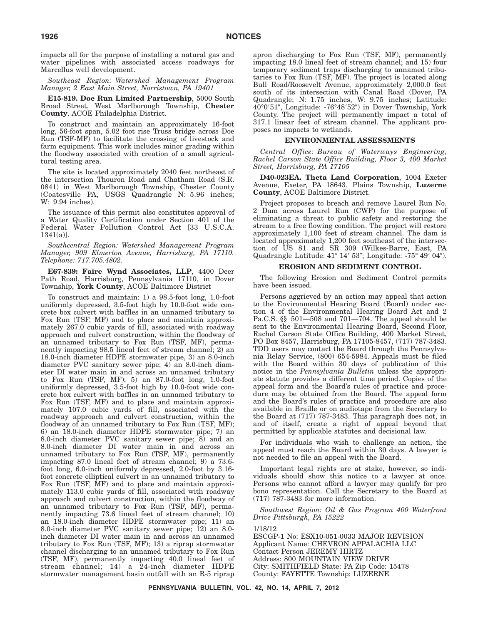impacts all for the purpose of installing a natural gas and water pipelines with associated access roadways for Marcellus well development.

*Southeast Region: Watershed Management Program Manager, 2 East Main Street, Norristown, PA 19401*

**E15-819. Doe Run Limited Partnership**, 5000 South Broad Street, West Marlborough Township, **Chester County**. ACOE Philadelphia District.

To construct and maintain an approximately 16-foot long, 56-foot span, 5.02 foot rise Truss bridge across Doe Run (TSF-MF) to facilitate the crossing of livestock and farm equipment. This work includes minor grading within the floodway associated with creation of a small agricultural testing area.

The site is located approximately 2040 feet northeast of the intersection Thouron Road and Chatham Road (S.R. 0841) in West Marlborough Township, Chester County (Coatesville PA, USGS Quadrangle N: 5.96 inches; W: 9.94 inches).

The issuance of this permit also constitutes approval of a Water Quality Certification under Section 401 of the Federal Water Pollution Control Act [33 U.S.C.A. 1341(a)].

*Southcentral Region: Watershed Management Program Manager, 909 Elmerton Avenue, Harrisburg, PA 17110. Telephone: 717.705.4802.*

**E67-839: Faire Wynd Associates, LLP**, 4400 Deer Path Road, Harrisburg, Pennsylvania 17110, in Dover Township, **York County**, ACOE Baltimore District

To construct and maintain: 1) a 98.5-foot long, 1.0-foot uniformly depressed, 3.5-foot high by 10.0-foot wide concrete box culvert with baffles in an unnamed tributary to Fox Run (TSF, MF) and to place and maintain approximately 267.0 cubic yards of fill, associated with roadway approach and culvert construction, within the floodway of an unnamed tributary to Fox Run (TSF, MF), permanently impacting 98.5 lineal feet of stream channel; 2) an 18.0-inch diameter HDPE stormwater pipe, 3) an 8.0-inch diameter PVC sanitary sewer pipe; 4) an 8.0-inch diameter DI water main in and across an unnamed tributary to Fox Run (TSF, MF); 5) an 87.0-foot long, 1.0-foot uniformly depressed, 3.5-foot high by 10.0-foot wide concrete box culvert with baffles in an unnamed tributary to Fox Run (TSF, MF) and to place and maintain approximately 107.0 cubic yards of fill, associated with the roadway approach and culvert construction, within the floodway of an unnamed tributary to Fox Run (TSF, MF); 6) an 18.0-inch diameter HDPE stormwater pipe; 7) an 8.0-inch diameter PVC sanitary sewer pipe; 8) and an 8.0-inch diameter DI water main in and across an unnamed tributary to Fox Run (TSF, MF), permanently impacting 87.0 lineal feet of stream channel; 9) a 73.6 foot long, 6.0-inch uniformly depressed, 2.0-foot by 3.16 foot concrete elliptical culvert in an unnamed tributary to Fox Run (TSF, MF) and to place and maintain approximately 113.0 cubic yards of fill, associated with roadway approach and culvert construction, within the floodway of an unnamed tributary to Fox Run (TSF, MF), permanently impacting 73.6 lineal feet of stream channel; 10) an 18.0-inch diameter HDPE stormwater pipe; 11) an 8.0-inch diameter PVC sanitary sewer pipe; 12) an 8.0 inch diameter DI water main in and across an unnamed tributary to Fox Run (TSF, MF); 13) a riprap stormwater channel discharging to an unnamed tributary to Fox Run (TSF, MF), permanently impacting 40.0 lineal feet of stream channel; 14) a 24-inch diameter HDPE stormwater management basin outfall with an R-5 riprap

apron discharging to Fox Run (TSF, MF), permanently impacting 18.0 lineal feet of stream channel; and 15) four temporary sediment traps discharging to unnamed tributaries to Fox Run (TSF, MF). The project is located along Bull Road/Roosevelt Avenue, approximately 2,000.0 feet south of its intersection with Canal Road (Dover, PA Quadrangle; N: 1.75 inches, W: 9.75 inches; Latitude: 40°0'51", Longitude: -76°48'52") in Dover Township, York County. The project will permanently impact a total of 317.1 linear feet of stream channel. The applicant proposes no impacts to wetlands.

#### **ENVIRONMENTAL ASSESSMENTS**

*Central Office: Bureau of Waterways Engineering, Rachel Carson State Office Building, Floor 3, 400 Market Street, Harrisburg, PA 17105*

**D40-023EA. Theta Land Corporation**, 1004 Exeter Avenue, Exeter, PA 18643. Plains Township, **Luzerne County**, ACOE Baltimore District.

Project proposes to breach and remove Laurel Run No. 2 Dam across Laurel Run (CWF) for the purpose of eliminating a threat to public safety and restoring the stream to a free flowing condition. The project will restore approximately 1,100 feet of stream channel. The dam is located approximately 1,200 feet southeast of the intersection of US 81 and SR 309 (Wilkes-Barre, East, PA Quadrangle Latitude: 41° 14′ 53"; Longitude: -75° 49′ 04").

#### **EROSION AND SEDIMENT CONTROL**

The following Erosion and Sediment Control permits have been issued.

Persons aggrieved by an action may appeal that action to the Environmental Hearing Board (Board) under section 4 of the Environmental Hearing Board Act and 2 Pa.C.S. §§ 501—508 and 701—704. The appeal should be sent to the Environmental Hearing Board, Second Floor, Rachel Carson State Office Building, 400 Market Street, PO Box 8457, Harrisburg, PA 17105-8457, (717) 787-3483. TDD users may contact the Board through the Pennsylvania Relay Service, (800) 654-5984. Appeals must be filed with the Board within 30 days of publication of this notice in the *Pennsylvania Bulletin* unless the appropriate statute provides a different time period. Copies of the appeal form and the Board's rules of practice and procedure may be obtained from the Board. The appeal form and the Board's rules of practice and procedure are also available in Braille or on audiotape from the Secretary to the Board at (717) 787-3483. This paragraph does not, in and of itself, create a right of appeal beyond that permitted by applicable statutes and decisional law.

For individuals who wish to challenge an action, the appeal must reach the Board within 30 days. A lawyer is not needed to file an appeal with the Board.

Important legal rights are at stake, however, so individuals should show this notice to a lawyer at once. Persons who cannot afford a lawyer may qualify for pro bono representation. Call the Secretary to the Board at (717) 787-3483 for more information.

*Southwest Region: Oil & Gas Program 400 Waterfront Drive Pittsburgh, PA 15222*

#### 1/18/12

ESCGP-1 No: ESX10-051-0033 MAJOR REVISION Applicant Name: CHEVRON APPALACHIA LLC Contact Person JEREMY HIRTZ Address: 800 MOUNTAIN VIEW DRIVE City: SMITHFIELD State: PA Zip Code: 15478 County: FAYETTE Township: LUZERNE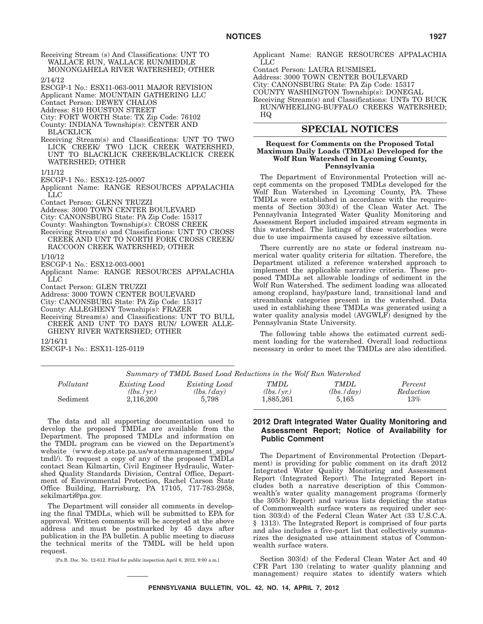Receiving Stream (s) And Classifications: UNT TO WALLACE RUN, WALLACE RUN/MIDDLE MONONGAHELA RIVER WATERSHED; OTHER

2/14/12

- ESCGP-1 No.: ESX11-063-0011 MAJOR REVISION
- Applicant Name: MOUNTAIN GATHERING LLC
- Contact Person: DEWEY CHALOS
- Address: 810 HOUSTON STREET
- City: FORT WORTH State: TX Zip Code: 76102 County: INDIANA Township(s): CENTER AND
- BLACKLICK
- Receiving Stream(s) and Classifications: UNT TO TWO LICK CREEK/ TWO LICK CREEK WATERSHED, UNT TO BLACKLICK CREEK/BLACKLICK CREEK WATERSHED; OTHER
- 1/11/12
- ESCGP-1 No.: ESX12-125-0007
- Applicant Name: RANGE RESOURCES APPALACHIA LLC
- Contact Person: GLENN TRUZZI
- Address: 3000 TOWN CENTER BOULEVARD
- City: CANONSBURG State: PA Zip Code: 15317
- County: Washington Township(s): CROSS CREEK
- Receiving Stream(s) and Classifications: UNT TO CROSS CREEK AND UNT TO NORTH FORK CROSS CREEK/
- RACCOON CREEK WATERSHED; OTHER
- 1/10/12
- ESCGP-1 No.: ESX12-003-0001
- Applicant Name: RANGE RESOURCES APPALACHIA LLC
- Contact Person: GLEN TRUZZI
- Address: 3000 TOWN CENTER BOULEVARD
- City: CANONSBURG State: PA Zip Code: 15317
- County: ALLEGHENY Township(s): FRAZER
- Receiving Stream(s) and Classifications: UNT TO BULL CREEK AND UNT TO DAYS RUN/ LOWER ALLE-GHENY RIVER WATERSHED; OTHER

12/16/11

ESCGP-1 No.: ESX11-125-0119

Applicant Name: RANGE RESOURCES APPALACHIA LLC

Contact Person: LAURA RUSMISEL Address: 3000 TOWN CENTER BOULEVARD City: CANONSBURG State: PA Zip Code: 15317 COUNTY WASHINGTON Township(s): DONEGAL Receiving Stream(s) and Classifications: UNTs TO BUCK RUN/WHEELING-BUFFALO CREEKS WATERSHED; HQ

# **SPECIAL NOTICES**

#### **Request for Comments on the Proposed Total Maximum Daily Loads (TMDLs) Developed for the Wolf Run Watershed in Lycoming County, Pennsylvania**

The Department of Environmental Protection will accept comments on the proposed TMDLs developed for the Wolf Run Watershed in Lycoming County, PA. These TMDLs were established in accordance with the requirements of Section 303(d) of the Clean Water Act. The Pennsylvania Integrated Water Quality Monitoring and Assessment Report included impaired stream segments in this watershed. The listings of these waterbodies were due to use impairments caused by excessive siltation.

There currently are no state or federal instream numerical water quality criteria for siltation. Therefore, the Department utilized a reference watershed approach to implement the applicable narrative criteria. These proposed TMDLs set allowable loadings of sediment in the Wolf Run Watershed. The sediment loading was allocated among cropland, hay/pasture land, transitional land and streambank categories present in the watershed. Data used in establishing these TMDLs was generated using a water quality analysis model (AVGWLF) designed by the Pennsylvania State University.

The following table shows the estimated current sediment loading for the watershed. Overall load reductions necessary in order to meet the TMDLs are also identified.

| Summary of TMDL Based Load Reductions in the Wolf Run Watershed |                      |                      |              |                 |           |
|-----------------------------------------------------------------|----------------------|----------------------|--------------|-----------------|-----------|
| Pollutant                                                       | <i>Existing Load</i> | <i>Existing Load</i> | <i>TMDL</i>  | <b>TMDL</b>     | Percent   |
|                                                                 | (lbs. / vr.)         | $(lbs.$ $/day)$      | (lbs. / vr.) | $(lbs.$ $/day)$ | Reduction |
| Sediment                                                        | 2.116.200            | 5.798                | 1,885,261    | 5.165           | $13\%$    |

The data and all supporting documentation used to develop the proposed TMDLs are available from the Department. The proposed TMDLs and information on the TMDL program can be viewed on the Department's website (www.dep.state.pa.us/watermanagement\_apps/ tmdl/). To request a copy of any of the proposed TMDLs contact Sean Kilmartin, Civil Engineer Hydraulic, Watershed Quality Standards Division, Central Office, Department of Environmental Protection, Rachel Carson State Office Building, Harrisburg, PA 17105, 717-783-2958, sekilmarti@pa.gov.

The Department will consider all comments in developing the final TMDLs, which will be submitted to EPA for approval. Written comments will be accepted at the above address and must be postmarked by 45 days after publication in the PA bulletin. A public meeting to discuss the technical merits of the TMDL will be held upon request.

[Pa.B. Doc. No. 12-612. Filed for public inspection April 6, 2012, 9:00 a.m.]

### **2012 Draft Integrated Water Quality Monitoring and Assessment Report; Notice of Availability for Public Comment**

The Department of Environmental Protection (Department) is providing for public comment on its draft 2012 Integrated Water Quality Monitoring and Assessment Report (Integrated Report). The Integrated Report includes both a narrative description of this Commonwealth's water quality management programs (formerly the 305(b) Report) and various lists depicting the status of Commonwealth surface waters as required under section 303(d) of the Federal Clean Water Act (33 U.S.C.A. § 1313). The Integrated Report is comprised of four parts and also includes a five-part list that collectively summarizes the designated use attainment status of Commonwealth surface waters.

Section 303(d) of the Federal Clean Water Act and 40 CFR Part 130 (relating to water quality planning and management) require states to identify waters which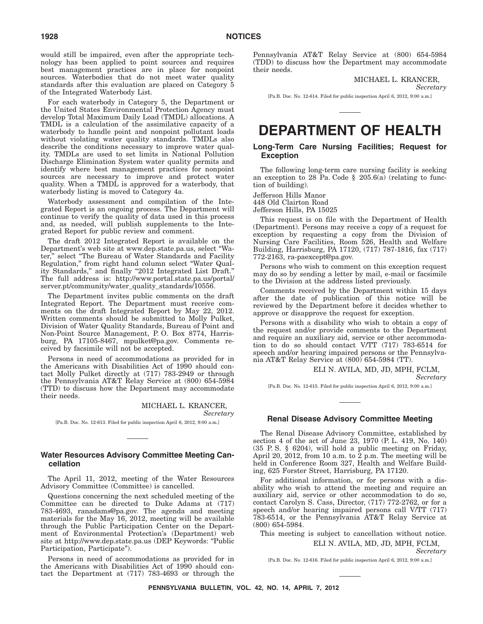would still be impaired, even after the appropriate technology has been applied to point sources and requires best management practices are in place for nonpoint sources. Waterbodies that do not meet water quality standards after this evaluation are placed on Category 5 of the Integrated Waterbody List.

For each waterbody in Category 5, the Department or the United States Environmental Protection Agency must develop Total Maximum Daily Load (TMDL) allocations. A TMDL is a calculation of the assimilative capacity of a waterbody to handle point and nonpoint pollutant loads without violating water quality standards. TMDLs also describe the conditions necessary to improve water quality. TMDLs are used to set limits in National Pollution Discharge Elimination System water quality permits and identify where best management practices for nonpoint sources are necessary to improve and protect water quality. When a TMDL is approved for a waterbody, that waterbody listing is moved to Category 4a.

Waterbody assessment and compilation of the Integrated Report is an ongoing process. The Department will continue to verify the quality of data used in this process and, as needed, will publish supplements to the Integrated Report for public review and comment.

The draft 2012 Integrated Report is available on the Department's web site at www.dep.state.pa.us, select ''Water," select "The Bureau of Water Standards and Facility Regulation,'' from right hand column select ''Water Quality Standards," and finally "2012 Integrated List Draft." The full address is: http://www.portal.state.pa.us/portal/ server.pt/community/water\_quality\_standards/10556.

The Department invites public comments on the draft Integrated Report. The Department must receive comments on the draft Integrated Report by May 22, 2012. Written comments should be submitted to Molly Pulket, Division of Water Quality Standards, Bureau of Point and Non-Point Source Management, P. O. Box 8774, Harrisburg, PA 17105-8467, mpulket@pa.gov. Comments received by facsimile will not be accepted.

Persons in need of accommodations as provided for in the Americans with Disabilities Act of 1990 should contact Molly Pulket directly at (717) 783-2949 or through the Pennsylvania AT&T Relay Service at (800) 654-5984 (TTD) to discuss how the Department may accommodate their needs.

MICHAEL L. KRANCER,

*Secretary* [Pa.B. Doc. No. 12-613. Filed for public inspection April 6, 2012, 9:00 a.m.]

#### **Water Resources Advisory Committee Meeting Cancellation**

The April 11, 2012, meeting of the Water Resources Advisory Committee (Committee) is cancelled.

Questions concerning the next scheduled meeting of the Committee can be directed to Duke Adams at (717) 783-4693, ranadams@pa.gov. The agenda and meeting materials for the May 16, 2012, meeting will be available through the Public Participation Center on the Department of Environmental Protection's (Department) web site at http://www.dep.state.pa.us (DEP Keywords: ''Public Participation, Participate'').

Persons in need of accommodations as provided for in the Americans with Disabilities Act of 1990 should contact the Department at (717) 783-4693 or through the Pennsylvania AT&T Relay Service at (800) 654-5984 (TDD) to discuss how the Department may accommodate their needs.

> MICHAEL L. KRANCER, *Secretary*

[Pa.B. Doc. No. 12-614. Filed for public inspection April 6, 2012, 9:00 a.m.]

# **DEPARTMENT OF HEALTH**

### **Long-Term Care Nursing Facilities; Request for Exception**

The following long-term care nursing facility is seeking an exception to 28 Pa. Code § 205.6(a) (relating to function of building).

Jefferson Hills Manor 448 Old Clairton Road Jefferson Hills, PA 15025

This request is on file with the Department of Health (Department). Persons may receive a copy of a request for exception by requesting a copy from the Division of Nursing Care Facilities, Room 526, Health and Welfare Building, Harrisburg, PA 17120, (717) 787-1816, fax (717) 772-2163, ra-paexcept@pa.gov.

Persons who wish to comment on this exception request may do so by sending a letter by mail, e-mail or facsimile to the Division at the address listed previously.

Comments received by the Department within 15 days after the date of publication of this notice will be reviewed by the Department before it decides whether to approve or disapprove the request for exception.

Persons with a disability who wish to obtain a copy of the request and/or provide comments to the Department and require an auxiliary aid, service or other accommodation to do so should contact V/TT (717) 783-6514 for speech and/or hearing impaired persons or the Pennsylvania AT&T Relay Service at (800) 654-5984 (TT).

ELI N. AVILA, MD, JD, MPH, FCLM,

*Secretary*

[Pa.B. Doc. No. 12-615. Filed for public inspection April 6, 2012, 9:00 a.m.]

#### **Renal Disease Advisory Committee Meeting**

The Renal Disease Advisory Committee, established by section 4 of the act of June 23, 1970 (P. L. 419, No. 140) (35 P. S. § 6204), will hold a public meeting on Friday, April 20, 2012, from 10 a.m. to  $2$  p.m. The meeting will be held in Conference Room 327, Health and Welfare Building, 625 Forster Street, Harrisburg, PA 17120.

For additional information, or for persons with a disability who wish to attend the meeting and require an auxiliary aid, service or other accommodation to do so, contact Carolyn S. Cass, Director, (717) 772-2762, or for a speech and/or hearing impaired persons call V/TT (717) 783-6514, or the Pennsylvania AT&T Relay Service at (800) 654-5984.

This meeting is subject to cancellation without notice. ELI N. AVILA, MD, JD, MPH, FCLM,

*Secretary*

[Pa.B. Doc. No. 12-616. Filed for public inspection April 6, 2012, 9:00 a.m.]

**PENNSYLVANIA BULLETIN, VOL. 42, NO. 14, APRIL 7, 2012**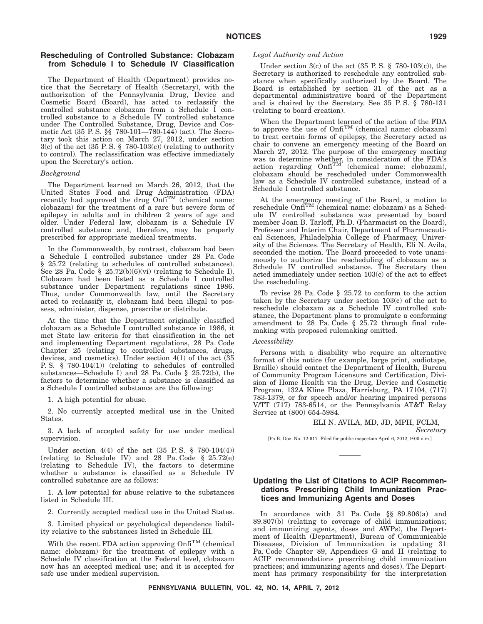## **Rescheduling of Controlled Substance: Clobazam from Schedule I to Schedule IV Classification**

The Department of Health (Department) provides notice that the Secretary of Health (Secretary), with the authorization of the Pennsylvania Drug, Device and Cosmetic Board (Board), has acted to reclassify the controlled substance clobazam from a Schedule I controlled substance to a Schedule IV controlled substance under The Controlled Substance, Drug, Device and Cosmetic Act (35 P. S. §§ 780-101—780-144) (act). The Secretary took this action on March 27, 2012, under section  $3(c)$  of the act (35 P.S. § 780-103(c)) (relating to authority to control). The reclassification was effective immediately upon the Secretary's action.

#### *Background*

The Department learned on March 26, 2012, that the United States Food and Drug Administration (FDA)<br>recently had approved the drug Onfi<sup>TM</sup> (chemical name: clobazam) for the treatment of a rare but severe form of epilepsy in adults and in children 2 years of age and older. Under Federal law, clobazam is a Schedule IV controlled substance and, therefore, may be properly prescribed for appropriate medical treatments.

In the Commonwealth, by contrast, clobazam had been a Schedule I controlled substance under 28 Pa. Code § 25.72 (relating to schedules of controlled substances). See 28 Pa. Code  $\S$  25.72(b)(6)(vi) (relating to Schedule I). Clobazam had been listed as a Schedule I controlled substance under Department regulations since 1986. Thus, under Commonwealth law, until the Secretary acted to reclassify it, clobazam had been illegal to possess, administer, dispense, prescribe or distribute.

At the time that the Department originally classified clobazam as a Schedule I controlled substance in 1986, it met State law criteria for that classification in the act and implementing Department regulations, 28 Pa. Code Chapter 25 (relating to controlled substances, drugs, devices, and cosmetics). Under section 4(1) of the act (35 P. S. § 780-104(1)) (relating to schedules of controlled substances—Schedule I) and 28 Pa. Code § 25.72(b), the factors to determine whether a substance is classified as a Schedule I controlled substance are the following:

1. A high potential for abuse.

2. No currently accepted medical use in the United States.

3. A lack of accepted safety for use under medical supervision.

Under section 4(4) of the act (35 P. S. § 780-104(4)) (relating to Schedule IV) and 28 Pa. Code § 25.72(e) (relating to Schedule IV), the factors to determine whether a substance is classified as a Schedule IV controlled substance are as follows:

1. A low potential for abuse relative to the substances listed in Schedule III.

2. Currently accepted medical use in the United States.

3. Limited physical or psychological dependence liability relative to the substances listed in Schedule III.

With the recent FDA action approving Onfi<sup>TM</sup> (chemical name: clobazam) for the treatment of epilepsy with a Schedule IV classification at the Federal level, clobazam now has an accepted medical use; and it is accepted for safe use under medical supervision.

#### *Legal Authority and Action*

Under section  $3(c)$  of the act  $(35 \text{ P. S. } § 780-103(c))$ , the Secretary is authorized to reschedule any controlled substance when specifically authorized by the Board. The Board is established by section 31 of the act as a departmental administrative board of the Department and is chaired by the Secretary. See 35 P. S. § 780-131 (relating to board creation).

When the Department learned of the action of the FDA to approve the use of  $Onf_1^{TM}$  (chemical name: clobazam) to treat certain forms of epilepsy, the Secretary acted as chair to convene an emergency meeting of the Board on March 27, 2012. The purpose of the emergency meeting was to determine whether, in consideration of the FDA's action regarding Onfi<sup>TM</sup> (chemical name: clobazam), clobazam should be rescheduled under Commonwealth law as a Schedule IV controlled substance, instead of a Schedule I controlled substance.

At the emergency meeting of the Board, a motion to reschedule Onfi<sup>TM</sup> (chemical name: clobazam) as a Schedule IV controlled substance was presented by board member Joan B. Tarloff, Ph.D. (Pharmacist on the Board), Professor and Interim Chair, Department of Pharmaceutical Sciences, Philadelphia College of Pharmacy, University of the Sciences. The Secretary of Health, Eli N. Avila, seconded the motion. The Board proceeded to vote unanimously to authorize the rescheduling of clobazam as a Schedule IV controlled substance. The Secretary then acted immediately under section 103(c) of the act to effect the rescheduling.

To revise 28 Pa. Code § 25.72 to conform to the action taken by the Secretary under section 103(c) of the act to reschedule clobazam as a Schedule IV controlled substance, the Department plans to promulgate a conforming amendment to 28 Pa. Code § 25.72 through final rulemaking with proposed rulemaking omitted.

#### *Accessibility*

Persons with a disability who require an alternative format of this notice (for example, large print, audiotape, Braille) should contact the Department of Health, Bureau of Community Program Licensure and Certification, Division of Home Health via the Drug, Device and Cosmetic Program, 132A Kline Plaza, Harrisburg, PA 17104, (717) 783-1379, or for speech and/or hearing impaired persons V/TT (717) 783-6514, or the Pennsylvania AT&T Relay Service at (800) 654-5984.

#### ELI N. AVILA, MD, JD, MPH, FCLM,

*Secretary*

[Pa.B. Doc. No. 12-617. Filed for public inspection April 6, 2012, 9:00 a.m.]

## **Updating the List of Citations to ACIP Recommendations Prescribing Child Immunization Practices and Immunizing Agents and Doses**

In accordance with 31 Pa. Code §§ 89.806(a) and 89.807(b) (relating to coverage of child immunizations; and immunizing agents, doses and AWPs), the Department of Health (Department), Bureau of Communicable Diseases, Division of Immunization is updating 31 Pa. Code Chapter 89, Appendices G and H (relating to ACIP recommendations prescribing child immunization practices; and immunizing agents and doses). The Department has primary responsibility for the interpretation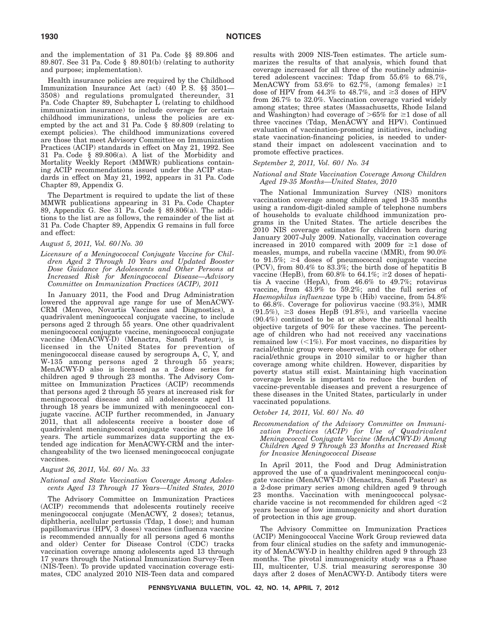and the implementation of 31 Pa. Code §§ 89.806 and 89.807. See 31 Pa. Code § 89.801(b) (relating to authority and purpose; implementation).

Health insurance policies are required by the Childhood Immunization Insurance Act (act) (40 P. S. §§ 3501— 3508) and regulations promulgated thereunder, 31 Pa. Code Chapter 89, Subchapter L (relating to childhood immunization insurance) to include coverage for certain childhood immunizations, unless the policies are exempted by the act and 31 Pa. Code § 89.809 (relating to exempt policies). The childhood immunizations covered are those that meet Advisory Committee on Immunization Practices (ACIP) standards in effect on May 21, 1992. See 31 Pa. Code § 89.806(a). A list of the Morbidity and Mortality Weekly Report (MMWR) publications containing ACIP recommendations issued under the ACIP standards in effect on May 21, 1992, appears in 31 Pa. Code Chapter 89, Appendix G.

The Department is required to update the list of these MMWR publications appearing in 31 Pa. Code Chapter 89, Appendix G. See 31 Pa. Code § 89.806(a). The additions to the list are as follows, the remainder of the list at 31 Pa. Code Chapter 89, Appendix G remains in full force and effect:

#### *August 5, 2011, Vol. 60/No. 30*

*Licensure of a Meningococcal Conjugate Vaccine for Children Aged 2 Through 10 Years and Updated Booster Dose Guidance for Adolescents and Other Persons at Increased Risk for Meningococcal Disease—Advisory Committee on Immunization Practices (ACIP), 2011*

In January 2011, the Food and Drug Administration lowered the approval age range for use of MenACWY-CRM (Menveo, Novartis Vaccines and Diagnostics), a quadrivalent meningococcal conjugate vaccine, to include persons aged 2 through 55 years. One other quadrivalent meningococcal conjugate vaccine, meningococcal conjugate vaccine (MenACWY-D) (Menactra, Sanofi Pasteur), is licensed in the United States for prevention of meningococcal disease caused by serogroups A, C, Y, and W-135 among persons aged 2 through 55 years; MenACWY-D also is licensed as a 2-dose series for children aged 9 through 23 months. The Advisory Committee on Immunization Practices (ACIP) recommends that persons aged 2 through 55 years at increased risk for meningococcal disease and all adolescents aged 11 through 18 years be immunized with meningococcal conjugate vaccine. ACIP further recommended, in January 2011, that all adolescents receive a booster dose of quadrivalent meningococcal conjugate vaccine at age 16 years. The article summarizes data supporting the extended age indication for MenACWY-CRM and the interchangeability of the two licensed meningococcal conjugate vaccines.

#### *August 26, 2011, Vol. 60/ No. 33*

#### *National and State Vaccination Coverage Among Adolescents Aged 13 Through 17 Years—United States, 2010*

The Advisory Committee on Immunization Practices (ACIP) recommends that adolescents routinely receive meningococcal conjugate (MenACWY, 2 doses); tetanus, diphtheria, acellular pertussis (Tdap, 1 dose); and human papillomavirus (HPV, 3 doses) vaccines (influenza vaccine is recommended annually for all persons aged 6 months and older) Center for Disease Control (CDC) tracks vaccination coverage among adolescents aged 13 through 17 years through the National Immunization Survey-Teen (NIS-Teen). To provide updated vaccination coverage estimates, CDC analyzed 2010 NIS-Teen data and compared results with 2009 NIS-Teen estimates. The article summarizes the results of that analysis, which found that coverage increased for all three of the routinely administered adolescent vaccines: Tdap from 55.6% to 68.7%, MenACWY from 53.6% to 62.7%, (among females)  $\geq 1$ dose of HPV from  $44.3\%$  to  $48.7\%$ , and  $\geq 3$  doses of HPV from 26.7% to 32.0%. Vaccination coverage varied widely among states; three states (Massachusetts, Rhode Island and Washington) had coverage of  $>65\%$  for  $\geq 1$  dose of all three vaccines (Tdap, MenACWY and HPV). Continued evaluation of vaccination-promoting initiatives, including state vaccination-financing policies, is needed to understand their impact on adolescent vaccination and to promote effective practices.

#### *September 2, 2011, Vol. 60/ No. 34*

#### *National and State Vaccination Coverage Among Children Aged 19-35 Months—United States, 2010*

The National Immunization Survey (NIS) monitors vaccination coverage among children aged 19-35 months using a random-digit-dialed sample of telephone numbers of households to evaluate childhood immunization programs in the United States. The article describes the 2010 NIS coverage estimates for children born during January 2007-July 2009. Nationally, vaccination coverage increased in 2010 compared with 2009 for  $\geq 1$  dose of measles, mumps, and rubella vaccine (MMR), from 90.0% to  $91.5\%$ ;  $\geq 4$  doses of pneumococcal conjugate vaccine (PCV), from 80.4% to 83.3%; the birth dose of hepatitis B vaccine (HepB), from 60.8% to 64.1%;  $\geq 2$  doses of hepatitis A vaccine (HepA), from 46.6% to 49.7%; rotavirus vaccine, from 43.9% to 59.2%; and the full series of *Haemophilus influenzae* type b (Hib) vaccine, from 54.8% to 66.8%. Coverage for poliovirus vaccine (93.3%), MMR  $(91.5\%)$ ,  $\geq$ 3 doses HepB  $(91.8\%)$ , and varicella vaccine (90.4%) continued to be at or above the national health objective targets of 90% for these vaccines. The percentage of children who had not received any vaccinations remained low  $\left( < 1\% \right)$ . For most vaccines, no disparities by racial/ethnic group were observed, with coverage for other racial/ethnic groups in 2010 similar to or higher than coverage among white children. However, disparities by poverty status still exist. Maintaining high vaccination coverage levels is important to reduce the burden of vaccine-preventable diseases and prevent a resurgence of these diseases in the United States, particularly in under vaccinated populations.

#### *October 14, 2011, Vol. 60/ No. 40*

*Recommendation of the Advisory Committee on Immunization Practices (ACIP) for Use of Quadrivalent Meningococcal Conjugate Vaccine (MenACWY-D) Among Children Aged 9 Through 23 Months at Increased Risk for Invasive Meningococcal Disease*

In April 2011, the Food and Drug Administration approved the use of a quadrivalent meningococcal conjugate vaccine (MenACWY-D) (Menactra, Sanofi Pasteur) as a 2-dose primary series among children aged 9 through 23 months. Vaccination with meningococcal polysaccharide vaccine is not recommended for children aged  $\leq 2$ years because of low immunogenicity and short duration of protection in this age group.

The Advisory Committee on Immunization Practices (ACIP) Meningococcal Vaccine Work Group reviewed data from four clinical studies on the safety and immunogenicity of MenACWY-D in healthy children aged 9 through 23 months. The pivotal immunogenicity study was a Phase III, multicenter, U.S. trial measuring seroresponse 30 days after 2 doses of MenACWY-D. Antibody titers were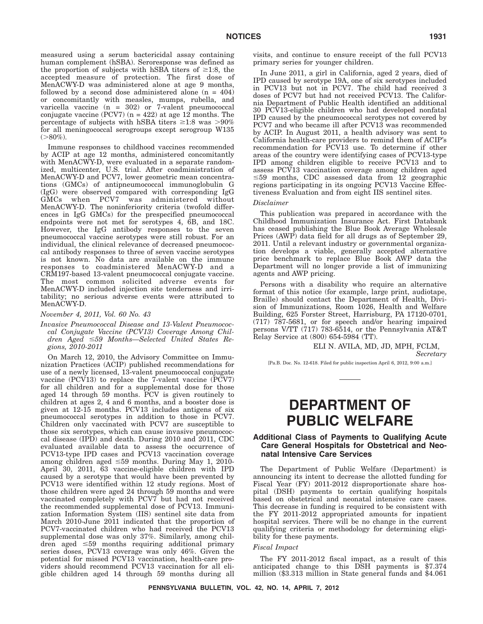measured using a serum bactericidal assay containing human complement (hSBA). Seroresponse was defined as the proportion of subjects with hSBA titers of  $\geq 1.8$ , the accepted measure of protection. The first dose of MenACWY-D was administered alone at age 9 months, followed by a second dose administered alone  $(n = 404)$ or concomitantly with measles, mumps, rubella, and varicella vaccine (n = 302) or 7-valent pneumococcal conjugate vaccine (PCV7) ( $n = 422$ ) at age 12 months. The percentage of subjects with hSBA titers  $\geq 1.8$  was  $> 90\%$ for all meningococcal serogroups except serogroup W135  $( > 80\%).$ 

Immune responses to childhood vaccines recommended by ACIP at age 12 months, administered concomitantly with MenACWY-D, were evaluated in a separate randomized, multicenter, U.S. trial. After coadministration of MenACWY-D and PCV7, lower geometric mean concentrations (GMCs) of antipneumococcal immunoglobulin G (IgG) were observed compared with corresponding IgG GMCs when PCV7 was administered without MenACWY-D. The noninferiority criteria (twofold differences in IgG GMCs) for the prespecified pneumococcal endpoints were not met for serotypes 4, 6B, and 18C. However, the IgG antibody responses to the seven pneumococcal vaccine serotypes were still robust. For an individual, the clinical relevance of decreased pneumococcal antibody responses to three of seven vaccine serotypes is not known. No data are available on the immune responses to coadministered MenACWY-D and a CRM197-based 13-valent pneumococcal conjugate vaccine. The most common solicited adverse events for MenACWY-D included injection site tenderness and irritability; no serious adverse events were attributed to MenACWY-D.

*November 4, 2011, Vol. 60 No. 43*

*Invasive Pneumococcal Disease and 13-Valent Pneumococcal Conjugate Vaccine (PCV13) Coverage Among Children Aged 59 Months—Selected United States Regions, 2010-2011*

On March 12, 2010, the Advisory Committee on Immunization Practices (ACIP) published recommendations for use of a newly licensed, 13-valent pneumococcal conjugate vaccine (PCV13) to replace the 7-valent vaccine (PCV7) for all children and for a supplemental dose for those aged 14 through 59 months. PCV is given routinely to children at ages 2, 4 and 6 months, and a booster dose is given at 12-15 months. PCV13 includes antigens of six pneumococcal serotypes in addition to those in PCV7. Children only vaccinated with PCV7 are susceptible to those six serotypes, which can cause invasive pneumococcal disease (IPD) and death. During 2010 and 2011, CDC evaluated available data to assess the occurrence of PCV13-type IPD cases and PCV13 vaccination coverage among children aged  $\leq 59$  months. During May 1, 2010-April 30, 2011, 63 vaccine-eligible children with IPD caused by a serotype that would have been prevented by PCV13 were identified within 12 study regions. Most of those children were aged 24 through 59 months and were vaccinated completely with PCV7 but had not received the recommended supplemental dose of PCV13. Immunization Information System (IIS) sentinel site data from March 2010-June 2011 indicated that the proportion of PCV7-vaccinated children who had received the PCV13 supplemental dose was only 37%. Similarly, among children aged  $\leq 59$  months requiring additional primary series doses, PCV13 coverage was only 46%. Given the potential for missed PCV13 vaccination, health-care providers should recommend PCV13 vaccination for all eligible children aged 14 through 59 months during all

visits, and continue to ensure receipt of the full PCV13 primary series for younger children.

In June 2011, a girl in California, aged 2 years, died of IPD caused by serotype 19A, one of six serotypes included in PCV13 but not in PCV7. The child had received 3 doses of PCV7 but had not received PCV13. The California Department of Public Health identified an additional 30 PCV13-eligible children who had developed nonfatal IPD caused by the pneumococcal serotypes not covered by PCV7 and who became ill after PCV13 was recommended by ACIP. In August 2011, a health advisory was sent to California health-care providers to remind them of ACIP's recommendation for PCV13 use. To determine if other areas of the country were identifying cases of PCV13-type IPD among children eligible to receive PCV13 and to assess PCV13 vaccination coverage among children aged  $\leq$ 59 months, CDC assessed data from 12 geographic regions participating in its ongoing PCV13 Vaccine Effectiveness Evaluation and from eight IIS sentinel sites.

#### *Disclaimer*

This publication was prepared in accordance with the Childhood Immunization Insurance Act. First Databank has ceased publishing the Blue Book Average Wholesale Prices (AWP) data field for all drugs as of September 29, 2011. Until a relevant industry or governmental organization develops a viable, generally accepted alternative price benchmark to replace Blue Book AWP data the Department will no longer provide a list of immunizing agents and AWP pricing.

Persons with a disability who require an alternative format of this notice (for example, large print, audiotape, Braille) should contact the Department of Health, Division of Immunizations, Room 1026, Health and Welfare Building, 625 Forster Street, Harrisburg, PA 17120-0701, (717) 787-5681, or for speech and/or hearing impaired persons V/TT (717) 783-6514, or the Pennsylvania AT&T Relay Service at (800) 654-5984 (TT).

> ELI N. AVILA, MD, JD, MPH, FCLM, *Secretary*

[Pa.B. Doc. No. 12-618. Filed for public inspection April 6, 2012, 9:00 a.m.]

# **DEPARTMENT OF PUBLIC WELFARE**

## **Additional Class of Payments to Qualifying Acute Care General Hospitals for Obstetrical and Neonatal Intensive Care Services**

The Department of Public Welfare (Department) is announcing its intent to decrease the allotted funding for Fiscal Year (FY) 2011-2012 disproportionate share hospital (DSH) payments to certain qualifying hospitals based on obstetrical and neonatal intensive care cases. This decrease in funding is required to be consistent with the FY 2011-2012 appropriated amounts for inpatient hospital services. There will be no change in the current qualifying criteria or methodology for determining eligibility for these payments.

#### *Fiscal Impact*

The FY 2011-2012 fiscal impact, as a result of this anticipated change to this DSH payments is \$7.374 million (\$3.313 million in State general funds and \$4.061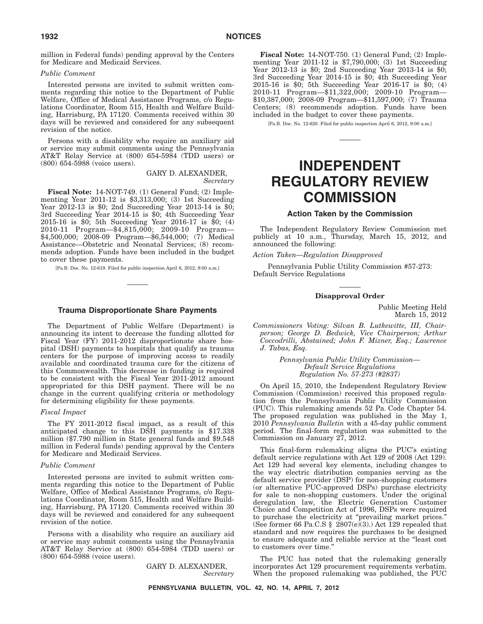million in Federal funds) pending approval by the Centers for Medicare and Medicaid Services.

## *Public Comment*

Interested persons are invited to submit written comments regarding this notice to the Department of Public Welfare, Office of Medical Assistance Programs, c/o Regulations Coordinator, Room 515, Health and Welfare Building, Harrisburg, PA 17120. Comments received within 30 days will be reviewed and considered for any subsequent revision of the notice.

Persons with a disability who require an auxiliary aid or service may submit comments using the Pennsylvania AT&T Relay Service at (800) 654-5984 (TDD users) or (800) 654-5988 (voice users).

> GARY D. ALEXANDER, *Secretary*

**Fiscal Note:** 14-NOT-749. (1) General Fund; (2) Implementing Year 2011-12 is \$3,313,000; (3) 1st Succeeding Year 2012-13 is \$0; 2nd Succeeding Year 2013-14 is \$0; 3rd Succeeding Year 2014-15 is \$0; 4th Succeeding Year 2015-16 is \$0; 5th Succeeding Year 2016-17 is \$0; (4) 2010-11 Program—\$4,815,000; 2009-10 Program— \$4,500,000; 2008-09 Program—\$6,544,000; (7) Medical Assistance—Obstetric and Neonatal Services; (8) recommends adoption. Funds have been included in the budget to cover these payments.

[Pa.B. Doc. No. 12-619. Filed for public inspection April 6, 2012, 9:00 a.m.]

#### **Trauma Disproportionate Share Payments**

The Department of Public Welfare (Department) is announcing its intent to decrease the funding allotted for Fiscal Year (FY) 2011-2012 disproportionate share hospital (DSH) payments to hospitals that qualify as trauma centers for the purpose of improving access to readily available and coordinated trauma care for the citizens of this Commonwealth. This decrease in funding is required to be consistent with the Fiscal Year 2011-2012 amount appropriated for this DSH payment. There will be no change in the current qualifying criteria or methodology for determining eligibility for these payments.

#### *Fiscal Impact*

The FY 2011-2012 fiscal impact, as a result of this anticipated change to this DSH payments is \$17.338 million (\$7.790 million in State general funds and \$9.548 million in Federal funds) pending approval by the Centers for Medicare and Medicaid Services.

#### *Public Comment*

Interested persons are invited to submit written comments regarding this notice to the Department of Public Welfare, Office of Medical Assistance Programs, c/o Regulations Coordinator, Room 515, Health and Welfare Building, Harrisburg, PA 17120. Comments received within 30 days will be reviewed and considered for any subsequent revision of the notice.

Persons with a disability who require an auxiliary aid or service may submit comments using the Pennsylvania AT&T Relay Service at (800) 654-5984 (TDD users) or (800) 654-5988 (voice users).

> GARY D. ALEXANDER, *Secretary*

**Fiscal Note:** 14-NOT-750. (1) General Fund; (2) Implementing Year 2011-12 is \$7,790,000; (3) 1st Succeeding Year 2012-13 is \$0; 2nd Succeeding Year 2013-14 is \$0; 3rd Succeeding Year 2014-15 is \$0; 4th Succeeding Year 2015-16 is \$0; 5th Succeeding Year 2016-17 is \$0; (4) 2010-11 Program—\$11,322,000; 2009-10 Program— \$10,387,000; 2008-09 Program—\$11,597,000; (7) Trauma Centers; (8) recommends adoption. Funds have been included in the budget to cover these payments.

[Pa.B. Doc. No. 12-620. Filed for public inspection April 6, 2012, 9:00 a.m.]

# **INDEPENDENT REGULATORY REVIEW COMMISSION**

#### **Action Taken by the Commission**

The Independent Regulatory Review Commission met publicly at 10 a.m., Thursday, March 15, 2012, and announced the following:

*Action Taken—Regulation Disapproved*

Pennsylvania Public Utility Commission #57-273: Default Service Regulations

#### **Disapproval Order**

Public Meeting Held March 15, 2012

*Commissioners Voting: Silvan B. Lutkewitte, III, Chairperson; George D. Bedwick, Vice Chairperson; Arthur Coccodrilli, Abstained; John F. Mizner, Esq.; Lawrence J. Tabas, Esq.*

> *Pennsylvania Public Utility Commission— Default Service Regulations Regulation No. 57-273 (#2837)*

On April 15, 2010, the Independent Regulatory Review Commission (Commission) received this proposed regulation from the Pennsylvania Public Utility Commission (PUC). This rulemaking amends 52 Pa. Code Chapter 54. The proposed regulation was published in the May 1, 2010 *Pennsylvania Bulletin* with a 45-day public comment period. The final-form regulation was submitted to the Commission on January 27, 2012.

This final-form rulemaking aligns the PUC's existing default service regulations with Act 129 of 2008 (Act 129). Act 129 had several key elements, including changes to the way electric distribution companies serving as the default service provider (DSP) for non-shopping customers (or alternative PUC-approved DSPs) purchase electricity for sale to non-shopping customers. Under the original deregulation law, the Electric Generation Customer Choice and Competition Act of 1996, DSPs were required to purchase the electricity at ''prevailing market prices.'' (See former 66 Pa.C.S  $\S$  2807(e)(3).) Act 129 repealed that standard and now requires the purchases to be designed to ensure adequate and reliable service at the ''least cost to customers over time.''

The PUC has noted that the rulemaking generally incorporates Act 129 procurement requirements verbatim. When the proposed rulemaking was published, the PUC

**PENNSYLVANIA BULLETIN, VOL. 42, NO. 14, APRIL 7, 2012**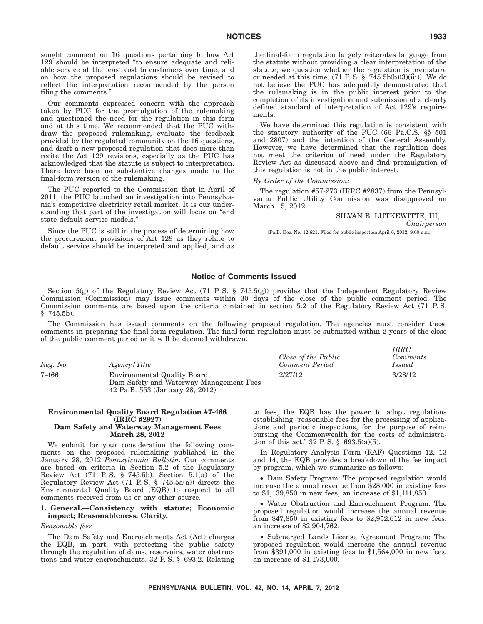sought comment on 16 questions pertaining to how Act 129 should be interpreted ''to ensure adequate and reliable service at the least cost to customers over time, and on how the proposed regulations should be revised to reflect the interpretation recommended by the person filing the comments.''

Our comments expressed concern with the approach taken by PUC for the promulgation of the rulemaking and questioned the need for the regulation in this form and at this time. We recommended that the PUC withdraw the proposed rulemaking, evaluate the feedback provided by the regulated community on the 16 questions, and draft a new proposed regulation that does more than recite the Act 129 revisions, especially as the PUC has acknowledged that the statute is subject to interpretation. There have been no substantive changes made to the final-form version of the rulemaking.

The PUC reported to the Commission that in April of 2011, the PUC launched an investigation into Pennsylvania's competitive electricity retail market. It is our understanding that part of the investigation will focus on ''end state default service models.''

Since the PUC is still in the process of determining how the procurement provisions of Act 129 as they relate to default service should be interpreted and applied, and as the final-form regulation largely reiterates language from the statute without providing a clear interpretation of the statute, we question whether the regulation is premature or needed at this time. (71 P. S. §  $7\overline{4}5.5b(b)(3)(iii)$ ). We do not believe the PUC has adequately demonstrated that the rulemaking is in the public interest prior to the completion of its investigation and submission of a clearly defined standard of interpretation of Act 129's requirements.

We have determined this regulation is consistent with the statutory authority of the PUC (66 Pa.C.S. §§ 501 and 2807) and the intention of the General Assembly. However, we have determined that the regulation does not meet the criterion of need under the Regulatory Review Act as discussed above and find promulgation of this regulation is not in the public interest.

#### *By Order of the Commission:*

The regulation #57-273 (IRRC #2837) from the Pennsylvania Public Utility Commission was disapproved on March 15, 2012.

#### SILVAN B. LUTKEWITTE, III,

*IRRC*

*Chairperson*

[Pa.B. Doc. No. 12-621. Filed for public inspection April 6, 2012, 9:00 a.m.]

#### **Notice of Comments Issued**

Section 5(g) of the Regulatory Review Act (71 P.S. § 745.5(g)) provides that the Independent Regulatory Review Commission (Commission) may issue comments within 30 days of the close of the public comment period. The Commission comments are based upon the criteria contained in section 5.2 of the Regulatory Review Act (71 P. S.  $§$  745.5b).

The Commission has issued comments on the following proposed regulation. The agencies must consider these comments in preparing the final-form regulation. The final-form regulation must be submitted within 2 years of the close of the public comment period or it will be deemed withdrawn.

| Reg. No. | Agency/Title                                                                                              | Close of the Public<br>Comment Period | <i>Comments</i><br><i>Issued</i> |
|----------|-----------------------------------------------------------------------------------------------------------|---------------------------------------|----------------------------------|
| 7-466    | Environmental Quality Board<br>Dam Safety and Waterway Management Fees<br>42 Pa.B. 553 (January 28, 2012) | 2/27/12                               | 3/28/12                          |

#### **Environmental Quality Board Regulation #7-466 (IRRC #2927) Dam Safety and Waterway Management Fees March 28, 2012**

We submit for your consideration the following comments on the proposed rulemaking published in the January 28, 2012 *Pennsylvania Bulletin*. Our comments are based on criteria in Section 5.2 of the Regulatory Review Act  $(71 \t P.S. \t § 745.5b)$ . Section  $5.1(a)$  of the Regulatory Review Act (71 P. S. § 745.5a(a)) directs the Environmental Quality Board (EQB) to respond to all comments received from us or any other source.

#### **1. General.—Consistency with statute; Economic impact; Reasonableness; Clarity.**

#### *Reasonable fees*

The Dam Safety and Encroachments Act (Act) charges the EQB, in part, with protecting the public safety through the regulation of dams, reservoirs, water obstructions and water encroachments. 32 P. S. § 693.2. Relating to fees, the EQB has the power to adopt regulations establishing "reasonable fees for the processing of applications and periodic inspections, for the purpose of reimbursing the Commonwealth for the costs of administration of this act." 32 P. S.  $\S$  693.5(a)(5).

In Regulatory Analysis Form (RAF) Questions 12, 13 and 14, the EQB provides a breakdown of the fee impact by program, which we summarize as follows:

• Dam Safety Program: The proposed regulation would increase the annual revenue from \$28,000 in existing fees to \$1,139,850 in new fees, an increase of \$1,111,850.

• Water Obstruction and Encroachment Program: The proposed regulation would increase the annual revenue from \$47,850 in existing fees to \$2,952,612 in new fees, an increase of \$2,904,762.

• Submerged Lands License Agreement Program: The proposed regulation would increase the annual revenue from \$391,000 in existing fees to \$1,564,000 in new fees, an increase of \$1,173,000.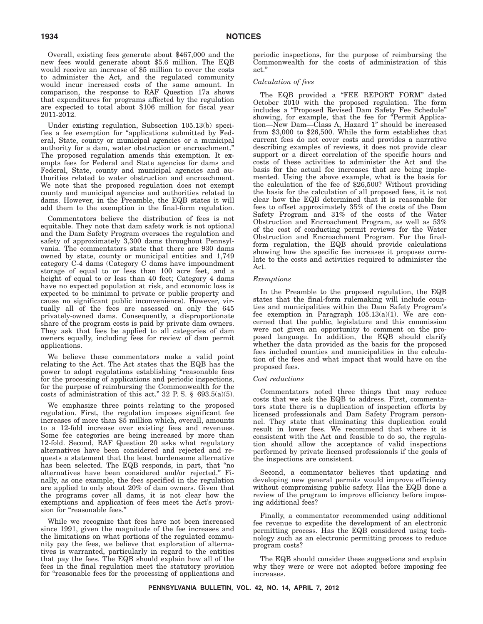Overall, existing fees generate about \$467,000 and the new fees would generate about \$5.6 million. The EQB would receive an increase of \$5 million to cover the costs to administer the Act, and the regulated community would incur increased costs of the same amount. In comparison, the response to RAF Question 17a shows that expenditures for programs affected by the regulation are expected to total about \$106 million for fiscal year 2011-2012.

Under existing regulation, Subsection 105.13(b) specifies a fee exemption for ''applications submitted by Federal, State, county or municipal agencies or a municipal authority for a dam, water obstruction or encroachment.'' The proposed regulation amends this exemption. It exempts fees for Federal and State agencies for dams and Federal, State, county and municipal agencies and authorities related to water obstruction and encroachment. We note that the proposed regulation does not exempt county and municipal agencies and authorities related to dams. However, in the Preamble, the EQB states it will add them to the exemption in the final-form regulation.

Commentators believe the distribution of fees is not equitable. They note that dam safety work is not optional and the Dam Safety Program oversees the regulation and safety of approximately 3,300 dams throughout Pennsylvania. The commentators state that there are 930 dams owned by state, county or municipal entities and 1,749 category C-4 dams (Category C dams have impoundment storage of equal to or less than 100 acre feet, and a height of equal to or less than 40 feet; Category 4 dams have no expected population at risk, and economic loss is expected to be minimal to private or public property and cause no significant public inconvenience). However, virtually all of the fees are assessed on only the 645 privately-owned dams. Consequently, a disproportionate share of the program costs is paid by private dam owners. They ask that fees be applied to all categories of dam owners equally, including fees for review of dam permit applications.

We believe these commentators make a valid point relating to the Act. The Act states that the EQB has the power to adopt regulations establishing "reasonable fees for the processing of applications and periodic inspections, for the purpose of reimbursing the Commonwealth for the costs of administration of this act." 32 P.S.  $\S$  693.5(a)(5).

We emphasize three points relating to the proposed regulation. First, the regulation imposes significant fee increases of more than \$5 million which, overall, amounts to a 12-fold increase over existing fees and revenues. Some fee categories are being increased by more than 12-fold. Second, RAF Question 20 asks what regulatory alternatives have been considered and rejected and requests a statement that the least burdensome alternative has been selected. The EQB responds, in part, that "no alternatives have been considered and/or rejected.'' Finally, as one example, the fees specified in the regulation are applied to only about 20% of dam owners. Given that the programs cover all dams, it is not clear how the exemptions and application of fees meet the Act's provision for "reasonable fees."

While we recognize that fees have not been increased since 1991, given the magnitude of the fee increases and the limitations on what portions of the regulated community pay the fees, we believe that exploration of alternatives is warranted, particularly in regard to the entities that pay the fees. The EQB should explain how all of the fees in the final regulation meet the statutory provision for "reasonable fees for the processing of applications and periodic inspections, for the purpose of reimbursing the Commonwealth for the costs of administration of this act.''

#### *Calculation of fees*

The EQB provided a "FEE REPORT FORM" dated October 2010 with the proposed regulation. The form includes a ''Proposed Revised Dam Safety Fee Schedule'' showing, for example, that the fee for "Permit Application—New Dam—Class A, Hazard 1'' should be increased from \$3,000 to \$26,500. While the form establishes that current fees do not cover costs and provides a narrative describing examples of reviews, it does not provide clear support or a direct correlation of the specific hours and costs of these activities to administer the Act and the basis for the actual fee increases that are being implemented. Using the above example, what is the basis for the calculation of the fee of \$26,500? Without providing the basis for the calculation of all proposed fees, it is not clear how the EQB determined that it is reasonable for fees to offset approximately 35% of the costs of the Dam Safety Program and  $31\%$  of the costs of the Water Obstruction and Encroachment Program, as well as 53% of the cost of conducting permit reviews for the Water Obstruction and Encroachment Program. For the finalform regulation, the EQB should provide calculations showing how the specific fee increases it proposes correlate to the costs and activities required to administer the Act.

#### *Exemptions*

In the Preamble to the proposed regulation, the EQB states that the final-form rulemaking will include counties and municipalities within the Dam Safety Program's fee exemption in Paragraph  $105.13(a)(1)$ . We are concerned that the public, legislature and this commission were not given an opportunity to comment on the proposed language. In addition, the EQB should clarify whether the data provided as the basis for the proposed fees included counties and municipalities in the calculation of the fees and what impact that would have on the proposed fees.

#### *Cost reductions*

Commentators noted three things that may reduce costs that we ask the EQB to address. First, commentators state there is a duplication of inspection efforts by licensed professionals and Dam Safety Program personnel. They state that eliminating this duplication could result in lower fees. We recommend that where it is consistent with the Act and feasible to do so, the regulation should allow the acceptance of valid inspections performed by private licensed professionals if the goals of the inspections are consistent.

Second, a commentator believes that updating and developing new general permits would improve efficiency without compromising public safety. Has the EQB done a review of the program to improve efficiency before imposing additional fees?

Finally, a commentator recommended using additional fee revenue to expedite the development of an electronic permitting process. Has the EQB considered using technology such as an electronic permitting process to reduce program costs?

The EQB should consider these suggestions and explain why they were or were not adopted before imposing fee increases.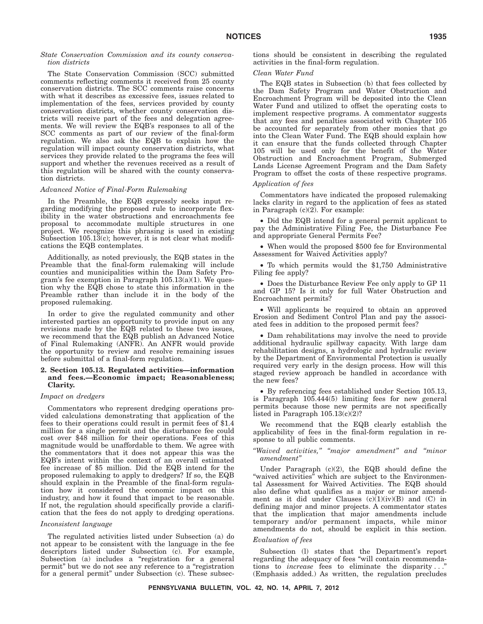## *State Conservation Commission and its county conservation districts*

The State Conservation Commission (SCC) submitted comments reflecting comments it received from 25 county conservation districts. The SCC comments raise concerns with what it describes as excessive fees, issues related to implementation of the fees, services provided by county conservation districts, whether county conservation districts will receive part of the fees and delegation agreements. We will review the EQB's responses to all of the SCC comments as part of our review of the final-form regulation. We also ask the EQB to explain how the regulation will impact county conservation districts, what services they provide related to the programs the fees will support and whether the revenues received as a result of this regulation will be shared with the county conservation districts.

## *Advanced Notice of Final-Form Rulemaking*

In the Preamble, the EQB expressly seeks input regarding modifying the proposed rule to incorporate flexibility in the water obstructions and encroachments fee proposal to accommodate multiple structures in one project. We recognize this phrasing is used in existing Subsection 105.13(c); however, it is not clear what modifications the EQB contemplates.

Additionally, as noted previously, the EQB states in the Preamble that the final-form rulemaking will include counties and municipalities within the Dam Safety Program's fee exemption in Paragraph  $105.13(a)(1)$ . We question why the EQB chose to state this information in the Preamble rather than include it in the body of the proposed rulemaking.

In order to give the regulated community and other interested parties an opportunity to provide input on any revisions made by the EQB related to these two issues, we recommend that the EQB publish an Advanced Notice of Final Rulemaking (ANFR). An ANFR would provide the opportunity to review and resolve remaining issues before submittal of a final-form regulation.

## **2. Section 105.13. Regulated activities—information and fees.—Economic impact; Reasonableness; Clarity.**

#### *Impact on dredgers*

Commentators who represent dredging operations provided calculations demonstrating that application of the fees to their operations could result in permit fees of \$1.4 million for a single permit and the disturbance fee could cost over \$48 million for their operations. Fees of this magnitude would be unaffordable to them. We agree with the commentators that it does not appear this was the EQB's intent within the context of an overall estimated fee increase of \$5 million. Did the EQB intend for the proposed rulemaking to apply to dredgers? If so, the EQB should explain in the Preamble of the final-form regulation how it considered the economic impact on this industry, and how it found that impact to be reasonable. If not, the regulation should specifically provide a clarification that the fees do not apply to dredging operations.

#### *Inconsistent language*

The regulated activities listed under Subsection (a) do not appear to be consistent with the language in the fee descriptors listed under Subsection (c). For example, Subsection (a) includes a "registration for a general permit" but we do not see any reference to a "registration for a general permit'' under Subsection (c). These subsections should be consistent in describing the regulated activities in the final-form regulation.

## *Clean Water Fund*

The EQB states in Subsection (b) that fees collected by the Dam Safety Program and Water Obstruction and Encroachment Program will be deposited into the Clean Water Fund and utilized to offset the operating costs to implement respective programs. A commentator suggests that any fees and penalties associated with Chapter 105 be accounted for separately from other monies that go into the Clean Water Fund. The EQB should explain how it can ensure that the funds collected through Chapter 105 will be used only for the benefit of the Water Obstruction and Encroachment Program, Submerged Lands License Agreement Program and the Dam Safety Program to offset the costs of these respective programs.

#### *Application of fees*

Commentators have indicated the proposed rulemaking lacks clarity in regard to the application of fees as stated in Paragraph  $(c)(2)$ . For example:

• Did the EQB intend for a general permit applicant to pay the Administrative Filing Fee, the Disturbance Fee and appropriate General Permits Fee?

• When would the proposed \$500 fee for Environmental Assessment for Waived Activities apply?

• To which permits would the \$1,750 Administrative Filing fee apply?

• Does the Disturbance Review Fee only apply to GP 11 and GP 15? Is it only for full Water Obstruction and Encroachment permits?

• Will applicants be required to obtain an approved Erosion and Sediment Control Plan and pay the associated fees in addition to the proposed permit fees?

• Dam rehabilitations may involve the need to provide additional hydraulic spillway capacity. With large dam rehabilitation designs, a hydrologic and hydraulic review by the Department of Environmental Protection is usually required very early in the design process. How will this staged review approach be handled in accordance with the new fees?

• By referencing fees established under Section 105.13, is Paragraph 105.444(5) limiting fees for new general permits because those new permits are not specifically listed in Paragraph  $105.13(c)(2)$ ?

We recommend that the EQB clearly establish the applicability of fees in the final-form regulation in response to all public comments.

*''Waived activities,'' ''major amendment'' and ''minor amendment''*

Under Paragraph (c)(2), the EQB should define the "waived activities" which are subject to the Environmental Assessment for Waived Activities. The EQB should also define what qualifies as a major or minor amendment as it did under Clauses  $(c)(1)(iv)(B)$  and  $(C)$  in defining major and minor projects. A commentator states that the implication that major amendments include temporary and/or permanent impacts, while minor amendments do not, should be explicit in this section.

#### *Evaluation of fees*

Subsection (l) states that the Department's report regarding the adequacy of fees ''will contain recommendations to *increase* fees to eliminate the disparity . . .'' (Emphasis added.) As written, the regulation precludes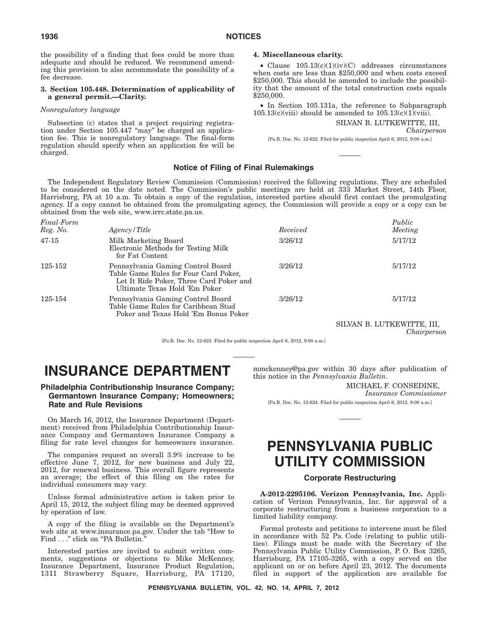the possibility of a finding that fees could be more than adequate and should be reduced. We recommend amending this provision to also accommodate the possibility of a fee decrease.

## **3. Section 105.448. Determination of applicability of a general permit.—Clarity.**

## *Nonregulatory language*

Subsection (c) states that a project requiring registration under Section 105.447 "may" be charged an application fee. This is nonregulatory language. The final-form regulation should specify when an application fee will be charged.

## **4. Miscellaneous clarity.**

• Clause 105.13(c)(1)(iv)(C) addresses circumstances when costs are less than \$250,000 and when costs exceed \$250,000. This should be amended to include the possibility that the amount of the total construction costs equals \$250,000.

• In Section 105.131a, the reference to Subparagraph  $105.13(c)(viii)$  should be amended to  $105.13(c)(1)(viii)$ .

SILVAN B. LUTKEWITTE, III,

*Chairperson*

[Pa.B. Doc. No. 12-622. Filed for public inspection April 6, 2012, 9:00 a.m.]

## **Notice of Filing of Final Rulemakings**

The Independent Regulatory Review Commission (Commission) received the following regulations. They are scheduled to be considered on the date noted. The Commission's public meetings are held at 333 Market Street, 14th Floor, Harrisburg, PA at 10 a.m. To obtain a copy of the regulation, interested parties should first contact the promulgating agency. If a copy cannot be obtained from the promulgating agency, the Commission will provide a copy or a copy can be obtained from the web site, www.irrc.state.pa.us.

| Final-Form<br>Reg. No. | Agency / Title                                                                                                                                         | Received | Public<br>Meeting |
|------------------------|--------------------------------------------------------------------------------------------------------------------------------------------------------|----------|-------------------|
| $47-15$                | Milk Marketing Board<br>Electronic Methods for Testing Milk<br>for Fat Content                                                                         | 3/26/12  | 5/17/12           |
| 125-152                | Pennsylvania Gaming Control Board<br>Table Game Rules for Four Card Poker,<br>Let It Ride Poker, Three Card Poker and<br>Ultimate Texas Hold 'Em Poker | 3/26/12  | 5/17/12           |
| 125-154                | Pennsylvania Gaming Control Board<br>Table Game Rules for Caribbean Stud<br>Poker and Texas Hold 'Em Bonus Poker                                       | 3/26/12  | 5/17/12           |

SILVAN B. LUTKEWITTE, III, *Chairperson*

[Pa.B. Doc. No. 12-623. Filed for public inspection April 6, 2012, 9:00 a.m.]

# **INSURANCE DEPARTMENT**

# **Philadelphia Contributionship Insurance Company; Germantown Insurance Company; Homeowners; Rate and Rule Revisions**

On March 16, 2012, the Insurance Department (Department) received from Philadelphia Contributionship Insurance Company and Germantown Insurance Company a filing for rate level changes for homeowners insurance.

The companies request an overall 3.9% increase to be effective June 7,  $2012$ , for new business and July 22, 2012, for renewal business. This overall figure represents an average; the effect of this filing on the rates for individual consumers may vary.

Unless formal administrative action is taken prior to April 15, 2012, the subject filing may be deemed approved by operation of law.

A copy of the filing is available on the Department's web site at www.insurance.pa.gov. Under the tab ''How to Find . . ." click on "PA Bulletin."

Interested parties are invited to submit written comments, suggestions or objections to Mike McKenney, Insurance Department, Insurance Product Regulation, 1311 Strawberry Square, Harrisburg, PA 17120, mmckenney@pa.gov within 30 days after publication of this notice in the *Pennsylvania Bulletin*.

## MICHAEL F. CONSEDINE,

*Insurance Commissioner*

[Pa.B. Doc. No. 12-624. Filed for public inspection April 6, 2012, 9:00 a.m.]

# **PENNSYLVANIA PUBLIC UTILITY COMMISSION**

## **Corporate Restructuring**

**A-2012-2295106. Verizon Pennsylvania, Inc.** Application of Verizon Pennsylvania, Inc. for approval of a corporate restructuring from a business corporation to a limited liability company.

Formal protests and petitions to intervene must be filed in accordance with 52 Pa. Code (relating to public utilities). Filings must be made with the Secretary of the Pennsylvania Public Utility Commission, P. O. Box 3265, Harrisburg, PA 17105-3265, with a copy served on the applicant on or on before April 23, 2012. The documents filed in support of the application are available for

**PENNSYLVANIA BULLETIN, VOL. 42, NO. 14, APRIL 7, 2012**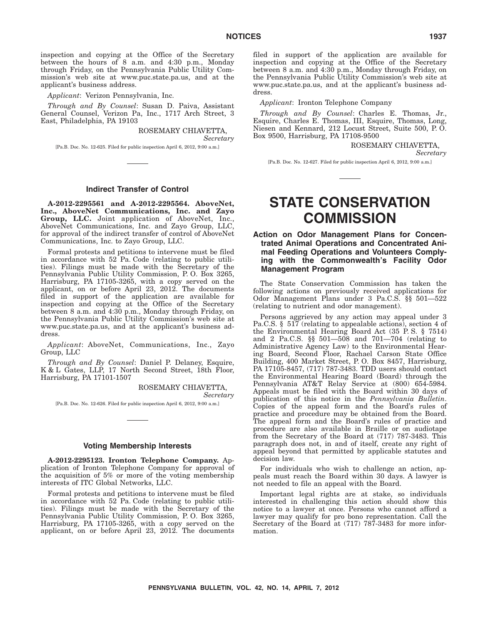inspection and copying at the Office of the Secretary between the hours of 8 a.m. and 4:30 p.m., Monday through Friday, on the Pennsylvania Public Utility Commission's web site at www.puc.state.pa.us, and at the applicant's business address.

*Applicant*: Verizon Pennsylvania, Inc.

*Through and By Counsel*: Susan D. Paiva, Assistant General Counsel, Verizon Pa, Inc., 1717 Arch Street, 3 East, Philadelphia, PA 19103

> ROSEMARY CHIAVETTA, *Secretary*

[Pa.B. Doc. No. 12-625. Filed for public inspection April 6, 2012, 9:00 a.m.]

#### **Indirect Transfer of Control**

**A-2012-2295561 and A-2012-2295564. AboveNet, Inc., AboveNet Communications, Inc. and Zayo Group, LLC.** Joint application of AboveNet, Inc., AboveNet Communications, Inc. and Zayo Group, LLC, for approval of the indirect transfer of control of AboveNet Communications, Inc. to Zayo Group, LLC.

Formal protests and petitions to intervene must be filed in accordance with 52 Pa. Code (relating to public utilities). Filings must be made with the Secretary of the Pennsylvania Public Utility Commission, P. O. Box 3265, Harrisburg, PA 17105-3265, with a copy served on the applicant, on or before April 23, 2012. The documents filed in support of the application are available for inspection and copying at the Office of the Secretary between 8 a.m. and 4:30 p.m., Monday through Friday, on the Pennsylvania Public Utility Commission's web site at www.puc.state.pa.us, and at the applicant's business address.

*Applicant*: AboveNet, Communications, Inc., Zayo Group, LLC

*Through and By Counsel*: Daniel P. Delaney, Esquire, K & L Gates, LLP, 17 North Second Street, 18th Floor, Harrisburg, PA 17101-1507

> ROSEMARY CHIAVETTA, *Secretary*

[Pa.B. Doc. No. 12-626. Filed for public inspection April 6, 2012, 9:00 a.m.]

## **Voting Membership Interests**

**A-2012-2295123. Ironton Telephone Company.** Application of Ironton Telephone Company for approval of the acquisition of 5% or more of the voting membership interests of ITC Global Networks, LLC.

Formal protests and petitions to intervene must be filed in accordance with 52 Pa. Code (relating to public utilities). Filings must be made with the Secretary of the Pennsylvania Public Utility Commission, P. O. Box 3265, Harrisburg, PA 17105-3265, with a copy served on the applicant, on or before April 23, 2012. The documents

filed in support of the application are available for inspection and copying at the Office of the Secretary between 8 a.m. and 4:30 p.m., Monday through Friday, on the Pennsylvania Public Utility Commission's web site at www.puc.state.pa.us, and at the applicant's business address.

*Applicant*: Ironton Telephone Company

*Through and By Counsel*: Charles E. Thomas, Jr., Esquire, Charles E. Thomas, III, Esquire, Thomas, Long, Niesen and Kennard, 212 Locust Street, Suite 500, P. O. Box 9500, Harrisburg, PA 17108-9500

> ROSEMARY CHIAVETTA, *Secretary*

[Pa.B. Doc. No. 12-627. Filed for public inspection April 6, 2012, 9:00 a.m.]

# **STATE CONSERVATION COMMISSION**

# **Action on Odor Management Plans for Concentrated Animal Operations and Concentrated Animal Feeding Operations and Volunteers Complying with the Commonwealth's Facility Odor Management Program**

The State Conservation Commission has taken the following actions on previously received applications for Odor Management Plans under 3 Pa.C.S. §§ 501—522 (relating to nutrient and odor management).

Persons aggrieved by any action may appeal under 3 Pa.C.S. § 517 (relating to appealable actions), section 4 of the Environmental Hearing Board Act (35 P. S. § 7514) and 2 Pa.C.S. §§ 501—508 and 701—704 (relating to Administrative Agency Law) to the Environmental Hearing Board, Second Floor, Rachael Carson State Office Building, 400 Market Street, P. O. Box 8457, Harrisburg, PA 17105-8457, (717) 787-3483. TDD users should contact the Environmental Hearing Board (Board) through the Pennsylvania AT&T Relay Service at (800) 654-5984. Appeals must be filed with the Board within 30 days of publication of this notice in the *Pennsylvania Bulletin*. Copies of the appeal form and the Board's rules of practice and procedure may be obtained from the Board. The appeal form and the Board's rules of practice and procedure are also available in Braille or on audiotape from the Secretary of the Board at (717) 787-3483. This paragraph does not, in and of itself, create any right of appeal beyond that permitted by applicable statutes and decision law.

For individuals who wish to challenge an action, appeals must reach the Board within 30 days. A lawyer is not needed to file an appeal with the Board.

Important legal rights are at stake, so individuals interested in challenging this action should show this notice to a lawyer at once. Persons who cannot afford a lawyer may qualify for pro bono representation. Call the Secretary of the Board at (717) 787-3483 for more information.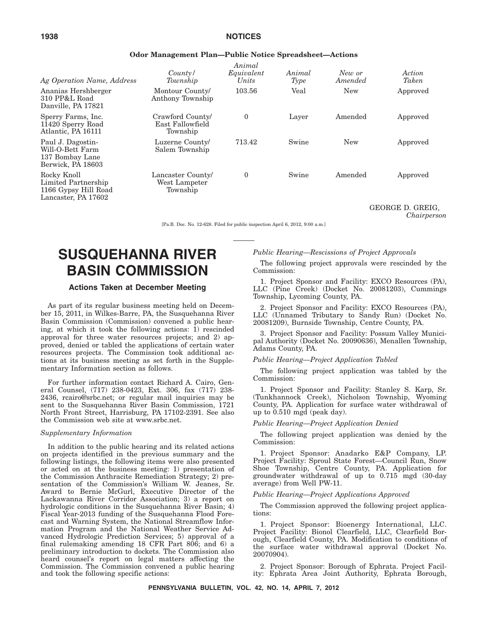# **1938 NOTICES**

| Ag Operation Name, Address                                                        | County/<br>Township                              | Animal<br>Equivalent<br>Units | Animal<br>Type | New or<br>Amended | Action<br>Taken |
|-----------------------------------------------------------------------------------|--------------------------------------------------|-------------------------------|----------------|-------------------|-----------------|
| Ananias Hershberger<br>310 PP&L Road<br>Danville, PA 17821                        | Montour County/<br>Anthony Township              | 103.56                        | Veal           | <b>New</b>        | Approved        |
| Sperry Farms, Inc.<br>11420 Sperry Road<br>Atlantic, PA 16111                     | Crawford County/<br>East Fallowfield<br>Township | 0                             | Layer          | Amended           | Approved        |
| Paul J. Dagostin-<br>Will-O-Bett Farm<br>137 Bombay Lane<br>Berwick, PA 18603     | Luzerne County/<br>Salem Township                | 713.42                        | Swine          | <b>New</b>        | Approved        |
| Rocky Knoll<br>Limited Partnership<br>1166 Gypsy Hill Road<br>Lancaster, PA 17602 | Lancaster County/<br>West Lampeter<br>Township   | $\theta$                      | Swine          | Amended           | Approved        |

## **Odor Management Plan—Public Notice Spreadsheet—Actions**

GEORGE D. GREIG, *Chairperson*

[Pa.B. Doc. No. 12-628. Filed for public inspection April 6, 2012, 9:00 a.m.]

# **SUSQUEHANNA RIVER BASIN COMMISSION**

## **Actions Taken at December Meeting**

As part of its regular business meeting held on December 15, 2011, in Wilkes-Barre, PA, the Susquehanna River Basin Commission (Commission) convened a public hearing, at which it took the following actions: 1) rescinded approval for three water resources projects; and 2) approved, denied or tabled the applications of certain water resources projects. The Commission took additional actions at its business meeting as set forth in the Supplementary Information section as follows.

For further information contact Richard A. Cairo, General Counsel, (717) 238-0423, Ext. 306, fax (717) 238- 2436, rcairo@srbc.net; or regular mail inquiries may be sent to the Susquehanna River Basin Commission, 1721 North Front Street, Harrisburg, PA 17102-2391. See also the Commission web site at www.srbc.net.

## *Supplementary Information*

In addition to the public hearing and its related actions on projects identified in the previous summary and the following listings, the following items were also presented or acted on at the business meeting: 1) presentation of the Commission Anthracite Remediation Strategy; 2) presentation of the Commission's William W. Jeanes, Sr. Award to Bernie McGurl, Executive Director of the Lackawanna River Corridor Association; 3) a report on hydrologic conditions in the Susquehanna River Basin; 4) Fiscal Year-2013 funding of the Susquehanna Flood Forecast and Warning System, the National Streamflow Information Program and the National Weather Service Advanced Hydrologic Prediction Services; 5) approval of a final rulemaking amending 18 CFR Part 806; and 6) a preliminary introduction to dockets. The Commission also heard counsel's report on legal matters affecting the Commission. The Commission convened a public hearing and took the following specific actions:

*Public Hearing—Rescissions of Project Approvals*

The following project approvals were rescinded by the Commission:

1. Project Sponsor and Facility: EXCO Resources (PA), LLC (Pine Creek) (Docket No. 20081203), Cummings Township, Lycoming County, PA.

2. Project Sponsor and Facility: EXCO Resources (PA), LLC (Unnamed Tributary to Sandy Run) (Docket No. 20081209), Burnside Township, Centre County, PA.

3. Project Sponsor and Facility: Possum Valley Municipal Authority (Docket No. 20090636), Menallen Township, Adams County, PA.

#### *Public Hearing—Project Application Tabled*

The following project application was tabled by the Commission:

1. Project Sponsor and Facility: Stanley S. Karp, Sr. (Tunkhannock Creek), Nicholson Township, Wyoming County, PA. Application for surface water withdrawal of up to 0.510 mgd (peak day).

## *Public Hearing—Project Application Denied*

The following project application was denied by the Commission:

1. Project Sponsor: Anadarko E&P Company, LP. Project Facility: Sproul State Forest—Council Run, Snow Shoe Township, Centre County, PA. Application for groundwater withdrawal of up to  $0.715$  mgd  $(30$ -day average) from Well PW-11.

## *Public Hearing—Project Applications Approved*

The Commission approved the following project applications:

1. Project Sponsor: Bioenergy International, LLC. Project Facility: Bionol Clearfield, LLC, Clearfield Borough, Clearfield County, PA. Modification to conditions of the surface water withdrawal approval (Docket No. 20070904).

2. Project Sponsor: Borough of Ephrata. Project Facility: Ephrata Area Joint Authority, Ephrata Borough,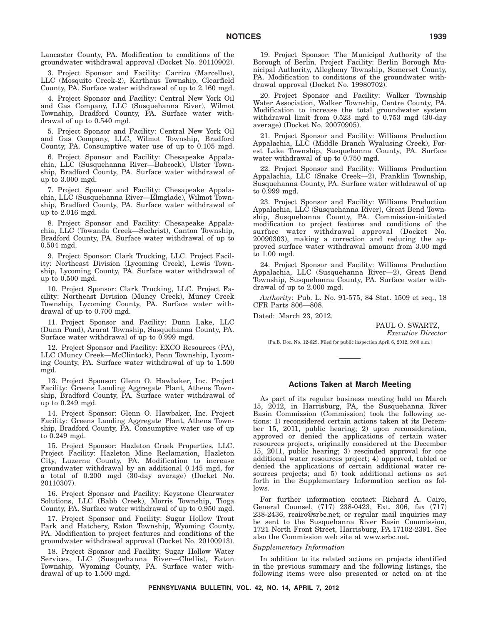Lancaster County, PA. Modification to conditions of the groundwater withdrawal approval (Docket No. 20110902).

3. Project Sponsor and Facility: Carrizo (Marcellus), LLC (Mosquito Creek-2), Karthaus Township, Clearfield County, PA. Surface water withdrawal of up to 2.160 mgd.

4. Project Sponsor and Facility: Central New York Oil and Gas Company, LLC (Susquehanna River), Wilmot Township, Bradford County, PA. Surface water withdrawal of up to 0.540 mgd.

5. Project Sponsor and Facility: Central New York Oil and Gas Company, LLC, Wilmot Township, Bradford County, PA. Consumptive water use of up to 0.105 mgd.

6. Project Sponsor and Facility: Chesapeake Appalachia, LLC (Susquehanna River—Babcock), Ulster Township, Bradford County, PA. Surface water withdrawal of up to 3.000 mgd.

7. Project Sponsor and Facility: Chesapeake Appalachia, LLC (Susquehanna River—Elmglade), Wilmot Township, Bradford County, PA. Surface water withdrawal of up to 2.016 mgd.

8. Project Sponsor and Facility: Chesapeake Appalachia, LLC (Towanda Creek—Sechrist), Canton Township, Bradford County, PA. Surface water withdrawal of up to 0.504 mgd.

9. Project Sponsor: Clark Trucking, LLC. Project Facility: Northeast Division (Lycoming Creek), Lewis Township, Lycoming County, PA. Surface water withdrawal of up to 0.500 mgd.

10. Project Sponsor: Clark Trucking, LLC. Project Facility: Northeast Division (Muncy Creek), Muncy Creek Township, Lycoming County, PA. Surface water withdrawal of up to 0.700 mgd.

11. Project Sponsor and Facility: Dunn Lake, LLC (Dunn Pond), Ararat Township, Susquehanna County, PA. Surface water withdrawal of up to 0.999 mgd.

12. Project Sponsor and Facility: EXCO Resources (PA), LLC (Muncy Creek—McClintock), Penn Township, Lycoming County, PA. Surface water withdrawal of up to 1.500 mgd.

13. Project Sponsor: Glenn O. Hawbaker, Inc. Project Facility: Greens Landing Aggregate Plant, Athens Township, Bradford County, PA. Surface water withdrawal of up to 0.249 mgd.

14. Project Sponsor: Glenn O. Hawbaker, Inc. Project Facility: Greens Landing Aggregate Plant, Athens Township, Bradford County, PA. Consumptive water use of up to 0.249 mgd.

15. Project Sponsor: Hazleton Creek Properties, LLC. Project Facility: Hazleton Mine Reclamation, Hazleton City, Luzerne County, PA. Modification to increase groundwater withdrawal by an additional 0.145 mgd, for a total of 0.200 mgd (30-day average) (Docket No. 20110307).

16. Project Sponsor and Facility: Keystone Clearwater Solutions, LLC (Babb Creek), Morris Township, Tioga County, PA. Surface water withdrawal of up to 0.950 mgd.

17. Project Sponsor and Facility: Sugar Hollow Trout Park and Hatchery, Eaton Township, Wyoming County, PA. Modification to project features and conditions of the groundwater withdrawal approval (Docket No. 20100913).

18. Project Sponsor and Facility: Sugar Hollow Water Services, LLC (Susquehanna River—Chellis), Eaton Township, Wyoming County, PA. Surface water withdrawal of up to 1.500 mgd.

19. Project Sponsor: The Municipal Authority of the Borough of Berlin. Project Facility: Berlin Borough Municipal Authority, Allegheny Township, Somerset County, PA. Modification to conditions of the groundwater withdrawal approval (Docket No. 19980702).

20. Project Sponsor and Facility: Walker Township Water Association, Walker Township, Centre County, PA. Modification to increase the total groundwater system withdrawal limit from 0.523 mgd to 0.753 mgd (30-day average) (Docket No. 20070905).

21. Project Sponsor and Facility: Williams Production Appalachia, LLC (Middle Branch Wyalusing Creek), Forest Lake Township, Susquehanna County, PA. Surface water withdrawal of up to 0.750 mgd.

22. Project Sponsor and Facility: Williams Production Appalachia, LLC (Snake Creek—2), Franklin Township, Susquehanna County, PA. Surface water withdrawal of up to 0.999 mgd.

23. Project Sponsor and Facility: Williams Production Appalachia, LLC (Susquehanna River), Great Bend Township, Susquehanna County, PA. Commission-initiated modification to project features and conditions of the surface water withdrawal approval (Docket No. 20090303), making a correction and reducing the approved surface water withdrawal amount from 3.00 mgd to 1.00 mgd.

24. Project Sponsor and Facility: Williams Production Appalachia, LLC (Susquehanna River—2), Great Bend Township, Susquehanna County, PA. Surface water withdrawal of up to 2.000 mgd.

*Authority*: Pub. L. No. 91-575, 84 Stat. 1509 et seq., 18 CFR Parts 806—808.

Dated: March 23, 2012.

PAUL O. SWARTZ, *Executive Director*

[Pa.B. Doc. No. 12-629. Filed for public inspection April 6, 2012, 9:00 a.m.]

## **Actions Taken at March Meeting**

As part of its regular business meeting held on March 15, 2012, in Harrisburg, PA, the Susquehanna River Basin Commission (Commission) took the following actions: 1) reconsidered certain actions taken at its December 15, 2011, public hearing; 2) upon reconsideration, approved or denied the applications of certain water resources projects, originally considered at the December 15, 2011, public hearing; 3) rescinded approval for one additional water resources project; 4) approved, tabled or denied the applications of certain additional water resources projects; and 5) took additional actions as set forth in the Supplementary Information section as follows.

For further information contact: Richard A. Cairo, General Counsel, (717) 238-0423, Ext. 306, fax (717) 238-2436, rcairo@srbc.net; or regular mail inquiries may be sent to the Susquehanna River Basin Commission, 1721 North Front Street, Harrisburg, PA 17102-2391. See also the Commission web site at www.srbc.net.

## *Supplementary Information*

In addition to its related actions on projects identified in the previous summary and the following listings, the following items were also presented or acted on at the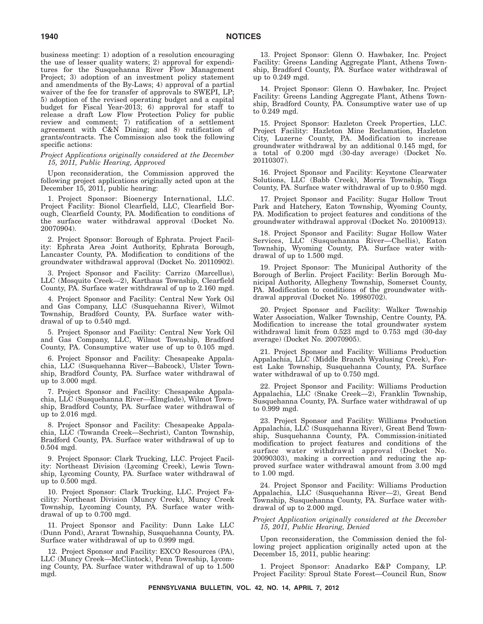business meeting: 1) adoption of a resolution encouraging the use of lesser quality waters; 2) approval for expenditures for the Susquehanna River Flow Management Project; 3) adoption of an investment policy statement and amendments of the By-Laws; 4) approval of a partial waiver of the fee for transfer of approvals to SWEPI, LP; 5) adoption of the revised operating budget and a capital budget for Fiscal Year-2013; 6) approval for staff to release a draft Low Flow Protection Policy for public review and comment; 7) ratification of a settlement agreement with C&N Dining; and 8) ratification of grants/contracts. The Commission also took the following specific actions:

### *Project Applications originally considered at the December 15, 2011, Public Hearing, Approved*

Upon reconsideration, the Commission approved the following project applications originally acted upon at the December 15, 2011, public hearing:

1. Project Sponsor: Bioenergy International, LLC. Project Facility: Bionol Clearfield, LLC, Clearfield Borough, Clearfield County, PA. Modification to conditions of the surface water withdrawal approval (Docket No. 20070904).

2. Project Sponsor: Borough of Ephrata. Project Facility: Ephrata Area Joint Authority, Ephrata Borough, Lancaster County, PA. Modification to conditions of the groundwater withdrawal approval (Docket No. 20110902).

3. Project Sponsor and Facility: Carrizo (Marcellus), LLC (Mosquito Creek—2), Karthaus Township, Clearfield County, PA. Surface water withdrawal of up to 2.160 mgd.

4. Project Sponsor and Facility: Central New York Oil and Gas Company, LLC (Susquehanna River), Wilmot Township, Bradford County, PA. Surface water withdrawal of up to 0.540 mgd.

5. Project Sponsor and Facility: Central New York Oil and Gas Company, LLC, Wilmot Township, Bradford County, PA. Consumptive water use of up to 0.105 mgd.

6. Project Sponsor and Facility: Chesapeake Appalachia, LLC (Susquehanna River—Babcock), Ulster Township, Bradford County, PA. Surface water withdrawal of up to 3.000 mgd.

7. Project Sponsor and Facility: Chesapeake Appalachia, LLC (Susquehanna River—Elmglade), Wilmot Township, Bradford County, PA. Surface water withdrawal of up to 2.016 mgd.

8. Project Sponsor and Facility: Chesapeake Appalachia, LLC (Towanda Creek—Sechrist), Canton Township, Bradford County, PA. Surface water withdrawal of up to 0.504 mgd.

9. Project Sponsor: Clark Trucking, LLC. Project Facility: Northeast Division (Lycoming Creek), Lewis Township, Lycoming County, PA. Surface water withdrawal of up to 0.500 mgd.

10. Project Sponsor: Clark Trucking, LLC. Project Facility: Northeast Division (Muncy Creek), Muncy Creek Township, Lycoming County, PA. Surface water withdrawal of up to 0.700 mgd.

11. Project Sponsor and Facility: Dunn Lake LLC (Dunn Pond), Ararat Township, Susquehanna County, PA. Surface water withdrawal of up to 0.999 mgd.

12. Project Sponsor and Facility: EXCO Resources (PA), LLC (Muncy Creek—McClintock), Penn Township, Lycoming County, PA. Surface water withdrawal of up to 1.500 mgd.

13. Project Sponsor: Glenn O. Hawbaker, Inc. Project Facility: Greens Landing Aggregate Plant, Athens Township, Bradford County, PA. Surface water withdrawal of up to 0.249 mgd.

14. Project Sponsor: Glenn O. Hawbaker, Inc. Project Facility: Greens Landing Aggregate Plant, Athens Township, Bradford County, PA. Consumptive water use of up to 0.249 mgd.

15. Project Sponsor: Hazleton Creek Properties, LLC. Project Facility: Hazleton Mine Reclamation, Hazleton City, Luzerne County, PA. Modification to increase groundwater withdrawal by an additional 0.145 mgd, for a total of 0.200 mgd (30-day average) (Docket No. 20110307).

16. Project Sponsor and Facility: Keystone Clearwater Solutions, LLC (Babb Creek), Morris Township, Tioga County, PA. Surface water withdrawal of up to 0.950 mgd.

17. Project Sponsor and Facility: Sugar Hollow Trout Park and Hatchery, Eaton Township, Wyoming County, PA. Modification to project features and conditions of the groundwater withdrawal approval (Docket No. 20100913).

18. Project Sponsor and Facility: Sugar Hollow Water Services, LLC (Susquehanna River—Chellis), Eaton Township, Wyoming County, PA. Surface water withdrawal of up to 1.500 mgd.

19. Project Sponsor: The Municipal Authority of the Borough of Berlin. Project Facility: Berlin Borough Municipal Authority, Allegheny Township, Somerset County, PA. Modification to conditions of the groundwater withdrawal approval (Docket No. 19980702).

20. Project Sponsor and Facility: Walker Township Water Association, Walker Township, Centre County, PA. Modification to increase the total groundwater system withdrawal limit from 0.523 mgd to 0.753 mgd (30-day average) (Docket No. 20070905).

21. Project Sponsor and Facility: Williams Production Appalachia, LLC (Middle Branch Wyalusing Creek), Forest Lake Township, Susquehanna County, PA. Surface water withdrawal of up to 0.750 mgd.

22. Project Sponsor and Facility: Williams Production Appalachia, LLC (Snake Creek—2), Franklin Township, Susquehanna County, PA. Surface water withdrawal of up to 0.999 mgd.

23. Project Sponsor and Facility: Williams Production Appalachia, LLC (Susquehanna River), Great Bend Township, Susquehanna County, PA. Commission-initiated modification to project features and conditions of the surface water withdrawal approval (Docket No. 20090303), making a correction and reducing the approved surface water withdrawal amount from 3.00 mgd to 1.00 mgd.

24. Project Sponsor and Facility: Williams Production Appalachia, LLC (Susquehanna River—2), Great Bend Township, Susquehanna County, PA. Surface water withdrawal of up to 2.000 mgd.

## *Project Application originally considered at the December 15, 2011, Public Hearing, Denied*

Upon reconsideration, the Commission denied the following project application originally acted upon at the December 15, 2011, public hearing:

1. Project Sponsor: Anadarko E&P Company, LP. Project Facility: Sproul State Forest—Council Run, Snow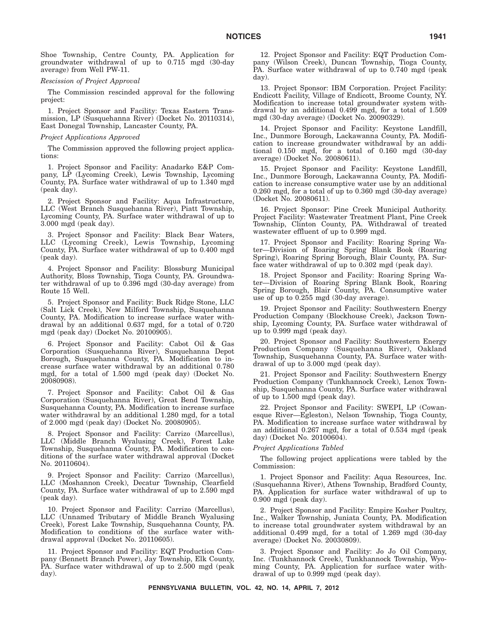Shoe Township, Centre County, PA. Application for groundwater withdrawal of up to 0.715 mgd (30-day average) from Well PW-11.

#### *Rescission of Project Approval*

The Commission rescinded approval for the following project:

1. Project Sponsor and Facility: Texas Eastern Transmission, LP (Susquehanna River) (Docket No. 20110314), East Donegal Township, Lancaster County, PA.

## *Project Applications Approved*

The Commission approved the following project applications:

1. Project Sponsor and Facility: Anadarko E&P Company, LP (Lycoming Creek), Lewis Township, Lycoming County, PA. Surface water withdrawal of up to 1.340 mgd (peak day).

2. Project Sponsor and Facility: Aqua Infrastructure, LLC (West Branch Susquehanna River), Piatt Township, Lycoming County, PA. Surface water withdrawal of up to 3.000 mgd (peak day).

3. Project Sponsor and Facility: Black Bear Waters, LLC (Lycoming Creek), Lewis Township, Lycoming County, PA. Surface water withdrawal of up to 0.400 mgd (peak day).

4. Project Sponsor and Facility: Blossburg Municipal Authority, Bloss Township, Tioga County, PA. Groundwater withdrawal of up to 0.396 mgd (30-day average) from Route 15 Well.

5. Project Sponsor and Facility: Buck Ridge Stone, LLC (Salt Lick Creek), New Milford Township, Susquehanna County, PA. Modification to increase surface water withdrawal by an additional 0.637 mgd, for a total of 0.720 mgd (peak day) (Docket No. 20100905).

6. Project Sponsor and Facility: Cabot Oil & Gas Corporation (Susquehanna River), Susquehanna Depot Borough, Susquehanna County, PA. Modification to increase surface water withdrawal by an additional 0.780 mgd, for a total of 1.500 mgd (peak day) (Docket No. 20080908).

7. Project Sponsor and Facility: Cabot Oil & Gas Corporation (Susquehanna River), Great Bend Township, Susquehanna County, PA. Modification to increase surface water withdrawal by an additional 1.280 mgd, for a total of 2.000 mgd (peak day) (Docket No. 20080905).

8. Project Sponsor and Facility: Carrizo (Marcellus), LLC (Middle Branch Wyalusing Creek), Forest Lake Township, Susquehanna County, PA. Modification to conditions of the surface water withdrawal approval (Docket No. 20110604).

9. Project Sponsor and Facility: Carrizo (Marcellus), LLC (Moshannon Creek), Decatur Township, Clearfield County, PA. Surface water withdrawal of up to 2.590 mgd (peak day).

10. Project Sponsor and Facility: Carrizo (Marcellus), LLC (Unnamed Tributary of Middle Branch Wyalusing Creek), Forest Lake Township, Susquehanna County, PA. Modification to conditions of the surface water withdrawal approval (Docket No. 20110605).

11. Project Sponsor and Facility: EQT Production Company (Bennett Branch Power), Jay Township, Elk County, PA. Surface water withdrawal of up to 2.500 mgd (peak day).

12. Project Sponsor and Facility: EQT Production Company (Wilson Creek), Duncan Township, Tioga County, PA. Surface water withdrawal of up to 0.740 mgd (peak day).

13. Project Sponsor: IBM Corporation. Project Facility: Endicott Facility, Village of Endicott, Broome County, NY. Modification to increase total groundwater system withdrawal by an additional 0.499 mgd, for a total of 1.509 mgd (30-day average) (Docket No. 20090329).

14. Project Sponsor and Facility: Keystone Landfill, Inc., Dunmore Borough, Lackawanna County, PA. Modification to increase groundwater withdrawal by an additional 0.150 mgd, for a total of 0.160 mgd (30-day average) (Docket No. 20080611).

15. Project Sponsor and Facility: Keystone Landfill, Inc., Dunmore Borough, Lackawanna County, PA. Modification to increase consumptive water use by an additional 0.260 mgd, for a total of up to 0.360 mgd (30-day average) (Docket No. 20080611).

16. Project Sponsor: Pine Creek Municipal Authority. Project Facility: Wastewater Treatment Plant, Pine Creek Township, Clinton County, PA. Withdrawal of treated wastewater effluent of up to 0.999 mgd.

17. Project Sponsor and Facility: Roaring Spring Water—Division of Roaring Spring Blank Book (Roaring Spring), Roaring Spring Borough, Blair County, PA. Surface water withdrawal of up to 0.302 mgd (peak day).

18. Project Sponsor and Facility: Roaring Spring Water—Division of Roaring Spring Blank Book, Roaring Spring Borough, Blair County, PA. Consumptive water use of up to 0.255 mgd (30-day average).

19. Project Sponsor and Facility: Southwestern Energy Production Company (Blockhouse Creek), Jackson Township, Lycoming County, PA. Surface water withdrawal of up to 0.999 mgd (peak day).

20. Project Sponsor and Facility: Southwestern Energy Production Company (Susquehanna River), Oakland Township, Susquehanna County, PA. Surface water withdrawal of up to 3.000 mgd (peak day).

21. Project Sponsor and Facility: Southwestern Energy Production Company (Tunkhannock Creek), Lenox Township, Susquehanna County, PA. Surface water withdrawal of up to 1.500 mgd (peak day).

22. Project Sponsor and Facility: SWEPI, LP (Cowanesque River—Egleston), Nelson Township, Tioga County, PA. Modification to increase surface water withdrawal by an additional 0.267 mgd, for a total of 0.534 mgd (peak day) (Docket No. 20100604).

# *Project Applications Tabled*

The following project applications were tabled by the Commission:

1. Project Sponsor and Facility: Aqua Resources, Inc. (Susquehanna River), Athens Township, Bradford County, PA. Application for surface water withdrawal of up to 0.900 mgd (peak day).

2. Project Sponsor and Facility: Empire Kosher Poultry, Inc., Walker Township, Juniata County, PA. Modification to increase total groundwater system withdrawal by an additional 0.499 mgd, for a total of 1.269 mgd (30-day average) (Docket No. 20030809).

3. Project Sponsor and Facility: Jo Jo Oil Company, Inc. (Tunkhannock Creek), Tunkhannock Township, Wyoming County, PA. Application for surface water withdrawal of up to 0.999 mgd (peak day).